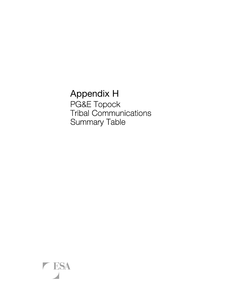Appendix H PG&E Topock Tribal Communications Summary Table

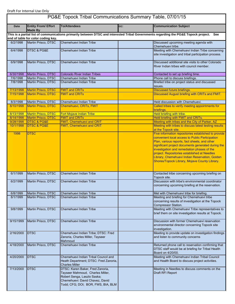|             | PG&E Topock Tribal Communications Summary Table, 07/01/15 |                                                                                                                                                                              |     |                                                                                                                                                                                                                                                                                                                                                                                                                  |
|-------------|-----------------------------------------------------------|------------------------------------------------------------------------------------------------------------------------------------------------------------------------------|-----|------------------------------------------------------------------------------------------------------------------------------------------------------------------------------------------------------------------------------------------------------------------------------------------------------------------------------------------------------------------------------------------------------------------|
| <b>Date</b> | <b>Entity From/ Effort</b><br><b>Made By</b>              | <b>To/Attendees</b>                                                                                                                                                          | CC: | <b>Communication Subject</b>                                                                                                                                                                                                                                                                                                                                                                                     |
|             | end of table for color coding key.                        |                                                                                                                                                                              |     | This is a partial list of communications primarily between DTSC and interested Tribal Governments regarding the PG&E Topock project. See                                                                                                                                                                                                                                                                         |
| 6/2/1998    | Martin Prisco, DTSC                                       | Chemehuevi Indian Tribe                                                                                                                                                      |     | Discussed upcoming meeting agenda with<br>Chemehuevi tribe.                                                                                                                                                                                                                                                                                                                                                      |
| 6/4/1998    | <b>DTSC &amp; PG&amp;E</b>                                | Chemehuevi Indian Tribe                                                                                                                                                      |     | Meeting with Chemehuevi Indian Tribe concerning<br>site investigation and tribal participation process.                                                                                                                                                                                                                                                                                                          |
| 6/9/1998    | Martin Prisco, DTSC                                       | Chemehuevi Indian Tribe                                                                                                                                                      |     | Discussed additional site visits to other Colorado<br>River Indian tribes with council member.                                                                                                                                                                                                                                                                                                                   |
| 6/30/1998   | Martin Prisco, DTSC                                       | <b>Colorado River Indian Tribes</b>                                                                                                                                          |     | Contacted to set up briefing time.                                                                                                                                                                                                                                                                                                                                                                               |
| 7/6/1998    | Martin Prisco, DTSC                                       | Chemehuevi Indian Tribe                                                                                                                                                      |     | Phone call to discuss briefings.                                                                                                                                                                                                                                                                                                                                                                                 |
| 7/8/1998    | Martin Prisco, DTSC                                       | Chemehuevi Indian Tribe                                                                                                                                                      |     | Briefed tribe on project status and discussed<br>issues.                                                                                                                                                                                                                                                                                                                                                         |
| 7/13/1998   | <b>Martin Prisco, DTSC</b>                                | <b>FMIT and CRITs</b>                                                                                                                                                        |     | Discussed future briefings.                                                                                                                                                                                                                                                                                                                                                                                      |
| 7/15/1998   | Martin Prisco, DTSC                                       | <b>FMIT and CRITs</b>                                                                                                                                                        |     | Discussed August briefing with CRITs and FMIT.                                                                                                                                                                                                                                                                                                                                                                   |
| 8/3/1998    | Martin Prisco, DTSC                                       | Chemehuevi Indian Tribe                                                                                                                                                      |     | Held discussion with Chemehuevi.                                                                                                                                                                                                                                                                                                                                                                                 |
| 8/10/1998   | <b>Martin Prisco, DTSC</b>                                | Chemehuevi, CRITs, FMIT                                                                                                                                                      |     | Called tribes to verify meeting appointments for<br>briefings.                                                                                                                                                                                                                                                                                                                                                   |
| 8/13/1998   | <b>Martin Prisco, DTSC</b>                                | Fort Mojave Indian Tribe                                                                                                                                                     |     | Held briefing with tribe.                                                                                                                                                                                                                                                                                                                                                                                        |
| 8/14/1998   | Martin Prisco, DTSC                                       | <b>FMIT and CRITs</b>                                                                                                                                                        |     | Held briefing with FMIT and CRITs.                                                                                                                                                                                                                                                                                                                                                                               |
| 9/28/1998   | <b>DTSC &amp; PG&amp;E</b>                                | <b>FMIT, Chemehuevi and CRIT</b>                                                                                                                                             |     | Meeting with tribes and the City of Parker, AZ                                                                                                                                                                                                                                                                                                                                                                   |
| 10/1/1998   | <b>DTSC &amp; PG&amp;E</b>                                | <b>FMIT, Chemehuevi and CRIT</b>                                                                                                                                             |     | Meeting with tribes to discuss latest testing results<br>at the Topock site.                                                                                                                                                                                                                                                                                                                                     |
| 1998        | <b>DTSC</b>                                               |                                                                                                                                                                              |     | Five information repositories established to provide<br>convenient local access to Public Participation<br>Plan, various reports, fact sheets, and other<br>significant project documents generated during the<br>investigation and remediation phases of the<br>project. Repositories established at Needles<br>Library, Chemehuevi Indian Reservation, Golden<br>Shores/Topock Library, Mojave County Library. |
| 6/1/1999    | Martin Prisco, DTSC                                       | Chemehuevi Indian Tribe                                                                                                                                                      |     | Contacted tribe concerning upcoming briefing on<br>Topock site.                                                                                                                                                                                                                                                                                                                                                  |
| 6/2/1999    | Martin Prisco, DTSC                                       | Chemehuevi Indian Tribe                                                                                                                                                      |     | Discussion with tribe's environmental coordinator<br>concerning upcoming briefing at the reservation.                                                                                                                                                                                                                                                                                                            |
| 6/8/1999    | Martin Prisco, DTSC                                       | Chemehuevi Indian Tribe                                                                                                                                                      |     | Met with Chemehuevi tribe for briefing.                                                                                                                                                                                                                                                                                                                                                                          |
| 8/1/1999    | Martin Prisco, DTSC                                       | Chemehuevi Indian Tribe                                                                                                                                                      |     | Meeting and briefing for Chemehuevi tribe<br>concerning results of investigation at the Topock<br>Compressor Station.                                                                                                                                                                                                                                                                                            |
| 9/8/1999    | Martin Prisco, DTSC                                       | Chemehuevi Indian Tribe                                                                                                                                                      |     | Meeting with Chemehuevi Tribe representatives to<br>brief them on site investigation results at Topock.                                                                                                                                                                                                                                                                                                          |
| 9/15/1999   | Martin Prisco, DTSC                                       | Chemehuevi Indian Tribe                                                                                                                                                      |     | Discussion with former Chemehuevi reservation<br>environmental director concerning Topock site<br>investigation.                                                                                                                                                                                                                                                                                                 |
| 2/16/2000   | <b>DTSC</b>                                               | Chemehuevi Indian Tribe; DTSC: Fred<br>Zanoria, Charles Miller, Tayseer<br>Mahmoud                                                                                           |     | Meeting to provide update on investigation findings<br>and listen to community concerns                                                                                                                                                                                                                                                                                                                          |
| 4/18/2000   | Martin Prisco, DTSC                                       | Chemehuevi Indian Tribe                                                                                                                                                      |     | Returned phone call to reservation confirming that<br>DTSC staff would be at briefing for Tribal Health<br>Board on 4/20/00.                                                                                                                                                                                                                                                                                     |
| 4/20/2000   | <b>DTSC</b>                                               | Chemehuevi Indian Tribal Council and<br>Heath Department; DTSC: Fred Zanoria,<br><b>Charles Miller</b>                                                                       |     | Meeting with Chemehuevi Indian Tribal Council<br>and Health Board to discuss project activities.                                                                                                                                                                                                                                                                                                                 |
| 7/13/2000   | <b>DTSC</b>                                               | DTSC: Karen Baker, Fred Zanoria,<br>Tayseer Mahmoud, Charles Miller,<br>Robert Senga, Laszlo Saska;<br>Chemehuevi: David Chavez, David<br>Todd; CFG; DOI; BOR, FWS, BIA, BLM |     | Meeting in Needles to discuss comments on the<br><b>Draft RFI Report</b>                                                                                                                                                                                                                                                                                                                                         |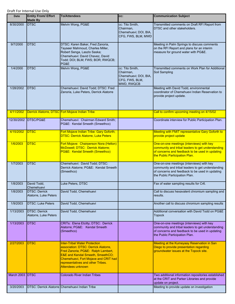| <b>Date</b>     | <b>Entity From/ Effort</b><br><b>Made By</b>  | <b>To/Attendees</b>                                                                                                                                                                                                                                                        | CC:                                                                                   | <b>Communication Subject</b>                                                                                                                                                        |
|-----------------|-----------------------------------------------|----------------------------------------------------------------------------------------------------------------------------------------------------------------------------------------------------------------------------------------------------------------------------|---------------------------------------------------------------------------------------|-------------------------------------------------------------------------------------------------------------------------------------------------------------------------------------|
| 8/30/2000       | <b>IDTSC</b>                                  | Melvin Wong, PG&E                                                                                                                                                                                                                                                          | cc: Tito Smith,<br>Chairman,<br>Chemehuevi; DOI, BIA,<br>CFG, FWS, BLM, MWD           | Transmitted comments on Draft RFI Report from<br>DTSC and other stakeholders.                                                                                                       |
| 9/7/2000        | <b>DTSC</b>                                   | DTSC: Karen Baker, Fred Zanoria,<br>Tayseer Mahmoud, Charles Miller,<br>Robert Senga, Laszlo Saska;<br>Chemehuevi: David Chavez, David<br>Todd; DOI; BLM; FWS; BOR; RWQCB;<br>PG&E                                                                                         |                                                                                       | Meeting in Palm Springs to discuss comments<br>on the RFI Report and plans for an interim<br>measure for ground water with PG&E.                                                    |
| 1/4/2000        | <b>IDTSC</b>                                  | Melvin Wong, PG&E                                                                                                                                                                                                                                                          | cc: Tito Smith,<br>Chairman,<br>Chemehuevi; DOI, BIA,<br>CFG, FWS, BLM,<br>MWD, RWQCB | Transmitted comments on Work Plan for Additional<br>Soil Sampling                                                                                                                   |
| 1/28/2002       | <b>IDTSC</b>                                  | Chemehuevi: David Todd; DTSC: Fred<br>Zanoria, Luke Peters, Derrick Alatorre                                                                                                                                                                                               |                                                                                       | Meeting with David Todd, environmental<br>coordinator of Chemehuevi Indian Reservation to<br>provide project update.                                                                |
| 4/11/2002       |                                               | Derrick Alatorre, DTSC Fort Mojave Indian Tribe                                                                                                                                                                                                                            |                                                                                       | Call to confirm upcoming meeting on 4/15/02                                                                                                                                         |
| 12/30/2002      | DTSC/PG&E                                     | Chemehuevi: Chairman Edward Smith;<br>PG&E: Kendal Smeeth (Smeethco)                                                                                                                                                                                                       |                                                                                       | Coordinate interview for Public Participation Plan.                                                                                                                                 |
| 4/15/2002       | <b>DTSC</b>                                   | Fort Mojave Indian Tribe: Gary Goforth;<br><b>DTSC: Derrick Alatorre, Luke Peters</b>                                                                                                                                                                                      |                                                                                       | Meeting with FMIT representative Gary Goforth to<br>provide project update                                                                                                          |
| 1/6/2003        | <b>DTSC</b>                                   | Fort Mojave: Chairperson Nora (Helton)<br>McDowell; DTSC: Derrick Alatorre;<br>PG&E: Kendal Smeeth (Smeethco)                                                                                                                                                              |                                                                                       | One-on-one meetings (interviews) with key<br>community and tribal leaders to get understanding<br>of concerns and feedback to be used in updating<br>the Public Participation Plan. |
| 1/7/2003        | <b>DTSC</b>                                   | Chemehuevi: David Todd; DTSC:<br>Derrick Alatorre; PG&E: Kendal Smeeth<br>(Smeethco)                                                                                                                                                                                       |                                                                                       | One-on-one meetings (interviews) with key<br>community and tribal leaders to get understanding<br>of concerns and feedback to be used in updating<br>the Public Participation Plan. |
| 1/8/2003        | David Todd,<br>Chemehuevi                     | Luke Peters, DTSC                                                                                                                                                                                                                                                          |                                                                                       | Fax of water sampling results for Cr6.                                                                                                                                              |
| 1/8/2003        | <b>DTSC: Derrick</b><br>Alatorre, Luke Peters | David Todd, Chemehuevi                                                                                                                                                                                                                                                     |                                                                                       | Call to discuss hexavalent chromium sampling and<br>results.                                                                                                                        |
| 1/9/2003        | <b>DTSC: Luke Peters</b>                      | David Todd, Chemehuevi                                                                                                                                                                                                                                                     |                                                                                       | Another call to discuss chromium sampling results                                                                                                                                   |
| 1/13/2003       | <b>DTSC: Derrick</b><br>Alatorre, Luke Peters | David Todd, Chemehuevi                                                                                                                                                                                                                                                     |                                                                                       | Additional conversation with David Todd on PG&E<br><b>Topock</b>                                                                                                                    |
| 1/13/2003       | <b>DTSC</b>                                   | CRITs: Elena Etcitty; DTSC: Derrick<br>Alatorre; PG&E: Kendal Smeeth<br>(Smeethco)                                                                                                                                                                                         |                                                                                       | One-on-one meetings (interviews) with key<br>community and tribal leaders to get understanding<br>of concerns and feedback to be used in updating<br>the Public Participation Plan. |
| 2/27/2003       | <b>DTSC</b>                                   | <b>Inter-Tribal Water Protection</b><br>association: DTSC: Derrick Alatorre,<br>Fred Zanoria; PG&E: Ralph Lambert,<br><b>E&amp;E and Kendal Smeeth, SmeethCO;</b><br>Chemehuevi, Fort Mojave and CRIT had<br>representatives and other Tribes.<br><b>Attendees unknown</b> |                                                                                       | Meeting at the Kumeyaay Reservation in San<br>Diego to provide presentation regarding<br>groundwater issues at the Topock site.                                                     |
| March 2003 DTSC |                                               | <b>Colorado River Indian Tribes</b>                                                                                                                                                                                                                                        |                                                                                       | Two additional information repositories established<br>at the CRIT and Parker Libraries and provide<br>update on project.                                                           |
| 3/20/2003       |                                               | DTSC: Derrick Alatorre Chemehuevi Indian Tribe                                                                                                                                                                                                                             |                                                                                       | Meeting to provide update on investigation                                                                                                                                          |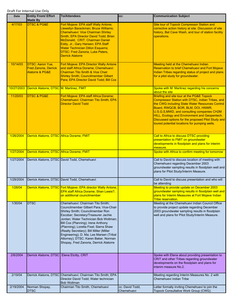| <b>Date</b> | <b>Entity From/ Effort</b><br><b>Made By</b>                                              | <b>To/Attendees</b>                                                                                                                                                                                                                                                                                                                                                                                                                                    | CC:             | <b>Communication Subject</b>                                                                                                                                                                                                                                                                                                                                                                  |
|-------------|-------------------------------------------------------------------------------------------|--------------------------------------------------------------------------------------------------------------------------------------------------------------------------------------------------------------------------------------------------------------------------------------------------------------------------------------------------------------------------------------------------------------------------------------------------------|-----------------|-----------------------------------------------------------------------------------------------------------------------------------------------------------------------------------------------------------------------------------------------------------------------------------------------------------------------------------------------------------------------------------------------|
| 4/17/03     | <b>DTSC &amp; PG&amp;E</b>                                                                | Fort Mojave: EPA staff Wally Antone;<br>Llewellyn Barackman; Bruce Williams;<br><b>Chemehuevi: Vice Chairman Shirley</b><br>Smith; EPA Director David Todd; Brian<br>McDonald; CRIT: Chairman Daniel<br>Eddy, Jr.; Gary Hansen; EPA Staff<br><b>Water Technician Dillon Esquerra;</b><br><b>DTSC: Fred Zanoria, Luke Peters,</b><br><b>Derrick Alatorre</b>                                                                                            |                 | Site tour of Topock Compressor Station and<br>corrective action history at site. Discussion of site<br>history, Bat Cave Wash, and tour of station facility<br>operations.                                                                                                                                                                                                                    |
| 10/14/03    | <b>DTSC: Aaron Yue,</b><br><b>Fred Zanoria, Derrick</b><br><b>Alatorre &amp; PG&amp;E</b> | Fort Mojave: EPA Director Wally Antone<br>and staff Africa Dorame; Chemehuevi:<br><b>Chairman Tito Smith &amp; Vice Chair</b><br><b>Shirley Smith; Councilmember Gilbert</b><br>Para; EPA Director David Todd; Bill Cox                                                                                                                                                                                                                                |                 | Meeting held at the Chemehuevi Indian<br>Reservation to brief Chemehuevi and Fort Mojave<br>Indian Tribes regarding status of project and plans<br>for a pilot study for groundwater.                                                                                                                                                                                                         |
| 10/27/2003  | Derrick Alatorre, DTSC M. Martinez, FMIT                                                  |                                                                                                                                                                                                                                                                                                                                                                                                                                                        |                 | Spoke with M. Martinez regarding his concerns<br>about the site                                                                                                                                                                                                                                                                                                                               |
| 11/20/03    | <b>DTSC &amp; PG&amp;E</b>                                                                | Fort Mojave: EPA staff Africa Dorame;<br>Chemehuevi: Chairman Tito Smith; EPA<br><b>Director David Todd</b>                                                                                                                                                                                                                                                                                                                                            |                 | Briefing and site tour at the PG&E Topock<br>Compressor Station with DTSC, Indian Tribes, and<br>the CWG including State Water Resources Control<br>Board, RWQCB, BOR, BLM, DOI, HNWR,<br>U.S.G.S, MWD, and consulting companies CH2M<br>HILL, Ecology and Environment and Geopentech.<br>Discussed options for the proposed Pilot Study and<br>toured potential locations for pumping wells. |
| 1/26/2004   | Derrick Alatorre, DTSC Africa Dorame, FMIT                                                |                                                                                                                                                                                                                                                                                                                                                                                                                                                        |                 | Call to Africa to discuss DTSC providing<br>presentation to FMIT on groundwater<br>developments in floodplain and plans for interim<br>measure.                                                                                                                                                                                                                                               |
| 1/27/2004   | Derrick Alatorre, DTSC Africa Dorame, FMIT                                                |                                                                                                                                                                                                                                                                                                                                                                                                                                                        |                 | Spoke with Africa to confirm meeting for tomorrow                                                                                                                                                                                                                                                                                                                                             |
| 1/27/2004   |                                                                                           | Derrick Alatorre, DTSC David Todd, Chemehuevi                                                                                                                                                                                                                                                                                                                                                                                                          |                 | Call to David to discuss location of meeting with<br>Chemehuevi regarding December 2003<br>groundwater sampling results in floodplain well and<br>plans for Pilot Study/Interim Measure.                                                                                                                                                                                                      |
| 1/29/2004   |                                                                                           | Derrick Alatorre, DTSC David Todd, Chemehuevi                                                                                                                                                                                                                                                                                                                                                                                                          |                 | Call to David to discuss presentation and who will<br>be attending                                                                                                                                                                                                                                                                                                                            |
| 1/28/04     |                                                                                           | Derrick Alatorre, DTSC Fort Mojave: EPA director Wally Antone,<br><b>EPA staff Africa Dorame; Shan Lewis?;</b><br>an additional councilmember                                                                                                                                                                                                                                                                                                          |                 | Meeting to provide update on December 2003<br>groundwater sampling results in floodplain well and<br>plans for Interim Measures at Fort Mojave Indian<br>Tribe reservation.                                                                                                                                                                                                                   |
| 1/30/04     | <b>DTSC</b>                                                                               | Chemehuevi: Chairman Tito Smith;<br>Councilmember Gilbert Para; Vice-Chair<br>Shirley Smith; Councilmember Ron<br>Escobar; Secretary/Treasurer Jachie<br>Jordan; Water Technician Bob Woltman;<br>Bill Cox (Planning); Irene Anthony<br>(Planning); Loretta Fixel; Sierra Shaw<br>(Realty Secretary); Bill Miller (Miller<br>Engineering); D. Ma; Les Marsen (Tribal<br>Attorney); DTSC: Karen Baker, Norman<br>Shopay, Fred Zanoria, Derrick Alatorre |                 | Meeting at the Chemehuevi Indian Council Office<br>to provide project update regarding December<br>2003 groundwater sampling results in floodplain<br>well and plans for Pilot Study/Interim Measure.                                                                                                                                                                                         |
| 2/6/2004    | Derrick Alatorre, DTSC                                                                    | Elena Etcitty, CRIT                                                                                                                                                                                                                                                                                                                                                                                                                                    |                 | Spoke with Elena about providing presentation to<br>CRIT and other Tribes regarding groundwater<br>developments on the floodplain and plans for<br>interim measure No.2.                                                                                                                                                                                                                      |
| 2/19/04     |                                                                                           | Derrick Alatorre, DTSC Chemehuevi: Chairman Tito Smith; EPA<br>Director David Todd; Water technician                                                                                                                                                                                                                                                                                                                                                   |                 | Meeting regarding Interim Measures No. 2 with<br>Chemehuevi Indian Tribe                                                                                                                                                                                                                                                                                                                      |
| 2/19/2004   | Norman Shopay,                                                                            | <b>Bob Woltman</b><br>Chairman Tito Smith, Chemehuevi                                                                                                                                                                                                                                                                                                                                                                                                  | cc: David Todd, | Letter formally inviting Chemehuevi to join the                                                                                                                                                                                                                                                                                                                                               |
|             | <b>DTSC</b>                                                                               |                                                                                                                                                                                                                                                                                                                                                                                                                                                        | Chemehuevi      | Topock Consultative Work Group (CWG).                                                                                                                                                                                                                                                                                                                                                         |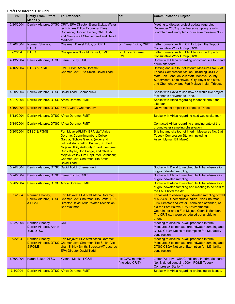| Date      | <b>Entity From/ Effort</b><br><b>Made By</b>           | <b>To/Attendees</b>                                                                                                                                                                                                                                                                                                                                 | CC:                                | <b>Communication Subject</b>                                                                                                                                                                                                                                                                              |
|-----------|--------------------------------------------------------|-----------------------------------------------------------------------------------------------------------------------------------------------------------------------------------------------------------------------------------------------------------------------------------------------------------------------------------------------------|------------------------------------|-----------------------------------------------------------------------------------------------------------------------------------------------------------------------------------------------------------------------------------------------------------------------------------------------------------|
| 2/20/2004 |                                                        | Derrick Alatorre, DTSC CRIT: EPA Director Elena Etcitty; Water<br>technicians Dillon Esquerra, Elroy<br>Robinson, Duncan Fisher; CRIT Fish<br>and Game staff Charlie Land and David<br><b>Martinez</b>                                                                                                                                              |                                    | Meeting to discuss project update regarding<br>December 2003 groundwater sampling results in<br>floodplain well and plans for interim measure No.2.                                                                                                                                                       |
| 2/20/2004 | Norman Shopay,<br><b>DTSC</b>                          | Chairman Daniel Eddy, Jr, CRIT                                                                                                                                                                                                                                                                                                                      | cc: Elena Etcitty, CRIT            | Letter formally inviting CRITs to join the Topock<br>Consultative Work Group (CWG).                                                                                                                                                                                                                       |
| 2/20/04   | <b>DTSC</b>                                            | <b>Chairperson Nora McDowell, FMIT</b>                                                                                                                                                                                                                                                                                                              | cc: Africa Dorame,<br><b>FMIT</b>  | Letter formally inviting FMIT to join the Topock<br>Consultative Work Group (CWG).                                                                                                                                                                                                                        |
| 4/13/2004 | Derrick Alatorre, DTSC Elena Eticitty, CRIT            |                                                                                                                                                                                                                                                                                                                                                     |                                    | Spoke with Elena regarding upcoming site tour and<br>future site tours.                                                                                                                                                                                                                                   |
| 4/16/2004 | <b>DTSC &amp; PG&amp;E</b>                             | <b>FMIT EPA: Africa Dorame;</b><br>Chemehuevi: Tito Smith, David Todd                                                                                                                                                                                                                                                                               |                                    | Briefing and site tour of Interim Measures No. 2 at<br><b>Topock Compressor Station (including USEPA</b><br>staff, Sen. John McCain staff, Mohave County<br>Supervisors, Lake Havasu City Mayor and staff,<br>and Chemehuevi and Fort Mojave Indian Tribes).                                              |
| 4/20/2004 |                                                        | Derrick Alatorre, DTSC David Todd, Chemehuevi                                                                                                                                                                                                                                                                                                       |                                    | Spoke with David to see how he would like project<br>fact sheets delivered to Tribe.                                                                                                                                                                                                                      |
| 4/21/2004 | Derrick Alatorre, DTSC Africa Dorame, FMIT             |                                                                                                                                                                                                                                                                                                                                                     |                                    | Spoke with Africa regarding feedback about the<br>site tour                                                                                                                                                                                                                                               |
| 5/10/2004 |                                                        | Derrick Alatorre, DTSC FMIT, CRIT, Chemehuevi                                                                                                                                                                                                                                                                                                       |                                    | Deliver latest project fact sheet to Tribes                                                                                                                                                                                                                                                               |
| 5/13/2004 | Derrick Alatorre, DTSC Africa Dorame, FMIT             |                                                                                                                                                                                                                                                                                                                                                     |                                    | Spoke with Africa regarding next weeks site tour                                                                                                                                                                                                                                                          |
| 5/14/2004 | Derrick Alatorre, DTSC Africa Dorame, FMIT             |                                                                                                                                                                                                                                                                                                                                                     |                                    | Contacted Africa regarding changing date of the<br>groundwater sampling observation                                                                                                                                                                                                                       |
| 5/20/2004 | <b>DTSC &amp; PG&amp;E</b>                             | Fort Mojave(FMIT): EPA staff Africa<br>Dorame; Councilmembers Colleen<br>Garcia, Nichole Garcia; (elder and<br>cultural staff) Felton Bricker, Sr., Fort<br><b>Mojave Utility Authority Board members</b><br>Rudy Bryan, Bob Lange, and Chief of<br>Mojave Valley Fire Dept. Mel Sorensen;<br>Chemehuevi: Chairman Tito Smith,<br><b>David Todd</b> |                                    | Briefing and site tour of Interim Measures No. 2 at<br><b>Topock Compressor Station (including</b><br><b>Assemblyman Bill Maze)</b>                                                                                                                                                                       |
| 5/24/2004 |                                                        | Derrick Alatorre, DTSC David Todd, Chemehuevi                                                                                                                                                                                                                                                                                                       |                                    | Spoke with David to reschedule Tribal observation<br>of groundwater sampling                                                                                                                                                                                                                              |
| 5/24/2004 | Derrick Alatorre, DTSC Elena Eticitty, CRIT            |                                                                                                                                                                                                                                                                                                                                                     |                                    | Spoke with Elena to reschedule Tribal observation<br>of groundwater sampling                                                                                                                                                                                                                              |
| 5/26/2004 | Derrick Alatorre, DTSC Africa Dorame, FMIT             |                                                                                                                                                                                                                                                                                                                                                     |                                    | Spoke with Africa to reschedule Tribal observation<br>of groundwater sampling and meeting to be held at<br>the FMIT hotel the Avi.                                                                                                                                                                        |
| 6/2/2004  | Norman Shopay,<br>& PG&E                               | Fort Mojave: EPA staff Africa Dorame;<br>Derrick Alatorre, DTSC Chemehuevi: Chairman Tito Smith, EPA<br>Director David Todd; Water Technician<br><b>Bob Woltman</b>                                                                                                                                                                                 |                                    | Tribal visit to observe groundwater sampling of well<br>MW-34-80, Chemehuevi Indian Tribe Chairman,<br>EPA Director and Water Technician attended, as<br>did the Fort Mojave EPA Environmental<br>Coordinator and a Fort Mojave Council Member.<br>The CRIT staff were scheduled but unable to<br>attend. |
| 6/22/2004 | Norman Shopay,<br>Derrick Alatorre, Aaron<br>Yue, DTSC | <b>CRIT</b>                                                                                                                                                                                                                                                                                                                                         |                                    | Meeting to discuss PG&E proposed Interim<br>Measures 3 to increase groundwater pumping and<br>DTSC CEQA Notice of Exemption for IM3 facility<br>construction.                                                                                                                                             |
| 6/22/04   | Norman Shopay,<br>& PG&E                               | Fort Mojave: EPA staff Africa Dorame;<br>Derrick Alatorre, DTSC Chemehuevi: Chairman Tito Smith, Vice-<br>chair Shirley Smith; Secretary/Treasures<br><b>EPA Director David Todd</b>                                                                                                                                                                |                                    | Meeting to discuss PG&E proposed Interim<br>Measures 3 to increase groundwater pumping and<br><b>DTSC CEQA Notice of Exemption for IM3 facility</b><br>construction.                                                                                                                                      |
| 6/30/2004 | Karen Baker, DTSC                                      | Yvonne Meeks, PG&E                                                                                                                                                                                                                                                                                                                                  | cc: CWG members<br>(included CRIT) | Letter "Approval with Conditions, Interim Measures<br>No. 3, dated June 21, 2004, PG&E Topock<br>Compressor Station".                                                                                                                                                                                     |
| 7/1/2004  | Derrick Alatorre, DTSC Africa Dorame, FMIT             |                                                                                                                                                                                                                                                                                                                                                     |                                    | Spoke with Africa regarding archeological issues.                                                                                                                                                                                                                                                         |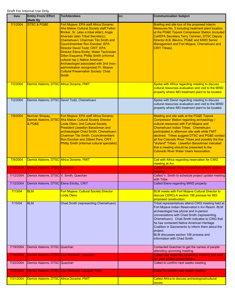| <b>Date</b> | <b>Entity From/ Effort</b><br><b>Made By</b> | <b>To/Attendees</b>                                                                                                                                                                                                                                                                                                                                                                                                                                                                                                                                                                    | CC: | <b>Communication Subject</b>                                                                                                                                                                                                                                                                                                                                                                                                                                                            |
|-------------|----------------------------------------------|----------------------------------------------------------------------------------------------------------------------------------------------------------------------------------------------------------------------------------------------------------------------------------------------------------------------------------------------------------------------------------------------------------------------------------------------------------------------------------------------------------------------------------------------------------------------------------------|-----|-----------------------------------------------------------------------------------------------------------------------------------------------------------------------------------------------------------------------------------------------------------------------------------------------------------------------------------------------------------------------------------------------------------------------------------------------------------------------------------------|
| 7/1/2004    | <b>DTSC &amp; PG&amp;E</b>                   | Fort Mojave: EPA staff Africa Dorame;<br><b>Aha Makav Cultural Society staff Felton</b><br>Bricker, Sr. (also a tribal elder); Angie<br>Alvarado (also Tribal Secretary);<br><b>Chemehuevi: Chairman Tito Smith and</b><br><b>Councilmember Ron Escobar: EPA</b><br>Director David Todd; CRIT: EPA<br>Director Elena Etcitty; Water Technician<br><b>Dillon Esquerra; Phillip Smith (informal</b><br>cultural rep.); Native American<br>Archaeologist associated with 2nd (non-<br>administration recognized) Ft. Mojave<br><b>Cultural Preservation Society: Chad</b><br><b>Smith</b> |     | Briefing and site tour of the proposed Interim<br>Measures No. 3 including treatment plant location<br>at the PG&E Topock Compressor Station (included<br>Cal/EPA Secretary Terry Taminen, DTSC Deputy<br>Director B.B. Blevins, PG&E and MWD Senior<br>Management and Fort Mojave, Chemehuevi and<br><b>CRIT Tribes).</b>                                                                                                                                                              |
| 7/2/2004    | Derrick Alatorre, DTSC Africa Dorame, FMIT   |                                                                                                                                                                                                                                                                                                                                                                                                                                                                                                                                                                                        |     | Spoke with Africa regarding meeting to discuss<br>cultural resources evaluation and visit to the MWD<br>property where IM3 treatment plant to be located.                                                                                                                                                                                                                                                                                                                               |
| 7/2/2004    |                                              | Derrick Alatorre, DTSC David Todd, Chemehuevi                                                                                                                                                                                                                                                                                                                                                                                                                                                                                                                                          |     | Spoke with David regarding meeting to discuss<br>cultural resources evaluation and visit to the MWD<br>property where IM3 treatment plant to be located.                                                                                                                                                                                                                                                                                                                                |
| 7/8/2004    | Norman Shopay,<br>& PG&E                     | Fort Mojave: EPA staff Africa Dorame;<br>Derrick Alatorre, DTSC Aha Makav Cultural Society Director<br><b>Linda Otero; 2nd Cultural Society</b><br><b>President Llewellyn Barackman and</b><br>archaeologist Chad Smith; Chemehuevi:<br><b>Chairman Tito Smith; Councilmembers</b><br>Ron Escobar and Gilbert Para; CRIT:<br>Phillip Smith (informal cultural specialist)                                                                                                                                                                                                              |     | Meeting and site walk at the PG&E Topock<br>Compressor Station regarding archaeology /<br>cultural resources with Fort Mojave and<br>Chemehuevi Indian Tribes. Chemehuevi<br>participated in afternoon site walk while FMIT<br>declined. Tribes suggest DTSC and PG&E contact<br>all five Colorado River Tribes and possibly the five<br>"dryland" Tribes. Llewellyn Barackman indicated<br>that a meeting should be presented to the<br><b>Colorado River Water Users Association.</b> |
| 7/9/2004    | Derrick Alatorre, DTSC Africa Dorame, FMIT   |                                                                                                                                                                                                                                                                                                                                                                                                                                                                                                                                                                                        |     | Call with Africa regarding reservation for CWG<br>meeting at Avi.                                                                                                                                                                                                                                                                                                                                                                                                                       |
| 7/12/2004   | Derrick Alatorre, DTSC Cocopah               |                                                                                                                                                                                                                                                                                                                                                                                                                                                                                                                                                                                        |     | Called Cocopah Tribe to schedule project update<br>meeting                                                                                                                                                                                                                                                                                                                                                                                                                              |
| 7/12/2004   | Derrick Alatorre, DTSC V. Smith, Quechan     |                                                                                                                                                                                                                                                                                                                                                                                                                                                                                                                                                                                        |     | Called V. Smith to schedule project update meeting<br>with Tribe                                                                                                                                                                                                                                                                                                                                                                                                                        |
| 7/12/2004   | Derrick Alatorre, DTSC Elena Eticitty, CRIT  |                                                                                                                                                                                                                                                                                                                                                                                                                                                                                                                                                                                        |     | Called Elena regarding MWD property                                                                                                                                                                                                                                                                                                                                                                                                                                                     |
| 7/13/04     | <b>BLM</b>                                   | <b>Fort Mojave: Cultural Society Director</b><br><b>Linda Otero</b>                                                                                                                                                                                                                                                                                                                                                                                                                                                                                                                    |     | <b>BLM meets with Fort Mojave Cultural Director to</b><br>discuss CERCLA section 106 process for IM3<br>proposed construction.                                                                                                                                                                                                                                                                                                                                                          |
| 7/15/04     | <b>BLM</b>                                   | Chad Smith (representing Chemehuevi)                                                                                                                                                                                                                                                                                                                                                                                                                                                                                                                                                   |     | Tribal representatives attend CWG meeting held at<br>Fort Mojave Indian Reservation's Avi Resort. BLM<br>archaeologist has phone and in-person<br>conversations with Chad Smith (representing<br>Chemehuevi). Chad Smith indicates to CWG that<br>he has contacted Native American Heritage<br>Coalition in Sacramento to inform them about the<br>project.<br>BLM discusses section 106 process and<br>linformation with Chad Smith.                                                   |
| 7/19/2004   | Derrick Alatorre, DTSC Quechan               |                                                                                                                                                                                                                                                                                                                                                                                                                                                                                                                                                                                        |     | Contacted Quechan to get the names of people<br>attending upcoming meeting.                                                                                                                                                                                                                                                                                                                                                                                                             |
| 7/19/2004   |                                              | Derrick Alatorre, DTSC Lisa Wanstall., Cocopah                                                                                                                                                                                                                                                                                                                                                                                                                                                                                                                                         |     | Called Lisa regarding upcoming meeting and sent<br>her past project presentations.                                                                                                                                                                                                                                                                                                                                                                                                      |
| 7/20/2004   | Derrick Alatorre, DTSC Quechan               |                                                                                                                                                                                                                                                                                                                                                                                                                                                                                                                                                                                        |     | Called to confirm next weeks meeting                                                                                                                                                                                                                                                                                                                                                                                                                                                    |
| 7/20/2004   |                                              | Derrick Alatorre, DTSC Lisa Wanstall, Cocopah Tribe                                                                                                                                                                                                                                                                                                                                                                                                                                                                                                                                    |     | Called to confirm next weeks meeting                                                                                                                                                                                                                                                                                                                                                                                                                                                    |
| 7/21/2004   | Derrick Alatorre, DTSC Africa Dorame, FMIT   |                                                                                                                                                                                                                                                                                                                                                                                                                                                                                                                                                                                        |     | Called Africa to discuss archeological/cultural<br><u>issues</u>                                                                                                                                                                                                                                                                                                                                                                                                                        |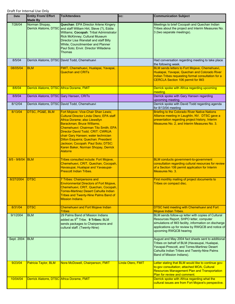| <b>Date</b>    | <b>Entity From/ Effort</b><br><b>Made By</b> | <b>To/Attendees</b>                                                                                                                                                                                                                                                                                                                                                                                                    | CC:               | <b>Communication Subject</b>                                                                                                                                                                                                          |
|----------------|----------------------------------------------|------------------------------------------------------------------------------------------------------------------------------------------------------------------------------------------------------------------------------------------------------------------------------------------------------------------------------------------------------------------------------------------------------------------------|-------------------|---------------------------------------------------------------------------------------------------------------------------------------------------------------------------------------------------------------------------------------|
| 7/26/04        | Norman Shopay,                               | <b>Quechan: EPA Director Arlene Kingery</b><br>Derrick Alatorre, DTSC and staff William Hirt, Steve (?), Eddie<br>Williams; Cocopah: Tribal Administrator<br>Rick McKinney; Cultural Museum<br>Director Lisa Wanstall and staff Billy<br>White; Councilmember and Planner<br>Paul Soto; Envir. Director Willadena<br>Thomas                                                                                            |                   | Meetings to brief Cocopah and Quechan Indian<br>Tribes about the project and Interim Measures No.<br>3 (two separate meetings).                                                                                                       |
| 8/5/04         |                                              | Derrick Alatorre, DTSC David Todd, Chemehuevi                                                                                                                                                                                                                                                                                                                                                                          |                   | Had conversation regarding meeting to take place<br>the following week.                                                                                                                                                               |
| 08/05/04       | <b>BLM</b>                                   | FMIT, Chemehuevi, Hualapai, Yavapai,<br><b>Quechan and CRITs</b>                                                                                                                                                                                                                                                                                                                                                       |                   | BLM sends letters to Fort Mojave, Chemehuevi,<br>Hualapai, Yavapai, Quechan and Colorado River<br>Indian Tribes requesting formal consultation for a<br><b>CERCLA Section 106 permit for IM3</b>                                      |
| 8/6/04         | Derrick Alatorre, DTSC Africa Dorame, FMIT   |                                                                                                                                                                                                                                                                                                                                                                                                                        |                   | Derrick spoke with Africa regarding upcoming<br>meeting                                                                                                                                                                               |
| 8/9/04         | Derrick Alatorre, DTSC Gary Hansen, CRITs    |                                                                                                                                                                                                                                                                                                                                                                                                                        |                   | Derrick spoke with Gary Hansen regarding<br>upcoming meeting.                                                                                                                                                                         |
| 8/12/04        |                                              | Derrick Alatorre, DTSC David Todd, Chemehuevi                                                                                                                                                                                                                                                                                                                                                                          |                   | Derrick spoke with David Todd regarding agenda<br>for 8/13/04 meeting                                                                                                                                                                 |
| 8/13/04        | DTSC, PG&E, BLM                              | Fort Mojave: Vice-Chair Shan Lewis;<br>Cultural Director Linda Otero; EPA staff<br>Africa Dorame; also Llewellyn<br>Barackman; Bruce Williams;<br>Chemehuevi: Chairman Tito Smith; EPA<br><b>Director David Todd; CRIT: CWRUA</b><br>chair Gary Hansen; water technician<br><b>Dillon Esquerra; Quechan: President</b><br>Jackson; Cocopah: Paul Soto; DTSC:<br>Karen Baker, Norman Shopay, Derrick<br><b>Alatorre</b> |                   | <b>Briefing to the Colorado River Native Nations</b><br>Alliance meeting in Laughlin, NV. DTSC gave a<br>presentation regarding project history, Interim<br>Measures No. 2, and Interim Measures No. 3.                               |
| $8/5 - 9/8/04$ | <b>BLM</b>                                   | Tribes consulted include: Fort Mojave,<br>Chemehuevi, CRIT, Quechan, Cocopah,<br>Havasupai, Hualapai and Yavasupai-<br><b>Prescott Indian Tribes.</b>                                                                                                                                                                                                                                                                  |                   | BLM conducts government-to-government<br>consultation regarding cultural resources for review<br>of a Section 106 permit application for Interim<br>Measures No. 3.                                                                   |
| 8/27/2004      | <b>DTSC</b>                                  | 7 Tribes: Chairpersons and<br><b>Environmental Directors of Fort Mojave,</b><br>Chemehuevi, CRIT, Quechan, Cocopah,<br><b>Torres-Martinez Desert Cahuilla Indian</b><br><b>Tribes and Twenty-Nine Palms Band of</b><br><b>Mission Indians.</b>                                                                                                                                                                         |                   | First monthly mailing of project documents to<br>Tribes on compact disc.                                                                                                                                                              |
| 8/31/04        | <b>DTSC</b>                                  | Chemehuevi and Fort Mojave Indian<br><b>Tribes</b>                                                                                                                                                                                                                                                                                                                                                                     |                   | DTSC held meeting with Chemehuevi and Fort<br><b>Mojave Indian Tribes.</b>                                                                                                                                                            |
| 9/1/2004       | <b>BLM</b>                                   | 29 Palms Band of Mission Indians<br>added as 9 <sup>th</sup> Tribe. 9 Tribes: BLM<br>sends packages to Chairpersons and<br>cultural staff. (Twenty-Nine)                                                                                                                                                                                                                                                               |                   | BLM sends follow-up letter with copies of Cultural<br>Resources Report, SHPO letter, computer<br>simulations of IM3 facility, information on discharge<br>applications up for review by RWQCB and notice of<br>upcoming RWQCB hearing |
| Sept. 2004     | <b>BLM</b>                                   |                                                                                                                                                                                                                                                                                                                                                                                                                        |                   | August and May 2004 fact sheets sent to additional<br>Tribes on behalf of BLM (Havasupai, Hualapai,<br>Yavapai-Prescott, and Torres-Martinez Desert<br>Cahuilla Indian Tribes and Twenty-Nine Palms<br>Band of Mission Indians).      |
| 9/23/04        | Patricia Taylor, BLM                         | Nora McDowell, Chairperson, FMIT                                                                                                                                                                                                                                                                                                                                                                                       | Linda Otero, FMIT | Letter stating that BLM would like to continue gov-<br>to-gov consultation; attached MOA, Cultural<br><b>Resources Management Plan and Transportation</b><br>Plan for review and comment.                                             |
| 10/04/04       | Derrick Alatorre, DTSC Africa Dorame, FMIT   |                                                                                                                                                                                                                                                                                                                                                                                                                        |                   | Derrick spoke with Africa regarding what the<br>cultural issues are from Fort Mojave's perspective.                                                                                                                                   |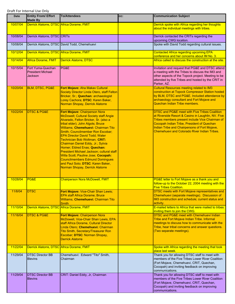| Date     | <b>Entity From/ Effort</b><br><b>Made By</b>                    | <b>To/Attendees</b>                                                                                                                                                                                                                                                                                                                                                                                                                                                                                                                                                                           | CC: | <b>Communication Subject</b>                                                                                                                                                                                                                                                                                 |
|----------|-----------------------------------------------------------------|-----------------------------------------------------------------------------------------------------------------------------------------------------------------------------------------------------------------------------------------------------------------------------------------------------------------------------------------------------------------------------------------------------------------------------------------------------------------------------------------------------------------------------------------------------------------------------------------------|-----|--------------------------------------------------------------------------------------------------------------------------------------------------------------------------------------------------------------------------------------------------------------------------------------------------------------|
| 10/07/04 | Derrick Alatorre, DTSC Africa Dorame, FMIT                      |                                                                                                                                                                                                                                                                                                                                                                                                                                                                                                                                                                                               |     | Derrick spoke with Africa regarding her thoughts<br>about the individual meetings with tribes.                                                                                                                                                                                                               |
| 10/08/04 | Derrick Alatorre, DTSC CRITs                                    |                                                                                                                                                                                                                                                                                                                                                                                                                                                                                                                                                                                               |     | Derrick contacted the CRITs regarding the<br>upcoming CWG location.                                                                                                                                                                                                                                          |
| 10/08/04 |                                                                 | Derrick Alatorre, DTSC David Todd, Chemehuevi                                                                                                                                                                                                                                                                                                                                                                                                                                                                                                                                                 |     | Spoke with David Todd regarding cultural issues.                                                                                                                                                                                                                                                             |
| 10/12/04 | Derrick Alatorre, DTSC Africa Dorame, FMIT                      |                                                                                                                                                                                                                                                                                                                                                                                                                                                                                                                                                                                               |     | <b>Contacted Africa regarding upcoming EPA</b><br>conference and her concerns about IM No. 3.                                                                                                                                                                                                                |
| 10/14/04 | <b>Africa Dorame, FMIT</b>                                      | <b>Derrick Alatorre, DTSC</b>                                                                                                                                                                                                                                                                                                                                                                                                                                                                                                                                                                 |     | Africa called to discuss the construction at the site.                                                                                                                                                                                                                                                       |
| 10/15/04 | Fort Yuma-Quechan<br><b>President Michael</b><br><b>Jackson</b> | PG&E                                                                                                                                                                                                                                                                                                                                                                                                                                                                                                                                                                                          |     | Invitation and request that PG&E and DTSC attend<br>a meeting with the Tribes to discuss the IM3 and<br>other aspects of the Topock project. Meeting to be<br>attended by five Tribes and hosted by the CRIT in<br>Parker, AZ.                                                                               |
| 10/20/04 | <b>BLM, DTSC, PG&amp;E</b>                                      | Fort Mojave: Aha Makav Cultural<br>Society Director Linda Otero, staff Felton<br>Bricker, Sr.; Quechan: archaeologist<br>Lorey Cachora; DTSC: Karen Baker,<br>Norman Shopay, Derrick Alatorre                                                                                                                                                                                                                                                                                                                                                                                                 |     | <b>Cultural Resources meeting related to IM3</b><br>construction at Topock Compressor Station hosted<br>by BLM, DTSC and PG&E. Included attendance by<br>archaeology consultant and Fort Mojave and<br>Quechan Indian Tribe members.                                                                         |
| 10/22/04 | <b>DTSC &amp; PG&amp;E</b>                                      | Fort Mojave: Chairperson Nora<br>McDowell; Cultural Society staff Angie<br>Alvarado, Felton Bricker, Sr. (also a<br>tribal elder); John Algots; Bruce<br>Williams; Chemehuevi: Chairman Tito<br>Smith; Councilmember Ron Escobar;<br><b>EPA Director David Todd: Water</b><br><b>Technician Bob Woltman: CRIT:</b><br>Chairman Daniel Eddy, Jr.; Sylvia<br>Homer; Eldred Enas; Quechan:<br>President Michael Jackson; cultural staff<br>Willa Scott; Pauline Jose; Cocopah:<br><b>Councilmembers Edmund Domingues</b><br>and Paul Soto; DTSC: Karen Baker,<br>Norman Shopay, Derrick Alatorre |     | DTSC and PG&E meet with Five Tribes Coalition<br>at Riverside Resort & Casino in Laughlin, NV. Five<br>Tribes members present include Vice Chairman of<br>Cocopah Indian Tribe, President of Quechan<br>Indian Tribe and Chairpersons of Fort Mojave,<br><b>Chemehuevi and Colorado River Indian Tribes.</b> |
| 10/28/04 | PG&E                                                            | <b>Chairperson Nora McDowell, FMIT</b>                                                                                                                                                                                                                                                                                                                                                                                                                                                                                                                                                        |     | PG&E letter to Fort Mojave as a thank you and<br>follow-up to the October 22, 2004 meeting with the<br><u>Five Tribes Coalition.</u>                                                                                                                                                                         |
| 11/8/04  | <b>DTSC</b>                                                     | Fort Mojave: Vice-Chair Shan Lewis;<br><b>EPA staff Africa Dorame; Bruce</b><br>Williams; Chemehuevi: Chairman Tito<br>Smith                                                                                                                                                                                                                                                                                                                                                                                                                                                                  |     | <b>DTSC meets with Fort Mojave representatives and</b><br>Chemehuevi (separate meetings). Discussion of<br>IM3 construction and schedule; current status and<br>activity.                                                                                                                                    |
| 11/10/04 | Derrick Alatorre, DTSC Africa Dorame, FMIT                      |                                                                                                                                                                                                                                                                                                                                                                                                                                                                                                                                                                                               |     | E-mailed letters to Africa that were mailed to tribes<br>inviting them to join the CWG.                                                                                                                                                                                                                      |
| 11/16/04 | <b>DTSC &amp; PG&amp;E</b>                                      | Fort Mojave: Chairperson Nora<br>McDowell, Vice-Chair Shan Lewis, EPA<br>staff Africa Dorame, Cultural Director<br>Linda Otero; Chemehuevi: Chairman<br><b>Tito Smith, Secretary/Treasurer Ron</b><br>Escobar; DTSC: Norman Shopay,<br><b>Derrick Alatorre</b>                                                                                                                                                                                                                                                                                                                                |     | DTSC and PG&E meet with Chemehuevi Indian<br>Tribe and Fort Mojave Indian Tribe. Informal<br>meetings to discuss how to communicate with the<br>Tribe, hear tribal concerns and answer questions.<br>(Two separate meetings).                                                                                |
| 11/22/04 | Derrick Alatorre, DTSC Africa Dorame, FMIT                      |                                                                                                                                                                                                                                                                                                                                                                                                                                                                                                                                                                                               |     | Spoke with Africa regarding the meeting that took<br>place last week.                                                                                                                                                                                                                                        |
| 11/29/04 | <b>DTSC Director BB</b><br><b>Blevins</b>                       | Chemehuevi: Edward "Tito" Smith,<br>Chairman                                                                                                                                                                                                                                                                                                                                                                                                                                                                                                                                                  |     | Thank you for allowing DTSC staff to meet with<br>members of the Five Tribes Lower River Coalition<br>(Fort Mojave, Chemehuevi, CRIT, Quechan,<br>Cocopah) and inviting feedback on improving<br>communications.                                                                                             |
| 11/29/04 | <b>DTSC Director BB</b><br><b>Blevins</b>                       | CRIT: Daniel Eddy, Jr, Chairman                                                                                                                                                                                                                                                                                                                                                                                                                                                                                                                                                               |     | Thank you for allowing DTSC staff to meet with<br>members of the Five Tribes Lower River Coalition<br>(Fort Mojave, Chemehuevi, CRIT, Quechan,<br>Cocopah) and inviting feedback on improving<br>communications.                                                                                             |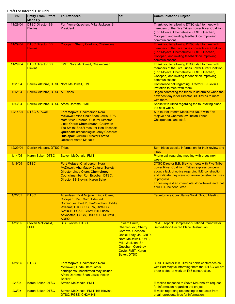| <b>Date</b> | <b>Entity From/ Effort</b><br><b>Made By</b> | <b>To/Attendees</b>                                                                                                                                                                                                                                                                                                     | CC:                                                                                                                                                                                                                      | <b>Communication Subject</b>                                                                                                                                                                                                                                                                                        |
|-------------|----------------------------------------------|-------------------------------------------------------------------------------------------------------------------------------------------------------------------------------------------------------------------------------------------------------------------------------------------------------------------------|--------------------------------------------------------------------------------------------------------------------------------------------------------------------------------------------------------------------------|---------------------------------------------------------------------------------------------------------------------------------------------------------------------------------------------------------------------------------------------------------------------------------------------------------------------|
| 11/29/04    | <b>DTSC Director BB</b><br><b>Blevins</b>    | Fort Yuma-Quechan: Mike Jackson, Sr.,<br>President                                                                                                                                                                                                                                                                      |                                                                                                                                                                                                                          | Thank you for allowing DTSC staff to meet with<br>members of the Five Tribes Lower River Coalition<br>(Fort Mojave, Chemehuevi, CRIT, Quechan,<br>Cocopah) and inviting feedback on improving<br>communications.                                                                                                    |
| 11/29/04    | <b>DTSC Director BB</b><br><b>Blevins</b>    | Cocopah: Sherry Cordova, Chairwoman                                                                                                                                                                                                                                                                                     |                                                                                                                                                                                                                          | Thank you for allowing DTSC staff to meet with<br>members of the Five Tribes Lower River Coalition<br>(Fort Mojave, Chemehuevi, CRIT, Quechan,<br>Cocopah) and inviting feedback on improving<br>communications.                                                                                                    |
| 11/29/04    | <b>DTSC Director BB</b><br><b>Blevins</b>    | <b>FMIT: Nora McDowell, Chairwoman</b>                                                                                                                                                                                                                                                                                  |                                                                                                                                                                                                                          | Thank you for allowing DTSC staff to meet with<br>members of the Five Tribes Lower River Coalition<br>(Fort Mojave, Chemehuevi, CRIT, Quechan,<br>Cocopah) and inviting feedback on improving<br>communications.                                                                                                    |
| 12/1/04     | Derrick Alatorre, DTSC Nora McDowell, FMIT   |                                                                                                                                                                                                                                                                                                                         |                                                                                                                                                                                                                          | <b>Conference call regarding Director BB Blevin's</b><br>invitation to meet with them.                                                                                                                                                                                                                              |
| 12/2/04     | <b>Derrick Alatorre, DTSC All Tribes</b>     |                                                                                                                                                                                                                                                                                                                         |                                                                                                                                                                                                                          | Began contacting the tribes to determine when the<br>next best day is for Director BB Blevins to meet<br>with them.                                                                                                                                                                                                 |
| 12/3/04     | Derrick Alatorre, DTSC Africa Dorame, FMIT   |                                                                                                                                                                                                                                                                                                                         |                                                                                                                                                                                                                          | Spoke with Africa regarding the tour taking place<br>the next week.                                                                                                                                                                                                                                                 |
| 12/14/04    | <b>DTSC &amp; PG&amp;E</b>                   | Fort Mojave: Chairperson Nora<br>McDowell; Vice-Chair Shan Lewis; EPA<br>staff Africa Dorame; Cultural Director<br>Linda Otero; Chemehuevi: Chairman<br>Tito Smith; Sec./Treasurer Ron Escobar;<br><b>Quechan: archaeologist Lorey Cachora;</b><br><b>Hualapai: Cultural Director Loretta</b><br>Jackson; Aaron Mapatis |                                                                                                                                                                                                                          | Site tour of Interim Measures No. 3 with Fort<br><b>Mojave and Chemehuevi Indian Tribes</b><br>Chairpersons and staff.                                                                                                                                                                                              |
| 12/29/04    | <b>Derrick Alatorre, DTSC Tribes</b>         |                                                                                                                                                                                                                                                                                                                         |                                                                                                                                                                                                                          | Sent tribes website information for their review and<br>input.                                                                                                                                                                                                                                                      |
| 1/14/05     | Karen Baker, DTSC                            | <b>Steven McDonald, FMIT</b>                                                                                                                                                                                                                                                                                            |                                                                                                                                                                                                                          | Phone call regarding meeting with tribes next<br>week.                                                                                                                                                                                                                                                              |
| 1/19/05     | <b>DTSC</b>                                  | Fort Mojave: Chairperson Nora<br>McDowell; Aha Macav Cultural Society<br>Director Linda Otero; Chemehuevi:<br>Councilmember Ron Escobar; DTSC:<br>Director BB Blevins, Karen Baker                                                                                                                                      |                                                                                                                                                                                                                          | <b>DTSC Director B.B. Blevins meets with Five Tribe</b><br>Lower River Coalition. Tribes express concern<br>about a lack of notice regarding IM3 construction<br>and indicate they were not aware construction was<br>in progress.<br>Tribes request an immediate stop-of-work and that<br>a full EIR be conducted. |
| 1/20/05     | <b>DTSC</b>                                  | Attendees: Fort Mojave: Linda Otero,<br>Cocopah: Paul Soto, Edmund<br>Domingues, Fort Yuma-Quechan: Eddie<br>Williams; DTSC, USEPA, RWQCB,<br>SWRCB, PG&E, CH2M Hill, Lucas<br>Advocates, USGS, USDOI, BLM, MWD,<br><b>ADEQ</b>                                                                                         |                                                                                                                                                                                                                          | <b>Face-to-face Consultative Work Group Meeting</b>                                                                                                                                                                                                                                                                 |
| 1/26/05     | Steven McDonald,<br><b>FMIT</b>              | <b>B.B. Blevins, DTSC</b>                                                                                                                                                                                                                                                                                               | <b>Edward Smith,</b><br><b>Chemehuevi, Sherry</b><br>Cordova, Cocopah,<br>Daniel Eddy, Jr., CRITs,<br>Nora McDowell, FMIT,<br>Mike Jackson, Sr.,<br><b>Quechan, Courtney</b><br>Coyle, FMIT, Karen<br><b>Baker, DTSC</b> | <b>PG&amp;E Topock Compressor Station/Groundwater</b><br><b>Remediation/Sacred Place Destruction</b>                                                                                                                                                                                                                |
| 1/28/05     | <b>DTSC</b>                                  | Fort Mojave: Chairperson Nora<br>McDowell; Linda Otero; other<br>participants unconfirmed may include<br>Africa Dorame; Shan Lewis; Felton<br><b>Bricker</b>                                                                                                                                                            |                                                                                                                                                                                                                          | <b>DTSC Director B.B. Blevins holds conference call</b><br>with Fort Mojave informing them that DTSC will not<br>order a stop-of-work on IM3 construction.                                                                                                                                                          |
| 2/1/05      | Karen Baker, DTSC                            | <b>Steven McDonald, FMIT</b>                                                                                                                                                                                                                                                                                            |                                                                                                                                                                                                                          | E-mailed response to Steve McDonald's request<br>for information regarding the project.                                                                                                                                                                                                                             |
| 2/3/05      | Karen Baker, DTSC                            | Steven McDonald, FMIT, BB Blevins,<br>DTSC, PG&E, CH2M Hill                                                                                                                                                                                                                                                             |                                                                                                                                                                                                                          | E-mails regarding responding to requests from<br>tribal representatives for information.                                                                                                                                                                                                                            |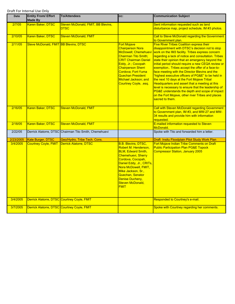| <b>Date</b> | <b>Entity From/ Effort</b><br>Made By       | <b>To/Attendees</b>                                    | cc:                                                                                                                                                                                                                                                                                             | <b>Communication Subject</b>                                                                                                                                                                                                                                                                                                                                                                                                                                                                                                                                                                                                                                                                                                                                         |
|-------------|---------------------------------------------|--------------------------------------------------------|-------------------------------------------------------------------------------------------------------------------------------------------------------------------------------------------------------------------------------------------------------------------------------------------------|----------------------------------------------------------------------------------------------------------------------------------------------------------------------------------------------------------------------------------------------------------------------------------------------------------------------------------------------------------------------------------------------------------------------------------------------------------------------------------------------------------------------------------------------------------------------------------------------------------------------------------------------------------------------------------------------------------------------------------------------------------------------|
| 2/7/05      | Karen Baker, DTSC                           | Steven McDonald, FMIT, BB Blevins,<br><b>DTSC</b>      |                                                                                                                                                                                                                                                                                                 | Sent information requested such as land<br>disturbance map, project schedule, IM #3 photos.                                                                                                                                                                                                                                                                                                                                                                                                                                                                                                                                                                                                                                                                          |
| 2/10/05     | Karen Baker, DTSC                           | <b>Steven McDonald, FMIT</b>                           |                                                                                                                                                                                                                                                                                                 | Call to Steve McDonald regarding the Government<br>to Government plan.                                                                                                                                                                                                                                                                                                                                                                                                                                                                                                                                                                                                                                                                                               |
| 2/11/05     | Steve McDonald, FMIT BB Blevins, DTSC       |                                                        | <b>Fort Mojave</b><br><b>Chairperson Nora</b><br><b>McDowell</b> ; Chemehuev<br><b>Chairman Tito Smith;</b><br><b>CRIT Chairman Daniel</b><br>Eddy, Jr.; Cocopah<br><b>Chairperson Sherri</b><br>Cordova; Fort-Yuma<br><b>Quechan President</b><br>Michael Jackson; and<br>Courtney Coyle, esq. | <b>Five River Tribes Coalition express their</b><br>disappointment with DTSC's decision not to stop<br>work on the IM3 facility. Tribes express concern<br>regarding a lack of notice and consultation. Tribes<br>state their opinion that an emergency beyond the<br>initial period should require a new CEQA review or<br>exemption Tribes accept the offer of a face-to-<br>face meeting with the Director Blevins and the<br>"highest executive officers of PG&E" to be held in<br>the next 10 days at the Fort Mojave Tribal<br>Headquarters and assert that a meeting at this<br>level is necessary to ensure that the leadership of<br>PG&E understands the depth and scope of impact<br>on the Fort Mojave, other river Tribes and places<br>sacred to them. |
| 2/16/05     | Karen Baker, DTSC                           | <b>Steven McDonald, FMIT</b>                           |                                                                                                                                                                                                                                                                                                 | <b>Call with Steven McDonald regarding Government</b><br>to Government plan, IM #3, and MW-27 and MW-<br>34 results and provide him with information<br>requested.                                                                                                                                                                                                                                                                                                                                                                                                                                                                                                                                                                                                   |
| 2/18/05     | Karen Baker, DTSC                           | <b>Steven McDonald, FMIT</b>                           |                                                                                                                                                                                                                                                                                                 | E-mailed information requested to Steven<br>McDonald.                                                                                                                                                                                                                                                                                                                                                                                                                                                                                                                                                                                                                                                                                                                |
| 2/22/05     |                                             | Derrick Alatorre, DTSC Chairman Tito Smith, Chemehuevi |                                                                                                                                                                                                                                                                                                 | Spoke with Tito and forwarded him a letter.                                                                                                                                                                                                                                                                                                                                                                                                                                                                                                                                                                                                                                                                                                                          |
| 2/23/2005   | Kate Burger, DTSC                           | Geo/Hydro, Tribe Tech. Cons.                           |                                                                                                                                                                                                                                                                                                 | Draft Insitu Floodplain Pilot Study Work Plan                                                                                                                                                                                                                                                                                                                                                                                                                                                                                                                                                                                                                                                                                                                        |
| 3/4/2005    | <b>Courtney Coyle, FMIT</b>                 | <b>Derrick Alatorre, DTSC</b>                          | <b>B.B. Blevins, DTSC,</b><br>Robert M. Henderson,<br><b>BLM, Edward Smith,</b><br>Chemehuevi, Sherry<br>Cordova, Cocopah,<br>Daniel Eddy, Jr., CRITs,<br>Nora McDowell, FMIT,<br>Mike Jackson, Sr.,<br>Quechan, Senator<br>Denise Ducheny,<br>Steven McDonald,<br><b>FMIT</b>                  | Fort Mojave Indian Tribe Comments on Draft<br><b>Public Participation Plan PG&amp;E Topock</b><br><b>Compressor Station, January 2005</b>                                                                                                                                                                                                                                                                                                                                                                                                                                                                                                                                                                                                                            |
| 3/4/2005    | Derrick Alatorre, DTSC Courtney Coyle, FMIT |                                                        |                                                                                                                                                                                                                                                                                                 | Responded to Courtney's e-mail.                                                                                                                                                                                                                                                                                                                                                                                                                                                                                                                                                                                                                                                                                                                                      |
| 3/7/2005    | Derrick Alatorre, DTSC Courtney Coyle, FMIT |                                                        |                                                                                                                                                                                                                                                                                                 | Spoke with Courtney regarding her comments.                                                                                                                                                                                                                                                                                                                                                                                                                                                                                                                                                                                                                                                                                                                          |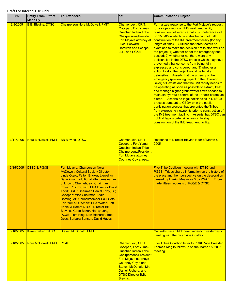| <b>Date</b> | <b>Entity From/ Effort</b><br><b>Made By</b> | <b>To/Attendees</b>                                                                                                                                                                                                                                                                                                                                                                                                                                                                                                                                          | cc:                                                                                                                                                                                                                                                            | <b>Communication Subject</b>                                                                                                                                                                                                                                                                                                                                                                                                                                                                                                                                                                                                                                                                                                                                                                                                                                                                                                                                                                                                                                                                                                                                                                                                                                                                                                                        |
|-------------|----------------------------------------------|--------------------------------------------------------------------------------------------------------------------------------------------------------------------------------------------------------------------------------------------------------------------------------------------------------------------------------------------------------------------------------------------------------------------------------------------------------------------------------------------------------------------------------------------------------------|----------------------------------------------------------------------------------------------------------------------------------------------------------------------------------------------------------------------------------------------------------------|-----------------------------------------------------------------------------------------------------------------------------------------------------------------------------------------------------------------------------------------------------------------------------------------------------------------------------------------------------------------------------------------------------------------------------------------------------------------------------------------------------------------------------------------------------------------------------------------------------------------------------------------------------------------------------------------------------------------------------------------------------------------------------------------------------------------------------------------------------------------------------------------------------------------------------------------------------------------------------------------------------------------------------------------------------------------------------------------------------------------------------------------------------------------------------------------------------------------------------------------------------------------------------------------------------------------------------------------------------|
| 3/8/2005    | <b>B.B. Blevins, DTSC</b>                    | <b>Chairperson Nora McDowell, FMIT</b>                                                                                                                                                                                                                                                                                                                                                                                                                                                                                                                       | Chemehuevi, CRIT,<br>Cocopah, Fort Yuma-<br><b>Quechan Indian Tribe</b><br><b>Chairpersons/President</b><br>Fort Mojave attorney at<br>Luce, Forward,<br><b>Hamilton and Scripps,</b><br>LLP, and PG&E.                                                        | Formalizes response to the Fort Mojave's request<br>for a stop-of-work on IM3 treatment facility<br>construction delivered verbally by conference call<br>on 1/28/05 in which he states he can not halt<br>construction of the IM3 treatment facility (for any<br>length of time). Outlines the three factors he<br>examined to make the decision not to stop work on<br>the project:1) whether or not the emergency had<br>passed; 2) whether or not there were any<br>deficiencies in the DTSC process which may have<br>prevented tribal concerns from being fully<br>expressed and considered; and 3) whether an<br>action to stop the project would be legally<br>defensible. Asserts that the urgency of the<br>emergency (preventing impact to the Colorado<br>River) still exists and that the IM3 facility needs to<br>be operating as soon as possible to extract, treat<br>and manage higher groundwater flows needed to<br>maintain hydraulic control of the Topock chromium<br>plume. Asserts no legal deficiencies in DTSC's<br>process pursuant to CEQA or in the public<br>participation process that prevented the Tribes<br>from expressing viewpoints prior to construction of<br>the IM3 treatment facility. Asserts that DTSC can<br>not find legally defensible reason to stay<br>construction of the IM3 treatment facility. |
| 3/11/2005   | Nora McDowell, FMIT                          | <b>BB Blevins, DTSC</b>                                                                                                                                                                                                                                                                                                                                                                                                                                                                                                                                      | Chemehuevi, CRIT,<br>Cocopah, Fort Yuma-<br><b>Quechan Indian Tribe</b><br>Chairpersons/President,<br><b>Fort Mojave attorney</b><br>Courtney Coyle, esq                                                                                                       | Response to Director Blevins letter of March 8,<br>2005                                                                                                                                                                                                                                                                                                                                                                                                                                                                                                                                                                                                                                                                                                                                                                                                                                                                                                                                                                                                                                                                                                                                                                                                                                                                                             |
| 3/15/2005   | <b>DTSC &amp; PG&amp;E</b>                   | Fort Mojave: Chairperson Nora<br><b>McDowell; Cultural Society Director</b><br>Linda Otero; Felton Bricker; Llewellyn<br>Barackman; additional attendees names<br>unknown; Chemehuevi: Chairman<br>Edward "Tito" Smith; EPA Director David<br>Todd; CRIT: Chairman Daniel Eddy, Jr.;<br>Cocopah: Vice Chairman Eddie<br>Dominguez; Councilmember Paul Soto;<br>Fort Yuma-Quechan: EPA Water Staff<br><b>Eddie Williams: DTSC: Director BB</b><br>Blevins, Karen Baker, Nancy Long;<br>PG&E: Tom King, Dan Richards, Bob<br>Doss, Barbara Benson, David Hayes |                                                                                                                                                                                                                                                                | Five Tribe Coalition meeting with DTSC and<br>PG&E. Tribes shared information on the history of<br>the place and their perspective on the desecration<br>caused by Interim Measures 3 by PG&E. Tribes<br>made fifteen requests of PG&E & DTSC.                                                                                                                                                                                                                                                                                                                                                                                                                                                                                                                                                                                                                                                                                                                                                                                                                                                                                                                                                                                                                                                                                                      |
| 3/16/2005   | Karen Baker, DTSC                            | <b>Steven McDonald, FMIT</b>                                                                                                                                                                                                                                                                                                                                                                                                                                                                                                                                 |                                                                                                                                                                                                                                                                | Call with Steven McDonald regarding yesterday's<br>meeting with the Five Tribe Coalition.                                                                                                                                                                                                                                                                                                                                                                                                                                                                                                                                                                                                                                                                                                                                                                                                                                                                                                                                                                                                                                                                                                                                                                                                                                                           |
| 3/18/2005   | Nora McDowell, FMIT                          | PG&E                                                                                                                                                                                                                                                                                                                                                                                                                                                                                                                                                         | Chemehuevi, CRIT,<br>Cocopah, Fort Yuma-<br><b>Quechan Indian Tribe</b><br>Chairpersons/President,<br><b>Fort Mojave attorneys</b><br><b>Courtney Coyle and</b><br>Steven McDonald, Mr.<br>Daniel Richard, and<br><b>DTSC Director B.B.</b><br><b>Blevins.</b> | <b>Five Tribes Coalition letter to PG&amp;E Vice President</b><br>Thomas King to follow-up on the March 15, 2005<br>meeting.                                                                                                                                                                                                                                                                                                                                                                                                                                                                                                                                                                                                                                                                                                                                                                                                                                                                                                                                                                                                                                                                                                                                                                                                                        |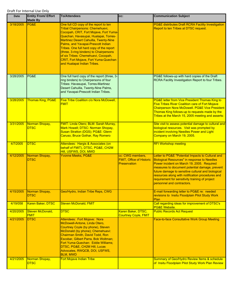| <b>Date</b> | <b>Entity From/ Effort</b><br><b>Made By</b> | <b>To/Attendees</b>                                                                                                                                                                                                                                                                                                                                                                                                                              | CC:                                                                        | <b>Communication Subject</b>                                                                                                                                                                                                                                                                                                                                                                        |
|-------------|----------------------------------------------|--------------------------------------------------------------------------------------------------------------------------------------------------------------------------------------------------------------------------------------------------------------------------------------------------------------------------------------------------------------------------------------------------------------------------------------------------|----------------------------------------------------------------------------|-----------------------------------------------------------------------------------------------------------------------------------------------------------------------------------------------------------------------------------------------------------------------------------------------------------------------------------------------------------------------------------------------------|
| 3/18/2005   | PG&E                                         | One full CD copy of the report to ten<br>Tribal Chairpersons: Chemehuevi,<br>Cocopah, CRIT, Fort Mojave, Fort Yuma-<br>Quechan, Havasupai, Hualapai, Torres-<br>Martinez Desert Cahuilla, Twenty-Nine<br>Palms, and Yavapai-Prescott Indian<br>Tribes. One full hard copy of the report<br>(three, 3-ring binders) to Chairpersons<br>of six Tribes: Chemehuevi, Cocopah,<br>CRIT, Fort Mojave, Fort Yuma-Quechan<br>and Hualapai Indian Tribes. |                                                                            | PG&E distributes Draft RCRA Facility Investigation<br>Report to ten Tribes at DTSC request.                                                                                                                                                                                                                                                                                                         |
| 3/28/2005   | PG&E                                         | One full hard copy of the report (three, 3-<br>ring binders) to Chairpersons of four<br>Tribes: Havasupai, Torres-Martinez<br>Desert Cahuilla, Twenty-Nine Palms,<br>and Yavapai-Prescott Indian Tribes.                                                                                                                                                                                                                                         |                                                                            | PG&E follows-up with hard copies of the Draft<br>RCRA Facility Investigation Report to four Tribes.                                                                                                                                                                                                                                                                                                 |
| 3/28/2005   | <b>Thomas King, PG&amp;E</b>                 | <b>Five Tribe Coalition c/o Nora McDowell,</b><br><b>FMIT</b>                                                                                                                                                                                                                                                                                                                                                                                    |                                                                            | <b>PG&amp;E letter from Vice President Thomas King to</b><br><b>Five Tribes River Coalition care of Fort Mojave</b><br>Chairperson Nora McDowell. PG&E Vice President<br>Thomas King follows-up to requests made by the<br>Tribes at the March 15, 2005 meeting and asserts:                                                                                                                        |
| 3/31/2005   | Norman Shopay,<br><b>DTSC</b>                | FMIT: Linda Otero; BLM: Sarah Murray,<br>Mark Howell; DTSC: Norman Shopay,<br>Susan Stratton (DGS); PG&E: Glenn<br>Caruso, Bruce Gothar, Ray Romero                                                                                                                                                                                                                                                                                              |                                                                            | Site visit to assess potential damage to cultural and<br>biological resources. Visit was prompted by<br>incident involving Needles Power and Light<br>Company on March 19, 2005.                                                                                                                                                                                                                    |
| 4/7/2005    | <b>DTSC</b>                                  | Attendees: Hargis & Associates (on<br>behalf of FMIT), DTSC, PG&E, CH2M<br>Hill, USFWS, DOI, MWD                                                                                                                                                                                                                                                                                                                                                 |                                                                            | <b>RFI Workshop meeting</b>                                                                                                                                                                                                                                                                                                                                                                         |
| 4/12/2005   | Norman Shopay,<br><b>DTSC</b>                | <b>Yvonne Meeks, PG&amp;E</b>                                                                                                                                                                                                                                                                                                                                                                                                                    | cc: CWG members,<br><b>FMIT, Office of Historic</b><br><b>Preservation</b> | Letter to PG&E "Potential Impacts to Cultural and<br><b>Biological Resources" in response to Needles</b><br>Power incident on March 19, 2005. Required<br>measures to document potential damage, prevent<br>future damage to sensitive cultural and biological<br>resources along with notification procedures and<br>requirement for sensitivity training of project<br>personnel and contractors. |
| 4/15/2005   | Norman Shopay,<br><b>DTSC</b>                | Geo/Hydro, Indian Tribe Reps, CWG                                                                                                                                                                                                                                                                                                                                                                                                                |                                                                            | E-mail forwarding letter to PG&E re: needed<br>revisions to Insitu Floodplain Pilot Study Work<br>Plan                                                                                                                                                                                                                                                                                              |
| 4/19/058    | Karen Baker, DTSC                            | <b>Steven McDonald, FMIT</b>                                                                                                                                                                                                                                                                                                                                                                                                                     |                                                                            | Call regarding ideas for improvement of DTSC's<br><b>PG&amp;E Website.</b>                                                                                                                                                                                                                                                                                                                          |
| 4/20/2005   | Steven McDonald,<br><b>FMIT</b>              | <b>DTSC</b>                                                                                                                                                                                                                                                                                                                                                                                                                                      | Karen Baker, DTSC,<br><b>Courtney Coyle, FMIT</b>                          | <b>Public Records Act Request</b>                                                                                                                                                                                                                                                                                                                                                                   |
| 4/21/2005   | <b>DTSC</b>                                  | Attendees: Fort Mojave: Nora<br>McDowell-Antone, Linda Otero,<br>Courtney Coyle (by phone), Steven<br>McDonald (by phone); Chemehuevi:<br>Chairman Smith, David Todd, Ron<br>Escobar, Gilbert Parra, Bob Woltman;<br>Fort Yuma-Quechan: Eddie Williams;<br>DTSC, PG&E, CH2M Hill, Lucas<br>Advocates, RWQCB, DOI, USFWS,<br><b>BLM, MWD</b>                                                                                                      |                                                                            | Face-to-face Consultative Work Group Meeting                                                                                                                                                                                                                                                                                                                                                        |
| 4/21/2005   | Norman Shopay,<br><b>DTSC</b>                | <b>Fort Mojave Indian Tribe</b>                                                                                                                                                                                                                                                                                                                                                                                                                  |                                                                            | Summary of Geo/Hydro Review Items & schedule<br>of Insitu Floodplain Pilot Study Work Plan Review                                                                                                                                                                                                                                                                                                   |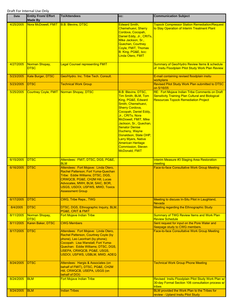| <b>Date</b> | <b>Entity From/ Effort</b><br><b>Made By</b> | <b>To/Attendees</b>                                                                                                                                                                                                                                           | CC:                                                                                                                                                                                                                                                                                                                                                                                                        | <b>Communication Subject</b>                                                                                                                              |
|-------------|----------------------------------------------|---------------------------------------------------------------------------------------------------------------------------------------------------------------------------------------------------------------------------------------------------------------|------------------------------------------------------------------------------------------------------------------------------------------------------------------------------------------------------------------------------------------------------------------------------------------------------------------------------------------------------------------------------------------------------------|-----------------------------------------------------------------------------------------------------------------------------------------------------------|
| 4/25/2005   | Nora McDowell, FMIT                          | <b>B.B. Blevins, DTSC</b>                                                                                                                                                                                                                                     | <b>Edward Smith,</b><br><b>Chemehuevi, Sherry</b><br>Cordova, Cocopah,<br>Daniel Eddy, Jr., CRITs,<br>Mike Jackson, Sr.,<br>Quechan, Courtney<br>Coyle, FMIT, Thomas<br>B. King, PG&E, bcc:<br><b>Linda Otero, FMIT</b>                                                                                                                                                                                    | <b>Topock Compressor Station Remediation/Request</b><br>to Stay Operation of Interim Treatment Plant                                                      |
| 4/27/2005   | Norman Shopay,<br><b>DTSC</b>                | <b>Legal Counsel representing FMIT</b>                                                                                                                                                                                                                        |                                                                                                                                                                                                                                                                                                                                                                                                            | Summary of Geo/Hydro Review Items & schedule<br>of Insitu Floodplain Pilot Study Work Plan Review                                                         |
| 5/23/2005   | Kate Burger, DTSC                            | Geo/Hydro. Inc. Tribe Tech. Consult.                                                                                                                                                                                                                          |                                                                                                                                                                                                                                                                                                                                                                                                            | E-mail containing revised floodplain insitu<br>workplans                                                                                                  |
| 5/23/2005   | <b>DTSC</b>                                  | <b>Technical Work Group</b>                                                                                                                                                                                                                                   |                                                                                                                                                                                                                                                                                                                                                                                                            | Revised Pilot Study Work Plan submitted to DTSC<br>on 5/16/05                                                                                             |
| 5/25/2005   |                                              | Courtney Coyle, FMIT Norman Shopay, DTSC                                                                                                                                                                                                                      | <b>B.B. Blevins, DTSC,</b><br>Tim Smith, BLM, Tom<br>King, PG&E, Edward<br>Smith, Chemehuevi,<br><b>Sherry Cordova,</b><br>Cocopah, Daniel Eddy,<br>Jr., CRITs, Nora<br>McDowell, FMIT, Mike<br>Jackson, Sr., Quechan,<br><b>Senator Denise</b><br>Ducheny, Wayne<br>Donaldson, State OHP,<br><b>Larry Myers, Native</b><br><b>American Heritage</b><br><b>Commission, Steven</b><br><b>McDonald, FMIT</b> | RE: Fort Mojave Indian Tribe Comments on Draft<br><b>Sensitivity Training Plan Cultural and Biological</b><br><b>Resources Topock Remediation Project</b> |
| 6/15/2005   | <b>DTSC</b>                                  | Attendees: FMIT, DTSC, DGS, PG&E,<br><b>BLM</b>                                                                                                                                                                                                               |                                                                                                                                                                                                                                                                                                                                                                                                            | Interim Measure #3 Staging Area Restoration<br>meeting                                                                                                    |
| 6/16/2005   | <b>DTSC</b>                                  | Attendees: Fort Mojave: Linda Otero,<br>Rachel Patterson; Fort Yuma-Quechan<br>Tribe: Eddie Williams; DTSC, DGS,<br>CRWQCB, PG&E, CH2M Hill, Lucas<br>Advocates, MWH, BLM, SAIC, BOR,<br>USGS, USDOI, USFWS, MWD, Toxics<br><b>Assessment Group</b>           |                                                                                                                                                                                                                                                                                                                                                                                                            | <b>Face-to-face Consultative Work Group Meeting</b>                                                                                                       |
| 6/17/2005   | <b>DTSC</b>                                  | <b>CWG, Tribe Reps., TWG</b>                                                                                                                                                                                                                                  |                                                                                                                                                                                                                                                                                                                                                                                                            | Meeting to discuss In-Situ Pilot in Laughland,<br><b>Nevada</b>                                                                                           |
| 8/4/2005    | <b>DTSC</b>                                  | DTSC, DGS, Ethnographic Inquiry, BLM,<br>PG&E, CRIT & FMIT                                                                                                                                                                                                    |                                                                                                                                                                                                                                                                                                                                                                                                            | Meeting regarding the Ethnographic Study                                                                                                                  |
| 8/11/2005   | Norman Shopay,<br><b>DTSC</b>                | <b>Fort Mojave Indian Tribe</b>                                                                                                                                                                                                                               |                                                                                                                                                                                                                                                                                                                                                                                                            | <b>Summary of TWG Review Items and Work Plan</b><br><b>Review Schedule</b>                                                                                |
| 8/11/2005   | Karen Baker, DTSC                            | <b>CWG Members</b>                                                                                                                                                                                                                                            |                                                                                                                                                                                                                                                                                                                                                                                                            | Sent request for input on the Pore Water and<br>Seepage study to CWG members.                                                                             |
| 8/17/2005   | <b>DTSC</b>                                  | Attendees: Fort Mojave: Linda Otero,<br>Rachel Patterson, Courtney Coyle (by<br>phone), Leo Leonhart (by phone);<br>Cocopah: Lisa Wanstall; Fort Yuma-<br>Quechan: Eddie Williams; DTSC, DGS,<br>USEPA, CRWQCB, PG&E, USGS,<br>USDOI, USFWS, USBLM, MWD, ADEQ |                                                                                                                                                                                                                                                                                                                                                                                                            | <b>Face-to-face Consultative Work Group Meeting</b>                                                                                                       |
| 8/24/2005   | <b>DTSC</b>                                  | Attendees: Hargis & Associates (on<br>behalf of FMIT), DTSC, PG&E, CH2M<br>Hill, CRWQCB, USEPA, USGS (on<br>behalf of DOI)                                                                                                                                    |                                                                                                                                                                                                                                                                                                                                                                                                            | <b>Technical Work Group Phone Meeting</b>                                                                                                                 |
| 8/24/2005   | <b>BLM</b>                                   | <b>Fort Mojave Indian Tribe</b>                                                                                                                                                                                                                               |                                                                                                                                                                                                                                                                                                                                                                                                            | Revised Insitu Floodplain Pilot Study Work Plan w/<br>30-day Formal Section 106 consultation process w/<br>tribes                                         |
| 8/24/2005   | <b>BLM</b>                                   | <b>Indian Tribes</b>                                                                                                                                                                                                                                          |                                                                                                                                                                                                                                                                                                                                                                                                            | BLM provided the Work Plan to the Tribes for<br>review - Upland Insitu Pilot Study                                                                        |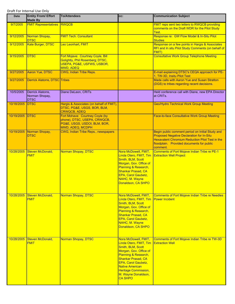| Date       | <b>Entity From/ Effort</b><br><b>Made By</b>       | <b>To/Attendees</b>                                                                                                        | CC:                                                                                                                                                                                                                                                                         | <b>Communication Subject</b>                                                                                                                                                                                     |
|------------|----------------------------------------------------|----------------------------------------------------------------------------------------------------------------------------|-----------------------------------------------------------------------------------------------------------------------------------------------------------------------------------------------------------------------------------------------------------------------------|------------------------------------------------------------------------------------------------------------------------------------------------------------------------------------------------------------------|
| 9/7/2005   | <b>FMIT Representatives</b>                        | <b>RWQCB</b>                                                                                                               |                                                                                                                                                                                                                                                                             | <b>FMIT reps sent two letters to RWQCB providing</b><br>comments on the Draft WDR for the Pilot Study<br>Test.                                                                                                   |
| 9/12/2005  | Norman Shopay,<br><b>DTSC</b>                      | <b>FMIT Tech. Consultant</b>                                                                                               |                                                                                                                                                                                                                                                                             | Response re: GW Flow Model & In-Situ Pilot<br><b>Studies</b>                                                                                                                                                     |
| 9/12/2005  | <b>Kate Burger, DTSC</b>                           | Leo Leonhart, FMIT                                                                                                         |                                                                                                                                                                                                                                                                             | Response on a few points in Hargis & Associates<br>RFI and In situ Pilot Study Comments (on behalf of<br>FMIT)                                                                                                   |
| 9/15/2005  | <b>DTSC</b>                                        | Fort Mojave: Courtney Coyle, Bill<br>Golightly, Phil Rosenberg; DTSC,<br>USEPA, PG&E, USFWS, USBOR,<br><b>MWD, ADEQ</b>    |                                                                                                                                                                                                                                                                             | <b>Consultative Work Group Telephone Meeting</b>                                                                                                                                                                 |
| 9/27/2005  | Aaron Yue, DTSC                                    | <b>CWG, Indian Tribe Reps.</b>                                                                                             |                                                                                                                                                                                                                                                                             | E-mail explaining DTSC's CEQA approach for PE-<br>1, TW-3D, Insitu Pilot Test                                                                                                                                    |
| 9/27/2005  | <b>Derrick Alatorre, DTSC Tribes</b>               |                                                                                                                            |                                                                                                                                                                                                                                                                             | Made calls with Aaron Yue and Susan Stratton<br>(DGS) to tribes regarding recent decisions.                                                                                                                      |
| 10/5/2005  | Derrick Alatorre,<br>Norman Shopay,<br><b>DTSC</b> | Diane DeLeon, CRITs                                                                                                        |                                                                                                                                                                                                                                                                             | Held conference call with Diane, new EPA Director<br>at CRITs.                                                                                                                                                   |
| 10/18/2005 | <b>IDTSC</b>                                       | Hargis & Associates (on behalf of FMIT),<br>DTSC, PG&E, USGS, BOR, BLM,<br><b>CRWQCB, ADEQ</b>                             |                                                                                                                                                                                                                                                                             | <b>Geo/Hydro Technical Work Group Meeting</b>                                                                                                                                                                    |
| 10/19/2005 | <b>DTSC</b>                                        | Fort Mohave: Courtney Coyle (by<br>phone), DTSC, USEPA, CRWQCB,<br>PG&E, USGS, USDOI, BLM, BOR,<br><b>MWD, ADEQ, MCDPH</b> |                                                                                                                                                                                                                                                                             | <b>Face-to-face Consultative Work Group Meeting</b>                                                                                                                                                              |
| 10/19/2005 | Norman Shopay,<br><b>DTSC</b>                      | <b>CWG, Indian Tribe Reps., newspapers</b>                                                                                 |                                                                                                                                                                                                                                                                             | Begin public comment period on Initial Study and<br><b>Proposed Negative Declaration for In-Situ</b><br>Hexavalent Chromium Reduction Pilot Test in the<br>floodplain. Provided documents for public<br>comment. |
| 10/28/2005 | Steven McDonald,<br><b>FMIT</b>                    | <b>Norman Shopay, DTSC</b>                                                                                                 | Nora McDowell, FMIT,<br>Linda Otero, FMIT, Tim<br>Smith, BLM, Scott<br>Morgan, Gov. Office of<br>Planning & Research,<br><b>Shankar Prasad, CA</b><br>EPA, Carol Gaubetz,<br>NAHC, M. Wayne<br>Donaldson, CA SHPO                                                           | <b>Comments of Fort Mojave Indian Tribe re PE-1</b><br><b>Extraction Well Project</b>                                                                                                                            |
| 10/28/2005 | Steven McDonald,<br><b>FMIT</b>                    | <b>Norman Shopay, DTSC</b>                                                                                                 | Nora McDowell, FMIT,<br>Linda Otero, FMIT, Tim<br>Smith, BLM, Scott<br>Morgan, Gov. Office of<br>Planning & Research,<br><b>Shankar Prasad, CA</b><br>EPA, Carol Gaubetz,<br>NAHC, M. Wayne<br>Donaldson, CA SHPO                                                           | <b>Comments of Fort Mojave Indian Tribe re Needles</b><br><b>Power Incident</b>                                                                                                                                  |
| 10/28/2005 | Steven McDonald,<br><b>FMIT</b>                    | <b>Norman Shopay, DTSC</b>                                                                                                 | Nora McDowell, FMIT,<br>Linda Otero, FMIT, Tim<br>Smith, BLM, Scott<br>Morgan, Gov. Office of<br>Planning & Research,<br><b>Shankar Prasad, CA</b><br>EPA, Carol Gaubetz,<br><b>Native American</b><br><b>Heritage Commission,</b><br>M. Wayne Donaldson,<br><b>CA SHPO</b> | <b>Comments of Fort Mojave Indian Tribe re TW-3D</b><br><b>Extraction Well</b>                                                                                                                                   |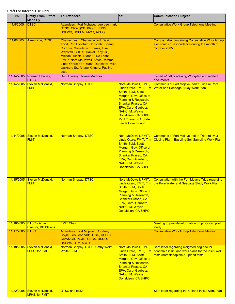| <b>Date</b> | <b>Entity From/ Effort</b><br><b>Made By</b> | <b>To/Attendees</b>                                                                                                                                                                                                                                                                                                 | CC:                                                                                                                                                                                                                                                                    | <b>Communication Subject</b>                                                                                                                  |
|-------------|----------------------------------------------|---------------------------------------------------------------------------------------------------------------------------------------------------------------------------------------------------------------------------------------------------------------------------------------------------------------------|------------------------------------------------------------------------------------------------------------------------------------------------------------------------------------------------------------------------------------------------------------------------|-----------------------------------------------------------------------------------------------------------------------------------------------|
| 11/8/2005   | <b>DTSC</b>                                  | Attendees: Fort Mohave: Leo Leonhart,<br>DTSC, CRWQCB, PG&E, USGS,<br>USFWS, USBLM, MWD, ADEQ                                                                                                                                                                                                                       |                                                                                                                                                                                                                                                                        | <b>Consultative Work Group Telephone Meeting</b>                                                                                              |
| 11/8/2005   | Aaron Yue, DTSC                              | Chemehuevi: Charles Wood, David<br>Todd, Ron Escobar; Cocopah: Sherry<br>Cordova, Willadena Thomas, Lisa<br>Wanstall; CRITs: Daniel Eddy, Jr.,<br>Michael Tsosie, Diane F. De Leon;<br>FMIT: Nora McDowell, Africa Dorame,<br>Linda Otero; Fort Yuma-Quechan: Mike<br>Jackson, Sr., Arlene Kingery, Pauline<br>Jose |                                                                                                                                                                                                                                                                        | <b>Compact disc containing Consultative Work Group</b><br>electronic correspondence during the month of<br>October 2005.                      |
|             | 11/14/2005 Norman Shopay,<br><b>DTSC</b>     | Debi Livesay, Torres-Martinez                                                                                                                                                                                                                                                                                       |                                                                                                                                                                                                                                                                        | E-mail w/ pdf containing Workplan and related<br>documents                                                                                    |
| 11/14/2005  | Steven McDonald,<br><b>FMIT</b>              | <b>Norman Shopay, DTSC</b>                                                                                                                                                                                                                                                                                          | Nora McDowell, FMIT,<br>Linda Otero, FMIT, Tim<br>Smith, BLM, Scott<br>Morgan, Gov. Office of<br>Planning & Research,<br>Shankar Prasad, CA<br>EPA, Carol Gaubetz,<br>NAHC, M. Wayne<br>Donaldson, CA SHPO,<br><b>Paul Thayer, CA State</b><br><b>Lands Commission</b> | Comments of Fort Mojave Indian Tribe re Pore<br><b>Water and Seepage Study Work Plan</b>                                                      |
| 11/14/2005  | Steven McDonald,<br><b>FMIT</b>              | Norman Shopay, DTSC                                                                                                                                                                                                                                                                                                 | Nora McDowell, FMIT,<br>Linda Otero, FMIT, Tim<br>Smith, BLM, Scott<br>Morgan, Gov. Office of<br>Planning & Research,<br><b>Shankar Prasad, CA</b><br>EPA, Carol Gaubetz,<br>NAHC, M. Wayne<br>Donaldson, CA SHPO                                                      | <b>Comments of Fort Mojave Indian Tribe re IM-3</b><br>Closing Plan - Baseline Soil Sampling Work Plan                                        |
| 11/15/2005  | Steven McDonald,<br><b>FMIT</b>              | Norman Shopay, DTSC                                                                                                                                                                                                                                                                                                 | Nora McDowell, FMIT,<br>Smith, BLM, Scott<br>Morgan, Gov. Office of<br>Planning & Research,<br><b>Shankar Prasad, CA</b><br>EPA, Carol Gaubetz,<br>NAHC, M. Wayne<br>Donaldson, CA SHPO                                                                                | Consultation with the Fort Mojave Tribe regarding<br>Linda Otero, FMIT, Tim   the Pore Water and Seepage Study Work Plan                      |
| 11/16/2005  | <b>DTSC's Acting</b><br>Director, BB Blevins | <b>FMIT Chair</b>                                                                                                                                                                                                                                                                                                   |                                                                                                                                                                                                                                                                        | Meeting to provide information on proposed pilot<br>study                                                                                     |
| 11/17/2005  | <b>DTSC</b>                                  | <b>Attendees: Fort Mojave: Courtney</b><br>Coyle, Leo Leonhart; DTSC, USEPA,<br>CRWQCB, PG&E, USGS, USDOI,<br><b>USFWS, BLM, MWD</b>                                                                                                                                                                                |                                                                                                                                                                                                                                                                        | <b>Consultative Work Group Telephone Meeting</b>                                                                                              |
| 11/18/2005  | Steven McDonald,<br><b>LFHS, for FMIT</b>    | Norman Shopay, DTSC, Cathy Wolff-<br><b>White, BLM</b>                                                                                                                                                                                                                                                              | Nora McDowell, FMIT,<br>Linda Otero, FMIT, Tim<br>Smith, BLM, Scott<br>Morgan, Gov. Office of<br>Planning & Research,<br>Shankar Prasad, CA<br>EPA, Carol Gaubetz,<br>NAHC, M. Wayne<br>Donaldson, CA SHPO                                                             | Sent letter regarding mitigated neg dec for<br>floodplain insitu and work plans for the insitu well<br>tests (both floodplain & upland tests) |
| 11/22/2005  | Steven McDonald,<br>LFHS, for FMIT           | <b>DTSC and BLM</b>                                                                                                                                                                                                                                                                                                 |                                                                                                                                                                                                                                                                        | Sent letter regarding the Upland Insitu Work Plan                                                                                             |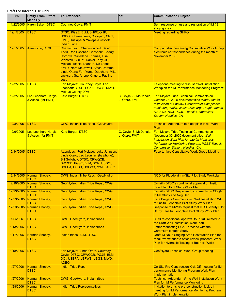| <b>Date</b>     | <b>Entity From/ Effort</b><br><b>Made By</b> | <b>To/Attendees</b>                                                                                                                                                                                                                                                                                                 | CC:                                      | <b>Communication Subject</b>                                                                                                                                                                                                                                                       |
|-----------------|----------------------------------------------|---------------------------------------------------------------------------------------------------------------------------------------------------------------------------------------------------------------------------------------------------------------------------------------------------------------------|------------------------------------------|------------------------------------------------------------------------------------------------------------------------------------------------------------------------------------------------------------------------------------------------------------------------------------|
| 11/22/2005      | Karen Baker, DTSC                            | <b>Courtney Coyle, FMIT</b>                                                                                                                                                                                                                                                                                         |                                          | Sent response on use and restoration of IM #3<br>staging area.                                                                                                                                                                                                                     |
| 12/1/2005       | <b>DTSC</b>                                  | DTSC, PG&E, BLM, SHPO/OHP,<br>USDOI, Chemehuevi, Cocopah, CRIT,<br>FMIT, Hualapai & Yavapai-Prescott<br><b>Indian Tribe</b>                                                                                                                                                                                         |                                          | <b>Meeting regarding SHPO</b>                                                                                                                                                                                                                                                      |
| 12/1/2005       | Aaron Yue, DTSC                              | Chemehuevi: Charles Wood, David<br>Todd, Ron Escobar; Cocopah: Sherry<br>Cordova, Willadena Thomas, Lisa<br>Wanstall; CRITs: Daniel Eddy, Jr.,<br>Michael Tsosie, Diane F. De Leon;<br>FMIT: Nora McDowell, Africa Dorame,<br>Linda Otero; Fort Yuma-Quechan: Mike<br>Jackson, Sr., Arlene Kingery, Pauline<br>Jose |                                          | <b>Compact disc containing Consultative Work Group</b><br>electronic correspondence during the month of<br>November 2005.                                                                                                                                                          |
| 12/2/2005       | <b>DTSC</b>                                  | Fort Mojave: Courtney Coyle, Leo<br>Leonhart; DTSC, PG&E, USGS, MWD,<br><b>Mojave County DPH</b>                                                                                                                                                                                                                    |                                          | Telephone meeting to discuss "Well Installation<br><b>Workplan for IM Performance Monitoring Program"</b>                                                                                                                                                                          |
| 12/2/2005       | Leo Leonhart, Hargis<br>& Assoc. (for FMIT)  | Kate Burger, DTSC                                                                                                                                                                                                                                                                                                   | C. Coyle, S. McDonald,<br>L. Otero, FMIT | Fort Mojave Tribe Technical Comments on<br>October 28, 2005 document titled Work Plan for<br><b>Installation of Shallow Groundwater Compliance</b><br><b>Monitoring Wells, Waste Discharge Requirements</b><br>R7-2004-0103, PG&E Topock Compressor<br><b>Station, Needles, CA</b> |
| 12/8/2005       | <b>DTSC</b>                                  | CWG, Indian Tribe Reps., Geo/Hydro                                                                                                                                                                                                                                                                                  |                                          | <b>Technical Addendum to Floodplain Insitu Work</b><br>Plan                                                                                                                                                                                                                        |
| 12/9/2005       | Leo Leonhart, Hargis<br>& Assoc. (for FMIT)  | <b>Kate Burger, DTSC</b>                                                                                                                                                                                                                                                                                            | C. Coyle, S. McDonald,<br>L. Otero, FMIT | Fort Mojave Tribe Technical Comments on<br>November 30, 2005 document titled Well<br><b>Installation Work Plan for Interim Measures</b><br>Performance Monitoring Program, PG&E Topock<br><b>Compressor Station, Needles, CA</b>                                                   |
| 12/14/2005 DTSC |                                              | Attendees: Fort Mojave: Luke Johnson,<br>Linda Otero, Leo Leonhart (by phone),<br><b>Bill Golightly; DTSC, CRWQCB,</b><br>SWRCB, PG&E, BLM, BOR, USDOI,<br>USEPA, USGS, USFWS, MWD, ADEQ                                                                                                                            |                                          | <b>Face-to-face Consultative Work Group Meeting</b>                                                                                                                                                                                                                                |
| 12/14/2005      | Norman Shopay,<br><b>DTSC</b>                | CWG, Indian Tribe Reps., Geo/Hydro                                                                                                                                                                                                                                                                                  |                                          | NOD for Floodplain In-Situ Pilot Study Workplan                                                                                                                                                                                                                                    |
| 12/19/2005      | Norman Shopay,<br><b>DISC</b>                | Geo/Hydro, Indian Tribe Reps., CWG                                                                                                                                                                                                                                                                                  |                                          | E-mail - DTSC's conditional approval of Insitu<br><u>Floodplain Pilot Study Work Plan-</u>                                                                                                                                                                                         |
| 12/23/2005      | Norman Shopay,<br><b>DTSC</b>                | Geo/Hydro, Indian Tribe Reps., CWG                                                                                                                                                                                                                                                                                  |                                          | E-mail - DTSC Response to comments on CEQA<br><b>Initial Study and Neg Dec</b>                                                                                                                                                                                                     |
| 12/23/2005      | Norman Shopay,<br><b>DTSC</b>                | Geo/Hydro, Indian Tribe Reps., CWG                                                                                                                                                                                                                                                                                  |                                          | Kate Burgers Comments re: Well Installation WP<br>for Insitu Floodplain Pilot Study Work Plan                                                                                                                                                                                      |
| 12/23/2005      | Norman Shopay,<br><b>DTSC</b>                | Geo/Hydro, Indian Tribe Reps., CWG                                                                                                                                                                                                                                                                                  |                                          | Response to MWDs request that DTSC clarify Pilot<br>Study: Insitu Floodplain Pilot Study Work Plan                                                                                                                                                                                 |
| 1/6/2006        | <b>DTSC</b>                                  | CWG, Geo/Hydro, Indian tribes                                                                                                                                                                                                                                                                                       |                                          | DTSC's conditional approval to PG&E related to<br>the Draft Well Installation Work Plan                                                                                                                                                                                            |
| 1/13/2006       | <b>DTSC</b>                                  | CWG, Geo/Hydro, Indian tribes                                                                                                                                                                                                                                                                                       |                                          | Letter requesting PG&E proceed with the<br><b>Chromium Isotope Study</b>                                                                                                                                                                                                           |
| 1/17/2006       | Norman Shopay,<br><b>DTSC</b>                | Indian tribes, BLM, DTSC                                                                                                                                                                                                                                                                                            |                                          | Draft IM No. 3 Staging Area Restoration Plan for<br>tribal review prior to office review process: Work<br>Plan for Hydraulic Testing of Bedrock Wells                                                                                                                              |
| 1/18/2006       | <b>DTSC</b>                                  | Fort Mojave: Linda Otero, Courtney<br>Coyle; DTSC, CRWQCB, PG&E, BLM,<br>DOI, USEPA, USFWS, USGS, MWD,<br><b>ADEQ</b>                                                                                                                                                                                               |                                          | <b>Geo/Hydro Technical Work Group Meeting</b>                                                                                                                                                                                                                                      |
| 1/27/2006       | Norman Shopay,<br><b>DTSC</b>                | <b>Indian Tribe Reps.</b>                                                                                                                                                                                                                                                                                           |                                          | On-Site Pre-Construction Kick-Off meeting for IM<br>performance Monitoring Program Work Plan<br>Implementation                                                                                                                                                                     |
| 1/27/2006       | Norman Shopay,<br><b>DTSC</b>                | CWG, Geo/Hydro, Indian tribes                                                                                                                                                                                                                                                                                       |                                          | <b>Technical Addendum #1 to Well Installation Work</b><br><b>Plan for IM Performance Monitoring</b>                                                                                                                                                                                |
| 1/28/2006       | Norman Shopay,<br><b>DTSC</b>                | <b>Indian Tribe Representatives</b>                                                                                                                                                                                                                                                                                 |                                          | Invitation to on-site pre-construction kick-off<br>meeting for IM Performance Monitoring Program<br><b>Work Plan implementation</b>                                                                                                                                                |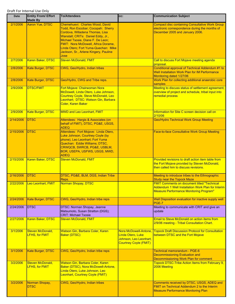| Date      | <b>Entity From/ Effort</b><br><b>Made By</b> | <b>To/Attendees</b>                                                                                                                                                                                                                                                                                                 | CC:                                                                                                  | <b>Communication Subject</b>                                                                                                                               |
|-----------|----------------------------------------------|---------------------------------------------------------------------------------------------------------------------------------------------------------------------------------------------------------------------------------------------------------------------------------------------------------------------|------------------------------------------------------------------------------------------------------|------------------------------------------------------------------------------------------------------------------------------------------------------------|
| 2/1/2006  | Aaron Yue, DTSC                              | Chemehuevi: Charles Wood, David<br>Todd, Ron Escobar; Cocopah: Sherry<br>Cordova, Willadena Thomas, Lisa<br>Wanstall; CRITs: Daniel Eddy, Jr.,<br>Michael Tsosie, Diane F. De Leon;<br>FMIT: Nora McDowell, Africa Dorame,<br>Linda Otero; Fort Yuma-Quechan: Mike<br>Jackson, Sr., Arlene Kingery, Pauline<br>Jose |                                                                                                      | <b>Compact disc containing Consultative Work Group</b><br>electronic correspondence during the months of<br>December 2005 and January 2006.                |
| 2/7/2006  | Karen Baker, DTSC                            | <b>Steven McDonald, FMIT</b>                                                                                                                                                                                                                                                                                        |                                                                                                      | Call to discuss Fort Mojave meeting agenda<br>proposal.                                                                                                    |
| 2/8/2006  | Kate Burger, DTSC                            | CWG, Geo/Hydro, Indian tribes                                                                                                                                                                                                                                                                                       |                                                                                                      | Conditional approval of Technical Addendum #1 to<br><b>Well Installation Work Plan for IM Performance</b><br>Monitoring dated 1/27/06                      |
| 2/8/2006  | Kate Burger, DTSC                            | Geo/Hydro, CWG and Tribe reps.                                                                                                                                                                                                                                                                                      |                                                                                                      | Work Plan for collecting additional anaerobic core<br>samples                                                                                              |
| 2/9/2006  | <b>DTSC/FMIT</b>                             | Fort Mojave: Chairwoman Nora<br>McDowell, Linda Otero, Luke Johnson,<br>Courtney Coyle, Steve McDonald, Leo<br>Leonhart; DTSC: Watson Gin, Barbara<br>Coler, Karen Baker                                                                                                                                            |                                                                                                      | Meeting to discuss status of settlement agreement,<br>overview of project and schedule, tribal input into<br>remedial process                              |
| 2/9/2006  | <b>Kate Burger, DTSC</b>                     | <b>MWD and Leo Leonhart, FMIT</b>                                                                                                                                                                                                                                                                                   |                                                                                                      | Information for Site C screen decision call on<br>2/10/06                                                                                                  |
| 2/14/2006 | <b>DTSC</b>                                  | Attendees: Hargis & Associates (on<br>behalf of FMIT), DTSC, PG&E, USGS,<br><b>ADEQ</b>                                                                                                                                                                                                                             |                                                                                                      | <b>Geo/Hydro Technical Work Group Meeting</b>                                                                                                              |
| 2/15/2006 | <b>DTSC</b>                                  | Attendees: Fort Mojave: Linda Otero,<br>Luke Johnson, Courtney Coyle (by<br>phone), Leo Leonhart; Fort Yuma<br>Quechan: Eddie Williams; DTSC,<br>CRWQCB, SWRCB, PG&E, USBLM,<br>BOR, USEPA, USFWS, USGS, MWD,<br><b>ADEQ</b>                                                                                        |                                                                                                      | <b>Face-to-face Consultative Work Group Meeting</b>                                                                                                        |
| 2/15/2006 | Karen Baker, DTSC                            | <b>Steven McDonald, FMIT</b>                                                                                                                                                                                                                                                                                        |                                                                                                      | Provided revisions to draft action item table from<br>the Fort Mojave provided by Steven McDonald,<br>then called him to discuss revisions.                |
| 2/16/2006 | <b>DTSC</b>                                  | DTSC, PG&E, BLM, DGS, Indian Tribe<br>Reps.                                                                                                                                                                                                                                                                         |                                                                                                      | Meeting to introduce tribes to the Ethnographic<br><b>Study near the Topock Maze</b>                                                                       |
| 2/22/2006 | Leo Leonhart, FMIT                           | Norman Shopay, DTSC                                                                                                                                                                                                                                                                                                 |                                                                                                      | <b>FMIT Comments on document titled "Technical</b><br>Addendum 1 Well Installation Work Plan for Interim<br><b>Measure Performance Monitoring Program"</b> |
| 2/24/2006 | Kate Burger, DTSC                            | CWG, Geo/Hydro, Indian tribe reps                                                                                                                                                                                                                                                                                   |                                                                                                      | Well Disposition evaluation for inactive supply well<br>PGE-7                                                                                              |
| 2/24/2006 | <b>DTSC</b>                                  | <b>DTSC: Norman Shopay, Jeanne</b><br>Matsumoto, Susan Stratton (DGS);<br><b>CRIT: Michael Tsosie</b>                                                                                                                                                                                                               |                                                                                                      | Meeting to communicate with CRIT and give an<br>update                                                                                                     |
| 2/27/2006 | Karen Baker, DTSC                            | <b>Steven McDonald, FMIT</b>                                                                                                                                                                                                                                                                                        |                                                                                                      | Email to Steve McDonald on action items from<br>2/9/06 meeting - Tribal Consultation Chart.                                                                |
| 3/1/2006  | Steven McDonald,<br><b>LFHS, for FMIT</b>    | Watson Gin, Barbara Coler, Karen<br><b>Baker (DTSC)</b>                                                                                                                                                                                                                                                             | Nora McDowell-Antone,<br>Linda Otero, Luke<br>Johnson, Leo Leonhart,<br><b>Courtney Coyle (FMIT)</b> | <b>Topock Draft Discussion Protocol for Consultation</b><br>between DTSC and the Fort Mojave                                                               |
| 3/1/2006  | Kate Burger, DTSC                            | CWG, Geo/Hydro, Indian tribe reps                                                                                                                                                                                                                                                                                   |                                                                                                      | Technical memorandum - PGE-6<br><b>Decommissioning Evaluation and</b><br>Decommissioning Work Plan for comment                                             |
| 3/2/2006  | Steven McDonald,<br><b>LFHS, for FMIT</b>    | Watson Gin, Barbara Coler, Karen<br>Baker (DTSC), Nora McDowell-Antone,<br>Linda Otero, Luke Johnson, Leo<br>Leonhart, Courtney Coyle (FMIT)                                                                                                                                                                        |                                                                                                      | Topock DTSC-Tribe Action Items from February 9,<br>2006 Meeting                                                                                            |
| 3/2/2006  | Norman Shopay,<br><b>DTSC</b>                | CWG, Geo/Hydro, Indian tribes                                                                                                                                                                                                                                                                                       |                                                                                                      | Comments received by DTSC, USGS, ADEQ and<br>FMIT on Technical Addendum 2 to the Interim<br><b>Measure Performance Monitoring Plan</b>                     |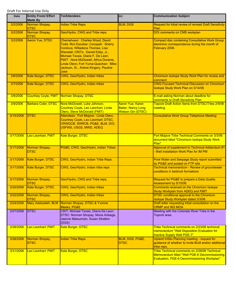| <b>Date</b> | <b>Entity From/ Effort</b><br><b>Made By</b> | <b>To/Attendees</b>                                                                                                                                                                                                                                                                                                 | CC:                                                                | <b>Communication Subject</b>                                                                                                                  |
|-------------|----------------------------------------------|---------------------------------------------------------------------------------------------------------------------------------------------------------------------------------------------------------------------------------------------------------------------------------------------------------------------|--------------------------------------------------------------------|-----------------------------------------------------------------------------------------------------------------------------------------------|
| 3/2/2006    | Norman Shopay,<br><b>DTSC</b>                | <b>Indian Tribe Reps.</b>                                                                                                                                                                                                                                                                                           | <b>BLM, DGS</b>                                                    | <b>Request for tribal review of revised Draft Sensitivity</b><br>Plan                                                                         |
| 3/2/2006    | Norman Shopay,<br><b>DTSC</b>                | Geo/Hydro, CWG and Tribe reps.                                                                                                                                                                                                                                                                                      |                                                                    | DOI comments on CMS workplan                                                                                                                  |
| 3/2/2006    | Aaron Yue, DTSC                              | Chemehuevi: Charles Wood, David<br>Todd, Ron Escobar; Cocopah: Sherry<br>Cordova, Willadena Thomas, Lisa<br>Wanstall; CRITs: Daniel Eddy, Jr.,<br>Michael Tsosie, Diane F. De Leon;<br>FMIT: Nora McDowell, Africa Dorame,<br>Linda Otero; Fort Yuma-Quechan: Mike<br>Jackson, Sr., Arlene Kingery, Pauline<br>Jose |                                                                    | <b>Compact disc containing Consultative Work Group</b><br>electronic correspondence during the month of<br>February 2006.                     |
| 3/6/2006    | Kate Burger, DTSC                            | CWG, Geo/Hydro, Indian tribes                                                                                                                                                                                                                                                                                       |                                                                    | Chromium Isotope Study Work Plan for review and<br>comment                                                                                    |
| 3/7/2006    | Kate Burger, DTSC                            | CWG, Geo/Hydro, Indian tribes                                                                                                                                                                                                                                                                                       |                                                                    | <b>CWG Focused Technical Discussion on Chromium</b><br>Isotope Study Work Plan on 3/14/06                                                     |
| 3/8/2006    | <b>Courtney Coyle, FMIT</b>                  | Norman Shopay, DTSC                                                                                                                                                                                                                                                                                                 |                                                                    | E-mail asking Norman about deadline for<br>comments to Draft Sensitivity Plan                                                                 |
| 3/9/2006    | Barbara Coler, DTSC                          | Nora McDowell, Luke Johnson,<br>Courtney Coyle, Leo Leonhart, Linda<br>Otero, Steve McDonald (FMIT)                                                                                                                                                                                                                 | Aaron Yue, Karen<br>Baker, Nancy Long,<br><b>Watson Gin (DTSC)</b> | <b>Topock Draft Action Items from DTSC/Tribe 2/9/06</b><br>meeting.                                                                           |
| 3/15/2006   | <b>DTSC</b>                                  | Attendees: Fort Mojave: Linda Otero,<br>Courtney Coyle, Leo Leonhart; DTSC,<br>CRWQCB, SWRCB, PG&E, BLM, DOI,<br>USFWS, USGS, MWD, ADEQ                                                                                                                                                                             |                                                                    | <b>Consultative Work Group Telephone Meeting</b>                                                                                              |
| 3/17/2006   | Leo Leonhart, FMIT                           | <b>Kate Burger, DTSC</b>                                                                                                                                                                                                                                                                                            |                                                                    | Fort Mojave Tribe Technical Comments on 3/3/06<br>document titled "Chromium Isotope Study Work<br>Plan"                                       |
| 3/17/2006   | Norman Shopay,<br><b>DTSC</b>                | PG&E, CWG, Geo/Hydro, Indian Tribes                                                                                                                                                                                                                                                                                 |                                                                    | Approval of supplement to Technical Addendum #1<br>- Well Installation Work Plan for IM PM                                                    |
| 3/17/2006   | Kate Burger, DTSC                            | CWG, Geo/Hydro, Indian Tribe Reps.                                                                                                                                                                                                                                                                                  |                                                                    | Pore Water and Seepage Study report submitted<br>by PG&E and posted on FTP site                                                               |
| 3/17/2006   | Kate Burger, DTSC                            | CWG, Geo/Hydro, Indian tribe reps                                                                                                                                                                                                                                                                                   |                                                                    | Technical memorandum - Review of groundwater<br>conditions in bedrock formations                                                              |
| 3/17/2006   | Norman Shopay,<br><b>DTSC</b>                | Geo/Hydro, CWG and Tribe reps.                                                                                                                                                                                                                                                                                      |                                                                    | Request for PG&E to prepare a Data Quality<br>Assessment by 5/15/06                                                                           |
| 3/20/2006   | <b>Kate Burger, DTSC</b>                     | <b>CWG, Geo/Hydro, Indian tribes</b>                                                                                                                                                                                                                                                                                |                                                                    | Comments received on the Chromium Isotope<br>Study Workplan from ADEQ and FMIT                                                                |
| 3/22/2006   | Norman Shopay,<br><b>DTSC</b>                | CWG, Geo/Hydro, Indian tribes                                                                                                                                                                                                                                                                                       |                                                                    | DTSC conditional approval to the Chromium<br>Isotope Study Workplan dated 3/3/06                                                              |
| 3/24/2006   | Mary Adelzadeh, BLM                          | Norman Shopay, DTSC & Yvonne<br>Meeks, PG&E                                                                                                                                                                                                                                                                         |                                                                    | Draft letter requesting tribal consultation on the<br><b>CRMP and IM3 MOA</b>                                                                 |
| 3/27/2006   | <b>DTSC</b>                                  | CRIT: Michael Tsosie, Diana De Leon;<br>DTSC: Norman Shopay, Mona Arteaga,<br>Jeanne Matsumoto, Susan Stratton<br>(DGS)                                                                                                                                                                                             |                                                                    | Meeting with the Colorado River Tribe in the<br>Topock area.                                                                                  |
| 3/28/2006   | Leo Leonhart, FMIT                           | Kate Burger, DTSC                                                                                                                                                                                                                                                                                                   |                                                                    | Tribe Technical comments on 2/23/06 technical<br>memorandum "Well Disposition Evaluation for<br><b>Inactive Supply Well PGE-7"</b>            |
| 3/28/2006   | Norman Shopay,<br><b>DTSC</b>                | <b>Indian Tribe Reps.</b>                                                                                                                                                                                                                                                                                           | BLM, DGS, PG&E,<br><b>DTSC</b>                                     | Upland InSitu Planning meeting - request for<br>guidance of whether to invite BLM and/or additional<br>tribe reps.                            |
| 3/31/2006   | Leo Leonhart, FMIT                           | <b>Kate Burger, DTSC</b>                                                                                                                                                                                                                                                                                            |                                                                    | Tribe Technical comments on 2/28/06 Technical<br>Memorandum titled "Well PGE-6 Decommissioning<br>Evaluation, PGE-6 Decommissioning Workplan" |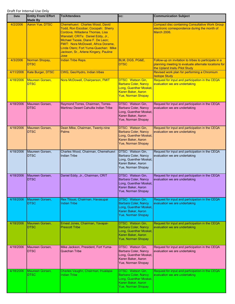| <b>Date</b> | <b>Entity From/ Effort</b><br><b>Made By</b> | <b>To/Attendees</b>                                                                                                                                                                                                                                                                                                 | CC:                                                                                                                           | <b>Communication Subject</b>                                                                                                                   |
|-------------|----------------------------------------------|---------------------------------------------------------------------------------------------------------------------------------------------------------------------------------------------------------------------------------------------------------------------------------------------------------------------|-------------------------------------------------------------------------------------------------------------------------------|------------------------------------------------------------------------------------------------------------------------------------------------|
| 4/2/2006    | Aaron Yue, DTSC                              | Chemehuevi: Charles Wood, David<br>Todd, Ron Escobar; Cocopah: Sherry<br>Cordova, Willadena Thomas, Lisa<br>Wanstall; CRITs: Daniel Eddy, Jr.,<br>Michael Tsosie, Diane F. De Leon;<br>FMIT: Nora McDowell, Africa Dorame,<br>Linda Otero; Fort Yuma-Quechan: Mike<br>Jackson, Sr., Arlene Kingery, Pauline<br>Jose |                                                                                                                               | <b>Compact disc containing Consultative Work Group</b><br>electronic correspondence during the month of<br><b>March 2006.</b>                  |
| 4/3/2006    | Norman Shopay,<br><b>DTSC</b>                | <b>Indian Tribe Reps.</b>                                                                                                                                                                                                                                                                                           | BLM, DGS, PG&E,<br><b>DTSC</b>                                                                                                | Follow-up on invitation to tribes to participate in a<br>planning meeting to evaluate alternate locations for<br>the Upland Insitu Pilot Study |
| 4/11/2006   | Kate Burger, DTSC                            | CWG, Geo/Hydro, Indian tribes                                                                                                                                                                                                                                                                                       |                                                                                                                               | Revised work plan for performing a Chromium<br><b>Isotope Study</b>                                                                            |
| 4/18/2006   | Maureen Gorsen,<br><b>DTSC</b>               | Nora McDowell, Chairperson, FMIT                                                                                                                                                                                                                                                                                    | DTSC: Watson Gin,<br><b>Barbara Coler, Nancy</b><br>Long, Guenther Moskat,<br>Karen Baker, Aaron<br><b>Yue, Norman Shopay</b> | Request for input and participation in the CEQA<br>evaluation we are undertaking                                                               |
| 4/18/2006   | Maureen Gorsen,<br><b>DTSC</b>               | Raymond Torres, Chairman, Torres-<br>Martinez Desert Cahuilla Indian Tribe                                                                                                                                                                                                                                          | DTSC: Watson Gin,<br>Barbara Coler, Nancy<br>Long, Guenther Moskat,<br>Karen Baker, Aaron<br>Yue, Norman Shopay               | Request for input and participation in the CEQA<br>evaluation we are undertaking                                                               |
| 4/18/2006   | Maureen Gorsen,<br><b>DTSC</b>               | Dean Mike, Chairman, Twenty-nine<br>Palms                                                                                                                                                                                                                                                                           | DTSC: Watson Gin,<br>Barbara Coler, Nancy<br>Long, Guenther Moskat,<br>Karen Baker, Aaron<br>Yue, Norman Shopay               | Request for input and participation in the CEQA<br>evaluation we are undertaking                                                               |
| 4/18/2006   | Maureen Gorsen,<br><b>DTSC</b>               | Charles Wood, Chairman, Chemehuevi<br>Indian Tribe                                                                                                                                                                                                                                                                  | DTSC: Watson Gin,<br>Barbara Coler, Nancy<br>Long, Guenther Moskat,<br>Karen Baker, Aaron<br>Yue, Norman Shopay               | Request for input and participation in the CEQA<br>evaluation we are undertaking                                                               |
| 4/18/2006   | Maureen Gorsen,<br><b>DTSC</b>               | Daniel Eddy, Jr., Chairman, CRIT                                                                                                                                                                                                                                                                                    | DTSC: Watson Gin,<br>Barbara Coler, Nancy<br>Long, Guenther Moskat,<br>Karen Baker, Aaron<br>Yue, Norman Shopay               | Request for input and participation in the CEQA<br>evaluation we are undertaking                                                               |
| 4/18/2006   | Maureen Gorsen,<br><b>DTSC</b>               | Rex Tilousi, Chairman, Havasupai<br><b>Indian Tribe</b>                                                                                                                                                                                                                                                             | DTSC: Watson Gin,<br>Barbara Coler, Nancy<br>Long, Guenther Moskat,<br>Karen Baker, Aaron<br>Yue, Norman Shopay               | Request for input and participation in the CEQA<br>evaluation we are undertaking                                                               |
| 4/18/2006   | Maureen Gorsen,<br><b>DTSC</b>               | Ernest Jones, Chairman, Yavapai-<br><b>Prescott Tribe</b>                                                                                                                                                                                                                                                           | DTSC: Watson Gin,<br><b>Barbara Coler, Nancy</b><br>Long, Guenther Moskat,<br>Karen Baker, Aaron<br>Yue, Norman Shopay        | Request for input and participation in the CEQA<br>evaluation we are undertaking                                                               |
| 4/18/2006   | Maureen Gorsen,<br><b>DTSC</b>               | Mike Jackson, President, Fort Yuma-<br>Quechan Tribe                                                                                                                                                                                                                                                                | DTSC: Watson Gin,<br>Barbara Coler, Nancy<br>Long, Guenther Moskat,<br>Karen Baker, Aaron<br>Yue, Norman Shopay               | Request for input and participation in the CEQA<br>evaluation we are undertaking                                                               |
| 4/18/2006   | Maureen Gorsen,<br><b>DTSC</b>               | Charles Vaughn, Chairman, Hualapai<br><b>Indian Tribe</b>                                                                                                                                                                                                                                                           | <b>DTSC: Watson Gin,</b><br>Barbara Coler, Nancy<br>Long, Guenther Moskat,<br>Karen Baker, Aaron<br><b>Yue, Norman Shopay</b> | Request for input and participation in the CEQA<br>evaluation we are undertaking                                                               |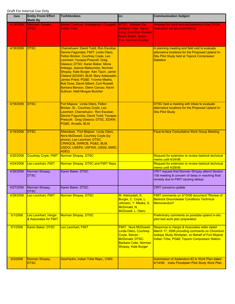| <b>Date</b> | <b>Entity From/ Effort</b><br><b>Made By</b>  | <b>To/Attendees</b>                                                                                                                                                                                                                                                                                                                                                                                                                                                      | CC:                                                                                                                                             | <b>Communication Subject</b>                                                                                                                                                                             |
|-------------|-----------------------------------------------|--------------------------------------------------------------------------------------------------------------------------------------------------------------------------------------------------------------------------------------------------------------------------------------------------------------------------------------------------------------------------------------------------------------------------------------------------------------------------|-------------------------------------------------------------------------------------------------------------------------------------------------|----------------------------------------------------------------------------------------------------------------------------------------------------------------------------------------------------------|
| 4/18/2006   | <b>Maureen Gorsen.</b><br><b>DTSC</b>         | <b>Sherry Cordova, Chairperson, Cocopah</b><br><b>Indian Tribe</b>                                                                                                                                                                                                                                                                                                                                                                                                       | <b>DTSC: Watson Gin.</b><br><b>Barbara Coler, Nancy</b><br>Long, Guenther Moskat,<br>Karen Baker, Aaron<br><b>Yue, Norman Shopay</b>            | Request for input and participation in the CEQA<br>evaluation we are undertaking                                                                                                                         |
| 4/18/2006   | <b>DTSC</b>                                   | Chemehuevi: David Todd, Ron Escobar,<br>Dennis Fagundes; FMIT: Linda Otero,<br>Felton Bricker, Courtney Coyle, Leo<br>Leonhart; Yavapai-Prescott: Greg<br>Glassco; DTSC: Karen Baker, Mona<br>Arteaga, Jeanne Matsumoto, Norman<br>Shopay, Kate Burger, Ken Tipon, Jamie<br>Cleland (EDAW); BLM: Mary Adelzadeh,<br>James Priest; PG&E: Yvonne Meeks,<br>Bob Doss, David Gilbert, Curt Russell,<br>Barbara Benson, Glenn Caruso, Kevin<br>Sullivan, Neill Morgan-Butcher |                                                                                                                                                 | A planning meeting and field visit to evaluate<br>alternative locations for the Proposed Upland In-<br>Situ Pilot Study held at Topock Compressor<br><b>Satiation</b>                                    |
| 4/18/2006   | <b>DTSC</b>                                   | Fort Mojave: Linda Otero, Felton<br>Bricker, Sr., Courtney Coyle, Leo<br>Leonhart; Chemehuevi: Ron Escobar,<br>Dennis Fagundes, David Todd; Yavapai-<br>Prescott: Greg Glassco; DTSC, EDAW,<br>PG&E, Arcadis, BLM                                                                                                                                                                                                                                                        |                                                                                                                                                 | DTSC held a meeting with tribes to evaluate<br>alternative locations for the Proposed Upland In-<br><b>Situ Pilot Study</b>                                                                              |
| 4/19/2006   | <b>DTSC</b>                                   | Attendees: Fort Mojave: Linda Otero,<br>Nora McDowell, Courtney Coyle (by<br>phone), Leo Leonhart; DTSC,<br>CRWQCB, SWRCB, PG&E, BLM,<br>USDOI, USEPA, USFWS, USGS, MWD,<br><b>ADEQ</b>                                                                                                                                                                                                                                                                                  |                                                                                                                                                 | <b>Face-to-face Consultative Work Group Meeting</b>                                                                                                                                                      |
| 4/20/2006   | <b>Courtney Coyle, FMIT</b>                   | Norman Shopay, DTSC                                                                                                                                                                                                                                                                                                                                                                                                                                                      |                                                                                                                                                 | Request for extension to review bedrock technical<br>memo until 4/24/06                                                                                                                                  |
| 4/24/2006   | Leo Leonhart, FMIT                            | Norman Shopay, DTSC and FMIT Reps.                                                                                                                                                                                                                                                                                                                                                                                                                                       |                                                                                                                                                 | Request for extension to review bedrock technical<br>memo until 4/28/06                                                                                                                                  |
| 4/26/2006   | Norman Shopay,<br><b>DTSC</b>                 | Karen Baker, DTSC                                                                                                                                                                                                                                                                                                                                                                                                                                                        |                                                                                                                                                 | CRIT request that Norman Shopay attend Section<br>106 meeting & concern of delay in reaching final<br>remedy due to FMIT causing delays                                                                  |
| 4/27/2006   | Norman Shopay,<br><b>DTSC</b>                 | Karen Baker, DTSC                                                                                                                                                                                                                                                                                                                                                                                                                                                        |                                                                                                                                                 | <b>CRIT</b> concerns update                                                                                                                                                                              |
| 4/28/2006   | Leo Leonhart, FMIT                            | Norman Shopay, DTSC                                                                                                                                                                                                                                                                                                                                                                                                                                                      | M. Adelzadeh, K.<br>Burger, C. Coyle, L.<br>Johnson, Y. Meeks, S.<br>McDonald, N.<br>McDowell, L. Otero                                         | FMIT comments on 3/15/06 document "Review of<br><b>Bedrock Groundwater Conditions Technical</b><br>Memorandum"                                                                                           |
| 5/1/2006    | Leo Leonhart, Hargis<br>& Associates for FMIT | Norman Shopay, DTSC                                                                                                                                                                                                                                                                                                                                                                                                                                                      |                                                                                                                                                 | Preliminary comments on possible upland in-situ<br>pilot test work plan preparation                                                                                                                      |
| 5/1/2006    | Karen Baker, DTSC                             | Leo Leonhart, FMIT                                                                                                                                                                                                                                                                                                                                                                                                                                                       | <b>FMIT: Nora McDowell,</b><br><b>Linda Otero, Courtney</b><br>Coyle, Steven<br>McDonald; DTSC:<br>Barbara Coler, Norman<br>Shopay, Kate Burger | Response to Hargis & Associates letter dated<br>March 17, 2006 providing comments on Chromium<br><b>Isotope Study Workplan, on Behalf of Fort Mojave</b><br>Indian Tribe, PG&E Topock Compressor Station |
| 5/2/2006    | Norman Shopay,<br><b>DTSC</b>                 | Geo/Hydro, Indian Tribe Reps., CWG                                                                                                                                                                                                                                                                                                                                                                                                                                       |                                                                                                                                                 | Submission of Addendum #2 to Work Plan dated<br>4/14/06: Insitu Floodplain Pilot Study Work Plan                                                                                                         |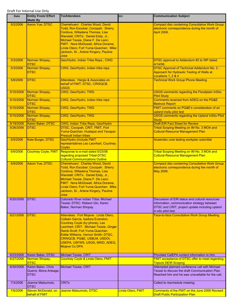| Date      | <b>Entity From/ Effort</b><br><b>Made By</b>        | <b>To/Attendees</b>                                                                                                                                                                                                                                                                                                      | CC:               | <b>Communication Subject</b>                                                                                                                                            |
|-----------|-----------------------------------------------------|--------------------------------------------------------------------------------------------------------------------------------------------------------------------------------------------------------------------------------------------------------------------------------------------------------------------------|-------------------|-------------------------------------------------------------------------------------------------------------------------------------------------------------------------|
| 5/2/2006  | <b>Aaron Yue, DTSC</b>                              | Chemehuevi: Charles Wood, David<br>Todd, Ron Escobar; Cocopah: Sherry<br>Cordova, Willadena Thomas, Lisa<br>Wanstall; CRITs: Daniel Eddy, Jr.,<br>Michael Tsosie, Diane F. De Leon;<br>FMIT: Nora McDowell, Africa Dorame,<br>Linda Otero; Fort Yuma-Quechan: Mike<br>Jackson, Sr., Arlene Kingery, Pauline<br>Jose      |                   | <b>Compact disc containing Consultative Work Group</b><br>electronic correspondence during the month of<br>April 2006.                                                  |
| 5/3/2006  | Norman Shopay,<br><b>DTSC</b>                       | Geo/Hydro, Indian Tribe Reps., CWG                                                                                                                                                                                                                                                                                       |                   | DTSC approval to Addendum #2 to WP dated<br>4/14/06:                                                                                                                    |
| 5/3/2006  | Norman Shopay,<br>DTSC                              | CWG, Geo/Hydro, Indian tribe reps                                                                                                                                                                                                                                                                                        |                   | <b>DTSC Approval of Technical Addendum No. 2 -</b><br>Approach for Hydraulic Testing of Wells at<br>Locations 1, 2 & 4                                                  |
| 5/8/2006  | <b>DTSC</b>                                         | Attendees: Hargis & Associates on<br>behalf of FMIT; DTSC, CRWQCB,<br><b>USGS</b>                                                                                                                                                                                                                                        |                   | <b>Technical Work Group Phone Meeting</b>                                                                                                                               |
| 5/10/2006 | Norman Shopay,<br><b>DTSC</b>                       | CWG, Geo/Hydro, TWG                                                                                                                                                                                                                                                                                                      |                   | <b>USGS comments regarding the Floodplain InSitu</b><br><b>Pilot Study</b>                                                                                              |
| 5/10/2006 | Norman Shopay,<br><b>DTSC</b>                       | CWG, Geo/Hydro, Indian tribe reps                                                                                                                                                                                                                                                                                        |                   | Comments received from ADEQ on the PG&E<br><b>Bedrock Report</b>                                                                                                        |
| 5/10/2006 | Norman Shopay,<br><b>DTSC</b>                       | CWG, Geo/Hydro, TWG                                                                                                                                                                                                                                                                                                      |                   | FMIT comments on PG&E's consideration of an<br>upland insitu pilot test                                                                                                 |
| 5/10/2006 | Norman Shopay,<br><b>DTSC</b>                       | CWG, Geo/Hydro, TWG                                                                                                                                                                                                                                                                                                      |                   | <b>USGS comments regarding the Upland InSitu Pilot</b><br><b>Study</b>                                                                                                  |
| 5/19/2006 | Karen Baker, DTSC                                   | CWG, Indian Tribe Reps, Geo/Hydro                                                                                                                                                                                                                                                                                        |                   | <b>Draft EIR Fact Sheet for Review</b>                                                                                                                                  |
| 5/26/2006 | <b>DTSC</b>                                         | DTSC, Cocopah, CRIT, FMIT, Fort<br>Yuma-Quechan, Hualapai and Yavapai-<br><b>Prescott Indian tribes</b>                                                                                                                                                                                                                  |                   | Tribal Scoping Meeting on IM No. 3 MOA and<br><b>Cultural Resource Management Plan</b>                                                                                  |
| 6/5/2006  | Kate Burger, DTSC                                   | Geo/Hydro (Include FMIT<br>representatives Leo Leonhart, Courtney<br>Coyle)                                                                                                                                                                                                                                              |                   | Anaerobic core testing workplan submittal                                                                                                                               |
| 6/9/2006  | <b>Courtney Coyle, FMIT</b>                         | Response to e-mail dated 5/23/06<br>regarding proposed Tribal-DTSC<br><b>Cultural Communications Outline</b>                                                                                                                                                                                                             |                   | Tribal Scoping Meeting on IM No. 3 MOA and<br><b>Cultural Resource Management Plan</b>                                                                                  |
| 6/9/2006  | <b>Aaron Yue, DTSC</b>                              | Chemehuevi: Charles Wood, David<br>Todd, Ron Escobar; Cocopah: Sherry<br>Cordova, Willadena Thomas, Lisa<br>Wanstall; CRITs: Daniel Eddy, Jr.,<br>Michael Tsosie, Diane F. De Leon;<br>FMIT: Nora McDowell, Africa Dorame,<br>Linda Otero; Fort Yuma-Quechan: Mike<br>Jackson, Sr., Arlene Kingery, Pauline<br>Jose      |                   | <b>Compact disc containing Consultative Work Group</b><br>electronic correspondence during the month of<br>May 2006.                                                    |
| 6/20/2006 | <b>DTSC</b>                                         | Colorado River Indian Tribe: Michael<br>Tsosie; DTSC: Watson Gin, Karen<br>Baker, Norman Shopay                                                                                                                                                                                                                          |                   | Discussion of EIR status and cultural resources<br>information, communication strategy between<br>DTSC and CRIT, project update including upland<br>in-situ pilot test. |
| 6/21/2006 | <b>DTSC</b>                                         | Attendees: Fort Mojave: Linda Otero,<br>Colleen Garcia, Isadora Evanston,<br>Courtney Coyle (by phone), Leo<br>Leonhart; CRIT: Michael Tsosie, Ginger<br>Swick-Scott; Fort Yuma-Quechan:<br>Eddie Williams, Vernon Smith; DTSC,<br>CRWQCB, PG&E, USBLM, USDOI,<br>USEPA, USFWS, USGS, MWD, ADEQ,<br><b>Mojave Co DPA</b> |                   | <b>Face-to-face Consultative Work Group Meeting</b>                                                                                                                     |
| 6/23/2006 | Karen Baker, DTSC                                   | Michael Tsosie, CRIT                                                                                                                                                                                                                                                                                                     |                   | Provided CalEPA contact information to him.                                                                                                                             |
| 6/27/2006 | Norman Shopay,<br><b>DTSC</b>                       | Courtney Coyle & Linda Otero, FMIT                                                                                                                                                                                                                                                                                       |                   | <b>FMIT acceptance of DTSC offer to meet regarding</b><br><b>Topock DEIR Scoping</b>                                                                                    |
| 6/30/2006 | Karen Baker, Chris<br>Guerre, Mona Arteaga,<br>DTSC | <b>Michael Tsosie, CRIT</b>                                                                                                                                                                                                                                                                                              |                   | Attempted planned conference call with Michael<br>Tsosie to discuss the draft Communication Plan.<br>Reached him and he was unavailable for the call.                   |
| 7/3/2006  | Jeanne Matsumoto,<br>DTSC                           | <b>CRITs</b>                                                                                                                                                                                                                                                                                                             |                   | Called to reschedule meeting.                                                                                                                                           |
| 7/6/2006  | Steven McDonald, on<br>behalf of FMIT               | Jeanne Matsumoto, DTSC                                                                                                                                                                                                                                                                                                   | Linda Otero, FMIT | Comments of the FMIT on the June 2006 Revised<br><b>Draft Public Participation Plan</b>                                                                                 |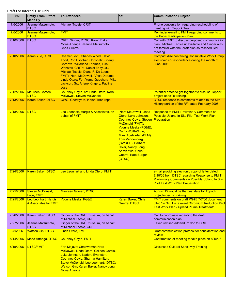| Date      | <b>Entity From/ Effort</b><br><b>Made By</b>  | <b>To/Attendees</b>                                                                                                                                                                                                                                                                                                 | CC:                                                                                                                                                                                                                                                                                                                 | <b>Communication Subject</b>                                                                                                                                                                          |
|-----------|-----------------------------------------------|---------------------------------------------------------------------------------------------------------------------------------------------------------------------------------------------------------------------------------------------------------------------------------------------------------------------|---------------------------------------------------------------------------------------------------------------------------------------------------------------------------------------------------------------------------------------------------------------------------------------------------------------------|-------------------------------------------------------------------------------------------------------------------------------------------------------------------------------------------------------|
| 7/6/2006  | Jeanne Matsumoto.<br><b>DTSC</b>              | Michael Tsosie, CRIT                                                                                                                                                                                                                                                                                                |                                                                                                                                                                                                                                                                                                                     | Phone conversation regarding rescheduling of<br>meeting with Topock Team.                                                                                                                             |
| 7/6/2006  | Jeanne Matsumoto,<br><b>DTSC</b>              | <b>FMIT</b>                                                                                                                                                                                                                                                                                                         |                                                                                                                                                                                                                                                                                                                     | Reminder e-mail to FMIT regarding comments to<br>the Public Participation Plan.                                                                                                                       |
| 7/10/2006 | <b>DTSC</b>                                   | CRIT: Ginger; DTSC: Karen Baker,<br>Mona Arteaga, Jeanne Matsumoto,<br><b>Chris Guerre</b>                                                                                                                                                                                                                          |                                                                                                                                                                                                                                                                                                                     | Call with CRIT to discuss proposed communication<br>plan. Michael Tsosie unavailable and Ginger was<br>not familiar with the draft plan so rescheduled<br>meeting.                                    |
| 7/10/2006 | <b>Aaron Yue, DTSC</b>                        | Chemehuevi: Charles Wood, David<br>Todd, Ron Escobar; Cocopah: Sherry<br>Cordova, Willadena Thomas, Lisa<br>Wanstall; CRITs: Daniel Eddy, Jr.,<br>Michael Tsosie, Diane F. De Leon;<br>FMIT: Nora McDowell, Africa Dorame,<br>Linda Otero; Fort Yuma-Quechan: Mike<br>Jackson, Sr., Arlene Kingery, Pauline<br>Jose |                                                                                                                                                                                                                                                                                                                     | <b>Compact disc containing Consultative Work Group</b><br>electronic correspondence during the month of<br><b>June 2006.</b>                                                                          |
| 7/12/2006 | Maureen Gorsen,<br><b>DTSC</b>                | Courtney Coyle, cc: Linda Otero, Nora<br><b>McDowell, Steven McDonald</b>                                                                                                                                                                                                                                           |                                                                                                                                                                                                                                                                                                                     | Potential dates to get together to discuss Topock<br>project-specific training.                                                                                                                       |
| 7/13/2006 | Karen Baker, DTSC                             | CWG, Geo/Hydro, Indian Tribe reps                                                                                                                                                                                                                                                                                   |                                                                                                                                                                                                                                                                                                                     | DTSC response to comments related to the Site<br>History portion of the RFI dated February 2005                                                                                                       |
| 7/18/2006 | <b>DTSC</b>                                   | Leo Leonhart, Hargis & Associates, on<br>behalf of FMIT                                                                                                                                                                                                                                                             | Nora McDowell, Linda<br>Otero, Luke Johnson,<br><b>Courtney Coyle, Steven Preparation</b><br>McDonald (FMIT);<br>Yvonne Meeks (PG&E);<br>Cathy Wolff-White,<br>Mary Adelzadeh (BLM),<br><b>Tom Vandenberg</b><br>(SWRCB); Barbara<br>Coler, Nancy Long,<br><b>Aaron Yue, Chris</b><br>Guerre, Kate Burger<br>(DTSC) | <b>Response to FMIT Preliminary Comments on</b><br>Possible Upland In-Situ Pilot Test Work Plan                                                                                                       |
| 7/24/2006 | Karen Baker, DTSC                             | Leo Leonhart and Linda Otero, FMIT                                                                                                                                                                                                                                                                                  |                                                                                                                                                                                                                                                                                                                     | e-mail providing electronic copy of letter dated<br>7/18/06 from DTSC regarding Response to FMIT<br><b>Preliminary Comments on Possible Upland In Situ</b><br><b>Pilot Test Work Plan Preparation</b> |
| 7/25/2006 | Steven McDonald,<br>Luce, FMIT                | <b>Maureen Gorsen, DTSC</b>                                                                                                                                                                                                                                                                                         |                                                                                                                                                                                                                                                                                                                     | August 15 would be the best date for Topock<br>project-specific training.                                                                                                                             |
| 7/25/2006 | Leo Leonhart, Hargis<br>& Associates for FMIT | <b>Yvonne Meeks, PG&amp;E</b>                                                                                                                                                                                                                                                                                       | Karen Baker, Chris<br>Guerre, DTSC                                                                                                                                                                                                                                                                                  | FMIT comments on draft PG&E 7/7/06 document<br>titled "In Situ Hexavalent Chromium Reduction Pilot<br>Test Work Plan - Upland Plume Treatment"                                                        |
| 7/26/2006 | Karen Baker, DTSC                             | Ginger of the CRIT museum, on behalf<br>of Michael Tsosie, CRIT                                                                                                                                                                                                                                                     |                                                                                                                                                                                                                                                                                                                     | Call to coordinate regarding the draft<br>communication plan.                                                                                                                                         |
| 7/27/2006 | Jeanne Matsumoto,<br><b>DTSC</b>              | Ginger of the CRIT museum, on behalf<br>of Michael Tsosie, CRIT                                                                                                                                                                                                                                                     |                                                                                                                                                                                                                                                                                                                     | Faxed revised addendum doc to CRIT.                                                                                                                                                                   |
| 8/8/2006  | <b>Watson Gin, DTSC</b>                       | Linda Otero, FMIT                                                                                                                                                                                                                                                                                                   |                                                                                                                                                                                                                                                                                                                     | Draft communication protocol for consideration and<br><u>review</u>                                                                                                                                   |
| 8/14/2006 | Mona Arteaga, DTSC                            | <b>Courtney Coyle, FMIT</b>                                                                                                                                                                                                                                                                                         |                                                                                                                                                                                                                                                                                                                     | Confirmation of meeting to take place on 8/15/06                                                                                                                                                      |
| 8/15/2006 | <b>DTSC/FMIT</b>                              | Fort Mojave: Chairwoman Nora<br>McDowell, Linda Otero, Colleen Garcia,<br>Luke Johnson, Isadora Evanston,<br>Courtney Coyle, Sharma Hamilton,<br>Steve McDonald, Leo Leonhart; DTSC:<br>Watson Gin, Karen Baker, Nancy Long,<br><b>Mona Arteaga</b>                                                                 |                                                                                                                                                                                                                                                                                                                     | <b>Discussed Cultural Sensitivity Training</b>                                                                                                                                                        |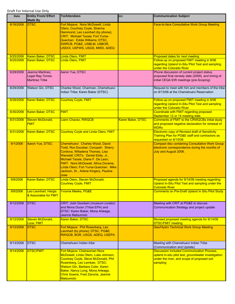| Date      | <b>Entity From/ Effort</b><br><b>Made By</b>                    | <b>To/Attendees</b>                                                                                                                                                                                                                                                                                                 | CC:               | <b>Communication Subject</b>                                                                                                                                         |
|-----------|-----------------------------------------------------------------|---------------------------------------------------------------------------------------------------------------------------------------------------------------------------------------------------------------------------------------------------------------------------------------------------------------------|-------------------|----------------------------------------------------------------------------------------------------------------------------------------------------------------------|
| 8/16/2006 | <b>DTSC</b>                                                     | Fort Mojave: Nora McDowell, Linda<br>Otero, Courtney Coyle, Sharma<br>Hammond, Leo Leonhart (by phone);<br><b>CRIT: Michael Tsosie; Fort Yuma-</b><br>Quechan: Eddie Williams; DTSC,<br>SWRCB, PG&E, USBLM, USBOR,<br>USDOI, USFWS, USGS, MWD, ADEQ                                                                 |                   | Face-to-face Consultative Work Group Meeting                                                                                                                         |
| 8/25/2006 | <b>Karen Baker, DTSC</b>                                        | Linda Otero, FMIT                                                                                                                                                                                                                                                                                                   |                   | Proposed dates for next meeting                                                                                                                                      |
| 8/25/2006 | Karen Baker, DTSC                                               | Linda Otero, FMIT                                                                                                                                                                                                                                                                                                   |                   | Follow-up on proposed FMIT meeting in 9/06<br>regarding Upland In-Situ Pilot Test and sampling<br>under the Colorado River                                           |
| 8/29/2006 | Jeanne Martinez,<br>Legal Rep, Torres-<br><b>Martinez Tribe</b> | Aaron Yue, DTSC                                                                                                                                                                                                                                                                                                     |                   | Phone discussion of current project status,<br>proposed final remedy date (2009), and timing of<br>initial CEQA EIR meetings (pre-Scoping)                           |
| 8/29/2006 | Watson Gin, DTSC                                                | Charles Wood, Chairman, Chemehuevi<br>Indian Tribe; Karen Baker (DTSC)                                                                                                                                                                                                                                              |                   | Request to meet with him and members of the tribe<br>on 9/13/06 at the Chemehuevi Reservation                                                                        |
| 8/29/2006 | Karen Baker, DTSC                                               | <b>Courtney Coyle, FMIT</b>                                                                                                                                                                                                                                                                                         |                   | Follow-up on proposed FMIT meeting in 9/06<br>regarding Upland In-Situ Pilot Test and sampling<br>under the Colorado River                                           |
| 8/30/2006 | Karen Baker, DTSC                                               | <b>FMIT</b>                                                                                                                                                                                                                                                                                                         |                   | Coordinate with FMIT regarding proposed<br>September 12 or 14 meeting date.                                                                                          |
| 8/31/2006 | Steven McDonald,<br><b>FMIT</b>                                 | Liann Chavez, RWQCB                                                                                                                                                                                                                                                                                                 | Karen Baker, DTSC | Comments of FMIT to the CRWQCBs initial study<br>and proposed negative declaration for renewal of<br><b>WDRs</b>                                                     |
| 8/31/2006 | Karen Baker, DTSC                                               | <b>Courtney Coyle and Linda Otero, FMIT</b>                                                                                                                                                                                                                                                                         |                   | <b>Electronic copy of Revised draft of Sensitivity</b><br>Training Plan for PG&E staff and contractors as<br>requested on 8/15/06                                    |
| 9/1/2006  | <b>Aaron Yue, DTSC</b>                                          | Chemehuevi: Charles Wood, David<br>Todd, Ron Escobar; Cocopah: Sherry<br>Cordova, Willadena Thomas, Lisa<br>Wanstall; CRITs: Daniel Eddy, Jr.,<br>Michael Tsosie, Diane F. De Leon;<br>FMIT: Nora McDowell, Africa Dorame,<br>Linda Otero; Fort Yuma-Quechan: Mike<br>Jackson, Sr., Arlene Kingery, Pauline<br>Jose |                   | <b>Compact disc containing Consultative Work Group</b><br>electronic correspondence during the months of<br>July and August 2006.                                    |
| 9/8/2006  | Karen Baker, DTSC                                               | Linda Otero, Steven McDonald,<br><b>Courtney Coyle, FMIT</b>                                                                                                                                                                                                                                                        |                   | Proposed agenda for 9/14/06 meeting regarding<br>Upland In-Situ Pilot Test and sampling under the<br><b>Colorado River</b>                                           |
| 9/8/2006  | Leo Leonhart, Hargis<br>& Associates for FMIT                   | <b>Yvonne Meeks, PG&amp;E</b>                                                                                                                                                                                                                                                                                       |                   | <b>Comments on Pre-Draft Upland In Situ Pilot Study</b>                                                                                                              |
| 9/12/2006 | <b>DTSC</b>                                                     | CRIT: Josh Goodwin (museum curator)<br>and Mona Duran (Tribal EPA) and<br>DTSC: Karen Baker, Mona Arteaga,<br>Jeanne Matsumoto                                                                                                                                                                                      |                   | Meeting with CRIT at PG&E to discuss<br>Communication Strategy and project update                                                                                    |
| 9/12/2006 | Steven McDonald,<br>Luce, FMIT                                  | Karen Baker, DTSC                                                                                                                                                                                                                                                                                                   |                   | Revised proposed meeting agenda for 9/14/06<br><b>DTSC/FMIT meeting</b>                                                                                              |
| 9/12/2006 | <b>DTSC</b>                                                     | Fort Mojave: Phil Rosenberg, Leo<br>Leonhart (by phone); DTSC, PG&E,<br>RWQCB, BOR, USGS, ADEQ, USEPA                                                                                                                                                                                                               |                   | <b>Geo/Hydro Technical Work Group Meeting</b>                                                                                                                        |
| 9/13/2006 | <b>DTSC</b>                                                     | Chemehuevi Indian tribe                                                                                                                                                                                                                                                                                             |                   | Meeting with Chemehuevi Indian Tribe<br>(Communication and Update)                                                                                                   |
| 9/14/2006 | <b>DTSC/FMIT</b>                                                | Fort Mojave: Chairwoman Nora<br>McDowell, Linda Otero, Luke Johnson,<br><b>Courtney Coyle, Steve McDonald, Phil</b><br>Rosenberg, Leo Lemkee; DTSC:<br>Watson Gin, Barbara Coler, Karen<br>Baker, Nancy Long, Mona Arteaga,<br>Chris Guerre, Fred Zanoria, Jeanne<br><b>Matsumoto</b>                               |                   | <b>Discussion included Communication Process,</b><br>upland in-situ pilot test, groundwater investigation<br>under the river, and scope of proposed soil<br>sampling |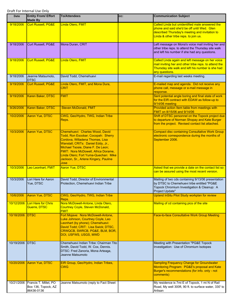| <b>Date</b> | <b>Entity From/ Effort</b><br><b>Made By</b>               | <b>To/Attendees</b>                                                                                                                                                                                                                                                                                                 | CC: | <b>Communication Subject</b>                                                                                                                                                              |
|-------------|------------------------------------------------------------|---------------------------------------------------------------------------------------------------------------------------------------------------------------------------------------------------------------------------------------------------------------------------------------------------------------------|-----|-------------------------------------------------------------------------------------------------------------------------------------------------------------------------------------------|
| 9/18/2006   | <b>Curt Russell, PG&amp;E</b>                              | Linda Otero, FMIT                                                                                                                                                                                                                                                                                                   |     | Called Linda but unidentified male answered the<br>phone and said she'd be off until Wed. Glen<br>described Thursday's meeting and invitation to<br>Linda & other tribe reps. to join us. |
| 9/18/2006   | Curt Russell, PG&E                                         | Mona Duran, CRIT                                                                                                                                                                                                                                                                                                    |     | Left message on Mona's voice mail inviting her and<br>other tribe reps. to attend the Thursday site walk<br>and left his number if she had any questions.                                 |
|             |                                                            |                                                                                                                                                                                                                                                                                                                     |     |                                                                                                                                                                                           |
| 9/18/2006   | <b>Curt Russell, PG&amp;E</b>                              | Linda Otero, FMIT                                                                                                                                                                                                                                                                                                   |     | Called Linda again and left message on her voice<br>mail inviting her and other tribe reps. to attend the<br>Thursday site walk and left his number is she had<br>any questions.          |
| 9/18/2006   | Jeanne Matsumoto,<br><b>DTSC</b>                           | David Todd, Chemehuevi                                                                                                                                                                                                                                                                                              |     | E-mail regarding last weeks meeting.                                                                                                                                                      |
| 9/19/2006   | <b>Curt Russell, PG&amp;E</b>                              | Linda Otero, FMIT, and Mona Dura,<br>CRIT                                                                                                                                                                                                                                                                           |     | E-mailed map and agenda. Did not receive any<br>phone call, message or e-mail message in<br>response.                                                                                     |
| 9/19/2006   | Karen Baker, DTSC                                          | <b>FMIT</b>                                                                                                                                                                                                                                                                                                         |     | Sent potential angle boring and final state of work<br>for the EIR contract with EDAW as follow-up to<br>9/14/06 meeting                                                                  |
| 9/26/2006   | <b>Karen Baker, DTSC</b>                                   | <b>Steven McDonald, FMIT</b>                                                                                                                                                                                                                                                                                        |     | Provided action Item table from meetings with<br>FMIT on 8/15/06 and 9/14/06                                                                                                              |
| 10/2/2006   | <b>Aaron Yue, DTSC</b>                                     | CWG, Geo/Hydro, TWG, Indian Tribe<br>Reps.                                                                                                                                                                                                                                                                          |     | Shift of DTSC personnel on the Topock project due<br>to departure of Norman Shopay and Kate Burger<br>from the project. Revised contact list attached.                                    |
| 10/3/2006   | <b>Aaron Yue, DTSC</b>                                     | Chemehuevi: Charles Wood, David<br>Todd, Ron Escobar; Cocopah: Sherry<br>Cordova, Willadena Thomas, Lisa<br>Wanstall; CRITs: Daniel Eddy, Jr.,<br>Michael Tsosie, Diane F. De Leon;<br>FMIT: Nora McDowell, Africa Dorame,<br>Linda Otero: Fort Yuma-Quechan: Mike<br>Jackson, Sr., Arlene Kingery, Pauline<br>Jose |     | <b>Compact disc containing Consultative Work Group</b><br>electronic correspondence during the months of<br>September 2006.                                                               |
| 10/3/2006   | Leo Leonhart, FMIT                                         | <b>Aaron Yue, DTSC</b>                                                                                                                                                                                                                                                                                              |     | Asked that we provide a date on the contact list so<br>can be assured using the most recent version.                                                                                      |
| 10/3/2006   | Lori Hare for Aaron<br>Yue, DTSC                           | David Todd, Director of Environmental<br>Protection, Chemehuevi Indian Tribe                                                                                                                                                                                                                                        |     | Mailing of two cds containing 9/13/06 presentation<br>by DTSC to Chemehuevi tribe entitled "PG&E<br>Topock Chromium Investigation & Cleanup: A<br>Project Update"                         |
| 10/6/2006   | Aaron Yue, DTSC                                            | CWG, Geo/Hydro, TWG, Indian Tribe<br>Reps.                                                                                                                                                                                                                                                                          |     | <b>Upland InSitu Pilot Study workplan for review</b>                                                                                                                                      |
| 10/12/2006  | Lori Hare for Chris<br>Guerre, DTSC                        | Nora McDowell-Antone, Linda Otero,<br>Courtney Coyle, Steven McDonald,<br><b>FMIT</b>                                                                                                                                                                                                                               |     | Mailing of cd containing pics of the site                                                                                                                                                 |
| 10/18/2006  | <b>IDTSC</b>                                               | Fort Mojave: Nora McDowell-Antone,<br>Luke Johnson, Courtney Coyle, Leo<br>Leonhart (by phone); Chemehuevi:<br>David Todd; CRIT: Lisa Swick; DTSC,<br>CRWQCB, SWRCB, PG&E, BLM, BOR,<br>DOI, USFWS, USGS, MWD                                                                                                       |     | Face-to-face Consultative Work Group Meeting                                                                                                                                              |
| 10/19/2006  | <b>DTSC</b>                                                | Chemehuevi Indian Tribe: Chairman Tito<br>Smith, David Todd, W. Cox, Dennis.<br>DTSC: Fred Zanoria, Mona Arteaga,<br>Jeanne Matsumoto                                                                                                                                                                               |     | Meeting with Presentation "PG&E Topock<br>Investigation: Use of Chromium Isotopes                                                                                                         |
| 10/20/2006  | Aaron Yue, DTSC                                            | EIR Group, Geo/Hydro, Indian Tribes,<br>CWG                                                                                                                                                                                                                                                                         |     | <b>Sampling Frequency Change for Groundwater</b><br>Monitoring Program: PG&E's proposal and Kate<br>Burger's recommendations (for info. only - not<br>comments)                           |
| 10/21/2006  | Francis T. Millet, PO<br>Box 136, Topock, AZ<br>86436-0136 | Jeanne Matsumoto (reply to Fact Sheet                                                                                                                                                                                                                                                                               |     | My residence is 7mi E of Topock, 1 mi N of Rail<br>Road, My well 300ft, 90 ft. to surface water, 330' to<br>Artisan                                                                       |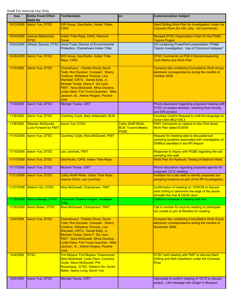| Date       | <b>Entity From/ Effort</b><br><b>Made By</b>      | <b>To/Attendees</b>                                                                                                                                                                                                                                                                                                 | CC:                                                            | <b>Communication Subject</b>                                                                                                                   |
|------------|---------------------------------------------------|---------------------------------------------------------------------------------------------------------------------------------------------------------------------------------------------------------------------------------------------------------------------------------------------------------------------|----------------------------------------------------------------|------------------------------------------------------------------------------------------------------------------------------------------------|
| 10/23/2006 | Aaron Yue, DTSC                                   | EIR Group, Geo/Hydro, Indian Tribes,<br><b>CWG</b>                                                                                                                                                                                                                                                                  |                                                                | Slant Drilling Work Plan for Investigation Under the<br>Colorado River (for info. only - not comments)                                         |
| 10/24/2006 | Jeanne Matsumoto,<br><b>DTSC</b>                  | Indian Tribe Reps, CWG, Ramona<br><b>Duran</b>                                                                                                                                                                                                                                                                      |                                                                | Revised DTSC Organization Chart for the PG&E<br><b>Topock Project</b>                                                                          |
| 10/24/2006 |                                                   | Alfredo Zanoria, DTSC David Todd, Director of Environmental<br>Protection, Chemehuevi Indian Tribe                                                                                                                                                                                                                  |                                                                | CD containing PowerPoint presentation "PG&E<br>Topock Investigation: Use of Chromium Isotopes"                                                 |
| 10/26/2006 | <b>Aaron Yue, DTSC</b>                            | EIR Group, Geo/Hydro, Indian Tribe<br>Reps, CWG                                                                                                                                                                                                                                                                     |                                                                | <b>DTSC Comments on PGE-6 Decommissioning</b><br><b>Tech Memo and Work Plan</b>                                                                |
| 11/3/2006  | <b>Aaron Yue, DTSC</b>                            | Chemehuevi: Charles Wood, David<br>Todd, Ron Escobar; Cocopah: Sherry<br>Cordova, Willadena Thomas, Lisa<br>Wanstall; CRITs: Daniel Eddy, Jr.,<br>Michael Tsosie, Diane F. De Leon;<br>FMIT: Nora McDowell, Africa Dorame,<br>Linda Otero; Fort Yuma-Quechan: Mike<br>Jackson, Sr., Arlene Kingery, Pauline<br>Jose |                                                                | <b>Compact disc containing Consultative Work Group</b><br>electronic correspondence during the months of<br>October 2006.                      |
| 11/3/2006  | Aaron Yue, DTSC                                   | Michael Tsosie, CRIT                                                                                                                                                                                                                                                                                                |                                                                | Phone discussion regarding proposed meeting with<br>DTSC on project direction, reaching final remedy<br>and EIR process                        |
| 11/8/2006  | <b>Aaron Yue, DTSC</b>                            | Courtney Coyle, Mary Adelzadeh, BLM                                                                                                                                                                                                                                                                                 |                                                                | Courtney Coyle's Request to craft the language on                                                                                              |
| 11/8/2006  | Stephen McDonald,<br><b>Luce Forward for FMIT</b> | <b>Aaron Yue, DTSC</b>                                                                                                                                                                                                                                                                                              | <b>Cathy Wolff-White,</b><br><b>BLM, Yvonne Meeks,</b><br>PG&E | Action Item #6/21/06.3<br><b>FMIT Comments on Upland In-Situ Pilot Study</b><br>Work Plan dated 9/29/06                                        |
| 11/15/2006 | Aaron Yue, DTSC                                   | <b>Courtney Coyle, Nora McDowell, FMIT</b>                                                                                                                                                                                                                                                                          |                                                                | Request for meeting date to discussed soil<br>sampling locations associated with investigation of<br><b>SWMUs identified in the RFI Report</b> |
| 11/15/2006 | <b>Aaron Yue, DTSC</b>                            | Leo Leonhart, FMIT                                                                                                                                                                                                                                                                                                  |                                                                | Response to inquiry with PG&E regarding the soil<br>sampling site walk                                                                         |
| 11/17/2006 | Aaron Yue, DTSC                                   | Geo/Hydro, CWG, Indian Tribe Reps.                                                                                                                                                                                                                                                                                  |                                                                | Work Plan for Hydraulic Testing of Bedrock Wells                                                                                               |
| 11/17/2006 | Aaron Yue, DTSC                                   | Michael Tsosie, CRIT                                                                                                                                                                                                                                                                                                |                                                                | Phone discussion regarding proposed agenda for<br>proposed 12/12 meeting                                                                       |
| 11/21/2006 | Aaron Yue, DTSC                                   | Cathy Wolff-White, Indian Tribe Reps.,<br>Joanna Citron, Leo Leonhart                                                                                                                                                                                                                                               |                                                                | Invitation for a site walk to identify proposed soil<br>sampling locations as part of the RFI Investigation.                                   |
|            | 11/27/2006 Watson Gin, DTSC                       | Nora McDowell, Chairperson, FMIT                                                                                                                                                                                                                                                                                    |                                                                | Confirmation of meeting on 12/04/06 to discuss<br>slant drilling to determine the edge of the plume<br>beneath the river & CEQA docs           |
| 11/28/2006 | Mona Arteaga, DTSC                                | Chairman Charles Vaughn, Hualapai<br>Tribe                                                                                                                                                                                                                                                                          |                                                                | Called to schedule a meeting with him                                                                                                          |
| 11/30/2006 | Karen Baker, DTSC                                 | Nora McDowell, Chairperson, FMIT                                                                                                                                                                                                                                                                                    |                                                                | Call in number for anyone needing to participate<br>but unable to join at Needles for meeting                                                  |
| 12/4/2006  | Aaron Yue, DTSC                                   | Chemehuevi: Charles Wood, David<br>Todd, Ron Escobar; Cocopah: Sherry<br>Cordova, Willadena Thomas, Lisa<br>Wanstall; CRITs: Daniel Eddy, Jr.,<br>Michael Tsosie, Diane F. De Leon;<br>FMIT: Nora McDowell, Africa Dorame,<br>Linda Otero; Fort Yuma-Quechan: Mike<br>Jackson, Sr., Arlene Kingery, Pauline<br>Jose |                                                                | <b>Compact disc containing Consultative Work Group</b><br>electronic correspondence during the months of<br>November 2006.                     |
| 12/4/2006  | <b>DTSC</b>                                       | Fort Mojave: Fort Mojave: Chairwoman<br>Nora McDowell, Linda Otero, Courtney<br>Coyle, Steve McDonald, Phil<br>Rosenberg; DTSC: Watson Gin, Karen<br>Baker, Nancy Long, Aaron Yue                                                                                                                                   |                                                                | DTSC held meeting with FMIT to discuss Slant<br>Drilling and Well Installation under the Colorado<br><b>River</b>                              |
| 12/4/2006  | Aaron Yue, DTSC                                   | Michael Tsosie, CRIT                                                                                                                                                                                                                                                                                                |                                                                | Attempted to confirm meeting of 12/12 to discuss<br>project. Left message with Ginger in Museum                                                |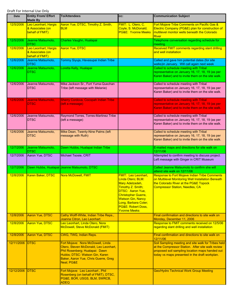| Date       | <b>Entity From/ Effort</b><br><b>Made By</b>                | <b>To/Attendees</b>                                                                                                                                                                                  | CC:                                                                                                                                                                                                                                        | <b>Communication Subject</b>                                                                                                                                                                                  |
|------------|-------------------------------------------------------------|------------------------------------------------------------------------------------------------------------------------------------------------------------------------------------------------------|--------------------------------------------------------------------------------------------------------------------------------------------------------------------------------------------------------------------------------------------|---------------------------------------------------------------------------------------------------------------------------------------------------------------------------------------------------------------|
| 12/5/2006  | Leo Leonhart, Hargis<br>& Associates (on<br>behalf of FMIT) | Aaron Yue, DTSC, Timothy Z. Smith,<br><b>BLM</b>                                                                                                                                                     | FMIT: L. Otero, C.<br>Coyle, S. McDonald;<br><b>PG&amp;E: Yvonne Meeks</b>                                                                                                                                                                 | Fort Mojave Tribe Comments on Pacific Gas &<br>Electric Company (PG&E) plan for construction of<br>multilevel monitor wells beneath the Colorado<br><b>River</b>                                              |
| 12/5/2006  | Jeanne Matsumoto,<br><b>DTSC</b>                            | Charles Vaughn, Hualapai                                                                                                                                                                             |                                                                                                                                                                                                                                            | Telephone conversation regarding schedule for<br>meeting.                                                                                                                                                     |
| 12/6/2006  | Leo Leonhart, Hargis<br>& Associates (on<br>behalf of FMIT) | <b>Aaron Yue, DTSC</b>                                                                                                                                                                               |                                                                                                                                                                                                                                            | Received FMIT comments regarding slant drilling<br>and well installation                                                                                                                                      |
| 12/6/2006  | Jeanne Matsumoto,<br><b>DTSC</b>                            | Tommy Siyuja, Havasupai Indian Tribe                                                                                                                                                                 |                                                                                                                                                                                                                                            | Called and gave him potential dates (for site<br>walks) in January. Will call again next week                                                                                                                 |
| 12/6/2006  | Jeanne Matsumoto,<br><b>DTSC</b>                            | Loretta Kelly, Hualapai                                                                                                                                                                              |                                                                                                                                                                                                                                            | Called to schedule meeting with Tribal<br>representative on January 16, 17, 18, 19 (as per<br>Karen Baker) and to invite them on the site walk.                                                               |
| 12/6/2006  | Jeanne Matsumoto,<br><b>DTSC</b>                            | Mike Jackson Sr., Fort Yuma-Quechan<br>Tribe (left message with Melanie)                                                                                                                             |                                                                                                                                                                                                                                            | Called to schedule meeting with Tribal<br>representative on January 16, 17, 18, 19 (as per<br>Karen Baker) and to invite them on the site walk.                                                               |
| 12/6/2006  | Jeanne Matsumoto,<br><b>DTSC</b>                            | <b>Sherry Cordova, Cocopah Indian Tribe</b><br>(left a message)                                                                                                                                      |                                                                                                                                                                                                                                            | <b>Called to schedule meeting with Tribal</b><br>representative on January 16, 17, 18, 19 (as per<br>Karen Baker) and to invite them on the site walk.                                                        |
| 12/6/2006  | Jeanne Matsumoto,<br><b>DTSC</b>                            | Raymond Torres, Torres-Martinez Tribe<br>(left a message)                                                                                                                                            |                                                                                                                                                                                                                                            | Called to schedule meeting with Tribal<br>representative on January 16, 17, 18, 19 (as per<br>Karen Baker) and to invite them on the site walk.                                                               |
| 12/6/2006  | Jeanne Matsumoto,<br><b>DTSC</b>                            | Mike Dean, Twenty-Nine Palms (left<br>message with Ruth)                                                                                                                                             |                                                                                                                                                                                                                                            | Called to schedule meeting with Tribal<br>representative on January 16, 17, 18, 19 (as per<br>Karen Baker) and to invite them on the site walk.                                                               |
| 12/7/2006  | Jeanne Matsumoto,<br><b>DTSC</b>                            | Dawn Hubbs, Hualapai Indian Tribe                                                                                                                                                                    |                                                                                                                                                                                                                                            | E-mailed maps and directions for site walk on<br>12/11/06                                                                                                                                                     |
| 12/7/2006  | Aaron Yue, DTSC                                             | Michael Tsosie, CRIT                                                                                                                                                                                 |                                                                                                                                                                                                                                            | Attempted to confirm meeting to discuss project.<br>Left message with Ginger in CRIT Museum                                                                                                                   |
| 12/7/2006  |                                                             | Dawn Hubbs, Hualapai Jeanne Matsumoto, DTSC                                                                                                                                                          |                                                                                                                                                                                                                                            | Called Jeanne Matsumoto to confirm she will<br>attend site walk on 12/11/06                                                                                                                                   |
| 12/8/2006  | Karen Baker, DTSC                                           | Nora McDowell, FMIT                                                                                                                                                                                  | FMIT: Leo Leonhart,<br>Linda Otero; BLM:<br>Mary Adelzadeh,<br>Timothy Z. Smith;<br><b>DTSC: Aaron Yue.</b><br><b>Christopher Guerre,</b><br><b>Watson Gin, Nancy</b><br>Long, Barbara Coler;<br>PG&E: Robert Doss,<br><b>Yvonne Meeks</b> | <b>Response to Fort Mojave Indian Tribe Comments</b><br>on Multilevel Monitoring Well Installation Beneath<br>the Colorado River at the PG&E Topock<br><b>Compressor Station, Needles, CA</b>                 |
| 12/8/2006  | <b>Aaron Yue, DTSC</b>                                      | Cathy Wolff-White, Indian Tribe Reps.,<br>Joanna Citron, Leo Leonhart                                                                                                                                |                                                                                                                                                                                                                                            | Final confirmation and directions to site walk on<br>Monday, December 11, 2006                                                                                                                                |
| 12/8/2006  | <b>Aaron Yue, DTSC</b>                                      | Leo Leonhart, Linda Otero, Nora<br>McDowell, Steve McDonald (FMIT)                                                                                                                                   |                                                                                                                                                                                                                                            | Response to FMIT comments received on 12/5/06<br>regarding slant drilling and well installation                                                                                                               |
| 12/8/2006  | <b>Aaron Yue, DTSC</b>                                      | CWG, TWG, Indian Reps.                                                                                                                                                                               |                                                                                                                                                                                                                                            | Final confirmation and directions to site walk on<br>12/11/06                                                                                                                                                 |
| 12/11/2006 | <b>DTSC</b>                                                 | Fort Mojave: Nora McDowell, Linda<br>Otero, Steven McDonald, Leo Leonhart,<br>Phil Rosenberg; Hualapai: Dawn<br>Hubbs; DTSC: Watson Gin, Karen<br>Baker, Aaron Yue, Chris Guerre, Greg<br>Neal; PG&E |                                                                                                                                                                                                                                            | Soil Sampling meeting and site walk for Tribes held<br>at the Compressor Station. After site walk review<br>proposed soil sampling location maps handed out<br>today vs maps presented in the draft workplan. |
| 12/12/2006 | <b>DTSC</b>                                                 | Fort Mojave: Leo Leonhart, Phil<br>Rosenberg (on behalf of FMIT), DTSC,<br>PG&E, BOR, USGS, BLM, SWRCB,<br>ADEQ                                                                                      |                                                                                                                                                                                                                                            | <b>Geo/Hydro Technical Work Group Meeting</b>                                                                                                                                                                 |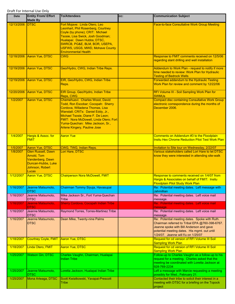| <b>Date</b> | <b>Entity From/ Effort</b><br><b>Made By</b>                                                                          | <b>To/Attendees</b>                                                                                                                                                                                                                                                                                      | CC: | <b>Communication Subject</b>                                                                                                                                                                                                       |
|-------------|-----------------------------------------------------------------------------------------------------------------------|----------------------------------------------------------------------------------------------------------------------------------------------------------------------------------------------------------------------------------------------------------------------------------------------------------|-----|------------------------------------------------------------------------------------------------------------------------------------------------------------------------------------------------------------------------------------|
| 12/13/2006  | <b>IDTSC</b>                                                                                                          | Fort Mojave: Linda Otero, Leo<br>Leonhart, Phil Rosenberg, Courtney<br>Coyle (by phone); CRIT: Michael<br>Tsosie, Lisa Swick, Josh Goodman;<br>Hualapai: Dawn Hubbs; DTSC,<br>SWRCB, PG&E, BLM, BOR, USEPA,<br><b>USFWS, USGS, MWD, Mohave County</b><br><b>Environmental Health</b>                     |     | <b>Face-to-face Consultative Work Group Meeting</b>                                                                                                                                                                                |
| 12/18/2006  | Aaron Yue, DTSC                                                                                                       | <b>CWG</b>                                                                                                                                                                                                                                                                                               |     | Response to FMIT comments received on 12/5/06<br>regarding slant drilling and well installation                                                                                                                                    |
| 12/19/2006  | Aaron Yue, DTSC                                                                                                       | Geo/Hydro, CWG, Indian Tribe Reps.                                                                                                                                                                                                                                                                       |     | Addendum to Work Plan - request to notify if more<br>time needed to review: Work Plan for Hydraulic<br><b>Testing of Bedrock Wells</b>                                                                                             |
| 12/19/2006  | <b>Aaron Yue, DTSC</b>                                                                                                | EIR, Geo/Hydro, CWG, Indian Tribe<br>Reps.                                                                                                                                                                                                                                                               |     | Forwarded addendum to the Hydraulic Testing<br>Work Plan for review and comment by 12/22/06                                                                                                                                        |
| 12/20/2006  | <b>Aaron Yue, DTSC</b>                                                                                                | EIR Group, Geo/Hydro, Indian Tribe<br>Reps, CWG                                                                                                                                                                                                                                                          |     | RFI Volume III - Soil Sampling Work Plan for<br><b>SWMUs</b>                                                                                                                                                                       |
| 1/2/2007    | <b>Aaron Yue, DTSC</b>                                                                                                | Chemehuevi: Charles Wood, David<br>Todd, Ron Escobar; Cocopah: Sherry<br>Cordova, Willadena Thomas, Lisa<br>Wanstall; CRITs: Daniel Eddy, Jr.,<br>Michael Tsosie, Diane F. De Leon;<br>FMIT: Nora McDowell, Linda Otero; Fort<br>Yuma-Quechan: Mike Jackson, Sr.,<br><b>Arlene Kingery, Pauline Jose</b> |     | <b>Compact disc containing Consultative Work Group</b><br>electronic correspondence during the months of<br>December 2006.                                                                                                         |
| 1/4/2007    | Hargis & Assoc. for<br><b>FMIT</b>                                                                                    | <b>Aaron Yue</b>                                                                                                                                                                                                                                                                                         |     | Comments on Addendum #3 to the Floodplain<br><b>Insitu Hex Chrome Reduction Pilot Test Work Plan</b>                                                                                                                               |
| 1/5/2007    | Aaron Yue, DTSC                                                                                                       | CWG, TWG, Indian Reps.                                                                                                                                                                                                                                                                                   |     | Invitation to Site tour on Wednesday, 2/22/07                                                                                                                                                                                      |
| 1/8/2007    | <b>Glen Russell, Dawn</b><br><b>Arnold, Tom</b><br>Vandenberg, Dawn<br>Duncan-Hubbs, Luke<br>Johnson, Robert<br>Lucas | Lori Hare, DTSC                                                                                                                                                                                                                                                                                          |     | Various stakeholders called Lori Hare to let DTSC<br>know they were interested in attending site-walk                                                                                                                              |
| 1/12/2007   | <b>Aaron Yue, DTSC</b>                                                                                                | <b>Chairperson Nora McDowell, FMIT</b>                                                                                                                                                                                                                                                                   |     | Response to comments received on 1/4/07 from<br>Hargis & Associates on behalf of FMIT: Insitu<br><b>Floodplain Pilot Study Work Plan</b>                                                                                           |
| 1/16/2007   | Jeanne Matsumoto,<br>DTSC                                                                                             | Chairman Tommy Siyuja, Havasupai                                                                                                                                                                                                                                                                         |     | Re: Potential meeting dates. Left message with<br>Jahmillian                                                                                                                                                                       |
| 1/16/2007   | Jeanne Matsumoto,<br><b>DTSC</b>                                                                                      | Mike Jackson Sr., Fort Yuma-Quechan<br>Tribe                                                                                                                                                                                                                                                             |     | Re: Potential meeting dates. Left voice mail<br>message.                                                                                                                                                                           |
| 1/16/2007   | Jeanne Matsumoto,<br><b>DTSC</b>                                                                                      | <b>Sherry Cordova, Cocopah Indian Tribe</b>                                                                                                                                                                                                                                                              |     | Re: Potential meeting dates. Left voice mail<br>message.                                                                                                                                                                           |
| 1/16/2007   | Jeanne Matsumoto,<br><b>DTSC</b>                                                                                      | Raymond Torres, Torres-Martinez Tribe                                                                                                                                                                                                                                                                    |     | Re: Potential meeting dates. Left voice mail<br>message.                                                                                                                                                                           |
| 1/16/2007   | Jeanne Matsumoto,<br><b>DTSC</b>                                                                                      | Dean Mike, Twenty-nine Palms                                                                                                                                                                                                                                                                             |     | Re: Potential meeting dates. Spoke with Ruth.<br>Chairman referred to Tribal EPA @760-398-6767.<br>Jeanne spoke with Bill Anderson and gave<br>potential meeting dates. His mgmt. out until<br>1/24/07. Jeanne will f/u on 1/25/07 |
| 1/18/2007   | <b>Courtney Coyle, FMIT</b>                                                                                           | <b>Aaron Yue, DTSC</b>                                                                                                                                                                                                                                                                                   |     | Request for cd version of RFI Volume III Soil<br><b>Sampling Work Plan</b>                                                                                                                                                         |
| 1/18/2007   | Linda Otero, FMIT                                                                                                     | <b>Aaron Yue, DTSC</b>                                                                                                                                                                                                                                                                                   |     | Request for cd version of RFI Volume III Soil<br><b>Sampling Work Plan</b>                                                                                                                                                         |
| 1/25/2007   | <b>Watson Gin, DTSC</b>                                                                                               | Charles Vaughn, Chairman, Hualapai<br>Indian Tribe                                                                                                                                                                                                                                                       |     | Follow-up to Charles Vaughn as a follow-up to his<br>request for a meeting. Charles asked that the<br>meeting be coordinated with Loretta Jackson at<br>928-769-2234                                                               |
| 1/25/2007   | Jeanne Matsumoto,<br><b>DTSC</b>                                                                                      | Loretta Jackson, Hualapai Indian Tribe                                                                                                                                                                                                                                                                   |     | Left a message with Marcie requesting a meeting<br>possibly for Wed., February 21.                                                                                                                                                 |
| 1/25/2007   | Mona Arteaga, DTSC                                                                                                    | Scott Kwiatkowski, Yavapai-Prescott<br>Tribe                                                                                                                                                                                                                                                             |     | Contacted their tribe to solicit their interest in a<br>meeting with DTSC for a briefing on the Topock<br>project                                                                                                                  |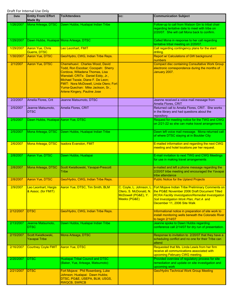| <b>Date</b> | <b>Entity From/ Effort</b><br><b>Made By</b> | <b>To/Attendees</b>                                                                                                                                                                                                                                                                                      | CC:                                                                                                | <b>Communication Subject</b>                                                                                                                                                                                                                    |
|-------------|----------------------------------------------|----------------------------------------------------------------------------------------------------------------------------------------------------------------------------------------------------------------------------------------------------------------------------------------------------------|----------------------------------------------------------------------------------------------------|-------------------------------------------------------------------------------------------------------------------------------------------------------------------------------------------------------------------------------------------------|
| 1/26/2007   | Mona Arteaga, DTSC                           | Dawn Hubbs, Hualapai Indian Tribe                                                                                                                                                                                                                                                                        |                                                                                                    | Follow-up to call from Watson Gin to tribal chair<br>regarding tentative date to meet with tribe on<br>2/20/07. She will call Mona back to confirm.                                                                                             |
| 1/29/2007   | Dawn Hubbs, Hualapai Mona Arteaga, DTSC      |                                                                                                                                                                                                                                                                                                          |                                                                                                    | Called Mona in response to her call regarding<br>tentative tribal meeting on 2/20/07.                                                                                                                                                           |
| 1/29/2007   | Aaron Yue, Chris<br>Guerre, DTSC             | Leo Leonhart, FMIT                                                                                                                                                                                                                                                                                       |                                                                                                    | Call regarding contingency plans for the slant<br>drilling.                                                                                                                                                                                     |
| 1/30/2007   | Aaron Yue, DTSC                              | Geo/Hydro, CWG, Indian Tribe Reps.                                                                                                                                                                                                                                                                       |                                                                                                    | Report w/ Calculations of GW background<br>numbers                                                                                                                                                                                              |
| 2/1/2007    | Aaron Yue, DTSC                              | Chemehuevi: Charles Wood, David<br>Todd, Ron Escobar; Cocopah: Sherry<br>Cordova, Willadena Thomas, Lisa<br>Wanstall; CRITs: Daniel Eddy, Jr.,<br>Michael Tsosie, Diane F. De Leon;<br>FMIT: Nora McDowell, Linda Otero; Fort<br>Yuma-Quechan: Mike Jackson, Sr.,<br><b>Arlene Kingery, Pauline Jose</b> |                                                                                                    | <b>Compact disc containing Consultative Work Group</b><br>electronic correspondence during the months of<br>January 2007.                                                                                                                       |
| 2/2/2007    | Amelia Flores, Crit                          | Jeanne Matsumoto, DTSC                                                                                                                                                                                                                                                                                   |                                                                                                    | Jeanne received a voice mail message from<br>Amelia Flores, CRIT                                                                                                                                                                                |
| 2/5/2007    | Jeanne Matsumoto,<br><b>DTSC</b>             | Amelia Flores, CRIT                                                                                                                                                                                                                                                                                      |                                                                                                    | Returned call to Amelia Flores, CRIT. She works<br>in the library and had questions about the<br>repository.                                                                                                                                    |
| 2/5/2007    | Dawn Hubbs, Hualapai Aaron Yue, DTSC         |                                                                                                                                                                                                                                                                                                          |                                                                                                    | Request for meeting notice for the TWG and CWG<br>on 2/21-22 so she can make travel arrangements                                                                                                                                                |
| 2/5/2007    | Mona Arteaga, DTSC                           | Dawn Hubbs, Hualapai Indian Tribe                                                                                                                                                                                                                                                                        |                                                                                                    | Dawn left voice mail message. Mona returned call<br>of where DTSC staying at in Boulder City                                                                                                                                                    |
| 2/6/2007    | Mona Arteaga, DTSC                           | <b>Isadora Evanston, FMIT</b>                                                                                                                                                                                                                                                                            |                                                                                                    | E-mailed information and regarding the next CWG<br>meeting and hotel locations per her request.                                                                                                                                                 |
| 2/8/2007    | Aaron Yue, DTSC                              | Dawn Hubbs, Hualapai                                                                                                                                                                                                                                                                                     |                                                                                                    | E-mail invitation to next TWG and CWG Meetings<br>for use in making travel arrangements                                                                                                                                                         |
| 2/8/2007    | Mona Arteaga, DTSC                           | Scott Kwiatkowski, Yavapai-Prescott<br>Tribe                                                                                                                                                                                                                                                             |                                                                                                    | e-mailed and left a phone message regarding the<br>2/20/07 tribe meeting and encouraged the Yavapai<br>tribe attendance                                                                                                                         |
| 2/8/2007    | Aaron Yue, DTSC                              | Geo/Hydro, CWG, Indian Tribe Reps.                                                                                                                                                                                                                                                                       |                                                                                                    | <b>Public Notice for the Upland Projects</b>                                                                                                                                                                                                    |
| 2/9/2007    | Leo Leonhart, Hargis<br>& Assoc. (for FMIT)  | <b>Aaron Yue, DTSC, Tim Smith, BLM</b>                                                                                                                                                                                                                                                                   | <u>C. Coyle, L. Johnson, L.  </u><br>Otero, S. McDonald, N.<br>McDowell (PG&E), Y.<br>Meeks (PG&E) | <b>Fort Mojave Indian Tribe Preliminary Comments on</b><br>the PG&E November 2006 Draft Document Titled<br><b>RCRA Facility Investigation/Remedial Investigation</b><br>Soil Investigation Work Plan, Part A and<br>December 11, 2006 Site Walk |
| 2/12/2007   | <b>DTSC</b>                                  | Geo/Hydro, CWG, Indian Tribe Reps.                                                                                                                                                                                                                                                                       |                                                                                                    | Informational notice in preparation of site work to<br>install monitoring wells beneath the Colorado River<br>to begin 2/14/07                                                                                                                  |
| 2/13/2007   | Jeanne Matsumoto,<br>DTSC                    | Dawn Hubbs, Hualapai Indian Tribe                                                                                                                                                                                                                                                                        |                                                                                                    | Jeanne spoke to Dawn Hubbs regarding<br>conference call 2/14/07 for dry run of presentation.                                                                                                                                                    |
| 2/15/2007   | Scott Kwiatkowski,<br><b>Yavapai Tribe</b>   | Mona Arteaga, DTSC                                                                                                                                                                                                                                                                                       |                                                                                                    | Response to invitation to 2/20/07 that they have a<br>scheduling conflict and no one for their Tribe can<br>attend                                                                                                                              |
| 2/16/2007   | <b>Courtney Coyle FMIT</b>                   | <b>Aaron Yue, DTSC</b>                                                                                                                                                                                                                                                                                   |                                                                                                    | Requested that Ms. Linda Lewis from her firm<br>receive all communications associated with<br>upcoming February CWG meeting.                                                                                                                    |
| 2/20/2007   | <b>DTSC</b>                                  | <b>Hualapai Tribal Council and DTSC</b>                                                                                                                                                                                                                                                                  |                                                                                                    | Provided overview of regulatory process for site                                                                                                                                                                                                |
|             |                                              | (Baker, Yue, Arteaga, Matsumoto)                                                                                                                                                                                                                                                                         |                                                                                                    | remediation and update on site investigation and<br>upcoming work                                                                                                                                                                               |
| 2/21/2007   | <b>DTSC</b>                                  | Fort Mojave: Phil Rosenberg, Luke<br>Johnson; Hualapai: Dawn Hubbs;<br>DTSC, PG&E, USEPA, BLM, USGS,<br><b>RWQCB, SWRCB</b>                                                                                                                                                                              |                                                                                                    | <b>Geo/Hydro Technical Work Group Meeting</b>                                                                                                                                                                                                   |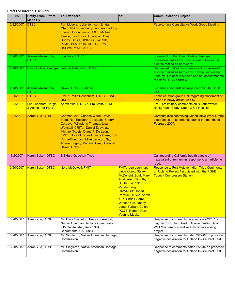| Date      | <b>Entity From/ Effort</b><br><b>Made By</b> | <b>To/Attendees</b>                                                                                                                                                                                                                                                                                                               | CC:                                                                                                                                                                                                                                                                                                                 | <b>Communication Subject</b>                                                                                                                                                  |
|-----------|----------------------------------------------|-----------------------------------------------------------------------------------------------------------------------------------------------------------------------------------------------------------------------------------------------------------------------------------------------------------------------------------|---------------------------------------------------------------------------------------------------------------------------------------------------------------------------------------------------------------------------------------------------------------------------------------------------------------------|-------------------------------------------------------------------------------------------------------------------------------------------------------------------------------|
| 2/22/2007 | <b>DTSC</b>                                  | Fort Mojave: Luke Johnson, Linda<br>Otero, Phil Rosenberg, Leo Leonhart (by<br>phone), Linda Lewis; CRIT: Michael<br>Tsosie, Lisa Swick; Hualapai: Dawn<br>Hubbs; DTSC, RWQCB, SWRCB,<br>PG&E, BLM, BOR, DOI, USEPA,<br><b>USFWS, MWD, ADEQ</b>                                                                                   |                                                                                                                                                                                                                                                                                                                     | Face-to-face Consultative Work Group Meeting                                                                                                                                  |
| 2/26/2007 | Jeanne Matsumoto,<br><b>DTSC</b>             | Lori Hare, DTSC                                                                                                                                                                                                                                                                                                                   |                                                                                                                                                                                                                                                                                                                     | Informed Lori that Dawn Hubbs, Hualapai,<br>requested that all documents sent out as e-mail<br>also be mailed as hard copy.                                                   |
| 2/26/2007 |                                              | Dawn Hubbs, Hualapai Jeanne Matsumoto, DTSC                                                                                                                                                                                                                                                                                       |                                                                                                                                                                                                                                                                                                                     | Requested that all documents sent out as email<br>also be mailed as hard copy. Computer system<br>used by Hualapai is old and can not accommodate<br>the docs DTSC sends out. |
| 2/28/2007 | Jeanne Matsumoto,<br><b>DTSC</b>             | Dawn Hubbs, Hualapai                                                                                                                                                                                                                                                                                                              |                                                                                                                                                                                                                                                                                                                     | E-mailed comments file regarding 2/20/07 DTSC<br>visit.                                                                                                                       |
| 3/1/2007  | <b>DTSC</b>                                  | FMIT: Philip Rosenberg; DTSC, PG&E,<br><b>USGS</b>                                                                                                                                                                                                                                                                                |                                                                                                                                                                                                                                                                                                                     | <b>Technical Workgroup Call regarding placement of</b><br>screen in newly drilled MW-52.                                                                                      |
| 3/2/2007  | Leo Leonhart, Hargis<br>& Assoc. (for FMIT)  | Aaron Yue, DTSC & Tim Smith, BLM                                                                                                                                                                                                                                                                                                  |                                                                                                                                                                                                                                                                                                                     | <b>FMIT preliminary comments on "Groundwater</b><br>Background Study, Steps 3 & 4 Results"                                                                                    |
| 3/2/2007  | <b>Aaron Yue, DTSC</b>                       | Chemehuevi: Charles Wood, David<br>Todd, Ron Escobar; Cocopah: Sherry<br>Cordova, Willadena Thomas, Lisa<br>Wanstall; CRITs: Daniel Eddy, Jr.,<br>Michael Tsosie, Diane F. De Leon;<br>FMIT: Nora McDowell, Linda Otero; Fort<br>Yuma-Quechan: Mike Jackson, Sr.,<br>Arlene Kingery, Pauline Jose; Hualapai:<br><b>Dawn Hubbs</b> |                                                                                                                                                                                                                                                                                                                     | <b>Compact disc containing Consultative Work Group</b><br>electronic correspondence during the months of<br>February 2007.                                                    |
| 3/2/2007  | Karen Baker, DTSC                            | Bill Hurt, Quechan Tribe                                                                                                                                                                                                                                                                                                          |                                                                                                                                                                                                                                                                                                                     | Call regarding California health effects of<br>hexavalent chromium in response to an article he<br>read.                                                                      |
| 3/20/2007 | Karen Baker, DTSC                            | Nora McDowell, FMIT                                                                                                                                                                                                                                                                                                               | <b>FMIT: Leo Leonhart,</b><br>Linda Otero, Steven<br>McDonald; BLM: Mary<br>Adelzadeh, Timothy Z.<br>Smith; SWRCB: Tom<br>Vandenberg;<br><b>CRWQCB: Robert</b><br>Perdue; DTSC: Aaron<br><b>Yue, Chris Guerre,</b><br><b>Watson Gin, Nancy</b><br>Long, Barbara Coler;<br>PG&E: Robert Doss,<br><b>Yvonne Meeks</b> | <b>Response to Fort Mojave Indian Tribe Comments</b><br>on Upland Project Associated with the PG&E<br><b>Topock Compressor Station</b>                                        |
| 3/20/2007 | Aaron Yue, DTSC                              | Mr. Dave Singleton, Program Analyst,<br>Native American Heritage Commission,<br>915 Capital Mall, Room 364,<br>Sacramento, CA 95814                                                                                                                                                                                               |                                                                                                                                                                                                                                                                                                                     | Response to comments received on 2/22/07 on<br>neg dec for Upland Insitu, Aquifer Testing, GW<br>Well Maintenance and well decommissioning<br>project                         |
| 3/20/2007 | Aaron Yue, DTSC                              | Mr. Singleton, Native American Heritage<br>Commission                                                                                                                                                                                                                                                                             |                                                                                                                                                                                                                                                                                                                     | Response to comments dated 2/22/07on proposed<br>negative declaration for Upland In-Situ Pilot Test                                                                           |
| 3/20/2007 | Aaron Yue, DTSC                              | Mr. Singleton, Native American Heritage<br>Commission                                                                                                                                                                                                                                                                             |                                                                                                                                                                                                                                                                                                                     | Response to comments dated 2/22/07on proposed<br>negative declaration for Upland In-Situ Pilot Test                                                                           |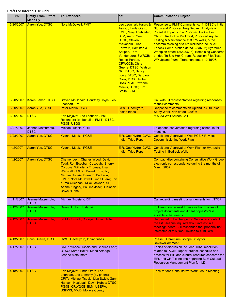| <b>Date</b> | <b>Entity From/ Effort</b><br><b>Made By</b> | <b>To/Attendees</b>                                                                                                                                                                                                                                                                                                                | cc:                                                                                                                                                                                                                                                                                                                                                                                                              | <b>Communication Subject</b>                                                                                                                                                                                                                                                                                                                                                                                                                                                                    |
|-------------|----------------------------------------------|------------------------------------------------------------------------------------------------------------------------------------------------------------------------------------------------------------------------------------------------------------------------------------------------------------------------------------|------------------------------------------------------------------------------------------------------------------------------------------------------------------------------------------------------------------------------------------------------------------------------------------------------------------------------------------------------------------------------------------------------------------|-------------------------------------------------------------------------------------------------------------------------------------------------------------------------------------------------------------------------------------------------------------------------------------------------------------------------------------------------------------------------------------------------------------------------------------------------------------------------------------------------|
| 3/20/2007   | <b>Aaron Yue, DTSC</b>                       | Nora McDowell, FMIT                                                                                                                                                                                                                                                                                                                | Leo Leonhart, Hargis &<br>Assoc.; Linda Otero,<br><b>FMIT, Mary Adelzadeh</b><br><b>BLM, Aaron Yue,</b><br><b>DTSC, Steven</b><br>McDonald, Luce,<br>Forward, Hamilton &<br>Scripps, Tom<br>Vandenberg, SWRCB;<br><b>Robert Perdue,</b><br><b>CRWQCB</b> ; Chris<br>Guerre, DTSC, Watson<br>Gin, DTSC, Nancy<br>Long, DTSC, Barbara<br>Coler, DTSC; Robert<br>Doss PG&E Yvonne<br>Meeks, DTSC; Tim<br>Smith, BLM | Response to FMIT Comments to: 1) DTSC's Initial<br>Study and Proposed Neg Dec re: Analysis of<br>Potential Impacts to a Proposed In-Situ Hex<br>Chrom. Reduction Pilot Test, Proposed Aquifer<br>Testing & Maintenance at 3 GW wells, & the<br>decommissioning of a 4th well near the PG&E<br>Topock Comp. station dated 3/8/07; 2) Hydraulic<br>Workplan dated 12/22/06; 3) Remaining Concerns<br>on doc "In Situ Hex Chrom. Reduction Pilot Test<br>WP Upland Plume Treatment dated 12/15/06. |
| 3/20/2007   | Karen Baker, DTSC                            | Steven McDonald, Courtney Coyle, Leo<br>Leonhart, FMIT                                                                                                                                                                                                                                                                             |                                                                                                                                                                                                                                                                                                                                                                                                                  | Call with Fit representatives regarding responses<br>to their comments.                                                                                                                                                                                                                                                                                                                                                                                                                         |
| 3/20/2007   | <b>Aaron Yue, DTSC</b>                       | <b>Peter Martin, USGS</b>                                                                                                                                                                                                                                                                                                          | CWG, Geo/Hydro,<br><b>Indian tribes</b>                                                                                                                                                                                                                                                                                                                                                                          | Response to comments on Upland In-Situ Pilot<br>Study Work Plan dated 9/29/06                                                                                                                                                                                                                                                                                                                                                                                                                   |
| 3/26/2007   | <b>DTSC</b>                                  | Fort Mojave: Leo Leonhart, Phil<br>Rosenberg (on behalf of FMIT), DTSC,<br>PG&E, USGS                                                                                                                                                                                                                                              |                                                                                                                                                                                                                                                                                                                                                                                                                  | <b>MW-53 Well Screen Call</b>                                                                                                                                                                                                                                                                                                                                                                                                                                                                   |
| 3/27/2007   | Jeanne Matsumoto,<br><b>DTSC</b>             | Michael Tsosie, CRIT                                                                                                                                                                                                                                                                                                               |                                                                                                                                                                                                                                                                                                                                                                                                                  | Telephone conversation regarding schedule for<br>meeting.                                                                                                                                                                                                                                                                                                                                                                                                                                       |
| 3/28/2007   | Aaron Yue, DTSC                              | <b>Yvonne Meeks, PG&amp;E</b>                                                                                                                                                                                                                                                                                                      | EIR, Geo/Hydro, CWG,<br>Indian Tribe Reps.                                                                                                                                                                                                                                                                                                                                                                       | <b>Conditional Approval of Well PGE-6 Revised</b><br><b>Decommissioning Work Plan</b>                                                                                                                                                                                                                                                                                                                                                                                                           |
| 4/2/2007    | <b>Aaron Yue, DTSC</b>                       | <b>Yvonne Meeks, PG&amp;E</b>                                                                                                                                                                                                                                                                                                      | EIR, Geo/Hydro, CWG,<br>Indian Tribe Reps.                                                                                                                                                                                                                                                                                                                                                                       | <b>Conditional Approval of Work Plan for Hydraulic</b><br><b>Testing in Bedrock Wells</b>                                                                                                                                                                                                                                                                                                                                                                                                       |
| 4/2/2007    | <b>Aaron Yue, DTSC</b>                       | Chemehuevi: Charles Wood, David<br>Todd, Ron Escobar; Cocopah: Sherry<br>Cordova, Willadena Thomas, Lisa<br>Wanstall; CRITs: Daniel Eddy, Jr.,<br>Michael Tsosie, Diane F. De Leon;<br>FMIT: Nora McDowell, Linda Otero; Fort<br>Yuma-Quechan: Mike Jackson, Sr.,<br><u> Arlene Kingery, Pauline Jose; Hualapai:</u><br>Dawn Hubbs |                                                                                                                                                                                                                                                                                                                                                                                                                  | <b>Compact disc containing Consultative Work Group</b><br>electronic correspondence during the months of<br>March 2007.                                                                                                                                                                                                                                                                                                                                                                         |
| 4/11/2007   | Jeanne Matsumoto,<br><b>DTSC</b>             | Michael Tsosie, CRIT                                                                                                                                                                                                                                                                                                               |                                                                                                                                                                                                                                                                                                                                                                                                                  | Call regarding meeting arrangements for 4/17/07.                                                                                                                                                                                                                                                                                                                                                                                                                                                |
| 4/12/2007   | Jeanne Matsumoto,<br><b>DTSC</b>             | Dawn Hubbs, Hualapai                                                                                                                                                                                                                                                                                                               |                                                                                                                                                                                                                                                                                                                                                                                                                  | Follow-up on request to receive hard copies of<br>project documents and if hard copies/cd's is<br>suitable to her needs.                                                                                                                                                                                                                                                                                                                                                                        |
| 4/12/2007   | Jeanne Matsumoto,<br><b>DTSC</b>             | Jill McCormick, Cocopah Indian Tribe                                                                                                                                                                                                                                                                                               |                                                                                                                                                                                                                                                                                                                                                                                                                  | Requested to be changed to Secondary contact on<br>the list. Jeanne inquired about interest in a<br>meeting/update. Jill responded that probably not<br>interested at this time. Invited to 4/18 CWG.                                                                                                                                                                                                                                                                                           |
| 4/13/2007   | <b>Chris Guerre, DTSC</b>                    | CWG, Geo/Hydro, Indian tribes                                                                                                                                                                                                                                                                                                      |                                                                                                                                                                                                                                                                                                                                                                                                                  | Phase II Chromium Isotope Study for<br><b>Review/Comment</b>                                                                                                                                                                                                                                                                                                                                                                                                                                    |
| 4/17/2007   | <b>DTSC</b>                                  | <b>CRIT: Michael Tsosie and Charles Land:</b><br>DTSC: Karen Baker, Mona Arteaga,<br>Jeanne Matsumoto                                                                                                                                                                                                                              |                                                                                                                                                                                                                                                                                                                                                                                                                  | Topics of discussion included Tribal resolution<br>related to PG&E Topock project, schedule and<br>process for EIR and cultural resource concerns for<br>EIR, and CRIT concerns regarding BLM Cultural<br>Resources Management Plan for IM3.                                                                                                                                                                                                                                                    |
| 4/18/2007   | <b>DTSC</b>                                  | Fort Mojave: Linda Otero, Leo<br>Leonhart, Leo Lemarky (by phone);<br><b>CRIT: Michael Tsosie, Lisa Swick, Gary</b><br>Hansen; Hualapai: Dawn Hubbs; DTSC,<br>PG&E, CRWQCB, BLM, USEPA,<br><b>USFWS, MWD, Mojave County</b>                                                                                                        |                                                                                                                                                                                                                                                                                                                                                                                                                  | <b>Face-to-face Consultative Work Group Meeting</b>                                                                                                                                                                                                                                                                                                                                                                                                                                             |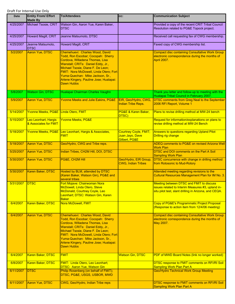| Date      | <b>Entity From/ Effort</b><br><b>Made By</b>  | <b>To/Attendees</b>                                                                                                                                                                                                                                                                                                        | CC:                                                       | <b>Communication Subject</b>                                                                                                                           |
|-----------|-----------------------------------------------|----------------------------------------------------------------------------------------------------------------------------------------------------------------------------------------------------------------------------------------------------------------------------------------------------------------------------|-----------------------------------------------------------|--------------------------------------------------------------------------------------------------------------------------------------------------------|
| 4/25/2007 | Michael Tsosie, CRIT                          | Watson Gin, Aaron Yue, Karen Baker,<br><b>DTSC</b>                                                                                                                                                                                                                                                                         |                                                           | Provided a copy of the recent CRIT Tribal Council<br>Resolution related to PG&E Topock project.                                                        |
| 4/25/2007 | Howard Magill, CRIT                           | Jeanne Matsumoto, DTSC                                                                                                                                                                                                                                                                                                     |                                                           | Received call requesting fax of CWG membership.                                                                                                        |
| 4/25/2007 | Jeanne Matsumoto,<br>DTSC                     | Howard Magill, CRIT                                                                                                                                                                                                                                                                                                        |                                                           | Faxed copy of CWG membership list.                                                                                                                     |
| 5/2/2007  | <b>Aaron Yue, DTSC</b>                        | Chemehuevi: Charles Wood, David<br>Todd, Ron Escobar; Cocopah: Sherry<br>Cordova, Willadena Thomas, Lisa<br>Wanstall; CRITs: Daniel Eddy, Jr.,<br>Michael Tsosie, Diane F. De Leon;<br>FMIT: Nora McDowell, Linda Otero; Fort<br>Yuma-Quechan: Mike Jackson, Sr.,<br>Arlene Kingery, Pauline Jose; Hualapai:<br>Dawn Hubbs |                                                           | <b>Compact disc containing Consultative Work Group</b><br>electronic correspondence during the months of<br><b>April 2007.</b>                         |
| 5/8/2007  | <b>Watson Gin, DTSC</b>                       | Hualapai Chairman Charles Vaughn                                                                                                                                                                                                                                                                                           |                                                           | Thank you letter and follow-up to meeting with the<br>Hualapai Tribal Council in February 2007.                                                        |
| 5/9/2007  | Aaron Yue, DTSC                               | <b>Yvonne Meeks and Julie Eakins, PG&amp;E</b>                                                                                                                                                                                                                                                                             | EIR, Geo/Hydro, CWG,<br><b>Indian Tribe Reps.</b>         | <b>DTSC comments from Greg Neal to the September</b><br>2006 RFI Report, Volume 1                                                                      |
| 5/14/2007 | Yvonne Meeks, PG&E Linda Otero, FMIT          |                                                                                                                                                                                                                                                                                                                            | PG&E & Karen Baker,<br>DTSC)                              | Plans to revise drilling method at MW-24 bench                                                                                                         |
| 5/15/2007 | Leo Leonhart, Hargis<br>& Associates for FMIT | <b>Yvonne Meeks, PG&amp;E</b>                                                                                                                                                                                                                                                                                              |                                                           | Request for information/explanations on plans to<br>revise drilling method at MW-24 Bench                                                              |
| 5/18/2007 |                                               | Yvonne Meeks, PG&E Leo Leonhart, Hargis & Associates,<br><b>FMIT</b>                                                                                                                                                                                                                                                       | Courtney Coyle, FMIT;<br>Juan Jayo, Dave<br>Gilbert, PG&E | Answers to questions regarding Upland Pilot<br><b>Drilling rig change</b>                                                                              |
| 5/18/2007 | Aaron Yue, DTSC                               | Geo/Hydro, CWG and Tribe reps.                                                                                                                                                                                                                                                                                             |                                                           | ADEQ comments to PG&E on revised Arizona Well<br><b>Work Plan</b>                                                                                      |
| 5/25/2007 | Aaron Yue, DTSC                               | Indian Tribes, CH2M Hill, DOI, DTSC                                                                                                                                                                                                                                                                                        |                                                           | DTSC and DOI comments on the Part A Soil<br><b>Sampling Work Plan</b>                                                                                  |
| 5/30/2007 | Aaron Yue, DTSC                               | PG&E, CH2M Hill                                                                                                                                                                                                                                                                                                            | Geo/Hydro, EIR Group,<br><b>CWG, Indian Tribes</b>        | DTSC concurrence with change in drilling method<br>from Rotosonic to Mud-Rotory                                                                        |
| 5/30/2007 | Karen Baker, DTSC                             | Hosted by BLM, attended by DTSC<br>(Karen Baker, Watson Gin), PG&E and<br>several tribes                                                                                                                                                                                                                                   |                                                           | Attended meeting regarding revisions to the<br>Cultural Resources Management Plan for IM No. 3.                                                        |
| 5/31/2007 | <b>IDTSC</b>                                  | Fort Mojave: Chairwoman Nora<br>McDowell, Linda Otero, Steve<br>McDonald, Courtney Coyle, Leo<br>Leonhart; DTSC: Watson Gin, Karen<br><b>Baker</b>                                                                                                                                                                         |                                                           | Meeting between DTSC and FMIT to discuss<br>issues related to Interim Measures #3, upland in-<br>situ pilot test, slant drilling in Arizona, and CEQA. |
| 6/4/2007  | Karen Baker, DTSC                             | Nora McDowell, FMIT                                                                                                                                                                                                                                                                                                        |                                                           | Copy of PG&E's Programmatic Project Proposal<br>(Response to action item from 12/4/06 meeting)                                                         |
| 6/4/2007  | Aaron Yue, DTSC                               | Chemehuevi: Charles Wood, David<br>Todd, Ron Escobar; Cocopah: Sherry<br>Cordova, Willadena Thomas, Lisa<br>Wanstall; CRITs: Daniel Eddy, Jr.,<br>Michael Tsosie, Diane F. De Leon;<br>FMIT: Nora McDowell, Linda Otero; Fort<br>Yuma-Quechan: Mike Jackson, Sr.,<br>Arlene Kingery, Pauline Jose; Hualapai:<br>Dawn Hubbs |                                                           | <b>Compact disc containing Consultative Work Group</b><br>electronic correspondence during the months of<br>May 2007.                                  |
| 6/4/2007  | Karen Baker, DTSC                             | <b>FMIT</b>                                                                                                                                                                                                                                                                                                                | <b>Watson Gin, DTSC</b>                                   | PDF of MWD Board Notes (link no longer worked)                                                                                                         |
| 6/8/2007  | Karen Baker, DTSC                             | <b>FMIT: Linda Otero, Leo Leonhart;</b><br><b>DTSC: Aaron Yue, Watson Gin</b>                                                                                                                                                                                                                                              |                                                           | DTSC response to FMIT comments on RFI/RI Soil<br><b>Sampling Work Plan Part A</b>                                                                      |
| 6/11/2007 | <b>DTSC</b>                                   | Philip Rosenberg (on behalf of FMIT);<br>DTSC, PG&E, USGS, USBOR, MWD                                                                                                                                                                                                                                                      |                                                           | <b>Geo/Hydro Technical Work Group Meeting</b>                                                                                                          |
| 6/11/2007 | Aaron Yue, DTSC                               | CWG, Geo/Hydro, Indian Tribe reps                                                                                                                                                                                                                                                                                          |                                                           | DTSC response to FMIT comments on RFI/RI Soil<br><b>Sampling Work Plan Part A</b>                                                                      |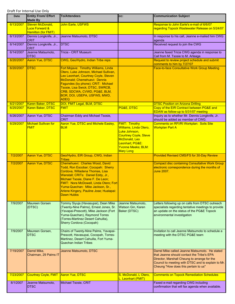| Date      | <b>Entity From/ Effort</b><br><b>Made By</b>                         | <b>To/Attendees</b>                                                                                                                                                                                                                                                                                                        | CC:                                                                                                                                                                                  | <b>Communication Subject</b>                                                                                                                                                                                                               |
|-----------|----------------------------------------------------------------------|----------------------------------------------------------------------------------------------------------------------------------------------------------------------------------------------------------------------------------------------------------------------------------------------------------------------------|--------------------------------------------------------------------------------------------------------------------------------------------------------------------------------------|--------------------------------------------------------------------------------------------------------------------------------------------------------------------------------------------------------------------------------------------|
| 6/13/2007 | Steven McDonald,<br><b>Luce Forward &amp;</b><br>Hamilton (for FMIT) | John Earle, USFWS                                                                                                                                                                                                                                                                                                          |                                                                                                                                                                                      | Response to John Earle's e-mail of 6/6/07<br>regarding Topock Wastewater Release on 5/24/07                                                                                                                                                |
| 6/13/2007 | Dennis Longknife, Jr.,<br><b>CRIT</b>                                | Jeanne Matsumoto, DTSC                                                                                                                                                                                                                                                                                                     |                                                                                                                                                                                      | In response to his call, Jeanne e-mailed him CWG<br>agenda                                                                                                                                                                                 |
| 6/14/2007 | Dennis Longknife, Jr.,<br><b>CRIT</b>                                | <b>DTSC</b>                                                                                                                                                                                                                                                                                                                |                                                                                                                                                                                      | Received request to join the CWG                                                                                                                                                                                                           |
| 6/14/2007 | Jeanne Matsumoto,<br><b>DTSC</b>                                     | Tricia - CRIT Museum                                                                                                                                                                                                                                                                                                       |                                                                                                                                                                                      | Jeanne faxed Tricia CWG agenda in response to<br>Call from M. Tsosie to M. Arteaga                                                                                                                                                         |
| 6/20/2007 | <b>Aaron Yue, DTSC</b>                                               | CWG, Geo/Hydro, Indian Tribe reps                                                                                                                                                                                                                                                                                          |                                                                                                                                                                                      | Request to review project schedule and submit<br>comments to him by 7/27/07                                                                                                                                                                |
| 6/20/2007 | <b>DTSC</b>                                                          | Fort Mojave: Timothy Williams, Linda<br>Otero, Luke Johnson, Michael Sullivan,<br>Leo Leonhart, Courtney Coyle, Steven<br>McDonald; Chemehuevi: Dennis<br>Fagundes (by phone); CRIT: Michael<br>Tsosie, Lisa Swick; DTSC, SWRCB,<br>CRB, SDCWA, CVWD, PG&E, BLM,<br>BOR, DOI, USEPA, USFWS, MWD,<br><b>ADEQ</b>            |                                                                                                                                                                                      | <b>Face-to-face Consultative Work Group Meeting</b>                                                                                                                                                                                        |
| 6/21/2007 | Karen Baker, DTSC                                                    | DOI, FMIT Legal, BLM, DTSC                                                                                                                                                                                                                                                                                                 |                                                                                                                                                                                      | <b>DTSC Position on Arizona Drilling</b>                                                                                                                                                                                                   |
| 6/25/2007 | Karen Baker, DTSC                                                    | <b>FMIT</b>                                                                                                                                                                                                                                                                                                                | PG&E, DTSC                                                                                                                                                                           | Copy of the EIR Contract between PG&E and<br>EDAW as follow-up to 5/31/07 meeting                                                                                                                                                          |
| 6/26/2007 | Aaron Yue, DTSC                                                      | Chairman Eddy and Michael Tsosie,<br>CRIT                                                                                                                                                                                                                                                                                  |                                                                                                                                                                                      | Inquiry as to whether Mr. Dennis Longknife, Jr.<br>should be added as member of CWG.                                                                                                                                                       |
| 6/29/2007 | <b>Michael Sullivan for</b><br><u>FMIT</u>                           | <b>Aaron Yue, DTSC and Michele Easley,</b><br><b>BLM</b>                                                                                                                                                                                                                                                                   | <b>FMIT: Timothy</b><br><b>Williams, Linda Otero,</b><br>Luke Johnson,<br><b>Courtney Coyle, Steve</b><br>McDonald, Leo<br>Leonhart; PG&E:<br>Yvonne Meeks; BLM:<br><b>Mary Long</b> | Comments on RFI/RI Workplan: Soils Site<br><b>Workplan Part A</b>                                                                                                                                                                          |
| 7/2/2007  | <b>Aaron Yue, DTSC</b>                                               | Geo/Hydro, EIR Group, CWG, Indian<br><b>Tribes</b>                                                                                                                                                                                                                                                                         |                                                                                                                                                                                      | Provided Revised CMS/FS for 30-Day Review                                                                                                                                                                                                  |
| 7/2/2007  | <b>Aaron Yue, DTSC</b>                                               | Chemehuevi: Charles Wood, David<br>Todd, Ron Escobar; Cocopah: Sherry<br>Cordova, Willadena Thomas, Lisa<br>Wanstall; CRITs: Daniel Eddy, Jr.,<br>Michael Tsosie, Diane F. De Leon;<br>FMIT: Nora McDowell, Linda Otero; Fort<br>Yuma-Quechan: Mike Jackson, Sr.,<br>Arlene Kingery, Pauline Jose; Hualapai:<br>Dawn Hubbs |                                                                                                                                                                                      | <b>Compact disc containing Consultative Work Group</b><br>electronic correspondence during the months of<br>June 2007.                                                                                                                     |
| 7/9/2007  | <b>Maureen Gorsen</b><br>(DTSC)                                      | Tommy Siyuja (Havasupai), Dean Mike<br>(Twenty-Nine Palms), Ernest Jones, Sr.<br>(Yavapai-Prescott), Mike Jackson (Fort<br>Yuma-Quechan), Raymond Torres<br>(Torres-Martinez Desert Cahuilla),<br>Sherry Cordova (Cocopah)                                                                                                 | Jeanne Matsumoto,<br>Watson Gin, Karen<br>Baker (DTSC)                                                                                                                               | Letters following up on calls from DTSC outreach<br>specialists regarding tentative meetings to provide<br>an update on the status of the PG&E Topock<br>environmental investigation                                                       |
| 7/9/2007  | Maureen Gorsen,<br><b>DTSC</b>                                       | Chairs of Twenty-Nine Palms, Yavapai-<br>Prescott, Havasupai, Cocopah, Torres-<br>Martinez, Desert Cahuilla, Fort Yuma-<br><b>Quechan Indian Tribes</b>                                                                                                                                                                    |                                                                                                                                                                                      | Invitation to call Jeanne Matsumoto to schedule a<br>meeting with the DTSC PG&E team                                                                                                                                                       |
| 7/19/2007 | Darrel Mike,<br>Chairman, 29 Palms IT                                | Jeanne Matsumoto, DTSC                                                                                                                                                                                                                                                                                                     |                                                                                                                                                                                      | Darrel Mike called Jeanne Matsumoto. He stated<br>that Jeanne should contact the Tribe's EPA<br>Director, Marshall Cheung to arrange for the<br>Council to meeting with DTSC and to explain to Mr.<br>Cheung "How does this pertain to us" |
| 7/23/2007 | <b>Courtney Coyle, FMIT</b>                                          | Aaron Yue, DTSC                                                                                                                                                                                                                                                                                                            | S. McDonald, L Otero,<br>L. Leonhart (FMIT)                                                                                                                                          | <b>Comments on Topock Remediation Schedules</b>                                                                                                                                                                                            |
| 8/1/2007  | Jeanne Matsumoto,<br><b>DTSC</b>                                     | Michael Tsosie, CRIT                                                                                                                                                                                                                                                                                                       |                                                                                                                                                                                      | Faxed e-mail regarding CWG including<br>confirmation that will fax agenda when available.                                                                                                                                                  |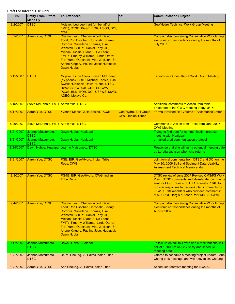| <b>Date</b> | <b>Entity From/ Effort</b><br><b>Made By</b> | <b>To/Attendees</b>                                                                                                                                                                                                                                                                                                                  | CC:                                                | <b>Communication Subject</b>                                                                                                                                                                                                                                                                |
|-------------|----------------------------------------------|--------------------------------------------------------------------------------------------------------------------------------------------------------------------------------------------------------------------------------------------------------------------------------------------------------------------------------------|----------------------------------------------------|---------------------------------------------------------------------------------------------------------------------------------------------------------------------------------------------------------------------------------------------------------------------------------------------|
| 8/2/2007    | <b>DTSC</b>                                  | Mojave: Leo Leonhart (on behalf of<br>FMIT); DTSC, PG&E, BOR, USGS, DOI,<br><b>MWD</b>                                                                                                                                                                                                                                               |                                                    | <b>Geo/Hydro Technical Work Group Meeting</b>                                                                                                                                                                                                                                               |
| 8/2/2007    | <b>Aaron Yue, DTSC</b>                       | Chemehuevi: Charles Wood, David<br>Todd, Ron Escobar; Cocopah: Sherry<br>Cordova, Willadena Thomas, Lisa<br>Wanstall; CRITs: Daniel Eddy, Jr.,<br>Michael Tsosie, Diane F. De Leon;<br>FMIT: Timothy Williams, Linda Otero;<br>Fort Yuma-Quechan: Mike Jackson, Sr.,<br>Arlene Kingery, Pauline Jose; Hualapai:<br>Dawn Hubbs        |                                                    | <b>Compact disc containing Consultative Work Group</b><br>electronic correspondence during the months of<br><b>July 2007.</b>                                                                                                                                                               |
| 8/15/2007   | <b>DTSC</b>                                  | Mojave: Linda Otero, Steven McDonald<br>(by phone); CRIT: Michael Tsosie, Lisa<br>Swick; Hualapai: Dawn Hubbs; DTSC,<br>RWQCB, SWRCB, CRB, SDCWA,<br>PG&E, BLM, BOR, DOI, USFWS, MWD,<br>ADEQ, Mojave Co.                                                                                                                            |                                                    | Face-to-face Consultative Work Group Meeting                                                                                                                                                                                                                                                |
| 8/15/2007   | Steve McDonald, FMIT Aaron Yue, DTSC         |                                                                                                                                                                                                                                                                                                                                      |                                                    | <b>Additional comments to Action Item table</b><br>presented at the CWG meeting today, 8/15.                                                                                                                                                                                                |
| 8/17/2007   | Aaron Yue, DTSC                              | Yvonne Meeks, Julie Eakins, PG&E                                                                                                                                                                                                                                                                                                     | Geo/Hydro, EIR Group,<br><b>CWG. Indian Tribes</b> | Formal Revised RFI Volume 1 Acceptance Letter                                                                                                                                                                                                                                               |
| 8/20/2007   | Steve McDonald, FMIT Aaron Yue, DTSC         |                                                                                                                                                                                                                                                                                                                                      |                                                    | Comments to Action Item Table from June 2007<br><b>CWG Meeting</b>                                                                                                                                                                                                                          |
| 8/21/2007   | Jeanne Matsumoto,<br><b>DTSC</b>             | Dawn Hubbs, Hualapai                                                                                                                                                                                                                                                                                                                 |                                                    | Trying to find date for communication protocol<br>meeting with Hualapai                                                                                                                                                                                                                     |
| 8/21/2007   | Jeanne Matsumoto,<br><b>DTSC</b>             | Dawn Hubbs, Hualapai                                                                                                                                                                                                                                                                                                                 |                                                    | e-mailed draft communication protocol                                                                                                                                                                                                                                                       |
| 8/24/2007   |                                              | Dawn Hubbs, Hualapai Jeanne Matsumoto, DTSC                                                                                                                                                                                                                                                                                          |                                                    | Response that she will run a potential meeting date<br>by Loretta Jackson when she returns                                                                                                                                                                                                  |
| 8/31/2007   | Aaron Yue, DTSC                              | PGE, EIR, Geo/Hydro, Indian Tribe<br>Reps, CWG                                                                                                                                                                                                                                                                                       |                                                    | Joint formal comments from DTSC and DOI on the<br>May 30, 2006 Soil and Sediment Data Usability<br><b>Assessment Technical Memorandum.</b>                                                                                                                                                  |
| 9/3/2007    | Aaron Yue, DTSC                              | PG&E, EIR, Geo/Hydro, CWG, Indian<br><b>Tribe Reps.</b>                                                                                                                                                                                                                                                                              |                                                    | DTSC review of June 2007 Revised CMS/FS Work<br>Plan. DTSC comments and stakeholder comments<br>sent for PG&E review. DTSC requests PG&E to<br>provide responses to the work plan comments by<br>9/24/07. Stakeholders who provided comments:<br>MWD, DOI, Hargis & Assoc. for FMIT, SDCWA. |
| 9/4/2007    | Aaron Yue, DTSC                              | Chemehuevi: Charles Wood, David<br>Todd, Ron Escobar; Cocopah: Sherry<br>Cordova, Willadena Thomas, Lisa<br>Wanstall; CRITs: Daniel Eddy, Jr.,<br>Michael Tsosie, Diane F. De Leon;<br>FMIT: Timothy Williams, Linda Otero;<br>Fort Yuma-Quechan: Mike Jackson, Sr.,<br>Arlene Kingery, Pauline Jose; Hualapai:<br><b>Dawn Hubbs</b> |                                                    | <b>Compact disc containing Consultative Work Group</b><br>electronic correspondence during the months of<br>August 2007.                                                                                                                                                                    |
| 9/17/2007   | Jeanne Matsumoto,<br><b>DTSC</b>             | Dawn Hubbs, Hualapai                                                                                                                                                                                                                                                                                                                 |                                                    | Follow-up on call to Travis and e-mail that she will<br>call at 10:00 AM on 9/17 to try and schedule<br>meeting date                                                                                                                                                                        |
| 10/1/2007   | Jeanne Matsumoto,<br><b>DTSC</b>             | Dr. M. Cheung, 29 Palms Indian Tribe                                                                                                                                                                                                                                                                                                 |                                                    | Offered to schedule a meeting/project update. Ann<br>Chung took message and will relay to Dr. Cheung                                                                                                                                                                                        |
| 10/1/2007   | Aaron Yue, DTSC                              | Ann Cheung, 29 Palms Indian Tribe                                                                                                                                                                                                                                                                                                    |                                                    | Scheduled tentative meeting for 10/22/07                                                                                                                                                                                                                                                    |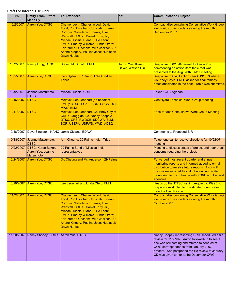| <b>Date</b> | <b>Entity From/ Effort</b><br><b>Made By</b>                | <b>To/Attendees</b>                                                                                                                                                                                                                                                                                                                  | CC:                                          | <b>Communication Subject</b>                                                                                                                                                                                                                                                                      |
|-------------|-------------------------------------------------------------|--------------------------------------------------------------------------------------------------------------------------------------------------------------------------------------------------------------------------------------------------------------------------------------------------------------------------------------|----------------------------------------------|---------------------------------------------------------------------------------------------------------------------------------------------------------------------------------------------------------------------------------------------------------------------------------------------------|
| 10/2/2007   | Aaron Yue, DTSC                                             | Chemehuevi: Charles Wood, David<br>Todd, Ron Escobar; Cocopah: Sherry<br>Cordova, Willadena Thomas, Lisa<br>Wanstall; CRITs: Daniel Eddy, Jr.,<br>Michael Tsosie, Diane F. De Leon;<br>FMIT: Timothy Williams, Linda Otero;<br>Fort Yuma-Quechan: Mike Jackson, Sr.,<br>Arlene Kingery, Pauline Jose; Hualapai:<br><b>Dawn Hubbs</b> |                                              | <b>Compact disc containing Consultative Work Group</b><br>electronic correspondence during the month of<br>September 2007.                                                                                                                                                                        |
| 10/2/2007   | Nancy Long, DTSC                                            | <b>Steven McDonald, FMIT</b>                                                                                                                                                                                                                                                                                                         | Aaron Yue, Karen<br><b>Baker, Watson Gin</b> | Response to 8/15/07 e-mail to Aaron Yue<br>commenting on action item table that was<br>presented at the Aug. 2007 CWG meeting.                                                                                                                                                                    |
| 10/5/2007   | Aaron Yue, DTSC                                             | Geo/Hydro, EIR Group, CWG, Indian<br><b>Tribes</b>                                                                                                                                                                                                                                                                                   |                                              | Response to CWG action item 4/19/06.3 where<br>Courtney Coyle, FMIT, asked for final remedy<br>dates anticipated in the past. Table was submitted.                                                                                                                                                |
| 10/9/2007   | Jeanne Matsumoto,<br><b>DTSC</b>                            | Michael Tsosie, CRIT                                                                                                                                                                                                                                                                                                                 |                                              | <b>Faxed CWG Agenda</b>                                                                                                                                                                                                                                                                           |
| 10/16/2007  | <b>DTSC</b>                                                 | Mojave: Leo Leonhart (on behalf of<br>FMIT); DTSC, PG&E, BOR, USGS, DOI,<br>MWD, BLM                                                                                                                                                                                                                                                 |                                              | <b>Geo/Hydro Technical Work Group Meeting</b>                                                                                                                                                                                                                                                     |
| 10/17/2007  | <b>DTSC</b>                                                 | Mojave: Leo Leonhart, Courtney Coyle;<br>CRIT: Gregg de Bie, Nancy Shopay;<br>DTSC, CRB, RWQCB, SDCWA, BLM,<br>BOR, USEPA, USFWS, MWD, ADEQ                                                                                                                                                                                          |                                              | <b>Face-to-face Consultative Work Group Meeting</b>                                                                                                                                                                                                                                               |
| 10/18/2007  | Dave Singleton, NAHC Jamie Cleland, EDAW                    |                                                                                                                                                                                                                                                                                                                                      |                                              | Comments to Proposed EIR                                                                                                                                                                                                                                                                          |
| 10/18/2007  | Jeanne Matsumoto,<br><b>DTSC</b>                            | Ann Cheung, 29 Palms Indian Tribe                                                                                                                                                                                                                                                                                                    |                                              | Telephone call to receive directions for 10/22/07<br>meeting                                                                                                                                                                                                                                      |
| 10/22/2007  | DTSC: Karen Baker,<br>Aaron Yue, Jeanne<br><b>Matsumoto</b> | 29 Palms Band of Mission Indian<br>representatives                                                                                                                                                                                                                                                                                   |                                              | Meeting to discuss status of project and hear tribal<br>concerns regarding the project.                                                                                                                                                                                                           |
| 10/24/2007  | Aaron Yue, DTSC                                             | Dr. Cheung and Mr. Anderson, 29 Palms                                                                                                                                                                                                                                                                                                |                                              | Forwarded most recent quarter and annual<br>monitoring reports and informed added to e-mail<br>distribution to receive future reports. Also, will<br>discuss mater of additional tribal drinking water<br>monitoring for hex chrome with PG&E and Federal<br>agencies.                            |
|             | 10/29/2007 Aaron Yue, DTSC                                  | Leo Leonhart and Linda Otero, FMIT                                                                                                                                                                                                                                                                                                   |                                              | Heads up that DTSC issuing request to PG&E to<br>prepare a work plan to investigate groundwater<br>near the East Ravine                                                                                                                                                                           |
| 11/2/2007   | Aaron Yue, DTSC                                             | Chemehuevi: Charles Wood, David<br>Todd, Ron Escobar; Cocopah: Sherry<br>Cordova, Willadena Thomas, Lisa<br>Wanstall; CRITs: Daniel Eddy, Jr.,<br>Michael Tsosie, Diane F. De Leon;<br>FMIT: Timothy Williams, Linda Otero;<br>Fort Yuma-Quechan: Mike Jackson, Sr.,<br>Arlene Kingery, Pauline Jose; Hualapai:<br><b>Dawn Hubbs</b> |                                              | <b>Compact disc containing Consultative Work Group</b><br>electronic correspondence during the month of<br>October 2007.                                                                                                                                                                          |
| 11/20/2007  | Nancy Shopay, CRITs Aaron Yue, DTSC                         |                                                                                                                                                                                                                                                                                                                                      |                                              | Nancy Shopay representing CRIT scheduled a file<br>review for 11/27/07. Aaron followed-up to see if<br>she was still coming and offered to send cd of<br>CWG correspondence from January 2007 -<br>present. She postponed the file review to January.<br>CD was given to her at the December CWG. |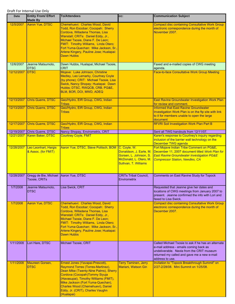| <b>Date</b> | <b>Entity From/ Effort</b><br><b>Made By</b>           | <b>To/Attendees</b>                                                                                                                                                                                                                                                                                                                  | CC:                                                                                                  | <b>Communication Subject</b>                                                                                                                                                                                 |
|-------------|--------------------------------------------------------|--------------------------------------------------------------------------------------------------------------------------------------------------------------------------------------------------------------------------------------------------------------------------------------------------------------------------------------|------------------------------------------------------------------------------------------------------|--------------------------------------------------------------------------------------------------------------------------------------------------------------------------------------------------------------|
| 12/5/2007   | Aaron Yue, DTSC                                        | Chemehuevi: Charles Wood, David<br>Todd, Ron Escobar; Cocopah: Sherry<br>Cordova, Willadena Thomas, Lisa<br>Wanstall; CRITs: Daniel Eddy, Jr.,<br>Michael Tsosie, Diane F. De Leon;<br>FMIT: Timothy Williams, Linda Otero;<br>Fort Yuma-Quechan: Mike Jackson, Sr.,<br>Arlene Kingery, Pauline Jose; Hualapai:<br>Dawn Hubbs        |                                                                                                      | <b>Compact disc containing Consultative Work Group</b><br>electronic correspondence during the month of<br>November 2007.                                                                                    |
| 12/6/2007   | Jeanne Matsumoto,<br><b>DTSC</b>                       | Dawn Hubbs, Hualapai; Michael Tsosie,<br><b>CRIT</b>                                                                                                                                                                                                                                                                                 |                                                                                                      | Faxed and e-mailed copies of CWG meeting<br>agenda.                                                                                                                                                          |
| 12/12/2007  | <b>DTSC</b>                                            | Mojave: Luke Johnson, Christine<br>Medley, Leo Lemarky, Courtney Coyle<br>(by phone); CRIT: Michael Tsosie, Lisa<br>Swick, Nancy Shopay; Hualapai: Dawn<br>Hubbs; DTSC, RWQCB, CRB, PG&E,<br>BLM, BOR, DOI, MWD, ADEQ                                                                                                                |                                                                                                      | <b>Face-to-face Consultative Work Group Meeting</b>                                                                                                                                                          |
| 12/13/2007  | <b>Chris Guerre, DTSC</b>                              | Geo/Hydro, EIR Group, CWG, Indian<br><b>Tribes</b>                                                                                                                                                                                                                                                                                   |                                                                                                      | <b>East Ravine Groundwater Investigation Work Plan</b><br>for review and comment.                                                                                                                            |
| 12/13/2007  | Chris Guerre, DTSC                                     | Geo/Hydro, EIR Group, CWG, Indian<br><b>Tribes</b>                                                                                                                                                                                                                                                                                   |                                                                                                      | <b>Informed that East Ravine Groundwater</b><br>Investigation Work Plan is on the ftp site with link<br>to it for members unable to open the large<br>document                                               |
| 12/17/2007  | Chris Guerre, DTSC                                     | Geo/Hydro, EIR Group, CWG, Indian<br><b>Tribes</b>                                                                                                                                                                                                                                                                                   |                                                                                                      | RFI/RI Soil Investigation Work Plan Part B                                                                                                                                                                   |
| 12/19/2007  | Chris Guerre, DTSC                                     | Nancy Shopay, Envirometrix, CRIT                                                                                                                                                                                                                                                                                                     |                                                                                                      | Sent all TWG handouts from 12/11/07.                                                                                                                                                                         |
| 12/21/2007  | Karen Baker, DTSC                                      | <b>Courtney Coyle, FMIT</b>                                                                                                                                                                                                                                                                                                          |                                                                                                      | Karen's response to Courtney's inquiry regarding<br>inclusion of the barrier wall technology on the<br>December TWG agenda                                                                                   |
| 12/28/2007  | Leo Leonhart, Hargis<br>& Assoc. (for FMIT)            | Aaron Yue, DTSC, Steve Politsch, BOM C. Coyle, W.                                                                                                                                                                                                                                                                                    | Donaldson, J. Earle, M.<br>Gorsen, L. Johnson, S.<br>McDonald, L. Otero, M.<br>Sullivan, T. Williams | Fort Mojave Indian Tribe Comment on PG&E,<br>December 11, 2007 document titled Work Plan for<br><b>East Ravine Groundwater Investigation PG&amp;E</b><br><b>Compressor Station, Needles, CA</b>              |
| 12/28/2007  | Gregg de Bie, Michael Aaron Yue, DTSC<br>Tsosie, CRITs |                                                                                                                                                                                                                                                                                                                                      | <b>CRITs Tribal Council,</b><br>Envirometrix                                                         | Comments on East Ravine Study for Topock                                                                                                                                                                     |
| 1/7/2008    | Jeanne Matsumoto,<br><b>DTSC</b>                       | Lisa Swick, CRIT                                                                                                                                                                                                                                                                                                                     |                                                                                                      | Requested that Jeanne give her dates and<br>locations of CWG meetings from January 2007 to<br>present. Jeanne confirmed the info with Lori and<br>faxed to Lisa Swick.                                       |
| 1/7/2008    | <b>Aaron Yue, DTSC</b>                                 | Chemehuevi: Charles Wood, David<br>Todd, Ron Escobar; Cocopah: Sherry<br>Cordova, Willadena Thomas, Lisa<br>Wanstall; CRITs: Daniel Eddy, Jr.,<br>Michael Tsosie, Diane F. De Leon;<br>FMIT: Timothy Williams, Linda Otero;<br>Fort Yuma-Quechan: Mike Jackson, Sr.,<br>Arlene Kingery, Pauline Jose; Hualapai:<br><b>Dawn Hubbs</b> |                                                                                                      | <b>Compact disc containing Consultative Work Group</b><br>electronic correspondence during the month of<br>December 2007.                                                                                    |
| 1/11/2008   | Lori Hare, DTSC                                        | Michael Tsosie, CRIT                                                                                                                                                                                                                                                                                                                 |                                                                                                      | Called Michael Tsosie to ask if he has an alternate<br>e-mail address - emails coming back as<br>undeliverable. Neola from the CRIT museum<br>returned my called and gave me a new e-mail<br>address to use. |
| 1/11/2008   | Maureen Gorsen,<br><b>DTSC</b>                         | Ernest Jones (Yavapai-Prescott),<br>Raymond Torres (Torres-Martinez),<br>Dean Mike (Twenty-Nine Palms), Sherry<br>Cordova (Cocopah)Tommy Siyuja<br>(Havasupai), Timothy Williams (FMIT),<br>Mike Jackson (Fort Yuma-Quechan),<br>Charles Wood (Chemehuevi), Daniel<br>Eddy, Jr. (CRIT), Charles Vaughn<br>(Hualapai)                 | <b>Terry Taminen, Jerry</b><br>Mariani, Watson Gin                                                   | Invitation to "Topock Breakthrough Summit" on<br>2/27-2/28/08. Mini Summit on 1/25/08.                                                                                                                       |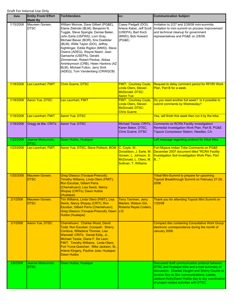| <b>Date</b> | <b>Entity From/ Effort</b><br><b>Made By</b> | <b>To/Attendees</b>                                                                                                                                                                                                                                                                                                                                                                                                                                                                              | CC:                                                                                                              | <b>Communication Subject</b>                                                                                                                                                                                                                                                                     |
|-------------|----------------------------------------------|--------------------------------------------------------------------------------------------------------------------------------------------------------------------------------------------------------------------------------------------------------------------------------------------------------------------------------------------------------------------------------------------------------------------------------------------------------------------------------------------------|------------------------------------------------------------------------------------------------------------------|--------------------------------------------------------------------------------------------------------------------------------------------------------------------------------------------------------------------------------------------------------------------------------------------------|
| 1/15/2008   | Maureen Gorsen.<br><b>DTSC</b>               | William Morrow, Dave Gilbert (PG&E),<br>Elaine Zielinski (BLM), Benjamin N.<br>Tuggle, Steve Spangle, Denise Baker,<br>John Earle (USFWS), Lorri Gray,<br>Michael Biever (BOR), Kris Doebbler<br>(BLM), Willie Taylor (DOI), Jeffrey<br>Kightlinger, Eddie Rigdon (MWD), Steve<br>Owens (ADEQ), Wayne Nastri, Jean<br>Gamache (USEPA), Gerald<br>Zimmerman, Robert Perdue, Abbas<br>Amirteymoori (CRB), Helen Hankins (AZ<br>BLM), Michael Fulton, Jerry Smit<br>(ADEQ), Tom Vandenberg (CRWQCB) | Casey Padgett (DOI),<br>Arlene Kabei, Jeff Scott<br>(USEPA), Bart Koch<br>(MWD), Bob Howard<br>(PG&E)            | Invitation to 2/27 and 2/28/08 mini-summits.<br>Invitation to mini summit on process improvement<br>and technical cleanup for government<br>representatives and PG&E on 2/8/08.                                                                                                                  |
| 1/18/2008   | Leo Leonhart, FMIT                           | <b>Chris Guerre, DTSC</b>                                                                                                                                                                                                                                                                                                                                                                                                                                                                        | <b>FMIT: Courtney Coyle</b><br>Linda Otero, Steven<br>McDonald; DTSC:                                            | Request to delay comment period for RFI/RI Work<br>Plan, Part B for a week.                                                                                                                                                                                                                      |
| 1/18/2008   | <b>Aaron Yue, DTSC</b>                       | Leo Leonhart, FMIT                                                                                                                                                                                                                                                                                                                                                                                                                                                                               | <b>Aaron Yue</b><br><b>FMIT: Courtney Coyle</b><br>Linda Otero, Steven<br>McDonald; DTSC:<br><b>Chris Guerre</b> | Do you need another full week? Is it possible to<br>submit comments by Wednesday?                                                                                                                                                                                                                |
| 1/18/2008   | Leo Leonhart, FMIT                           | <b>Aaron Yue, DTSC</b>                                                                                                                                                                                                                                                                                                                                                                                                                                                                           |                                                                                                                  | Yes, will finish this week then run it by the tribe.                                                                                                                                                                                                                                             |
| 1/18/2008   | Gregg de Bie, CRITs                          | Aaron Yue, DTSC                                                                                                                                                                                                                                                                                                                                                                                                                                                                                  | Michael Tsosie, CRITs,<br>Karen Baker, DTSC,<br>Chris Guerre, DTSC                                               | Comments on RCRA Facility Investigation/<br>Remedial Investigation Work Plan, Part B, PG&E<br>Topock Compressor Station, Needles, CA                                                                                                                                                             |
| 1/22/2008   | Jeanne Matsumoto,<br><b>DTSC</b>             | Dawn Hubbs, Hualapai                                                                                                                                                                                                                                                                                                                                                                                                                                                                             |                                                                                                                  | Left message regarding protocol for tribal titles.                                                                                                                                                                                                                                               |
| 1/23/2008   | Leo Leonhart, FMIT                           | Aaron Yue, DTSC, Steve Politsch, BOM C. Coyle, W.                                                                                                                                                                                                                                                                                                                                                                                                                                                | Donaldson, J. Earle, M.<br>Gorsen, L. Johnson, S.<br>McDonald, L. Otero, M.<br>Sullivan, T. Williams             | Fort Mojave Indian Tribe Comments on PG&E<br>December 2007 document titled "RCRA Facility<br><b>Investigation Soil Investigation Work Plan, Part</b><br>B"                                                                                                                                       |
| 1/25/2008   | Maureen Gorsen,<br><b>DTSC</b>               | Greg Glassco (Yavapai-Prescott);<br>Timothy Williams, Linda Otero (FMIT);<br>Ron Escobar, Gilbert Parra<br>(Chemehuevi); Lisa Swick, Nancy<br>Shopay (CRITs); Dawn Hubbs<br>(Hualapai)                                                                                                                                                                                                                                                                                                           |                                                                                                                  | <b>Tribal Mini-Summit to prepare for upcoming</b><br>Topock Breakthrough Summit on February 27-28,<br>2008                                                                                                                                                                                       |
| 2/1/2008    | Maureen Gorsen,<br><b>DTSC</b>               | Tim Williams, Linda Otero (FMIT), Lisa<br>Swick, Nancy Shopay (CRIT), Ron<br>Escobar, Gilbert Parra (Chemehuevi),<br>Greg Glassco (Yavapai-Prescott), Dawn J.D.<br>Hubbs (Hualapai)                                                                                                                                                                                                                                                                                                              | <b>Terry Taminen, Jerry</b><br>Mariani, Watson Gin,<br>Roberta Reyes Codero,                                     | Thank you for attending Topock Mini Summit on<br>1/25/08                                                                                                                                                                                                                                         |
| 2/1/2008    | <b>Aaron Yue, DTSC</b>                       | Chemehuevi: Charles Wood, David<br>Todd, Ron Escobar; Cocopah: Sherry<br>Cordova, Willadena Thomas, Lisa<br>Wanstall; CRITs: Daniel Eddy, Jr.,<br>Michael Tsosie, Diane F. De Leon;<br>FMIT: Timothy Williams, Linda Otero;<br>Fort Yuma-Quechan: Mike Jackson, Sr.,<br>Arlene Kingery, Pauline Jose; Hualapai:<br>Dawn Hubbs                                                                                                                                                                    |                                                                                                                  | <b>Compact disc containing Consultative Work Group</b><br>electronic correspondence during the month of<br>January 2008.                                                                                                                                                                         |
| 2/6/2008    | Jeanne Matsumoto,<br><b>DTSC</b>             | Dawn Hubbs, Hualapai                                                                                                                                                                                                                                                                                                                                                                                                                                                                             |                                                                                                                  | Discussed draft communication protocol between<br>DTSC and Hualapai tribe and e-mail summary of<br>discussion. Charles Vaughn and Sherry Counts to<br>receive Gov to Gov communications; Loretta<br>Jackson-Kelly/Dawn Hubbs day to day coordination<br>of project related activities with DTSC. |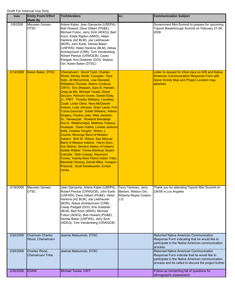| Date      | <b>Entity From/ Effort</b><br><b>Made By</b> | <b>To/Attendees</b>                                                                                                                                                                                                                                                                                                                                                                                                                                                                                                                                                                                                                                                                                                                                                                                                                                                                                                                                                                                                                     | CC:                                                                           | <b>Communication Subject</b>                                                                                                                                                                       |
|-----------|----------------------------------------------|-----------------------------------------------------------------------------------------------------------------------------------------------------------------------------------------------------------------------------------------------------------------------------------------------------------------------------------------------------------------------------------------------------------------------------------------------------------------------------------------------------------------------------------------------------------------------------------------------------------------------------------------------------------------------------------------------------------------------------------------------------------------------------------------------------------------------------------------------------------------------------------------------------------------------------------------------------------------------------------------------------------------------------------------|-------------------------------------------------------------------------------|----------------------------------------------------------------------------------------------------------------------------------------------------------------------------------------------------|
| 2/8/2008  | Maureen Gorsen,<br><b>DTSC</b>               | Arlene Kabei, Jean Gamache (USEPA);<br>Bob Howard, Dave Gilbert (PG&E);<br>Michael Fulton, Jerry Smit (ADEQ); Bart<br>Koch, Eddie Rigdon (MWD), Helen<br>Hankins (AZ BLM); Joe Liebhauser<br>(BOR); John Earle, Denise Baker,<br>(USFWS); Helen Hankins (BLM); Abbas<br>Amirteymoori (CRB); Tom Vandenberg,<br>Robert Perdue (CRWQCB); Casey<br>Padgett, Kris Doebbler (DOI), Watson<br>Gin, Karen Baker (DTSC)                                                                                                                                                                                                                                                                                                                                                                                                                                                                                                                                                                                                                         |                                                                               | Government Mini-Summit to prepare for upcoming<br>Topock Breakthrough Summit on February 27-28,<br>2008                                                                                            |
| 2/14/2008 | Karen Baker, DTSC                            | Chemehuevi: David Todd, Charles<br>Wood, Shirley Smith; Cocopah: Paul<br>Soto, Jill McCormick, Lisa Wanstall,<br>Willadena Thomas, Sherry Cordova;<br>CRITs: Eric Shepard, Gary B. Hansen,<br>Greg de Bie, Michael Tsosie, Diane<br>DeLeon, Ramone Duran, Daniel Eddy,<br>Jr.; FMIT: Timothy Williams, Courtney<br>Coyle, Linda Otero, Nora McDowell-<br>Antone, Luke Johnson, Shan Lewis; Fort<br>Yuma-Quechan: Eddie Williams, Arlene<br>Kingery, Pauline Jose, Mike Jackson,<br>Sr.; Havasupai: Rowland Manakaja,<br>Don E. Watahomigie, Matthew Tutesoy;<br>Hualapai: Dawn Hubbs, Loretta Jackson<br>Kelly, Charles Vaughn, Sherry J.<br><b>Counts; Morongo Band of Mission</b><br>Indians: Britt W. Wilson; San Manuel<br>Band of Mission Indians: Henry Duro,<br>Ann Brierty; Serrano Nation of Indians:<br><b>Goldie Walker; Torres-Martinez Desert</b><br>Cahuilla: Debi Livesay, Raymond<br>Torres; Twenty-Nine Palms Indian Tribe:<br>Marshall Cheung, Darrell Mike; Yavapai-<br>Prescott: Scott Kwiatkowski, Ernest<br>Jones |                                                                               | Letter to request for tribal input on EIR and Native<br><b>American Communication Response Form with</b><br><b>Gene Vicinity Map and Project Location map</b><br>attached.                         |
| 2/19/2008 | Maureen Gorsen,<br><b>DTSC</b>               | Jean Gamache, Arlene Kabei (USEPA),<br>Robert Perdue (CRWQCB), John Earle<br>(USFWS), Dave Gilbert (PG&E), Helen<br>Hankins (AZ BLM), Joe Liebhauser<br>(BOR), Abbas Amirteymoori (CRB),<br>Casey Padgett (DOI), Kris Doebbler<br>(BLM), Bart Koch (MWD), Michael<br>Fulton (ADEQ), Bob Howard (PG&E),<br>Denise Baker (USFWS), Jerry Smit<br>(ADEQ), Tom Vandenberg (CRWQCB)                                                                                                                                                                                                                                                                                                                                                                                                                                                                                                                                                                                                                                                           | Terry Taminen, Jerry<br>Mariani, Watson Gin,<br>Roberta Reyes Codero,<br>J.D. | Thank you for attending Topock Mini Summit on<br>2/8/08 in Los Angeles                                                                                                                             |
| 2/20/2008 | <b>Chairman Charles</b><br>Wood, Chemehuevi  | Jeanne Matsumoto, DTSC                                                                                                                                                                                                                                                                                                                                                                                                                                                                                                                                                                                                                                                                                                                                                                                                                                                                                                                                                                                                                  |                                                                               | Returned Native American Communication<br>Response Form indicating that he would like to<br>participate in the Native American communication<br>process.                                           |
| 2/20/2008 | Charles Wood,<br>Chemehuevi Tribe            | Jeanne Matsumoto, DTSC                                                                                                                                                                                                                                                                                                                                                                                                                                                                                                                                                                                                                                                                                                                                                                                                                                                                                                                                                                                                                  |                                                                               | Returned Native American Communication<br>Response Form indicate that he would like to<br>participate in the Native American communication<br>process and be called to discuss the project further |
| 2/20/2008 | <b>EDAW</b>                                  | Michael Tsosie, CRIT                                                                                                                                                                                                                                                                                                                                                                                                                                                                                                                                                                                                                                                                                                                                                                                                                                                                                                                                                                                                                    |                                                                               | Follow-up concerning list of questions for<br>ethnographic assessment.                                                                                                                             |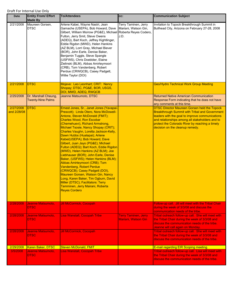| Date                     | <b>Entity From/ Effort</b><br><b>Made By</b>     | <b>To/Attendees</b>                                                                                                                                                                                                                                                                                                                                                                                                                                                                                                                                                                                                                                                                                                                                                                                                                            | CC:                                                                           | <b>Communication Subject</b>                                                                                                                                                                                                                                                                             |
|--------------------------|--------------------------------------------------|------------------------------------------------------------------------------------------------------------------------------------------------------------------------------------------------------------------------------------------------------------------------------------------------------------------------------------------------------------------------------------------------------------------------------------------------------------------------------------------------------------------------------------------------------------------------------------------------------------------------------------------------------------------------------------------------------------------------------------------------------------------------------------------------------------------------------------------------|-------------------------------------------------------------------------------|----------------------------------------------------------------------------------------------------------------------------------------------------------------------------------------------------------------------------------------------------------------------------------------------------------|
| 2/21/2008                | Maureen Gorsen,<br><b>DTSC</b>                   | Arlene Kabei, Wayne Nastri, Jean<br>Gamache (USEPA), Bob Howard, Dave<br>Gilbert, William Morrow (PG&E), Michael<br>Fulton, Jerry Smit, Steve Owens<br>(ADEQ), Bart Koch, Jeffrey Kightlinger,<br>Eddie Rigdon (MWD), Helen Hankins<br>(AZ BLM), Lorri Gray, Michael Biever<br>(BOR), John Earle, Denise Baker,<br>Benjamin Tuggle, Steve Spangle<br>(USFWS), Chris Doebbler, Elaine<br>Zielinski (BLM), Abbas Amirteymoori<br>(CRB), Tom Vandenberg, Robert<br>Perdue (CRWQCB), Casey Padgett,<br>Willie Taylor (DOI)                                                                                                                                                                                                                                                                                                                         | Terry Taminen, Jerry<br>Mariani, Watson Gin,<br>Roberta Reyes Codero,<br>J.D. | Invitation to Topock Breakthrough Summit in<br>Bullhead City, Arizona on February 27-28, 2008                                                                                                                                                                                                            |
| 2/21/2008                | <b>DTSC</b>                                      | Mojave: Leo Leonhart; CRIT: Nancy<br>Shopay; DTSC, PG&E, BOR, USGS,<br>DOI, MWD, ADEQ, RWQCB                                                                                                                                                                                                                                                                                                                                                                                                                                                                                                                                                                                                                                                                                                                                                   |                                                                               | <b>Geo/Hydro Technical Work Group Meeting</b>                                                                                                                                                                                                                                                            |
| 2/25/2008                | Dr. Marshall Cheung,<br><b>Twenty-Nine Palms</b> | Jeanne Matsumoto, DTSC                                                                                                                                                                                                                                                                                                                                                                                                                                                                                                                                                                                                                                                                                                                                                                                                                         |                                                                               | <b>Returned Native American Communication</b><br>Response Form indicating that he does not have<br>any comments at this time.                                                                                                                                                                            |
| 2/27/2008<br>and 2/28/08 | <b>DTSC</b>                                      | Ernest Jones, Sr., Janet Jones (Yavapai-<br>Prescott); Linda Otero, Nora McDowell-<br>Antone, Steven McDonald (FMIT);<br><b>Charles Wood, Ron Escobar</b><br>(Chemehuevi), Richard Armstrong,<br>Michael Tsosie, Nancy Shopay (CRIT);<br>Charles Vaughn, Loretta Jackson-Kelly,<br>Dawn Hubbs (Hualapai); Arlene<br>Kabei(USEPA); Bob Howard, Dave<br>Gilbert, Juan Jayo (PG&E); Michael<br>Fulton (ADEQ); Bart Koch, Eddie Rigdon<br>(MWD), Helen Hankins (AZ BLM); Joe<br>Liebhauser (BOR); John Earle, Denise<br>Baker, (USFWS); Helen Hankins (BLM);<br>Abbas Amirteymoori (CRB); Tom<br>Vandenberg, Robert Perdue<br>(CRWQCB); Casey Padgett (DOI),<br><b>Maureen Gorsen, Watson Gin, Nancy</b><br>Long, Karen Baker, Tim Ogburn, David<br>Miller (DTSC); Facilitators: Terry<br>Tamminen, Jerry Mairani, Roberta<br><b>Reyes Cordero</b> |                                                                               | <b>DTSC Director Maureen Gorsen held the Topock</b><br><b>Breakthrough Summit with Tribal and Government</b><br>leaders with the goal to improve communications<br>and relationships among all stakeholders and to<br>protect the Colorado River by reaching a timely<br>decision on the cleanup remedy. |
| 2/28/2008                | Jeanne Matsumoto,<br><b>DTSC</b>                 | <b>Jill McCormick, Cocopah</b>                                                                                                                                                                                                                                                                                                                                                                                                                                                                                                                                                                                                                                                                                                                                                                                                                 |                                                                               | Follow-up call. Jill will meet with the Tribal Chair<br>during the week of 3/3/08 and discuss the<br>communication needs of the tribe.                                                                                                                                                                   |
| 2/28/2008                | Jeanne Matsumoto,<br><b>DTSC</b>                 | <b>Lisa Wanstall, Cocopah Tribe</b>                                                                                                                                                                                                                                                                                                                                                                                                                                                                                                                                                                                                                                                                                                                                                                                                            | Terry Taminen, Jerry<br>Mariani, Watson Gin                                   | Tribal outreach follow-up call. She will meet with<br>the Tribal Chair during the week of 3/3/08 and<br>discuss the communication needs of the tribe.<br>Jeanne will call again on Monday.                                                                                                               |
| 2/28/2008                | Jeanne Matsumoto,<br><b>DTSC</b>                 | <b>Jill McCormick, Cocopah</b>                                                                                                                                                                                                                                                                                                                                                                                                                                                                                                                                                                                                                                                                                                                                                                                                                 |                                                                               | Tribal outreach follow-up call. She will meet with<br>the Tribal Chair during the week of 3/3/08 and<br>discuss the communication needs of the tribe.                                                                                                                                                    |
| 2/29/2008                | Karen Baker, DTSC                                | <b>Steven McDonald, FMIT</b>                                                                                                                                                                                                                                                                                                                                                                                                                                                                                                                                                                                                                                                                                                                                                                                                                   |                                                                               | E-mail regarding EIR Scoping meeting.                                                                                                                                                                                                                                                                    |
| 3/5/2008                 | Jeanne Matsumoto,<br><b>DTSC</b>                 | <b>Lisa Wanstall, Cocopah Tribe</b>                                                                                                                                                                                                                                                                                                                                                                                                                                                                                                                                                                                                                                                                                                                                                                                                            |                                                                               | Tribal outreach follow-up call. Lisa will meet with<br>the Tribal Chair during the week of 3/3/08 and<br>discuss the communication needs of the tribe.                                                                                                                                                   |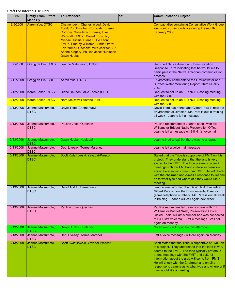| Date      | <b>Entity From/ Effort</b><br><b>Made By</b> | <b>To/Attendees</b>                                                                                                                                                                                                                                                                                                           | CC: | <b>Communication Subject</b>                                                                                                                                                                                                                                                                                                                                                                          |
|-----------|----------------------------------------------|-------------------------------------------------------------------------------------------------------------------------------------------------------------------------------------------------------------------------------------------------------------------------------------------------------------------------------|-----|-------------------------------------------------------------------------------------------------------------------------------------------------------------------------------------------------------------------------------------------------------------------------------------------------------------------------------------------------------------------------------------------------------|
| 3/5/2008  | Aaron Yue, DTSC                              | Chemehuevi: Charles Wood, David<br>Todd, Ron Escobar; Cocopah: Sherry<br>Cordova, Willadena Thomas, Lisa<br>Wanstall; CRITs: Daniel Eddy, Jr.,<br>Michael Tsosie, Diane F. De Leon;<br>FMIT: Timothy Williams, Linda Otero;<br>Fort Yuma-Quechan: Mike Jackson, Sr.,<br>Arlene Kingery, Pauline Jose; Hualapai:<br>Dawn Hubbs |     | <b>Compact disc containing Consultative Work Group</b><br>electronic correspondence during the month of<br>February 2008.                                                                                                                                                                                                                                                                             |
| 3/6/2008  | Gregg de Bie, CRITs                          | Jeanne Matsumoto, DTSC                                                                                                                                                                                                                                                                                                        |     | <b>Returned Native American Communication</b><br>Response Form indicating that he would like to<br>participate in the Native American communication<br>process.                                                                                                                                                                                                                                       |
| 3/11/2008 | Gregg de Bie, CRIT                           | Aaron Yue, DTSC                                                                                                                                                                                                                                                                                                               |     | Envirometrix comments to the Groundwater and<br>Surface Water Monitoring Report, Third Quality<br>2007                                                                                                                                                                                                                                                                                                |
| 3/12/2008 | Karen Baker, DTSC                            | Diane DeLeon, Mike Tsosie (CRIT)                                                                                                                                                                                                                                                                                              |     | Request to set up an EIR NOP Scoping meeting<br>with the CRIT.                                                                                                                                                                                                                                                                                                                                        |
| 3/12/2008 | Karen Baker, DTSC                            | Nora McDowell-Antone, FMIT                                                                                                                                                                                                                                                                                                    |     | Request to set up an EIR NOP Scoping meeting<br>with the CRIT.                                                                                                                                                                                                                                                                                                                                        |
| 3/13/2008 | Jeanne Matsumoto,<br><b>DTSC</b>             | David Todd, Chemehuevi                                                                                                                                                                                                                                                                                                        |     | David Todd has retired and Gilbert Para is now the<br>Environmental Director. Mr. Para is out in training<br>all week - Jeanne left a message.                                                                                                                                                                                                                                                        |
| 3/13/2008 | Jeanne Matsumoto,<br><b>DTSC</b>             | Pauline Jose, Quechan                                                                                                                                                                                                                                                                                                         |     | Pauline recommended Jeanne speak with Ed<br>Williams or Bridget Nash, Preservation Office.<br>Jeanne left a message on Bill Hirt's voicemail.                                                                                                                                                                                                                                                         |
| 3/13/2008 | Jeanne Matsumoto,<br><b>DTSC</b>             | Dawn Hubbs, Hualapai                                                                                                                                                                                                                                                                                                          |     | Jeanne tried to call but there was no answer.                                                                                                                                                                                                                                                                                                                                                         |
| 3/13/2008 | Jeanne Matsumoto,<br><b>DTSC</b>             | Debi Livesay, Torres-Martinez                                                                                                                                                                                                                                                                                                 |     | Jeanne left a voice mail message                                                                                                                                                                                                                                                                                                                                                                      |
| 3/13/2008 | Jeanne Matsumoto,<br><b>DTSC</b>             | Scott Kwiatkowski, Yavapai-Prescott                                                                                                                                                                                                                                                                                           |     | Stated that the Tribe is supportive of FMIT on this<br>project. They understand that the land is very<br>sacred to the FMIT. The tribe prefers to attend<br>meetings with the FMIT and cultural information<br>about the area will come from FMIT. He will check<br>with the chairman and e-mail a response to Jeanne<br>as to what type and where of if they would like a<br>meeting.                |
| 3/13/2008 | Jeanne Matsumoto,<br><b>DTSC</b>             | David Todd, Chemehuevi                                                                                                                                                                                                                                                                                                        |     | Jeanne was informed that David Todd has retired.<br>Gilbert Para is now the Environmental Director<br>(same telephone number). Mr. Para is out all week<br>in training. Jeanne will call again next week.                                                                                                                                                                                             |
| 3/13/2008 | Jeanne Matsumoto,<br><b>DTSC</b>             | Pauline Jose, Quechan                                                                                                                                                                                                                                                                                                         |     | Pauline recommended Jeanne speak with Ed<br>Williams or Bridget Nash, Preservation Officer.<br>Dialed Eddie William's number and was connected<br>to Bill Hirt's voicemail. Left a message. Will call<br>again on Monday.                                                                                                                                                                             |
| 3/13/2008 | Jeanne Matsumoto,<br><b>DTSC</b>             | Dawn Hubbs, Hualapai                                                                                                                                                                                                                                                                                                          |     | No answer - will try again this afternoon.                                                                                                                                                                                                                                                                                                                                                            |
| 3/13/2008 | Jeanne Matsumoto,<br><b>DTSC</b>             | Debi Livesay, Torres-Martinez                                                                                                                                                                                                                                                                                                 |     | Left a voice message - will call again on Monday.                                                                                                                                                                                                                                                                                                                                                     |
| 3/13/2008 | Jeanne Matsumoto,<br><b>DTSC</b>             | Scott Kwiatkowski, Yavapai-Prescott                                                                                                                                                                                                                                                                                           |     | Scott stated that the Tribe is supportive of FMIT on<br>this project. They understand that the land is very<br>sacred to the FMIT. The tribe typically prefers to<br>attend meetings with the FMIT and cultural<br>information about the area will come from FMIT.<br>He will check with the Chairman and email a<br>response to Jeanne as to what type and where or if<br>they would like a meeting. |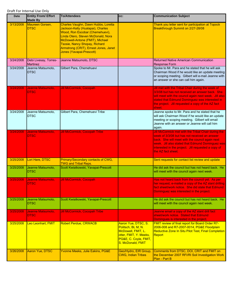| Date      | <b>Entity From/ Effort</b><br><b>Made By</b> | <b>To/Attendees</b>                                                                                                                                                                                                                                                                               | CC:                                                                                                                                     | <b>Communication Subject</b>                                                                                                                                                                                                                                                   |
|-----------|----------------------------------------------|---------------------------------------------------------------------------------------------------------------------------------------------------------------------------------------------------------------------------------------------------------------------------------------------------|-----------------------------------------------------------------------------------------------------------------------------------------|--------------------------------------------------------------------------------------------------------------------------------------------------------------------------------------------------------------------------------------------------------------------------------|
| 3/13/2008 | Maureen Gorsen,<br><b>DTSC</b>               | Charles Vaughn, Dawn Hubbs, Loretta<br>Jackson-Kelly (Hualapai), Charles<br>Wood, Ron Escobar (Chemehuevi),<br>Linda Otero, Steven McDonald, Nora<br>McDowell-Antone (FMIT), Michael<br><b>Tsosie, Nancy Shopay, Richard</b><br>Armstrong (CRIT), Ernest Jones, Janet<br>Jones (Yavapai-Prescott) |                                                                                                                                         | Thank you letter sent for participation at Topock<br>Breakthrough Summit on 2/27-28/08                                                                                                                                                                                         |
| 3/24/2008 | Debi Livesay, Torres-<br><b>Martinez</b>     | Jeanne Matsumoto, DTSC                                                                                                                                                                                                                                                                            |                                                                                                                                         | <b>Returned Native American Communication</b><br><b>Response Form</b>                                                                                                                                                                                                          |
| 3/24/2008 | Jeanne Matsumoto,<br><b>DTSC</b>             | Gilbert Para, Chemehuevi                                                                                                                                                                                                                                                                          |                                                                                                                                         | Spoke to Mr. Para and he stated that he will ask<br>Chairman Wood if he would like an update meeting<br>or scoping meeting. Gilbert will e-mail Jeanne with<br>an answer or she can call him again.                                                                            |
| 3/24/2008 | Jeanne Matsumoto,<br><b>DTSC</b>             | <b>Jill McCormick, Cocopah</b>                                                                                                                                                                                                                                                                    |                                                                                                                                         | Jill met with the Tribal Chair during the week of<br>3/3/08 but has not received an answer back. She<br>will meet with the council again next week. Jill also<br>stated that Edmund Dominguez was interested in<br>the project. Jill requested a copy of the AZ fact<br>sheet. |
| 3/24/2008 | Jeanne Matsumoto,<br><b>DTSC</b>             | Gilbert Para, Chemehuevi Tribe                                                                                                                                                                                                                                                                    |                                                                                                                                         | Jeanne spoke to Mr. Para and he stated that he<br>will ask Chairman Wood if he would like an update<br>meeting or scoping meeting. Gilbert will email<br>Jeanne with an answer or Jeanne will call him<br>again.                                                               |
| 3/24/2008 | Jeanne Matsumoto,<br><b>DTSC</b>             | <b>Jill McCormick, Cocopah Tribe</b>                                                                                                                                                                                                                                                              |                                                                                                                                         | Jill McCormick met with the Tribal Chair during the<br>week of 3/3/08 but has not received an answer                                                                                                                                                                           |
|           |                                              |                                                                                                                                                                                                                                                                                                   |                                                                                                                                         | back. She will meet with the council again next<br>week. Jill also stated that Edmund Dominguez was<br>interested in the project. Jill requested a copy of<br>the AZ fact sheet.                                                                                               |
| 3/25/2008 | Lori Hare, DTSC                              | Primary/Secondary contacts of CWG,<br><b>TWG and Tribal Reps.</b>                                                                                                                                                                                                                                 |                                                                                                                                         | Sent requests for contact list review and update                                                                                                                                                                                                                               |
| 3/25/2008 | Jeanne Matsumoto,<br><b>DTSC</b>             | Scott Kwiatkowski, Yavapai-Prescott                                                                                                                                                                                                                                                               |                                                                                                                                         | He did ask the council but has not heard back. He<br>will meet with the council again next week.                                                                                                                                                                               |
| 3/25/2008 | Jeanne Matsumoto,<br><b>DTSC</b>             | <b>Jill McCormick, Cocopah</b>                                                                                                                                                                                                                                                                    |                                                                                                                                         | Has not heard back from the council yet. As per<br>her request, e-mailed a copy of the AZ slant drilling<br>fact sheet/work notice. She did state that Edmund<br>Dominguez was interested in the project.                                                                      |
| 3/25/2008 | Jeanne Matsumoto,<br><b>DTSC</b>             | Scott Kwiatkowski, Yavapai-Prescott                                                                                                                                                                                                                                                               |                                                                                                                                         | He did ask the council but has not heard back. He<br>will meet with the council again next week.                                                                                                                                                                               |
| 3/25/2008 | Jeanne Matsumoto,<br><b>DTSC</b>             | <b>Jill McCormick, Cocopah Tribe</b>                                                                                                                                                                                                                                                              |                                                                                                                                         | Jeanne email a copy of the AZ slant drill fact<br>sheet/work notice. Stated that Edmund<br>Domingues is interested in the project.                                                                                                                                             |
| 3/25/2008 | Leo Leonhart, FMIT                           | <b>Robert Perdue, CRWACB</b>                                                                                                                                                                                                                                                                      | Aaron Yue, DTSC, S.<br>Politsch, BL M, N.<br>McDowell, FMIT, L.<br>otter, FMIT, Y. Meeks,<br>PG&E, C. Coyle, FMIT,<br>S. McDonald, FMIT | FMIT review of final report for Board Order R7-<br>2006-008 and R7-2007-0014, PG&E Floodplain<br>Reductive Zone In Situ Pilot Test, Final Completion<br>Report                                                                                                                 |
| 3/26/2008 | Aaron Yue, DTSC                              | Yvonne Meeks, Julie Eakins, PG&E                                                                                                                                                                                                                                                                  | Geo/Hydro, EIR Group,<br><b>CWG, Indian Tribes</b>                                                                                      | Comments from DTSC, DOI, CRIT and FMIT on<br>the December 2007 RFI/RI Soil Investigation Work<br>Plan - Part B                                                                                                                                                                 |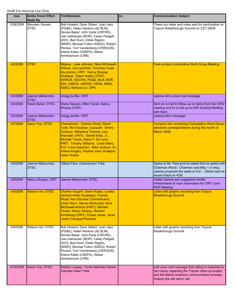| Date      | <b>Entity From/ Effort</b><br><b>Made By</b> | <b>To/Attendees</b>                                                                                                                                                                                                                                                                                                           | CC: | <b>Communication Subject</b>                                                                                                                                                               |
|-----------|----------------------------------------------|-------------------------------------------------------------------------------------------------------------------------------------------------------------------------------------------------------------------------------------------------------------------------------------------------------------------------------|-----|--------------------------------------------------------------------------------------------------------------------------------------------------------------------------------------------|
| 3/28/2008 | Maureen Gorsen,<br><b>DTSC</b>               | Bob Howard, Dave Gilbert, Juan Jayo<br>(PG&E), Helen Hankins (AZ BLM),<br>Denise Baker, John Earle (USFWS),<br>Joe Liebhauser (BOR), Casey Padgett<br>(DOI), Bart Koch, Eddie Rigdon,<br>(MWD), Michael Fulton (ADEQ), Robert<br>Perdue, Tom Vandenberg (CRWQCB),<br>Arlene Kabei (USEPA), Abbas<br>Amirteymoori (CRB)        |     | Thank you letter and notes sent for participation at<br>Topock Breakthrough Summit on 2/27-28/08                                                                                           |
| 4/2/2008  | <b>DTSC</b>                                  | Mojave: Luke Johnson, Nora McDowell-<br>Antone, Leo Leonhart, Courtney Coyle<br>(by phone); CRIT: Nancy Shopay;<br>Hualapai: Dawn Hubbs; DTSC;<br>SWRCB, SDCWA, PG&E, BLM, BOR,<br>DOI, USEPA, USFWS, USGS, MWD,<br><b>ADEQ, Mohave Co. DPH</b>                                                                               |     | <b>Face-to-face Consultative Work Group Meeting</b>                                                                                                                                        |
| 4/3/2008  | Jeanne Matsumoto,<br><b>DTSC</b>             | Gregg de Bie, CRIT                                                                                                                                                                                                                                                                                                            |     | Jeanne left a voice mail message                                                                                                                                                           |
| 4/3/2008  | Karen Baker, DTSC                            | Diane DeLeon, Mike Tsosie, Nancy<br>Shopay (CRIT)                                                                                                                                                                                                                                                                             |     | Sent an e-mail to follow-up on items from the CWG<br>meeting and try to set up an EIR Scoping Meeting<br>with them.                                                                        |
| 4/3/2008  | Jeanne Matsumoto,<br><b>DTSC</b>             | Gregg de Bie, CRIT                                                                                                                                                                                                                                                                                                            |     | Jeanne left a message.                                                                                                                                                                     |
| 4/7/2008  | Aaron Yue, DTSC                              | Chemehuevi: Charles Wood, David<br>Todd, Ron Escobar; Cocopah: Sherry<br>Cordova, Willadena Thomas, Lisa<br>Wanstall; CRITs: Daniel Eddy, Jr.,<br>Michael Tsosie, Diane F. De Leon;<br>FMIT: Timothy Williams, Linda Otero;<br>Fort Yuma-Quechan: Mike Jackson, Sr.,<br>Arlene Kingery, Pauline Jose; Hualapai:<br>Dawn Hubbs |     | <b>Compact disc containing Consultative Work Group</b><br>electronic correspondence during the month of<br><b>March 2008.</b>                                                              |
| 4/8/2008  | Jeanne Matsumoto,<br><b>DTSC</b>             | Gilbert Para, Chemehuevi Tribe                                                                                                                                                                                                                                                                                                |     | Spoke to Mr. Para and he stated that he spoke with<br>Chairman Wood - Chairman said May 1 is okay.<br>Jeanne proposed the week of 4/21. Gilbert said he<br>would check on 4/28.            |
| 4/8/2008  | Nancy Shopay, CRIT                           | Jeanne Matsumoto, DTSC                                                                                                                                                                                                                                                                                                        |     | Called Jeanne and suggested shuttle,<br>refreshments & room reservation for CRIT June<br><b>NOP Meeting</b>                                                                                |
| 4/8/2008  | <b>Watson Gin, DTSC</b>                      | Charles Vaughn, Dawn Hubbs, Loretta<br>Jackson-Kelly (Hualapai), Charles<br>Wood, Ron Escobar (Chemehuevi),<br>Linda Otero, Steven McDonald, Nora<br>McDowell-Antone (FMIT), Michael<br><b>Tsosie, Nancy Shopay, Richard</b><br>Armstrong (CRIT), Ernest Jones, Janet<br>Jones (Yavapai-Prescott)                             |     | Letter with graphic recording from Topock<br><b>Breakthrough Summit</b>                                                                                                                    |
| 4/8/2008  | Watson Gin, DTSC                             | Bob Howard, Dave Gilbert, Juan Jayo<br>(PG&E), Helen Hankins (AZ BLM),<br>Denise Baker, John Earle (USFWS),<br>Joe Liebhauser (BOR), Casey Padgett<br>(DOI), Bart Koch, Eddie Rigdon,<br>(MWD), Michael Fulton (ADEQ), Robert<br>Perdue, Tom Vandenberg (CRWQCB),<br>Arlene Kabei (USEPA), Abbas<br>Amirteymoori (CRB)        |     | Letter with graphic recording from Topock<br>Breakthrough Summit                                                                                                                           |
| 4/10/2008 | Aaron Yue, DTSC                              | Debbie Livesay, Torres-Martinez Desert<br>Cahuilla Indian Tribe                                                                                                                                                                                                                                                               |     | Left voice mail message that calling in response to<br>her inquiry regarding the Topock clean-up project<br>and the Native American communication process.<br>Hoping she will return call. |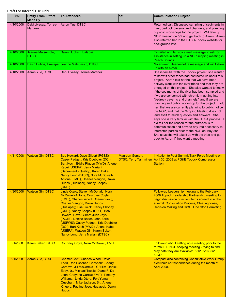| <b>Date</b> | <b>Entity From/ Effort</b><br><b>Made By</b> | <b>To/Attendees</b>                                                                                                                                                                                                                                                                                                                                                                                                                                           | CC:             | <b>Communication Subject</b>                                                                                                                                                                                                                                                                                                                                                                                                                                                                                                                                                                                                                                                                                                                                                                                                                                                                                                                                     |
|-------------|----------------------------------------------|---------------------------------------------------------------------------------------------------------------------------------------------------------------------------------------------------------------------------------------------------------------------------------------------------------------------------------------------------------------------------------------------------------------------------------------------------------------|-----------------|------------------------------------------------------------------------------------------------------------------------------------------------------------------------------------------------------------------------------------------------------------------------------------------------------------------------------------------------------------------------------------------------------------------------------------------------------------------------------------------------------------------------------------------------------------------------------------------------------------------------------------------------------------------------------------------------------------------------------------------------------------------------------------------------------------------------------------------------------------------------------------------------------------------------------------------------------------------|
| 4/10/2008   | Debi Livesay, Torres-<br><b>Martinez</b>     | Aaron Yue, DTSC                                                                                                                                                                                                                                                                                                                                                                                                                                               |                 | Returned call. Discussed sampling of sediments in<br>river, bedrock caverns and channels, and planning<br>of public workshops for the project. Will take up<br>NOP meeting on 5/2 and get back to Aaron. Aaron<br>also referred her to the DTSC-Topock website for<br>background info.                                                                                                                                                                                                                                                                                                                                                                                                                                                                                                                                                                                                                                                                           |
| 4/10/2008   | Jeanne Matsumoto,<br><b>DTSC</b>             | Dawn Hubbs, Hualapai                                                                                                                                                                                                                                                                                                                                                                                                                                          |                 | E-mailed and left voice mail message to ask for<br>assistance in setting up a NOP scoping meeting in<br><b>Peach Springs</b>                                                                                                                                                                                                                                                                                                                                                                                                                                                                                                                                                                                                                                                                                                                                                                                                                                     |
| 4/10/2008   |                                              | Dawn Hubbs, Hualapai Jeanne Matsumoto, DTSC                                                                                                                                                                                                                                                                                                                                                                                                                   |                 | No answer. Jeanne left a message and will follow-<br>up with an e-mail                                                                                                                                                                                                                                                                                                                                                                                                                                                                                                                                                                                                                                                                                                                                                                                                                                                                                           |
| 4/10/2008   | Aaron Yue, DTSC                              | Debi Livesay, Torres-Martinez                                                                                                                                                                                                                                                                                                                                                                                                                                 |                 | She is familiar with the Topock project, she wanted<br>to know if other tribes had contacted us about this<br>project. Aaron told her he that we have been<br>actively work with the river tribes and that they are<br>engaged on this project. She also wanted to know<br>if the sediments of the river had been sampled and<br>if we are concerned with chromium getting into<br>"bedrock caverns and channels." and if we are<br>planning and public workshop for the project. I told<br>her that we are currently planning to public notice<br>the NOP, and that the Scoping Meeting does not<br>lend itself to much question and answers. She<br>says she is very familiar with the CEQA process. I<br>did tell her the reason for the outreach is to<br>communication and provide any info necessary to<br>interested parties prior to the NOP on May 2nd.<br>She says she will take it up with the tribe and get<br>back to Aaron if they want a meeting. |
|             |                                              |                                                                                                                                                                                                                                                                                                                                                                                                                                                               |                 |                                                                                                                                                                                                                                                                                                                                                                                                                                                                                                                                                                                                                                                                                                                                                                                                                                                                                                                                                                  |
| 4/11/2008   | <b>Watson Gin, DTSC</b>                      | Bob Howard, Dave Gilbert (PG&E),<br>Casey Padgett, Kris Doebbler (DOI),<br>Bart Koch, Eddie Rigdon (MWD), Arlene<br>Kabei (USEPA), Jerry Mariani<br>(Sacramento Quality), Karen Baker,<br>Nancy Long (DTSC), Nora McDowell-<br>Antone (FMIT), Charles Vaughn, Dawn<br>Hubbs (Hualapai), Nancy Shopay<br>(CRIT)                                                                                                                                                | Maureen Gorsen, | Invitation to Post-Summit Task Force Meeting on<br>DTSC, Terry Tamminen April 30, 2008 at PG&E Topock Compressor<br><b>Station</b>                                                                                                                                                                                                                                                                                                                                                                                                                                                                                                                                                                                                                                                                                                                                                                                                                               |
| 4/30/2008   | <b>Watson Gin, DTSC</b>                      | Linda Otero, Steven McDonald, Nora<br>McDowell-Antone, Courtney Coyle<br>(FMIT); Charles Wood (Chemehuevi);<br><b>Charles Vaughn, Dawn Hubbs</b><br>(Hualapai); Lisa Swick, Nancy Shopay<br>(CRIT), Nancy Shopay (CRIT), Bob<br>Howard, Dave Gilbert, Juan Jayo<br>(PG&E); Denise Baker, John Earle<br>(USFWS); Casey Padgett, Kris Doebbler<br>(DOI); Bart Koch (MWD), Arlene Kabei<br>(USEPA); Watson Gin, Karen Baker,<br>Nancy Long, Jerry Mariani (DTSC) |                 | Follow-up Leadership meeting to the February<br>2008 Topock Leadership Partnership meeting to<br>begin discussion of action items agreed to at the<br>summit: Consultation Process, Clearinghouse,<br>Decision Making and CWG, One Stop Permitting                                                                                                                                                                                                                                                                                                                                                                                                                                                                                                                                                                                                                                                                                                               |
| 5/1/2008    | Karen Baker, DTSC                            | Courtney Coyle, Nora McDowell, FMIT                                                                                                                                                                                                                                                                                                                                                                                                                           |                 | Follow-up about setting up a meeting prior to the<br>formal EIR NOP scoping meeting - trying to find<br>May date they are available: 5/12, 5/16, 5/20,<br>5/23?                                                                                                                                                                                                                                                                                                                                                                                                                                                                                                                                                                                                                                                                                                                                                                                                  |
| 5/1/2008    | Aaron Yue, DTSC                              | Chemehuevi: Charles Wood, David<br>Todd, Ron Escobar; Cocopah: Sherry<br>Cordova, Jill McCormick; CRITs: Daniel<br>Eddy, Jr., Michael Tsosie, Diane F. De<br>Leon, Cheyene Garcia; FMIT: Timothy<br>Williams, Linda Otero; Fort Yuma-<br>Quechan: Mike Jackson, Sr., Arlene<br>Kingery, Pauline Jose; Hualapai: Dawn<br><b>Hubbs</b>                                                                                                                          |                 | <b>Compact disc containing Consultative Work Group</b><br>electronic correspondence during the month of<br>April 2008.                                                                                                                                                                                                                                                                                                                                                                                                                                                                                                                                                                                                                                                                                                                                                                                                                                           |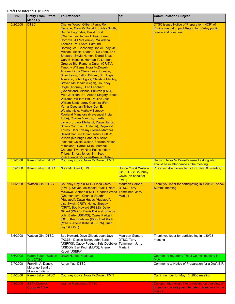| Date     | <b>Entity From/ Effort</b><br><b>Made By</b>                    | <b>To/Attendees</b>                                                                                                                                                                                                                                                                                                                                                                                                                                                                                                                                                                                                                                                                                                                                                                                                                                                                                                                                                                                                                                                                                                                                                                                                                                                                                                                                                                                                   | CC:                                                                                         | <b>Communication Subject</b>                                                                                         |
|----------|-----------------------------------------------------------------|-----------------------------------------------------------------------------------------------------------------------------------------------------------------------------------------------------------------------------------------------------------------------------------------------------------------------------------------------------------------------------------------------------------------------------------------------------------------------------------------------------------------------------------------------------------------------------------------------------------------------------------------------------------------------------------------------------------------------------------------------------------------------------------------------------------------------------------------------------------------------------------------------------------------------------------------------------------------------------------------------------------------------------------------------------------------------------------------------------------------------------------------------------------------------------------------------------------------------------------------------------------------------------------------------------------------------------------------------------------------------------------------------------------------------|---------------------------------------------------------------------------------------------|----------------------------------------------------------------------------------------------------------------------|
| 5/2/2008 | <b>DTSC</b>                                                     | Charles Wood, Gilbert Parra, Ron<br>Escobar, Cara McDonald, Shirley Smith,<br>Dennis Fagundes, David Todd<br>(Chemehuevi Indian Tribe); Sherry<br>Cordova, Jill McCormick, Willadena<br>Thomas, Paul Soto, Edmund<br>Domingues (Cocopah); Daniel Eddy, Jr.,<br>Michael Tsosie, Diana F. De Leon, Eric<br>Shepard, Sylvia Homer, Eldred Enas,<br>Gary B. Hansen, Herman TJ Latfoor,<br>Greg de Bie, Ramona Duran (CRITs);<br><b>Timothy Williams, Nora McDowell-</b><br>Antone, Linda Otero, Luke Johnson,<br>Shan Lewis, Felton Bricker, Sr., Angie<br>Alvarado, John Algots, Christine Medley,<br>Steven McDonald (Legal), Courtney<br>Coyle (Attorney), Leo Leonhart<br>(Consultant), Michael Sullivan (FMIT);<br>Mike Jackson, Sr., Arlene Kingery, Eddie<br>Williams, William Hirt, Pauline Jose,<br>William Scott, Lorey Cachora (Fort<br>Yuma-Quechan Tribe); Don E.<br><b>Watahomigie, Mathew Tutesoy,</b><br>Rowland Manakaja (Havasupai Indian<br>Tribe); Charles Vaughn, Loretta<br>Jackson, Jack Ehrhardt, Dawn Hubbs,<br>Sherry Cordova (Hualapai); Raymond<br><b>Torres, Debi Livesay (Torres-Martinez</b><br>Desert Cahuilla Indian Tribe); Britt W.<br><b>Wilson (Morongo Band of Mission</b><br>Indians); Goldie Waker (Serrano Nation<br>of Indians); Darrell Mike, Marshall<br><b>Cheung (Twenty-Nine Palms Indian</b><br>Tribe); Ernest Jones, Sr., Scott<br>Kwiatkowski (Yavanai-Prescott Tribe): |                                                                                             | DTSC issued Notice of Preparation (NOP) of<br>Environmental Impact Report for 30-day public<br>review and comment    |
| 5/2/2008 | Karen Baker, DTSC                                               | Courtney Coyle, Nora McDowell, FMIT                                                                                                                                                                                                                                                                                                                                                                                                                                                                                                                                                                                                                                                                                                                                                                                                                                                                                                                                                                                                                                                                                                                                                                                                                                                                                                                                                                                   |                                                                                             | Reply to Nora McDowell's e-mail asking who<br>should be in attendance at the meeting.                                |
| 5/2/2008 | Karen Baker, DTSC                                               | <b>Nora McDowell, FMIT</b>                                                                                                                                                                                                                                                                                                                                                                                                                                                                                                                                                                                                                                                                                                                                                                                                                                                                                                                                                                                                                                                                                                                                                                                                                                                                                                                                                                                            | <b>Aaron Yue &amp; Watson</b><br>Gin, DTSC; Courtney<br>Coyle (on behalf of<br><b>FMIT)</b> | Proposed discussion items for Pre-NOP meeting                                                                        |
| 5/6/2008 | <b>Watson Gin, DTSC</b>                                         | Courtney Coyle (FMIT), Linda Otero<br>(FMIT), Steven McDonald (FMIT), Nora<br>McDowell-Antone (FMIT), Charles Wood Tamminen, Jerry<br>(Chemehuevi), Charles Vaughn<br>(Hualapai), Dawn Hubbs (Hualapai),<br>Lisa Swick (CRIT), Nancy Shopay<br>(CRIT), Bob Howard (PG&E), Dave<br>Gilbert (PG&E), Denis Baker (USFWS),<br>John Earle (USFWS), Casey Padgett<br>(DOI), Kris Doebbler (DOI), Bart Koch<br>(MWD), Arlene Kabei (USEPA), Juan<br>Jayo (PG&E)                                                                                                                                                                                                                                                                                                                                                                                                                                                                                                                                                                                                                                                                                                                                                                                                                                                                                                                                                              | Maureen Gorsen,<br><b>DTSC, Terry</b><br><b>Mariani</b>                                     | Thank you letter for participating in 4/30/08 Topock<br><b>Summit meeting</b>                                        |
| 5/6/2008 | Watson Gin, DTSC                                                | Bob Howard, Dave Gilbert, Juan Jayo<br>(PG&E), Denise Baker, John Earle<br>(USFWS), Casey Padgett, Kris Doebbler<br>(USDOI), Bart Koch (MWD), Arlene<br>Kabei (USEPA)                                                                                                                                                                                                                                                                                                                                                                                                                                                                                                                                                                                                                                                                                                                                                                                                                                                                                                                                                                                                                                                                                                                                                                                                                                                 | Maureen Gorsen,<br>DTSC, Terry<br>Tamminen, Jerry<br>Mariani                                | Thank you letter for participating in 4/30/08<br>meeting                                                             |
| 5/6/2008 | Karen Baker, Watson<br>Gin, DTSC                                | Dawn Hubbs, Hualapai                                                                                                                                                                                                                                                                                                                                                                                                                                                                                                                                                                                                                                                                                                                                                                                                                                                                                                                                                                                                                                                                                                                                                                                                                                                                                                                                                                                                  |                                                                                             | Coordinate regarding Tribal Council meeting in<br>May.                                                               |
| 5/7/2008 | Franklin A. Dancy,<br>Morongo Band of<br><b>Mission Indians</b> | Aaron Yue, DTSC                                                                                                                                                                                                                                                                                                                                                                                                                                                                                                                                                                                                                                                                                                                                                                                                                                                                                                                                                                                                                                                                                                                                                                                                                                                                                                                                                                                                       |                                                                                             | Comments to Notice of Preparation for a Draft EIR                                                                    |
| 5/8/2008 | Karen Baker, DTSC                                               | <b>Courtney Coyle, Nora McDowell, FMIT</b>                                                                                                                                                                                                                                                                                                                                                                                                                                                                                                                                                                                                                                                                                                                                                                                                                                                                                                                                                                                                                                                                                                                                                                                                                                                                                                                                                                            |                                                                                             | Call in number for May 12, 2008 meeting                                                                              |
| 5/8/2008 | <b>Jill McCormick,</b><br><b>Cocopah Tribe</b>                  | Jeanne Matsumoto, DTSC                                                                                                                                                                                                                                                                                                                                                                                                                                                                                                                                                                                                                                                                                                                                                                                                                                                                                                                                                                                                                                                                                                                                                                                                                                                                                                                                                                                                |                                                                                             | Cocopah tribe would like a meeting on overview of<br>project and wants possible date to take back to the<br>council. |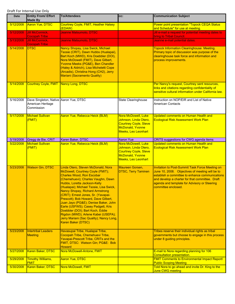| Date      | <b>Entity From/ Effort</b><br><b>Made By</b>                              | <b>To/Attendees</b>                                                                                                                                                                                                                                                                                                                                                                                                                                                                                                                                                      | CC:                                                                                                                     | <b>Communication Subject</b>                                                                                                                                                                                                                                                           |
|-----------|---------------------------------------------------------------------------|--------------------------------------------------------------------------------------------------------------------------------------------------------------------------------------------------------------------------------------------------------------------------------------------------------------------------------------------------------------------------------------------------------------------------------------------------------------------------------------------------------------------------------------------------------------------------|-------------------------------------------------------------------------------------------------------------------------|----------------------------------------------------------------------------------------------------------------------------------------------------------------------------------------------------------------------------------------------------------------------------------------|
| 5/12/2008 | <b>Aaron Yue, DTSC</b>                                                    | <b>Courtney Coyle, FMIT, Heather Halsey</b><br>(EDAW)                                                                                                                                                                                                                                                                                                                                                                                                                                                                                                                    |                                                                                                                         | Power point presentation "Topock CEQA Status<br>and Schedule" for use at meeting.                                                                                                                                                                                                      |
| 5/12/2008 | <b>Jill McCormick,</b><br><b>Cocopah Tribe</b>                            | Jeanne Matsumoto, DTSC                                                                                                                                                                                                                                                                                                                                                                                                                                                                                                                                                   |                                                                                                                         | Jill e-mail a request for potential meeting dates to<br>bring to Tribal Council.                                                                                                                                                                                                       |
| 5/13/2008 | <b>Jill McCormick,</b><br><b>Cocopah Tribe</b>                            | Jeanne Matsumoto, DTSC                                                                                                                                                                                                                                                                                                                                                                                                                                                                                                                                                   |                                                                                                                         | Jeanne e-mail potential dates.                                                                                                                                                                                                                                                         |
| 5/14/2008 | <b>DTSC</b>                                                               | Nancy Shopay, Lisa Swick, Michael<br>Tsosie (CRIT), Dawn Hubbs (Hualapai),<br>Bart Koch (MWD), Kris Doebbler (DOI),<br>Nora McDowell (FMIT), Dave Gilbert,<br>Yvonne Meeks (PG&E), Ben Chandler<br>(Haley & Aldrich), Lisa Micheletti Cope<br>(Arcadis), Christina Hong (CH2), Jerry<br><b>Mariani (Sacramento Quality)</b>                                                                                                                                                                                                                                              |                                                                                                                         | <b>Topock Information Clearinghouse Meeting.</b><br>Primary topic of discussion was purpose of the<br>clearinghouse task force and information and<br>process improvements.                                                                                                            |
| 5/14/2008 | Courtney Coyle, FMIT Nancy Long, DTSC                                     |                                                                                                                                                                                                                                                                                                                                                                                                                                                                                                                                                                          |                                                                                                                         | Per Nancy's request, Courtney sent resources,<br>links and citations regarding confidentiality of<br>sensitive cultural information under California law.                                                                                                                              |
| 5/16/2008 | Dave Singleton, Native Aaron Yue, DTSC<br>American Heritage<br>Commission |                                                                                                                                                                                                                                                                                                                                                                                                                                                                                                                                                                          | State Clearinghouse                                                                                                     | Instruction on NOP/EIR and List of Native<br><b>American Contacts</b>                                                                                                                                                                                                                  |
| 5/17/2008 | <b>Michael Sullivan</b><br>(FMIT)                                         | Aaron Yue, Rebecca Heick (BLM)                                                                                                                                                                                                                                                                                                                                                                                                                                                                                                                                           | Nora McDowell, Luke<br>Johnson, Linda Otero,<br><b>Courtney Coyle, Steve</b><br>McDonald, Yvonne<br>Meeks, Leo Leonhart | Updated comments on Human Health and<br><b>Ecological Risk Assessment Work Plan</b>                                                                                                                                                                                                    |
| 5/19/2008 | Gregg de Bie, CRIT                                                        | Karen Baker, DTSC                                                                                                                                                                                                                                                                                                                                                                                                                                                                                                                                                        | <b>Aaron Yue</b>                                                                                                        | CRITS suggestions for CWG agenda items                                                                                                                                                                                                                                                 |
| 5/22/2008 | <b>Michael Sullivan</b><br>(FMIT)                                         | Aaron Yue, Rebecca Heick (BLM)                                                                                                                                                                                                                                                                                                                                                                                                                                                                                                                                           | Nora McDowell, Luke<br>Johnson, Linda Otero,<br><b>Courtney Coyle, Steve</b><br>McDonald, Yvonne<br>Meeks, Leo Leonhart | Updated comments on Human Health and<br><b>Ecological Risk Assessment Work Plan</b>                                                                                                                                                                                                    |
| 5/23/2008 | <b>Watson Gin, DTSC</b>                                                   | Linda Otero, Steven McDonald, Nora<br>McDowell, Courtney Coyle (FMIT);<br><b>Charles Wood, Ron Escobar</b><br>(Chemehuevi); Charles Vaughn, Dawn<br>Hubbs, Loretta Jackson-Kelly<br>(Hualapai); Michael Tsosie, Lisa Swick,<br>Nancy Shopay, Richard Armstrong<br>(CRIT); Ernest Jones, Sr. (Yavapai-<br>Prescott); Bob Howard, Dave Gilbert,<br>Juan Jayo (PG&E); Denise Baker, John<br>Earle (USFWS); Casey Padgett, Kris<br>Doebbler (DOI); Bart Koch, Eddie<br>Rigdon (MWD); Arlene Kabei (USEPA);<br>Jerry Mariani (Sac Quality); Nancy Long,<br>Karen Baker (DTSC) | Maureen Gorsen,<br><b>DTSC, Terry Taminen</b>                                                                           | <b>Invitation to Post-Summit Task Force Meeting on</b><br>June 10, 2008. Objectives of meeting will be to<br>establish a committee to enhance communications<br>and develop a charter for that committee. Draft<br>agenda and template for Advisory or Steering<br>committee enclosed. |
| 5/23/2008 | <b>Intertribal Leaders</b><br><b>Meeting</b>                              | Havasupai Tribe, Hualapai Tribe,<br>Cocopah Tribe, Chemehuevi Tribe,<br>Yavapai-Prescott Tribe, CRITs and the<br>FMIT, DTSC: Watson Gin; PG&E: Bob<br><b>Howard</b>                                                                                                                                                                                                                                                                                                                                                                                                      |                                                                                                                         | Tribes reserve their individual rights as tribal<br>governments but choose to engage in this process<br>under 8 guiding principles.                                                                                                                                                    |
| 5/27/2008 | Karen Baker, DTSC                                                         | Nora McDowell-Antone, FMIT                                                                                                                                                                                                                                                                                                                                                                                                                                                                                                                                               |                                                                                                                         | E-mail to Nora regarding planning for 106<br>Consultation presentation.                                                                                                                                                                                                                |
| 5/29/2008 | <b>Timothy Williams,</b><br><b>FMIT</b>                                   | <b>Aaron Yue, DTSC</b>                                                                                                                                                                                                                                                                                                                                                                                                                                                                                                                                                   |                                                                                                                         | <b>FMIT Comments to Environmental Impact Report/</b><br><b>Public Scoping Meeting</b>                                                                                                                                                                                                  |
| 5/30/2008 | Karen Baker, DTSC                                                         | Nora McDowell, FMIT                                                                                                                                                                                                                                                                                                                                                                                                                                                                                                                                                      |                                                                                                                         | Told Nora to go ahead and invite Dr. King to the<br>June CWG meeting                                                                                                                                                                                                                   |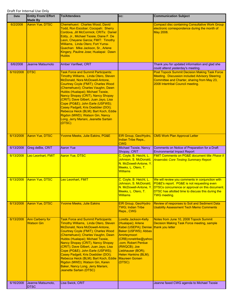| <b>Date</b> | <b>Entity From/ Effort</b><br><b>Made By</b> | <b>To/Attendees</b>                                                                                                                                                                                                                                                                                                                                                                                                                                                                                                                           | CC:                                                                                                                                                                                                                                                                           | <b>Communication Subject</b>                                                                                                                                                                                                                                              |
|-------------|----------------------------------------------|-----------------------------------------------------------------------------------------------------------------------------------------------------------------------------------------------------------------------------------------------------------------------------------------------------------------------------------------------------------------------------------------------------------------------------------------------------------------------------------------------------------------------------------------------|-------------------------------------------------------------------------------------------------------------------------------------------------------------------------------------------------------------------------------------------------------------------------------|---------------------------------------------------------------------------------------------------------------------------------------------------------------------------------------------------------------------------------------------------------------------------|
| 6/2/2008    | Aaron Yue, DTSC                              | Chemehuevi: Charles Wood, David<br>Todd, Ron Escobar; Cocopah: Sherry<br>Cordova, Jill McCormick; CRITs: Daniel<br>Eddy, Jr., Michael Tsosie, Diane F. De<br>Leon, Cheyene Garcia; FMIT: Timothy<br>Williams, Linda Otero; Fort Yuma-<br>Quechan: Mike Jackson, Sr., Arlene<br>Kingery, Pauline Jose; Hualapai: Dawn<br><b>Hubbs</b>                                                                                                                                                                                                          |                                                                                                                                                                                                                                                                               | <b>Compact disc containing Consultative Work Group</b><br>electronic correspondence during the month of<br>May 2008.                                                                                                                                                      |
| 6/6/2008    | Jeanne Matsumoto                             | Amber Vanfleet, CRIT                                                                                                                                                                                                                                                                                                                                                                                                                                                                                                                          |                                                                                                                                                                                                                                                                               | Thank you for updated information and glad she<br>could attend yesterday's meeting.                                                                                                                                                                                       |
| 6/10/2008   | <b>DTSC</b>                                  | <b>Task Force and Summit Participants:</b><br>Timothy Williams, Linda Otero, Steven<br>McDonald, Nora McDowell-Antone,<br>Courtney Coyle (FMIT); Charles Wood<br>(Chemehuevi); Charles Vaughn, Dawn<br>Hubbs (Hualapai); Michael Tsosie,<br>Nancy Shopay (CRIT), Nancy Shopay<br>(CRIT); Dave Gilbert, Juan Jayo, Lisa<br>Cope (PG&E); John Earle (USFWS);<br>Casey Padgett, Kris Doebbler (DOI);<br>Rebecca Heick (BLM); Bart Koch, Eddie<br>Rigdon (MWD); Watson Gin, Nancy<br>Long, Jerry Mariani, Jeanette Sartain<br>(DTSC)              |                                                                                                                                                                                                                                                                               | <b>Post Topock Summit Decision Making Task Force</b><br><b>Meeting. Discussion included Advisory Steering</b><br>Committee and Charter, sharing from May 23,<br>2008 Intertribal Council meeting.                                                                         |
| 6/13/2008   | <b>Aaron Yue, DTSC</b>                       | Yvonne Meeks, Julie Eakins, PG&E                                                                                                                                                                                                                                                                                                                                                                                                                                                                                                              | EIR Group, Geo/Hydro,<br>Indian Tribe Reps.,<br><b>CWG</b>                                                                                                                                                                                                                    | <b>CMS Work Plan Approval Letter</b>                                                                                                                                                                                                                                      |
| 6/13/2008   | Greg deBie, CRIT                             | <b>Aaron Yue</b>                                                                                                                                                                                                                                                                                                                                                                                                                                                                                                                              | Michael Tsosie, Nancy<br>Shopay, CRIT                                                                                                                                                                                                                                         | Comments on Notice of Preparation for a Draft<br><b>Environmental Impact Report</b>                                                                                                                                                                                       |
| 6/13/2008   | Leo Leonhart, FMIT                           | <b>Aaron Yue, DTSC</b>                                                                                                                                                                                                                                                                                                                                                                                                                                                                                                                        | C. Coyle, B. Heicht, L.<br>Johnson, S. McDonald,<br>N. McDowell-Antone, Y.<br>Meeks, L. Otero, T.<br><b>Williams</b>                                                                                                                                                          | <b>FMIT Comments on PG&amp;E document title Phase II</b><br><b>Anaerobic Core Testing Summary Report</b>                                                                                                                                                                  |
| 6/13/2008   | <b>Aaron Yue, DTSC</b>                       | Leo Leonhart, FMIT                                                                                                                                                                                                                                                                                                                                                                                                                                                                                                                            | C. Coyle, B. Heicht, L.<br>Meeks, L. Otero, T.<br><b>Williams</b>                                                                                                                                                                                                             | We will review you comments in conjunction with<br>Johnson, S. McDonald, PG&E's report. PG&E is not requesting even<br>N. McDowell-Antone, Y. DTSCs concurrence or approval on this document.<br>DTSC has allotted time to discuss this during the<br><b>TWG</b> meeting. |
| 6/13/2008   | Aaron Yue, DTSC                              | <b>Yvonne Meeks, Julie Eakins</b>                                                                                                                                                                                                                                                                                                                                                                                                                                                                                                             | EIR Group, Geo/Hydro<br><b>TWG; Indian Tribe</b><br>Reps., CWG                                                                                                                                                                                                                | Review of responses to Soil and Sediment Data<br><b>Usability Assessment Tech Memo Comments</b>                                                                                                                                                                           |
| 6/13/2008   | <b>Ann Carberry for</b><br><b>Watson Gin</b> | <b>Task Force and Summit Participants:</b><br>Timothy Williams, Linda Otero, Steven<br>McDonald, Nora McDowell-Antone,<br>Courtney Coyle (FMIT); Charles Wood<br>(Chemehuevi); Charles Vaughn, Dawn<br>Hubbs (Hualapai); Michael Tsosie,<br>Nancy Shopay (CRIT), Nancy Shopay<br>(CRIT); Dave Gilbert, Juan Jayo, Lisa<br>Cope (PG&E); John Earle (USFWS);<br>Casey Padgett, Kris Doebbler (DOI);<br>Rebecca Heick (BLM); Bart Koch, Eddie<br>Rigdon (MWD); Watson Gin, Karen<br>Baker, Nancy Long, Jerry Mariani,<br>Jeanette Sartain (DTSC) | Loretta Jackson-Kelly<br>(Hualapai); Arlene<br>Kabei (USEPA); Denise thank you letter<br>Baker (USFWS); Abbas<br>Amirteymoori<br>(CRB);ronetribe@yahoo<br>.com; Robert Perdue<br>(RWQCB); Joe<br>Liebhauser (BOR);<br>Helen Hankins (BLM);<br><b>Maureen Gorsen</b><br>(DTSC) | Notes from June 10, 2008 Topock Summit<br><b>Decision Making Task Force meeting, sample</b>                                                                                                                                                                               |
| 6/16/2008   | Jeanne Matsumoto,<br><b>DTSC</b>             | Lisa Swick, CRIT                                                                                                                                                                                                                                                                                                                                                                                                                                                                                                                              |                                                                                                                                                                                                                                                                               | Jeanne faxed CWG agenda to Michael Tsosie                                                                                                                                                                                                                                 |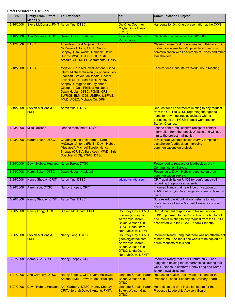| <b>Date</b> | <b>Entity From/ Effort</b><br><b>Made By</b> | <b>To/Attendees</b>                                                                                                                                                                                                                                                                                                             | CC:                                                                                                                                                     | <b>Communication Subject</b>                                                                                                                                                                                        |
|-------------|----------------------------------------------|---------------------------------------------------------------------------------------------------------------------------------------------------------------------------------------------------------------------------------------------------------------------------------------------------------------------------------|---------------------------------------------------------------------------------------------------------------------------------------------------------|---------------------------------------------------------------------------------------------------------------------------------------------------------------------------------------------------------------------|
| 6/16/2008   | Steve McDonald, FMIT Aaron Yue, DTSC         |                                                                                                                                                                                                                                                                                                                                 | Dr. King, Courtney<br>Coyle, Linda Otero<br>(FMIT)                                                                                                      | Handouts for Dr. King's presentation at the CWG                                                                                                                                                                     |
| 6/16/2008   | Ann Carberry, DTSC                           | Dawn Hubbs, Hualapai                                                                                                                                                                                                                                                                                                            | <b>Task for and Summit</b><br>Participants                                                                                                              | Clarification on letter sent out 6/13/08                                                                                                                                                                            |
| 6/17/2008   | <b>DTSC</b>                                  | Attendees: Fort Mojave: Nora<br>McDowell-Antone; CRIT: Nancy<br>Shopay, Lisa Swick; Hualapai: Dawn<br>Hubbs; MWD, DTSC, DOI, PG&E,<br><b>Arcadis, CH2M Hill, Sacramento Quality</b>                                                                                                                                             |                                                                                                                                                         | Clearinghouse Task Force meeting. Primary topic<br>of discussion was tools/approaches to improve<br>communication with Leadership of Tribes and other<br>stakeholders.                                              |
| 6/18/2008   | <b>DTSC</b>                                  | Mojave: Nora McDowell-Antone, Linda<br>Otero, Michael Sullivan (by phone), Leo<br>Leonhart, Steven McDonald, Rachel<br>Zellner; CRIT: Lisa Swick, Nancy<br>Shopay, Gregg de Bie (by phone);<br>Cocopah: Dale Phillips; Hualapai:<br>Dawn Hubbs; DTSC, PG&E, CRB,<br>SWRCB, BLM, DOI, USEPA, USFWS,<br>MWD, ADEQ, Mohave Co. DPH |                                                                                                                                                         | Face-to-face Consultative Work Group Meeting                                                                                                                                                                        |
| 6/19/2008   | Steven McDonald,<br><b>FMIT</b>              | <b>Aaron Yue, DTSC</b>                                                                                                                                                                                                                                                                                                          |                                                                                                                                                         | Request for all documents relating to any request<br>from the CRIT to DTSC regarding the agenda<br>items for any meetings associated with or<br>pertaining to the PG&E Topock Compressor<br><b>Station Cleanup.</b> |
| 6/23/2008   | Mike Jackson                                 | Jeanne Matsumoto, DTSC                                                                                                                                                                                                                                                                                                          |                                                                                                                                                         | Jeanne sent e-mail confirm receipt of contact<br>information from the topock Website and will add<br>him to the project mailing list.                                                                               |
| 6/23/2008   | Karen Baker, DTSC                            | <b>Clearinghouse Task Force: Nora</b><br>McDowell-Antone (FMIT); Dawn Hubbs<br>(Hualapai); Michael Tsosie, Nancy<br>Shopay (CRITs); Bart Koch (MWD); Kris<br>Doebbler (DOI); PG&E DTSC                                                                                                                                          |                                                                                                                                                         | E-mail draft Communication Survey template for<br>stakeholder feedback on improving<br>communications on project.                                                                                                   |
| 6/24/2008   | Dawn Hubbs, Hualapai Karen Baker, DTSC       |                                                                                                                                                                                                                                                                                                                                 |                                                                                                                                                         | Responded to request for feedback on draft<br><b>Communication Survey.</b>                                                                                                                                          |
| 6/24/2008   | Karen Baker, DTSC                            | Dawn Hubbs, Hualapai                                                                                                                                                                                                                                                                                                            |                                                                                                                                                         | Response to Dawn Hubb's response on draft<br>communication survey                                                                                                                                                   |
| 6/25/2008   | Nancy Shopay, CRIT                           | Aaron Yue, DTSC                                                                                                                                                                                                                                                                                                                 | gdebie@critdoj.com                                                                                                                                      | CRIT availability on 7/1/08 for conference call<br>regarding the proposed agenda.                                                                                                                                   |
| 6/26/2008   | Aaron Yue, DTSC                              | Nancy Shopay, CRIT                                                                                                                                                                                                                                                                                                              |                                                                                                                                                         | Informed Nancy that he will be on vacation on<br>7/1/08 but is trying to arrange for others to take his<br>place.                                                                                                   |
| 6/26/2008   | Nancy Shopay, CRIT                           | Aaron Yue, DTSC                                                                                                                                                                                                                                                                                                                 |                                                                                                                                                         | Suggested to wait until Aaron returns to hold<br>conference call since Michael Tsosie is also out of<br>office.                                                                                                     |
| 6/26/2008   | <b>Nancy Long, DTSC</b>                      | <b>Steven McDonald, FMIT</b>                                                                                                                                                                                                                                                                                                    | <b>Courtney Coyle, FMIT,</b><br>gdebie@critdoj.com,<br><b>Aaron Yue, Karen</b><br>Baker, Watson Gin,<br>DTSC, Linda Otero,<br>Nora McDowell, FMIT       | Sent document responsive to his request on<br>6/19/08 pursuant to the Public Records Act for all<br>documents relating to any request from the CRITs<br>associated with the PG&E Topock Cleanup                     |
| 6/26/2008   | Steven McDonald,<br><b>FMIT</b>              | <b>Nancy Long, DTSC</b>                                                                                                                                                                                                                                                                                                         | <b>Courtney Coyle, FMIT,</b><br>gdebie@critdoj.com,<br><b>Aaron Yue, Karen</b><br>Baker, Watson Gin<br><b>DTSC, Linda Otero,</b><br>Nora McDowell, FMIT | Informed Nancy Long that there was no attachment<br>to her e-mail. Asked if she wants to be copied on<br>future requests of this sort.                                                                              |
| 6/27/2008   | Aaron Yue, DTSC                              | Nancy Shopay, CRIT                                                                                                                                                                                                                                                                                                              |                                                                                                                                                         | Informed Nancy that he will return on 7/8 and<br>suggested holding the conference call during that<br>week. Needs to conform Nancy Long and Karen<br>Baker's availability too.                                      |
| 6/27/2008   | Ann Carberry, DTSC                           | Nancy Shopay, CRIT; Nora McDowell-<br>Antone, FMIT; Dawn Hubbs, Hualapai                                                                                                                                                                                                                                                        | Jeanette Sartain, Karen<br>Baker, Watson Gin,<br><b>DTSC</b>                                                                                            | Request to review draft invitation letters for the<br><b>Proposed Topock Leadership Advisory Board</b>                                                                                                              |
| 6/27/2008   |                                              | Dawn Hubbs, Hualapai Ann Carberry, DTSC, Nancy Shopay,<br>CRIT, Nora McDowell-Antone, FMIT,                                                                                                                                                                                                                                     | Jeanette Sartain, Karen<br>Baker, Watson Gin,<br><b>DTSC</b>                                                                                            | Her edits to the draft invitation letters for the<br><b>Proposed Leadership Advisory Board</b>                                                                                                                      |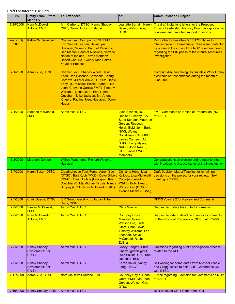| <b>Date</b>        | <b>Entity From/ Effort</b><br><b>Made By</b> | <b>To/Attendees</b>                                                                                                                                                                                                                                                                                                                  | CC:                                                                                                                                                                                                                                                                                               | <b>Communication Subject</b>                                                                                                                                                                                             |
|--------------------|----------------------------------------------|--------------------------------------------------------------------------------------------------------------------------------------------------------------------------------------------------------------------------------------------------------------------------------------------------------------------------------------|---------------------------------------------------------------------------------------------------------------------------------------------------------------------------------------------------------------------------------------------------------------------------------------------------|--------------------------------------------------------------------------------------------------------------------------------------------------------------------------------------------------------------------------|
| 6/29/2008          | Nora McDowell-<br><b>Antone, FMIT</b>        | Ann Carberry, DTSC, Nancy Shopay,<br><b>CRIT, Dawn Hubbs, Hualapai</b>                                                                                                                                                                                                                                                               | Jeanette Sartain, Karen<br>Baker, Watson Gin,<br><b>DTSC</b>                                                                                                                                                                                                                                      | The draft invitations letters for the Proposed<br>Topock Leadership Advisory Board incorporate her<br>concerns and have her support to send out.                                                                         |
| early July<br>2008 | <b>Kathie Schlievelbein</b>                  | Chemehuevi, Cocopah, CRIT, FMIT,<br>Fort Yuma Quechan, Havasupai,<br>Hualapai, Morongo Band of Missions,<br>San Manuel Band of Missions, Serrano<br><b>Nation of Indians, Torres Martinez</b><br>Desert Cahuilla, Twenty-Nine Palms,<br><b>Yavapai-Prescott</b>                                                                      |                                                                                                                                                                                                                                                                                                   | Per Kathie Schievelbein's 10/17/08 letter to<br>Charles Wood, Chemehuevi, tribes were contacted<br>by phone at the close of the NOP comment period<br>regarding the EIR phase of the cultural resources<br>investigation |
| 7/1/2008           | <b>Aaron Yue, DTSC</b>                       | Chemehuevi: Charles Wood, David<br>Todd, Ron Escobar; Cocopah: Sherry<br>Cordova, Jill McCormick; CRITs: Daniel<br>Eddy, Jr., Michael Tsosie, Diane F. De<br>Leon, Cheyene Garcia; FMIT: Timothy<br>Williams, Linda Otero; Fort Yuma-<br>Quechan: Mike Jackson, Sr., Arlene<br>Kingery, Pauline Jose; Hualapai: Dawn<br><b>Hubbs</b> |                                                                                                                                                                                                                                                                                                   | <b>Compact disc containing Consultative Work Group</b><br>electronic correspondence during the month of<br><b>June 2008.</b>                                                                                             |
| 7/1/2008           | Stephen McDonald,<br><b>FMIT</b>             | <b>Aaron Yue, DTSC</b>                                                                                                                                                                                                                                                                                                               | Lynn Scarlett, DOI,<br>Denise Cucheny, CA<br><b>State Senator, Maureen</b><br>Gorsen, Rebecca<br>Heick, BLM, John Earle,<br><b>NWS, Wayne</b><br>Donaldson, CA SHPO,<br><b>James Carrison, AZ</b><br><b>SHPO, Larry Myers,</b><br>NAHC, John Nau III,<br><b>OHP, Tribal CWG</b><br><b>Members</b> | <b>FMIT Comments on Notice of Preparation (NOP)</b><br>for DEIR                                                                                                                                                          |
| 7/2/2008           | <b>Maureen Gorsen</b>                        | Wilfred Watanome, Richard Walema,<br>Hualapai                                                                                                                                                                                                                                                                                        |                                                                                                                                                                                                                                                                                                   | Congratulations on election and request to meet<br>with Hualapai to discuss status of the investigation                                                                                                                  |
| 7/7/2008           | Karen Baker, DTSC                            | <b>Clearinghouse Task Force: Aaron Yue</b><br>(DTSC); Bart Koch (MWD); Dave Gilbert<br>(PG&E), Dawn Hubbs (Hualapai); Kris<br>Doebbler (BLM); Michael Tsosie, Nancy<br>Shopay (CRIT); Nora McDowell (FMIT)                                                                                                                           | Christina Hong, Lisa<br>Kellogg, Lisa Micheletti<br>Cope (on behalf of<br>PG&E), Bob Howard,<br>Watson Gin (DTSC),<br><b>Yvonne Meeks (PG&amp;E)</b>                                                                                                                                              | <b>Draft Decision Matrix/Timeline for remaining</b><br>decisions on the project for your review. Next<br>meeting is 7/22/08.                                                                                             |
| 7/7/2008           | <b>Chris Guerre, DTSC</b>                    | EIR Group, Geo/Hydro, Indian Tribe<br>Reps, CWG                                                                                                                                                                                                                                                                                      |                                                                                                                                                                                                                                                                                                   | <b>RFI/RI Volume 2 for Review and Comments</b>                                                                                                                                                                           |
| 7/8/2008           | Steven McDonald,<br><b>FMIT</b>              | <b>Aaron Yue, DTSC</b>                                                                                                                                                                                                                                                                                                               | <b>Chris Guerre</b>                                                                                                                                                                                                                                                                               | Request to update his contact information                                                                                                                                                                                |
| 7/8/2008           | Nora McDowell-<br><b>Antone, FMIT</b>        | <b>Aaron Yue, DTSC</b>                                                                                                                                                                                                                                                                                                               | Courtney Coyle,<br><b>Maureen Gorsen.</b><br>Watson Gin, Linda<br>Otero, Shan Lewis,<br><b>Timothy Williams, Leo</b><br>Leonhart, Steve<br>McDonald, Rachel<br><b>Zellner</b>                                                                                                                     | Request to extend deadline to receive comments<br>on the Notice of Preparation (NOP) until 7/28/08                                                                                                                       |
| 7/8/2008           | Nancy Shopay,<br>Envirometrix (for<br>CRIT)  | Aaron Yue, DTSC                                                                                                                                                                                                                                                                                                                      | Casey Padgett, Chris<br>Guerre, gdebie@crit,<br>Julie Eakins, CH2, Kris<br>Doebbler, BLM                                                                                                                                                                                                          | Questions regarding public participation process<br>related to the RFI                                                                                                                                                   |
| 7/9/2008           | Nancy Shopay,<br>Envirometrix (for<br>CRIT)  | Aaron Yue, DTSC                                                                                                                                                                                                                                                                                                                      | Karen Baker, Nancy<br>Long, DTSC                                                                                                                                                                                                                                                                  | Still waiting for some dates from Michael Tsosie<br>and Gregg de Bie to hold CRIT Conference Call<br>with DTSC.                                                                                                          |
| 7/11/2008          | <b>Aaron Yue, DTSC</b>                       | Nora McDowell-Antone, FMIT                                                                                                                                                                                                                                                                                                           | <b>Courtney Coyle, Linda</b><br>Otero, FMIT; Maureen<br>Gorsen, Watson Gin,<br><u>DTSC</u>                                                                                                                                                                                                        | <b>E-mail regarding Extension for Comments on NOP</b><br>for DEIR                                                                                                                                                        |
| 7/16/2008          | Nancy Shopay, CRIT                           | Aaron Yue, DTSC                                                                                                                                                                                                                                                                                                                      |                                                                                                                                                                                                                                                                                                   | Best dates for CRIT Conference Call                                                                                                                                                                                      |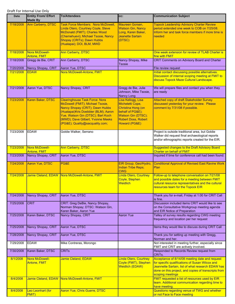| Date      | <b>Entity From/ Effort</b><br><b>Made By</b> | <b>To/Attendees</b>                                                                                                                                                                                                                                               | CC:                                                                                                                                                          | <b>Communication Subject</b>                                                                                                                                                                                                       |
|-----------|----------------------------------------------|-------------------------------------------------------------------------------------------------------------------------------------------------------------------------------------------------------------------------------------------------------------------|--------------------------------------------------------------------------------------------------------------------------------------------------------------|------------------------------------------------------------------------------------------------------------------------------------------------------------------------------------------------------------------------------------|
| 7/18/2008 | <b>Ann Carberry, DTSC</b>                    | <b>Task Force Members: Nora McDowell,</b><br>Linda Otero, Courtney Coyle, Steve<br>McDonald (FMIT); Charles Wood<br>(Chemehuevi); Michael Tsosie, Nancy<br>Shopay (CRITs); Dawn Hubbs<br>(Hualapai); DOI, BLM, MWD                                                | Maureen Gorsen,<br><b>Watson Gin, Nancy</b><br>Long, Karen Baker,<br><b>Jeanette Sartain</b><br>(DTSC)                                                       | <b>Topock Leadership Advisory Charter Review</b><br>period extended one week to COB on 7/25/08.<br>Inform her and task force members if more time is<br>needed                                                                     |
| 7/18/2008 | Nora McDowell-<br><b>Antone, FMIT</b>        | <b>Ann Carberry, DTSC</b>                                                                                                                                                                                                                                         |                                                                                                                                                              | One week extension for review of TLAB Charter is<br>fine with FMIT                                                                                                                                                                 |
| 7/18/2008 | Gregg de Bie, CRIT                           | Ann Carberry, DTSC                                                                                                                                                                                                                                                | Nancy Shopay, Mike<br>Tsosie                                                                                                                                 | <b>CRIT Comments on Advisory Board and Charter</b>                                                                                                                                                                                 |
| 7/20/2008 | Nancy Shopay, CRIT                           | Aaron Yue, DTSC                                                                                                                                                                                                                                                   |                                                                                                                                                              | File review request                                                                                                                                                                                                                |
| 7/21/2008 | <b>EDAW</b>                                  | Nora McDowell-Antone, FMIT                                                                                                                                                                                                                                        |                                                                                                                                                              | Initial contact discussing possible alternatives.<br>Discussion of internal scoping meeting at FMIT to<br>discuss Topock Maze Cultural Landscape.                                                                                  |
| 7/21/2008 | Aaron Yue, DTSC                              | Nancy Shopay, CRIT                                                                                                                                                                                                                                                | Gregg de Bie, Julie<br>Johnson, Mike Tsosie,<br>Nancy Long                                                                                                   | We will prepare files and contact you when they<br>are ready                                                                                                                                                                       |
| 7/23/2008 | Karen Baker, DTSC                            | <b>Clearinghouse Task Force: Nora</b><br>McDowell (FMIT); Michael Tsosie,<br>Nancy Shopay (CRIT); Dawn Hubbs<br>(Hualapai)Kris Doebbler (BLM); Aaron<br>Yue, Watson Gin (DTSC); Bart Koch<br>(MWD); Dave Gilbert, Yvonne Meeks<br>(PG&E); Quality@sacquality.com; | Lisa Kellogg, Lisa<br>Micheletti Cope,<br>Christina Hong (on<br>behalf of PG&E);<br><b>Watson Gin (DTSC);</b><br><b>Robert Doss, Robert</b><br>Howard (PG&E) | Attached copy of draft Stakeholder Survey<br>discussed yesterday for your review. Please<br>comment by 7/31/08 if possible.                                                                                                        |
| 7/23/2008 | <b>EDAW</b>                                  | Goldie Walker, Serrano                                                                                                                                                                                                                                            |                                                                                                                                                              | Project is outside traditional area, but Goldie<br>Walker did request final archaeological reports<br>and/or ethnographic reports created for the EIR.                                                                             |
| 7/23/2008 | Nora McDowell-<br>Antone, FMIT               | <b>Ann Carberry, DTSC</b>                                                                                                                                                                                                                                         |                                                                                                                                                              | <b>Suggested changes to the Draft Advisory Board</b><br><b>Charter on behalf of FMIT</b>                                                                                                                                           |
| 7/23/2008 | Nancy Shopay, CRIT                           | Aaron Yue, DTSC                                                                                                                                                                                                                                                   |                                                                                                                                                              | Inquired if time for conference call had been found.                                                                                                                                                                               |
| 7/24/2008 | Aaron Yue, DTSC                              | PG&E                                                                                                                                                                                                                                                              | EIR Group, Geo/Hydro,<br><b>Indian Tribe Reps;</b><br><b>CWG</b>                                                                                             | <b>Conditional Approval of Revised East Ravine Work</b><br>Plan                                                                                                                                                                    |
| 7/24/2008 |                                              | Jamie Cleland, EDAW Nora McDowell-Antone, FMIT                                                                                                                                                                                                                    | Linda Otero, Courtney<br>Coyle, Stephen<br><b>Weidlich</b>                                                                                                   | Follow-up to telephone conversation on 7/21/08<br>and possible dates for a meeting between FMIT<br>cultural resource representatives and the cultural<br>resources team for the Topock EIR                                         |
| 7/24/2008 | Nancy Shopay, CRIT                           | Aaron Yue, DTSC                                                                                                                                                                                                                                                   |                                                                                                                                                              | Thank you for e-mail, Friday at 1:00 for CRIT Call<br>is fine.                                                                                                                                                                     |
| 7/25/2008 | <b>CRIT</b>                                  | CRIT: Greg DeBie, Nancy Shopay,<br>Norman Shopay; DTSC: Watson Gin,<br>Karen Baker, Aaron Yue                                                                                                                                                                     |                                                                                                                                                              | Discussion included items CRIT would like to see<br>on the Consultative Workgroup meeting agenda<br>and EIR Notice of Preparation                                                                                                  |
| 7/25/2008 | Karen Baker, DTSC                            | Nancy Shopay, CRIT                                                                                                                                                                                                                                                | <b>Aaron Yue</b>                                                                                                                                             | Talley of survey results regarding CWG meeting<br>frequency and location per her request                                                                                                                                           |
| 7/25/2008 | Nancy Shopay, CRIT                           | Aaron Yue, DTSC                                                                                                                                                                                                                                                   |                                                                                                                                                              | Items they would like to discuss during CRIT Call                                                                                                                                                                                  |
| 7/28/2008 | Nancy Shopay, CRIT                           | Aaron Yue, DTSC                                                                                                                                                                                                                                                   |                                                                                                                                                              | Thank you for setting up meeting with Gregg,<br>Norman and her.                                                                                                                                                                    |
| 7/29/2008 | <b>EDAW</b>                                  | Mike Contreras, Morongo                                                                                                                                                                                                                                           |                                                                                                                                                              | Not interested in meeting further, especially since<br>FMIT and CRIT are actively involved.                                                                                                                                        |
| 7/30/2008 | Karen Baker, DTSC                            | <b>CRIT<sub>s</sub></b>                                                                                                                                                                                                                                           |                                                                                                                                                              | Responded to Records Review request from<br>CRIT <sub>s</sub> .                                                                                                                                                                    |
| 8/1/2008  | Nora McDowell-<br>Antone, FMIT               | Jamie Cleland, EDAW                                                                                                                                                                                                                                               | <b>Linda Otero, Courtney</b><br>Coyle (FMIT), Stephen<br><b>Weidlich (EDAW)</b>                                                                              | Acceptance of 8/14/08 meeting date and request<br>for specific qualifications of Susan Wilcox and<br>Jeannette Sartain, list of what research EDAW has<br>done on this project, and copies of transcripts from<br>scoping meetings |
| 8/4/2008  |                                              | Jamie Cleland, EDAW Nora McDowell-Antone, FMIT                                                                                                                                                                                                                    |                                                                                                                                                              | FMIT requested a list of resources used by EIR<br>team. Additional communication regarding time to<br>have meeting.                                                                                                                |
| 8/4/2008  | Leo Leonhart (for<br>FMIT)                   | <b>Aaron Yue, Chris Guerre, DTSC</b>                                                                                                                                                                                                                              |                                                                                                                                                              | Questions regarding venue of TWG and whether<br>or not Face to Face meeting                                                                                                                                                        |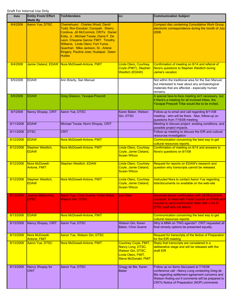| <b>Date</b> | <b>Entity From/ Effort</b><br><b>Made By</b> | <b>To/Attendees</b>                                                                                                                                                                                                                                                                                                                  | CC:                                                                                                                                | <b>Communication Subject</b>                                                                                                                                                                                                                      |
|-------------|----------------------------------------------|--------------------------------------------------------------------------------------------------------------------------------------------------------------------------------------------------------------------------------------------------------------------------------------------------------------------------------------|------------------------------------------------------------------------------------------------------------------------------------|---------------------------------------------------------------------------------------------------------------------------------------------------------------------------------------------------------------------------------------------------|
| 8/4/2008    | Aaron Yue, DTSC                              | Chemehuevi: Charles Wood, David<br>Todd, Ron Escobar; Cocopah: Sherry<br>Cordova, Jill McCormick; CRITs: Daniel<br>Eddy, Jr., Michael Tsosie, Diane F. De<br>Leon, Cheyene Garcia; FMIT: Timothy<br>Williams, Linda Otero; Fort Yuma-<br>Quechan: Mike Jackson, Sr., Arlene<br>Kingery, Pauline Jose; Hualapai: Dawn<br><b>Hubbs</b> |                                                                                                                                    | <b>Compact disc containing Consultative Work Group</b><br>electronic correspondence during the month of July<br>2008.                                                                                                                             |
| 8/4/2008    |                                              | Jamie Cleland, EDAW Nora McDowell-Antone, FMIT                                                                                                                                                                                                                                                                                       | <b>Linda Otero, Courtney</b><br>Coyle (FMIT), Stephen<br><b>Weidlich (EDAW)</b>                                                    | Confirmation of meeting on 8/14 and referral of<br>Nora's questions to Stephen Weidlich during<br>Jamie's vacation                                                                                                                                |
| 8/5/2008    | <b>EDAW</b>                                  | Ann Brierty, San Manuel                                                                                                                                                                                                                                                                                                              |                                                                                                                                    | Not within the traditional area for the San Manuel,<br>but interested to hear about any archaeological<br>materials that are affected - especially human<br>remains.                                                                              |
| 8/5/2008    | <b>EDAW</b>                                  | Greg Glassco, Yavapai-Prescott                                                                                                                                                                                                                                                                                                       |                                                                                                                                    | A special face-to-face meeting isn't necessary, but<br>it there's a meeting for all involved tribes, the<br>Yavapai-Prescott Tribe would like to be invited.                                                                                      |
| 8/7/2008    | Nancy Shopay, CRIT                           | Aaron Yue, DTSC                                                                                                                                                                                                                                                                                                                      | Karen Baker, Watson<br>Gin, DTSC                                                                                                   | Follow-up to email and call regarding 8/11/08<br>meeting - who will be there. Also, follow-up on<br>questions from 7/16/08 meeting                                                                                                                |
| 8/11/2008   | <b>EDAW</b>                                  | Michael Tsosie; Norm Shopay, CRIT                                                                                                                                                                                                                                                                                                    |                                                                                                                                    | Meeting to discuss project, existing conditions, and<br>possible project impacts.                                                                                                                                                                 |
| 8/11/2008   | <b>DTSC</b>                                  | <b>CRIT</b>                                                                                                                                                                                                                                                                                                                          |                                                                                                                                    | Follow-up meeting to discuss the EIR and cultural<br>resources investigation                                                                                                                                                                      |
| 8/12/2008   | <b>EDAW</b>                                  | Nora McDowell-Antone, FMIT                                                                                                                                                                                                                                                                                                           |                                                                                                                                    | Communication concerning the best way to get<br>cultural resources reports.                                                                                                                                                                       |
| 8/12/2008   | Stephen Weidlich,<br><b>EDAW</b>             | Nora McDowell-Antone, FMIT                                                                                                                                                                                                                                                                                                           | <b>Linda Otero, Courtney</b><br>Coyle, Jamie Cleland,<br><b>Susan Wilcox</b>                                                       | Confirmation of meeting on 8/14 and answers to<br>Nora's questions on 8/1/08                                                                                                                                                                      |
| 8/12/2008   | Nora McDowell-<br>Antone, FMIT               | <b>Stephen Weidlich, EDAW</b>                                                                                                                                                                                                                                                                                                        | <b>Linda Otero, Courtney</b><br>Coyle, Jamie Cleland,<br><b>Susan Wilcox</b>                                                       | Request for reports on EDAW's research and<br>question why transcripts cannot be released.                                                                                                                                                        |
| 8/12/2008   | Stephen Weidlich,<br><b>EDAW</b>             | Nora McDowell-Antone, FMIT                                                                                                                                                                                                                                                                                                           | <b>Linda Otero, Courtney</b><br>Coyle, Jamie Cleland,<br><u>Susan Wilcox</u>                                                       | Instructed Nora to contact Aaron Yue regarding<br>lists/documents no available on the web-site                                                                                                                                                    |
| 8/13/2008   | Jeanne Matsumoto,<br><b>DTSC</b>             | Aaron Yue, Chris Guerre, Karen Baker,<br><b>Watson Gin, DTSC</b>                                                                                                                                                                                                                                                                     | <b>Lori Hare</b>                                                                                                                   | Received phone confirmation with Jill McCormick,<br>Cocopah, to meet with Tribal Council on 9/9/08 and<br>request to send confirmation letter with a list of<br><b>DTSC staff who will attend.</b>                                                |
| 8/13/2008   | <b>EDAW</b>                                  | Nora McDowell-Antone, FMIT                                                                                                                                                                                                                                                                                                           |                                                                                                                                    | Communication concerning the best way to get<br>cultural resources reports.                                                                                                                                                                       |
| 8/13/2008   | Nancy Shopay, CRIT                           | Aaron Yue, DTSC                                                                                                                                                                                                                                                                                                                      | Watson Gin, Karen<br>Baker, Chris Guerre                                                                                           | Why is MNA on TWG agenda? CRIT requested all<br>final remedy options be presented equally.                                                                                                                                                        |
| 8/13/2008   | Nora McDowell-<br>Antone, FMIT               | <b>Aaron Yue, Watson Gin, DTSC</b>                                                                                                                                                                                                                                                                                                   |                                                                                                                                    | Request for transcripts of the Notice of Preparation<br>for the EIR meeting                                                                                                                                                                       |
| 8/13/2008   | <b>Aaron Yue, DTSC</b>                       | Nora McDowell-Antone, FMIT                                                                                                                                                                                                                                                                                                           | <b>Courtney Coyle, FMIT,</b><br>Nancy Long, DTSC,<br><b>Watson Gin, DTSC,</b><br>Linda Otero, FMIT,<br><b>Steve McDonald, FMIT</b> | Reply that transcripts are considered in a<br>deliberative stage and will be released with the<br>draft EIR                                                                                                                                       |
| 8/13/2008   | Nancy Shopay for<br><b>CRIT</b>              | Aaron Yue, DTSC                                                                                                                                                                                                                                                                                                                      | Gregg de Bie, Karen<br><b>Baker</b>                                                                                                | Follow up on items discussed at 7/16/08<br>conference call - Nancy Long contacting Greg de<br>Bie regarding settlement agreement concerns and<br>Watson finding out if comments will be prepared to<br>CRITs Notice of Preparation (NOP) comments |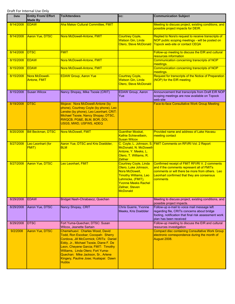| Date      | <b>Entity From/ Effort</b><br><b>Made By</b> | <b>To/Attendees</b>                                                                                                                                                                                                                                                                                                                  | CC:                                                                                                                                                                                                    | <b>Communication Subject</b>                                                                                                                                                                              |
|-----------|----------------------------------------------|--------------------------------------------------------------------------------------------------------------------------------------------------------------------------------------------------------------------------------------------------------------------------------------------------------------------------------------|--------------------------------------------------------------------------------------------------------------------------------------------------------------------------------------------------------|-----------------------------------------------------------------------------------------------------------------------------------------------------------------------------------------------------------|
| 8/14/2008 | <b>FDAW</b>                                  | <b>Aha Makav Cultural Committee, FMIT</b>                                                                                                                                                                                                                                                                                            |                                                                                                                                                                                                        | Meeting to discuss project, existing conditions, and<br>possible project impacts for DEIR.                                                                                                                |
| 8/14/2008 | Aaron Yue, DTSC                              | Nora McDowell-Antone, FMIT                                                                                                                                                                                                                                                                                                           | <b>Courtney Coyle,</b><br><b>Watson Gin, Linda</b><br>Otero, Steve McDonald                                                                                                                            | Replied to Nora's request to receive transcripts of<br>NOP public scoping meetings - will be posted on<br>Topock web-site or contact CEQA                                                                 |
| 8/14/2008 | <b>DTSC</b>                                  | <b>FMIT</b>                                                                                                                                                                                                                                                                                                                          |                                                                                                                                                                                                        | Follow-up meeting to discuss the EIR and cultural<br>resources information                                                                                                                                |
| 8/15/2008 | <b>EDAW</b>                                  | Nora McDowell-Antone, FMIT                                                                                                                                                                                                                                                                                                           |                                                                                                                                                                                                        | <b>Communication concerning transcripts of NOP</b><br>meetings.                                                                                                                                           |
| 8/15/2008 | <b>EDAW</b>                                  | Nora McDowell-Antone, FMIT                                                                                                                                                                                                                                                                                                           |                                                                                                                                                                                                        | Communication concerning transcripts of NOP<br>meetings.                                                                                                                                                  |
| 8/15/2008 | Nora McDowell-<br>Antone, FMIT               | <b>EDAW Group, Aaron Yue</b>                                                                                                                                                                                                                                                                                                         | <b>Courtney Coyle,</b><br><b>Watson Gin, Linda</b><br>Otero, Steve McDonald                                                                                                                            | Request for transcripts of the Notice of Preparation<br>(NOP) for the EIR meeting                                                                                                                         |
| 8/15/2008 | <b>Susan Wilcox</b>                          | Nancy Shopay, Mike Tsosie (CRIT)                                                                                                                                                                                                                                                                                                     | <b>EDAW Group, Aaron</b><br>Yue                                                                                                                                                                        | Announcement that transcripts from Draft EIR NOP<br>scoping meetings are now available on Topock<br>web-site                                                                                              |
| 8/19/2008 | <b>DTSC</b>                                  | Mojave: Nora McDowell-Antone (by<br>phone), Courtney Coyle (by phone), Leo<br>Lenske (by phone), Leo Leonhart; CRIT:<br>Michael Tsosie, Nancy Shopay; DTSC,<br>RWQCB, PG&E, BLM, BOR, DOI,<br>USGS, MWD, USFWS, ADEQ                                                                                                                 |                                                                                                                                                                                                        | Face-to-face Consultative Work Group Meeting                                                                                                                                                              |
| 8/20/2008 | <b>Bill Beckman, DTSC</b>                    | Nora McDowell, FMIT                                                                                                                                                                                                                                                                                                                  | <b>Guenther Moskat,</b><br>Kathie Schievelbein,<br><b>Susan Wilcox</b>                                                                                                                                 | Provided name and address of Lake Havasu<br>meeting contact                                                                                                                                               |
| 8/27/2008 | Leo Leonhart (for<br>FMIT)                   | Aaron Yue, DTSC and Kris Doebbler,<br><b>BLM</b>                                                                                                                                                                                                                                                                                     | McDonald, N. McDowell-<br>Antone, Y. Meeks, L.<br>Otero, T. Williams, R.<br><b>Zellner</b>                                                                                                             | C. Coyle, L. Johnson, S. FMIT Comments on RFI/RI Vol. 2 Report                                                                                                                                            |
| 8/27/2008 | <b>Aaron Yue, DTSC</b>                       | Leo Leonhart, FMIT                                                                                                                                                                                                                                                                                                                   | <b>Courtney Coyle, Linda</b><br>Otero, Luke Johnson,<br>Nora McDowell.<br><b>Timothy Williams, Leo</b><br>Lehmicke, (FMIT),<br><b>Yvonne Meeks Rachel</b><br><u>Zellner, Steven</u><br><b>McDonald</b> | Confirmed receipt of FMIT RFI/RI V. 2 comments<br>and if the comments represent all of FMITs<br>comments or will there be more from others. Leo<br>Leonhart confirmed that they are consensus<br>comments |
| 8/29/2008 | <b>EDAW</b>                                  | Bridget Nash-Chrabascz, Quechan                                                                                                                                                                                                                                                                                                      |                                                                                                                                                                                                        | Meeting to discuss project, existing conditions, and<br>possible project impacts.                                                                                                                         |
| 8/29/2008 | Aaron Yue, DTSC                              | Nancy Shopay, CRIT                                                                                                                                                                                                                                                                                                                   | Chris Guerre, Yvonne<br>Meeks, Kris Doebbler                                                                                                                                                           | Follow-up e-mail to voice mail message left<br>regarding file, CRITs concerns about bridge<br>footing, notification that final risk assessment work<br>plan has been received                             |
| 8/29/2008 | <b>DTSC</b>                                  | Fort Yuma-Quechan; DTSC: Susan<br>Wilcox, Jeanette Sartain                                                                                                                                                                                                                                                                           |                                                                                                                                                                                                        | Follow-up meeting to discuss the EIR and cultural<br>resources investigation                                                                                                                              |
| 9/2/2008  | <b>Aaron Yue, DTSC</b>                       | Chemehuevi: Charles Wood, David<br>Todd, Ron Escobar; Cocopah: Sherry<br>Cordova, Jill McCormick; CRITs: Daniel<br>Eddy, Jr., Michael Tsosie, Diane F. De<br>Leon, Cheyene Garcia; FMIT: Timothy<br>Williams, Linda Otero; Fort Yuma-<br>Quechan: Mike Jackson, Sr., Arlene<br>Kingery, Pauline Jose; Hualapai: Dawn<br><b>Hubbs</b> |                                                                                                                                                                                                        | <b>Compact disc containing Consultative Work Group</b><br>electronic correspondence during the month of<br>August 2008.                                                                                   |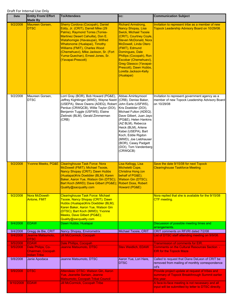| Date                 | <b>Entity From/ Effort</b><br><b>Made By</b>          | <b>To/Attendees</b>                                                                                                                                                                                                                                                                                                                                     | CC:                                                                                                                                                                                                                                                                                                                                                     | <b>Communication Subject</b>                                                                                                      |
|----------------------|-------------------------------------------------------|---------------------------------------------------------------------------------------------------------------------------------------------------------------------------------------------------------------------------------------------------------------------------------------------------------------------------------------------------------|---------------------------------------------------------------------------------------------------------------------------------------------------------------------------------------------------------------------------------------------------------------------------------------------------------------------------------------------------------|-----------------------------------------------------------------------------------------------------------------------------------|
| 9/2/2008             | Maureen Gorsen,<br><b>DTSC</b>                        | Sherry Cordova (Cocopah), Daniel<br>Eddy, Jr. (CRIT), Darrell Mike (29<br>Palms), Raymond Torres (Torres-<br>Martinez Desert Cahuilla), Don E.<br>Watahomigie (Havasupai), Wilfred<br>Whatonome (Hualapai), Timothy<br>Williams (FMIT), Charles Wood<br>(Chemehuevi), Mike Jackson, Sr. (Fort<br>Yuma-Quechan), Ernest Jones, Sr.<br>(Yavapai-Prescott) | <b>Richard Armstrong,</b><br>Nancy Shopay, Lisa<br><b>Swick, Michael Tsosie</b><br>(CRIT), Courtney Coyle,<br>Steven McDonald, Nora<br><b>McDowell, Linda Otero</b><br>(FMIT), Edmund<br>Domingues, Dale<br>Phillips (Cocopah), Ron<br>Escobar (Chemehuevi),<br>Greg Glassco (Yavapai-<br>Prescott), Dawn Hubbs,<br>Loretta Jackson-Kelly<br>(Hualapai) | Invitation to represent tribe as a member of new<br>Topock Leadership Advisory Board on 10/29/08.                                 |
| 9/2/2008             | Maureen Gorsen,<br><b>DTSC</b>                        | Lorri Gray (BOR), Bob Howard (PG&E),<br>Jeffrey Kightlinger (MWD), Wayne Nastri (CRB), Denise Baker,<br>(USEPA), Steve Owens (ADEQ), Robert<br>Perdue (CRWQCB), Willie Taylor (DOI),<br>Benjamin Tuggle (USFWS), Elaine<br>Zielinski (BLM), Gerald Zimmerman<br>(CRB)                                                                                   | Abbas Amirteymoori<br>John Earle (USFWS),<br>Kris Doebbler (DOI),<br>Michael Fulton (ADEQ).<br>Dave Gilbert, Juan Jayo<br>(PG&E), Helen Hankins<br>(AZ BLM), Rebecca<br>Heick (BLM), Arlene<br>Kabei (USEPA), Bart<br>Koch, Eddie Rigdon<br>(MWD), Joe Liebhauser<br>(BOR), Casey Padgett<br>(DOI), Tom Vandenberg<br>(CRWQCB)                          | Invitation to represent government agency as a<br>member of new Topock Leadership Advisory Board<br>on 10/29/08                   |
| 9/2/2008             |                                                       | Yvonne Meeks, PG&E Clearinghouse Task Force: Nora<br>McDowell (FMIT); Michael Tsosie,<br>Nancy Shopay (CRIT); Dawn Hubbs<br>(Hualapai)Kris Doebbler (BLM); Karen<br>Baker, Aaron Yue, Watson Gin (DTSC);<br>Bart Koch (MWD); Dave Gilbert (PG&E); Robert Doss, Robert<br>Quality@sacquality.com                                                         | Lisa Kellogg, Lisa<br>Micheletti Cope,<br>Christina Hong (on<br>behalf of PG&E);<br><b>Watson Gin (DTSC);</b><br>Howard (PG&E)                                                                                                                                                                                                                          | Save the date 9/15/08 for next Topock<br><b>Clearinghouse Taskforce Meeting</b>                                                   |
| 9/2/2008             | Nora McDowell-<br><b>Antone, FMIT</b>                 | <b>Clearinghouse Task Force: Michael</b><br>Tsosie, Nancy Shopay (CRIT); Dawn<br>Hubbs (Hualapai)Kris Doebbler (BLM);<br>Karen Baker, Aaron Yue, Watson Gin<br>(DTSC); Bart Koch (MWD); Yvonne<br>Meeks, Dave Gilbert (PG&E);<br>Quality@sacquality.com                                                                                                 |                                                                                                                                                                                                                                                                                                                                                         | Nora replied that she is available for the 9/15/08<br>CTF meeting.                                                                |
| 9/4/2008             | <b>EDAW</b>                                           | Dawn Hubbs, Hualapai                                                                                                                                                                                                                                                                                                                                    |                                                                                                                                                                                                                                                                                                                                                         | Discussion of possible meeting times and<br>arrangements.                                                                         |
| 9/4/2008<br>9/4/2008 | Gregg de Bie, CRIT<br>Jeanne Matsumoto,               | Nancy Shopay, Envirometrix<br><b>Jill McCormick, Cocopah</b>                                                                                                                                                                                                                                                                                            | Michael Tsosie, CRIT                                                                                                                                                                                                                                                                                                                                    | CRIT comments on RFI/RI dated 7/2/08<br>List of DTSC staff attending meeting on 9/9/08.                                           |
|                      | <b>DTSC</b>                                           |                                                                                                                                                                                                                                                                                                                                                         |                                                                                                                                                                                                                                                                                                                                                         |                                                                                                                                   |
| 9/5/2008<br>9/5/2008 | <b>EDAW</b><br>Dale Philips, Co-<br>Chairman, Cocopah | Dale Phillips, Cocopah<br>Jeanne Matsumoto, DTSC                                                                                                                                                                                                                                                                                                        | <b>Stev Weidlich, EDAW</b>                                                                                                                                                                                                                                                                                                                              | <b>Transmission of comments for EIR.</b><br><b>Comments on the Cultural Resources Section -</b><br><b>EIR for the Topock Maze</b> |
| 9/8/2008             | <b>Indian Tribe</b><br>Janie Apodaca                  | Jeanne Matsumoto, DTSC                                                                                                                                                                                                                                                                                                                                  | Aaron Yue, Lori Hare,<br><b>DTSC</b>                                                                                                                                                                                                                                                                                                                    | Called to request that Diane DeLeon of CRIT be<br>removed from mailing of monthly correspondence<br>cd's                          |
| 9/9/2008             | <b>DTSC</b>                                           | Attendees: DTSC: Watson Gin, Aaron<br><b>Yue, Jeanette Sartain, Jeanne</b><br>Matsumoto; Cocopah Tribal Council                                                                                                                                                                                                                                         |                                                                                                                                                                                                                                                                                                                                                         | Provide project update at request of tribes and<br>summary of Topock Breakthrough Summit earlier<br>this year.                    |
| 9/10/2008            | <b>EDAW</b>                                           | <b>Jill McCormick, Cocopah Tribe</b>                                                                                                                                                                                                                                                                                                                    |                                                                                                                                                                                                                                                                                                                                                         | A face-to-face meeting is not necessary and all<br>input will be submitted by letter to DTSC directly.                            |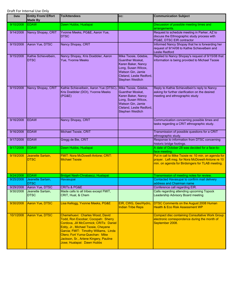| Date      | <b>Entity From/ Effort</b><br><b>Made By</b> | <b>To/Attendees</b>                                                                                                                                                                                                                                                                                     | CC:                                                                                                                                                               | <b>Communication Subject</b>                                                                                                                                 |
|-----------|----------------------------------------------|---------------------------------------------------------------------------------------------------------------------------------------------------------------------------------------------------------------------------------------------------------------------------------------------------------|-------------------------------------------------------------------------------------------------------------------------------------------------------------------|--------------------------------------------------------------------------------------------------------------------------------------------------------------|
| 9/10/2008 | <b>EDAW</b>                                  | Dawn Hubbs, Hualapai                                                                                                                                                                                                                                                                                    |                                                                                                                                                                   | Discussion of possible meeting times and<br>arrangements.                                                                                                    |
| 9/14/2008 | Nancy Shopay, CRIT                           | Yvonne Meeks, PG&E, Aaron Yue,<br><b>DTSC</b>                                                                                                                                                                                                                                                           |                                                                                                                                                                   | Request to schedule meeting in Parker, AZ to<br>discuss the Ethnographic study process with<br>PG&E, DTSC EIR contractor                                     |
| 9/15/2008 | Aaron Yue, DTSC                              | Nancy Shopay, CRIT                                                                                                                                                                                                                                                                                      |                                                                                                                                                                   | Informed Nancy Shopay that he is forwarding her<br>request of 9/14/08 to Kathie Schievelbein and<br><b>Leslie Redford</b>                                    |
| 9/15/2008 | Kathie Schievelbein,<br><b>DTSC</b>          | Nancy Shopay, Kris Doebbler, Aaron<br>Yue, Yvonne Meeks                                                                                                                                                                                                                                                 | Mike Tsosie, Gdebie,<br>Guenther Moskat,<br>Karen Baker, Nancy<br>Long, Susan Wilcox,<br>Watson Gin, Jamie<br>Cleland, Leslie Redford,<br><b>Stephen Weidlich</b> | Replied to Nancy Shopay's request of 9/15/08 that<br>information is being provided to Michael Tsosie                                                         |
| 9/15/2008 | Nancy Shopay, CRIT                           | Kathie Schievelbein, Aaron Yue (DTSC), Mike Tsosie, Gdebie,<br>Kris Doebbler (DOI), Yvonne Meeks<br>(PG&E)                                                                                                                                                                                              | Guenther Moskat,<br>Karen Baker, Nancy<br>Long, Susan Wilcox,<br>Watson Gin, Jamie<br>Cleland, Leslie Redford,<br><b>Stephen Weidlich</b>                         | Reply to Kathie Schievelbein's reply to Nancy<br>asking for further clarification on the desired<br>meeting and ethnographic study                           |
| 9/16/2008 | <b>EDAW</b>                                  | Nancy Shopay, CRIT                                                                                                                                                                                                                                                                                      |                                                                                                                                                                   | Communication concerning possible times and<br>tasks regarding a CRIT ethnographic study.                                                                    |
| 9/16/2008 | <b>EDAW</b>                                  | Michael Tsosie, CRIT                                                                                                                                                                                                                                                                                    |                                                                                                                                                                   | Transmission of possible questions for a CRIT<br>ethnographic study.                                                                                         |
| 9/17/2008 | <b>EDAW</b>                                  | Gregg de Bie, CRIT                                                                                                                                                                                                                                                                                      |                                                                                                                                                                   | Response to information from DTSC concerning<br>historic bridge footings.                                                                                    |
| 9/17/2008 | <b>EDAW</b>                                  | Dawn Hubbs, Hualapai                                                                                                                                                                                                                                                                                    |                                                                                                                                                                   | A date of October 28 was decided for a face-to-<br>face meeting.                                                                                             |
| 9/19/2008 | Jeanette Sartain,<br><b>DTSC</b>             | FMIT: Nora McDowell-Antone; CRIT:<br><b>Michael Tsosie</b>                                                                                                                                                                                                                                              |                                                                                                                                                                   | Put in call to Mike Tsosie re: 10 min. on agenda for<br>prayer. Left msg. for Nora McDowell-Antone re 10<br>min. on agenda for Birdsingers for TLAB meeting. |
| 9/24/2008 | <b>EDAW</b>                                  | Bridget Nash-Chrabascz, Hualapai                                                                                                                                                                                                                                                                        |                                                                                                                                                                   | Transmission of meeting notes for review.                                                                                                                    |
| 9/25/2008 | Jeanette Sartain,<br><b>DTSC</b>             | Havasupai                                                                                                                                                                                                                                                                                               |                                                                                                                                                                   | Contacted Havasupai to confirm mail delivery<br>address and Chairman name                                                                                    |
| 9/29/2008 | Aaron Yue, DTSC                              | <b>CRITs &amp; PG&amp;E</b>                                                                                                                                                                                                                                                                             |                                                                                                                                                                   | Conference call regarding EIR.                                                                                                                               |
| 9/30/2008 | Jeanette Sartain,<br><b>DTSC</b>             | Made calls to all tribes except FMIT,<br>CRIT, Hual, & Chem                                                                                                                                                                                                                                             |                                                                                                                                                                   | Calls regarding attending upcoming Topock<br>Leadership Advisory Board meeting                                                                               |
| 9/30/2008 | Aaron Yue, DTSC                              | Lisa Kellogg, Yvonne Meeks, PG&E                                                                                                                                                                                                                                                                        | EIR, CWG, Geo/Hydro<br><b>Indian Tribe Reps</b>                                                                                                                   | DTSC Comments on the August 2008 Human<br><b>Health &amp; Eco Risk Assessment WP</b>                                                                         |
| 10/1/2008 | <b>Aaron Yue, DTSC</b>                       | Chemehuevi: Charles Wood, David<br>Todd, Ron Escobar; Cocopah: Sherry<br>Cordova, Jill McCormick; CRITs: Daniel<br>Eddy, Jr., Michael Tsosie, Cheyene<br>Garcia; FMIT: Timothy Williams, Linda<br>Otero; Fort Yuma-Quechan: Mike<br>Jackson, Sr., Arlene Kingery, Pauline<br>Jose; Hualapai: Dawn Hubbs |                                                                                                                                                                   | <b>Compact disc containing Consultative Work Group</b><br>electronic correspondence during the month of<br>September 2008.                                   |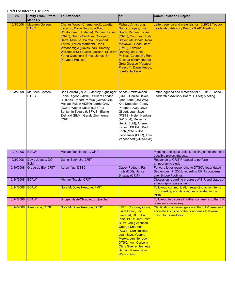| Date            | <b>Entity From/ Effort</b><br><b>Made By</b> | <b>To/Attendees</b>                                                                                                                                                                                                                                                                                                                                              | CC:                                                                                                                                                                                                                                                                                                                                               | <b>Communication Subject</b>                                                                                                    |
|-----------------|----------------------------------------------|------------------------------------------------------------------------------------------------------------------------------------------------------------------------------------------------------------------------------------------------------------------------------------------------------------------------------------------------------------------|---------------------------------------------------------------------------------------------------------------------------------------------------------------------------------------------------------------------------------------------------------------------------------------------------------------------------------------------------|---------------------------------------------------------------------------------------------------------------------------------|
| 10/3/2008       | Maureen Gorsen,<br><b>DTSC</b>               | Charles Wood (Chemehuevi), Loretta<br>Jackson, Dawn Hubbs, Wilfred<br>Whatonome (Hualapai), Michael Tsosie<br>(CRIT), Sherry Cordova (Cocopah),<br>Darrel Mike (29 Palms), Raymond<br>Torres (Torres-Martinez), Don E.<br>Watahomigie (Havasupai), Timothy<br>Williams (FMIT), Mike Jackson, Sr. (Fort<br>Yuma-Quechan), Ernest Jones, Sr.<br>(Yavapai Prescott) | <b>Richard Armstrong,</b><br><b>Nancy Shopay, Lisa</b><br><b>Swick, Michael Tsosie</b><br>(CRIT), Courtney Coyle,<br>Steven McDonald, Nora<br><b>McDowell, Linda Otero</b><br>(FMIT), Edmund<br>Domingues, Dale<br>Phillips (Cocopah), Ron<br>Escobar (Chemehuevi),<br><b>Greg Glassco (Yavapai-</b><br>Prescott), Dawn Hubbs,<br>Loretta Jackson | Letter, agenda and materials for 10/29/08 Topock<br><b>Leadership Advisory Board (TLAB) Meeting</b>                             |
| 10/3/2008       | Maureen Gorsen,<br><b>DTSC</b>               | Bob Howard (PG&E), Jeffrey Kightlinger, Abbas Amirteymoori<br>Eddie Rigdon (MWD), William Lodder,<br>Jr. (DOI), Robert Perdue (CRWQCB),<br>Michael Fulton ADEQ), Lorrie Gray<br>(BOR), Wayne Nastri (USEPA),<br>Benjamin Tuggle (USFWS), Elaine<br>Zielinski (BLM), Gerald Zimmerman<br>(CRB)                                                                    | (CRB), Denise Baker,<br>John Earle (USFWS),<br>Kris Doebbler, Casey<br>Padgett (DOI), Dave<br>Gilbert, Juan Jayo<br>(PG&E), Helen Hankins<br>(AZ BLM), Rebecca<br>Heick (BLM), Arlene<br>Kabei (USEPA), Bart<br>Koch (MWD), Joe<br>Liebhauser (BOR), Tom<br>Vandenbert (CRWQCB)                                                                   | Letter, agenda and materials for 10/29/08 Topock<br>Leadership Advisory Board (TLAB) Meeting                                    |
| 10/7/2008       | <b>EDAW</b>                                  | Michael Tsosie; et al., CRIT                                                                                                                                                                                                                                                                                                                                     |                                                                                                                                                                                                                                                                                                                                                   | Meeting to discuss project, existing conditions, and<br>possible project impacts.                                               |
| 10/8/2008       | David Jaynes, DOI,<br><b>BLM</b>             | Daniel Eddy, Jr., CRIT                                                                                                                                                                                                                                                                                                                                           |                                                                                                                                                                                                                                                                                                                                                   | Response to CRIT Proposal to perform<br>ethnographic study                                                                      |
| 10/10/2008      | Gregg de Bie, CRIT                           | Aaron Yue, DTSC                                                                                                                                                                                                                                                                                                                                                  | Casey Padgett, Pam<br>Innis (DOI), Nancy<br>Shopay (CRIT)                                                                                                                                                                                                                                                                                         | Forward letter responding to DTSC's letter dated<br>September 17, 2008, regarding CRITs concerns<br>over Bridge Footings        |
| 10/14/2008      | <b>EDAW</b>                                  | Michael Tsosie, CRIT                                                                                                                                                                                                                                                                                                                                             |                                                                                                                                                                                                                                                                                                                                                   | Discussion regarding progress of EIR and status of<br>ethnographic assessment.                                                  |
| 10/14/2008 EDAW |                                              | Nora McDowell-Antone, FMIT                                                                                                                                                                                                                                                                                                                                       |                                                                                                                                                                                                                                                                                                                                                   | Follow-up communication regarding action items<br>from meeting and data requests related to the<br>DEIR.                        |
| 10/14/2008      | <b>EDAW</b>                                  | Bridget Nash-Chrabascz, Quechan                                                                                                                                                                                                                                                                                                                                  |                                                                                                                                                                                                                                                                                                                                                   | Follow-up to discuss if further comments to the EIR<br>team were necessary.                                                     |
| 10/14/2008      | Aaron Yue, DTSC                              | Nora McDowell-Antone, DTSC                                                                                                                                                                                                                                                                                                                                       | <b>FMIT: Courtney Coyle</b><br>Linda Otero, Leo<br>Leonhart; DOI: Pam<br>Innis; BOR: Jeff Smith;<br><b>BLM: Craig Johnson,</b><br><b>George Shannon;</b><br>PG&E: Curt Russell,<br>Juan Jayo, Yvonne<br>Meeks, Jennifer Low;<br><b>DTSC: Ann Carberry,</b><br><b>Chris Guerre, Jeanette</b><br>Sartain, Karen Baker<br><b>Watson Gin</b>          | Clarification on investigation at the UA-1 area and<br>anomalies outside of the boundaries that were<br>drawn for consultation. |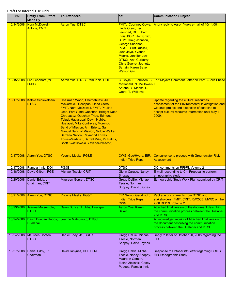| <b>Date</b> | <b>Entity From/ Effort</b><br><b>Made By</b> | <b>To/Attendees</b>                                                                                                                                                                                                                                                                                                                                                                                                                                                         | CC:                                                                                                                                                                                                                                                                                                                                       | <b>Communication Subject</b>                                                                                                                                                                               |
|-------------|----------------------------------------------|-----------------------------------------------------------------------------------------------------------------------------------------------------------------------------------------------------------------------------------------------------------------------------------------------------------------------------------------------------------------------------------------------------------------------------------------------------------------------------|-------------------------------------------------------------------------------------------------------------------------------------------------------------------------------------------------------------------------------------------------------------------------------------------------------------------------------------------|------------------------------------------------------------------------------------------------------------------------------------------------------------------------------------------------------------|
| 10/14/2008  | Nora McDowell-<br>Antone, FMIT               | <b>Aaron Yue, DTSC</b>                                                                                                                                                                                                                                                                                                                                                                                                                                                      | <b>FMIT: Courtney Coyle,</b><br>Linda Otero, Leo<br>Leonhart; DOI: Pam<br>Innis; BOR: Jeff Smith;<br><b>BLM: Craig Johnson,</b><br><b>George Shannon;</b><br>PG&E: Curt Russell,<br>Juan Jayo, Yvonne<br>Meeks, Jennifer Low;<br><b>DTSC: Ann Carberry,</b><br><b>Chris Guerre, Jeanette</b><br>Sartain, Karen Baker<br><b>Watson Gin</b> | Angry reply to Aaron Yue's e-mail of 10/14/08                                                                                                                                                              |
| 10/15/2008  | Leo Leonhart (for<br><b>FMIT)</b>            | Aaron Yue, DTSC, Pam Innis, DOI                                                                                                                                                                                                                                                                                                                                                                                                                                             | McDonald, N. McDowell-<br>Antone, Y. Meeks, L.<br>Otero, T. Williams                                                                                                                                                                                                                                                                      | C. Coyle, L. Johnson, S. Fort Mojave Comment Letter on Part B Soils Phase                                                                                                                                  |
| 10/17/2008  | Kathie Schievelbein,<br><b>DTSC</b>          | Chairman Wood, Chemehuevi, Jill<br>McCormick, Cocopah, Linda Otero,<br>FMIT, Nora McDowell, FMIT, Pauline<br>Jose, Fort Yuma-Quechan, Bridget Nash-<br>Chrabascz, Quechan Tribe, Edmund<br>Tolusi, Havasupai, Dawn Hubbs,<br>Hualapai, Mike Contreras, Morongo<br>Band of Mission, Ann Brierty, San<br>Manuel Band of Mission, Goldie Walker,<br><b>Serrano Nation, Raymond Torres,</b><br>Torres-Martinez, Darrell Mike, 29 Palms,<br>Scott Kwiatkowski, Yavapai-Prescott, |                                                                                                                                                                                                                                                                                                                                           | Update regarding the cultural resources<br>assessment of the Environmental Investigation and<br>Cleanup project and extension of deadline to<br>accept cultural resource information until May 1,<br>2009. |
| 10/17/2008  | Aaron Yue, DTSC                              | <b>Yvonne Meeks, PG&amp;E</b>                                                                                                                                                                                                                                                                                                                                                                                                                                               | CWG, Geo/Hydro, EIR,<br><b>Indian Tribe Reps</b>                                                                                                                                                                                                                                                                                          | Concurrence to proceed with Groundwater Risk<br><b>Assessment</b>                                                                                                                                          |
| 10/17/2008  | Pamela Innis, DOI                            | PG&E                                                                                                                                                                                                                                                                                                                                                                                                                                                                        | <b>DTSC</b>                                                                                                                                                                                                                                                                                                                               | DOI comments on RFI/RI, Volume 2                                                                                                                                                                           |
| 10/18/2008  | David Gilbert, PGE                           | Michael Tsosie, CRIT                                                                                                                                                                                                                                                                                                                                                                                                                                                        | Glenn Caruso, Nancy<br>Shopay                                                                                                                                                                                                                                                                                                             | E-mail responding to Crit Proposal to perform<br>ethnographic study                                                                                                                                        |
| 10/20/2008  | Daniel Eddy, Jr.,<br>Chairman, CRIT          | Maureen Gorsen, DTSC                                                                                                                                                                                                                                                                                                                                                                                                                                                        | Gregg DeBie, Michael<br>Tsosie, Norman<br>Shopay, David Jaynes                                                                                                                                                                                                                                                                            | Ethnographic Study Work Plan submitted by CRIT                                                                                                                                                             |
| 10/21/2008  | Aaron Yue, DTSC                              | <b>Yvonne Meeks, PG&amp;E</b>                                                                                                                                                                                                                                                                                                                                                                                                                                               | EIR Group, Geo/Hydro,<br><b>Indian Tribe Reps;</b><br><b>CWG</b>                                                                                                                                                                                                                                                                          | Package of comments from DTSC and<br>stakeholders (FMIT, CRIT, RWQCB, MWD) on the<br>7/08 RFI/RI, Volume 2                                                                                                 |
| 10/23/2008  | Jeanne Matsumoto,<br><b>DTSC</b>             | Dawn Duncan Hubbs, Hualapai                                                                                                                                                                                                                                                                                                                                                                                                                                                 | Aaron Yue, Karen<br><b>Baker</b>                                                                                                                                                                                                                                                                                                          | Attached final version of the document describing<br>the communication process between the Hualapai<br>and DTSC                                                                                            |
| 10/24/2008  | Dawn Duncan Hubbs,<br>Hualapai               | Jeanne Matsumoto, DTSC                                                                                                                                                                                                                                                                                                                                                                                                                                                      |                                                                                                                                                                                                                                                                                                                                           | Acknowledged receipt of Attached final version of<br>the document describing the communication<br>process between the Hualapai and DTSC                                                                    |
| 10/24/2008  | Maureen Gorsen,<br><b>DTSC</b>               | Daniel Eddy, Jr., CRITs                                                                                                                                                                                                                                                                                                                                                                                                                                                     | Gregg DeBie, Michael<br>Tsosie, Norman<br>Shopay, David Jaynes                                                                                                                                                                                                                                                                            | Reply to letter of October 20, 2008 regarding the<br><b>EIR</b>                                                                                                                                            |
| 10/27/2008  | Daniel Eddy, Jr.,<br>Chairman                | David Janynes, DOI, BLM                                                                                                                                                                                                                                                                                                                                                                                                                                                     | Gregg Debie, Michal<br>Tsosie, Nancy Shopay,<br>Maureen Gorsen,<br>Elaine Zielinski, Casey<br>Padgett, Pamela Innis                                                                                                                                                                                                                       | Response to October 8th letter regarding CRITS<br><b>EIR Ethnographic Study</b>                                                                                                                            |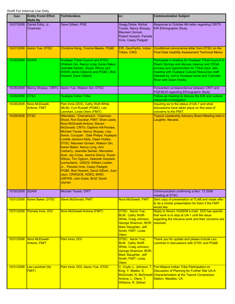| Date            | <b>Entity From/ Effort</b><br><b>Made By</b> | <b>To/Attendees</b>                                                                                                                                                                                                                                                                                                                                                                                                                                                                                                                                                                                                                                                            | CC:                                                                                                                                                                | <b>Communication Subject</b>                                                                                                                                                                                                                                                                    |
|-----------------|----------------------------------------------|--------------------------------------------------------------------------------------------------------------------------------------------------------------------------------------------------------------------------------------------------------------------------------------------------------------------------------------------------------------------------------------------------------------------------------------------------------------------------------------------------------------------------------------------------------------------------------------------------------------------------------------------------------------------------------|--------------------------------------------------------------------------------------------------------------------------------------------------------------------|-------------------------------------------------------------------------------------------------------------------------------------------------------------------------------------------------------------------------------------------------------------------------------------------------|
| 10/27/2008      | Daniel Eddy, Jr.,<br>Chairman                | Dave Gilbert, PGE                                                                                                                                                                                                                                                                                                                                                                                                                                                                                                                                                                                                                                                              | Gregg Debie, Michal<br>Tsosie, Nancy Shopay,<br>Maureen Gorsen,<br>Robert Howard, Pamela<br>Innis, Casey Padgett                                                   | Response to October 8th letter regarding CRITS<br><b>EIR Ethnographic Study</b>                                                                                                                                                                                                                 |
| 10/27/2008      | Aaron Yue, DTSC                              | Christina Hong, Yvonne Meeks, PG&E                                                                                                                                                                                                                                                                                                                                                                                                                                                                                                                                                                                                                                             | EIR, Geo/Hydro, Indian<br><b>Tribes, CWG</b>                                                                                                                       | Conditional concurrence letter from DTSC on the<br><b>Final Data Usability Assessment Technical Memo</b>                                                                                                                                                                                        |
| 10/28/2008 EDAW |                                              | <b>Hualapai Tribal Council and DTSC</b><br>Watson Gin, Nancy Long, Karen Baker,<br>Jeanette Sartain, Susan Wilcox and<br><b>EDAW Jamie Cleland) and PG&amp;E (Bob</b><br>Howard, Dave Gilbert)                                                                                                                                                                                                                                                                                                                                                                                                                                                                                 |                                                                                                                                                                    | Participate in briefing for Hualapai Tribal Council in<br>Peach Springs and discuss cleanup and CEQA<br>process and opportunities for Tribal input. also<br>meeting with Hualapai Cultural Resources staff<br>followed by visit to Hualapai lands and Colorado<br><b>River with Dawn Hubbs.</b> |
| 10/28/2008      |                                              | Nancy Shopay, CRITs Aaron Yue, Watson Gin, DTSC                                                                                                                                                                                                                                                                                                                                                                                                                                                                                                                                                                                                                                |                                                                                                                                                                    | Forwarded correspondence between CRIT and<br>PGE/BLM regarding Ethnographic Study                                                                                                                                                                                                               |
| 10/28/2008 DTSC |                                              | Hualapai Indian Tribe                                                                                                                                                                                                                                                                                                                                                                                                                                                                                                                                                                                                                                                          |                                                                                                                                                                    | Follow-up meeting to discuss the EIR and cultural<br>resources investigation                                                                                                                                                                                                                    |
| 10/28/2008      | Nora McDowell-<br>Antone, FMIT               | Pam Innis (DOI), Cathy Wolf-White<br>(BLM), Curt Russell (PG&E), Leo<br>Leonhart, Linda Otero (FMIT)                                                                                                                                                                                                                                                                                                                                                                                                                                                                                                                                                                           |                                                                                                                                                                    | Inquiring as to the status of UA-1 and what<br>discussions have taken place on this area of<br>concerns to the FMIT.                                                                                                                                                                            |
| 10/29/2008      | <b>DTSC</b>                                  | Attendees: Chemehuevi: Chairman<br>Wood, Ron Escobar; FMIT: Shan Lewis,<br>Nora McDowell-Antone, Steven<br>McDonald; CRITs: Daphne Hill-Poolaw,<br>Michael Tsosie, Nancy Shopay, Lisa<br>Swick; Cocopah: Dale Philips; Hualapai:<br>Loretta Jackson-Kelly, Dawn Hubbs;<br>DTSC: Maureen Gorsen, Watson Gin,<br>Karen Baker, Nancy Long, Ann<br>Carberry, Jeanette Sartain, Mercedes<br>Azar, Jay Cross, Jeanne Garcia, Susan<br>Wilcox, Tim Ogburn, Deborah Goodwin<br>(consultant); USDOI: William Lodder,<br>Jr., Pamela Innis, Casey Padgett;<br>PG&E: Bob Howard, David Gilbert, Juan<br>Jayo, CRWQCB, ADEQ, MWD,<br><b>USFWS: John Earle, BLM: David</b><br><b>Jaynes</b> |                                                                                                                                                                    | <b>Topock Leadership Advisory Board Meeting held in</b><br>Laughlin, Nevada.                                                                                                                                                                                                                    |
| 10/30/2008      | <b>EDAW</b>                                  | Michael Tsosie, CRIT                                                                                                                                                                                                                                                                                                                                                                                                                                                                                                                                                                                                                                                           |                                                                                                                                                                    | Communication confirming a Nov. 12 2008<br>meeting at DTSC.                                                                                                                                                                                                                                     |
| 10/31/2008      | Karen Baker, DTSC                            | <b>Steve McDonald, FMIT</b>                                                                                                                                                                                                                                                                                                                                                                                                                                                                                                                                                                                                                                                    | Nora McDowell, FMIT                                                                                                                                                | Sent copy of presentation at TLAB and made offer<br>to do a similar presentation for them if the FMIT<br>would like                                                                                                                                                                             |
| 10/31/2008      | Pamela Innis, DOI                            | Nora McDowell-Antone (FMIT)                                                                                                                                                                                                                                                                                                                                                                                                                                                                                                                                                                                                                                                    | DTSC: Aaron Yue;<br><b>BLM: Cathy Wolff-</b><br>White, Craig Johnson,<br>George Shannon; BOR:<br>Mark Slaughter, Jeff<br>Smith; FMIT: Linda<br>Otero               | Reply to Nora's 10/28/08 e-mail: DOI has specific<br>that work is to stop at UA-1 until the issue<br>regarding the intrusive work and their concerns are<br>resolved.                                                                                                                           |
| 10/31/2008      | Nora McDowell-<br><b>Antone, FMIT</b>        | Pam Innis, DOI                                                                                                                                                                                                                                                                                                                                                                                                                                                                                                                                                                                                                                                                 | <b>DTSC: Aaron Yue;</b><br><b>BLM: Cathy Wolff-</b><br>White, Craig Johnson,<br>George Shannon; BOR:<br>Mark Slaughter, Jeff<br>Smith; FMIT: Linda<br><b>Otero</b> | Thank you for update and please include Leo<br>Leonhart in discussions with DTSC and PG&E                                                                                                                                                                                                       |
| 10/31/2008      | Leo Leonhart (for<br><b>FMIT)</b>            | Pam Innis, DOI, Aaron Yue, DTSC                                                                                                                                                                                                                                                                                                                                                                                                                                                                                                                                                                                                                                                | King, Y. Meeks, S.<br>Antone, L. Otero, T.<br>Williams, R. Zellner                                                                                                 | C. Coyle, L. Johnson, T. Fort Mojave Indian Tribe Participation on<br>Discussion of Planning for Further Site UA-A<br>McDonald, N. McDowell-Characterization at the Topock Compressor<br><b>Station, Needles, CA</b>                                                                            |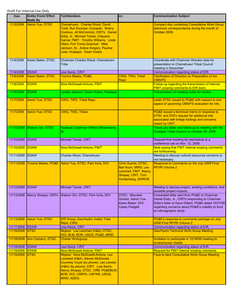| <b>Date</b>                   | <b>Entity From/ Effort</b><br><b>Made By</b> | <b>To/Attendees</b>                                                                                                                                                                                                                                                                                     | CC:                                                                                                           | <b>Communication Subject</b>                                                                                                                                                                                                       |
|-------------------------------|----------------------------------------------|---------------------------------------------------------------------------------------------------------------------------------------------------------------------------------------------------------------------------------------------------------------------------------------------------------|---------------------------------------------------------------------------------------------------------------|------------------------------------------------------------------------------------------------------------------------------------------------------------------------------------------------------------------------------------|
| 11/3/2008                     | Aaron Yue, DTSC                              | Chemehuevi: Charles Wood, David<br>Todd, Ron Escobar; Cocopah: Sherry<br>Cordova, Jill McCormick; CRITs: Daniel<br>Eddy, Jr., Michael Tsosie, Cheyene<br>Garcia; FMIT: Timothy Williams, Linda<br>Otero; Fort Yuma-Quechan: Mike<br>Jackson, Sr., Arlene Kingery, Pauline<br>Jose; Hualapai: Dawn Hubbs |                                                                                                               | <b>Compact disc containing Consultative Work Group</b><br>electronic correspondence during the month of<br>October 2008.                                                                                                           |
| 11/4/2008                     | Karen Baker, DTSC                            | Chairmen Charles Wood, Chemehuevi<br>Tribe                                                                                                                                                                                                                                                              |                                                                                                               | Coordinate with Chairman Woodon date for<br>presentation to Chemehuevi Tribal Council<br>meeting in December                                                                                                                       |
| 11/4/2008                     | <b>EDAW</b>                                  | Lisa Swick, CRIT                                                                                                                                                                                                                                                                                        |                                                                                                               | Communication regarding status of EIR.                                                                                                                                                                                             |
| 11/6/2008                     | Karen Baker, DTSC                            | <b>Yvonne Meeks, PG&amp;E</b>                                                                                                                                                                                                                                                                           | CWG, TWG, Tribal<br><b>Reps</b>                                                                               | <b>Clarification of Direction on Preparation of the</b><br><b>CMS/FS</b>                                                                                                                                                           |
| 11/6/2008                     | <b>EDAW</b>                                  | Nora McDowell-Antone, FMIT                                                                                                                                                                                                                                                                              |                                                                                                               | Follow-up regarding the transmission of internal<br><b>FMIT scoping comments to EIR team.</b>                                                                                                                                      |
| 11/6/2008                     | <b>EDAW</b>                                  | Loretta Jackson; Dawn Hubbs, Hualapai                                                                                                                                                                                                                                                                   |                                                                                                               | Transmission of meeting notes for review.                                                                                                                                                                                          |
| 11/7/2008                     | Aaron Yue, DTSC                              | <b>CWG, TWG, Tribal Reps</b>                                                                                                                                                                                                                                                                            |                                                                                                               | Letter DTSC issued to PG&E with respect to one<br>aspect of upcoming CMS/FS evaluation for info.                                                                                                                                   |
| 11/7/2008                     | Aaron Yue, DTSC                              | <b>CWG, TWG, Tribes</b>                                                                                                                                                                                                                                                                                 |                                                                                                               | PG&E issued a technical memo in response to<br>DTSC and DOI's request for additional info<br>associated with bridge footings and concerns<br>raised by CRIT                                                                        |
| 11/10/2008                    | <b>Watson Gin, DTSC</b>                      | Hualapai Chairman Wilfred Whatoname,<br>Sr.                                                                                                                                                                                                                                                             |                                                                                                               | Thank you letter and follow-up to meeting with the<br>Hualapai Tribal Council on October 28, 2008.                                                                                                                                 |
| 11/10/2008                    | <b>IEDAW</b>                                 | <b>Michael Tsosie, CRIT</b>                                                                                                                                                                                                                                                                             |                                                                                                               | Request that meeting be reschedule to a<br>conference call on Nov. 12, 2008.                                                                                                                                                       |
| 11/10/2008                    | EDAW                                         | Nora McDowell-Antone, FMIT                                                                                                                                                                                                                                                                              |                                                                                                               | Note saying that FMIT internal scoping comments<br>are forthcoming.                                                                                                                                                                |
| 11/11/2008                    | EDAW                                         | Charles Wood, Chemehuevi                                                                                                                                                                                                                                                                                |                                                                                                               | Meeting to discuss cultural resources concerns is<br>not necessary.                                                                                                                                                                |
| 11/11/2008                    |                                              | Yvonne Meeks, PG&E Aaron Yue, DTSC, Pam Innis, DOI                                                                                                                                                                                                                                                      | Chris Guerre, DTSC,<br>Bart Koch, MWD, Leo<br>Leonhart, FMIT, Nancy<br>Shopay, CRIT, Tom<br>Vandenberg, SWRCB | Response to Comments on the July 2008 Final<br><b>RFI/RI Volume 2</b>                                                                                                                                                              |
| 11/12/2008                    | <b>IEDAW</b>                                 | Michael Tsosie, CRIT                                                                                                                                                                                                                                                                                    |                                                                                                               | Meeting to discuss project, existing conditions, and<br>possible project impacts.                                                                                                                                                  |
| 11/13/2008                    |                                              | Nancy Shopay, CRITs Watson Gin, DTSC, Pam Innis, DOI                                                                                                                                                                                                                                                    | DTSC: Maureen<br>Gorsen, Aaron Yue,<br>Karen Baker; DOI:<br><b>Casey Padgett</b>                              | Forwarded letter sent from PG&E to Chairman<br>Daniel Eddy, Jr., CRITs responding to Chairman<br>Eddy's letter to Dave Gilbert, PG&E dated 10/27/08<br>regarding concerns about PG&E's inability to fund<br>an ethnographic study. |
| 11/13/2008                    | Aaron Yue, DTSC                              | EIR Group, Geo/Hydro, Indian Tribe<br>Reps, CWG                                                                                                                                                                                                                                                         |                                                                                                               | PG&E's response to comments package on July<br>2008 Final RFI/RI Volume 2                                                                                                                                                          |
| 11/17/2008                    | <b>EDAW</b>                                  | Lisa Swick, CRIT                                                                                                                                                                                                                                                                                        |                                                                                                               | Communication regarding status of EIR.                                                                                                                                                                                             |
| 11/18/2008                    | <b>IDTSC</b>                                 | Mojave: Leo Leonhart (H&A); DTSC,<br>DOI, BLM, BOR, USGS, PG&E, MWD                                                                                                                                                                                                                                     |                                                                                                               | <b>Geo/Hydro Technical Work Group Meeting</b>                                                                                                                                                                                      |
| 11/18/2008                    | Ann Carberry, DTSC                           | <b>Charter Workgroup</b>                                                                                                                                                                                                                                                                                |                                                                                                               | Invitation to participate in 12/16/08 meeting to<br>review/revise charter                                                                                                                                                          |
| 11/19/2008                    | <b>EDAW</b>                                  | Lisa Swick, CRIT                                                                                                                                                                                                                                                                                        |                                                                                                               | Communication regarding status of EIR.                                                                                                                                                                                             |
| 11/19/2008 EDAW<br>11/19/2008 | <b>IDTSC</b>                                 | Nora McDowell-Antone, FMIT<br>Mojave: Nora McDowell-Antone, Leo<br>Leonhart (H&A), Steven McDonald,<br>Courtney Coyle (by phone), Leo Lenske<br>(H&A) (by phone); CRIT: Lisa Swick,<br>Nancy Shopay; DTSC, CRB, PG&EBLM,<br>BOR, DOI, USEPA, USFWS, USGS,<br><b>MWD, ADEQ</b>                           |                                                                                                               | Request for FMIT internal scoping comments.<br><b>Face-to-face Consultative Work Group Meeting</b>                                                                                                                                 |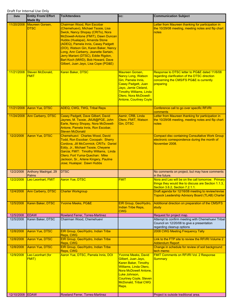| Date            | <b>Entity From/ Effort</b><br><b>Made By</b> | <b>To/Attendees</b>                                                                                                                                                                                                                                                                                                                                                                                                                | CC:                                                                                                                                                                                                                    | <b>Communication Subject</b>                                                                                                                           |
|-----------------|----------------------------------------------|------------------------------------------------------------------------------------------------------------------------------------------------------------------------------------------------------------------------------------------------------------------------------------------------------------------------------------------------------------------------------------------------------------------------------------|------------------------------------------------------------------------------------------------------------------------------------------------------------------------------------------------------------------------|--------------------------------------------------------------------------------------------------------------------------------------------------------|
| 11/20/2008      | Maureen Gorsen,<br><b>DTSC</b>               | <b>Chairman Wood, Ron Escobar</b><br>(Chemehuevi), Michael Tsosie, Lisa<br>Swick, Nancy Shopay (CRITs), Nora<br>McDowell-Antone (FMIT), Dawn Duncan<br>Hubbs (Hualapai), Amanda Stone<br>(ADEQ), Pamela Innis, Casey Padgett<br>(DOI), Watson Gin, Karen Baker, Nancy<br>Long, Ann Carberry, Jeanette Sartain,<br>Jerry Mariani (DTSC), Eddie Rigdon,<br>Bart Koch (MWD), Bob Howard, Dave<br>Gilbert, Juan Jayo, Lisa Cope (PG&E) |                                                                                                                                                                                                                        | Letter from Maureen thanking for participation in<br>the 10/29/08 meeting, meeting notes and flip chart<br>notes                                       |
| 11/21/2008      | Steven McDonald,<br><b>FMIT</b>              | Karen Baker, DTSC                                                                                                                                                                                                                                                                                                                                                                                                                  | Maureen Gorsen,<br>Nancy Long, Watson<br>Gin, Pamela Innis,<br><b>Casey Padgett, Juan</b><br>Jayo, Jamie Cleland,<br><b>Timothy Williams, Linda</b><br>Otero, Nora McDowell-<br><b>Antone, Courtney Coyle</b>          | Response to DTSC letter to PG&E dated 11/6/08<br>regarding clarification of the DTSC direction<br>concerning the CMS/FS PG&E is currently<br>preparing |
| 11/21/2008      | Aaron Yue, DTSC                              | ADEQ, CWG, TWG, Tribal Reps                                                                                                                                                                                                                                                                                                                                                                                                        |                                                                                                                                                                                                                        | Conference call to go over specific RFI/RI<br>comments                                                                                                 |
| 11/24/2008      | Ann Carberry, DTSC                           | Casey Padgett, Dave Gilbert, David<br>Jaynes, M. Tsosie, JMJ8@PGE, John<br>Earle, Nancy Shopay, Nora McDowell-<br>Antone, Pamela Innis, Ron Escobar,<br><b>Steven McDonald</b>                                                                                                                                                                                                                                                     | Aamir, CRB, Linda<br>Otero, FMIT, Watson<br>Gin, DTSC                                                                                                                                                                  | Letter from Maureen thanking for participation in<br>the 10/29/08 meeting, meeting notes and flip chart<br>notes                                       |
| 12/2/2008       | <b>Aaron Yue, DTSC</b>                       | Chemehuevi: Charles Wood, David<br>Todd, Ron Escobar; Cocopah: Sherry<br>Cordova, Jill McCormick; CRITs: Daniel<br>Eddy, Jr., Michael Tsosie, Cheyene<br>Garcia; FMIT: Timothy Williams, Linda<br>Otero: Fort Yuma-Quechan: Mike<br>Jackson, Sr., Arlene Kingery, Pauline<br>Jose; Hualapai: Dawn Hubbs                                                                                                                            |                                                                                                                                                                                                                        | <b>Compact disc containing Consultative Work Group</b><br>electronic correspondence during the month of<br>November 2008.                              |
| 12/2/2008       | Anthony Madrigal, 29<br>Palms                | <b>DTSC</b>                                                                                                                                                                                                                                                                                                                                                                                                                        |                                                                                                                                                                                                                        | No comments on project, but may have comments<br>in the future.                                                                                        |
| 12/2/2008       | Leo Leonhart, FMIT                           | <b>Aaron Yue, DTSC</b>                                                                                                                                                                                                                                                                                                                                                                                                             | <b>FMIT</b>                                                                                                                                                                                                            | Nora and Leo will be on the call tomorrow. Primary<br>things they would like to discuss are Section 1.1.3,<br>Section 3.6.2, Section 7.2.1.1.          |
| 12/4/2008       | Ann Carberry, DTSC                           | <b>Charter Workgroup</b>                                                                                                                                                                                                                                                                                                                                                                                                           |                                                                                                                                                                                                                        | Draft agenda for 12/16/08 meeting to review/revise<br><b>Topock Leadership Advisory Board (TLAB) Charter</b>                                           |
| 12/5/2008       | Karen Baker, DTSC                            | <b>Yvonne Meeks, PG&amp;E</b>                                                                                                                                                                                                                                                                                                                                                                                                      | EIR Group, Geo/Hydro,<br>Indian Tribe Reps,<br><b>CWG</b>                                                                                                                                                              | Additional direction on preparation of the CMS/FS<br>study                                                                                             |
| 12/5/2008       | <b>EDAW</b>                                  | Rowland Ferrer, Torres-Martinez                                                                                                                                                                                                                                                                                                                                                                                                    |                                                                                                                                                                                                                        | Request for project map.                                                                                                                               |
| 12/5/2008       | Karen Baker, DTSC                            | Chairman Wood, Chemehuevi                                                                                                                                                                                                                                                                                                                                                                                                          |                                                                                                                                                                                                                        | Attempt to confirm meeting with Chemehuevi Tribal<br>Council on 12/20/08 to give a presentation<br>regarding cleanup options                           |
| 12/8/2008       | <b>Aaron Yue, DTSC</b>                       | EIR Group, Geo/Hydro, Indian Tribe<br>Reps, CWG                                                                                                                                                                                                                                                                                                                                                                                    |                                                                                                                                                                                                                        | 2008 CWG Meeting Frequency Tally                                                                                                                       |
| 12/8/2008       | Aaron Yue, DTSC                              | EIR Group, Geo/Hydro, Indian Tribe<br>Reps, CWG                                                                                                                                                                                                                                                                                                                                                                                    |                                                                                                                                                                                                                        | Link to the FTP site to review the RFI/RI Volume 2<br><b>Addendum Report</b>                                                                           |
| 12/8/2008       | Aaron Yue, DTSC                              | EIR Group, Geo/Hydro, Indian Tribe<br>Reps, CWG                                                                                                                                                                                                                                                                                                                                                                                    |                                                                                                                                                                                                                        | Change in schedule for review of soil background<br>tech memo                                                                                          |
| 12/9/2008       | Leo Leonhart (for<br><b>FMIT)</b>            | Aaron Yue, DTSC, Pamela Innis, DOI                                                                                                                                                                                                                                                                                                                                                                                                 | <b>Yvonne Meeks, David</b><br>Gilbert, Juan Jayo,<br><b>Karen Baker, Timothy</b><br>Williams, Linda Otero,<br>Nora McDowell Antone,<br>Luke Johnson,<br><b>Courtney Coyle, Steven</b><br>McDonald, Tribal CWG<br>Reps. | <b>FMIT Comments on RFI/RI Vol. 2 Response</b><br><b>Summary</b>                                                                                       |
| 12/10/2008 EDAW |                                              | Rowland Ferrer, Torres-Martinez                                                                                                                                                                                                                                                                                                                                                                                                    |                                                                                                                                                                                                                        | Project is outside traditional area.                                                                                                                   |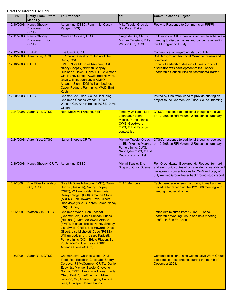| Date       | <b>Entity From/ Effort</b><br><b>Made By</b> | <b>To/Attendees</b>                                                                                                                                                                                                                                                                                                                                                 | CC:                                                                                                                                      | <b>Communication Subject</b>                                                                                                                                                                                |
|------------|----------------------------------------------|---------------------------------------------------------------------------------------------------------------------------------------------------------------------------------------------------------------------------------------------------------------------------------------------------------------------------------------------------------------------|------------------------------------------------------------------------------------------------------------------------------------------|-------------------------------------------------------------------------------------------------------------------------------------------------------------------------------------------------------------|
| 12/10/2008 | Nancy Shopay,<br>Envirometrix (for<br>CRIT)  | Aaron Yue, DTSC, Pam Innis, Casey<br>Padgett (DOI)                                                                                                                                                                                                                                                                                                                  | Mike Tsosie, Greg de<br>Bie, Karen Baker                                                                                                 | Reply to Response to Comments on RFI/RI                                                                                                                                                                     |
| 12/11/2008 | Nancy Shopay,<br>Envirometrix (for<br>CRIT)  | Maureen Gorsen, DTSC                                                                                                                                                                                                                                                                                                                                                | Gregg de Bie, CRITs,<br>Michael Tsosie, CRITs,<br><b>Watson Gin, DTSC</b>                                                                | Follow-up on CRITs previous request to schedule a<br>meeting to discuss issues and concerns regarding<br>the Ethnographic Study.                                                                            |
| 12/12/2008 | EDAW                                         | Lisa Swick, CRIT                                                                                                                                                                                                                                                                                                                                                    |                                                                                                                                          | Communication regarding status of EIR.                                                                                                                                                                      |
| 12/15/2008 | Aaron Yue, DTSC                              | EIR Group, Geo/Hydro, Indian Tribe                                                                                                                                                                                                                                                                                                                                  |                                                                                                                                          | Soil Background Technical Memo for review and                                                                                                                                                               |
|            |                                              | Reps, CWG                                                                                                                                                                                                                                                                                                                                                           |                                                                                                                                          | comment                                                                                                                                                                                                     |
| 12/16/2008 | <b>DTSC</b>                                  | FMIT: Nora McDowell-Antone; CRIT:<br>Nancy Shopay, Norman Shopay;<br>Hualapai: Dawn Hubbs; DTSC: Watson<br>Gin, Nancy Long; PG&E: Bob Howard,<br>Dave Gilbert, Juan Jayo; ADEQ:<br>Amanda Stone; DOI: William Lodder,<br>Casey Padgett, Pam Innis; MWD: Bart<br><b>Koch</b>                                                                                         |                                                                                                                                          | <b>Topock Leadership Meeting - Primary topic of</b><br>discussion was development of the Topock<br>Leadership Council Mission Statement/Charter.                                                            |
| 12/20/2008 | <b>DTSC</b>                                  | Chemehuevi Tribal Council including<br>Chairman Charles Wood; DTSC:<br>Watson Gin, Karen Baker: PG&E: Dave<br>Gilbert                                                                                                                                                                                                                                               |                                                                                                                                          | Invited by Chairman wood to provide briefing on<br>project to the Chemehuevi Tribal Council meeting.                                                                                                        |
| 12/24/2008 | Aaron Yue, DTSC                              | Nora McDowell-Antone, FMIT                                                                                                                                                                                                                                                                                                                                          | <b>Timothy Williams, Leo</b><br>Leonhart, Yvonne<br>Meeks, Pamela Innis,<br>CWG, Geo/Hydro<br><b>TWG, Tribal Reps on</b><br>contact list | <b>DTSC's response to additional thoughts received</b><br>on 12/9/08 on RFI Volume 2 Response summary                                                                                                       |
| 12/24/2008 | Aaron Yue, DTSC                              | Nancy Shopay, CRITs                                                                                                                                                                                                                                                                                                                                                 | Michael Tsosie, Gregg<br>de Bie, Yvonne Meeks,<br>Pamela Innis, CWG,<br>Geo/Hydro TWG, Tribal<br>Reps on contact list                    | DTSC's response to additional thoughts received<br>on 12/9/08 on RFI Volume 2 Response summary                                                                                                              |
| 12/30/2008 | Nancy Shopay, CRITs Aaron Yue, DTSC          |                                                                                                                                                                                                                                                                                                                                                                     | Michal Tsosie, Eric<br>Shepard, Chris Guerre                                                                                             | Re: Groundwater Background. Request for hard<br>and electronic copies of docs related to established<br>background concentrations for Cr+6 and copy of<br>July revised Groundwater background study report. |
| 1/2/2009   | <b>Erin Miller for Watson</b><br>Gin, DTSC   | Nora McDowell- Antone (FMIT), Dawn<br>Hubbs (Hualapai), Nancy Shopay<br>(CRIT), William Lodder, Pam Innis,<br>Casey Padgett (DOI), Amanda Stone<br>(ADEQ), Bob Howard, Dave Gilbert,<br>Juan Jayo (PG&E), Karen Baker, Nancy<br>Long (DTSC)                                                                                                                         | <b>TLAB Members</b>                                                                                                                      | Each member was sent hard copy in mail and e-<br>mailed letter recapping the 12/16/08 meeting with<br>meeting minutes attached                                                                              |
| 1/2/2009   | <b>Watson Gin, DTSC</b>                      | Chairman Wood, Ron Escobar<br>(Chemehuevi), Dawn Duncan-Hubbs<br>(Hualapai), Nora McDowell-Antone<br>(FMIT), Michael Tsosie, Nancy Shopay,<br>Lisa Swick (CRIT), Bob Howard, Dave<br>Gilbert, Lisa Micheletti-Cope (PG&E),<br>William Lodder, Jr., Casey Padgett,<br>Pamela Innis (DOI), Eddie Rigdon, Bart<br>Koch (MWD), Juan Jayo (PG&E),<br>Amanda Stone (ADEQ) |                                                                                                                                          | Letter with minutes from 12/16/08 Topock<br>Leadership Working Group and next meeting<br>1/29/09 in San Francisco                                                                                           |
| 1/5/2009   | <b>Aaron Yue, DTSC</b>                       | Chemehuevi: Charles Wood, David<br>Todd, Ron Escobar; Cocopah: Sherry<br>Cordova, Jill McCormick; CRITs: Daniel<br>Eddy, Jr., Michael Tsosie, Cheyene<br>Garcia; FMIT: Timothy Williams, Linda<br>Otero; Fort Yuma-Quechan: Mike<br>Jackson, Sr., Arlene Kingery, Pauline<br>Jose; Hualapai: Dawn Hubbs                                                             |                                                                                                                                          | <b>Compact disc containing Consultative Work Group</b><br>electronic correspondence during the month of<br>December 2008.                                                                                   |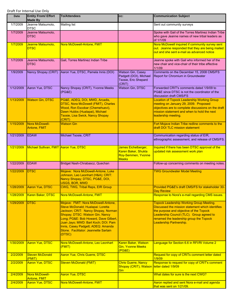| <b>Date</b> | <b>Entity From/ Effort</b><br><b>Made By</b> | <b>To/Attendees</b>                                                                                                                                                                                                                                                                                                         | CC:                                                                              | <b>Communication Subject</b>                                                                                                                                                                                                                                      |
|-------------|----------------------------------------------|-----------------------------------------------------------------------------------------------------------------------------------------------------------------------------------------------------------------------------------------------------------------------------------------------------------------------------|----------------------------------------------------------------------------------|-------------------------------------------------------------------------------------------------------------------------------------------------------------------------------------------------------------------------------------------------------------------|
| 1/7/2009    | Jeanne Matsumoto,<br><b>DTSC</b>             | <b>Mailing list</b>                                                                                                                                                                                                                                                                                                         |                                                                                  | Sent out community surveys                                                                                                                                                                                                                                        |
| 1/7/2009    | Jeanne Matsumoto,<br><b>DTSC</b>             |                                                                                                                                                                                                                                                                                                                             |                                                                                  | Spoke with Gail of the Torres Martinez Indian Tribe<br>who gave Jeanne names of new tribal leaders as<br>of 1/1/09                                                                                                                                                |
| 1/7/2009    | Jeanne Matsumoto,<br><b>DTSC</b>             | Nora McDowell-Antone, FMIT                                                                                                                                                                                                                                                                                                  |                                                                                  | Nora McDowell inquired if community survey sent<br>out. Jeanne responded that they are being mailed<br>out and she sent e-mail as advanced notice                                                                                                                 |
| 1/7/2009    | Jeanne Matsumoto,<br><b>DTSC</b>             | Gail, Torres Martinez Indian Tribe                                                                                                                                                                                                                                                                                          |                                                                                  | Jeanne spoke with Gail who informed her of the<br>new chair and vice-chair of their tribe effective<br>1/1/09                                                                                                                                                     |
| 1/9/2009    | Nancy Shopay (CRIT)                          | Aaron Yue, DTSC, Pamela Innis (DOI)                                                                                                                                                                                                                                                                                         | Watson Gin, Casey<br>Padgett (DOI), Michael<br>Tsosie, Eric Shepard<br>(CRIT)    | Comments on the December 15, 2008 CMS/FS<br>Report for Chromium in Groundwater                                                                                                                                                                                    |
| 1/12/2009   | Aaron Yue, DTSC                              | Nancy Shopay (CRIT), Yvonne Meeks<br>(PG&E)                                                                                                                                                                                                                                                                                 | <b>Watson Gin, DTSC</b>                                                          | Forwarded CRIT's comments dated 1/9/09 to<br>PG&E since DTSC is not the coordinator of the<br>discussion draft CMS/FS                                                                                                                                             |
| 1/13/2009   | <b>Watson Gin, DTSC</b>                      | PG&E, ADEQ, DOI, MWD, Arcadis,<br>DTSC, Nora McDowell (FMIT), Charles<br>Wood, Ron Escobar (Chemehuevi),<br>Dawn Hubbs (Hualapai), Michael<br>Tsosie, Lisa Swick, Nancy Shopay<br>(CRIT)                                                                                                                                    |                                                                                  | <b>Location of Topock Leadership Working Group</b><br>meeting on January 29, 2009. Proposed<br>objectives are to complete discussions on the draft<br>mission statement and when to hold the next<br>leadership meeting.                                          |
| 1/15/2009   | Nora McDowell-<br>Antone, FMIT               | <b>Watson Gin</b>                                                                                                                                                                                                                                                                                                           |                                                                                  | Fort Mojave Indian Tribe redline comments to the<br>draft DOI TLC mission statement                                                                                                                                                                               |
| 1/21/2009   | <b>EDAW</b>                                  | Michael Tsosie, CRIT                                                                                                                                                                                                                                                                                                        |                                                                                  | Communication regarding status of EIR,<br>ethnographic assessment, and release of CMS/FS.                                                                                                                                                                         |
| 1/21/2009   | Michael Sullivan, FMIT Aaron Yue, DTSC       |                                                                                                                                                                                                                                                                                                                             | James Eichelberger,<br>Karen Baker, Shukla<br>Roy-Semmen, Yvonne<br><b>Meeks</b> | Inquired if there has been DTSC approval of the<br>updated risk assessment work plan                                                                                                                                                                              |
| 1/22/2009   | <b>EDAW</b>                                  | Bridget Nash-Chrabascz, Quechan                                                                                                                                                                                                                                                                                             |                                                                                  | Follow-up concerning comments on meeting notes.                                                                                                                                                                                                                   |
| 1/22/2009   | <b>DTSC</b>                                  | Mojave: Nora McDowell-Antone, Luke<br>Johnson, Leo Leonhart (H&A); CRIT:<br>Nancy Shopay; DTSC, PG&E, DOI,<br><b>USGS, BOR, MWD</b>                                                                                                                                                                                         |                                                                                  | <b>TWG Groundwater Model Meeting</b>                                                                                                                                                                                                                              |
| 1/28/2009   | <b>Aaron Yue, DTSC</b>                       | <b>CWG, TWG, Tribal Reps, EIR Group</b>                                                                                                                                                                                                                                                                                     |                                                                                  | Provided PG&E's draft CMS/FS for stakeholder 30-<br><b>Day Review</b>                                                                                                                                                                                             |
| 1/28/2009   | Karen Baker, DTSC                            | Nora McDowell-Antone, FMIT                                                                                                                                                                                                                                                                                                  |                                                                                  | Response to Nora's e-mail regarding CMS issues.                                                                                                                                                                                                                   |
| 1/29/2009   | <b>DTSC</b>                                  | Mojave: FMIT: Nora McDowell-Antone,<br>Steve McDonald; Hualapai: Loretta<br>Jackson; CRIT: Nancy Shopay, Norman<br>Shopay; DTSC: Watson Gin, Nancy<br>Long; PG&E: Bob Howard, Dave Gilbert,<br>Juan Jayo; MWD: Bart Koch; DOI: Pam<br>Innis, Casey Padgett; ADEQ: Amanda<br>Stone. Facilitator: Jeannette Sartain<br>(DTSC) |                                                                                  | <b>Topock Leadership Working Group Meeting.</b><br>Discussed the mission statement which identifies<br>the purpose and objective of the Topock<br>Leadership Council (TLC). Group agreed to<br>renamed the leadership group the Topock<br>Leadership Partnership. |
| 1/30/2009   | <b>Aaron Yue, DTSC</b>                       | Nora McDowell-Antone, Leo Leonhart<br>(FMIT)                                                                                                                                                                                                                                                                                | Karen Baker, Watson<br><b>Gin, Yvonne Meeks</b><br>(PG&E)                        | Language for Section 6.6 in RFI/RI Volume 2                                                                                                                                                                                                                       |
| 2/2/2009    | <b>Steven McDonald</b><br>(FMIT)             | Aaron Yue, Chris Guerre, DTSC                                                                                                                                                                                                                                                                                               |                                                                                  | Request for copy of CRITs comment letter dated<br>1/9/09                                                                                                                                                                                                          |
| 2/2/2009    | <b>Aaron Yue, DTSC</b>                       | <b>Steven McDonald (FMIT)</b>                                                                                                                                                                                                                                                                                               | <b>Chris Guerre, Nancy</b><br>Shopay (CRIT), Watson letter dated 1/9/09<br>Gin   | Response to request for copy of CRIT's comment                                                                                                                                                                                                                    |
| 2/4/2009    | Nora McDowell-<br>Antone, FMIT               | <b>Aaron Yue, DTSC</b>                                                                                                                                                                                                                                                                                                      |                                                                                  | What dates for sure is the next CWG?                                                                                                                                                                                                                              |
| 2/4/2009    | Aaron Yue, DTSC                              | Nora McDowell-Antone, FMIT                                                                                                                                                                                                                                                                                                  |                                                                                  | Aaron replied and sent Nora e-mail and agenda<br>that was sent on 1/21/09.                                                                                                                                                                                        |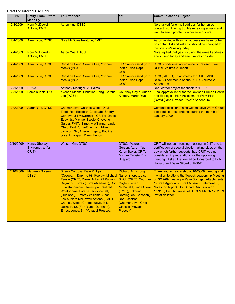| Date      | <b>Entity From/ Effort</b><br><b>Made By</b> | <b>To/Attendees</b>                                                                                                                                                                                                                                                                                                                                                                                                                                                         | CC:                                                                                                                                                                                                  | <b>Communication Subject</b>                                                                                                                                                                                                                                                                                                                   |
|-----------|----------------------------------------------|-----------------------------------------------------------------------------------------------------------------------------------------------------------------------------------------------------------------------------------------------------------------------------------------------------------------------------------------------------------------------------------------------------------------------------------------------------------------------------|------------------------------------------------------------------------------------------------------------------------------------------------------------------------------------------------------|------------------------------------------------------------------------------------------------------------------------------------------------------------------------------------------------------------------------------------------------------------------------------------------------------------------------------------------------|
| 2/4/2009  | Nora McDowell-<br><b>Antone, FMIT</b>        | <b>Aaron Yue, DTSC</b>                                                                                                                                                                                                                                                                                                                                                                                                                                                      |                                                                                                                                                                                                      | Nora asked for e-mail address for her on our<br>contact list. Having trouble receiving e-mails and<br>want to see if problem on her side or ours.                                                                                                                                                                                              |
| 2/4/2009  | <b>Aaron Yue, DTSC</b>                       | Nora McDowell-Antone, FMIT                                                                                                                                                                                                                                                                                                                                                                                                                                                  |                                                                                                                                                                                                      | Aaron replied with e-mail address we have for her<br>on contact list and asked if should be changed to<br>the one she's using today.                                                                                                                                                                                                           |
| 2/4/2009  | Nora McDowell-<br><b>Antone, FMIT</b>        | <b>Aaron Yue, DTSC</b>                                                                                                                                                                                                                                                                                                                                                                                                                                                      |                                                                                                                                                                                                      | Nora replied that yes, try using the e-mail address<br>she's using today and see if more consistent.                                                                                                                                                                                                                                           |
| 2/4/2009  | <b>Aaron Yue, DTSC</b>                       | Christina Hong, Serena Lee, Yvonne<br>Meeks (PG&E)                                                                                                                                                                                                                                                                                                                                                                                                                          | EIR Group, Geo/Hydro,<br><b>Indian Tribe Reps;</b><br><b>CWG</b>                                                                                                                                     | <b>DTSC conditional acceptance of Revised Final</b><br><b>RFI/RI, Volume 2 Report</b>                                                                                                                                                                                                                                                          |
| 2/4/2009  | <b>Aaron Yue, DTSC</b>                       | Christina Hong, Serena Lee, Yvonne<br>Meeks (PG&E)                                                                                                                                                                                                                                                                                                                                                                                                                          | EIR Group, Geo/Hydro,<br><b>Indian Tribe Reps;</b><br><b>CWG</b>                                                                                                                                     | DTSC, ADEQ, Envirometrix for CRIT, MWD,<br><b>RWQCB comments on the RFI/RI Volume 2</b><br><b>Addendum</b>                                                                                                                                                                                                                                     |
| 2/5/2009  | <b>EDAW</b>                                  | Anthony Madrigal, 29 Palms                                                                                                                                                                                                                                                                                                                                                                                                                                                  |                                                                                                                                                                                                      | Request for project feedback for DEIR.                                                                                                                                                                                                                                                                                                         |
| 2/5/2009  | Pamela Innis, DOI                            | Yvonne Meeks, Christina Hong, Serena<br>Lee (PG&E)                                                                                                                                                                                                                                                                                                                                                                                                                          | <b>Courtney Coyle, Arlene</b><br><b>Kingery, Aaron Yue</b>                                                                                                                                           | Final approval letter for the Revised Human Health<br>and Ecological Risk Assessment Work Plan<br>(RAWP) and Revised RAWP Addendum                                                                                                                                                                                                             |
| 2/9/2009  | <b>Aaron Yue, DTSC</b>                       | Chemehuevi: Charles Wood, David<br>Todd, Ron Escobar; Cocopah: Sherry<br>Cordova, Jill McCormick; CRITs: Daniel<br>Eddy, Jr., Michael Tsosie, Cheyene<br>Garcia; FMIT: Timothy Williams, Linda<br>Otero; Fort Yuma-Quechan: Mike<br>Jackson, Sr., Arlene Kingery, Pauline<br>Jose; Hualapai: Dawn Hubbs                                                                                                                                                                     |                                                                                                                                                                                                      | <b>Compact disc containing Consultative Work Group</b><br>electronic correspondence during the month of<br>January 2009.                                                                                                                                                                                                                       |
| 2/10/2009 | Nancy Shopay,<br>Envirometrix (for<br>CRIT)  | <b>Watson Gin, DTSC</b>                                                                                                                                                                                                                                                                                                                                                                                                                                                     | <b>DTSC: Maureen</b><br>Gorsen, Aaron Yue,<br>Karen Baker; CRIT:<br>Michael Tsosie, Eric<br>Shepard                                                                                                  | CRIT will not be attending meeting on 2/17 due to<br>certification of special election taking place on that<br>day which further supports that CRIT was not<br>considered in preparations for the upcoming<br>meeting. Asked that e-mail be forwarded to Bob<br>Howard and Dave Gilbert of PG&E.                                               |
| 2/10/2009 | Maureen Gorsen,<br><b>DTSC</b>               | <b>Sherry Cordova, Dale Phillips</b><br>(Cocopah), Daphne Hill-Poolaw, Michael Nancy Shopay, Lisa<br>Tsosie (CRIT), Darrell Mike (29 Palms),<br>Raymond Torres (Torres-Martinez), Don Coyle, Steven<br>E. Watahomigie (Havasupai), Wilfred<br>Whatonome, Loretta Jackson-Kelly<br>(Hualapai), Timothy Williams, Shan<br>Lewis, Nora McDowell-Antone (FMIT),<br>Charles Wood (Chemehuevi), Mike<br>Jackson, Sr. (Fort Yuma-Quechan),<br>Ernest Jones, Sr. (Yavapai-Prescott) | <b>Richard Armstrong,</b><br>Swick (CRIT), Courtney<br>McDonald, Linda Otero<br>(FMIT), Edmund<br>Domingues (Cocopah),<br><b>Ron Escobar</b><br>(Chemehuevi), Greg<br>Glassco (Yavapai-<br>Prescott) | Thank you for leadership at 10/29/08 meeting and<br>invitation to attend the Topock Leadership Meeting<br>on 3/12/09 meeting in Palm Springs: Attachments:<br>1) Draft Agenda; 2) Draft Mission Statement; 3)<br>Notes for Topock Draft Chart Discussion on<br>1/29/09; Distribution list of DTSC's March 12, 2009<br><b>invitation letter</b> |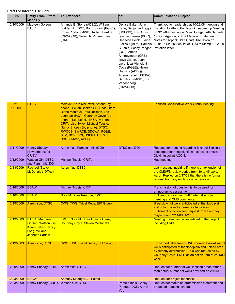| Date               | <b>Entity From/ Effort</b><br><b>Made By</b>                                                                   | <b>To/Attendees</b>                                                                                                                                                                                                                                                                                                                                                 | CC:                                                                                                                                                                                                                                                                                                                                                                              | <b>Communication Subject</b>                                                                                                                                                                                                                                                                                                                 |
|--------------------|----------------------------------------------------------------------------------------------------------------|---------------------------------------------------------------------------------------------------------------------------------------------------------------------------------------------------------------------------------------------------------------------------------------------------------------------------------------------------------------------|----------------------------------------------------------------------------------------------------------------------------------------------------------------------------------------------------------------------------------------------------------------------------------------------------------------------------------------------------------------------------------|----------------------------------------------------------------------------------------------------------------------------------------------------------------------------------------------------------------------------------------------------------------------------------------------------------------------------------------------|
| 2/10/2009          | Maureen Gorsen,<br><b>DTSC</b>                                                                                 | Amanda E. Stone (ADEQ), William<br>Lodder, Jr. (DOI), Bob Howard (PG&E),<br>Eddie Rigdon (MWD), Robert Perdue<br>(CRWQCB), Gerald R. Zimmerman<br>(CRB)                                                                                                                                                                                                             | Denise Baker, John<br>Earle, Benjamin Tuggle<br>(USFWS), Lorri Gray,<br>Joe Liebhauser (BOR),<br>Rebecca Heick, Elaine<br>S. Innis, Casey Padgett   invitation letter<br>(DOI), Abbas<br>Amirteymoori (CRB),<br>Dave Gilbert, Juan<br>Jayo, Lisa Micheletti-<br>Cope (PG&E), Helen<br>Hankins (ADEQ),<br>Arlene Kabei (USEPA),<br>Bart Koch (MWD), Tom<br>Vandenberg<br>(CRWQCB) | Thank you for leadership at 10/29/08 meeting and<br>invitation to attend the Topock Leadership Meeting<br>on 3/12/09 meeting in Palm Springs: Attachments:<br>1) Draft Agenda; 2) Draft Mission Statement; 3)<br>Notes for Topock Draft Chart Discussion on<br>Zielinski (BLM), Pamela   1/29/09; Distribution list of DTSC's March 12, 2009 |
| $2/10-$<br>11/2009 | <b>DTSC</b>                                                                                                    | Mojave: Nora McDowell-Antone (by<br>phone); Felton Bricker, Sr., Linda Otero,<br>Diane Montoya, Paul Jackson, Leo<br>Leonhart (H&A), Courtney Coyle (by<br>phone), Leo Lenske (H&A by phone);<br><b>CRIT: Lisa Swick, Michael Tsosie,</b><br>Nancy Shopay (by phone); DTSC,<br>RWQCB, SWRCB, SDCWA, PG&E,<br>BLM, BOR, DOI, USEPA, USFWS,<br><b>USGS, MWD, ADEQ</b> |                                                                                                                                                                                                                                                                                                                                                                                  | <b>Focused Consultative Work Group Meeting</b>                                                                                                                                                                                                                                                                                               |
| 2/11/2009          | <b>Nancy Shopay</b><br>(Envirometrix for<br>CRIT <sub>s</sub> )                                                | Aaron Yue, Pamela Innis (DOI)                                                                                                                                                                                                                                                                                                                                       | <b>DTSC and DOI</b>                                                                                                                                                                                                                                                                                                                                                              | Request for meeting regarding Michael Tsosie's<br>concerns regarding significant elevated levels of<br>Dioxin in soil at AOC 4.                                                                                                                                                                                                              |
| 2/12/2009          | <b>Watson Gin, DTSC</b><br>and Pam Innis, DOI                                                                  | Michael Tsosie, CRITs                                                                                                                                                                                                                                                                                                                                               |                                                                                                                                                                                                                                                                                                                                                                                  | Had meeting.                                                                                                                                                                                                                                                                                                                                 |
| 2/13/2009          | <b>Rachael (Steve</b><br>McDonald's Office)                                                                    | <b>Aaron Yue, DTSC</b>                                                                                                                                                                                                                                                                                                                                              |                                                                                                                                                                                                                                                                                                                                                                                  | Left message inquiring if there is an extension of<br>the CMS/FS review period from 30 to 45 days.<br>Aaron Replied on 2/17/09 that there is no formal<br>request from any entity for an extension.                                                                                                                                          |
| 2/16/2009          | <b>EDAW</b>                                                                                                    | Michael Tsosie, CRIT                                                                                                                                                                                                                                                                                                                                                |                                                                                                                                                                                                                                                                                                                                                                                  | Transmission of question list to be used for<br>ethnographic assessment.                                                                                                                                                                                                                                                                     |
| 2/16/2009          | <b>EDAW</b>                                                                                                    | Nora McDowell-Antone, FMIT                                                                                                                                                                                                                                                                                                                                          |                                                                                                                                                                                                                                                                                                                                                                                  | Follow-up concerning FMIT internal scoping<br>meeting and CMS comments.                                                                                                                                                                                                                                                                      |
| 2/19/2009          | <b>Aaron Yue, DTSC</b>                                                                                         | <b>CWG, TWG, Tribal Reps, EIR Group</b>                                                                                                                                                                                                                                                                                                                             |                                                                                                                                                                                                                                                                                                                                                                                  | Breakdown of wells anticipated at the flood plain<br>and upland area by remedy alternatives:<br>Fulfillment of action item request from Courtney<br>Coyle during 2/11/09 CWG                                                                                                                                                                 |
| 2/19/2009          | <b>DTSC: Maureen</b><br>Gorsen, Watson Gin,<br><b>Karen Baker, Nancy</b><br>Long, Yelland,<br>Jeanette Sartain | FMIT: Nora McDowell, Linda Otero,<br><b>Courtney Coyle, Steven McDonald</b>                                                                                                                                                                                                                                                                                         |                                                                                                                                                                                                                                                                                                                                                                                  | Meeting to discuss issues related to the project<br>including CMS.                                                                                                                                                                                                                                                                           |
| 2/19/2009          | <b>Aaron Yue, DTSC</b>                                                                                         | CWG, TWG, Tribal Reps., EIR Group                                                                                                                                                                                                                                                                                                                                   |                                                                                                                                                                                                                                                                                                                                                                                  | Forwarded table from PG&E showing breakdown of<br>wells anticipated at the floodplain and upland area<br>by remedy alternatives. This was requested by<br>Courtney Coyle, FMIT, as an action item of 2/11/09<br>CWG.                                                                                                                         |
| 2/20/2009          | Nancy Shopay, CRIT                                                                                             | Aaron Yue, DTSC                                                                                                                                                                                                                                                                                                                                                     |                                                                                                                                                                                                                                                                                                                                                                                  | Request for number of well location areas rather<br>than actual number of wells provided on 2/19/09                                                                                                                                                                                                                                          |
| 2/23/2009          | <b>EDAW</b>                                                                                                    | Anthony Madrigal, 29 Palms                                                                                                                                                                                                                                                                                                                                          |                                                                                                                                                                                                                                                                                                                                                                                  | Request for project feedback.                                                                                                                                                                                                                                                                                                                |
| 2/23/2009          | Nancy Shopay (CRIT)                                                                                            | <b>Watson Gin, DTSC</b>                                                                                                                                                                                                                                                                                                                                             | Pamela Innis, Casey<br>Padgett (DOI), Aaron<br>Yue                                                                                                                                                                                                                                                                                                                               | Request for status on draft mission statement and<br>proposed meeting schedule                                                                                                                                                                                                                                                               |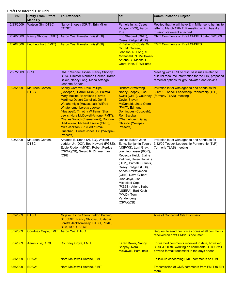| <b>Date</b> | <b>Entity From/ Effort</b><br><b>Made By</b> | <b>To/Attendees</b>                                                                                                                                                                                                                                                                                                                                                                                                                                                         | CC:                                                                                                                                                                                                                                                                                                                                                                             | <b>Communication Subject</b>                                                                                                                            |
|-------------|----------------------------------------------|-----------------------------------------------------------------------------------------------------------------------------------------------------------------------------------------------------------------------------------------------------------------------------------------------------------------------------------------------------------------------------------------------------------------------------------------------------------------------------|---------------------------------------------------------------------------------------------------------------------------------------------------------------------------------------------------------------------------------------------------------------------------------------------------------------------------------------------------------------------------------|---------------------------------------------------------------------------------------------------------------------------------------------------------|
| 2/23/2009   | <b>Watson Gin, DTSC</b>                      | Nancy Shopay (CRIT), Erin Miller<br>(DTSC)                                                                                                                                                                                                                                                                                                                                                                                                                                  | Pamela Innis, Casey<br>Padgett (DOI), Aaron<br>Yue                                                                                                                                                                                                                                                                                                                              | Replied that he will have Erin Miller send her invite<br>letter to March 12th TLP meeting which has draft<br>mission statement attached                 |
| 2/26/2009   | Nancy Shopay (CRIT)                          | Aaron Yue, Pamela Innis (DOI)                                                                                                                                                                                                                                                                                                                                                                                                                                               | Eric Shepard (CRIT),<br>Casey Padgett (DOI)                                                                                                                                                                                                                                                                                                                                     | CRIT Comments on Draft CMS/FS dated 2/26/09                                                                                                             |
| 2/26/2009   | Leo Leonhart (FMIT)                          | Aaron Yue, Pamela Innis (DOI)                                                                                                                                                                                                                                                                                                                                                                                                                                               | K. Baker, C. Coyle, W.<br><u>Gin, M. Gorsen, L.</u><br>Johnson, N. Long, S.<br>McDonald, N. McDowell-<br>Antone, Y. Meeks, L.<br>Otero, Hon. T. Williams                                                                                                                                                                                                                        | <b>FMIT Comments on Draft CMS/FS</b>                                                                                                                    |
| 2/27/2009   | <b>CRIT</b>                                  | CRIT: Michael Tsosie, Nancy Shopay;<br>DTSC Director Maureen Gorsen, Karen<br>Baker, Nancy Long, Mona Arteaga,<br>Jeanette Sartain                                                                                                                                                                                                                                                                                                                                          |                                                                                                                                                                                                                                                                                                                                                                                 | Meeting with CRIT to discuss issues related to<br>cultural resource information for the EIR, proposed<br>remedial options for groundwater, and dioxins. |
| 3/3/2009    | Maureen Gorsen,<br><b>DTSC</b>               | <b>Sherry Cordova, Dale Phillips</b><br>(Cocopah), Darrell Mike (29 Palms),<br><b>Mary Maxine Resvaloso (Torres-</b><br>Martinez Desert Cahuilla), Don E.<br>Watahomigie (Havasupai), Wilfred<br>Whatonome, Loretta Jackson<br>(Hualapai), Timothy Williams, Shan<br>Lewis, Nora McDowell-Antone (FMIT),<br>Charles Wood (Chemehuevi), Daphne<br>Hill-Poolaw, Michael Tsosie (CRIT),<br>Mike Jackson, Sr. (Fort Yuma-<br>Quechan), Ernest Jones, Sr. (Yavapai-<br>Prescott) | <b>Richard Armstrong,</b><br><b>Nancy Shopay, Lisa</b><br><b>Swick (CRIT), Courtney</b><br>Coyle, Steven<br>McDonald, Linda Otero<br>(FMIT), Edmund<br>Domingues (Cocopah),<br><b>Ron Escobar</b><br>(Chemehuevi), Greg<br>Glassco (Yavapai-<br>Prescott)                                                                                                                       | Invitation letter with agenda and handouts for<br>3/12/09 Topock Leadership Partnership (TLP)<br>(formerly TLAB) meeting                                |
| 3/3/2009    | Maureen Gorsen,<br><b>DTSC</b>               | Amanda E. Stone (ADEQ), William<br>Lodder, Jr. (DOI), Bob Howard (PG&E),<br>Eddie Rigdon (MWD), Robert Perdue<br>(CRWQCB), Gerald R. Zimmerman<br>(CRB)                                                                                                                                                                                                                                                                                                                     | Denise Baker, John<br>Earle, Benjamin Tuggle<br>(USFWS), Lorri Gray,<br>Joe Liebhauser (BOR),<br>Rebecca Heick, Elaine<br>Zielinski, Helen Hankins<br>(BLM), Pamela S. Innis,<br>Casey Padgett (DOI),<br>Abbas Amirteymoori<br>(CRB), Dave Gilbert,<br>Juan Jayo, Lisa<br>Micheletti-Cope<br>(PG&E), Arlene Kabei<br>(USEPA), Bart Koch<br>(MWD), Tom<br>Vandenberg<br>(CRWQCB) | Invitation letter with agenda and handouts for<br>3/12/09 Topock Leadership Partnership (TLP)<br>(formerly TLAB) meeting                                |
| 3/3/2009    | <b>DTSC</b>                                  | Mojave: Linda Otero, Felton Bricker,                                                                                                                                                                                                                                                                                                                                                                                                                                        |                                                                                                                                                                                                                                                                                                                                                                                 | <b>Area of Concern 4 Site Discussion</b>                                                                                                                |
|             |                                              | Sr.; CRIT: Nancy Shopay; Hualapai:<br>Loretta Jackson-Kelly; DTSC, PG&E,<br><b>BLM, DOI, USFWS</b>                                                                                                                                                                                                                                                                                                                                                                          |                                                                                                                                                                                                                                                                                                                                                                                 |                                                                                                                                                         |
| 3/5/2009    | <b>Courtney Coyle, FMIT</b>                  | Aaron Yue, DTSC                                                                                                                                                                                                                                                                                                                                                                                                                                                             |                                                                                                                                                                                                                                                                                                                                                                                 | Request to send her office copies of all comments<br>received on draft CMS/FS document                                                                  |
| 3/5/2009    | <b>Aaron Yue, DTSC</b>                       | <b>Courtney Coyle, FMIT</b>                                                                                                                                                                                                                                                                                                                                                                                                                                                 | Karen Baker, Nancy<br>Shopay, Nora<br><b>McDowell, Pam Innis</b>                                                                                                                                                                                                                                                                                                                | Forwarded comments received to date, however,<br>DTSC/DOI still working on comments. DTSC will<br>provide formal transmittal in the days ahead          |
| 3/5/2009    | <b>EDAW</b>                                  | Nora McDowell-Antone, FMIT                                                                                                                                                                                                                                                                                                                                                                                                                                                  |                                                                                                                                                                                                                                                                                                                                                                                 | Follow-up concerning FMIT comments on CMS.                                                                                                              |
| 3/6/2009    | <b>EDAW</b>                                  | Nora McDowell-Antone, FMIT                                                                                                                                                                                                                                                                                                                                                                                                                                                  |                                                                                                                                                                                                                                                                                                                                                                                 | Transmission of CMS comments from FMIT to EIR<br><u>team.</u>                                                                                           |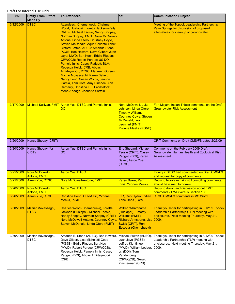| Date      | <b>Entity From/ Effort</b><br><b>Made By</b> | <b>To/Attendees</b>                                                                                                                                                                                                                                                                                                                                                                                                                                                                                                                                                                                                                                                                                               | CC:                                                                                                                                                                                     | <b>Communication Subject</b>                                                                                                                    |
|-----------|----------------------------------------------|-------------------------------------------------------------------------------------------------------------------------------------------------------------------------------------------------------------------------------------------------------------------------------------------------------------------------------------------------------------------------------------------------------------------------------------------------------------------------------------------------------------------------------------------------------------------------------------------------------------------------------------------------------------------------------------------------------------------|-----------------------------------------------------------------------------------------------------------------------------------------------------------------------------------------|-------------------------------------------------------------------------------------------------------------------------------------------------|
| 3/12/2009 | <b>DTSC</b>                                  | Attendees: Chemehuevi: Chairman<br>Wood; Hualapai: Loretta Jackson-Kelly;<br><b>CRITs: Michael Tsosie, Nancy Shopay,</b><br>Norman Shopay; FMIT: Nora McDowell-<br>Antone, Linda Otero, Courtney Coyle,<br>Steven McDonald; Aqua Caliente Tribe:<br>Clifford Batten; ADEQ: Amanda Stone;<br>PG&E: Bob Howard, Dave Gilbert, Juan<br>Jayo; MWD: Bart Koch, Eddie Rigdon;<br><b>CRWQCB: Robert Perdue; US DOI:</b><br>Pamela Innis, Casey Padgett; BLM:<br>Rebecca Heick; CRB: Abbas<br>Amirteymoori; DTSC: Maureen Gorsen,<br>Maziar Movassaghi, Karen Baker,<br>Nancy Long, Susan Wilcox, Jeanne<br>Garcia, Tom Cota, Amy Hinchee, Ann<br>Carberry, Christina Fu. Facilitators:<br>Mona Arteaga, Jeanette Sartain |                                                                                                                                                                                         | Meeting of the Topock Leadership Partnership in<br>Palm Springs for discussion of proposed<br>alternatives for cleanup of groundwater           |
| 3/17/2009 | <b>Michael Sullivan, FMIT</b>                | Aaron Yue, DTSC and Pamela Innis,<br><b>DOI</b>                                                                                                                                                                                                                                                                                                                                                                                                                                                                                                                                                                                                                                                                   | <b>Nora McDowell, Luke</b><br>Johnson, Linda Otero,<br><b>Timothy Williams,</b><br><b>Courtney Coyle, Steven</b><br>McDonald, Leo<br>Leonhart (FMIT);<br><b>Yvonne Meeks (PG&amp;E)</b> | Fort Mojave Indian Tribe's comments on the Draft<br><b>Groundwater Risk Assessment</b>                                                          |
| 3/20/2009 | Nancy Shopay (CRIT)                          |                                                                                                                                                                                                                                                                                                                                                                                                                                                                                                                                                                                                                                                                                                                   |                                                                                                                                                                                         | CRIT Comments on Draft CMS/FS dated 2/26/09                                                                                                     |
| 3/20/2009 | Nancy Shopay (for<br>CRIT)                   | Aaron Yue, DTSC and Pamela Innis,<br><b>DOI</b>                                                                                                                                                                                                                                                                                                                                                                                                                                                                                                                                                                                                                                                                   | Eric Shepard, Michael<br>Tsosie (CRIT); Casey<br>Padgett (DOI); Karen<br>Baker, Aaron Yue<br>(DTSC)                                                                                     | Comments on the February 2009 Draft<br>Groundwater Human Health and Ecological Risk<br>Assessment                                               |
| 3/25/2009 | Nora McDowell-                               | <b>Aaron Yue, DTSC</b>                                                                                                                                                                                                                                                                                                                                                                                                                                                                                                                                                                                                                                                                                            |                                                                                                                                                                                         | Inquiry if DTSC had commented on Draft CMS/FS                                                                                                   |
| 3/25/2009 | Antone, FMIT<br><b>Aaron Yue, DTSC</b>       | Nora McDowell-Antone, FMIT                                                                                                                                                                                                                                                                                                                                                                                                                                                                                                                                                                                                                                                                                        | Karen Baker, Pam<br><b>Innis, Yvonne Meeks</b>                                                                                                                                          | and request for copy of comments.<br>Reply to Nora's e-mail - still compiling comments,<br>should be issued tomorrow                            |
| 3/26/2009 | Nora McDowell-<br><b>Antone, FMIT</b>        | <b>Aaron Yue, DTSC</b>                                                                                                                                                                                                                                                                                                                                                                                                                                                                                                                                                                                                                                                                                            |                                                                                                                                                                                         | Reply to Aaron and discussion about FMIT<br>comments - CWG versus Section 106                                                                   |
| 3/26/2009 | Aaron Yue, DTSC                              | Christina Hong, CH2M Hill, Yvonne<br>Meeks, PG&E                                                                                                                                                                                                                                                                                                                                                                                                                                                                                                                                                                                                                                                                  | EIR, Geo/Hydro, Indian<br><b>Tribe Reps., CWG</b>                                                                                                                                       | DTSC CMS/FS comments in MS Word                                                                                                                 |
| 3/30/2009 | Maziar Movassaghi,<br><b>DTSC</b>            | Charles Wood (Chemehuevi), Loretta<br>Jackson (Hualapai), Michael Tsosie,<br>Nancy Shopay, Norman Shopay (CRIT),<br>Nora McDowell-Antone, Courtney Coyle, Richard Armstrong, Lisa 2009.<br>Steven McDonald, Linda Otero (FMIT)                                                                                                                                                                                                                                                                                                                                                                                                                                                                                    | <b>Wilfred Whatoname</b><br>(Hualapai), Timothy<br>Williams (FMIT),<br>Swick (CRIT), Ron<br>Escobar (Chemehuevi)                                                                        | Thank you letter for participating in 3/12/09 Topock<br>Leadership Partnership (TLP) meeting with<br>enclosures. Next meeting Thursday, May 21, |
| 3/30/2009 | Maziar Movassaghi,<br><b>DTSC</b>            | Amanda E. Stone (ADEQ), Bob Howard,<br>Dave Gilbert, Lisa Micheletti-Cope<br>(PG&E), Eddie Rigdon, Bart Koch<br>(MWD), Robert Perdue (CRWQCB),<br>Rebecca Heick, Pamela Innis, Casey<br>Padgett (DOI), Abbas Amirteymoori<br>(CRB)                                                                                                                                                                                                                                                                                                                                                                                                                                                                                | Michael Fulton (ADEQ),<br>Juan Jayo (PG&E),<br>Jeffrey Kightlinger<br>(MWD), William Lodder, 2009.<br>Jr. (DOI), Tom<br>Vandenberg<br>(CRWQCB), Gerald<br>Zimmerman (CRB)               | Thank you letter for participating in 3/12/09 Topock<br>Leadership Partnership (TLP) meeting with<br>enclosures. Next meeting Thursday, May 21, |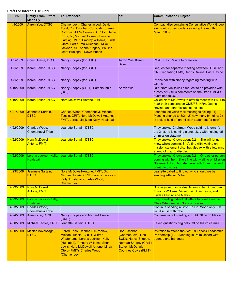| <b>Date</b> | <b>Entity From/ Effort</b><br><b>Made By</b> | <b>To/Attendees</b>                                                                                                                                                                                                                                                                                     | CC:                                                                                                                                           | <b>Communication Subject</b>                                                                                                                                                       |
|-------------|----------------------------------------------|---------------------------------------------------------------------------------------------------------------------------------------------------------------------------------------------------------------------------------------------------------------------------------------------------------|-----------------------------------------------------------------------------------------------------------------------------------------------|------------------------------------------------------------------------------------------------------------------------------------------------------------------------------------|
| 4/1/2009    | Aaron Yue, DTSC                              | Chemehuevi: Charles Wood, David<br>Todd, Ron Escobar; Cocopah: Sherry<br>Cordova, Jill McCormick; CRITs: Daniel<br>Eddy, Jr., Michael Tsosie, Cheyene<br>Garcia; FMIT: Timothy Williams, Linda<br>Otero; Fort Yuma-Quechan: Mike<br>Jackson, Sr., Arlene Kingery, Pauline<br>Jose; Hualapai: Dawn Hubbs |                                                                                                                                               | <b>Compact disc containing Consultative Work Group</b><br>electronic correspondence during the month of<br><b>March 2009.</b>                                                      |
| 4/2/2009    | Chris Guerre, DTSC                           | Nancy Shopay (for CRIT)                                                                                                                                                                                                                                                                                 | Aaron Yue, Karen<br><b>Baker</b>                                                                                                              | <b>PG&amp;E East Ravine Information</b>                                                                                                                                            |
| 4/3/2009    | Karen Baker, DTSC                            | Nancy Shopay (for CRIT)                                                                                                                                                                                                                                                                                 |                                                                                                                                               | Request for separate meeting between DTSC and<br>CRIT regarding CMS, Debris Ravine, East Ravine.                                                                                   |
| 4/8/2009    | Karen Baker, DTSC                            | Nancy Shopay (for CRIT)                                                                                                                                                                                                                                                                                 |                                                                                                                                               | Phone call with Nancy regarding meeting with<br>CRIT <sub>s</sub> .                                                                                                                |
| 4/10/2009   | Karen Baker, DTSC                            | Nancy Shopay (CRIT), Pamela Innis<br>(DOI)                                                                                                                                                                                                                                                              | <b>Aaron Yue</b>                                                                                                                              | RE: Nora McDowell's request to be provided with<br>a copy of CRIT's comments on the Draft CMS/FS<br>submitted to DOI                                                               |
| 4/10/2009   | Karen Baker, DTSC                            | Nora McDowell-Antone, FMIT                                                                                                                                                                                                                                                                              |                                                                                                                                               | Called Nora McDowell to offer to meet with FMIT to<br>hear their concerns on CMS/FS, HRA, Debris<br>Ravine, and other issues at the site.                                          |
| 4/21/2009   | Jeannete Sartain,<br><b>DTSC</b>             | Charles Wood, Chemehuevi, Michael<br>Tsosie, CRIT, Nora McDowell-Antone,<br>FMIT, Loretta Jackson-Kelly, Hualapai                                                                                                                                                                                       |                                                                                                                                               | Jeanette left voice mail messages asking: 1)<br>Meeting change to 5/21; 2) how many bringing; 3)<br>is it ok to hold off on mission statement for now?                             |
| 4/22/2009   | Charles Wood,<br>Chemehuevi Tribe            | Jeanette Sartain, DTSC                                                                                                                                                                                                                                                                                  |                                                                                                                                               | They spoke. Chairman Wood said he knows it's<br>the 21st, he is coming alone, okay with holding off<br>on mission statement                                                        |
| 4/22/2009   | Nora McDowell-<br><b>Antone, FMIT</b>        | Jeanette Sartain, DTSC                                                                                                                                                                                                                                                                                  |                                                                                                                                               | They spoke. Knows about 5/21. She will let us<br>know who's coming; She's fine with waiting on<br>mission statement disc, but also ok with a few min.<br>at end of mtg. to discuss |
| 4/22/2009   | Hualapai                                     | Loretta Jackson-Kelly, Jeanette Sartain, DTSC                                                                                                                                                                                                                                                           |                                                                                                                                               | They spoke. Knows about 5/21. One other person<br>coming with her. She's fine with waiting on Mission<br>Statement disc., but also okay with 20 min. at end<br>of mtg to discuss.  |
| 4/23/2009   | Jeannete Sartain,<br><b>DTSC</b>             | Nora McDowell-Antone, FMIT, Dr.<br>Michael Tsosie, CRIT, Loretta Jackson-<br>Kelly, Hualapai, Charles Wood,<br>Chemehuevi                                                                                                                                                                               |                                                                                                                                               | Jeanette called to find out who should we be<br>sending letters/cc's to?                                                                                                           |
| 4/23/2009   | Nora McDowell<br>Antone, FMIT                |                                                                                                                                                                                                                                                                                                         |                                                                                                                                               | She says send individual letters to her, Chairman<br>Timothy Williams, Vice-Chair Shan Lewis, and<br>Linda Otero at Aha Makav                                                      |
| 4/23/2009   | Loretta Jackson-Kelly,<br>Hualapai           |                                                                                                                                                                                                                                                                                                         |                                                                                                                                               | Keep sending individual letters to Loretta and to<br>Chair Whatoname. No cc's for now.                                                                                             |
| 4/23/2009   | Charles Wood,<br>Chemehuevi Tribe            |                                                                                                                                                                                                                                                                                                         |                                                                                                                                               | Continue sending all info. To Ch. Wood only. He<br>will discuss with tribe.                                                                                                        |
| 4/24/2009   | Aaron Yue, DTSC                              | Nancy Shopay and Michael Tsosie<br>(CRIT)                                                                                                                                                                                                                                                               |                                                                                                                                               | Confirmation of meeting at BLM Office on May 4th                                                                                                                                   |
| 4/30/2009   | Michael Tsosie, CRIT                         | Jeanette Sartain, DTSC                                                                                                                                                                                                                                                                                  |                                                                                                                                               | Faxed questions originally left on his voice mail.                                                                                                                                 |
| 4/30/2009   | Maziar Movassaghi,<br><b>DTSC</b>            | Eldred Enas, Daphne Hill-Poolaw,<br>Michael Tsosie (CRIT), Wilfred<br>Whatoname, Loretta Jackson-Kelly<br>(Hualapai), Timothy Williams, Shan<br>Lewis, Nora McDowell-Antone, Linda<br>Otero (FMIT), Charles Wood<br>(Chemehuevi),                                                                       | <b>Ron Escobar</b><br>(Chemehuevi), Lisa<br>Swick, Nancy Shopay,<br>Norman Shopay (CRIT),<br>Steven McDonald,<br><b>Courtney Coyle (FMIT)</b> | Invitation to attend the 5/21/09 Topock Leadership<br>Partnership (TLP) Meeting in Palm Desert with<br>agenda and handouts                                                         |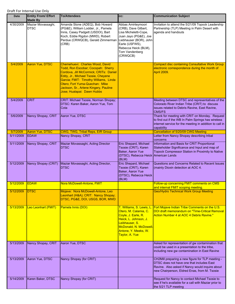| <b>Date</b>           | <b>Entity From/ Effort</b><br><b>Made By</b> | <b>To/Attendees</b>                                                                                                                                                                                                                                                                                     | CC:                                                                                                                                                                                            | <b>Communication Subject</b>                                                                                                                                                                     |
|-----------------------|----------------------------------------------|---------------------------------------------------------------------------------------------------------------------------------------------------------------------------------------------------------------------------------------------------------------------------------------------------------|------------------------------------------------------------------------------------------------------------------------------------------------------------------------------------------------|--------------------------------------------------------------------------------------------------------------------------------------------------------------------------------------------------|
| 4/30/2009             | Maziar Movassaghi,<br><b>DTSC</b>            | Amanda Stone (ADEQ), Bob Howard<br>(PG&E), William Lodder, Jr., Pamela<br>Innis, Casey Padgett (USDOI), Bart<br>Koch, Eddie Rigdon (MWD), Robert<br>Perdue (CRWQCB), Gerald Zimmerman<br>(CRB)                                                                                                          | Abbas Amirteymoori<br>(CRB), Dave Gilbert,<br>Lisa Micheletti-Cope,<br>Juan Jayo (PG&E), Joe<br>Liebhauser (BOR), John<br>Earle (USFWS),<br>Rebecca Heick (BLM),<br>Tom Vandenberg<br>(CRWQCB) | Invitation to attend the 5/21/09 Topock Leadership<br>Partnership (TLP) Meeting in Palm Desert with<br>agenda and handouts                                                                       |
| 5/4/2009              | <b>Aaron Yue, DTSC</b>                       | Chemehuevi: Charles Wood, David<br>Todd, Ron Escobar; Cocopah: Sherry<br>Cordova, Jill McCormick; CRITs: Daniel<br>Eddy, Jr., Michael Tsosie, Cheyene<br>Garcia; FMIT: Timothy Williams, Linda<br>Otero; Fort Yuma-Quechan: Mike<br>Jackson, Sr., Arlene Kingery, Pauline<br>Jose; Hualapai: Dawn Hubbs |                                                                                                                                                                                                | <b>Compact disc containing Consultative Work Group</b><br>electronic correspondence during the month of<br>April 2009.                                                                           |
| 5/4/2009              | <b>CRIT</b>                                  | CRIT: Michael Tsosie, Norman Shopay;<br>DTSC: Karen Baker, Aaron Yue, Tom<br>Cota                                                                                                                                                                                                                       |                                                                                                                                                                                                | Meeting between DTSC and representatives of the<br>Colorado River Indian Tribe (CRIT) to discuss<br>issues related to Debris Ravine, East Ravine,<br><b>CMS/FS</b>                               |
| 5/6/2009              | Nancy Shopay, CRIT                           | Aaron Yue, DTSC                                                                                                                                                                                                                                                                                         |                                                                                                                                                                                                | Thank for meeting with CRIT on Monday. Request<br>to find out if the WB In Palm Springs has wireless<br>internet service for the meeting in addition to call in<br>capability                    |
| 5/7/2009<br>5/11/2009 | <b>Aaron Yue, DTSC</b><br><b>EDAW</b>        | <b>CWG, TWG, Tribal Reps, EIR Group</b><br>Nancy Shopay, CRIT                                                                                                                                                                                                                                           |                                                                                                                                                                                                | Cancellation of 5/20/09 CWG Meeting<br>Letter from Nancy Shopay describing tribal                                                                                                                |
|                       |                                              |                                                                                                                                                                                                                                                                                                         |                                                                                                                                                                                                | concerns                                                                                                                                                                                         |
| 5/11/2009             | Nancy Shopay, CRIT                           | Maziar Movassaghi, Acting Director<br>DTSC                                                                                                                                                                                                                                                              | Eric Shepard, Michael<br>Tsosie (CRIT), Karen<br>Baker, Aaron Yue<br>(DTSC), Rebecca Heick American Lands<br>(BLM)                                                                             | Information and Basis for CRIT Proportional<br>Stakeholder Significance and Input and map of<br>Topock Compressor Station in Proximity to Native                                                 |
| 5/12/2009             | Nancy Shopay (CRIT)                          | Maziar Movassaghi, Acting Director,<br>DTSC                                                                                                                                                                                                                                                             | Eric Shepard, Michael<br>Tsosie (CRIT), Karen<br>Baker, Aaron Yue<br>(DTSC), Rebecca Heick<br>(BLM)                                                                                            | Questions and Concerns Related to Recent Issues<br>(mainly Dioxin detection at AOC 4.                                                                                                            |
| 5/12/2009             | <b>EDAW</b>                                  | Nora McDowell-Antone, FMIT                                                                                                                                                                                                                                                                              |                                                                                                                                                                                                | Follow-up concerning FMIT comments on CMS<br>and internal FMIT scoping meeting.                                                                                                                  |
| 5/12/2009             | <b>DTSC</b>                                  | Mojave: Nora McDowell-Antone, Leo<br>Leonhart (H&A); CRIT: Nancy Shopay;<br>DTSC, PG&E, DOI, USGS, BOR, MWD                                                                                                                                                                                             |                                                                                                                                                                                                | <b>Geo/Hydro Technical Work Group Meeting</b>                                                                                                                                                    |
| 5/13/2009             | Leo Leonhart (FMIT)                          | Pamela Innis (DOI)                                                                                                                                                                                                                                                                                      | T. Williams, S. Lewis, L.<br>Otero, M. Calamia, C.<br>Coyle, J. Earle, R.<br>Heick, L. Johnson, J.<br>Leibhauser, S.<br>McDonald, N. McDowell-<br>Antone, Y. Meeks, W.<br>Taylor, A. Yue       | Fort Mojave Indian Tribe Comments on the U.S.<br>DOI draft memorandum on "Time-Critical Removal<br>Action Number 4 at AOC 4 Debris Ravine."                                                      |
| 5/13/2009             | Nancy Shopay, CRIT                           | Aaron Yue, DTSC                                                                                                                                                                                                                                                                                         |                                                                                                                                                                                                | Asked for representation of gw contamination that<br>could be used in a presentation to the tribe,<br>including new gw contamination in East Ravine                                              |
| 5/13/2009             | Aaron Yue, DTSC                              | Nancy Shopay (for CRIT)                                                                                                                                                                                                                                                                                 |                                                                                                                                                                                                | CH2Mill preparing a new figure for TLP meeting -<br>DTSC does not have one that includes East<br>Ravine. Also asked if Nancy would inquire about<br>new Chairperson, Eldred Enas, from M. Tsosie |
| 5/14/2009             | Karen Baker, DTSC                            | Nancy Shopay (for CRIT)                                                                                                                                                                                                                                                                                 |                                                                                                                                                                                                | Request for Nancy to contact Michael Tsosie to<br>see if he's available for a call with Maziar prior to<br>the 5/21 TLP meeting                                                                  |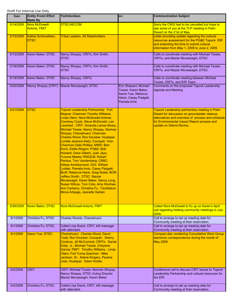| Date      | <b>Entity From/ Effort</b><br><b>Made By</b> | <b>To/Attendees</b>                                                                                                                                                                                                                                                                                                                                                                                                                                                                                                                                                                                                                                                                                                                                                                                                                                                       | CC:                                                                                                          | <b>Communication Subject</b>                                                                                                                                                                                                  |
|-----------|----------------------------------------------|---------------------------------------------------------------------------------------------------------------------------------------------------------------------------------------------------------------------------------------------------------------------------------------------------------------------------------------------------------------------------------------------------------------------------------------------------------------------------------------------------------------------------------------------------------------------------------------------------------------------------------------------------------------------------------------------------------------------------------------------------------------------------------------------------------------------------------------------------------------------------|--------------------------------------------------------------------------------------------------------------|-------------------------------------------------------------------------------------------------------------------------------------------------------------------------------------------------------------------------------|
| 5/14/2009 | Nora McDowell-<br><b>Antone, FMIT</b>        | <b>DTSC/AECOM</b>                                                                                                                                                                                                                                                                                                                                                                                                                                                                                                                                                                                                                                                                                                                                                                                                                                                         |                                                                                                              | Sorry the CWG had to be cancelled but hope to<br>see some of you at the TLP meeting in Palm<br>Desert on the 21st of May.                                                                                                     |
| 5/15/2009 | Kathie Schievelbein,<br><b>DTSC</b>          | <b>Tribal Leaders, All Stakeholders</b>                                                                                                                                                                                                                                                                                                                                                                                                                                                                                                                                                                                                                                                                                                                                                                                                                                   |                                                                                                              | Letter providing update regarding the cultural<br>resources assessment for the PG&E Topock EIR<br>and extending the time to submit cultural<br>information from May 1, 2009 to June 2, 2009.                                  |
| 5/15/2009 | Karen Baker, DTSC                            | Nancy Shopay, CRITs, Kim Smith,<br>DTSC                                                                                                                                                                                                                                                                                                                                                                                                                                                                                                                                                                                                                                                                                                                                                                                                                                   |                                                                                                              | Calls to coordinate meeting with Michael Tsosie,<br>CRITs, and Maziar Movassaghi, DTSC.                                                                                                                                       |
| 5/18/2009 | Karen Baker, DTSC                            | Nancy Shopay, CRITs, Kim Smith,<br><b>DTSC</b>                                                                                                                                                                                                                                                                                                                                                                                                                                                                                                                                                                                                                                                                                                                                                                                                                            |                                                                                                              | Calls to coordinate meeting with Michael Tsosie,<br>CRITs, and Maziar Movassaghi, DTSC.                                                                                                                                       |
| 5/19/2009 | Karen Baker, DTSC                            | Nancy Shopay, CRITs                                                                                                                                                                                                                                                                                                                                                                                                                                                                                                                                                                                                                                                                                                                                                                                                                                                       |                                                                                                              | Calls to coordinate meeting between Michael<br>Tsosie, CRITs, and EIR Team.                                                                                                                                                   |
| 5/20/2009 | Nancy Shopay (CRIT)                          | Maziar Movassaghi, DTSC                                                                                                                                                                                                                                                                                                                                                                                                                                                                                                                                                                                                                                                                                                                                                                                                                                                   | Eric Shepard, Michael<br>Tsosie, Karen Baker,<br>Aaron Yue, Rebecca<br>Heick, Casey Padgett,<br>Pamela Innis | Comments on the proposed Topock Leadership<br><b>Agenda and Meeting</b>                                                                                                                                                       |
| 5/21/2009 | <b>DTSC</b>                                  | <b>Topock Leadership Partnership: Fort</b><br>Mojave: Chairman Timothy Williams,<br>Linda Otero, Nora McDowell-Antone,<br>Courtney Coyle, Steve McDonald, Leo<br>Leonhart ; CRIT: Amanda Leivas-Sharp,<br>Michael Tsosie, Nancy Shopay, Norman<br>Shopay; Chemehuevi: Chairman<br>Charles Wood, Ron Escobar; Hualapai:<br>Loretta Jackson-Kelly; Cocopah: Vice-<br><b>Chairman Dale Phillips; MWD: Bart</b><br>Koch, Eddie Ridgon; PG&E: Bob<br>Howard, Dave Gilbert, Juan Jayo,<br><b>Yvonne Meeks; RWQCB: Robert</b><br>Perdue, Tom Vandenberg; CRBC:<br>Abbas Amirteymoori; DOI: William<br>Lodder, Pamela Innis, Casey Padgett;<br>BLM: Rebecca Heick, Greg Noble; BOR:<br>Jeffery Smith; DTSC: Maziar<br>Movassaghi, Karen Baker, Nancy Long,<br>Susan Wilcox, Tom Cota, Amy Hinchee,<br>Ann Carberry, Christina Fu. Facilitators:<br>Mona Arteaga, Jeanette Sartain |                                                                                                              | Topock Leadership partnership meeting in Palm<br>Desert for discussion on groundwater cleanup<br>alternatives and overview of process and schedule<br>for Environmental Impact Report process and<br>update on Debris Ravine. |
| 5/26/2009 | Karen Baker, DTSC                            | Nora McDowell-Antone, FMIT                                                                                                                                                                                                                                                                                                                                                                                                                                                                                                                                                                                                                                                                                                                                                                                                                                                |                                                                                                              | Called Nora McDowell to f/u up on Karen's April<br>call regarding holding community meetings in July<br>2009.                                                                                                                 |
| 6/1/2009  | Christina Fu, DTSC                           | Charles Woods, Chemehuevi                                                                                                                                                                                                                                                                                                                                                                                                                                                                                                                                                                                                                                                                                                                                                                                                                                                 |                                                                                                              | Call to arrange to set up meeting date for<br>Community meeting at their reservation.                                                                                                                                         |
| 6/1/2009  | Christina Fu, DTSC                           | Called Lisa Swick, CRIT, left message<br>with attendant                                                                                                                                                                                                                                                                                                                                                                                                                                                                                                                                                                                                                                                                                                                                                                                                                   |                                                                                                              | Call to arrange to set up meeting date for<br>Community meeting at their reservation.                                                                                                                                         |
| 6/1/2009  | Aaron Yue, DTSC                              | Chemehuevi: Charles Wood, David<br>Todd, Ron Escobar; Cocopah: Sherry<br>Cordova, Jill McCormick; CRITs: Daniel<br>Eddy, Jr., Michael Tsosie, Cheyene<br>Garcia; FMIT: Timothy Williams, Linda<br>Otero; Fort Yuma-Quechan: Mike<br>Jackson, Sr., Arlene Kingery, Pauline<br>Jose; Hualapai: Dawn Hubbs                                                                                                                                                                                                                                                                                                                                                                                                                                                                                                                                                                   |                                                                                                              | <b>Compact disc containing Consultative Work Group</b><br>electronic correspondence during the month of<br>May 2009.                                                                                                          |
| 6/2/2009  | <b>CRIT</b>                                  | CRIT: Michael Tsosie, Norman Shopay,<br>Nancy Shopay; DTSC Acting Director<br>Maziar Movassaghi, Karen Baker                                                                                                                                                                                                                                                                                                                                                                                                                                                                                                                                                                                                                                                                                                                                                              |                                                                                                              | Conference call to discuss CRIT issues to Topock<br>Leadership Partnership and cultural resources for<br>the EIR.                                                                                                             |
| 6/2/2009  | Christina Fu, DTSC                           | Called Lisa Swick, CRIT, left message<br>with attendant                                                                                                                                                                                                                                                                                                                                                                                                                                                                                                                                                                                                                                                                                                                                                                                                                   |                                                                                                              | Call to arrange to set up meeting date for<br>Community meeting at their reservation.                                                                                                                                         |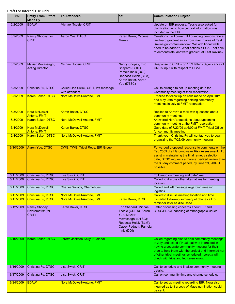| <b>Date</b> | <b>Entity From/ Effort</b><br><b>Made By</b> | <b>To/Attendees</b>                                     | CC:                                                                                                                                                 | <b>Communication Subject</b>                                                                                                                                                                                                                                                                             |
|-------------|----------------------------------------------|---------------------------------------------------------|-----------------------------------------------------------------------------------------------------------------------------------------------------|----------------------------------------------------------------------------------------------------------------------------------------------------------------------------------------------------------------------------------------------------------------------------------------------------------|
| 6/2/2009    | <b>EDAW</b>                                  | Michael Tsosie, CRIT                                    |                                                                                                                                                     | Update on EIR process. Tsosie also asked for<br>clarification as to how cultural information was<br>included in the EIR.                                                                                                                                                                                 |
| 6/2/2009    | Nancy Shopay, for<br><b>CRIT</b>             | Aaron Yue, DTSC                                         | Karen Baker, Yvonne<br><b>Meeks</b>                                                                                                                 | Questions: will current IM pumping demonstrate a<br>landward gradient away from river in area of East<br>Ravine gw contamination? Will additional wells<br>need to be added? What actions if PG&E not able<br>to demonstrate landward gradient at East Ravine?                                           |
| 6/3/2009    | Maziar Movassaghi,<br><b>Acting Director</b> | Michael Tsosie, CRIT                                    | Nancy Shopay, Eric<br>Shepard (CRIT),<br>Pamela Innis (DOI),<br>Rebecca Heick (BLM),<br>Karen Baker, Aaron<br>Yue (DTSC)                            | Response to CRIT's 5/11/09 letter - Significance of<br>CRITs input with respect to PG&E                                                                                                                                                                                                                  |
| 6/3/2009    | Christina Fu, DTSC                           | Called Lisa Swick, CRIT, left message<br>with attendant |                                                                                                                                                     | Call to arrange to set up meeting date for<br>Community meeting at their reservation.                                                                                                                                                                                                                    |
| 6/3/2009    | Karen Baker, DTSC                            | Nora McDowell-Antone, FMIT                              |                                                                                                                                                     | Emailed to follow up on calls made on April 10th<br>and May 26th regarding holding community<br>meetings in July at FMIT reservation                                                                                                                                                                     |
| 6/3/2009    | Nora McDowell-<br>Antone, FMIT               | Karen Baker, DTSC                                       |                                                                                                                                                     | Replied to Karen's e-mail with questions about<br>community meetings                                                                                                                                                                                                                                     |
| 6/3/2009    | Karen Baker, DTSC                            | Nora McDowell-Antone, FMIT                              |                                                                                                                                                     | <b>Answered Nora's questions about upcoming</b><br>community meeting at the FMIT reservation                                                                                                                                                                                                             |
| 6/4/2009    | Nora McDowell-<br>Antone, FMIT               | Karen Baker, DTSC                                       |                                                                                                                                                     | Gave date of 7/23/09 at 6:00 at FMIT Tribal Office<br>for community meeting.                                                                                                                                                                                                                             |
| 6/4/2009    | Karen Baker, DTSC                            | Nora McDowell-Antone, FMIT                              |                                                                                                                                                     | Thank you - Christina Fu will contact you to begin<br>organizing the 7/23/09 community meeting                                                                                                                                                                                                           |
| 6/10/2009   | <b>Aaron Yue, DTSC</b>                       | <b>CWG, TWG, Tribal Reps, EIR Group</b>                 |                                                                                                                                                     | Forwarded proposed response to comments on the<br>Feb 2009 draft Groundwater Risk Assessment. To<br>assist in maintaining the final remedy selection<br>date, DTSC requests a more expedited review than<br>the 30 day comment period, by June 29, 2009 if<br>possible.                                  |
| 6/11/2009   | Christina Fu, DTSC                           | Lisa Swick, CRIT                                        |                                                                                                                                                     | Follow-up on meeting and date/time.                                                                                                                                                                                                                                                                      |
| 6/11/2009   | Christina Fu, DTSC                           | Lisa Swick, CRIT                                        |                                                                                                                                                     | Called to discuss other alternatives for meeting<br>location.                                                                                                                                                                                                                                            |
| 6/11/2009   | Christina Fu, DTSC                           | Charles Woods, Chemehuevi                               |                                                                                                                                                     | Called and left message regarding meeting<br>logistics.                                                                                                                                                                                                                                                  |
| 6/11/2009   | Christina Fu, DTSC                           | Nora McDowell-Antone, FMIT                              |                                                                                                                                                     | Called to discuss meeting location and time.                                                                                                                                                                                                                                                             |
| 6/11/2009   | Christina Fu, DTSC                           | Nora McDowell-Antone, FMIT                              | Karen Baker, DTSC                                                                                                                                   | E-mailed follow-up summary of phone call for<br>reminder later as discussed.                                                                                                                                                                                                                             |
| 6/12/2009   | Nancy Shopay,<br>Envirometrix (for<br>CRIT)  | Karen Baker, DTSC                                       | Eric Shepard, Michael<br>Tsosie (CRITs); Aaron<br>Yue, Maziar<br>Movassaghi (DTSC);<br>Rebecca Heick (BLM);<br>Casey Padgett, Pamela<br>Innis (DOI) | Letter discussing concerns about EIR and<br>DTSC/EDAW handling of ethnographic issues.                                                                                                                                                                                                                   |
| 6/16/2009   | Karen Baker, DTSC                            | Loretta Jackson-Kelly, Hualapai                         |                                                                                                                                                     | Called regarding plan to hold community meetings<br>in July and asked if Hualapai was interested in<br>having a separate community meeting for their<br>tribe to help them with the project and informed her<br>of other tribal meetings scheduled. Loretta will<br>check with tribe and let Karen know. |
| 6/16/2009   | Christina Fu, DTSC                           | Lisa Swick, CRIT                                        |                                                                                                                                                     | Call to schedule and finalize community meeting<br>details.                                                                                                                                                                                                                                              |
| 6/17/2009   | Christina Fu, DTSC                           | Lisa Swick, CRIT                                        |                                                                                                                                                     | Call on community time and change schedule.                                                                                                                                                                                                                                                              |
| 6/24/2009   | <b>EDAW</b>                                  | Nora McDowell-Antone, FMIT                              |                                                                                                                                                     | Call to set up meeting regarding EIR. Nora also<br>inquired as to if a copy of Maze nomination could<br>be sent.                                                                                                                                                                                         |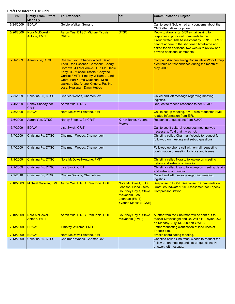| Date      | <b>Entity From/ Effort</b><br><b>Made By</b> | <b>To/Attendees</b>                                                                                                                                                                                                                                                                                     | CC:                                                                                                                                                 | <b>Communication Subject</b>                                                                                                                                                                                                                                          |
|-----------|----------------------------------------------|---------------------------------------------------------------------------------------------------------------------------------------------------------------------------------------------------------------------------------------------------------------------------------------------------------|-----------------------------------------------------------------------------------------------------------------------------------------------------|-----------------------------------------------------------------------------------------------------------------------------------------------------------------------------------------------------------------------------------------------------------------------|
| 6/24/2009 | <b>EDAW</b>                                  | Goldie Walker, Serrano                                                                                                                                                                                                                                                                                  |                                                                                                                                                     | Call to see if Goldie had any concerns about the<br>CMS alternatives or project.                                                                                                                                                                                      |
| 6/26/2009 | Nora McDowell-<br><b>Antone, FMIT</b>        | Aaron Yue, DTSC, Michael Tsosie,<br><b>CRIT<sub>s</sub></b>                                                                                                                                                                                                                                             | <b>DTSC</b>                                                                                                                                         | Reply to Aaron's 6/10/09 e-mail asking for<br>response to proposed comments to the<br>Groundwater Risk Assessment by 6/29/09. FMIT<br>cannot adhere to the shortened timeframe and<br>asked for an additional two weeks to review and<br>provide additional comments. |
| 7/1/2009  | Aaron Yue, DTSC                              | Chemehuevi: Charles Wood, David<br>Todd, Ron Escobar; Cocopah: Sherry<br>Cordova, Jill McCormick; CRITs: Daniel<br>Eddy, Jr., Michael Tsosie, Cheyene<br>Garcia; FMIT: Timothy Williams, Linda<br>Otero; Fort Yuma-Quechan: Mike<br>Jackson, Sr., Arlene Kingery, Pauline<br>Jose; Hualapai: Dawn Hubbs |                                                                                                                                                     | <b>Compact disc containing Consultative Work Group</b><br>electronic correspondence during the month of<br>May 2009.                                                                                                                                                  |
| 7/3/2009  | Christina Fu, DTSC                           | Charles Woods, Chemehuevi                                                                                                                                                                                                                                                                               |                                                                                                                                                     | Called and left message regarding meeting<br>logistics.                                                                                                                                                                                                               |
| 7/4/2009  | Nancy Shopay, for<br><b>CRIT</b>             | Aaron Yue, DTSC                                                                                                                                                                                                                                                                                         |                                                                                                                                                     | Request to resend response to her 6/2/09                                                                                                                                                                                                                              |
| 7/5/2009  | <b>EDAW</b>                                  | Nora McDowell-Antone, FMIT                                                                                                                                                                                                                                                                              |                                                                                                                                                     | Call to set up meeting. FMIT also requested FMIT-<br>related information from EIR.                                                                                                                                                                                    |
| 7/6/2009  | Aaron Yue, DTSC                              | Nancy Shopay, for CRIT                                                                                                                                                                                                                                                                                  | Karen Baker, Yvonne<br><b>Meeks</b>                                                                                                                 | Response to questions from 6/2/09                                                                                                                                                                                                                                     |
| 7/7/2009  | <b>EDAW</b>                                  | Lisa Swick, CRIT                                                                                                                                                                                                                                                                                        |                                                                                                                                                     | Call to see if cultural resources meeting was<br>necessary. Told that it was not.                                                                                                                                                                                     |
| 7/7/2009  | Christina Fu, DTSC                           | Chairman Woods, Chemehuevi                                                                                                                                                                                                                                                                              |                                                                                                                                                     | Christina called Chairman Woods to request for<br>follow-up on meeting and set-up questions.                                                                                                                                                                          |
| 7/7/2009  | Christina Fu, DTSC                           | Chairman Woods, Chemehuevi                                                                                                                                                                                                                                                                              |                                                                                                                                                     | Followed up phone call with e-mail requesting<br>confirmation of meeting logistics and issues.                                                                                                                                                                        |
| 7/9/2009  | Christina Fu, DTSC                           | Nora McDowell-Antone, FMIT                                                                                                                                                                                                                                                                              |                                                                                                                                                     | Christina called Nora to follow-up on meeting<br>details and set-up confirmation.                                                                                                                                                                                     |
| 7/9/2009  | Christina Fu, DTSC                           | Lisa Swick, CRIT                                                                                                                                                                                                                                                                                        |                                                                                                                                                     | Christina called Lisa to follow-up on meeting details<br>and set-up coordination.                                                                                                                                                                                     |
| 7/9/2010  | Christina Fu, DTSC                           | Charles Woods, Chemehuevi                                                                                                                                                                                                                                                                               |                                                                                                                                                     | Called and left message regarding meeting<br>logistics.                                                                                                                                                                                                               |
| 7/10/2009 |                                              | Michael Sullivan, FMIT Aaron Yue, DTSC, Pam Innis, DOI                                                                                                                                                                                                                                                  | Nora McDowell, Luke<br>Johnson, Linda Otero,<br><b>Courtney Coyle, Steve</b><br>McDonald, Leo<br>Leonhart (FMIT),<br><b>Yvonne Meeks (PG&amp;E)</b> | Response to PG&E Response to Comments on<br><b>Draft Groundwater Risk Assessment for Topock</b><br><b>Compressor Station</b>                                                                                                                                          |
| 7/10/2009 | Nora McDowell-<br><b>Antone, FMIT</b>        | Aaron Yue, DTSC, Pam Innis, DOI                                                                                                                                                                                                                                                                         | <b>Courtney Coyle, Steve</b><br>McDonald (FMIT)                                                                                                     | A letter from the Chairman will be sent out to<br>Maziar Movassaghi and Dr. Willie R. Taylor, DOI<br>on Monday, July 13, 2009 on GWRA.                                                                                                                                |
| 7/13/2009 | <b>EDAW</b>                                  | <b>Timothy Williams, FMIT</b>                                                                                                                                                                                                                                                                           |                                                                                                                                                     | Letter requesting clarification of land uses at<br>Topock site.                                                                                                                                                                                                       |
| 7/13/2009 | <b>EDAW</b>                                  | Nora McDowell-Antone, FMIT                                                                                                                                                                                                                                                                              |                                                                                                                                                     | <b>Emails coordinating meeting.</b>                                                                                                                                                                                                                                   |
| 7/13/2009 | Christina Fu, DTSC                           | Chairman Woods, Chemehuevi                                                                                                                                                                                                                                                                              |                                                                                                                                                     | Christina called Chairman Woods to request for<br>follow-up on meeting and set-up questions. No<br>answer, left message/                                                                                                                                              |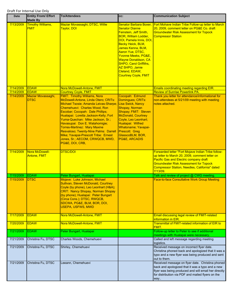| <b>Date</b>            | <b>Entity From/ Effort</b><br><b>Made By</b>     | <b>To/Attendees</b>                                                                                                                                                                                                                                                                                                                                                                                                                                                                                                   | cc:                                                                                                                                                                                                                                                                                                                                                               | <b>Communication Subject</b>                                                                                                                                                                                                                                         |
|------------------------|--------------------------------------------------|-----------------------------------------------------------------------------------------------------------------------------------------------------------------------------------------------------------------------------------------------------------------------------------------------------------------------------------------------------------------------------------------------------------------------------------------------------------------------------------------------------------------------|-------------------------------------------------------------------------------------------------------------------------------------------------------------------------------------------------------------------------------------------------------------------------------------------------------------------------------------------------------------------|----------------------------------------------------------------------------------------------------------------------------------------------------------------------------------------------------------------------------------------------------------------------|
| 7/13/2009              | <b>Timothy Williams,</b><br><b>FMIT</b>          | Maziar Movassaghi, DTSC, Willie<br>Taylor, DOI                                                                                                                                                                                                                                                                                                                                                                                                                                                                        | <b>Senator Barbara Boxer,</b><br><b>Senator Dianne</b><br>Feinstein, Jeff Smith,<br><b>BOR, William Lodder,</b><br>DOI, Pamela Innis, DOI,<br>Becky Heick, BLM,<br>James Kenna, BLM,<br>Aaron Yue, DTSC,<br>Yvonne Meeks, PG&E,<br><b>Wayne Donaldson, CA</b><br><b>SHPO, Carol Griffiths,</b><br>AZ SHPO, Jamie<br>Cleland, EDAW,<br><b>Courtney Coyle, FMIT</b> | Fort Mohave Indian Tribe Follow-up letter to March<br>20, 2009, comment letter on PG&E Co. draft<br><b>Groundwater Risk Assessment for Topock</b><br><b>Compressor Station</b>                                                                                       |
| 7/14/2009              | <b>EDAW</b>                                      | Nora McDowell-Antone, FMIT                                                                                                                                                                                                                                                                                                                                                                                                                                                                                            |                                                                                                                                                                                                                                                                                                                                                                   | Emails coordinating meeting regarding EIR.                                                                                                                                                                                                                           |
| 7/14/2009<br>7/14/2009 | <b>EDAW</b><br>Maziar Movassaghi,<br><b>DTSC</b> | <b>Courtney Coyle, FMIT</b><br><b>FMIT: Timothy Williams, Nora</b><br>McDowell-Antone, Linda Otero; CRITs:<br>Michael Tsosie; Amanda Leivas-Sharpe;<br>Chemehuevi: Charles Wood, Ron<br>Escobar; Cocopah: Dale Phillips;<br>Hualapai: Loretta Jackson-Kelly; Fort<br>Yuma-Quechan: Mike Jackson, Sr.;<br>Havasupai: Don E. Watahomigie;<br><b>Torres-Martinez: Mary Maxine</b><br>Resvaloso; Twenty-Nine Palms: Darrell<br>Mike; Yavapai-Prescott Tribe: Ernest<br>Jones, Sr.; AECOM, CRWQCB, MWD,<br>PG&E, DOI, CRB, | Cocopah: Edmund<br>Domingues; CRITs:<br>Lisa Swick, Nancy<br>Shopay, Norman<br>Shopay; FMIT: Steven<br><b>McDonald, Courtney</b><br>Coyle, Leo Leonhart;<br>Hualapai: Wilfred<br>Whatoname; Yavapai-<br>Prescott: Greg<br>GlasscoBLM, BOR,<br><b>PG&amp;E, ARCADIS</b>                                                                                            | <b>Review of Sunrise Powerlink PA.</b><br>Thank you letter for attendance/informational for<br>non-attendees at 5/21/09 meeting with meeting<br>notes attached.                                                                                                      |
| 7/14/2009              | Nora McDowell-<br><b>Antone, FMIT</b>            | <b>DTSC/DOI</b>                                                                                                                                                                                                                                                                                                                                                                                                                                                                                                       |                                                                                                                                                                                                                                                                                                                                                                   | Forwarded letter "Fort Mojave Indian Tribe follow-<br>up letter to March 20, 2009, comment letter on<br><b>Pacific Gas and Electric company draft</b><br><b>Groundwater Risk Assessment for Topock</b><br>Compressor Station, Needles, California" dated<br>7/13/09. |
| 7/15/2009              | <b>EDAW</b>                                      | Peter Bungart, Hualapai                                                                                                                                                                                                                                                                                                                                                                                                                                                                                               |                                                                                                                                                                                                                                                                                                                                                                   | Talk and review of project @ CWG meeting.                                                                                                                                                                                                                            |
| 7/15/2009              | <b>DTSC</b>                                      | Mojave: Luke Johnson, Michael<br>Sullivan, Steven McDonald, Courtney<br>Coyle (by phone), Leo Leonhart (H&A);<br><b>CRIT: Nancy Shopay, Norman Shopay</b><br>(by phone); Hualapai: Peter Bungart<br>(Circa Cons.); DTSC, RWQCB,<br>SDCWA, PG&E, BLM, BOR, DOI,<br><b>USEPA, USFWS, MWD</b>                                                                                                                                                                                                                            |                                                                                                                                                                                                                                                                                                                                                                   | Face-to-face Consultative Work Group Meeting                                                                                                                                                                                                                         |
| 7/17/2009              | <b>EDAW</b>                                      | Nora McDowell-Antone, FMIT                                                                                                                                                                                                                                                                                                                                                                                                                                                                                            |                                                                                                                                                                                                                                                                                                                                                                   | Email discussing legal review of FMIT-related<br>information in EIR.                                                                                                                                                                                                 |
| 7/20/2009              | <b>EDAW</b>                                      | Nora McDowell-Antone, FMIT                                                                                                                                                                                                                                                                                                                                                                                                                                                                                            |                                                                                                                                                                                                                                                                                                                                                                   | Transmittal of FMIT-related information of EIR to<br>FMIT.                                                                                                                                                                                                           |
| 7/21/2009              | <b>EDAW</b>                                      | Peter Bungart, Hualapai                                                                                                                                                                                                                                                                                                                                                                                                                                                                                               |                                                                                                                                                                                                                                                                                                                                                                   | Follow-up letter to Peter to see if additional<br>meetings with Hualapai were necessary.                                                                                                                                                                             |
| 7/21/2009              | Christina Fu, DTSC                               | Charles Woods, Chemehuevi                                                                                                                                                                                                                                                                                                                                                                                                                                                                                             |                                                                                                                                                                                                                                                                                                                                                                   | Called and left message regarding meeting<br>logistics.                                                                                                                                                                                                              |
| 7/21/2009              | Christina Fu, DTSC                               | Shirley, Chemehuevi                                                                                                                                                                                                                                                                                                                                                                                                                                                                                                   |                                                                                                                                                                                                                                                                                                                                                                   | Received message on incorrect flyer date.<br>Christina phoned back and apologized that it was a<br>typo and a new flyer was being produced and sent<br>out to them.                                                                                                  |
| 7/21/2009              | Christina Fu, DTSC                               | Leeann, Chemehuevi                                                                                                                                                                                                                                                                                                                                                                                                                                                                                                    |                                                                                                                                                                                                                                                                                                                                                                   | Received message on flyer date. Christina phoned<br>back and apologized that it was a typo and a new<br>flyer was being produced and will email her directly<br>for distribution via PDF and mailed flyers on the<br>way                                             |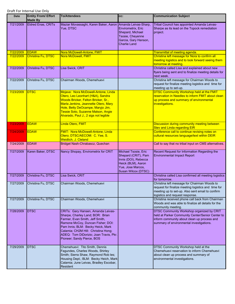| <b>Date</b> | <b>Entity From/ Effort</b><br><b>Made By</b> | <b>To/Attendees</b>                                                                                                                                                                                                                                                                                | cc:                                                                                                                                   | <b>Communication Subject</b>                                                                                                                                                               |
|-------------|----------------------------------------------|----------------------------------------------------------------------------------------------------------------------------------------------------------------------------------------------------------------------------------------------------------------------------------------------------|---------------------------------------------------------------------------------------------------------------------------------------|--------------------------------------------------------------------------------------------------------------------------------------------------------------------------------------------|
| 7/21/2009   | <b>Eldred Enas, CRITs</b>                    | Maziar Movassaghi, Karen Baker, Aaron Amanda Leivas-Sharp,<br>Yue, DTSC                                                                                                                                                                                                                            | Envirometrix, Eric<br>Shepard, Michael<br>Tsosie, Cheyenne<br>Garcia, Gary Hanson,<br><b>Charlie Land</b>                             | Tribal Council has appointed Amanda Leivas-<br>Sharpe as its lead on the Topock remediation<br>project.                                                                                    |
| 7/22/2009   | <b>EDAW</b>                                  | Nora McDowell-Antone, FMIT                                                                                                                                                                                                                                                                         |                                                                                                                                       | Transmittal of meeting agenda.                                                                                                                                                             |
| 7/22/2009   | Christina Fu, DTSC                           | Nora McDowell, FMIT                                                                                                                                                                                                                                                                                |                                                                                                                                       | Christina left message for Nora to confirm all<br>meeting logistics and to look forward seeing them<br>tomorrow at meeting.                                                                |
| 7/22/2009   | Christina Fu, DTSC                           | Lisa Swick, CRIT                                                                                                                                                                                                                                                                                   |                                                                                                                                       | Christina called Lisa and explained about new<br>flyers being sent and to finalize meeting details for<br>next week.                                                                       |
| 7/22/2009   | Christina Fu, DTSC                           | Chairman Woods, Chemehuevi                                                                                                                                                                                                                                                                         |                                                                                                                                       | Christina left message for Chairman Woods to<br>request for finalize meeting logistics and time for<br>meeting up to set-up.                                                               |
| 7/23/2009   | <b>DTSC</b>                                  | Mojave: Nora McDowell-Antone, Linda<br>Otero, Leo Leonhart (H&A), Sandra<br>Woods Bricker, Felton Bricker, Sr.,<br>Marla Jenkins, Jeannette Otero, Mary<br>Hole, Betty DeOcampe, Maryjo Jim,<br>Tessie Soto, Suzanne Malson, Angie<br>Alvarado, Paul J., 2 sigs not legible                        |                                                                                                                                       | <b>DTSC Community Workshop held at the FMIT</b><br>reservation in Needles to inform FMIT about clean<br>up process and summary of environmental<br>investigations.                         |
| 7/23/2009   | <b>EDAW</b>                                  | Linda Otero, FMIT                                                                                                                                                                                                                                                                                  |                                                                                                                                       | Discussion during community meeting between<br><b>Stev and Linda regarding EIR</b>                                                                                                         |
| 7/24/2009   | <b>EDAW</b>                                  | FMIT: Nora McDowell-Antone, Linda<br>Otero; DTSC/AECOM: C. Yee, S.<br>Weidlich, J. Cleland                                                                                                                                                                                                         |                                                                                                                                       | Conference call to continue revising notes on<br>cultural resources language/text within DEIR                                                                                              |
| 7/24/2009   | <b>EDAW</b>                                  | Bridget Nash-Chrabascz, Quechan                                                                                                                                                                                                                                                                    |                                                                                                                                       | Call to say that no tribal input on CMS alternatives.                                                                                                                                      |
| 7/27/2009   | Karen Baker, DTSC                            | Nancy Shopay, Envirometrix for CRIT                                                                                                                                                                                                                                                                | Michael Tsosie, Eric<br>Shepard (CRIT), Pam<br>Innis (DOI), Rebecca<br>Heick (BLM), Aaron<br>Yue, Jose Marcos,<br>Susan Wilcox (DTSC) | Recent Request for Information Regarding the<br><b>Environmental Impact Report</b>                                                                                                         |
| 7/27/2009   | Christina Fu, DTSC                           | Lisa Swick, CRIT                                                                                                                                                                                                                                                                                   |                                                                                                                                       | Christina called Lisa confirmed all meeting logistics<br>for tomorrow.                                                                                                                     |
| 7/27/2009   | Christina Fu, DTSC                           | Chairman Woods, Chemehuevi                                                                                                                                                                                                                                                                         |                                                                                                                                       | Christina left message for Chairman Woods to<br>request for finalize meeting logistics and time for<br>meeting up to set-up. Also sent email to confirm<br>logistics and request response. |
| 7/27/2009   | Christina Fu, DTSC                           | Chairman Woods, Chemehuevi                                                                                                                                                                                                                                                                         |                                                                                                                                       | Christina received phone call back from Chairman<br>Woods and was able to finalize all details for the<br>community meeting.                                                               |
| 7/28/2009   | <b>DTSC</b>                                  | CRITs: Gary Hansen, Amanda Leivas-<br>Sharpe, Charley Land; BOR: Brian<br>Farmer, Evan Smith, Jeff Smith,<br>Ramone McCoy, Duncan Fisher; DOI:<br>Pam Innis; BLM: Becky Heick, Mark<br>Calamia; CH2M Hill: Christina Hong;<br>ADEQ: Tom DiDorizio; Joan Travis, Pkr.<br>Pioneer; Sandy Pierce, BOS |                                                                                                                                       | DTSC Community Workshop organized by CRIT<br>held at Parker Community Center/Senior Center to<br>inform community about clean up process and<br>summary of environmental investigations.   |
| 7/29/2009   | <b>DTSC</b>                                  | Chemehuevi: Tito Smith, Dennis<br>Fagundes, Charles Woods, Shirley<br>Smith; Sierra Shaw, Raymond Rob les;<br>Housing Dept.; BLM: Becky Heich, Mark<br>Calamia; June Leivas, Bradley Escobar,<br>Resident                                                                                          |                                                                                                                                       | DTSC Community Workshop held at the<br>Chemehuevi reservation to inform Chemehuevi<br>about clean up process and summary of<br>environmental investigations.                               |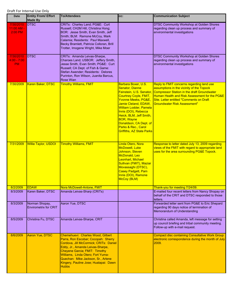| Date                                    | <b>Entity From/ Effort</b><br><b>Made By</b>   | <b>To/Attendees</b>                                                                                                                                                                                                                                                                                                         | CC:                                                                                                                                                                                                                                                                                                                                                    | <b>Communication Subject</b>                                                                                                                                                                                                                                                      |
|-----------------------------------------|------------------------------------------------|-----------------------------------------------------------------------------------------------------------------------------------------------------------------------------------------------------------------------------------------------------------------------------------------------------------------------------|--------------------------------------------------------------------------------------------------------------------------------------------------------------------------------------------------------------------------------------------------------------------------------------------------------------------------------------------------------|-----------------------------------------------------------------------------------------------------------------------------------------------------------------------------------------------------------------------------------------------------------------------------------|
| 7/30/2010<br>$11:00$ AM -<br>2:00 PM    | <b>DTSC</b>                                    | CRITs: Charley Land; PG&E: Curt<br>Russell; CH2M Hill, Christina Hong;<br>BOR: Jesse Smith, Evan Smith, Jeff<br>Smith; BLM: Ramone McCoy, Mark<br>Calamia; Residents: Paul Maxwell,<br>Becky Bramlett, Patricia Colloran, Brill<br>Trotter, Imogene Wright, Mike Moer                                                       |                                                                                                                                                                                                                                                                                                                                                        | <b>DTSC Community Workshop at Golden Shores</b><br>regarding clean up process and summary of<br>environmental investigations                                                                                                                                                      |
| 7/30/2010<br>$4:00 - 7:00$<br><b>PM</b> | <b>DTSC</b>                                    | CRITs: Amanda Leivas-Sharpe,<br>Charoes Land; USBOR: Jeffery Smith,<br>Jesse Smith, Evan Smith; PG&E: Curt<br>Russell; CA Dept. of Fish & Game:<br>Stefan Awender; Residents: Delores<br>Purinton, Ron Wilson, Juanita Barcus,<br><b>Rose Wian</b>                                                                          |                                                                                                                                                                                                                                                                                                                                                        | <b>DTSC Community Workshop at Golden Shores</b><br>regarding clean up process and summary of<br>environmental investigations                                                                                                                                                      |
| 7/30/2009                               | Karen Baker, DTSC                              | <b>Timothy Williams, FMIT</b>                                                                                                                                                                                                                                                                                               | Barbara Boxer, U.S.<br><b>Senator, Dianne</b><br>Feinstein, U.S. Senator,<br><b>Courtney Coyle, FMIT,</b><br>Yvonne Meeks, PG&E,<br>Jamie Cleland, EDAW,<br><b>William Lodder, Pamela</b><br>Innis (DOI), Rebecca<br>Heick, BLM, Jeff Smith,<br><b>BOR, Wayne</b><br>Donaldson, CA Dept. of<br>Parks & Rec., Carol<br><b>Griffiths, AZ State Parks</b> | Reply to FMIT concerns regarding land use<br>assumptions in the vicinity of the Topock<br><b>Compressor Station in the draft Groundwater</b><br>Human Health and Risk Assessment for the PG&E<br>Site. Letter entitled "Comments on Draft"<br><b>Groundwater Risk Assessment"</b> |
| 7/31/2009                               | <b>Willie Taylor, USDOI</b>                    | <b>Timothy Williams, FMIT</b>                                                                                                                                                                                                                                                                                               | Linda Otero, Nora<br><b>McDowell, Luke</b><br>Johnson, Steven<br>McDonald, Leo<br>Leonhart, Michael<br>Sullivan (FMIT), Maziar<br>Movassaghi (DTSC),<br><b>Casey Padgett, Pam</b><br>Innis (DOI), Ramone<br>McCoy (BLM)                                                                                                                                | Response to letter dated July 13, 2009 regarding<br>views of the FMIT with regard to appropriate land<br>uses for the area surrounding PG&E Topock.                                                                                                                               |
| 8/2/2009                                | <b>EDAW</b>                                    | Nora McDowell-Antone, FMIT                                                                                                                                                                                                                                                                                                  |                                                                                                                                                                                                                                                                                                                                                        | Thank-you for meeting 7/24/09                                                                                                                                                                                                                                                     |
| 8/3/2009                                | Karen Baker, DTSC                              | Amanda Leivas-Sharp (CRITs)                                                                                                                                                                                                                                                                                                 |                                                                                                                                                                                                                                                                                                                                                        | E-mailed four recent letters from Nancy Shopay on<br>behalf of the CRIT and DTSC responded to those<br>letters.                                                                                                                                                                   |
| 8/3/2009                                | Norman Shopay,<br><b>Envirometrix for CRIT</b> | Aaron Yue, DTSC                                                                                                                                                                                                                                                                                                             |                                                                                                                                                                                                                                                                                                                                                        | Forwarded letter sent from PG&E to Eric Shepard<br>regarding 90 days notice of termination of<br>Memorandum of Understanding                                                                                                                                                      |
| 8/5/2009                                | Christina Fu, DTSC                             | Amanda Leivas-Sharpe, CRIT                                                                                                                                                                                                                                                                                                  |                                                                                                                                                                                                                                                                                                                                                        | Christina called Amanda, left message for setting<br>up council briefing and tribal community meeting.<br>Follow-up with e-mail request.                                                                                                                                          |
| 8/6/2009                                | Aaron Yue, DTSC                                | Chemehuevi: Charles Wood, Gilbert<br>Parra, Ron Escobar; Cocopah: Sherry<br>Cordova, Jill McCormick; CRITs: Daniel<br>Eddy, Jr., Amanda Leivas-Sharpe,<br>Cheyene Garcia; FMIT: Timothy<br>Williams, Linda Otero; Fort Yuma-<br>Quechan: Mike Jackson, Sr., Arlene<br>Kingery, Pauline Jose; Hualapai: Dawn<br><b>Hubbs</b> |                                                                                                                                                                                                                                                                                                                                                        | <b>Compact disc containing Consultative Work Group</b><br>electronic correspondence during the month of July<br>2009.                                                                                                                                                             |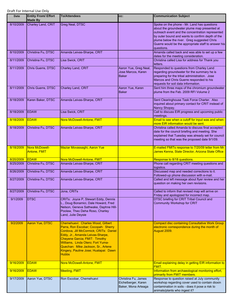| <b>Date</b> | <b>Entity From/ Effort</b><br><b>Made By</b> | <b>To/Attendees</b>                                                                                                                                                                                                                                                                                                         | CC:                                                               | <b>Communication Subject</b>                                                                                                                                                                                                                                                                                            |
|-------------|----------------------------------------------|-----------------------------------------------------------------------------------------------------------------------------------------------------------------------------------------------------------------------------------------------------------------------------------------------------------------------------|-------------------------------------------------------------------|-------------------------------------------------------------------------------------------------------------------------------------------------------------------------------------------------------------------------------------------------------------------------------------------------------------------------|
| 8/10/2009   | Charley Land, CRIT                           | Greg Neal, DTSC                                                                                                                                                                                                                                                                                                             |                                                                   | Spoke on the phone - Mr. Land has questions<br>about the groundwater plume map presented at<br>outreach event and the concentration represented<br>by outer bound and wants to confirm depth of the<br>plume below the river. Greg suggested Chris<br>Guerre would be the appropriate staff to answer his<br>questions. |
| 8/10/2009   | Christina Fu, DTSC                           | Amanda Leivas-Sharpe, CRIT                                                                                                                                                                                                                                                                                                  |                                                                   | Amanda called back and was able to set up a few<br>dates for the meeting consideration.                                                                                                                                                                                                                                 |
| 8/11/2009   | Christina Fu, DTSC                           | Lisa Swick, CRIT                                                                                                                                                                                                                                                                                                            |                                                                   | Christina called Lisa for address for Thank you<br>letters.                                                                                                                                                                                                                                                             |
| 8/11/2009   | Chris Guerre, DTSC                           | Charley Land, CRIT                                                                                                                                                                                                                                                                                                          | Aaron Yue, Greg Neal,<br>Jose Marcos, Karen<br><b>Baker</b>       | Responded to questions from Charley Land<br>regarding groundwater for the summary he is<br>preparing for the tribal administration. Jose<br>Marcos and Chris Guerre responded to his<br>requests for soil data information.                                                                                             |
| 8/11/2009   | Chris Guerre, DTSC                           | Charley Land, CRIT                                                                                                                                                                                                                                                                                                          | Aaron Yue, Karen<br><b>Baker</b>                                  | Sent him three maps of the chromium groundwater<br>plume from the Feb. 2009 RFI Volume 2                                                                                                                                                                                                                                |
| 8/18/2009   | Karen Baker, DTSC                            | Amanda Leivas-Sharpe, CRIT                                                                                                                                                                                                                                                                                                  |                                                                   | Sent Clearinghouse Task Force Charter. Also<br>inquired about primary contact for CRIT instead of<br>Nancy Shopay.                                                                                                                                                                                                      |
| 8/18/2009   | <b>EDAW</b>                                  | Lisa Swick, CRIT                                                                                                                                                                                                                                                                                                            |                                                                   | Call to discuss EIR progress and upcoming public<br>meetings.                                                                                                                                                                                                                                                           |
| 8/18/2009   | <b>EDAW</b>                                  | Nora McDowell-Antone, FMIT                                                                                                                                                                                                                                                                                                  |                                                                   | Email to see when a cutoff for input was and when<br>more EIR information would be sent.                                                                                                                                                                                                                                |
| 8/18/2009   | Christina Fu, DTSC                           | Amanda Leivas-Sharpe, CRIT                                                                                                                                                                                                                                                                                                  |                                                                   | Christina called Amanda to discuss final accepted<br>date for the council briefing and meeting. She<br>explained that Tuesday was already set for council<br>meeting so that was the proposed date 9/1/09.                                                                                                              |
| 8/18/2009   | Nora McDowell-<br><b>Antone, FMIT</b>        | Maziar Movassaghi, Aaron Yue                                                                                                                                                                                                                                                                                                |                                                                   | E-mailed FMITs response to 7/20/09 letter from Mr.<br>James Kenna, State Director, Arizona State Office                                                                                                                                                                                                                 |
| 8/20/2009   | <b>EDAW</b>                                  | Nora McDowell-Antone, FMIT                                                                                                                                                                                                                                                                                                  |                                                                   | Response to 8/18 questions.                                                                                                                                                                                                                                                                                             |
| 8/25/2009   | Christina Fu, DTSC                           | Amanda Leivas-Sharpe, CRIT                                                                                                                                                                                                                                                                                                  |                                                                   | Phone call regarding CRIT meeting questions and<br>logistics.                                                                                                                                                                                                                                                           |
| 8/26/2009   | Christina Fu, DTSC                           | Amanda Leivas-Sharpe, CRIT                                                                                                                                                                                                                                                                                                  |                                                                   | Discussed map and needed corrections to it.<br>Followed-up phone discussion with e-mail.                                                                                                                                                                                                                                |
| 8/27/2009   | Christina Fu, DTSC                           | Amanda Leivas-Sharpe, CRIT                                                                                                                                                                                                                                                                                                  |                                                                   | Called and left message about flyer review and her<br>question on making her own revisions.                                                                                                                                                                                                                             |
| 8/27/2009   | Christina Fu, DTSC                           | Jona, CRITs                                                                                                                                                                                                                                                                                                                 |                                                                   | Called to inform that revised map will arrive on<br>Friday and apologized for incorrect map.                                                                                                                                                                                                                            |
| 9/1/2009    | <b>DTSC</b>                                  | CRITs: Joyce P, Stewart Eddy, Dennis<br>L., Doug Bonamici, Dale Howard, Fred<br>Nelson, Geneva Sathwake, Daphne Hill-<br>Poolaw, Theo Deha Roso, Charley<br>Land, Julie Deysie                                                                                                                                              |                                                                   | DTSC briefing for CRIT Tribal Council and<br>Community Workshop for CRIT                                                                                                                                                                                                                                                |
| 9/2/2009    | <b>Aaron Yue, DTSC</b>                       | Chemehuevi: Charles Wood, Gilbert<br>Parra, Ron Escobar; Cocopah: Sherry<br>Cordova, Jill McCormick; CRITs: Daniel<br>Eddy, Jr., Amanda Leivas-Sharpe,<br>Cheyene Garcia; FMIT: Timothy<br>Williams, Linda Otero; Fort Yuma-<br>Quechan: Mike Jackson, Sr., Arlene<br>Kingery, Pauline Jose; Hualapai: Dawn<br><b>Hubbs</b> |                                                                   | <b>Compact disc containing Consultative Work Group</b><br>electronic correspondence during the month of<br>August 2009.                                                                                                                                                                                                 |
| 9/16/2009   | <b>EDAW</b>                                  | Nora McDowell-Antone, FMIT                                                                                                                                                                                                                                                                                                  |                                                                   | Email explaining delay in getting EIR information to<br>FMIT.                                                                                                                                                                                                                                                           |
| 9/16/2009   | <b>EDAW</b>                                  | <b>Meeting, FMIT</b>                                                                                                                                                                                                                                                                                                        |                                                                   | Information from archaeological monitoring effort,<br>primarily from FMIT members.                                                                                                                                                                                                                                      |
| 9/17/2009   | Aaron Yue, DTSC                              | Ron Escobar, Chemehuevi                                                                                                                                                                                                                                                                                                     | Christina Fu, James<br>Eichelberger, Karen<br>Baker, Mona Arteaga | Response to question raised at July community<br>workshop regarding cover used to contain dioxin<br>contamination in soils - does it pose a risk to<br>animals/plants who ingest it?                                                                                                                                    |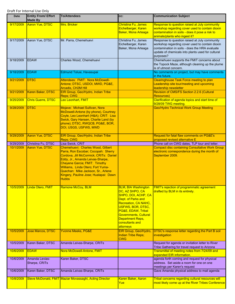| <b>Date</b>       | <b>Entity From/ Effort</b><br><b>Made By</b> | <b>To/Attendees</b>                                                                                                                                                                                                                                                                                                         | CC:                                                                                                                                                                                                                                                                 | <b>Communication Subject</b>                                                                                                                                                                                         |
|-------------------|----------------------------------------------|-----------------------------------------------------------------------------------------------------------------------------------------------------------------------------------------------------------------------------------------------------------------------------------------------------------------------------|---------------------------------------------------------------------------------------------------------------------------------------------------------------------------------------------------------------------------------------------------------------------|----------------------------------------------------------------------------------------------------------------------------------------------------------------------------------------------------------------------|
| 9/17/2009         | Aaron Yue, DTSC                              | Mrs. Bricker                                                                                                                                                                                                                                                                                                                | Christina Fu, James<br>Eichelberger, Karen<br><b>Baker, Mona Arteaga</b>                                                                                                                                                                                            | Response to question raised at July community<br>workshop regarding cover used to contain dioxin<br>contamination in soils - does it pose a risk to<br>animals/plants who ingest it?                                 |
| 9/17/2009         | Aaron Yue, DTSC                              | Mr. Parra, Chemehuevi                                                                                                                                                                                                                                                                                                       | Christina Fu, James<br>Eichelberger, Karen<br>Baker, Mona Arteaga                                                                                                                                                                                                   | Response to question raised at July community<br>workshop regarding cover used to contain dioxin<br>contamination in soils - does the HRA evaluate<br>update of chemicals into plants used for cultural<br>purposes? |
| 9/18/2009         | <b>EDAW</b>                                  | Charles Wood, Chemehuevi                                                                                                                                                                                                                                                                                                    |                                                                                                                                                                                                                                                                     | Chemehuevi supports the FMIT concerns about<br>the Topock Maze, although cleaning up the plume<br>is of utmost concern.                                                                                              |
| 9/18/2009         | <b>EDAW</b>                                  | Edmund Tolusi, Havasupai                                                                                                                                                                                                                                                                                                    |                                                                                                                                                                                                                                                                     | No comments on project, but may have comments<br>in the future.                                                                                                                                                      |
| 9/21/2009         | <b>DTSC</b>                                  | Attendees: FMIT: Nora McDowell-<br>Antone; DTSC, USDOI, MWD, PG&E,<br><b>Arcadis, CH2M Hill</b>                                                                                                                                                                                                                             |                                                                                                                                                                                                                                                                     | Clearinghouse Task Force meeting to plan<br>Leadership site tour/meeting and upcoming<br>leadership newsletter                                                                                                       |
| 9/21/2009         | Karen Baker, DTSC                            | EIR Group, Geo/Hydro, Indian Tribe<br>Reps; CWG                                                                                                                                                                                                                                                                             |                                                                                                                                                                                                                                                                     | Revision of CMS/FS Section 2.2.6 (Cultural<br><b>Resources</b> )                                                                                                                                                     |
| 9/25/2009         | <b>Chris Guerre, DTSC</b>                    | Leo Leonhart, FMIT                                                                                                                                                                                                                                                                                                          |                                                                                                                                                                                                                                                                     | Clarification of agenda topics and start time of<br>9/28/09 TWG meeting.                                                                                                                                             |
| 9/28/2009         | <b>DTSC</b>                                  | Mojave: Michael Sullivan, Nora<br>McDowell-Antone (by phone), Courtney<br>Coyle, Leo Leonhart (H&A); CRIT: Lisa<br>Swick, Gary Hansen, Charlie Land (by<br>phone); DTSC, RWQCB, PG&E, BOR,<br>DOI, USGS, USFWS, MWD                                                                                                         |                                                                                                                                                                                                                                                                     | <b>Geo/Hydro Technical Work Group Meeting</b>                                                                                                                                                                        |
| 9/29/2009         | <b>Aaron Yue, DTSC</b>                       | EIR Group, Geo/Hydro, Indian Tribe<br>Reps; CWG                                                                                                                                                                                                                                                                             |                                                                                                                                                                                                                                                                     | Request for fatal flaw comments on PG&E's<br>proposed revised alternative E                                                                                                                                          |
| 9/29/2009         | Christina Fu, DTSC                           | Lisa Swick, CRIT                                                                                                                                                                                                                                                                                                            |                                                                                                                                                                                                                                                                     | Phone call on CWG dates, TLP tour and letter.                                                                                                                                                                        |
| 10/1/2009         | <b>Aaron Yue, DTSC</b>                       | Chemehuevi: Charles Wood, Gilbert<br>Parra, Ron Escobar; Cocopah: Sherry<br>Cordova, Jill McCormick; CRITs: Daniel<br>Eddy, Jr., Amanda Leivas-Sharpe,<br>Cheyene Garcia; FMIT: Timothy<br>Williams, Linda Otero; Fort Yuma-<br>Quechan: Mike Jackson, Sr., Arlene<br>Kingery, Pauline Jose; Hualapai: Dawn<br><b>Hubbs</b> |                                                                                                                                                                                                                                                                     | <b>Compact disc containing Consultative Work Group</b><br>electronic correspondence during the month of<br>September 2009.                                                                                           |
| <u>10/5/2009 </u> | <u> Linda Otero, FMIT</u>                    | <u>Ramone McCoy, BLM</u>                                                                                                                                                                                                                                                                                                    | <b>BLM, BIA Washington</b><br>DC, AZ SHPO, CA<br>SHPO, DOI, ACHP, CA<br>Dept. of Parks and<br>Recreation, CA NAHC,<br>USFWS, BOR, DTSC,<br><b>PG&amp;E, EDAW, Tribal</b><br><b>Governments, Cultural</b><br><b>Department Reps,</b><br>consultants and<br>attorneys | <b>FMIT's rejection of programmatic agreement</b><br>drafted by BLM in its entirety.                                                                                                                                 |
| 10/5/2009         | <b>Jose Marcos, DTSC</b>                     | <b>Yvonne Meeks, PG&amp;E</b>                                                                                                                                                                                                                                                                                               | EIR Group, Geo/Hydro,<br>Indian Tribe Reps;<br><b>CWG</b>                                                                                                                                                                                                           | DTSC's response letter regarding the Part B soil<br>investigation                                                                                                                                                    |
| 10/5/2009         | Karen Baker, DTSC                            | Amanda Leivas-Sharpe, CRITs                                                                                                                                                                                                                                                                                                 |                                                                                                                                                                                                                                                                     | Request for agenda or invitation letter to River<br>Tribe Gathering for travel request to Arizona                                                                                                                    |
| 10/6/2009         | <b>EDAW</b>                                  | Nora McDowell-Antone, FMIT                                                                                                                                                                                                                                                                                                  |                                                                                                                                                                                                                                                                     | Transmittal of meeting notes from 7/24/09 and<br>expanded EIR information.                                                                                                                                           |
| 10/6/2009         | Amanda Levias-<br>Sharpe, CRITs              | Karen Baker, DTSC                                                                                                                                                                                                                                                                                                           |                                                                                                                                                                                                                                                                     | agenda forth coming and request for physical<br>address. Set aside a room for one on one<br>meetings per Karen's request                                                                                             |
| 10/6/2009         | Karen Baker, DTSC                            | Amanda Leivas-Sharpe, CRITs                                                                                                                                                                                                                                                                                                 |                                                                                                                                                                                                                                                                     | Gave Amanda physical address to mail agenda                                                                                                                                                                          |
| 10/8/2009         |                                              | Steve McDonald, FMIT Maziar Movassaghi, Acting Director                                                                                                                                                                                                                                                                     | Karen Baker, Aaron<br>Yue                                                                                                                                                                                                                                           | Tribal concerns regarding cultural resources will<br>most likely come up at the River Tribes Conference                                                                                                              |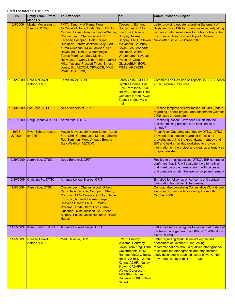| <b>Date</b>          | <b>Entity From/ Effort</b><br><b>Made By</b> | <b>To/Attendees</b>                                                                                                                                                                                                                                                                                                                                                                                                                                                                    | CC:                                                                                                                                                                                                                                                                                           | <b>Communication Subject</b>                                                                                                                                                                                                                                                     |
|----------------------|----------------------------------------------|----------------------------------------------------------------------------------------------------------------------------------------------------------------------------------------------------------------------------------------------------------------------------------------------------------------------------------------------------------------------------------------------------------------------------------------------------------------------------------------|-----------------------------------------------------------------------------------------------------------------------------------------------------------------------------------------------------------------------------------------------------------------------------------------------|----------------------------------------------------------------------------------------------------------------------------------------------------------------------------------------------------------------------------------------------------------------------------------|
| 10/8/2009            | Maziar Movassaghi,<br>Director, DTSC         | <b>FMIT: Timothy Williams, Nora</b><br>McDowell-Antone, Linda Otero; CRITs:<br>Michael Tsosie; Amanda Leivas-Sharpe;<br>Chemehuevi: Charles Wood, Ron<br>Escobar; Cocopah: Dale Phillips;<br>Hualapai: Loretta Jackson-Kelly; Fort<br>Yuma-Quechan: Mike Jackson, Sr.;<br>Havasupai: Don E. Watahomigie;<br><b>Torres-Martinez: Mary Maxine</b><br>Resvaloso; Twenty-Nine Palms: Darrell<br>Mike; Yavapai-Prescott Tribe: Ernest<br>Jones, Sr.; AECOM, CRWQCB, MWD,<br>PG&E, DOI, CRB, | Cocopah: Edmund<br>Domingues; CRITs:<br><b>Lisa Swick, Nancy</b><br>Shopay, Norman<br>Shopay; FMIT: Steven<br><b>McDonald, Courtney</b><br>Coyle, Leo Leonhart;<br>Hualapai: Wilfred<br>Whatoname; Yavapai-<br><b>Prescott: Greg</b><br>GlasscoBLM, BOR,<br><b>PG&amp;E, ARCADIS</b>          | Letter providing update regarding Statement of<br>Basis and Draft EIR for groundwater remedy along<br>with anticipated milestones for public notice of the<br>documents. Also provided Topock Review<br>Newsletter Issue 3 - October 2009                                        |
| 10/12/2009           | Nora McDowell-<br><b>Antone, FMIT</b>        | Karen Baker, DTSC                                                                                                                                                                                                                                                                                                                                                                                                                                                                      | Laura Yoshii, USEPA,<br><b>Cynthia Gomez, Cal</b><br>EPA, Pam Innis, DOI,<br><b>Native American Tribal</b><br><b>Contacts for the PG&amp;E</b><br>Topock project via e-<br>mail                                                                                                               | <b>Comments on Revision of Topock CMS/FS Section</b><br>2.2.6 (Cultural Resources)                                                                                                                                                                                               |
| 10/13/2009           | Lori Hare, DTSC                              | cc's of leaders of TLP                                                                                                                                                                                                                                                                                                                                                                                                                                                                 |                                                                                                                                                                                                                                                                                               | E-mailed template of letter mailed 10/8/09 (update<br>regarding Topock project) and attachment October<br>2009 Issue 3 newsletter                                                                                                                                                |
| 10/27/2009           | Doug Bonamici, CRIT                          | Aaron Yue, DTSC                                                                                                                                                                                                                                                                                                                                                                                                                                                                        |                                                                                                                                                                                                                                                                                               | E-mailed question: How does EIR fit into the<br>decision making process for a final choice of<br>remedy?                                                                                                                                                                         |
| $10/26 -$<br>27/2009 | <b>River Tribes, hosted</b><br>by CRIT       | Maziar Movassaghi, Karen Baker, Aaron<br>Yue, Chris Guerre, Jose Marcos, Shukla<br>Roy-Semmen, Mona Arteaga Bontty,<br><b>Stev Weidlich (AECOM)</b>                                                                                                                                                                                                                                                                                                                                    |                                                                                                                                                                                                                                                                                               | <b>Tribal River Gathering attended by DTSC. DTSC</b><br>provided presentation regarding process for<br>providing input into the groundwater remedy and<br>EIR and held an all day workshop to provide<br>information on the project and cleanup alternatives<br>for groundwater. |
| 10/29/2009           | Aaron Yue, DTSC                              | Doug Bonamici, CRIT                                                                                                                                                                                                                                                                                                                                                                                                                                                                    |                                                                                                                                                                                                                                                                                               | Replied to e-mail question: DTSC's EIR contractor<br>confirmed that EIR will evaluate the alternatives<br>that meet the project needs along with discussion<br>and comparison with the agency proposed remedy.                                                                   |
| 10/30/2009           | Christina Fu, DTSC                           | Amanda Leivas-Sharpe, CRIT                                                                                                                                                                                                                                                                                                                                                                                                                                                             |                                                                                                                                                                                                                                                                                               | E-mailed for follow-up on concerns and contact<br>information from River Tribe meeting.                                                                                                                                                                                          |
| 11/4/2009            | Aaron Yue, DTSC                              | Chemehuevi: Charles Wood, Gilbert<br>Parra, Ron Escobar; Cocopah: Sherry<br>Cordova, Jill McCormick; CRITs: Daniel<br>Eddy, Jr., Amanda Leivas-Sharpe,<br>Cheyene Garcia; FMIT: Timothy<br>Williams, Linda Otero; Fort Yuma-<br>Quechan: Mike Jackson, Sr., Arlene<br>Kingery, Pauline Jose; Hualapai: Dawn<br><b>Hubbs</b>                                                                                                                                                            |                                                                                                                                                                                                                                                                                               | <b>Compact disc containing Consultative Work Group</b><br>electronic correspondence during the month of<br>October 2009.                                                                                                                                                         |
| 11/5/2009            | Karen Baker, DTSC                            | Amanda Leivas-Sharpe, CRIT                                                                                                                                                                                                                                                                                                                                                                                                                                                             |                                                                                                                                                                                                                                                                                               | Left a message inviting her to give a brief update of<br>the River Tribe gathering on 10/26-27, 2009 at the<br>11/18/09 CWG.                                                                                                                                                     |
| 11/5/2009            | Nora McDowell-<br>Antone, FMIT               | Mark Calamia, BLM                                                                                                                                                                                                                                                                                                                                                                                                                                                                      | <b>FMIT: Timothy</b><br><b>Williams, Courtney</b><br>Coyle, Tom King; Tribal<br><b>Governments</b> ; BLM:<br>Ramone McCoy, Becky<br>Heick; AZ BLM: James<br>Kenna; ACHP: Nancy<br><b>Brown; CASHPO:</b><br><b>Wayne Donaldson;</b><br><b>AZSHPO: James</b><br>Garrison; PG&E: Dave<br>Gilbert | Letter regarding Mark Calamia's e-mail and<br>attachment of October 16 requesting<br>recommendations about a qualified ethnographer<br>to conduct the ethnographic and ethnohistoric<br>study described in attached scope of work. Nora<br>forwarded also by e-mail on 11/9/09.  |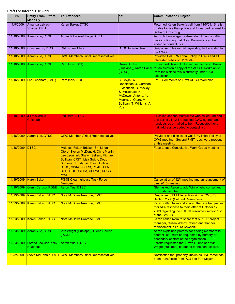| Date       | <b>Entity From/ Effort</b><br><b>Made By</b>       | <b>To/Attendees</b>                                                                                                                                                                                                                                                       | CC:                                                                                                                                                                   | <b>Communication Subject</b>                                                                                                                                                            |
|------------|----------------------------------------------------|---------------------------------------------------------------------------------------------------------------------------------------------------------------------------------------------------------------------------------------------------------------------------|-----------------------------------------------------------------------------------------------------------------------------------------------------------------------|-----------------------------------------------------------------------------------------------------------------------------------------------------------------------------------------|
| 11/9/2009  | Amanda Leivas-<br>Sharpe, CRIT                     | Karen Baker, DTSC                                                                                                                                                                                                                                                         |                                                                                                                                                                       | Returned Karen Baker's call from 11/5/09. She is<br>unable to give the update and forwarded request to<br>Richard Armstrong.                                                            |
| 11/10/2009 | Aaron Yue, DTSC                                    | Amanda Leivas-Sharpe, CRIT                                                                                                                                                                                                                                                |                                                                                                                                                                       | Aaron left message for Amanda. Amanda called<br>back confirming that Doug Bonamicci can be<br>added to contact lists.                                                                   |
| 11/10/2009 | Christina Fu, DTSC                                 | <b>CRITs Law Clerk</b>                                                                                                                                                                                                                                                    | <b>DTSC Internal Team</b>                                                                                                                                             | Response to his e-mail requesting he be added to<br>the CWG.                                                                                                                            |
| 11/10/2009 | Aaron Yue, DTSC                                    | <b>CWG Members/Tribal Representatives</b>                                                                                                                                                                                                                                 |                                                                                                                                                                       | Provided Cal EPA Tribal Policy to CWG and all<br>interested tribes on 11/10/09                                                                                                          |
| 11/16/2009 | Aaron Yue, DTSC                                    | Pam Innis (DOI)                                                                                                                                                                                                                                                           | Dawn Hubbs<br>(DTSC)                                                                                                                                                  | Forwarded Dawn Hubbs' request to Karen Baker<br>(Hualapai), Karen Baker for an electronic copy of the AOC 4 Workplan to<br>Pam Innis since this is currently under DOI<br>jurisdiction. |
| 11/16/2009 | Leo Leonhart (FMIT)                                | Pam Innis, DOI                                                                                                                                                                                                                                                            | C. Coyle, W.<br>Donaldson, J. Garrison,<br>L. Johnson, R. McCoy,<br>S. McDonald, N.<br>McDowell-Antone, Y.<br>Meeks, L. Otero, M.<br>Sullivan, T. Williams, A.<br>Yue | <b>FMIT Comments on Draft AOC 4 Workplan</b>                                                                                                                                            |
| 11/18/2009 | Jill McCormick,<br>Cocopah                         | Lori Hare, DTSC                                                                                                                                                                                                                                                           |                                                                                                                                                                       | Jill called Jeanne Matsumoto who called Lori and<br>Lori called Jill. Jill requested CWG agenda and                                                                                     |
|            |                                                    |                                                                                                                                                                                                                                                                           |                                                                                                                                                                       | handouts be e-mailed to her. Requested her e-<br>mail address be added to contact list.                                                                                                 |
| 11/18/2009 | Aaron Yue, DTSC                                    | <b>CWG Members/Tribal Representatives</b>                                                                                                                                                                                                                                 |                                                                                                                                                                       | Provided and discussed Cal EPA Tribal Policy at<br>CWG meeting. Several FMIT reps. were present<br>at this meeting.                                                                     |
| 11/18/2009 | <b>DTSC</b>                                        | Mojave: Felton Bricker, Sr., Linda<br>Otero, Steven McDonald, Chris Martin,<br>Leo Leonhart, Shawn Sellers, Michael<br>Sullivan; CRIT: Lisa Swick, Doug<br>Bonamici; Hualapai: Dawn Hubbs;<br>DTSC, SWRCB, CRB, PG&E, BLM,<br>BOR, DOI, USEPA, USFWS, USGS,<br><b>MWD</b> |                                                                                                                                                                       | Face-to face Consultative Work Group meeting                                                                                                                                            |
| 11/19/2009 | <b>Karen Baker</b>                                 | <b>PG&amp;E Clearinghouse Task Force</b><br><b>Members</b>                                                                                                                                                                                                                |                                                                                                                                                                       | Cancellation of 12/1 meeting and announcement of<br>Jan. 2010 meeting.                                                                                                                  |
| 11/19/2009 | Glenn Caruso, PG&E                                 | Aaron Yue, DTSC                                                                                                                                                                                                                                                           |                                                                                                                                                                       | Glen asked Aaron to add Win Wright, consultant<br>for Hualapai tribe.                                                                                                                   |
| 11/23/2009 | Karen Baker, DTSC                                  | Nora McDowell-Antone, FMIT                                                                                                                                                                                                                                                |                                                                                                                                                                       | Response to FMIT letter Revision of CMS/FS<br>Section 2.2.6 (Cultural Resources)                                                                                                        |
| 11/23/2009 | Karen Baker, DTSC                                  | Nora McDowell-Antone, FMIT                                                                                                                                                                                                                                                |                                                                                                                                                                       | Karen called Nora and shared that she had just e-<br>mailed a response to their letter of October 12,<br>2009 regarding the cultural resources section 2.2.6<br>of the CMS/FS.          |
| 11/23/2009 | Karen Baker, DTSC                                  | Nora McDowell-Antone, FMIT                                                                                                                                                                                                                                                |                                                                                                                                                                       | Karen called Nora to share that our EIR project<br>manager, Susan Wilcox, retired and that her<br>replacement is Laura Kaweski.                                                         |
| 11/23/2009 | Aaron Yue, DTSC                                    | Win Wright (Hualapai), Glenn Caruso<br>(PG&E)                                                                                                                                                                                                                             |                                                                                                                                                                       | Aaron explained protocol for adding members to<br>contact list - must be requested by primary or<br>secondary contact of the organization.                                              |
| 11/23/2009 | Loretta Jackson-Kelly, Aaron Yue, DTSC<br>Hualapai |                                                                                                                                                                                                                                                                           |                                                                                                                                                                       | Loretta requested that Dawn Hubbs and Win<br>Wright (Hualapai) be added to the contact lists.                                                                                           |
| 12/2/2009  |                                                    | Steve McDonald, FMIT CWG Members/Tribal Representatives                                                                                                                                                                                                                   |                                                                                                                                                                       | Notification that property known as IM3 Parcel has<br>been transferred from PG&E to Fort Mojave.                                                                                        |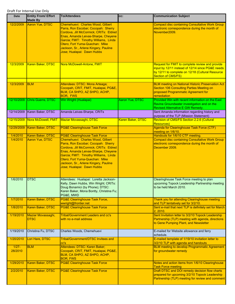| Date                | <b>Entity From/ Effort</b><br><b>Made By</b> | <b>To/Attendees</b>                                                                                                                                                                                                                                                                                         | CC:                    | <b>Communication Subject</b>                                                                                                                                                  |
|---------------------|----------------------------------------------|-------------------------------------------------------------------------------------------------------------------------------------------------------------------------------------------------------------------------------------------------------------------------------------------------------------|------------------------|-------------------------------------------------------------------------------------------------------------------------------------------------------------------------------|
| 12/2/2009           | Aaron Yue, DTSC                              | Chemehuevi: Charles Wood, Gilbert<br>Parra, Ron Escobar; Cocopah: Sherry<br>Cordova, Jill McCormick; CRITs: Eldred<br>Enas, Amanda Leivas-Sharpe, Cheyene<br>Garcia; FMIT: Timothy Williams, Linda<br>Otero; Fort Yuma-Quechan: Mike<br>Jackson, Sr., Arlene Kingery, Pauline<br>Jose; Hualapai: Dawn Hubbs |                        | <b>Compact disc containing Consultative Work Group</b><br>electronic correspondence during the month of<br>November2009.                                                      |
| 12/3/2009           | Karen Baker, DTSC                            | Nora McDowell-Antone, FMIT                                                                                                                                                                                                                                                                                  |                        | Request for FMIT to complete review and provide<br>input by 12/11 instead of 12/14 since PG&E needs<br>by 12/11 to complete on 12/18 (Cultural Resource<br>Section of CMS/FS) |
| 12/3/2009           | <b>BLM</b>                                   | Attendees: DTSC: Mona Arteaga;<br>Cocopah, CRIT, FMIT, Hualapai, PG&E,<br>BLM, CA SHPO, AZ SHPO, ACHP,<br><b>BOR, FWS</b>                                                                                                                                                                                   |                        | <b>BLM meeting on National Historic Preservation Act</b><br>Section 106 Consulting Parties Meeting on<br>proposed Programmatic Agreement for<br>remediation                   |
| 12/10/2009          | Chris Guerre, DTSC                           | Win Wright (Hualapai)                                                                                                                                                                                                                                                                                       | <b>Aaron Yue, DTSC</b> | Provided Win with recent information on the East<br>Ravine Groundwater investigation and on the<br>Revised Alternative E GW Remedy.                                           |
| 12/14/2009          | Karen Baker, DTSC                            | Amanda Leivas-Sharpe, CRITs                                                                                                                                                                                                                                                                                 |                        | Sent Amanda information regarding history and<br>purpose of the TLP (Mission Statement)                                                                                       |
| 12/15/2009          | Nora McDowell, FMIT                          | <b>Maziar Movassaghi, DTSC</b>                                                                                                                                                                                                                                                                              | Karen Baker, DTSC      | Revision of CMS/FS Section 2.2.6 (Cultural<br><b>Resources</b> )                                                                                                              |
| 12/29/2009          | Karen Baker, DTSC                            | <b>PG&amp;E Clearinghouse Task Force</b>                                                                                                                                                                                                                                                                    |                        | Agenda for Clearinghouse Task Force (CTF)<br>meeting on 1/6/10.                                                                                                               |
| 1/4/2010            | Karen Baker, DTSC                            | <b>PG&amp;E Clearinghouse Task Force</b>                                                                                                                                                                                                                                                                    |                        | Handouts for 1/6/10 CTF meeting.                                                                                                                                              |
| 1/4/2010            | Aaron Yue, DTSC                              | Chemehuevi: Charles Wood, Gilbert<br>Parra, Ron Escobar; Cocopah: Sherry<br>Cordova, Jill McCormick; CRITs: Eldred<br>Enas, Amanda Leivas-Sharpe, Cheyene<br>Garcia; FMIT: Timothy Williams, Linda<br>Otero: Fort Yuma-Quechan: Mike<br>Jackson, Sr., Arlene Kingery, Pauline<br>Jose; Hualapai: Dawn Hubbs |                        | <b>Compact disc containing Consultative Work Group</b><br>electronic correspondence during the month of<br>December 2009.                                                     |
| 1/6/2010            | <b>DTSC</b>                                  | Attendees: Hualapai: Loretta Jackson-<br>Kelly, Dawn Hubbs, Win Wright; CRITs:<br>Doug Bonamici (by Phone); DTSC:<br>Karen Baker, Mona Bontty, Christina Fu;<br>PG&E, MWD                                                                                                                                   |                        | Clearinghouse Task Force meeting to plan<br>upcoming Topock Leadership Partnership meeting<br>to be held March 2010.                                                          |
| 1/7/2010            | Karen Baker, DTSC                            | <b>PG&amp;E Clearinghouse Task Force,</b><br>wwright@frontier.net                                                                                                                                                                                                                                           |                        | Thank you for attending Clearinghouse meeting<br>and TLP tentatively set for 3/2/10.                                                                                          |
| 1/8/2010            | Karen Baker, DTSC                            | <b>PG&amp;E Clearinghouse Task Force</b>                                                                                                                                                                                                                                                                    |                        | Sent e-mail that next TLP is definitely set for March<br>2, 2010.                                                                                                             |
| 1/19/2010           | Maziar Movassaghi,<br>DTSC                   | <b>Tribal/Government Leaders and cc's</b><br>with no e-mail address                                                                                                                                                                                                                                         |                        | Sent Invitation letter to 3/2/10 Topock Leadership<br>Partnership (TLP) meeting with agenda, directions<br>to Gene Pumping Plant, and Newsletter                              |
| 1/19/2010           | Christina Fu, DTSC                           | Charles Woods, Chemehuevi                                                                                                                                                                                                                                                                                   |                        | E-mailed for Website allowance and ferry<br>schedule.                                                                                                                         |
| 1/20/2010           | Lori Hare, DTSC                              | <b>Tribal/Government/DTSC Invitees and</b><br>cc's                                                                                                                                                                                                                                                          |                        | E-mailed template of 1/19/10 invitation letter to<br>3/2/10 TLP with agenda and handouts                                                                                      |
| $1/27 -$<br>28/2010 | <b>BLM</b>                                   | Attendees: DTSC: Karen Baker;<br>Cocopah, CRIT, FMIT, Hualapai, PG&E,<br>BLM, CA SHPO, AZ SHPO, ACHP,<br><b>BOR, FWS</b>                                                                                                                                                                                    |                        | <b>BLM meeting to develop Programmatic Agreement</b><br>for groundwater remedy                                                                                                |
| 1/29/2010           | Karen Baker, DTSC                            | <b>PG&amp;E Clearinghouse Task Force</b>                                                                                                                                                                                                                                                                    |                        | Notes and action items from 1/6/10 Clearinghouse<br><b>Task Force meeting</b>                                                                                                 |
| 2/2/2010            | Karen Baker, DTSC                            | <b>PG&amp;E Clearinghouse Task Force</b>                                                                                                                                                                                                                                                                    |                        | Draft DTSC and DOI remedy decision flow charts<br>prepared for upcoming 3/2/10 Topock Leadership<br>Partnership (TLP) meeting for review and comment                          |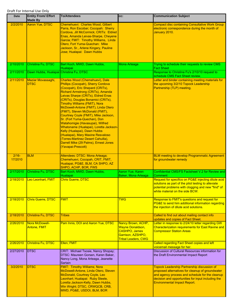| <b>Date</b>        | <b>Entity From/ Effort</b><br><b>Made By</b> | <b>To/Attendees</b>                                                                                                                                                                                                                                                                                                                                                                                                                                                                                                                                                                                                                                                          | CC:                                                                                                                      | <b>Communication Subject</b>                                                                                                                                                                                                                           |
|--------------------|----------------------------------------------|------------------------------------------------------------------------------------------------------------------------------------------------------------------------------------------------------------------------------------------------------------------------------------------------------------------------------------------------------------------------------------------------------------------------------------------------------------------------------------------------------------------------------------------------------------------------------------------------------------------------------------------------------------------------------|--------------------------------------------------------------------------------------------------------------------------|--------------------------------------------------------------------------------------------------------------------------------------------------------------------------------------------------------------------------------------------------------|
| 2/2/2010           | Aaron Yue, DTSC                              | Chemehuevi: Charles Wood, Gilbert<br>Parra, Ron Escobar; Cocopah: Sherry<br>Cordova, Jill McCormick; CRITs: Eldred<br>Enas, Amanda Leivas-Sharpe, Cheyene<br>Garcia; FMIT: Timothy Williams, Linda<br>Otero; Fort Yuma-Quechan: Mike<br>Jackson, Sr., Arlene Kingery, Pauline<br>Jose; Hualapai: Dawn Hubbs                                                                                                                                                                                                                                                                                                                                                                  |                                                                                                                          | <b>Compact disc containing Consultative Work Group</b><br>electronic correspondence during the month of<br>January 2010.                                                                                                                               |
| 2/10/2010          | Christina Fu, DTSC                           | Bart Koch, MWD, Dawn Hubbs,<br>Hualapai                                                                                                                                                                                                                                                                                                                                                                                                                                                                                                                                                                                                                                      | Mona Arteaga                                                                                                             | Trying to schedule their requests to review CMS<br><b>Fact Sheet</b>                                                                                                                                                                                   |
| 2/11/2010          | Dawn Hubbs, Hualapai                         | Christina Fu, DTSC                                                                                                                                                                                                                                                                                                                                                                                                                                                                                                                                                                                                                                                           |                                                                                                                          | Response to Christina Fu's 2/10/10 request to<br>schedule CMS Fact Sheet review.                                                                                                                                                                       |
| 2/11/2010          | Maziar Movassaghi,<br><b>DTSC</b>            | Charles Wood (Chemehuevi), Dale<br>Phillips (Cocopah), Sherry Cordova<br>(Cocopah), Eric Shepard (CRITs),<br>Richard Armstrong (CRITs), Amanda<br>Leivas Sharpe (CRITs), Eldred Enas<br>(CRITs), Douglas Bonamici (CRITs),<br><b>Timothy Williams (FMIT), Nora</b><br>McDowell-Antone (FMIT), Linda Otero<br>(FMIT), Steven McDonald (FMIT),<br>Courtney Coyle (FMIT), Mike Jackson,<br>Sr. (Fort Yuma-Quechan), Don<br>Watahomigie (Havasupai), Wilfred<br>Whatoname (Hualapai), Loretta Jackson-<br>Kelly (Hualapai), Dawn Hubbs<br>(Hualapai), Mary Maxine Resvaloso<br>(Torres-Martinez Desert Cahuilla),<br>Darrell Mike (29 Palms), Ernest Jones<br>(Yavapai-Prescott) |                                                                                                                          | Letter and binder containing meeting materials for<br>the upcoming 3/2/10 Topock Leadership<br>Partnership (TLP) meeting.                                                                                                                              |
| $2/16-$<br>17/2010 | <b>BLM</b>                                   | Attendees: DTSC: Mona Arteaga;<br>Chemehuevi, Cocopah, CRIT, FMIT,<br>Hualapai, PG&E, BLM, CA SHPO, AZ<br>SHPO, ACHP, BOR, FWS                                                                                                                                                                                                                                                                                                                                                                                                                                                                                                                                               |                                                                                                                          | <b>BLM meeting to develop Programmatic Agreement</b><br>for groundwater remedy                                                                                                                                                                         |
| 2/17/2010          | Christina Fu, DTSC                           | Bart Koch, MWD, Dawn Hubbs,<br>Hualapai                                                                                                                                                                                                                                                                                                                                                                                                                                                                                                                                                                                                                                      | Aaron Yue, Karen<br>Baker, Mona Arteaga                                                                                  | Confidential CMS/FS Factsheet V.2 for Review and<br>Comment                                                                                                                                                                                            |
| 2/18/2010          | Leo Leonhart, FMIT                           | <b>Chris Guerre, DTSC</b>                                                                                                                                                                                                                                                                                                                                                                                                                                                                                                                                                                                                                                                    |                                                                                                                          | Request for specifics on PG&E injecting dilute acid<br>solutions as part of the pilot testing to alleviate<br>potential problems with clogging and new "find" of<br>white material on the side BCW.                                                    |
| 2/18/2010          | <b>Chris Guerre, DTSC</b>                    | <b>FMIT</b>                                                                                                                                                                                                                                                                                                                                                                                                                                                                                                                                                                                                                                                                  | <b>TWG</b>                                                                                                               | Response to FMIT's questions and request for<br>PG&E to send him additional information regarding<br>the injection of dilute acid solutions.                                                                                                           |
| 2/18/2010          | Christina Fu, DTSC                           | <b>Tribes</b>                                                                                                                                                                                                                                                                                                                                                                                                                                                                                                                                                                                                                                                                |                                                                                                                          | Called to find out about mailing contact info<br>updates and copies of Fact Sheet.                                                                                                                                                                     |
| 2/26/2010          | Nora McDowell-<br><b>Antone, FMIT</b>        | Pam Innis, DOI and Aaron Yue, DTSC                                                                                                                                                                                                                                                                                                                                                                                                                                                                                                                                                                                                                                           | Nancy Brown, ACHP,<br><b>Wayne Donaldson,</b><br><b>CASHPO, James</b><br>Garrison, AZSHPO,<br><b>Tribal Leaders, CWG</b> | Letter in response to 2/24/10 letter regarding GW<br><b>Characterization requirements for East Ravine and</b><br><b>Compressor Station Areas</b>                                                                                                       |
| 2/26/2010          | Christina Fu, DTSC                           | Ellen, FMIT                                                                                                                                                                                                                                                                                                                                                                                                                                                                                                                                                                                                                                                                  |                                                                                                                          | <b>Called regarding Fact Sheet copies and left</b><br>voicemail message for her.                                                                                                                                                                       |
| 2/27/2010          | <b>DTSC</b>                                  | CRIT: Michael Tsosie, Nancy Shopay;<br>DTSC: Maureen Gorsen, Karen Baker,<br>Nancy Long, Mona Arteaga, Jeanette<br>Sartain                                                                                                                                                                                                                                                                                                                                                                                                                                                                                                                                                   |                                                                                                                          | Discussion of Cultural Resources information for<br>the Draft Environmental Impact Report                                                                                                                                                              |
| 3/2/2010           | <b>DTSC</b>                                  | <b>FMIT: Timothy Williams; Nora</b><br>McDowell-Antone, Linda Otero, Steven<br>McDonald, Courtney Coyle, Leo<br>Leonhart; Hualapai: Ruby Steele,<br>Loretta Jackson-Kelly, Dawn Hubbs,<br>Win Wright; DTSC, CRWQCB, CRB,<br>MWD, PG&E, USDOI, BLM, BOR                                                                                                                                                                                                                                                                                                                                                                                                                       |                                                                                                                          | <b>Topock Leadership Partnership discussion of</b><br>proposed alternatives for cleanup of groundwater<br>and agency process and schedule for the cleanup<br>decision and opportunities for input including the<br><b>Environmental Impact Report.</b> |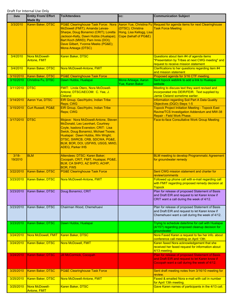| Date                   | <b>Entity From/ Effort</b><br><b>Made By</b> | <b>To/Attendees</b>                                                                                                                                                                                                                                                                            | CC:                                                                    | <b>Communication Subject</b>                                                                                                                         |
|------------------------|----------------------------------------------|------------------------------------------------------------------------------------------------------------------------------------------------------------------------------------------------------------------------------------------------------------------------------------------------|------------------------------------------------------------------------|------------------------------------------------------------------------------------------------------------------------------------------------------|
| 3/3/2010               | Karen Baker, DTSC                            | <b>PG&amp;E Clearinghouse Task Force: Nora</b><br>McDowell (FMIT); Amanda Leivas-<br>Sharpe, Doug Bonamici (CRIT); Loretta<br>Jackson-Kelly, Dawn Hubbs (Hualapai);<br>Bart Koch (MWD); Pam Innis (DOI);<br>Dave Gilbert, Yvonne Meeks (PG&E);<br>Mona Arteaga (DTSC)                          | (DTSC); Christina<br>Hong, Lisa Kellogg, Lisa<br>Cope (behalf of PG&E) | Aaron Yue, Christina Fu Request for agenda items for next Clearinghouse<br><b>Task Force Meeting</b>                                                 |
| 3/4/2010               | Nora McDowell-<br><b>Antone, FMIT</b>        | Karen Baker, DTSC                                                                                                                                                                                                                                                                              |                                                                        | Questions about item #4 of agenda items<br>"Presentation by Tribes at next CWG meeting" and<br>request to receive mission statement                  |
| 3/4/2010               | Karen Baker, DTSC                            | Nora McDowell-Antone, FMIT                                                                                                                                                                                                                                                                     |                                                                        | Clarifications to her questions regarding item #4<br>and mission statement                                                                           |
| 3/10/2010<br>3/10/2010 | Karen Baker, DTSC<br>Christina Fu, DTSC      | <b>PG&amp;E Clearinghouse Task Force</b><br>Dawn Hubbs, Hualapai                                                                                                                                                                                                                               | Mona Arteaga, Aaron<br>Yue, Karen Baker                                | Proposed agenda for 3/16 CTF meeting.<br>Sent topock weblink to add a link to Hualapai<br>website                                                    |
| 3/11/2010              | <b>DTSC</b>                                  | <b>FMIT: Linda Otero, Nora McDowell-</b><br>Antone; DTSC/AECOM: C. Yee, J.<br><b>Cleland</b>                                                                                                                                                                                                   |                                                                        | Meeting to discuss text they want revised and<br>incorporated into DEIR/FEIR. Text supplied by<br>Jamie Cleland sometime earlier.                    |
| 3/14/2010              | Aaron Yue, DTSC                              | EIR Group, Geo/Hydro, Indian Tribe<br>Reps; CWG                                                                                                                                                                                                                                                |                                                                        | Information regarding Soil Part A Data Quality<br>Objectives (DQO) Steps 1-5                                                                         |
| 3/15/2010              | Curt Russell, PG&E                           | EIR Group, Geo/Hydro, Indian Tribe<br>Reps; CWG                                                                                                                                                                                                                                                |                                                                        | <b>Topock Project Initiation Meeting - Topock East</b><br>Ravine/TCS Investigation Addendum and MW-38<br>Repair - Field Work Phase.                  |
| 3/17/2010              | <b>DTSC</b>                                  | Mojave: Nora McDowell-Antone, Steven<br>McDonald, Leo Leonhart, Courtney<br>Coyle, Isadora Evanston; CRIT: Lisa<br>Swick, Doug Bonamici, Michael Tsosie;<br>Hualapai: Dawn Hubbs, Win Wright;<br>DTSC, SWRCB, CRB, SDCWA, PG&E,<br>BLM, BOR, DOI, USFWS, USGS, MWD,<br><b>ADEQ, Parker IHS</b> |                                                                        | <b>Face-to-face Consultative Work Group Meeting</b>                                                                                                  |
| $3/18 -$<br>19/2010    | <b>BLM</b>                                   | Attendees: DTSC: Karen Baker;<br>Cocopah, CRIT, FMIT, Hualapai, PG&E,<br>BLM, CA SHPO, AZ SHPO, ACHP,<br><b>BOR. FWS</b>                                                                                                                                                                       |                                                                        | <b>BLM meeting to develop Programmatic Agreement</b><br>for groundwater remedy                                                                       |
| 3/22/2010              | Karen Baker, DTSC                            | <b>PG&amp;E Clearinghouse Task Force</b>                                                                                                                                                                                                                                                       |                                                                        | Sent CWG mission statement and charter for<br>review/comments                                                                                        |
| 3/23/2010              | <b>Karen Baker, DTSC</b>                     | Nora McDowell-Antone, FMIT                                                                                                                                                                                                                                                                     |                                                                        | Followed up phone call with e-mail regarding call<br>with FMIT regarding proposed remedy decision at<br><u>Topock</u>                                |
| 3/23/2010              | Karen Baker, DTSC                            | Doug Bonamici, CRIT                                                                                                                                                                                                                                                                            |                                                                        | Plan for release of proposed Statement of Basis<br>and Draft EIR and request to let Karen know if<br>CRIT want a call during the week of 4/12.       |
| 3/23/2010              | Karen Baker, DTSC                            | Chairman Wood, Chemehuevi                                                                                                                                                                                                                                                                      |                                                                        | Plan for release of proposed Statement of Basis<br>and Draft EIR and request to let Karen know if<br>Chemehuevi want a call during the week of 4/12. |
| 3/23/2010              | Karen Baker, DTSC                            | Dawn Hubbs, Hualapai                                                                                                                                                                                                                                                                           |                                                                        | Trying to schedule date/time for call with Hualapai<br>(4/15?) regarding proposed cleanup decision for<br>groundwater                                |
| 3/24/2010              | Nora McDowell, FMIT                          | Karen Baker, DTSC                                                                                                                                                                                                                                                                              |                                                                        | Nora Faxed Karen a request to fax her info. about<br>conference call meeting on April 13th                                                           |
| 3/24/2010              | <b>Karen Baker, DTSC</b>                     | Nora McDowell, FMIT                                                                                                                                                                                                                                                                            |                                                                        | Karen faxed Nora acknowledgement that she<br>received her faxed request for information about<br>4/13 meeting.                                       |
| 3/24/2010              | Karen Baker, DTSC                            | <b>Jill McCormick, Cocopah</b>                                                                                                                                                                                                                                                                 |                                                                        | Plan for release of proposed Statement of Basis<br>and Draft EIR and request to let Karen know if<br>Cocopah want a call during the week of 4/12.    |
| 3/25/2010              | Karen Baker, DTSC                            | <b>PG&amp;E Clearinghouse Task Force</b>                                                                                                                                                                                                                                                       |                                                                        | Sent draft meeting notes from 3/16/10 meeting for<br>review.                                                                                         |
| 3/25/2010              | Karen Baker, DTSC                            | Nora McDowell-Antone, FMIT                                                                                                                                                                                                                                                                     |                                                                        | Faxed & emailed Nora e-mail with call in number<br>for April 13th meeting.                                                                           |
| 3/25/2010              | Nora McDowell-<br>Antone, FMIT               | Karen Baker, DTSC                                                                                                                                                                                                                                                                              |                                                                        | Gave Karen names of participants in the 4/13 call.                                                                                                   |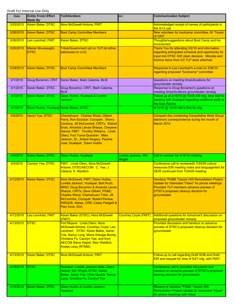| Date      | <b>Entity From/ Effort</b><br><b>Made By</b> | <b>To/Attendees</b>                                                                                                                                                                                                                                                                                         | CC:                            | <b>Communication Subject</b>                                                                                                                                                                                  |
|-----------|----------------------------------------------|-------------------------------------------------------------------------------------------------------------------------------------------------------------------------------------------------------------------------------------------------------------------------------------------------------------|--------------------------------|---------------------------------------------------------------------------------------------------------------------------------------------------------------------------------------------------------------|
| 3/25/2010 | <b>Karen Baker, DTSC</b>                     | Nora McDowell-Antone, FMIT                                                                                                                                                                                                                                                                                  |                                | Acknowledged receipt of names of participants in<br>the 4/13 call.                                                                                                                                            |
| 3/26/2010 | Karen Baker, DTSC                            | <b>Boot Camp Committee Members</b>                                                                                                                                                                                                                                                                          |                                | New volunteer for bootcamp committee, M. Tsosie<br>of CRIT                                                                                                                                                    |
| 3/26/2010 | Leo Leonhart, FMIT                           | Karen Baker, DTSC                                                                                                                                                                                                                                                                                           |                                | Thoughts/suggestions about Boot Camp and his<br>involvement                                                                                                                                                   |
| 3/26/2010 | Maziar Movassaghi,<br><b>DTSC</b>            | <b>Tribal/Government (all on TLP list either</b><br>addressed or cc'd)                                                                                                                                                                                                                                      |                                | Thank You for attending 3/2/10 and information<br>regarding anticipated schedule and opportunity for<br>input into DTSC GW clean decision. Minutes and<br>Actions items from 3/2 TLP were attached.           |
| 3/29/2010 | Karen Baker, DTSC                            | <b>Boot Camp Committee Members</b>                                                                                                                                                                                                                                                                          |                                | Response to Leo Leonhart's e-mail on 3/26/10<br>regarding proposed "bootcamp" committee                                                                                                                       |
| 4/1/2010  | Doug Bonamici, CRIT                          | Karen Baker, Mark Calamia, BLM                                                                                                                                                                                                                                                                              |                                | Questions on meeting times/locations for<br>groundwater remedy                                                                                                                                                |
| 4/1/2010  | Karen Baker, DTSC                            | Doug Bonamici, CRIT, Mark Calamia,<br><b>BLM</b>                                                                                                                                                                                                                                                            |                                | Response to Doug Bonamici's questions on<br>meeting times/locations groundwater remedy                                                                                                                        |
| 4/1/2010  | Karen Baker, DTSC                            | Dawn Hubbs, Hualapai & Loretta<br><b>Jackson</b>                                                                                                                                                                                                                                                            |                                | Follow up of 4/15/10 @ 10:00 AM mtg. time slot for<br>meeting with Hualapai regarding additional wells in<br>the East Ravine                                                                                  |
| 4/1/2010  | Dawn Hubbs, Hualapai Karen Baker, DTSC       |                                                                                                                                                                                                                                                                                                             |                                | 4/15/10 @ 10:00 AM is fine for mtg.                                                                                                                                                                           |
| 4/5/2010  | Aaron Yue, DTSC                              | Chemehuevi: Charles Wood, Gilbert<br>Parra, Ron Escobar; Cocopah: Sherry<br>Cordova, Jill McCormick; CRITs: Eldred<br>Enas, Amanda Leivas-Sharpe, Cheyene<br>Garcia; FMIT: Timothy Williams, Linda<br>Otero; Fort Yuma-Quechan: Mike<br>Jackson, Sr., Arlene Kingery, Pauline<br>Jose; Hualapai: Dawn Hubbs |                                | <b>Compact disc containing Consultative Work Group</b><br>electronic correspondence during the month of<br><b>March 2010.</b>                                                                                 |
| 4/5/2010  | Karen Baker, DTSC                            | Dawn Hubbs, Hualapai                                                                                                                                                                                                                                                                                        | Loretta Jackson, Win<br>Wright | Call in number for 4/15/10 meeting                                                                                                                                                                            |
| 4/5/2010  | <b>Carolyn Yee, DTSC</b>                     | <b>FMIT: Linda Otero, Nora McDowell-</b><br>Antone; DTSC/AECOM: C. Yee, J.<br>Cleland, S. Weidlich                                                                                                                                                                                                          |                                | Conference call to review/edit 7/24/09 culture<br>resources EIR meeting notes and language/text for<br>DEIR continued from 7/24/09 meeting.                                                                   |
| 4/12/2010 | Karen Baker, DTSC                            | Nora McDowell, FMIT; Dawn Hubbs,<br>Loretta Jackson, Hualapai; Bart Koch,<br><b>MWD; Doug Bonamici &amp; Amanda Leivas</b><br>Sharpe, CRITs; Dave Gilbert, PG&E<br>Charles Wood, Chemehuevi Tribe; Jill<br>McCormick, Cocopah; Robert Perdue,<br>RWQCB; Abbas, CRB; Casey Padgett &<br>Pam Innis, DOI;      |                                | <b>Handout "PG&amp;E Topock GW Remediation Project</b><br>Update for Interested Tribes" for phone meetings.<br>Provided TLP members advance preview of<br>DTSC's proposed cleanup decision for<br>groundwater |
| 4/12/2010 | Leo Leonhart, FMIT                           | Karen Baker (DTSC), Nora McDowell<br>(FMIT)                                                                                                                                                                                                                                                                 | <b>Courtney Coyle (FMIT)</b>   | Additional questions for tomorrow's discussion on<br>proposed groundwater remedy                                                                                                                              |
| 4/13/2010 | <b>DTSC</b>                                  | Fort Mojave: Linda Otero, Nora<br>McDowell-Antone, Courtney Coyle, Leo<br>Leonhart; DTSC: Karen Baker, Aaron<br>Yue, Nancy Long, Mona Arteaga Bontty,<br>Christina Fu, Carolyn Yee, and from<br><b>AECOM Steve Heipel, Stev Weidlich,</b><br><b>Andee Leisy (RTMM)</b>                                      |                                | Provided discussion and handout on advance<br>preview of DTSC's proposed cleanup decision for<br>groundwater                                                                                                  |
| 4/13/2010 | Karen Baker, DTSC                            | Nora McDowell-Antone, FMIT                                                                                                                                                                                                                                                                                  |                                | Follow-up to call regarding Draft SOB and Draft<br>EIR and request for time of 5/27 mtg. with FMIT.                                                                                                           |
| 4/15/2010 | <b>DTSC</b>                                  | Hualapai: Loretta Jackson-Kelly, Dawn<br>Hubbs, Win Wright; DTSC: Karen<br>Baker, Aaron Yue, Chris Guerre, Nancy<br>Long, Christina Fu, Carolyn Yee                                                                                                                                                         |                                | Conference call to provided discussion and<br>handout on advance preview of DTSC's proposed<br>cleanup decision for groundwater                                                                               |
| 4/15/2010 | Karen Baker, DTSC                            | Dawn Hubbs & Loretta Jackson,<br>Hualapai                                                                                                                                                                                                                                                                   |                                | Resend of Handout "PG&E Topock GW<br>Remediation Project Update for Interested Tribes"<br>for phone meetings with tribes                                                                                      |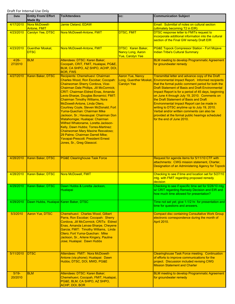| <b>Date</b>         | <b>Entity From/ Effort</b><br><b>Made By</b> | <b>To/Attendees</b>                                                                                                                                                                                                                                                                                                                                                                                                                                                                                                                                                                                                                                                                                    | CC:                                                                | <b>Communication Subject</b>                                                                                                                                                                                                                                                                                                                                                                                                                                                                                                                                                                                               |
|---------------------|----------------------------------------------|--------------------------------------------------------------------------------------------------------------------------------------------------------------------------------------------------------------------------------------------------------------------------------------------------------------------------------------------------------------------------------------------------------------------------------------------------------------------------------------------------------------------------------------------------------------------------------------------------------------------------------------------------------------------------------------------------------|--------------------------------------------------------------------|----------------------------------------------------------------------------------------------------------------------------------------------------------------------------------------------------------------------------------------------------------------------------------------------------------------------------------------------------------------------------------------------------------------------------------------------------------------------------------------------------------------------------------------------------------------------------------------------------------------------------|
| 4/17/2010           | Nora McDowell-                               | Jamie Cleland, EDAW                                                                                                                                                                                                                                                                                                                                                                                                                                                                                                                                                                                                                                                                                    |                                                                    | Email: Submittal of notes on cultural section                                                                                                                                                                                                                                                                                                                                                                                                                                                                                                                                                                              |
| 4/23/2010           | <b>Antone, FMIT</b><br>Carolyn Yee, DTSC     | Nora McDowell-Antone, FMIT                                                                                                                                                                                                                                                                                                                                                                                                                                                                                                                                                                                                                                                                             | <b>DTSC, FMIT</b>                                                  | (ultimately becoming T2 in EIR)<br>DTSC response letter to FMITs request to                                                                                                                                                                                                                                                                                                                                                                                                                                                                                                                                                |
|                     |                                              |                                                                                                                                                                                                                                                                                                                                                                                                                                                                                                                                                                                                                                                                                                        |                                                                    | incorporate additional information into the cultural<br>section of the Final GW remedy Draft EIR                                                                                                                                                                                                                                                                                                                                                                                                                                                                                                                           |
| 4/23/2010           | <b>Guenther Moskat,</b><br><b>DTSC</b>       | Nora McDowell-Antone, FMIT                                                                                                                                                                                                                                                                                                                                                                                                                                                                                                                                                                                                                                                                             | DTSC: Karen Baker,<br>Nancy Long, Aaron<br><b>Yue, Carolyn Yee</b> | <b>PG&amp;E Topock Compressor Station - Fort Mojave</b><br><b>Indian Tribe's Cultural Summary</b>                                                                                                                                                                                                                                                                                                                                                                                                                                                                                                                          |
| $4/26 -$<br>27/2010 | <b>BLM</b>                                   | Attendees: DTSC: Karen Baker;<br>Cocopah, CRIT, FMIT, Hualapai, PG&E,<br>BLM, CA SHPO, AZ SHPO, ACHP, DOI,<br><b>BOR, FWS</b>                                                                                                                                                                                                                                                                                                                                                                                                                                                                                                                                                                          |                                                                    | <b>BLM meeting to develop Programmatic Agreement</b><br>for groundwater remedy                                                                                                                                                                                                                                                                                                                                                                                                                                                                                                                                             |
| 4/27/2010           | Karen Baker, DTSC                            | Recipients: Chemehuevi: Chairman<br>Charles Wood, Ron Escobar; Cocopah:<br>Chairwoman Sherry Cordova, Vice-<br>Chairman Dale Phillips, Jill McCormick;<br><b>CRIT: Chairman Eldred Enas, Amanda</b><br>Levis-Sharpe, Douglas Bonamici; FMIT:<br><b>Chairman Timothy Williams, Nora</b><br>McDowell-Antone, Linda Otero,<br>Courtney Coyle, Steven McDonald; Fort<br>Yuma-Quechan: Chairman Mike<br>Jackson, Sr.; Havasupai: Chairman Don<br>Watahomigie; Hualapai: Chairman<br>Wilfred Whatoname, Loretta Jackson-<br>Kelly, Dawn Hubbs; Torres-Martinez:<br>Chairwoman Mary Maxine Resvaloso;<br>29 Palms: Chairman Darrell Mike;<br>Yavapai-Prescott: President Ernest<br>Jones, Sr., Greg Glasscol. | <b>Aaron Yue, Nancy</b><br><b>Carolyn Yee</b>                      | Transmittal letter and advance copy of the Draft<br>Long, Guenther Moskat, Environmental Impact Report. Informed recipients<br>that the formal public comment period for both the<br><b>Draft Statement of Basis and Draft Environmental</b><br>Impact Report is for a period of 45 days, beginning<br>on June 4 through July 19, 2010. Comments on<br>the Draft Statement of Basis and Draft<br>Environmental Impact Report can be made in<br>writing to DTSC anytime up to July 19, 2010.<br>Verbal and/or written comments can also be<br>provided at the formal public hearings scheduled<br>for the end of June 2010. |
| 4/28/2010           | Karen Baker, DTSC                            | <b>PG&amp;E Clearinghouse Task Force</b>                                                                                                                                                                                                                                                                                                                                                                                                                                                                                                                                                                                                                                                               |                                                                    | Request for agenda items for 5/11/10 CTF with<br>attachments: CWG mission statement, Charter,<br>Designation of an Administering Agency for Topock                                                                                                                                                                                                                                                                                                                                                                                                                                                                         |
| 4/28/2010           | Karen Baker, DTSC                            | Nora McDowell, FMIT                                                                                                                                                                                                                                                                                                                                                                                                                                                                                                                                                                                                                                                                                    |                                                                    | Checking to see if time and location set for 5/27/10<br>mtg. with FMIT regarding proposed remedy<br>decision                                                                                                                                                                                                                                                                                                                                                                                                                                                                                                               |
|                     | 4/29/2010   Karen Baker, DTSC                | Dawn Hubbs & Loretta Jackson,<br><b>Hualapai</b>                                                                                                                                                                                                                                                                                                                                                                                                                                                                                                                                                                                                                                                       |                                                                    | Checking to see if specific time set for 5/28/10 mtg<br>w/ CRIT regarding Remedy Decision and EIR and<br>how much time allowed for presentation?                                                                                                                                                                                                                                                                                                                                                                                                                                                                           |
| 4/29/2010           | Dawn Hubbs, Hualapai Karen Baker, DTSC       |                                                                                                                                                                                                                                                                                                                                                                                                                                                                                                                                                                                                                                                                                                        |                                                                    | Time not set yet; give 1-1/2 hr. for presentation and<br>time for questions and answers.                                                                                                                                                                                                                                                                                                                                                                                                                                                                                                                                   |
| 5/3/2010            | Aaron Yue, DTSC                              | Chemehuevi: Charles Wood, Gilbert<br>Parra, Ron Escobar; Cocopah: Sherry<br>Cordova, Jill McCormick; CRITs: Eldred<br>Enas, Amanda Leivas-Sharpe, Cheyene<br>Garcia; FMIT: Timothy Williams, Linda<br>Otero; Fort Yuma-Quechan: Mike<br>Jackson, Sr., Arlene Kingery, Pauline<br>Jose; Hualapai: Dawn Hubbs                                                                                                                                                                                                                                                                                                                                                                                            |                                                                    | <b>Compact disc containing Consultative Work Group</b><br>electronic correspondence during the month of<br>April 2010.                                                                                                                                                                                                                                                                                                                                                                                                                                                                                                     |
| 5/11/2010           | <b>DTSC</b>                                  | Attendees: FMIT: Nora McDowell-<br>Antone (via phone); Hualapai: Dawn<br>Hubbs; DTSC, DOI, MWD, PG&E                                                                                                                                                                                                                                                                                                                                                                                                                                                                                                                                                                                                   |                                                                    | <b>Clearinghouse Task Force meeting. Continuation</b><br>of efforts to improve communications for the<br>project. Discussion included revising CWG<br><b>Mission Statement and Charter</b>                                                                                                                                                                                                                                                                                                                                                                                                                                 |
| $5/19-$<br>20/2010  | <b>BLM</b>                                   | Attendees: DTSC: Karen Baker;<br>Chemehuevi, Cocopah, FMIT, Hualapai,<br>PG&E, BLM, CA SHPO, AZ SHPO,<br>ACHP, DOI, BOR                                                                                                                                                                                                                                                                                                                                                                                                                                                                                                                                                                                |                                                                    | <b>BLM meeting to develop Programmatic Agreement</b><br>for groundwater remedy                                                                                                                                                                                                                                                                                                                                                                                                                                                                                                                                             |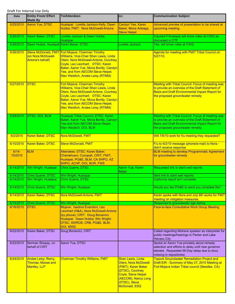| Date                   | <b>Entity From/ Effort</b><br><b>Made By</b>            | <b>To/Attendees</b>                                                                                                                                                                                                                                                                                  | CC:                                                                                                                                                                         | <b>Communication Subject</b>                                                                                                                                                                              |
|------------------------|---------------------------------------------------------|------------------------------------------------------------------------------------------------------------------------------------------------------------------------------------------------------------------------------------------------------------------------------------------------------|-----------------------------------------------------------------------------------------------------------------------------------------------------------------------------|-----------------------------------------------------------------------------------------------------------------------------------------------------------------------------------------------------------|
| 5/25/2010              | Aaron Yue, DTSC                                         | Hualapai: Loretta Jackson-Kelly, Dawn<br>Hubbs; FMIT: Nora McDowell-Antone                                                                                                                                                                                                                           | Carolyn Yee, Karen<br>Baker, Mona Arteaga,<br><b>Steve Heipel</b>                                                                                                           | Advanced preview of presentation to be shared at<br>upcoming meeting.                                                                                                                                     |
| 5/26/2010              | Karen Baker, DTSC                                       | Loretta Jackson & Dawn Hubbs,<br><b>Hualapai</b>                                                                                                                                                                                                                                                     |                                                                                                                                                                             | Inquired if Hualapai will show video at CWG as<br>discussed in CTF                                                                                                                                        |
| 5/26/2010              | Dawn Hubbs, Hualapai                                    | Karen Baker, DTSC                                                                                                                                                                                                                                                                                    | Loretta Jackson                                                                                                                                                             | Yes, will show video at CWG                                                                                                                                                                               |
| 5/26/2010              | (on Nora McDowell-<br>Antone's behalf)                  | Steve McDonald, FMIT Fort Mojave: Chairman Timothy<br>Williams, Vice-Chair Shan Lewis, Linda<br>Otero, Nora McDowell-Antone, Courtney<br>Coyle, Leo Leonhart; DTSC: Karen<br>Baker, Aaron Yue, Mona Bontty, Carolyn<br>Yee, and from AECOM Steve Heipel,<br><b>Stev Weidlich, Andee Leisy (RTMM)</b> |                                                                                                                                                                             | Agenda for meeting with FMIT Tribal Council on<br>5/27/10.                                                                                                                                                |
| 5/27/2010              | <b>DTSC</b>                                             | Fort Mojave: Chairman Timothy<br>Williams, Vice-Chair Shan Lewis, Linda<br>Otero, Nora McDowell-Antone, Courtney<br>Coyle, Leo Leonhart; DTSC: Karen<br>Baker, Aaron Yue, Mona Bontty, Carolyn<br>Yee, and from AECOM Steve Heipel,<br><b>Stev Weidlich, Andee Leisy (RTMM)</b>                      |                                                                                                                                                                             | <b>Meeting with Tribal Council: Focus of meeting was</b><br>to provide an overview of the Draft Statement of<br><b>Basis and Draft Environmental Impact Report for</b><br>the proposed groundwater remedy |
| 5/28/2010              | DTSC, DOI, BLM                                          | Hualapai Tribal Council; DTSC: Karen<br>Baker, Aaron Yue, Mona Bontty, Carolyn<br>Yee and from AECOM Steve Heipel,<br>Stev Weidlich, DOI, BLM                                                                                                                                                        |                                                                                                                                                                             | Meeting with Tribal Council: Focus of meeting was<br>to provide an overview of the Draft Statement of<br>Basis and Draft Environmental Impact Report for<br>the proposed groundwater remedy               |
| 6/2/2010               | Karen Baker, DTSC                                       | Nora McDowell, FMIT                                                                                                                                                                                                                                                                                  |                                                                                                                                                                             | Will 7/6/10 work for f/u meeting they requested?                                                                                                                                                          |
| 6/10/2010              | Karen Baker, DTSC                                       | <b>Steve McDonald, FMIT</b>                                                                                                                                                                                                                                                                          |                                                                                                                                                                             | F/u to 6/2/10 message (phone/e-mail) to Nora -<br>didn't receive response                                                                                                                                 |
| $6/14-$<br>15/2010     | <b>BLM</b>                                              | Attendees: DTSC: Karen Baker;<br>Chemehuevi, Cocopah, CRIT, FMIT,<br>Hualapai, PG&E, BLM, CA SHPO, AZ<br>SHPO, ACHP, DOI, BOR, FWS                                                                                                                                                                   |                                                                                                                                                                             | <b>BLM meeting to develop Programmatic Agreement</b><br>for groundwater remedy                                                                                                                            |
| 6/14/2010              | Win Wright, Hualapai                                    | <b>Chris Guerre, DTSC</b>                                                                                                                                                                                                                                                                            | Aaron Yue, Karen<br><b>Baker</b>                                                                                                                                            | Requested link to slant well reports                                                                                                                                                                      |
| 6/14/2010<br>6/14/2010 | Chris Guerre, DTSC<br>Win Wright, Hualapai              | Win Wright, Hualapai<br><b>Chris Guerre, DTSC</b>                                                                                                                                                                                                                                                    |                                                                                                                                                                             | Sent link to slant well reports<br>California report isn't complete                                                                                                                                       |
|                        |                                                         |                                                                                                                                                                                                                                                                                                      |                                                                                                                                                                             |                                                                                                                                                                                                           |
| 6/14/2010              | <b>Chris Guerre, DTSC</b>                               | Win Wright, Hualapai                                                                                                                                                                                                                                                                                 |                                                                                                                                                                             | Would you like PG&E to send you complete file?                                                                                                                                                            |
| 6/14/2010              | Karen Baker, DTSC                                       | Nora McDowell-Antone, FMIT                                                                                                                                                                                                                                                                           |                                                                                                                                                                             | Karen spoke with Nora and July 6th works for FMIT<br>meeting on mitigation measures.                                                                                                                      |
| 6/15/2010              | <b>Chris Guerre, DTSC</b>                               | Win Wright, Hualapai                                                                                                                                                                                                                                                                                 |                                                                                                                                                                             | Response to groundwater age dating                                                                                                                                                                        |
| 6/16/2010              | <b>DTSC</b>                                             | Mojave: Isadora Evanston, Leo<br>Leonhart (H&A), Nora McDowell-Antone<br>(by phone); CRIT: Doug Bonamici;<br>Hualapai: Dawn Hubbs, Win Wright;<br>DTSC, SWRCB, CRB, PG&E, BLM,<br>DOI, MWD                                                                                                           |                                                                                                                                                                             | <b>Face-to-face Consultative Work Group Meeting</b>                                                                                                                                                       |
| 6/22/2010              | Karen Baker, DTSC                                       | Doug Bonamici, CRIT                                                                                                                                                                                                                                                                                  |                                                                                                                                                                             | Called regarding Mohave speaker as interpreter for<br>public meetings/hearings in Parker and Lake<br><b>Havasu City</b>                                                                                   |
| 6/22/2010              | Norman Shopay, on<br>behalf of CRIT                     | Aaron Yue, DTSC                                                                                                                                                                                                                                                                                      |                                                                                                                                                                             | Spoke w/ Aaron Yue privately about remedy<br>selection and efforts to delay until new governor<br>elected. Requested 90-Day delay due to docs<br>missing in repositories                                  |
| 6/24/2010              | Andee Leisy; Remy,<br>Thomas, Moose and<br>Manlley, LLP | <b>Chairman Timothy Williams, FMIT</b>                                                                                                                                                                                                                                                               | <b>Shan Lewis, Linda</b><br>Otero, Nora McDowell<br>(FMIT), Karen Baker<br>(DTSC), Courtney<br>Coyle, Steve Heipel<br>(AECOM), Nancy Long<br>(DTSC), Steve<br>McDonald, ESQ | <b>Topock Groundwater Remediation Project and</b><br>Draft EIR - Summary of May 27, 2010 Meeting at<br>Fort Mojave Indian Tribal council (Needles, CA)                                                    |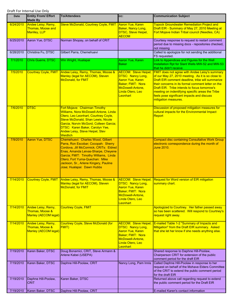| <b>Date</b> | <b>Entity From/ Effort</b><br><b>Made By</b>                         | <b>To/Attendees</b>                                                                                                                                                                                                                                                                                         | CC:                                                                                                                                                         | <b>Communication Subject</b>                                                                                                                                                                                                                                                                                                                                                                   |
|-------------|----------------------------------------------------------------------|-------------------------------------------------------------------------------------------------------------------------------------------------------------------------------------------------------------------------------------------------------------------------------------------------------------|-------------------------------------------------------------------------------------------------------------------------------------------------------------|------------------------------------------------------------------------------------------------------------------------------------------------------------------------------------------------------------------------------------------------------------------------------------------------------------------------------------------------------------------------------------------------|
| 6/24/2010   | Andee Leisy; Remy,<br>Thomas, Moose and<br>Manlley, LLP              | Steve McDonald, Courtney Coyle, FMIT                                                                                                                                                                                                                                                                        | <b>Aaron Yue, Karen</b><br>Baker, Nancy Long,<br>DTSC, Steve Heipel,<br><b>AECOM</b>                                                                        | <b>Topock Groundwater Remediation Project and</b><br>Draft EIR - Summary of May 27, 2010 Meeting at<br>Fort Mojave Indian Tribal council (Needles, CA)                                                                                                                                                                                                                                         |
| 6/25/2010   | Aaron Yue, DTSC                                                      | Norman Shopay, on behalf of CRIT                                                                                                                                                                                                                                                                            |                                                                                                                                                             | Courtesy response to request to restart comment<br>period due to missing docs - repositories checked,<br>not missing                                                                                                                                                                                                                                                                           |
| 6/28/2010   | Christina Fu, DTSC                                                   | Gilbert Parra, Chemehuevi                                                                                                                                                                                                                                                                                   |                                                                                                                                                             | Called to apologize for not sending the additional<br>FS requested.                                                                                                                                                                                                                                                                                                                            |
| 7/1/2010    | Chris Guerre, DTSC                                                   | Win Wright, Hualapai                                                                                                                                                                                                                                                                                        | Aaron Yue, Karen<br><b>Baker</b>                                                                                                                            | Link to Appendices and Figures for the Well<br>Installation Rpt for Slant Wells MW-52 and MW-53<br>that he didn't receive                                                                                                                                                                                                                                                                      |
| 7/5/2010    | <b>Courtney Coyle, FMIT</b>                                          | Andee Leisy, Remy, Thomas, Moose &<br>Manley (legal for AECOM), Steven<br><b>McDonald, for FMIT</b>                                                                                                                                                                                                         | <b>AECOM: Steve Heipel;</b><br><b>DTSC: Nancy Long,</b><br>Aaron Yue, Karen<br>Baker; FMIT: Nora<br>McDowell-Antone,<br>Linda Otero, Leo<br><b>Leonhart</b> | <b>FMIT does not agree with Andee Leisy's summary</b><br>of our May 27, 2010 meeting. As it is so close to<br>Draft EIR comment deadline, tribe will summarize<br>their concerns in its formal comment letter on the<br>Draft EIR. Tribe intends to focus tomorrow's<br>meeting on indentifying specific areas the Tribe<br>feels pose significant impacts and discuss<br>mitigation measures. |
| 7/6/2010    | <b>DTSC</b>                                                          | Fort Mojave: Chairman Timothy<br>Williams, Nora McDowell-Antone, Linda<br>Otero, Leo Leonhart, Courtney Coyle,<br>Steve McDonald, Shan Lewis, Nicole<br>Garcia, Norvin McGord, Colleen Garcia;<br>DTSC: Karen Baker, Carolyn Yee,<br>Andee Leisy, Steve Heipel, Stev<br><b>Weidlich</b>                     |                                                                                                                                                             | Discussion of proposed mitigation measures for<br>cultural impacts for the Environmental Impact<br>Report                                                                                                                                                                                                                                                                                      |
| 7/9/2010    | <b>Aaron Yue, DTSC</b>                                               | Chemehuevi: Charles Wood, Gilbert<br>Parra, Ron Escobar; Cocopah: Sherry<br>Cordova, Jill McCormick; CRITs: Eldred<br>Enas, Amanda Leivas-Sharpe, Cheyene<br>Garcia; FMIT: Timothy Williams, Linda<br>Otero; Fort Yuma-Quechan: Mike<br>Jackson, Sr., Arlene Kingery, Pauline<br>Jose; Hualapai: Dawn Hubbs |                                                                                                                                                             | <b>Compact disc containing Consultative Work Group</b><br>electronic correspondence during the month of<br>June 2010.                                                                                                                                                                                                                                                                          |
| 7/14/2010   | <b>Courtney Coyle, FMIT</b>                                          | Andee Leisy, Remy, Thomas, Moose &<br>Manley (legal for AECOM), Steven<br><b>McDonald, for FMIT</b>                                                                                                                                                                                                         | <b>DTSC: Nancy Long,</b><br><u> Aaron Yue, Karen</u><br>Baker; FMIT: Nora<br>McDowell-Antone,<br>Linda Otero, Leo<br>Leonhart                               | <b>AECOM: Steve Heipel; Request for Word version of EIR mitigation</b><br>summary chart.                                                                                                                                                                                                                                                                                                       |
| 7/14/2010   | Andee Leisy, Remy,<br>Thomas, Moose &<br><b>Manley (AECOM legal)</b> | <b>Courtney Coyle, FMIT</b>                                                                                                                                                                                                                                                                                 |                                                                                                                                                             | Apologized to Courtney. Her father passed away<br>so has been scattered. Will respond to Courtney's<br>request right away.                                                                                                                                                                                                                                                                     |
| 7/14/2010   | Andee Leisy, Remy,<br>Thomas, Moose &<br><b>Manley (AECOM legal)</b> | <b>Courtney Coyle, Steve McDonald (for</b><br><b>FMIT)</b>                                                                                                                                                                                                                                                  | <b>AECOM: Steve Heipel;</b><br><b>DTSC: Nancy Long,</b><br>Aaron Yue, Karen<br>Baker; FMIT: Nora<br>McDowell-Antone,<br>Linda Otero, Leo<br>Leonhart        | E-mailed Table 1-2 "Summary of Impacts and<br>Mitigation" from the Draft EIR summary. Asked<br>that she let her know if she needs anything else.                                                                                                                                                                                                                                               |
| 7/19/2010   | Karen Baker, DTSC                                                    | Doug Bonamici, CRIT, Steve Armann &<br>Arlene Kabei (USEPA)                                                                                                                                                                                                                                                 |                                                                                                                                                             | Shared response to Daphne Hill-Poolaw,<br>Chairperson CRIT for extension of the public<br>comment period for the draft EIR                                                                                                                                                                                                                                                                     |
| 7/19/2010   | Karen Baker, DTSC                                                    | Daphne Hill-Poolaw, CRIT                                                                                                                                                                                                                                                                                    | Nancy Long, Pam Innis                                                                                                                                       | Called Daphne Hill-Poolaw in response to her<br>request on behalf of the Mohave Elders Committee<br>of the CRIT to extend the public comment period<br>for the draft EIR                                                                                                                                                                                                                       |
| 7/19/2010   | Daphne Hill-Poolaw,<br><b>CRIT</b>                                   | Karen Baker, DTSC                                                                                                                                                                                                                                                                                           |                                                                                                                                                             | Returned above call regarding request to extend<br>the public comment period for the Draft EIR                                                                                                                                                                                                                                                                                                 |
| 7/19/2010   | Karen Baker, DTSC                                                    | Daphne Hill-Poolaw, CRIT                                                                                                                                                                                                                                                                                    |                                                                                                                                                             | E-mailed Karen's contact information                                                                                                                                                                                                                                                                                                                                                           |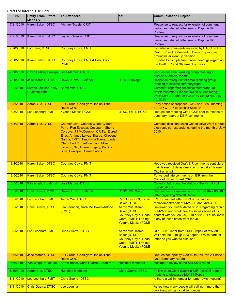| Date      | <b>Entity From/ Effort</b><br><b>Made By</b> | <b>To/Attendees</b>                                                                                                                                                                                                                                                                                         | CC:                                                                                                                         | <b>Communication Subject</b>                                                                                                                                                                      |
|-----------|----------------------------------------------|-------------------------------------------------------------------------------------------------------------------------------------------------------------------------------------------------------------------------------------------------------------------------------------------------------------|-----------------------------------------------------------------------------------------------------------------------------|---------------------------------------------------------------------------------------------------------------------------------------------------------------------------------------------------|
| 7/21/2010 | Karen Baker, DTSC                            | Michael Tsosie, CRIT                                                                                                                                                                                                                                                                                        |                                                                                                                             | Response to request for extension of comment<br>period and shared letter sent to Daphne Hill<br>Poolaw                                                                                            |
| 7/21/2010 | Karen Baker, DTSC                            | Jayde Johnson, CRIT                                                                                                                                                                                                                                                                                         |                                                                                                                             | Response to request for extension of comment<br>period and shared letter sent to Daphne Hill                                                                                                      |
|           |                                              |                                                                                                                                                                                                                                                                                                             |                                                                                                                             | Poolaw<br>E-mailed all comments received by DTSC on the                                                                                                                                           |
| 7/28/2010 | Lori Hare, DTSC                              | <b>Courtney Coyle, FMIT</b>                                                                                                                                                                                                                                                                                 |                                                                                                                             | Draft EIR and Statement of Basis for proposed<br>groundwater cleanup decision.                                                                                                                    |
| 7/30/2010 | Karen Baker, DTSC                            | Courtney Coyle, FMIT & Bob Doss,<br>PG&E                                                                                                                                                                                                                                                                    |                                                                                                                             | Emailed transcripts from public hearings regarding<br>the Draft EIR and Statement of Basis                                                                                                        |
| 7/30/2010 | Dawn Hubbs, Hualapai Jose Marcos, DTSC       |                                                                                                                                                                                                                                                                                                             |                                                                                                                             | Request for small working group meeting to<br>discuss summary report                                                                                                                              |
| 7/30/2010 | Jose Marcos, DTSC                            | Dawn Hubbs, Hualapai                                                                                                                                                                                                                                                                                        | DTSC, Hualapai                                                                                                              | Response to request for small working group<br>meeting to discuss summary report                                                                                                                  |
| 8/2/2010  | Loretta Jackson-Kelly,<br>Hualapai Tribe     | Aaron Yue, DTSC                                                                                                                                                                                                                                                                                             |                                                                                                                             | Comment regarding technical memorandum<br>"Implementation Plan for Repair of Monitoring<br>Wells MW-38S and MW-38D" by CH2M Hill, July<br>19, 2010                                                |
| 8/3/2010  | Aaron Yue, DTSC                              | EIR Group, Geo/Hydro, Indian Tribe<br>Reps; CWG                                                                                                                                                                                                                                                             |                                                                                                                             | Early notice of proposed CWG and TWG meeting<br>on 10/6 & 10/7 to discuss Soils RFI                                                                                                               |
| 8/3/2010  | Leo Leonhart, FMIT                           | <b>Yvonne Meeks PG&amp;E</b>                                                                                                                                                                                                                                                                                | <b>DTSC, FMIT, PG&amp;E</b>                                                                                                 | Request for meeting with PG&E prior to release of<br>summary report of DEIR comments                                                                                                              |
| 8/3/2010  | Aaron Yue, DTSC                              | Chemehuevi: Charles Wood, Gilbert<br>Parra, Ron Escobar; Cocopah: Sherry<br>Cordova, Jill McCormick; CRITs: Eldred<br>Enas, Amanda Leivas-Sharpe, Cheyene<br>Garcia; FMIT: Timothy Williams, Linda<br>Otero; Fort Yuma-Quechan: Mike<br>Jackson, Sr., Arlene Kingery, Pauline<br>Jose; Hualapai: Dawn Hubbs |                                                                                                                             | <b>Compact disc containing Consultative Work Group</b><br>electronic correspondence during the month of July<br>2010.                                                                             |
| 8/4/2010  | Karen Baker, DTSC                            | <b>Courtney Coyle, FMIT</b>                                                                                                                                                                                                                                                                                 |                                                                                                                             | Hope you received Draft EIR comments sent via e-<br>mail, transcript delay due to error in Lake Havasu<br><b>City transcript</b>                                                                  |
| 8/5/2010  | <b>Karen Baker, DTSC</b>                     | <b>Courtney Coyle, FMIT</b>                                                                                                                                                                                                                                                                                 |                                                                                                                             | Forwarded late comments on EIR from the<br><b>Colorado River Board (CRB)</b>                                                                                                                      |
| 8/5/2010  | Win Wright, Hualapai                         | Jose Marcos, DTSC                                                                                                                                                                                                                                                                                           |                                                                                                                             | Called to talk about the status of the Part A soil<br>investigations.                                                                                                                             |
| 8/5/2010  | Chris Guerre, DTSC                           | Dawn Hubbs, Hualapai                                                                                                                                                                                                                                                                                        | <b>DTSC, Win Wright</b>                                                                                                     | Request for phone meeting to discuss their 8/2/10<br>letter regarding MW-38 Repair                                                                                                                |
| 8/5/2010  | Leo Leonhart, FMIT                           | <b>Aaron Yue, DTSC</b>                                                                                                                                                                                                                                                                                      | Pam Innis, DOI, Karen<br><b>Baker, DTSC</b>                                                                                 | <b>FMIT comment letter on PG&amp;E's plan for</b><br>replacement/repair of MW-38S and MW-38D.                                                                                                     |
| 8/5/2010  | <b>Chris Guerre, DTSC</b>                    | Leo Leonhart, Nora McDowell-Antone<br>(FMIT)                                                                                                                                                                                                                                                                | Aaron Yue, Karen<br>Baker (DTSC);<br><b>Courtney Coyle, Linda</b><br>Otero (FMIT); TFKing;<br><b>Yvonne Meeks (PG&amp;E</b> | Reviewed your letter dated 8/5/10 regarding repair<br>of MW-38 and would like to discuss some of its<br>content with you on 8/9, 8/10 or 8/12. Let us know<br>if any of these times work for you. |
| 8/5/2010  | Leo Leonhart, FMIT                           | <b>Chris Guerre, DTSC</b>                                                                                                                                                                                                                                                                                   | Aaron Yue, Karen<br>Baker (DTSC);<br><b>Courtney Coyle, Linda</b><br>Otero (FMIT); TFKing;<br><b>Yvonne Meeks (PG&amp;E</b> | RE: 8/5/10 letter from FMIT - repair of MW-38.<br>Will hold the 12th @ 10:30 open. Which parts of<br>letter do you want to discuss?                                                               |
| 8/6/2010  | <b>Jose Marcos, DTSC</b>                     | EIR Group, Geo/Hydro, Indian Tribe<br>Reps; CWG                                                                                                                                                                                                                                                             |                                                                                                                             | Request for input by 7/30/10 to Soil Part A Phase 1<br><b>Data Summary Report</b>                                                                                                                 |
| 8/6/2010  | Win Wright, Hualapai                         | Karen Baker, Chris Guerre, Aaron Yue                                                                                                                                                                                                                                                                        | Hualapai members                                                                                                            | Hualapai's review of the Soil DQO report                                                                                                                                                          |
| 8/10/2010 | Aaron Yue, DTSC                              | Hualapai Members                                                                                                                                                                                                                                                                                            | Chris Guerre, DTSC                                                                                                          | Follow-up to Chris Guerre's 8/5/10 e-mail request<br>meeting to discussed MW-38 Repair                                                                                                            |
| 8/11/2010 | Leo Leonhart, FMIT                           | <b>Chris Guerre, DTSC</b>                                                                                                                                                                                                                                                                                   |                                                                                                                             | Is there a call in number for tomorrow's meeting?                                                                                                                                                 |
| 8/11/2010 | <b>Chris Guerre, DTSC</b>                    | Leo Leonhart                                                                                                                                                                                                                                                                                                |                                                                                                                             | Asked how many people will call in. If more than<br>two lines, will get a call in number.                                                                                                         |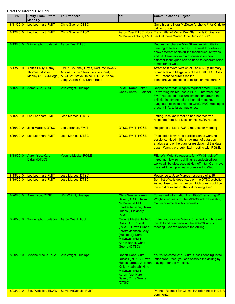| Date      | <b>Entity From/ Effort</b><br><b>Made By</b> | <b>To/Attendees</b>                                                                                                                                                        | CC:                                                                                                                                                                              | <b>Communication Subject</b>                                                                                                                                                                                                                                                                    |
|-----------|----------------------------------------------|----------------------------------------------------------------------------------------------------------------------------------------------------------------------------|----------------------------------------------------------------------------------------------------------------------------------------------------------------------------------|-------------------------------------------------------------------------------------------------------------------------------------------------------------------------------------------------------------------------------------------------------------------------------------------------|
| 8/11/2010 | Leo Leonhart, FMIT                           | <b>Chris Guerre, DTSC</b>                                                                                                                                                  |                                                                                                                                                                                  | Gave his and Nora McDowell's phone # for Chris to<br>call tomorrow.                                                                                                                                                                                                                             |
| 8/12/2010 | Leo Leonhart, FMIT                           | <b>Chris Guerre, DTSC</b>                                                                                                                                                  |                                                                                                                                                                                  | Aaron Yue, DTSC, Nora Transmittal of Model Well Standards Ordinance<br>McDowell-Antone, FMIT per California Water Code Section 13801                                                                                                                                                            |
| 8/13/2010 | Win Wright, Hualapai                         | Aaron Yue, DTSC                                                                                                                                                            |                                                                                                                                                                                  | Request to change MW-38 well repair initiation<br>meeting to later in the day. Request for drillers to<br>show different sonic drilling techniques, bit types<br>and bit diameters with a discussion on how<br>different techniques can be used to decommission<br>a monitoring well.           |
| 8/13/2010 | Andee Leisy, Remy,<br>Thomas, Moose &        | <b>FMIT: Courtney Coyle, Nora McDowell-</b><br>Antone, Linda Otero, Leo Leonhart;<br>Manley (AECOM legal) AECOM: Steve Heipel; DTSC: Nancy<br>Long, Aaron Yue, Karen Baker |                                                                                                                                                                                  | Attached is Word version of Table 1-2 (Summary<br>of Impacts and Mitigation) of the Draft EIR. Does<br><b>FMIT intend to submit redline</b><br>comments/suggestions to mitigation measures?                                                                                                     |
| 8/16/2010 | Aaron Yue, DTSC                              | Win Wright, Hualapai                                                                                                                                                       | PG&E, Karen Baker,<br>Chris Guerre, Hualapai                                                                                                                                     | Response to Win Wright's request dated 8/13/10.<br>Forwarding his request to PG&E, informed that<br>FMIT requested a cultural evaluation around the<br>drill site in advance of the kick-off meeting,<br>suggested to invite driller to CWG/TWG meeting to<br>present info. to larger audience. |
| 8/16/2010 | Leo Leonhart, FMIT                           | <b>Jose Marcos, DTSC</b>                                                                                                                                                   |                                                                                                                                                                                  | Letting Jose know that he had not received<br>response from Bob Doss on his 8/3/10 request                                                                                                                                                                                                      |
| 8/16/2010 | Jose Marcos, DTSC                            | Leo Leonhart, FMIT                                                                                                                                                         | DTSC, FMIT, PG&E                                                                                                                                                                 | Response to Leo's 8/3/10 request for meeting                                                                                                                                                                                                                                                    |
| 8/16/2010 | Leo Leonhart, FMIT                           | Jose Marcos, DTSC                                                                                                                                                          | DTSC, FMIT, PG&E                                                                                                                                                                 | Tribe looks forward to participation at working<br>sessions. Need initial straw man of data gap<br>analysis and of the plan for resolution of the data<br>gaps. Want a pre-submittal meeting with PG&E.                                                                                         |
| 8/18/2010 | Aaron Yue, Karen<br>Baker (DTSC)             | Yvonne Meeks, PG&E                                                                                                                                                         |                                                                                                                                                                                  | RE: Win Wright's requests for MW-38 kick-off<br>meeting: How sonic drilling is conducted/how it<br>works will be discussed at kick-off mtg. Can move<br>the start time if plan early or moved to Wed                                                                                            |
| 8/18/2010 | Leo Leonhart, FMIT                           | Jose Marcos, DTSC                                                                                                                                                          |                                                                                                                                                                                  | Response to Jose Marcos' response of 8/16                                                                                                                                                                                                                                                       |
| 8/19/2010 | Leo Leonhart, FMIT                           | Jose Marcos, DTSC                                                                                                                                                          |                                                                                                                                                                                  | Sent list of soils docs listed on the DTSC website.<br>Asked Jose to focus him on which ones would be<br>the most relevant for the forthcoming event.                                                                                                                                           |
| 8/20/2010 | Aaron Yue, DTSC                              | Win Wright, Hualapai                                                                                                                                                       | Chris Guerre, Karen<br>Baker (DTSC), Nora<br>McDowell (FMIT);<br>Loretta-Jackson, Dawn<br>Hubbs (Hualapai);<br>PG&E                                                              | Forwarded information from PG&E regarding Win<br>Wright's requests for the MW-38 kick off meeting:<br>Can accommodate his requests.                                                                                                                                                             |
| 8/20/2010 | Win Wright, Hualapai                         | Aaron Yue, DTSC                                                                                                                                                            | <b>Yvonne Meeks, Robert</b><br>Doss, Curt Russell<br>(PG&E); Dawn Hubbs,<br>Loretta Jackson-Kelly<br>(Hualapai); Nora<br>McDowell (FMIT);<br>Karen Baker, Chris<br>Guerre (DTSC) | Thank you Yvonne Meeks for scheduling time with<br>the drill and rescheduling the MW-38 kick off<br>meeting. Can we observe the drilling?                                                                                                                                                       |
| 8/20/2010 | Yvonne Meeks, PG&E Win Wright, Hualapai      |                                                                                                                                                                            | Robert Doss, Curt<br>Russell (PG&E); Dawn<br>Kelly (Hualapai); Nora<br>McDowell (FMIT);<br>Aaron Yue, Karen<br><b>Baker, Chris Guerre</b><br>(DTSC)                              | You're welcome Win. Curt Russell sending invite<br>letter soon. Yes, you can observe the drilling by<br>Hubbs, Loretta Jackson-Staying after the meeting.                                                                                                                                       |
| 8/23/2010 | Stev Weidlich, EDAW Steve McDonald, FMIT     |                                                                                                                                                                            |                                                                                                                                                                                  | Phone: Request for Glamis PA referenced in DEIR<br>comments.                                                                                                                                                                                                                                    |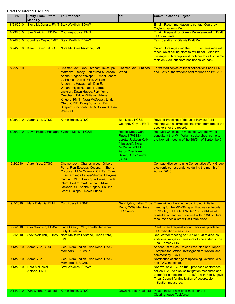| Date      | <b>Entity From/ Effort</b><br><b>Made By</b> | <b>To/Attendees</b>                                                                                                                                                                                                                                                                                                                                                                                                                      | CC:                                                                                                                                                               | <b>Communication Subject</b>                                                                                                                                                                                                                                                         |
|-----------|----------------------------------------------|------------------------------------------------------------------------------------------------------------------------------------------------------------------------------------------------------------------------------------------------------------------------------------------------------------------------------------------------------------------------------------------------------------------------------------------|-------------------------------------------------------------------------------------------------------------------------------------------------------------------|--------------------------------------------------------------------------------------------------------------------------------------------------------------------------------------------------------------------------------------------------------------------------------------|
| 8/23/2010 | Steve McDonald, FMIT Stev Weidlich, EDAW     |                                                                                                                                                                                                                                                                                                                                                                                                                                          |                                                                                                                                                                   | Email: Recommendation to contact Courtney<br><b>Coyle for Glamis PA.</b>                                                                                                                                                                                                             |
| 8/23/2010 | <b>Stev Weidlich, EDAW</b>                   | <b>Courtney Coyle, FMIT</b>                                                                                                                                                                                                                                                                                                                                                                                                              |                                                                                                                                                                   | Email: Request for Glamis PA referenced in Draft<br><b>EIR</b> comments.                                                                                                                                                                                                             |
| 8/24/2010 | <b>Courtney Coyle, FMIT</b>                  | <b>Stev Weidlich, EDAW</b>                                                                                                                                                                                                                                                                                                                                                                                                               |                                                                                                                                                                   | Fax: Sending of Glamis Draft PA.                                                                                                                                                                                                                                                     |
| 8/24/2010 | Karen Baker, DTSC                            | Nora McDowell-Antone, FMIT                                                                                                                                                                                                                                                                                                                                                                                                               |                                                                                                                                                                   | Called Nora regarding the EIR. Left message with<br>receptionist asking Nora to return call. Also left<br>message with receptionist for Nora to call on same<br>topic on 7/30, but Nora has not called back.                                                                         |
| 8/25/2010 |                                              | 9 Chemehuevi: Ron Escobar; Havasupai:<br>Matthew Putesoy; Fort Yuma-Quechan:<br>Arlene Kingery; Yavapai: Ernest Jones;<br>29 Palms: Darrell Mike, William<br>Anderson; Havasupai: Don E.<br>Watahomigie; Hualapai: Loretta<br>Jackson, Dawn Hubbs; Fort Yuma-<br>Quechan: Eddie Williams, Arlene<br>Kingery; FMIT: Nora McDowell, Linda<br>Otero; CRIT: Doug Bonamici, Eric<br>Shepard; Cocopah: Jill McCormick, Lisa<br><b>Wanstall</b> | <b>Chemehuevi: Charles</b><br><b>Wood</b>                                                                                                                         | Forwarded copies of tribal notifications and BLM<br>and FWS authorizations sent to tribes on 8/18/10                                                                                                                                                                                 |
| 8/25/2010 | <b>Aaron Yue, DTSC</b>                       | Karen Baker, DTSC                                                                                                                                                                                                                                                                                                                                                                                                                        | <b>Bob Doss, PG&amp;E,</b><br><b>Courtney Coyle, FMIT</b>                                                                                                         | Revised transcript of the Lake Havasu Public<br>Hearing with a corrected statement from one of the<br>speakers for the record.                                                                                                                                                       |
| 8/26/2010 |                                              | Dawn Hubbs, Hualapai Yvonne Meeks, PG&E                                                                                                                                                                                                                                                                                                                                                                                                  | Robert Doss, Curt<br>Russell (PG&E);<br>Loretta Jackson-Kelly<br>(Hualapai); Nora<br>McDowell (FMIT);<br>Aaron Yue, Karen<br><b>Baker, Chris Guerre</b><br>(DTSC) | Re: MW-38 Initiation meeting: Can the water<br>consultant that Win Wright spoke about come to<br>the kick-off meeting of the 8th/9th of September?                                                                                                                                   |
| 9/2/2010  | <b>Aaron Yue, DTSC</b>                       | Chemehuevi: Charles Wood, Gilbert<br>Parra, Ron Escobar; Cocopah: Sherry<br>Cordova, Jill McCormick; CRITs: Eldred<br>Enas, Amanda Leivas-Sharpe, Cheyene<br>Garcia; FMIT: Timothy Williams, Linda<br>Otero; Fort Yuma-Quechan: Mike<br>Jackson, Sr., Arlene Kingery, Pauline<br>Jose; Hualapai: Dawn Hubbs                                                                                                                              |                                                                                                                                                                   | <b>Compact disc containing Consultative Work Group</b><br>electronic correspondence during the month of<br>August 2010.                                                                                                                                                              |
| 9/3/2010  | Mark Calamia, BLM                            | <b>Curt Russell, PG&amp;E</b>                                                                                                                                                                                                                                                                                                                                                                                                            | Reps, CWG Members,<br><b>EIR Group</b>                                                                                                                            | Geo/Hydro, Indian Tribe There will not be a technical Project initiation<br>meeting for the MW-38 repair that was schedule<br>for 9/8/10, but the NHPA Sec 106 staff-to-staff<br>consultation and field site visit with PG&E cultural<br>resource specialists will still take place. |
| 9/8/2010  | <b>Stev Weidlich, EDAW</b>                   | Linda Otero, FMIT, Loretta Jackson-<br>Kelly, Hualapai                                                                                                                                                                                                                                                                                                                                                                                   |                                                                                                                                                                   | Plant list and request about traditional plants for<br>EIR mitigation measures.                                                                                                                                                                                                      |
| 9/8/2010  | <b>Stev Weidllich, EDAW</b>                  | Nora McDowell-Antone, Linda Otero,<br><b>FMIT</b>                                                                                                                                                                                                                                                                                                                                                                                        |                                                                                                                                                                   | Request for meeting on 10/7 or 10/8 to discuss<br>additional mitigation measures to be added to the<br><b>Final Remedy EIR</b>                                                                                                                                                       |
| 9/13/2010 | <b>Aaron Yue, DTSC</b>                       | Geo/Hydro, Indian Tribe Reps, CWG<br><b>Members, EIR Group</b>                                                                                                                                                                                                                                                                                                                                                                           |                                                                                                                                                                   | Addendum to East Ravine Workplan and Topock<br><b>Compressor Station Investigation for review and</b><br>comment by 10/6/10.                                                                                                                                                         |
| 9/13/2010 | <b>Aaron Yue</b>                             | Geo/Hydro, Indian Tribe Reps, CWG<br><b>Members, EIR Group</b>                                                                                                                                                                                                                                                                                                                                                                           |                                                                                                                                                                   | Notification of change to upcoming October CWG<br>and TWG meetings.                                                                                                                                                                                                                  |
| 9/13/2010 | Nora McDowell-<br><b>Antone, FMIT</b>        | <b>Stev Weidlich, EDAW</b>                                                                                                                                                                                                                                                                                                                                                                                                               |                                                                                                                                                                   | Not available 10/7 or 10/8, proposed conference<br>call on 10/13 to discuss mitigation measures and<br>thereafter a meeting on 10/18/10 with Fort Mojave<br><b>Tribal Council for finalization of acceptable</b><br>mitigation measures.                                             |
| 9/14/2010 | Win Wright, Hualapai                         | Karen Baker, DTSC                                                                                                                                                                                                                                                                                                                                                                                                                        | Dawn Hubbs, Hualapai                                                                                                                                              | Please include him on e-mails for the<br><b>Clearinghouse Taskforce.</b>                                                                                                                                                                                                             |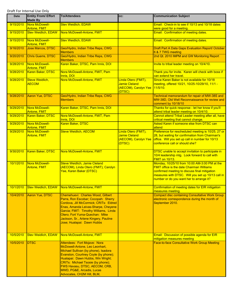| Date             | <b>Entity From/ Effort</b><br><b>Made By</b> | <b>To/Attendees</b>                                                                                                                                                                                                                                                                                                  | CC:                                                                           | <b>Communication Subject</b>                                                                                                                                                                                                                        |
|------------------|----------------------------------------------|----------------------------------------------------------------------------------------------------------------------------------------------------------------------------------------------------------------------------------------------------------------------------------------------------------------------|-------------------------------------------------------------------------------|-----------------------------------------------------------------------------------------------------------------------------------------------------------------------------------------------------------------------------------------------------|
| 9/15/2010        | Nora McDowell-<br>Antone, FMIT               | <b>Stev Weidlich, EDAW</b>                                                                                                                                                                                                                                                                                           |                                                                               | Email: Check-in to see if 10/13 and 10/18 dates<br>were good for a meeting.                                                                                                                                                                         |
| 9/15/2010        | <b>Stev Weidlich, EDAW</b>                   | Nora McDowell-Antone, FMIT                                                                                                                                                                                                                                                                                           |                                                                               | Email: Confirmation of meeting dates.                                                                                                                                                                                                               |
| 9/15/2010        | Nora McDowell-<br>Antone, FMIT               | <b>Stev Weidlich, EDAW</b>                                                                                                                                                                                                                                                                                           |                                                                               | Email: Confirmation of meeting dates.                                                                                                                                                                                                               |
| 9/16/2010        | <b>Jose Marcos, DTSC</b>                     | Geo/Hydro, Indian Tribe Reps, CWG<br><b>Members</b>                                                                                                                                                                                                                                                                  |                                                                               | Draft Part A Data Gaps Evaluation Report/ October<br>6 & 7 TWG meeting                                                                                                                                                                              |
| 9/20/2010        | <b>Chris Guerre, DTSC</b>                    | Geo/Hydro, Indian Tribe Reps, CWG<br><b>Members</b>                                                                                                                                                                                                                                                                  |                                                                               | 2nd Qt. 2010 IMPM and GW Monitoring Report                                                                                                                                                                                                          |
| 9/28/2010        | Nora McDowell-<br>Antone, FMIT               | Karen Baker, DTSC, Pam Innis, DOI                                                                                                                                                                                                                                                                                    |                                                                               | Invite to tribal leader meeting on 10/4/10.                                                                                                                                                                                                         |
| 9/28/2010        | Karen Baker, DTSC                            | Nora McDowell-Antone, FMIT, Pam<br>Innis, DOI                                                                                                                                                                                                                                                                        |                                                                               | Thank you for invite. Karen will check with boss if<br>can extend her travel.                                                                                                                                                                       |
| 9/28/2010        | <b>Steve Weidlich,</b><br><b>AECOM</b>       | Nora McDowell-Antone, FMIT                                                                                                                                                                                                                                                                                           | Linda Otero (FMIT),<br><b>Jamie Cleland</b><br>(AECOM), Carolyn Yee<br>(DTSC) | Since Karen Baker is not available for 10/18<br>meeting, offered 10/21, 10/25-10/29/10, 11/1 -<br>$11/5/10$ .                                                                                                                                       |
| 9/28/2010        | <b>Aaron Yue, DTSC</b>                       | Geo/Hydro, Indian Tribe Reps, CWG<br><b>Members</b>                                                                                                                                                                                                                                                                  |                                                                               | Technical memorandum for repair of MW-38S and<br>MW-38D, Old Well Reconnaissance for review and<br>comment by 10/18/10                                                                                                                              |
| 9/29/2010        | Nora McDowell-<br><b>Antone, FMIT</b>        | Karen Baker, DTSC, Pam Innis, DOI                                                                                                                                                                                                                                                                                    |                                                                               | Thanks for quick response - let her know if you'll<br>attend tribal leader meeting on 10/4/10.                                                                                                                                                      |
| 9/29/2010        | <b>Karen Baker, DTSC</b>                     | Nora McDowell-Antone, FMIT, Pam<br>Innis, DOI                                                                                                                                                                                                                                                                        |                                                                               | Cannot attend Tribal Leader meeting after all, have<br>critical meeting that cannot change.                                                                                                                                                         |
| 9/29/2010        | Nora McDowell-<br>Antone, FMIT               | Karen Baker, DTSC                                                                                                                                                                                                                                                                                                    |                                                                               | Asked Karen if someone else from DTSC can<br>attend                                                                                                                                                                                                 |
| 9/29/2010        | Nora McDowell-<br>Antone, FMIT               | <b>Steve Weidlich, AECOM</b>                                                                                                                                                                                                                                                                                         | Linda Otero (FMIT),<br>Jamie Cleland<br>(AECOM), Carolyn Yee<br>(DTSC)        | Preference for rescheduled meeting is 10/25, 27 or<br>28, but waiting for confirmation from Chairman's<br>office. Will you set up call in number for 10/13<br>conference call or should she?                                                        |
| 9/30/2010        | Karen Baker, DTSC                            | Nora McDowell-Antone, FMIT                                                                                                                                                                                                                                                                                           |                                                                               | DTSC unable to accept invitation to participate in<br>10/4 leadership mtg. Look forward to call with<br><b>FMIT on 10/13.</b>                                                                                                                       |
| 10/1/2010        | Nora McDowell-<br><b>Antone, FMIT</b>        | <b>Steve Weidlich, Jamie Cleland</b><br>(AECOM), Linda Otero (FMIT), Carolyn<br>Yee, Karen Baker (DTSC)                                                                                                                                                                                                              |                                                                               | Monday, 10/25/10 from 10:00 AM-3:00 PM at the<br><b>FMIT office is the date Chairman Williams</b><br>confirmed meeting to discuss final mitigation<br>measures with DTSC. Will you set up 10/13 call in<br>number or do you want her to arrange it? |
| <u>10/1/2010</u> |                                              | Stev Weidlich, EDAW   Nora McDowell-Antone, FMIT                                                                                                                                                                                                                                                                     |                                                                               | Confirmation of meeting dates for EIR mitigation<br>measures meeting.                                                                                                                                                                               |
| 10/4/2010        | Aaron Yue, DTSC                              | Chemehuevi: Charles Wood, Gilbert<br>Parra, Ron Escobar; Cocopah: Sherry<br>Cordova, Jill McCormick; CRITs: Eldred<br>Enas, Amanda Leivas-Sharpe, Cheyene<br>Garcia; FMIT: Timothy Williams, Linda<br>Otero; Fort Yuma-Quechan: Mike<br>Jackson, Sr., Arlene Kingery, Pauline<br>Jose; Hualapai: Dawn Hubbs          |                                                                               | <b>Compact disc containing Consultative Work Group</b><br>electronic correspondence during the month of<br>September 2010.                                                                                                                          |
| 10/5/2010        | <b>Stev Weidlich, EDAW</b>                   | Nora McDowell-Antone, FMIT                                                                                                                                                                                                                                                                                           |                                                                               | Email: Discussion of possible agenda for EIR<br>mitigation measures meeting                                                                                                                                                                         |
| 10/5/2010        | <b>DTSC</b>                                  | Attendees: Fort Mojave: Nora<br>McDowell-Antone, Leo Leonhart,<br>Michael Sullivan (by phone), Isadora<br>Evanston, Courtney Coyle (by phone);<br>Hualapai: Dawn Hubbs, Win Wright;<br>CRITs: Michael Tsosie (by phone);<br>FWS Havasu, DTSC, AECOM, CRB,<br>MWD, PG&E, Arcadis, Lucas<br>Advocates, CH2M Hill, BLM, |                                                                               | <b>Face-to-face Consultative Work Group Meeting</b>                                                                                                                                                                                                 |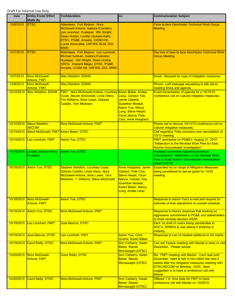| <b>Date</b> | <b>Entity From/ Effort</b><br><b>Made By</b> | <b>To/Attendees</b>                                                                                                                                                                                                                   | CC:                                                                                                                                                                                  | <b>Communication Subject</b>                                                                                                                                                                                                                          |
|-------------|----------------------------------------------|---------------------------------------------------------------------------------------------------------------------------------------------------------------------------------------------------------------------------------------|--------------------------------------------------------------------------------------------------------------------------------------------------------------------------------------|-------------------------------------------------------------------------------------------------------------------------------------------------------------------------------------------------------------------------------------------------------|
| 10/6/2010   | <b>DTSC</b>                                  | Attendees: Fort Mojave: Nora<br>McDowell-Antone, Isadora Evanston,<br>Leo Leonhart, Hualapai: Win Wright,<br>Dawn Hubbs, Loretta Jackson-Kelly;<br>DTSC, PG&E, Arcadis, CH2M Hill,<br>Lucas Advocates, USFWS, BLM, DOI,<br><b>MWD</b> |                                                                                                                                                                                      | Face-to-face Geo/Hydro Technical Work Group<br><b>Meeting</b>                                                                                                                                                                                         |
| 10/7/2010   | <b>DTSC</b>                                  | Attendees: Fort Mojave: Leo Leonhart,<br>Michael Sullivan, Isadora Evanston;<br>Hualapai: Win Wright, Dawn Hubbs;<br>CRITs: Howard Magiu; DTSC, PG&E,<br>Arcadis, CH2M Hill, USFWS, DOI, MWD                                          |                                                                                                                                                                                      | Day two of face-to-face Geo/Hydro Technical Work<br><b>Group Meeting</b>                                                                                                                                                                              |
| 10/7/2010   | Nora McDowell-<br><b>Antone, FMIT</b>        | <b>Stev Weidlich, EDAW</b>                                                                                                                                                                                                            |                                                                                                                                                                                      | Email: Request for copy of mitigation measures.                                                                                                                                                                                                       |
| 10/8/2010   | Nora McDowell-<br>Antone, FMIT               | <b>Stev Weidlich, EDAW</b>                                                                                                                                                                                                            |                                                                                                                                                                                      | Phone: Left message requesting to talk about<br>meeting times and agenda                                                                                                                                                                              |
| 10/12/2010  | <b>Stev Weidlich, EDAW</b>                   | <b>FMIT: Nora McDowell-Antone, Courtney</b><br>Coyle, Steven McDonald, Linda Otero,<br><b>Tim Williams, Shan Lewis, Dolores</b><br>Castillo, Terri Medrano                                                                            | Karen Baker, Andee<br>Leisy, Carolyn Yee,<br>Jamie Cleland,<br>Guenther Moskat,<br><b>Aaron Yue, Nancy</b><br>Long, Steve Heipel,<br><b>Taryn Nance, Pete</b><br>Choi, Anne Hoagland | Email transmission of agenda for a 10/13/10<br>conference call on cultural mitigation measures.                                                                                                                                                       |
| 10/12/2010  | Steve Weidlich,<br><b>AECOM</b>              | Nora McDowell-Antone, FMIT                                                                                                                                                                                                            |                                                                                                                                                                                      | Phone call to discuss 10/13/10 conference call on<br>cultural mitigation measures.                                                                                                                                                                    |
| 10/13/2010  | Steve McDonald, FMIT Karen Baker, DTSC       |                                                                                                                                                                                                                                       |                                                                                                                                                                                      | Call regarding Tribe concerns over cancellation of<br>10/13 meeting.                                                                                                                                                                                  |
| 10/14/2010  | Leo Leonhart, FMIT                           | <b>Aaron Yue, DTSC</b>                                                                                                                                                                                                                |                                                                                                                                                                                      | FMIT comments on PG&E's August 27, 2010<br>"Addendum to the Revised Work Plan for East<br><b>Ravine Groundwater Investigation"</b>                                                                                                                    |
| 10/14/2010  | Loretta Jackson-Kelly,<br>Hualapai           | Aaron Yue, DTSC                                                                                                                                                                                                                       |                                                                                                                                                                                      | Hualapai comments regarding technical<br>memorandum "Addendum to the Revised Work<br>Plan for East Ravine Groundwater Investigation"<br>dated 8/27/10                                                                                                 |
| 10/18/2010  | <b>Aaron Yue, DTSC</b>                       | Stephen Weidlich, Courtney Coyle,<br>Dolores Castillo, Linda Otero, Nora<br>McDowell-Antone, Shan Lewis, Terri<br>Medrano, T. Williams, Steve McDonald                                                                                | <b>Anne Hoagland, Jamie</b><br>Cleland, Pete Choi,<br>Steve Heipel, Taryn<br>Nance, Carolyn Yee,<br><b>Guenther Moskat.</b><br>Karen Baker, Nancy<br>Long, Andee Leisy               | <b>Expanded list on range of Mitigation Measures</b><br>being considered to use as guide for 10/25<br>meeting.                                                                                                                                        |
| 10/18/2010  | Nora McDowell-<br>Antone, FMIT               | <b>Aaron Yue, DTSC</b>                                                                                                                                                                                                                |                                                                                                                                                                                      | Response to Aaron Yue's e-mail and request for<br>estimate of time adjustment on overall schedule.                                                                                                                                                    |
| 10/18/2010  | Aaron Yue, DTSC                              | Nora McDowell-Antone, FMIT                                                                                                                                                                                                            |                                                                                                                                                                                      | Response to Nora's response that working on<br>aggressive commitment to PG&E and stakeholders<br>to finish remedy decision ASAP.                                                                                                                      |
| 10/19/2010  | Leo Leonhart, FMIT                           | Jose Marcos, DTSC                                                                                                                                                                                                                     |                                                                                                                                                                                      | Sent 1st draft of matrix listing sensitivities to<br>AOC's, SWMUs & Uas asking if anything is<br>missing.                                                                                                                                             |
| 10/19/2010  | Jose Marcos, DTSC                            | Leo Leonhart, FMIT                                                                                                                                                                                                                    | <b>Aaron Yue, Chris</b><br>Guerre, Karen Baker                                                                                                                                       | Response to Leo of needed additions to his matrix.                                                                                                                                                                                                    |
| 10/19/2010  | <b>Carol Reilly, DTSC</b>                    | Nora McDowell-Antone, FMIT                                                                                                                                                                                                            | <b>Ann Carberry, Karen</b><br><b>Baker, Maziar</b><br>Movassaghi (DTSC)                                                                                                              | Can set Topock meeting with Maziar in early or mid-<br>December. Please advise.                                                                                                                                                                       |
| 10/20/2010  | Nora McDowell-<br><b>Antone, FMIT</b>        | <b>Carol Reilly, DTSC</b>                                                                                                                                                                                                             | <b>Ann Carberry, Karen</b><br><b>Baker, Maziar</b><br>Movassaghi (DTSC)                                                                                                              | Re: FMIT meeting with Maziar: Can't wait until<br>December, need to talk to him within the next 2<br>weeks after the mitigation measures meeting with<br>DTSC/AECOM on Monday, 10/25. Next<br>suggestion is to have a conference call with<br>Maziar. |
| 10/20/2010  | <b>Carol Reilly, DTSC</b>                    | Nora McDowell-Antone, FMIT                                                                                                                                                                                                            | <b>Ann Carberry, Karen</b><br><b>Baker, Maziar</b><br>Movassaghi (DTSC)                                                                                                              | Offered 1 hr. time slots for FMIT to have<br>conference call with Maziar on 10/28/10.                                                                                                                                                                 |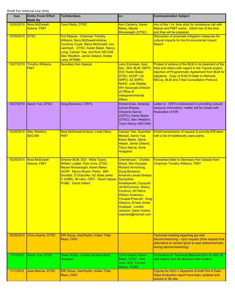| Date            | <b>Entity From/ Effort</b><br><b>Made By</b> | <b>To/Attendees</b>                                                                                                                                                                                                                                                   | CC:                                                                                                                                                                                                                                                                                                                                                                               | <b>Communication Subject</b>                                                                                                                                                                                                                                    |
|-----------------|----------------------------------------------|-----------------------------------------------------------------------------------------------------------------------------------------------------------------------------------------------------------------------------------------------------------------------|-----------------------------------------------------------------------------------------------------------------------------------------------------------------------------------------------------------------------------------------------------------------------------------------------------------------------------------------------------------------------------------|-----------------------------------------------------------------------------------------------------------------------------------------------------------------------------------------------------------------------------------------------------------------|
| 10/20/2010      | Nora McDowell-<br><b>Antone, FMIT</b>        | <b>Carol Reilly, DTSC</b>                                                                                                                                                                                                                                             | <b>Ann Carberry, Karen</b><br><b>Baker, Maziar</b><br>Movassaghi (DTSC)                                                                                                                                                                                                                                                                                                           | Any of the 1 hr. time slots for conference call with<br>Maziar and FMIT works. Inform her of the time<br>and they will be prepared.                                                                                                                             |
| 10/25/2010 DTSC |                                              | Fort Mojave: Chairman Timothy<br><b>Williams, Nora McDowell-Antone,</b><br><b>Courtney Coyle, Steve McDonald, Leo</b><br>Leonhart; DTSC: Karen Baker, Nancy<br>Long, Carolyn Yee, and from AECOM<br>Stev Weidlich, Jamie Cleland, Andee<br>Leisy (RTMM)               |                                                                                                                                                                                                                                                                                                                                                                                   | Discussion of proposed mitigation measures for<br>cultural impacts for the Environmental Impact<br>Report                                                                                                                                                       |
| 10/27/2010      | <b>Timothy Williams,</b><br><b>FMIT</b>      | <b>Secretary Ken Salazar</b>                                                                                                                                                                                                                                          | Larry Ecohawk, Asst.<br>Sec., BIA; BLM; OEPC;<br>DOI; Karen Baker,<br>DTSC; ACHP; CA<br>SHPO; AZ SHPO;<br>NAHC; Jodi Gillette;<br><b>WH Associate Director</b><br>of Office of<br>Intergovernmental<br><b>Affairs</b>                                                                                                                                                             | Protest of actions of the BLM in its treatment of the<br>tribe and others with regard to the Topock project,<br>rejection of Programmatic Agreement from BLM for<br>signature. Copy of 8/30/10 letter to Ramone<br>McCoy, BLM and Tribal Consultation Protocol. |
| 10/27/2010      | Aaron Yue, DTSC                              | Doug Bonamici, CRITs                                                                                                                                                                                                                                                  | Eldred Enas, Amanda<br>Leivas-Sharpe,<br><b>Cheyene Garcia</b><br>(CRITs); Karen Baker<br>(DTSC); Stev Weidlich,<br>Taryn Nancy (AECOM)                                                                                                                                                                                                                                           | Letter re: CRITs involvement in providing cultural<br>resource information; matter will be closed with<br>finalization of EIR.                                                                                                                                  |
| 10/28/2010      | <b>Stev Weidlich,</b><br><b>AECOM</b>        | Nora McDowell-Antone, Linda Otero,<br><b>FMIT</b>                                                                                                                                                                                                                     | <b>Carolyn Yee, Guenther</b><br>Moskat, Aaron Yue,<br>Karen Baker, Steve<br>Heipel, Jamie Cleland,<br><b>Taryn Nance, Anne</b><br><b>Hoagland</b>                                                                                                                                                                                                                                 | Email transmission of request to provide EIR team<br>with a list of traditionally used plants.                                                                                                                                                                  |
| 10/29/2010      | Nora McDowell-<br>Antone, FMIT               | Director BLM, DOI: Willie Taylor,<br>William Lodder, Pam Innis; DTSC:<br>Maziar Movassaghi, Karen Baker;<br><b>ACHP: Nancy Brown; Parks: MW</b><br>Donalds, D Dutschke; AZ State parks:<br>C Griffith, IM nahc; CRIT: David Harper;<br><b>PG&amp;E: David Gilbert</b> | <b>Chemehuevi: Charles</b><br><b>Wood, Ron Escobar,</b><br><b>Richard Armstrong,</b><br>Doug Bonamici,<br>Amanda Leivas-Sharpe,<br>Symanthia<br>Ameelyenah; Cocopah:<br><b>Jill McCormick, Sherry</b><br>Cordova; 29 Palms:<br><b>William Anderson;</b><br>Yavapai-Prescott: Greg<br>Glassco, Ernest Jones;<br>Hualapai: Loretta<br>Jackson, Dawn Hubbs;<br>valeriewt@hotmail.com | Forwarded letter to Secretary Ken Salazar from<br><b>Chairman Timothy Williams, FMIT</b>                                                                                                                                                                        |
| 10/29/2010      | <b>Chris Guerre, DTSC</b>                    | EIR Group, Geo/Hydro, Indian Tribe<br>Reps; CWG                                                                                                                                                                                                                       |                                                                                                                                                                                                                                                                                                                                                                                   | <b>Technical meeting regarding gw well</b><br>decommissioning - input request (tribe request that<br>alternative to cement grout to seal wells/boreholes<br>during decommissioning)                                                                             |
| 11/1/2010       | Aaron Yue, DTSC                              | Dawn Hubbs, Loretta Jackson-Kelly,<br>Hualapai                                                                                                                                                                                                                        | Chris Guerre, Karen<br>Baker, DTSC, Pam<br>Innis, DOI, Yvonne<br>Meeks, PG&E                                                                                                                                                                                                                                                                                                      | <b>Comments on Technical Memorandum for MW 38</b><br>well repairs and old abandon well location                                                                                                                                                                 |
| 11/1/2010       | <b>Jose Marcos, DTSC</b>                     | EIR Group, Geo/Hydro, Indian Tribe<br>Reps; CWG                                                                                                                                                                                                                       |                                                                                                                                                                                                                                                                                                                                                                                   | Figures for AOC-1 Appendix of draft Part A Data<br>Gaps Evaluation report have been updated and<br>placed on ftp site.                                                                                                                                          |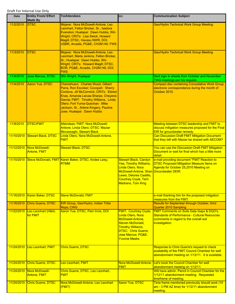| <b>Date</b> | <b>Entity From/ Effort</b><br><b>Made By</b> | <b>To/Attendees</b>                                                                                                                                                                                                                                                                                         | CC:                                                                                                                                                                                                                    | <b>Communication Subject</b>                                                                                                                                       |
|-------------|----------------------------------------------|-------------------------------------------------------------------------------------------------------------------------------------------------------------------------------------------------------------------------------------------------------------------------------------------------------------|------------------------------------------------------------------------------------------------------------------------------------------------------------------------------------------------------------------------|--------------------------------------------------------------------------------------------------------------------------------------------------------------------|
| 11/2/2010   | <b>IDTSC</b>                                 | Mojave: Nora McDowell-Antone, Leo<br>Leonhart, Felton Bricker, Sr., Isadora<br>Evanston; Hualapai: Dawn Hubbs, Win<br>Wright; CRITs: Lisa Swick, Howard<br>Magill; DTSC, Havasu NWR, DOI,<br>USBR, Arcadis, PG&E, CH2M Hill, FWS                                                                            |                                                                                                                                                                                                                        | <b>Geo/Hydro Technical Work Group Meeting</b>                                                                                                                      |
| 11/3/2010   | <b>DTSC</b>                                  | Mojave: Nora McDowell-Antone, Leo<br>Leonhart, Marla Jenkins, Felton Bricker,<br>Sr.; Hualapai: Dawn Hubbs, Win<br>Wright; CRITs: Howard Magill; DTSC,<br>BOR, PG&E, Arcadis, CH2M Hill, DOI,<br><b>FWS</b>                                                                                                 |                                                                                                                                                                                                                        | <b>Geo/Hydro Technical Work Group Meeting</b>                                                                                                                      |
| 11/4/2010   | Jose Marcos, DTSC                            | Win Wright, Hualapai                                                                                                                                                                                                                                                                                        |                                                                                                                                                                                                                        | Sent sign in sheets from October and November<br>TWG meetings per his request.                                                                                     |
| 11/4/2010   | Aaron Yue, DTSC                              | Chemehuevi: Charles Wood, Gilbert<br>Parra, Ron Escobar; Cocopah: Sherry<br>Cordova, Jill McCormick; CRITs: Eldred<br>Enas, Amanda Leivas-Sharpe, Cheyene<br>Garcia; FMIT: Timothy Williams, Linda<br>Otero; Fort Yuma-Quechan: Mike<br>Jackson, Sr., Arlene Kingery, Pauline<br>Jose; Hualapai: Dawn Hubbs |                                                                                                                                                                                                                        | <b>Compact disc containing Consultative Work Group</b><br>electronic correspondence during the month of<br>October 2010.                                           |
| 11/8/2010   | <b>DTSC/FMIT</b>                             | Attendees: FMIT: Nora McDowell-<br>Antone, Linda Otero; DTSC: Maziar<br>Movassaghi, Stewart Black                                                                                                                                                                                                           |                                                                                                                                                                                                                        | Meeting between DTSC leadership and FMIT to<br>discuss mitigation measures proposed for the Final<br>EIR for groundwater remedy.                                   |
| 11/10/2010  | Stewart Black, DTSC                          | Linda Otero, Nora McDowell-Antone,<br><b>FMIT</b>                                                                                                                                                                                                                                                           |                                                                                                                                                                                                                        | <b>Can Discussion Draft FMIT Mitigation Document</b><br>that they left with Maziar be shared with AECOM?                                                           |
| 11/12/2010  | Nora McDowell-<br><b>Antone, FMIT</b>        | <b>Stewart Black, DTSC</b>                                                                                                                                                                                                                                                                                  |                                                                                                                                                                                                                        | You can use the Discussion Draft FMIT Mitigation<br>Document or wait for final which has a little more<br>detail.                                                  |
| 11/15/2010  |                                              | Steve McDonald, FMIT Karen Baker, DTSC; Andee Leisy,<br><b>RTMM</b>                                                                                                                                                                                                                                         | <b>Stewart Black, Carolyn</b><br><b>Yee, Timothy Williams,</b><br>Linda Otero, Nora<br>McDowell-Antone, Shan Groundwater DEIR.<br>Lewis, Delores Castillo,<br><b>Courtney Coyle, Terri</b><br><b>Medrano, Tom King</b> | e-mail providing document "FMIT Reaction to<br><b>DTSC Proposed Mitigation Measure Items on</b><br>Agenda for October 25,2010 Meeting on                           |
| 11/16/2010  | Karen Baker, DTSC                            | Steve McDonald, FMIT                                                                                                                                                                                                                                                                                        |                                                                                                                                                                                                                        | e-mail thanking him for the proposed mitigation<br>measures from the FMIT.                                                                                         |
| 11/16/2010  | <b>Chris Guerre, DTSC</b>                    | EIR Group, Geo/Hydro, Indian Tribe<br>Reps; CWG                                                                                                                                                                                                                                                             |                                                                                                                                                                                                                        | Results for September through October, third<br><b>Quarter 2010 Sampling</b>                                                                                       |
| 11/22/2010  | Leo Leonhart (H&A)<br>for FMIT               | Aaron Yue, DTSC, Pam Innis, DOI                                                                                                                                                                                                                                                                             | <b>FMIT: Courtney Coyle</b><br>Linda Otero, Nora<br>McDowell-Antone,<br><b>Steven McDonald,</b><br><b>Timothy Williams;</b><br><b>DTSC: Chris Guerre,</b><br>Jose Marcos; PG&E:<br><b>Yvonne Meeks</b>                 | <b>FMIT Comments on Soils Data Gaps &amp; DQO's.</b><br>Standards of Performance - Cultural Resources<br>(comments in regard to the overall soil<br>investigation. |
| 11/24/2010  | Leo Leonhart, FMIT                           | <b>Chris Guerre, DTSC</b>                                                                                                                                                                                                                                                                                   |                                                                                                                                                                                                                        | Response to Chris Guerre's request to check<br>availability of the FMIT Council Chamber for well<br>abandonment meeting on 1/12/11. It is available.               |
| 11/24/2010  | <b>Chris Guerre, DTSC</b>                    | Leo Leonhart, FMIT                                                                                                                                                                                                                                                                                          | <b>FMIT</b>                                                                                                                                                                                                            | Nora McDowell-Antone, Let's book the Council Chamber for well<br>abandonment meeting on 1/12/11.                                                                   |
| 11/24/2010  | Nora McDowell-<br><b>Antone, FMIT</b>        | Chris Guerre, DTSC, Leo Leonhart,<br><b>FMIT</b>                                                                                                                                                                                                                                                            |                                                                                                                                                                                                                        | Will have admin. Pencil in Council Chamber for the<br>1/12/11 abandonment meeting. Requested<br>timeframe of meeting.                                              |
| 11/24/2010  | <b>Chris Guerre, DTSC</b>                    | Nora McDowell-Antone, Leo Leonhart<br>(FMIT)                                                                                                                                                                                                                                                                | <b>Aaron Yue, DTSC</b>                                                                                                                                                                                                 | Time frame mentioned previously should work (10<br>am - 3 PM AZ time) for 1/12/11 abandonment<br>meeting.                                                          |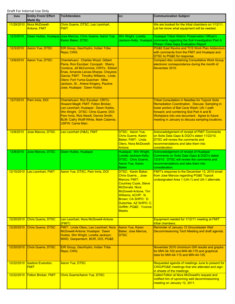| <b>Date</b> | <b>Entity From/ Effort</b><br><b>Made By</b> | <b>To/Attendees</b>                                                                                                                                                                                                                                                                                         | CC:                                                                                                                                                                                                                                                  | <b>Communication Subject</b>                                                                                                                                                                                                                                                                           |
|-------------|----------------------------------------------|-------------------------------------------------------------------------------------------------------------------------------------------------------------------------------------------------------------------------------------------------------------------------------------------------------------|------------------------------------------------------------------------------------------------------------------------------------------------------------------------------------------------------------------------------------------------------|--------------------------------------------------------------------------------------------------------------------------------------------------------------------------------------------------------------------------------------------------------------------------------------------------------|
| 11/29/2010  | Nora McDowell-<br>Antone, FMIT               | Chris Guerre, DTSC, Leo Leonhart,<br><b>FMIT</b>                                                                                                                                                                                                                                                            |                                                                                                                                                                                                                                                      | We are booked for the tribal chambers on 1/12/11.<br>Let her know what equipment will be needed.                                                                                                                                                                                                       |
| 12/3/2010   | Dawn Hubbs, Hualapai                         | Jose Marcos, Chris Guerre, Aaron Yue,<br>Karen Baker, DTSC                                                                                                                                                                                                                                                  | Win Wright, Loretta<br>Jackson-Kelly, Hualapai                                                                                                                                                                                                       | <b>Hualapai Tribal Historic Preservation Officer's</b><br>comments regarding the Soil Investigation Part A<br><b>Phase I Data Gaps Evaluation Report</b>                                                                                                                                               |
| 12/3/2010   | Aaron Yue, DTSC                              | EIR Group, Geo/Hydro, Indian Tribe<br>Reps; CWG                                                                                                                                                                                                                                                             |                                                                                                                                                                                                                                                      | <b>PG&amp;E East Ravine and TCS Work Plan Addendum</b><br>with comments from the FMIT and Hualapai and<br>DTSC to PG&E for response.                                                                                                                                                                   |
| 12/6/2010   | <b>Aaron Yue, DTSC</b>                       | Chemehuevi: Charles Wood, Gilbert<br>Parra, Ron Escobar; Cocopah: Sherry<br>Cordova, Jill McCormick; CRITs: Eldred<br>Enas, Amanda Leivas-Sharpe, Cheyene<br>Garcia; FMIT: Timothy Williams, Linda<br>Otero; Fort Yuma-Quechan: Mike<br>Jackson, Sr., Arlene Kingery, Pauline<br>Jose; Hualapai: Dawn Hubbs |                                                                                                                                                                                                                                                      | <b>Compact disc containing Consultative Work Group</b><br>electronic correspondence during the month of<br>November 2010.                                                                                                                                                                              |
| 12/7/2010   | Pam Innis, DOI                               | Chemehuevi: Ron Escobar; CRITs:<br>Howard Magill; FMIT: Felton Bricker,<br>Leo Leonhart; Hualapai: Dawn Hubbs,<br>Win Wright. DTSC: Chris Guerre; DOI:<br>Pam Innis, Rick Newill, Dennis Smith;<br>BLM: Cathy Wolff-White, Mark Calamia;<br><b>USFW: Carrie Marr.</b>                                       |                                                                                                                                                                                                                                                      | <b>Tribal Consultation in Needles for Topock Soils</b><br>Remediation Coordination. Discuss: Sampling in<br>lower portion of Bat Cave Wash; UA-1 path<br>forward; and combining Soil Part A and B<br>Workplans into one document. Agree to future<br>meeting in January to discuss sampling locations. |
| 12/8/2010   | Jose Marcos, DTSC                            | Leo Leonhart (H&A), FMIT                                                                                                                                                                                                                                                                                    | <b>DTSC: Aaron Yue,</b><br><b>Chris Guerre, Karen</b><br>Baker; FMIT: Linda<br>Otero, Nora McDowell-<br>Antone                                                                                                                                       | <b>Acknowledgement of receipt of FMIT Comments</b><br>on Soils Data Gaps & DQO's dated 11/22/10.<br><b>DTSC will review the comments and</b><br>recommendations and take them into<br>consideration.                                                                                                   |
| 12/8/2010   | Jose Marcos, DTSC                            | Dawn Hubbs, Hualapai                                                                                                                                                                                                                                                                                        | Hualapai: Win Wright,<br>Loretta Jackson-Kelly;<br>DTSC: Chris Guerre,<br>Aaron Yue, Karen<br><b>Baker</b>                                                                                                                                           | Acknowledgement of receipt of Hualapai<br>Comments on Soils Data Gaps & DQO's dated<br>12/3/10. DTSC will review the comments and<br>recommendations and take them into<br>consideration.                                                                                                              |
| 12/15/2010  | Leo Leonhart, FMIT                           | Aaron Yue, DTSC, Pam Innis, DOI                                                                                                                                                                                                                                                                             | DTSC: Karen Baker,<br>Chris Guerre, , Jose<br>Marcos; FMIT:<br><b>Courtney Coyle, Steve</b><br>McDonald, Nora<br>McDowell-Antone, Tim<br>Williams; ACHP: N.<br>Brown; CA SHPO: D.<br>Dutschke, AZ SHPO: C.<br>Griffith; PG&E: Yvonne<br><b>Meeks</b> | FMIT's response to the December 13, 2010 email<br>from Jose Marcos regarding PG&E Topock<br>undesignated Area 1 (UA-1) and UA-1 alternate.                                                                                                                                                             |
| 12/20/2010  | <b>Chris Guerre, DTSC</b>                    | Leo Leonhart, Nora McDowell-Antone<br>(FMIT)                                                                                                                                                                                                                                                                |                                                                                                                                                                                                                                                      | Equipment needed for 1/12/11 meeting at FMIT<br>tribal chambers.                                                                                                                                                                                                                                       |
| 12/20/2010  | <b>Chris Guerre, DTSC</b>                    | FMIT: Linda Otero, Leo Leonhart, Nora<br>McDowell-Antone; Hualapai: Dawn<br>Hubbs, Win Wright, Loretta Jackson;<br>MWD, Geopentech, BOR, DOI, PG&E                                                                                                                                                          | Aaron Yue, Karen<br><b>Baker, Jose Marcos,</b><br><b>DTSC</b>                                                                                                                                                                                        | Reminder of January 12 Groundwater Well<br>Decommissioning Tech Meeting and draft agenda.                                                                                                                                                                                                              |
| 12/20/2010  | <b>Chris Guerre, DTSC</b>                    | EIR Group, Geo/Hydro, Indian Tribe<br>Reps; CWG                                                                                                                                                                                                                                                             |                                                                                                                                                                                                                                                      | November 2010 chromium GW results and graphs<br>for MW-34-100 and MW-46-175 and graphical<br>data for MW-44-115 and MW-44-125.                                                                                                                                                                         |
| 12/22/2010  | <b>Isadora Evanston,</b><br><b>FMIT</b>      | <b>Aaron Yue, DTSC</b>                                                                                                                                                                                                                                                                                      |                                                                                                                                                                                                                                                      | Requested agenda of meetings June to present for<br>CWG/PG&E meetings that she attended and sign-<br>in sheets of the meetings.                                                                                                                                                                        |
| 12/22/2010  | <b>Felton Bricker, FMIT</b>                  | <b>Chris Guerre/Aaron Yue, DTSC</b>                                                                                                                                                                                                                                                                         |                                                                                                                                                                                                                                                      | Called Felton at Nora McDowell's request and<br>notified him of upcoming well decommissioning<br>meeting on January 12, 2011.                                                                                                                                                                          |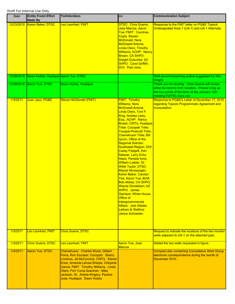| Date       | <b>Entity From/ Effort</b><br><b>Made By</b> | <b>To/Attendees</b>                                                                                                                                                                                                                                                                                         | CC:                                                                                                                                                                                                                                                                                                                                                                                                                                                                                                                                                                                                                                                                                                                                                                                                      | <b>Communication Subject</b>                                                                                                                                                       |
|------------|----------------------------------------------|-------------------------------------------------------------------------------------------------------------------------------------------------------------------------------------------------------------------------------------------------------------------------------------------------------------|----------------------------------------------------------------------------------------------------------------------------------------------------------------------------------------------------------------------------------------------------------------------------------------------------------------------------------------------------------------------------------------------------------------------------------------------------------------------------------------------------------------------------------------------------------------------------------------------------------------------------------------------------------------------------------------------------------------------------------------------------------------------------------------------------------|------------------------------------------------------------------------------------------------------------------------------------------------------------------------------------|
| 12/23/2010 | Karen Baker, DTSC                            | Leo Leonhart, FMIT                                                                                                                                                                                                                                                                                          | <b>DTSC: Chris Guerre,</b><br>Jose Marcos, Aaron<br>Yue; FMIT: Courtney<br>Coyle, Steven<br><b>McDonald, Nora</b><br>McDowell-Antone,<br><b>Linda Otero, Timothy</b><br><b>Williams; ACHP: Nancy</b><br>Brown; CA SHPO:<br>Dwight Dutschke; AZ<br>SHPO: Carol Griffith;<br><b>DOI: Pam Innis</b>                                                                                                                                                                                                                                                                                                                                                                                                                                                                                                         | Response to the FMIT letter on PG&E Topock<br>Undesignated Area 1 (UA-1) and UA-1 Alternate.                                                                                       |
| 12/28/2010 | Dawn Hubbs, Hualapai Aaron Yue, DTSC         |                                                                                                                                                                                                                                                                                                             |                                                                                                                                                                                                                                                                                                                                                                                                                                                                                                                                                                                                                                                                                                                                                                                                          | Well decommissioning outline suggested by Win<br>Wright.                                                                                                                           |
| 12/28/2010 | Aaron Yue, DTSC                              | Dawn Hubbs, Hualapai                                                                                                                                                                                                                                                                                        |                                                                                                                                                                                                                                                                                                                                                                                                                                                                                                                                                                                                                                                                                                                                                                                                          | Thank you for sharing. Chris Guerre will review<br>when he returns from vacation. Please bring up<br>the key points of the letter at the January 12th<br>meeting if DTSC does not. |
| 1/3/2011   | Juan Jayo, PG&E                              | <b>Steven McDonald (FMIT)</b>                                                                                                                                                                                                                                                                               | <b>FMIT: Timothy</b><br><b>Williams, Nora</b><br>McDowell-Antone,<br>Linda Otero, Tom F.<br>King, Andrea Leisy,<br>Esq.; ACHP: Nancy<br>Brown; CRITs; Hualapai<br><b>Tribe; Cocopah Tribe;</b><br><b>Yavapai-Prescott Tribe;</b><br><b>Chemehuevi Tribe; Bill</b><br>Quinn, Office of the<br><b>Regional Solicitor,</b><br><b>Southwest Region; DOI:</b><br><b>Casey Padgett, Ken</b><br>Salazar, Larry Echo<br>Hawk, Pamela Innis,<br>William Lodder, Dr.<br><b>Willie Taylor; DTSC:</b><br><b>Maziar Movassaghi,</b><br>Karen Baker, Carolyn<br>Yee, Aaron Yue; BLM:<br><b>Bob Abbey; CA SHPO:</b><br><u> Wayne Donaldson; AZ</u><br><b>SHPO: James</b><br><b>Garrison; White House,</b><br>Office of<br>Intergovernmental<br><b>Affairs: Jodi Gillette;</b><br>Latham & Watkins:<br>Janice Schneider; | Response to PG&E's Letter of December 17, 2010<br>regarding Topock Programmatic Agreement and<br>Consultation.                                                                     |
| 1/3/2011   | Leo Leonhart, FMIT                           | <b>Chris Guerre, DTSC</b>                                                                                                                                                                                                                                                                                   |                                                                                                                                                                                                                                                                                                                                                                                                                                                                                                                                                                                                                                                                                                                                                                                                          | Request to indicate the locations of the two monitor<br>wells adjacent to UA-1 on the attached pptx.                                                                               |
| 1/3/2011   | <b>Chris Guerre, DTSC</b>                    | Leo Leonhart, FMIT                                                                                                                                                                                                                                                                                          | <b>Aaron Yue, Jose</b><br><b>Marcos</b>                                                                                                                                                                                                                                                                                                                                                                                                                                                                                                                                                                                                                                                                                                                                                                  | Added the two wells requested in figure.                                                                                                                                           |
| 1/4/2011   | Aaron Yue, DTSC                              | Chemehuevi: Charles Wood, Gilbert<br>Parra, Ron Escobar; Cocopah: Sherry<br>Cordova, Jill McCormick; CRITs: Eldred<br>Enas, Amanda Leivas-Sharpe, Cheyene<br>Garcia; FMIT: Timothy Williams, Linda<br>Otero; Fort Yuma-Quechan: Mike<br>Jackson, Sr., Arlene Kingery, Pauline<br>Jose; Hualapai: Dawn Hubbs |                                                                                                                                                                                                                                                                                                                                                                                                                                                                                                                                                                                                                                                                                                                                                                                                          | <b>Compact disc containing Consultative Work Group</b><br>electronic correspondence during the month of<br>December 2010.                                                          |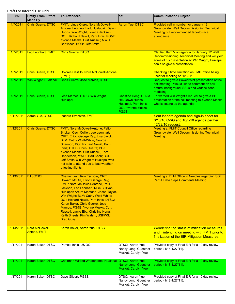| <b>Date</b> | <b>Entity From/ Effort</b><br><b>Made By</b> | <b>To/Attendees</b>                                                                                                                                                                                                                                                                                                                                                                                                                                       | CC:                                                                                                    | <b>Communication Subject</b>                                                                                                                                                            |
|-------------|----------------------------------------------|-----------------------------------------------------------------------------------------------------------------------------------------------------------------------------------------------------------------------------------------------------------------------------------------------------------------------------------------------------------------------------------------------------------------------------------------------------------|--------------------------------------------------------------------------------------------------------|-----------------------------------------------------------------------------------------------------------------------------------------------------------------------------------------|
| 1/7/2011    | Chris Guerre, DTSC                           | FMIT: Linda Otero, Nora McDowell-<br>Antone, Leo Leonhart; Hualapai: Dawn<br>Hubbs, Win Wright, Loretta Jackson;<br>DOI: Richard Newill, Pam Innis; PG&E:<br>Yvonne Meeks, Curt Russell; MWD:<br>Bart Koch; BOR: Jeff Smith                                                                                                                                                                                                                               | <b>Aaron Yue, DTSC</b>                                                                                 | Provided call in number for January 12<br><b>Groundwater Well Decommissioning Technical</b><br>Meeting but recommended face-to-face<br>attendance.                                      |
| 1/7/2011    | Leo Leonhart, FMIT                           | <b>Chris Guerre, DTSC</b>                                                                                                                                                                                                                                                                                                                                                                                                                                 |                                                                                                        | Clarified Item V on agenda for January 12 Well<br>Decommissioning Technical Meeting and will yield<br>some of his presentation so Win Wright, Hualapai<br>can also give a presentation. |
| 1/7/2011    | <b>Chris Guerre, DTSC</b>                    | Dolores Castillo, Nora McDowell-Antone<br>(FMIT)                                                                                                                                                                                                                                                                                                                                                                                                          |                                                                                                        | Checking if time limitation on FMIT office being<br>used for meeting on 1/12/11.                                                                                                        |
| 1/7/2011    | Win Wright, Hualapai                         | Chris Guerre, Jose Marcos, DTSC                                                                                                                                                                                                                                                                                                                                                                                                                           |                                                                                                        | Request to give a PowerPoint presentation at the<br>soil meeting. Would like to comment on soil<br>natural background, SSLs and vadose zone<br>modeling.                                |
| 1/7/2011    | Chris Guerre, DTSC                           | Jose Marcos, DTSC, Win Wright,<br>Hualapai                                                                                                                                                                                                                                                                                                                                                                                                                | <b>Christine Hong, CH2M</b><br>Hill, Dawn Hubbs,<br>Hualapai, Pam Innis,<br>DOI, Yvonne Meeks,<br>PG&E | Forwarded Win Wright's request to give a PP<br>presentation at the soil meeting to Yvonne Meeks<br>who is setting up the agenda.                                                        |
| 1/11/2011   | <b>Aaron Yue, DTSC</b>                       | <b>Isadora Evanston, FMIT</b>                                                                                                                                                                                                                                                                                                                                                                                                                             |                                                                                                        | Sent Isadora agenda and sign-in sheet for<br>6/16/10 CWG and 10/5/10 agenda per her<br>12/22/10 request.                                                                                |
| 1/12/2011   | <b>Chris Guerre, DTSC</b>                    | FMIT: Nora McDowell-Antone, Felton<br>Bricker, Cecil Collier, Leo Leonhart;<br><b>CRIT: Elliott George Ray, Lisa Swick;</b><br><b>BLM: Cathy Wolff-White, George</b><br>Shannon; DOI: Richard Newill, Pam<br>Innis; DTSC: Chris Guerre; PG&E:<br><b>Yvonne Meeks, Curt Russell, Tom</b><br>Henderson, MWD: Bart Koch; BOR:<br>Jeff Smith Win Wright of Hualapai was<br>not able to attend due to bad weather<br>affecting flights.                        |                                                                                                        | <b>Meeting at FMIT Council Office regarding</b><br><b>Groundwater Well Decommissioning Technical</b><br>Meeting.                                                                        |
| 1/13/2011   | <b>DTSC/DOI</b>                              | Chemehuevi: Ron Escobar; CRIT:<br><b>Howard McGill, Elliott George Ray;</b><br>FMIT: Nora McDowell-Antone, Paul<br>Jackson, Leo Leonhart, Mike Sullivan;<br>Hualapai; Arturo Montana, Jacob Taylor,<br>Win Wright; BLM: Cathy Wolff-White;<br>DOI: Richard Newill, Pam Innis; DTSC:<br>Karen Baker, Chris Guerre, Jose<br>Marcos; PG&E: Yvonne Meeks, Curt<br>Russell, Jamie Eby, Christina Hong,<br>Keith Sheets, Kim Walsh; USFWS:<br><b>Brad Guay.</b> |                                                                                                        | Meeting at BLM Office in Needles regarding Soil<br><b>Part A Data Gaps Comments Meeting</b>                                                                                             |
| 1/14/2011   | Nora McDowell-<br><b>Antone, FMIT</b>        | Karen Baker, Aaron Yue, DTSC                                                                                                                                                                                                                                                                                                                                                                                                                              |                                                                                                        | Wondering the status of mitigation measures<br>and if intending on meeting with FMIT prior to<br>finalization of the EIR Mitigation Measures.                                           |
| 1/17/2011   | Karen Baker, DTSC                            | Pamela Innis, US DOI                                                                                                                                                                                                                                                                                                                                                                                                                                      | DTSC: Aaron Yue,<br>Nancy Long, Guenther<br>Moskat, Carolyn Yee                                        | Provided copy of Final EIR for a 10 day review<br>period (1/18-1/27/11).                                                                                                                |
| 1/17/2011   | Karen Baker, DTSC                            | Chairman Wilfred Whatoname, Hualapai DTSC: Aaron Yue,                                                                                                                                                                                                                                                                                                                                                                                                     | <b>Nancy Long, Guenther</b><br>Moskat, Carolyn Yee                                                     | Provided copy of Final EIR for a 10 day review<br>period (1/18-1/27/11).                                                                                                                |
| 1/17/2011   | Karen Baker, DTSC                            | Dave Gilbert, PG&E                                                                                                                                                                                                                                                                                                                                                                                                                                        | DTSC: Aaron Yue,<br>Nancy Long, Guenther<br>Moskat, Carolyn Yee                                        | Provided copy of Final EIR for a 10 day review<br>period (1/18-1/27/11).                                                                                                                |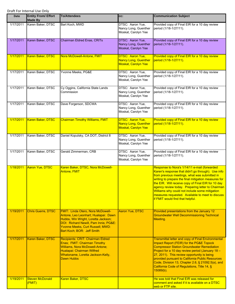| Date      | <b>Entity From/ Effort</b><br><b>Made By</b> | <b>To/Attendees</b>                                                                                                                                                                                                                | CC:                                                                           | <b>Communication Subject</b>                                                                                                                                                                                                                                                                                                                                                                                                                                     |
|-----------|----------------------------------------------|------------------------------------------------------------------------------------------------------------------------------------------------------------------------------------------------------------------------------------|-------------------------------------------------------------------------------|------------------------------------------------------------------------------------------------------------------------------------------------------------------------------------------------------------------------------------------------------------------------------------------------------------------------------------------------------------------------------------------------------------------------------------------------------------------|
| 1/17/2011 | Karen Baker, DTSC                            | Bart Koch, MWD                                                                                                                                                                                                                     | DTSC: Aaron Yue,<br>Nancy Long, Guenther<br>Moskat, Carolyn Yee               | Provided copy of Final EIR for a 10 day review<br>period (1/18-1/27/11).                                                                                                                                                                                                                                                                                                                                                                                         |
| 1/17/2011 | Karen Baker, DTSC                            | Chairman Eldred Enas, CRITs                                                                                                                                                                                                        | DTSC: Aaron Yue,<br>Nancy Long, Guenther<br>Moskat, Carolyn Yee               | Provided copy of Final EIR for a 10 day review<br>period (1/18-1/27/11).                                                                                                                                                                                                                                                                                                                                                                                         |
| 1/17/2011 | Karen Baker, DTSC                            | Nora McDowell-Antone, FMIT                                                                                                                                                                                                         | DTSC: Aaron Yue,<br><b>Nancy Long, Guenther</b><br><b>Moskat, Carolyn Yee</b> | Provided copy of Final EIR for a 10 day review<br>period (1/18-1/27/11).                                                                                                                                                                                                                                                                                                                                                                                         |
| 1/17/2011 | Karen Baker, DTSC                            | Yvonne Meeks, PG&E                                                                                                                                                                                                                 | DTSC: Aaron Yue,<br>Nancy Long, Guenther<br>Moskat, Carolyn Yee               | Provided copy of Final EIR for a 10 day review<br>period (1/18-1/27/11).                                                                                                                                                                                                                                                                                                                                                                                         |
| 1/17/2011 | Karen Baker, DTSC                            | Cy Oggins, California State Lands<br>Commission                                                                                                                                                                                    | DTSC: Aaron Yue,<br>Nancy Long, Guenther<br>Moskat, Carolyn Yee               | Provided copy of Final EIR for a 10 day review<br>period (1/18-1/27/11).                                                                                                                                                                                                                                                                                                                                                                                         |
| 1/17/2011 | Karen Baker, DTSC                            | Dave Forgerson, SDCWA                                                                                                                                                                                                              | DTSC: Aaron Yue,<br>Nancy Long, Guenther<br>Moskat, Carolyn Yee               | Provided copy of Final EIR for a 10 day review<br>period (1/18-1/27/11).                                                                                                                                                                                                                                                                                                                                                                                         |
| 1/17/2011 | Karen Baker, DTSC                            | <b>Chairman Timothy Williams, FMIT</b>                                                                                                                                                                                             | DTSC: Aaron Yue,<br><b>Nancy Long, Guenther</b><br><b>Moskat, Carolyn Yee</b> | Provided copy of Final EIR for a 10 day review<br>period (1/18-1/27/11).                                                                                                                                                                                                                                                                                                                                                                                         |
| 1/17/2011 | Karen Baker, DTSC                            | Daniel Kopulsky, CA DOT, District 8                                                                                                                                                                                                | DTSC: Aaron Yue,<br>Nancy Long, Guenther<br>Moskat, Carolyn Yee               | Provided copy of Final EIR for a 10 day review<br>period (1/18-1/27/11).                                                                                                                                                                                                                                                                                                                                                                                         |
| 1/17/2011 | Karen Baker, DTSC                            | Gerald Zimmerman, CRB                                                                                                                                                                                                              | DTSC: Aaron Yue,<br>Nancy Long, Guenther<br>Moskat, Carolyn Yee               | Provided copy of Final EIR for a 10 day review<br>period (1/18-1/27/11).                                                                                                                                                                                                                                                                                                                                                                                         |
| 1/18/2011 | Aaron Yue, DTSC                              | Karen Baker, DTSC, Nora McDowell-<br><b>Antone, FMIT</b>                                                                                                                                                                           |                                                                               | Response to Nora's 1/14/11 e-mail (forwarded<br>Karen's response that didn't go through). Use info<br>from previous meetings, what was submitted in<br>writing to prepare the final mitigation measures for<br>the EIR. Will receive copy of Final EIR for 10 day<br>agency review today. Preparing letter to Chairman<br>Williams why could not include some mitigation<br>measures requested. Available to meet to discuss<br>if FMIT would find that helpful. |
| 1/19/2011 | <b>Chris Guerre, DTSC</b>                    | <b>FMIT: Linda Otero, Nora McDowell-</b><br>Antone, Leo Leonhart; Hualapai: Dawn<br>Hubbs, Win Wright, Loretta Jackson;<br>DOI: Richard Newill, Pam Innis; PG&E:<br>Yvonne Meeks, Curt Russell; MWD:<br>Bart Koch; BOR: Jeff Smith | <b>Aaron Yue, DTSC</b>                                                        | Provided presentations from the January 12<br><b>Groundwater Well Decommissioning Technical</b><br>Meeting.                                                                                                                                                                                                                                                                                                                                                      |
| 1/17/2011 | Karen Baker, DTSC                            | Recipients: CRIT: Chairman Eldred<br>Enas; FMIT: Chairman Timothy<br>Williams, Nora McDowell-Antone;<br>Hualapai: Chairman Wilfred<br>Whatoname, Loretta Jackson-Kelly,<br><b>Dawn Hubbs</b>                                       |                                                                               | <b>Transmittal letter and copy of Final Environmental</b><br>Impact Report (FEIR) for the PG&E Topock<br><b>Compressor Station Groundwater Remediation</b><br>Project for a 10 day review period (January 18 -<br>27, 2011). This review opportunity is being<br>provided pursuant to California Public Resources<br>Code, Division 13, Chapter 2.6, § 21092.5(a), and<br>California Code of Regulations, Title 14, §<br>$15089(b)$ .                            |
| 1/19/2011 | <b>Steven McDonald</b><br>(FMIT)             | Karen Baker, DTSC                                                                                                                                                                                                                  |                                                                               | He was told that Final EIR was released for<br>comment and asked if it is available on a DTSC<br>web or FTP site.                                                                                                                                                                                                                                                                                                                                                |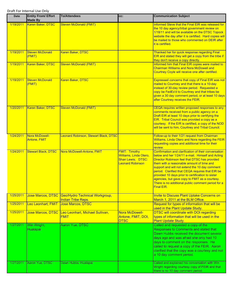| <b>Date</b> | <b>Entity From/ Effort</b><br><b>Made By</b> | <b>To/Attendees</b>                                                           | CC:                                                                                            | <b>Communication Subject</b>                                                                                                                                                                                                                                                                                                                                                                                                                                                                   |
|-------------|----------------------------------------------|-------------------------------------------------------------------------------|------------------------------------------------------------------------------------------------|------------------------------------------------------------------------------------------------------------------------------------------------------------------------------------------------------------------------------------------------------------------------------------------------------------------------------------------------------------------------------------------------------------------------------------------------------------------------------------------------|
| 1/19/2011   | Karen Baker, DTSC                            | <b>Steven McDonald (FMIT)</b>                                                 |                                                                                                | Informed Steve that the Final EIR was released for<br>the 10 day agency/tribal government review on<br>1/18/11 and will be available on the DTSC Topock<br>website the day after it is certified. Hard copies will<br>be mailed to those who commented on DEIR after<br>it is certified.                                                                                                                                                                                                       |
| 1/19/2011   | <b>Steven McDonald</b><br>(FMIT)             | Karen Baker, DTSC                                                             |                                                                                                | Thanked her for quick response regarding Final<br>EIR and stated they will get a copy from the tribe if<br>they don't receive a copy directly.                                                                                                                                                                                                                                                                                                                                                 |
| 1/19/2011   | Karen Baker, DTSC                            | <b>Steven McDonald (FMIT)</b>                                                 |                                                                                                | Informed him that Final EIR copies were mailed to<br><b>Chairman Williams and Nora McDowell and</b><br>Courtney Coyle will receive one after certified.                                                                                                                                                                                                                                                                                                                                        |
| 1/19/2011   | <b>Steven McDonald</b><br>(FMIT)             | Karen Baker, DTSC                                                             |                                                                                                | Expressed concerns that copy of Final EIR was not<br>mailed to Courtney and that there is a 10-day<br>instead of 30-day review period. Requested a<br>copy be FedEx'd to Courtney and that tribes be<br>given a 30 day comment period, or at least 10 days<br>after Courtney receives the FEIR.                                                                                                                                                                                                |
| 1/20/2011   | Karen Baker, DTSC                            | <b>Steven McDonald (FMIT)</b>                                                 |                                                                                                | CEQA requires written proposed responses to any<br>comments received from a public agency on a<br>Draft EIR at least 10 days prior to certifying the<br>EIR. Tribal Council was provided a copy as a<br>courtesy. If the EIR is certified, a copy of the NOD<br>will be sent to him, Courtney and Tribal Council.                                                                                                                                                                              |
| 1/24/2011   | Nora McDowell-<br><b>Antone, FMIT</b>        | Leonard Robinson, Stewart Black, DTSC                                         |                                                                                                | Follow-up to their 1/21 request from Chairman<br>Williams, Linda Otero and Nora regarding the FEIR<br>requesting copies and additional time for their<br>review.                                                                                                                                                                                                                                                                                                                               |
| 1/24/2011   | <b>Stewart Black, DTSC</b>                   | Nora McDowell-Antone, FMIT                                                    | <b>FMIT: Timothy</b><br>Williams, Linda Otero,<br>Shan Lewis; DTSC:<br><b>Leonard Robinson</b> | Confirmation and clarification of their conversation<br>below and her 1/24/11 e-mail. Himself and Acting<br>Director Robinson feel that DTSC has provided<br>them with a reasonable amount of time and<br>support and will not extend the 10 day comment<br>period. Clarified that CEQA requires that EIR be<br>provided 10 days prior to certification to sister<br>agencies, but gave copy to FMIT as a courtesy.<br>There is no additional public comment period for a<br><b>Final EIR.</b> |
| 1/25/2011   |                                              | Jose Marcos, DTSC Geo/Hydro Technical Workgroup,<br><b>Indian Tribe Reps.</b> |                                                                                                | Invite to Discuss Plant Uptake Concerns on<br>March 1, 2011 at the BLM Office.                                                                                                                                                                                                                                                                                                                                                                                                                 |
| 1/25/2011   | Leo Leonhart, FMIT                           | <b>Jose Marcos, DTSC</b>                                                      |                                                                                                | Request for types of information that will be<br>used in the Plant Update Study.                                                                                                                                                                                                                                                                                                                                                                                                               |
| 1/25/2011   | <b>Jose Marcos, DTSC</b>                     | Leo Leonhart, Michael Sullivan,<br><b>FMIT</b>                                | Nora McDowell-<br>Antone, FMIT, DOI,<br><b>DTSC</b>                                            | <b>DTSC will coordinate with DOI regarding</b><br>types of information that will be used in the<br><b>Plant Update Study.</b>                                                                                                                                                                                                                                                                                                                                                                  |
| 1/27/2011   | Win Wright,<br>Hualapai                      | Aaron Yue, DTSC                                                               |                                                                                                | Called and requested a copy of the<br>Responses to Comments and stated that<br>Dawn Hubbs received the document several<br>days ago and was afraid she only had 10<br>days to comment on the responses. He<br>called to request a copy of the FEIR. Aaron<br>clarified that the copy was a courtesy and not<br>a 10 day comment period.                                                                                                                                                        |
| 1/27/2011   | Aaron Yue, DTSC                              | Dawn Hubbs, Hualapai                                                          |                                                                                                | Called and explained his conversation with Win<br>Wright regarding courtesy copy of FEIR and that<br>there is no 10 day comment period.                                                                                                                                                                                                                                                                                                                                                        |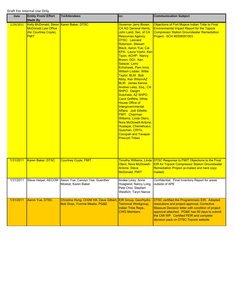| Date      | <b>Entity From/ Effort</b><br><b>Made By</b>                                                                  | <b>To/Attendees</b>                                                                           | CC:                                                                                                                                                                                                                                                                                                                                                                                                                                                                                                                                                                                                                                                                                                                                                                             | <b>Communication Subject</b>                                                                                                                                                                                                                                                                  |
|-----------|---------------------------------------------------------------------------------------------------------------|-----------------------------------------------------------------------------------------------|---------------------------------------------------------------------------------------------------------------------------------------------------------------------------------------------------------------------------------------------------------------------------------------------------------------------------------------------------------------------------------------------------------------------------------------------------------------------------------------------------------------------------------------------------------------------------------------------------------------------------------------------------------------------------------------------------------------------------------------------------------------------------------|-----------------------------------------------------------------------------------------------------------------------------------------------------------------------------------------------------------------------------------------------------------------------------------------------|
| 1/29/2011 | Kelly McDonald, Steve Karen Baker, DTSC<br><b>McDonald Law Office</b><br>(for Courtney Coyle),<br><b>FMIT</b> |                                                                                               | Governor Jerry Brown,<br><b>CA AG General Harris,</b><br>John Laird, Sec. of CA<br><b>Resources Agency;</b><br><b>DTSC: Leonard</b><br>Robinson, Stewart<br><b>Black, Aaron Yue; Cal</b><br>EPA: Laura Yoshii, Ken<br>Tipon; ACHP: Nancy<br>Brown; DOI: Ken<br>Salazar, Larry<br>Echohawk, Pam Innis,<br><b>William Lodder, Willie</b><br>Taylor; BLM: Bob<br>Abby, Ken WilsonAZ<br><b>BLM: James Kenna;</b><br>Andrea Leisy, Esq.; CA<br><b>SHPO: Dwight</b><br>Dutchske; AZ SHPO:<br><b>Carol Griffiths; White</b><br><b>House Office of</b><br>Intergovernmental<br>Affairs: Jodi Gillette;<br><b>FMIT: Chairman</b><br>Williams, Linda Otero,<br>Nora McDowell-Antone:<br>Hualapai, Chemehuevi,<br>Quechan, CRITs,<br><b>Cocopah and Yavapai-</b><br><b>Prescott Tribes</b> | Objections of Fort Mojave Indian Tribe to Final<br><b>Environmental Impact Report for the Topock</b><br><b>Compressor Station Groundwater Remediation</b><br>Project - SCH #2008051003                                                                                                        |
| 1/31/2011 | <b>Karen Baker, DTSC</b>                                                                                      | <b>Courtney Coyle, FMIT</b>                                                                   | Otero, Nora McDowell-<br><b>Antone, Steve</b><br>McDonald, FMIT                                                                                                                                                                                                                                                                                                                                                                                                                                                                                                                                                                                                                                                                                                                 | Timothy Williams, Linda DTSC Response to FMIT Objections to the Final<br><b>EIR for Topock Compressor Station Groundwater</b><br>Remediation Project (e-mailed and hard copy<br>mailed)                                                                                                       |
| 1/31/2011 |                                                                                                               | Steve Heipel, AECOM Aaron Yue; Carolyn Yee; Guenther<br>Moskat; Karen Baker                   | Andee Leisy; Anne<br>Hoagland; Nancy Long;<br>Pete Choi; Stephen<br>Weidlich; Taryn Nance                                                                                                                                                                                                                                                                                                                                                                                                                                                                                                                                                                                                                                                                                       | Confidential: Final Inventory Report for areas<br>outside of APE                                                                                                                                                                                                                              |
| 1/31/2011 | Aaron Yue, DTSC                                                                                               | Christina Hong, CH2M Hill, Dave Gilbert, EIR Group, Geo/Hydro<br>Bob Doss, Yvonne Meeks, PG&E | <b>Technical Workgroup,</b><br><b>Indian Tribe Reps.,</b><br><b>CWG Members</b>                                                                                                                                                                                                                                                                                                                                                                                                                                                                                                                                                                                                                                                                                                 | DTSC certified the Programmatic EIR. Adopted<br>resolutions and project approval, Corrective<br><b>Measure Decision letter with condition of project</b><br>approval attached. PG&E has 90 days to submit<br>the CMI WP. Certified FEIR and complete<br>decision pack on DTSC-Topock website. |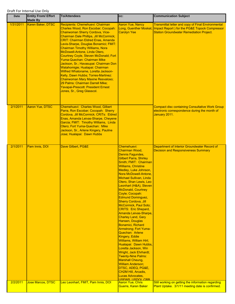| <b>Date</b> | <b>Entity From/ Effort</b><br><b>Made By</b> | <b>To/Attendees</b>                                                                                                                                                                                                                                                                                                                                                                                                                                                                                                                                                                                                                                                                                           | CC:                                                                                                                                                                                                                                                                                                                                                                                                                                                                                                                                                                                                                                                                                                                                                                                                                                                                                             | <b>Communication Subject</b>                                                                                                                                                          |
|-------------|----------------------------------------------|---------------------------------------------------------------------------------------------------------------------------------------------------------------------------------------------------------------------------------------------------------------------------------------------------------------------------------------------------------------------------------------------------------------------------------------------------------------------------------------------------------------------------------------------------------------------------------------------------------------------------------------------------------------------------------------------------------------|-------------------------------------------------------------------------------------------------------------------------------------------------------------------------------------------------------------------------------------------------------------------------------------------------------------------------------------------------------------------------------------------------------------------------------------------------------------------------------------------------------------------------------------------------------------------------------------------------------------------------------------------------------------------------------------------------------------------------------------------------------------------------------------------------------------------------------------------------------------------------------------------------|---------------------------------------------------------------------------------------------------------------------------------------------------------------------------------------|
| 1/31/2011   | Karen Baker, DTSC                            | Recipients: Chemehuevi: Chairman<br>Charles Wood, Ron Escobar; Cocopah:<br>Chairwoman Sherry Cordova, Vice-<br>Chairman Dale Phillips, Jill McCormick;<br><b>CRIT: Chairman Eldred Enas, Amanda</b><br>Levis-Sharpe, Douglas Bonamici; FMIT:<br><b>Chairman Timothy Williams, Nora</b><br>McDowell-Antone, Linda Otero,<br>Courtney Coyle, Steven McDonald; Fort<br>Yuma-Quechan: Chairman Mike<br>Jackson, Sr.; Havasupai: Chairman Don<br>Watahomigie; Hualapai: Chairman<br>Wilfred Whatoname, Loretta Jackson-<br>Kelly, Dawn Hubbs; Torres-Martinez:<br><b>Chairwoman Mary Maxine Resvaloso;</b><br>29 Palms: Chairman Darrell Mike;<br>Yavapai-Prescott: President Ernest<br>Jones, Sr., Greg Glasscol. | <b>Aaron Yue, Nancy</b><br><b>Carolyn Yee</b>                                                                                                                                                                                                                                                                                                                                                                                                                                                                                                                                                                                                                                                                                                                                                                                                                                                   | <b>Transmittal letter and copy of Final Environmental</b><br>Long, Guenther Moskat, Impact Report ) for the PG&E Topock Compressor<br><b>Station Groundwater Remediation Project.</b> |
| 2/1/2011    | <b>Aaron Yue, DTSC</b>                       | Chemehuevi: Charles Wood, Gilbert<br>Parra, Ron Escobar; Cocopah: Sherry<br>Cordova, Jill McCormick; CRITs: Eldred<br>Enas, Amanda Leivas-Sharpe, Cheyene<br>Garcia; FMIT: Timothy Williams, Linda<br>Otero; Fort Yuma-Quechan: Mike<br>Jackson, Sr., Arlene Kingery, Pauline<br>Jose; Hualapai: Dawn Hubbs                                                                                                                                                                                                                                                                                                                                                                                                   |                                                                                                                                                                                                                                                                                                                                                                                                                                                                                                                                                                                                                                                                                                                                                                                                                                                                                                 | <b>Compact disc containing Consultative Work Group</b><br>electronic correspondence during the month of<br>January 2011.                                                              |
| 2/1/2011    | Pam Innis, DOI                               | Dave Gilbert, PG&E                                                                                                                                                                                                                                                                                                                                                                                                                                                                                                                                                                                                                                                                                            | Chemehuevi:<br>Chairman Wood,<br>Dennis Fagundes,<br><b>Gilbert Parra, Shirley</b><br>Smith; FMIT: Chairman<br><b>Williams, Christine</b><br>Medley, Luke Johnson,<br>Nora McDowell-Antone,<br><b>Michael Sullivan, Linda</b><br>Otero, Shan Lewis, Leo<br>Leonhart (H&A), Steven<br><b>McDonald, Courtney</b><br>Coyle; Cocopah:<br>Edmund Dominguez,<br><b>Sherry Cordova, Jill</b><br>McCormick, Paul Soto;<br><b>CRITS: Eric Shepard,</b><br>Amanda Leivas-Sharpe,<br><b>Charley Land, Gary</b><br>Hansen, Douglas<br>Bonamici, Richard<br>Armstrong; Fort Yuma-<br>Quechan: Arlene<br>Kingery, Eddie<br><b>Williams, William Hirt;</b><br>Hualapai: Dawn Hubbs,<br>Loretta Jackson, Win<br>Wright, Jack Ehrhardt;<br><b>Twenty-Nine Palms:</b><br>Marshall Cheung,<br><b>William Anderson;</b><br>DTSC, ADEQ, PG&E,<br>CH2M Hill, Arcadis,<br>Lucas Advocates,<br><b>LISEWS LISDOL CRR</b> | Department of Interior Groundwater Record of<br><b>Decision and Responsiveness Summary</b>                                                                                            |
| 2/2/2011    | <b>Jose Marcos, DTSC</b>                     | Leo Leonhart, FMIT, Pam Innis, DOI                                                                                                                                                                                                                                                                                                                                                                                                                                                                                                                                                                                                                                                                            | <b>Aaron Yue, Chris</b><br>Guerre, Karen Baker                                                                                                                                                                                                                                                                                                                                                                                                                                                                                                                                                                                                                                                                                                                                                                                                                                                  | Still working on getting the information regarding<br>Plant Uptake. 3/1/11 meeting date is confirmed.                                                                                 |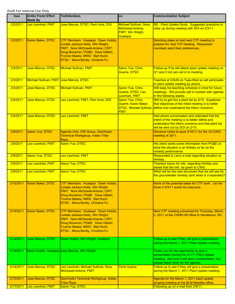| <b>Date</b> | <b>Entity From/ Effort</b><br><b>Made By</b> | <b>To/Attendees</b>                                                                                                                                                                                                            | cc:                                                                                | <b>Communication Subject</b>                                                                                                                                                               |
|-------------|----------------------------------------------|--------------------------------------------------------------------------------------------------------------------------------------------------------------------------------------------------------------------------------|------------------------------------------------------------------------------------|--------------------------------------------------------------------------------------------------------------------------------------------------------------------------------------------|
| 2/2/2011    | Leo Leonhart, FMIT                           | Jose Marcos, DTSC, Pam Innis, DOI                                                                                                                                                                                              | Michael Sullivan, Nora<br>McDowell-Antone,<br><b>FMIT, Win Wright,</b><br>Hualapai | RE: Plant Uptake Study. Suggested questions to<br>clear up during meeting with DOI on 2/3/11.                                                                                              |
| 2/2/2011    | Karen Baker, DTSC                            | CTF Members: Hualapai: Dawn Hubbs,<br>Loretta Jackson-Kelly, Win Wright;<br>FMIT: Nora McDowell-Antone; CRIT:<br>Doug Bonamici; PG&E: Dave Gilbert,<br>Yvonne Meeks; MWD: Bart Koch;<br><b>DTSC: Mona Bontty, Christina Fu</b> |                                                                                    | Soliciting dates to hold next CTF meeting to<br>prepare for next TLP meeting. Requested<br>members send their preferences.                                                                 |
| 2/3/2011    | <b>Jose Marcos, DTSC</b>                     | <b>Michael Sullivan, FMIT</b>                                                                                                                                                                                                  | <b>Aaron Yue, Chris</b><br>Guerre, DTSC                                            | Follow-up if he will attend plant uptake meeting on<br>3/1 and if not can call in to meeting.                                                                                              |
| 2/3/2011    | Michael Sullivan, FMIT Jose Marcos, DTSC     |                                                                                                                                                                                                                                |                                                                                    | Teaches at CSUN on Tues-Wed so will participate<br>in plant uptake meeting by phone.                                                                                                       |
| 2/3/2011    | Jose Marcos, DTSC                            | <b>Michael Sullivan, FMIT</b>                                                                                                                                                                                                  | <b>Aaron Yue, Chris</b><br>Guerre, DTSC; Leo<br>Leonhart, FMIT                     | Will keep his teaching schedule in mind for future<br>meetings. Will provide call in number with agenda<br>in the following weeks.                                                         |
| 2/4/2011    | <b>Jose Marcos, DTSC</b>                     | Leo Leonhart, FMIT, Pam Innis, DOI                                                                                                                                                                                             | <b>Aaron Yue, Chris</b><br>Guerre, Karen Baker,<br><b>FMIT</b>                     | Will try to get him a plant list by 2/15. Explained<br>that objectives of the initial meeting is to better<br>DTSC, Michael Sullivan, define and understand the tribe's concerns.          |
| 2/4/2011    | <b>Jose Marcos, DTSC</b>                     | Leo Leonhart, FMIT                                                                                                                                                                                                             |                                                                                    | Had phone conversation and reiterated that the<br>intent of the meeting is to better define and<br>understand the tribe's concerns and that plant list<br>will be sent out by DOI on 2/15. |
| 2/8/2011    | <b>Aaron Yue, DTSC</b>                       | Agenda Only, EIR Group, Geo/Hydro<br><b>Technical Workgroup, Indian Tribe</b><br>Reps.                                                                                                                                         |                                                                                    | Advance notice to save 3/16/11 for the 1st CWG<br>meeting of 2011.                                                                                                                         |
| 2/8/2011    | Leo Leonhart, FMIT                           | <b>Aaron Yue, DTSC</b>                                                                                                                                                                                                         |                                                                                    | His client wants some information from PG&E on<br>what the situation is at Hinkley so far as the<br>remedy performance.                                                                    |
| 2/8/2011    | <b>Aaron Yue, DTSC</b>                       | Leo Leonhart, FMIT                                                                                                                                                                                                             |                                                                                    | Responded to Leo's e-mail regarding situation at<br>Hinkley.                                                                                                                               |
| 2/8/2011    | Leo Leonhart, FMIT                           | <b>Aaron Yue, DTSC</b>                                                                                                                                                                                                         |                                                                                    | Thanked Aaron for info. regarding Hinkley and<br>asked that the info. be given to CWG.                                                                                                     |
| 2/9/2011    | Leo Leonhart, FMIT                           | <b>Aaron Yue, DTSC</b>                                                                                                                                                                                                         |                                                                                    | What will be the next document that we will see for<br>the groundwater remedy (and when is it expected)?                                                                                   |
| 2/10/2011   | Karen Baker, DTSC                            | CTF Members: Hualapai: Dawn Hubbs,<br>Loretta Jackson-Kelly, Win Wright;<br>FMIT: Nora McDowell-Antone; CRIT:<br>Doug Bonamici; PG&E: Dave Gilbert,<br>Yvonne Meeks; MWD: Bart Koch;<br><b>DTSC: Mona Bontty, Christina Fu</b> |                                                                                    | None of the potential dates for CTF work. Let her<br>know if 3/3/11 works for everyone.                                                                                                    |
| 2/14/2011   | Karen Baker, DTSC                            | CTF Members: Hualapai: Dawn Hubbs,<br>Loretta Jackson-Kelly, Win Wright;<br>FMIT: Nora McDowell-Antone; CRIT:<br>Doug Bonamici; PG&E: Dave Gilbert,<br>Yvonne Meeks; MWD: Bart Koch;<br><b>DTSC: Mona Bontty, Christina Fu</b> |                                                                                    | Next CTF meeting scheduled for Thursday, March<br>3, 2011 at the CH2M Hill office in Henderson, NV.                                                                                        |
| 2/14/2011   | Jose Marcos, DTSC                            | Dawn Hubbs, Win Wright, Hualapai                                                                                                                                                                                               |                                                                                    | Follow-up to see if they will give a presentation<br>during the March 1, 2011 Plant Uptake meeting.                                                                                        |
| 2/14/2011   |                                              | Dawn Hubbs, Hualapai Jose Marcos, Win Wright                                                                                                                                                                                   |                                                                                    | Thank you for the opportunity to give a<br>presentation during the 3/1/11 Plant Uptake<br>meeting. Not sure if will give a presentation, but<br>please leave room on the agenda.           |
| 2/14/2011   | Jose Marcos, DTSC                            | Leo Leonhart, Michael Sullivan, Nora<br>McDowell-Antone, FMIT                                                                                                                                                                  | <b>Chris Guerre</b>                                                                | Follow-up to see if they will give a presentation<br>during the March 1, 2011 Plant Uptake meeting.                                                                                        |
| 2/15/2011   | <b>Jose Marcos, DTSC</b>                     | Geo/Hydro Technical Workgroup, Indian<br><b>Tribe Reps.</b>                                                                                                                                                                    |                                                                                    | Agenda for the March 1, 2011 plant update<br>scoping meeting at the BLM Needles office.                                                                                                    |
| 2/17/2011   | Leo Leonhart, FMIT                           | <b>Aaron Yue, DTSC</b>                                                                                                                                                                                                         |                                                                                    | Following up on e-mail from 2/9/11.                                                                                                                                                        |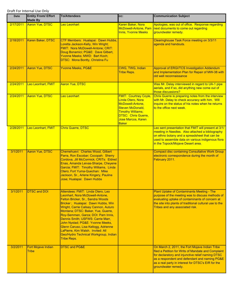| Date      | <b>Entity From/ Effort</b><br><b>Made By</b> | <b>To/Attendees</b>                                                                                                                                                                                                                                                                                                                                                                                                                                                                       | CC:                                                                                                                                                                               | <b>Communication Subject</b>                                                                                                                                                                                                                                                             |
|-----------|----------------------------------------------|-------------------------------------------------------------------------------------------------------------------------------------------------------------------------------------------------------------------------------------------------------------------------------------------------------------------------------------------------------------------------------------------------------------------------------------------------------------------------------------------|-----------------------------------------------------------------------------------------------------------------------------------------------------------------------------------|------------------------------------------------------------------------------------------------------------------------------------------------------------------------------------------------------------------------------------------------------------------------------------------|
| 2/17/2011 | Aaron Yue, DTSC                              | <b>Leo Leonhart</b>                                                                                                                                                                                                                                                                                                                                                                                                                                                                       | Karen Baker, Nora<br>McDowell-Antone, Pam<br><b>Innis, Yvonne Meeks</b>                                                                                                           | Apologies, was out of office. Response regarding<br>next documents to come out regarding<br>groundwater remedy.                                                                                                                                                                          |
| 2/18/2011 | Karen Baker, DTSC                            | CTF Members: Hualapai: Dawn Hubbs,<br>Loretta Jackson-Kelly, Win Wright;<br>FMIT: Nora McDowell-Antone; CRIT:<br>Doug Bonamici; PG&E: Dave Gilbert,<br>Yvonne Meeks; MWD: Bart Koch;<br>DTSC: Mona Bontty, Christina Fu                                                                                                                                                                                                                                                                   |                                                                                                                                                                                   | Clearinghouse Task Force meeting on 3/3/11<br>agenda and handouts.                                                                                                                                                                                                                       |
| 2/24/2011 | Aaron Yue, DTSC                              | <b>Yvonne Meeks, PG&amp;E</b>                                                                                                                                                                                                                                                                                                                                                                                                                                                             | CWG, TWG, Indian<br><b>Tribe Reps.</b>                                                                                                                                            | <b>Approval of ERGI/TCS Investigation Addendum</b><br>and Implementation Plan for Repair of MW-38 with<br>old well reconnaissance                                                                                                                                                        |
| 2/24/2011 | Leo Leonhart, FMIT                           | <b>Aaron Yue, DTSC</b>                                                                                                                                                                                                                                                                                                                                                                                                                                                                    |                                                                                                                                                                                   | Was Mr. Delay interviewed in regard to UA-1 pipe<br>aerials, and if so, did anything new come out of<br>those discussions?                                                                                                                                                               |
| 2/24/2011 | <b>Aaron Yue, DTSC</b>                       | Leo Leonhart                                                                                                                                                                                                                                                                                                                                                                                                                                                                              | <b>FMIT: Courtney Coyle</b><br>Linda Otero, Nora<br>McDowell-Antone,<br>Steven McDonald,<br><b>Timothy Williams;</b><br>DTSC: Chris Guerre,<br>Jose Marcos, Karen<br><b>Baker</b> | Chris Guerre is preparing notes from the interview<br>with Mr. Delay to check accuracy with him. Will<br>inquire on the status of his notes when he returns<br>to the office next week.                                                                                                  |
| 2/28/2011 | Leo Leonhart, FMIT                           | <b>Chris Guerre, DTSC</b>                                                                                                                                                                                                                                                                                                                                                                                                                                                                 |                                                                                                                                                                                   | Leo sent presentation that FMIT will present at 3/1/<br>meeting in Needles. Also attached a bibliography<br>on ethno botany and a spreadsheet that can be<br>used to assemble data on various indigenous flora<br>in the Topock/Mojave Desert area.                                      |
| 3/1/2011  | <b>Aaron Yue, DTSC</b>                       | Chemehuevi: Charles Wood, Gilbert<br>Parra, Ron Escobar; Cocopah: Sherry<br>Cordova, Jill McCormick; CRITs: Eldred<br>Enas, Amanda Leivas-Sharpe, Cheyene<br>Garcia; FMIT: Timothy Williams, Linda<br>Otero; Fort Yuma-Quechan: Mike<br>Jackson, Sr., Arlene Kingery, Pauline<br>Jose; Hualapai: Dawn Hubbs                                                                                                                                                                               |                                                                                                                                                                                   | <b>Compact disc containing Consultative Work Group</b><br>electronic correspondence during the month of<br>February 2011.                                                                                                                                                                |
| 3/1/2011  | <b>DTSC and DOI</b>                          | Attendees: FMIT: Linda Otero, Leo<br>Leonhart, Nora McDowell-Antone,<br>Felton Bricker, Sr., Sandra Woods<br>Bricker; Hualapai: Dawn Hubbs, Win<br>Wright, Carrie Calisay Cannon, Auturo<br>Montana; DTSC: Baker, Yue, Guerre,<br>Roy-Semmen, Garza; DOI: Pam Innis,<br>Dennis Smith; USFWS: Carrie Marr,<br>John Nystad; PG&E: Yvonne Meeks,<br>Glenn Caruso, Lisa Kellogg, Adrienne<br>LaPierre, Kim Walsh. Invited: All<br>Geo/Hydro Technical Workgroup, Indian<br><b>Tribe Reps.</b> |                                                                                                                                                                                   | <b>Plant Uptake of Contaminants Meeting - The</b><br>purpose of the meeting was to discuss methods of<br>evaluating uptake of contaminants of concern at<br>the site into plants of traditional cultural use to the<br>Tribes and any associated risk.                                   |
| 3/2/2011  | Fort Mojave Indian<br>Tribe                  | <b>DTSC and PG&amp;E</b>                                                                                                                                                                                                                                                                                                                                                                                                                                                                  |                                                                                                                                                                                   | On March 2, 2011, the Fort Mojave Indian Tribe<br>filed a Petition for Writs of Mandate and Complaint<br>for declaratory and injunctive relief naming DTSC<br>as a respondent and defendant and naming PG&E<br>as a real party in interest for DTSC's EIR for the<br>groundwater remedy. |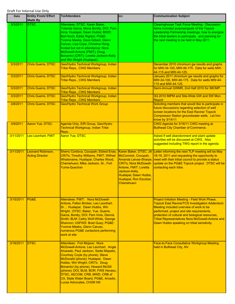| Date      | <b>Entity From/ Effort</b><br><b>Made By</b> | <b>To/Attendees</b>                                                                                                                                                                                                                                                                                                                                                                                                  | CC:                                                                                                                                                                                      | <b>Communication Subject</b>                                                                                                                                                                                                                                                                                                                                |
|-----------|----------------------------------------------|----------------------------------------------------------------------------------------------------------------------------------------------------------------------------------------------------------------------------------------------------------------------------------------------------------------------------------------------------------------------------------------------------------------------|------------------------------------------------------------------------------------------------------------------------------------------------------------------------------------------|-------------------------------------------------------------------------------------------------------------------------------------------------------------------------------------------------------------------------------------------------------------------------------------------------------------------------------------------------------------|
| 3/3/2011  | <b>DTSC</b>                                  | Attendees: DTSC: Karen Baker,<br>Yolanda Garza, Mona Bontty; DOI: Pam<br>Innis; Hualapai: Dawn Hubbs; MWD:<br>Bart Koch, Eddie Rigdon; PG&E:<br>Yvonne Meeks, Dave Gilbert, Glenn<br>Caruso, Lisa Cope, Christina Hong.<br>Invited but not in attendance: Nora<br>McDowell-Antone (FMIT), Doug<br>Bonamici (CRIT); Loretta Jackson-Kelly<br>and Win Wright (Hualapai).                                               |                                                                                                                                                                                          | <b>Clearinghouse Task Force Meeting - Discussion</b><br>items included purpose/goals of the Topock<br>Leadership Partnership meetings, how to energize<br>the tribal leaders to participate, and planning for<br>the next meeting to be held in May 2011.                                                                                                   |
| 3/3/2011  | <b>Chris Guerre, DTSC</b>                    | Geo/Hydro Technical Workgroup, Indian<br><b>Tribe Reps., CWG Members</b>                                                                                                                                                                                                                                                                                                                                             |                                                                                                                                                                                          | December 2010 chromium gw results and graphs<br>for MW-34-100, MW-46-175. Data for wells MW-<br>44-115 and MW-44-125.                                                                                                                                                                                                                                       |
| 3/3/2011  | <b>Chris Guerre, DTSC</b>                    | Geo/Hydro Technical Workgroup, Indian<br><b>Tribe Reps., CWG Members</b>                                                                                                                                                                                                                                                                                                                                             |                                                                                                                                                                                          | January 2011 chromium gw results and graphs for<br>MW-34-100, MW-46-175. Data for wells MW-44-<br>115 and MW-44-125.                                                                                                                                                                                                                                        |
| 3/3/2011  | <b>Chris Guerre, DTSC</b>                    | Geo/Hydro Technical Workgroup, Indian<br><b>Tribe Reps., CWG Members</b>                                                                                                                                                                                                                                                                                                                                             |                                                                                                                                                                                          | Semi-Annual GWMR, 2nd Half 2010 for IMCMP.                                                                                                                                                                                                                                                                                                                  |
| 3/3/2011  | <b>Chris Guerre, DTSC</b>                    | Geo/Hydro Technical Workgroup, Indian<br><b>Tribe Reps., CWG Members</b>                                                                                                                                                                                                                                                                                                                                             |                                                                                                                                                                                          | 3Q 2010 IMPM and Site-Wide GW and SW Mon.<br>Report                                                                                                                                                                                                                                                                                                         |
| 3/8/2011  | <b>Chris Guerre, DTSC</b>                    | <b>Geo/Hydro Technical Work Group</b>                                                                                                                                                                                                                                                                                                                                                                                |                                                                                                                                                                                          | Soliciting members that would like to participate in<br>future discussions regarding selection of well<br>screen locations for the East Ravine/ Topock<br><b>Compressor Station groundwater wells. Let him</b><br>know by 3/14/11                                                                                                                           |
| 3/9/2011  | <b>Aaron Yue, DTSC</b>                       | Agenda Only, EIR Group, Geo/Hydro<br><b>Technical Workgroup, Indian Tribe</b><br>Reps.                                                                                                                                                                                                                                                                                                                               |                                                                                                                                                                                          | CWG Agenda for 3/16/11 CWG meeting at<br><b>Bullhead City Chamber of Commerce.</b>                                                                                                                                                                                                                                                                          |
| 3/11/2011 | Leo Leonhart, FMIT                           | <b>Aaron Yue, DTSC</b>                                                                                                                                                                                                                                                                                                                                                                                               |                                                                                                                                                                                          | Asked if well abandonment and plant update<br>activities will be discussed at CWG. Also<br>suggested including TWG report in the agenda.                                                                                                                                                                                                                    |
| 3/11/2011 | Leonard Robinson,<br><b>Acting Director</b>  | Sherry Cordova, Cocopah; Eldred Enas,<br><b>CRITs; Timothy Williams, FMIT; Wilfred</b><br>Whatoname, Hualapai; Charles Wood,<br>Chemehuevi; Mike Jackson, Sr., Fort<br>Yuma-Quechan                                                                                                                                                                                                                                  | McCormick, Cocopah;<br>Amanda Leivas-Sharpe,<br><b>CRITs; Nora McDowell-</b><br>Antone, FMIT; Loretta<br>Jackson-Kelly,<br>Hualapai; Dawn Hubbs,<br>Hualapai; Ron Escobar,<br>Chemehuevi | Karen Baker, DTSC; Jill Letter informing the next TLP meeting will be May<br>18-19, 2011 and requesting the opportunity to<br>meet with their tribal council to provide a status<br>update on the PG&E Topock project. DTSC will be<br>contacting each tribe.                                                                                               |
| 3/15/2011 | <b>PG&amp;E</b>                              | Attendees: FMIT: Nora McDowell-<br>Antone, Felton Bricker, Leo Leonhart,<br>Sr.; Hualapai: Dawn Hubbs, Win<br>Wright; DTSC: Baker, Yue, Guerre,<br>Garza, Bontty; DOI: Pam Innis, Dennis<br>Smith; BLM: Cathy Wolf-White, George<br>Shannon; USFWS: Brad Guay; PG&E:<br>Yvonne Meeks, Glenn Caruso,<br>numerous PG&E contactors performing<br>work at site                                                           |                                                                                                                                                                                          | Project Initiation Meeting - Field Work Phase,<br><b>Topock East Ravine/TCS Investigation Addendum.</b><br>Meeting included overview of work to be<br>performed, project and site requirements,<br>protection of cultural and biological resources,<br><b>Tribal Representatives Nora McDowell-Antone and</b><br>Dawn Hubbs speaking on tribal sensitivity. |
| 3/16/2011 | <b>DTSC</b>                                  | Attendees: Fort Mojave: Nora<br>McDowell-Antone, Leo Leonhart, Angie<br>Alvarado, Paul Jackson, Sadie Mapatis,<br>Courtney Coyle (by phone), Steve<br>McDonald (phone); Hualapai: Dawn<br>Hubbs, Win Wright; CRITs: Doug<br>Bonamici (by phone), Howard McGill<br>(phone); DOI, BLM, BOR, FWS Havasu,<br>DTSC, AECOM, CRB, MWD, CRB of<br>CA, State Water Board, PG&E, Arcadis,<br><b>Lucas Advocates, CH2M Hill</b> |                                                                                                                                                                                          | Face-to-Face Consultative Workgroup Meeting<br>held in Bullhead City, NV.                                                                                                                                                                                                                                                                                   |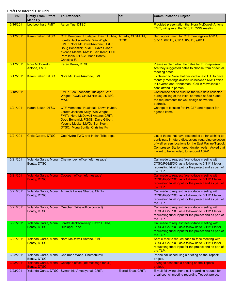| Date      | <b>Entity From/ Effort</b><br><b>Made By</b>      | <b>To/Attendees</b>                                                                                                                                                                                                                               | CC:                                | <b>Communication Subject</b>                                                                                                                                                                                                                                               |
|-----------|---------------------------------------------------|---------------------------------------------------------------------------------------------------------------------------------------------------------------------------------------------------------------------------------------------------|------------------------------------|----------------------------------------------------------------------------------------------------------------------------------------------------------------------------------------------------------------------------------------------------------------------------|
| 3/16/2011 | Leo Leonhart, FMIT                                | <b>Aaron Yue, DTSC</b>                                                                                                                                                                                                                            |                                    | Provided presentation that Nora McDowell-Antone,<br>FMIT, will give at the 3/16/11 CWG meeting.                                                                                                                                                                            |
| 3/17/2011 | Karen Baker, DTSC                                 | CTF Members: Hualapai: Dawn Hubbs,<br>Loretta Jackson-Kelly, Win Wright;<br>FMIT: Nora McDowell-Antone; CRIT:<br>Doug Bonamici; PG&E: Dave Gilbert,<br>Yvonne Meeks; MWD: Bart Koch; DOI:<br>Pam Innis; DTSC: Mona Bontty,<br><b>Christina Fu</b> | Arcadis, CH2M Hill,<br><b>DTSC</b> | Sent appointment for CTF meetings on 4/5/11,<br>5/3/11, 6/7/11, 7/5/11, 8/2/11, 9/6/11                                                                                                                                                                                     |
| 3/17/2011 | Nora McDowell-<br>Antone, FMIT                    | Karen Baker, DTSC                                                                                                                                                                                                                                 |                                    | Please explain what the dates for TLP represent.<br>Are they suggested dates to choose from or actual<br>meeting dates.                                                                                                                                                    |
| 3/17/2011 | Karen Baker, DTSC                                 | Nora McDowell-Antone, FMIT                                                                                                                                                                                                                        |                                    | Explained to Nora that decided in last TLP to have<br>monthly meetings divided up between MWD office<br>in Laverne and Henderson. Call in # available if<br>can't attend in person.                                                                                        |
| 3/18/2011 |                                                   | FMIT: Leo Leonhart; Hualapai: Win<br>Wright; PG&E, CH2M Hill; DOI, DTSC,<br><b>MWD</b>                                                                                                                                                            |                                    | Conference call to discuss the field data collected<br>during drilling of the initial borehole at Site 5 and<br>the requirements for well design above the<br>bedrock.                                                                                                     |
| 3/21/2011 | Karen Baker, DTSC                                 | CTF Members: Hualapai: Dawn Hubbs,<br>Loretta Jackson-Kelly, Win Wright;<br>FMIT: Nora McDowell-Antone; CRIT:<br>Doug Bonamici; PG&E: Dave Gilbert,<br>Yvonne Meeks; MWD: Bart Koch;<br>DTSC: Mona Bontty, Christina Fu                           |                                    | Change of location for 4/5 CTF and request for<br>agenda items.                                                                                                                                                                                                            |
| 3/21/2011 | <b>Chris Guerre, DTSC</b>                         | Geo/Hydro TWG and Indian Tribe reps.                                                                                                                                                                                                              |                                    | List of those that have responded so far wishing to<br>participate in future discussions regarding selection<br>of well screen locations for the East Ravine/Topock<br><b>Compressor Station groundwater wells. Asked that</b><br>if want to be included, to respond ASAP. |
| 3/21/2011 | Yolanda Garza, Mona<br>Bontty, DTSC               | Chemehuevi office (left message)                                                                                                                                                                                                                  |                                    | Call made to request face-to-face meeting with<br>DTSC/PG&E/DOI as a follow-up to 3/11/11 letter<br>requesting tribal input for the project and as part of<br>the TLP.                                                                                                     |
| 3/21/2011 | Yolanda Garza, Mona<br><b>Bontty, DTSC</b>        | Cocopah office (left message)                                                                                                                                                                                                                     |                                    | Call made to request face-to-face meeting with<br>DTSC/PG&E/DOI as a follow-up to 3/11/11 letter<br>requesting tribal input for the project and as part of<br>the TLP.                                                                                                     |
| 3/21/2011 | Yolanda Garza, Mona<br>Bontty, DTSC               | Amanda Leivas Sharpe, CRITs                                                                                                                                                                                                                       |                                    | Call made to request face-to-face meeting with<br>DTSC/PG&E/DOI as a follow-up to 3/11/11 letter<br>requesting tribal input for the project and as part of<br>the TLP.                                                                                                     |
| 3/21/2011 | Yolanda Garza, Mona<br>Bontty, DTSC               | Quechan Tribe (office contact)                                                                                                                                                                                                                    |                                    | Call made to request face-to-face meeting with<br>DTSC/PG&E/DOI as a follow-up to 3/11/11 letter<br>requesting tribal input for the project and as part of<br>the TLP.                                                                                                     |
| 3/21/2011 | Yolanda Garza, Mona<br>Bontty, DTSC               | Loretta Jackson-Kelly, Dawn Hubbs,<br>Hualapai Tribe                                                                                                                                                                                              |                                    | Call made to request face-to-face meeting with<br>DTSC/PG&E/DOI as a follow-up to 3/11/11 letter<br>requesting tribal input for the project and as part of<br>the TLP.                                                                                                     |
| 3/21/2011 | Yolanda Garza, Mona<br><b>Bontty, DTSC</b>        | Nora McDowell-Antone, FMIT                                                                                                                                                                                                                        |                                    | Sent e-mail to request face-to-face meeting with<br>DTSC/PG&E/DOI as a follow-up to 3/11/11 letter<br>requesting tribal input for the project and as part of<br>the TLP.                                                                                                   |
| 3/22/2011 | Yolanda Garza, Mona<br>Bontty, DTSC               | Chairman Wood, Chemehuevi                                                                                                                                                                                                                         |                                    | Phone call scheduling a briefing on the Topock<br>project.                                                                                                                                                                                                                 |
| 3/22/2011 | <b>Yolanda Garza, Mona</b><br><b>Bontty, DTSC</b> | Cocopah office (left message for Jill)                                                                                                                                                                                                            |                                    | Trying to schedule a briefing on the Topock<br>project.                                                                                                                                                                                                                    |
| 3/23/2011 | Yolanda Garza, DTSC                               | Symanthia Ameelyenal, CRITs                                                                                                                                                                                                                       | <b>Eldred Enas, CRITs</b>          | E-mail following phone call regarding request for<br>tribal council meeting regarding Topock project.                                                                                                                                                                      |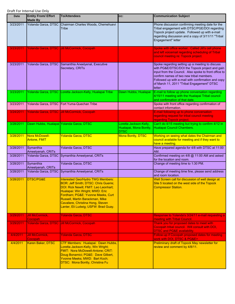| <b>Date</b> | <b>Entity From/ Effort</b><br><b>Made By</b> | <b>To/Attendees</b>                                                                                                                                                                                                                                                                                                      | CC:                                                             | <b>Communication Subject</b>                                                                                                                                                                                                                                                                                          |
|-------------|----------------------------------------------|--------------------------------------------------------------------------------------------------------------------------------------------------------------------------------------------------------------------------------------------------------------------------------------------------------------------------|-----------------------------------------------------------------|-----------------------------------------------------------------------------------------------------------------------------------------------------------------------------------------------------------------------------------------------------------------------------------------------------------------------|
| 3/23/2011   |                                              | Yolanda Garza, DTSC Chairman Charles Woods, Chemehuevi<br>Tribe                                                                                                                                                                                                                                                          |                                                                 | Phone discussion confirming meeting date for the<br>Tribal engagement with DTSC/PGE/DOI regarding<br>Topock project update. Followed up with e-mail<br>regarding discussion and a copy of 3/11/11 "Tribal<br>Engagement" letter                                                                                       |
| 3/23/2011   |                                              | Yolanda Garza, DTSC Jill McCormick, Cocopah                                                                                                                                                                                                                                                                              |                                                                 | Spoke with office worker. Called Jill's cell phone<br>and left voicemail regarding scheduling of Tribal<br>council meeting re: Topock project.                                                                                                                                                                        |
| 3/23/2011   |                                              | Yolanda Garza, DTSC Samanthia Aneelyenal, Executive<br>Secretary, CRITs                                                                                                                                                                                                                                                  |                                                                 | Spoke regarding setting up a meeting to discuss<br>with PG&E/DTSC/DOI the Topock project and gain<br>input from the Council. Also spoke to front office to<br>confirm names of two new tribal members.<br>Followed up with e-mail with confirmation and copy<br>of March 11, 2011 "Tribal Engagement" DTSC<br>letter. |
| 3/23/2011   |                                              | Yolanda Garza, DTSC Loretta Jackson-Kelly, Hualapai Tribe                                                                                                                                                                                                                                                                | Dawn Hubbs, Hualapai                                            | E-mail to follow up phone conversation regarding<br>4/15/11 meeting with the Hualapai Tribal council<br>and confirmation of that date.                                                                                                                                                                                |
| 3/23/2011   |                                              | Yolanda Garza, DTSC Fort Yuma-Quechan Tribe                                                                                                                                                                                                                                                                              |                                                                 | Spoke with front office regarding confirmation of<br>contact information.                                                                                                                                                                                                                                             |
| 3/24/2011   |                                              | Yolanda Garza, DTSC Jill McCormick, Cocopah                                                                                                                                                                                                                                                                              |                                                                 | E-mail following up to phone conversation<br>regarding request for tribal council meeting<br>regarding Topock project.                                                                                                                                                                                                |
| 3/28/2011   | Dawn Hubbs, Hualapai Yolanda Garza, DTSC     |                                                                                                                                                                                                                                                                                                                          | Loretta Jackson-Kelly,<br>Hualapai, Mona Bontty,<br><b>DTSC</b> | Can't do 4/15 meeting but trying to confirm 4/12 in<br>Hualapai Council Chambers.                                                                                                                                                                                                                                     |
| 3/28/2011   | Nora McDowell-<br><b>Antone, FMIT</b>        | <b>Yolanda Garza, DTSC</b>                                                                                                                                                                                                                                                                                               | <b>Mona Bontty, DTSC</b>                                        | Working on seeing what dates the Chairman and<br>council available for meeting and if they want to<br>have a meeting.                                                                                                                                                                                                 |
| 3/28/2011   | Symanthia<br>Ameelyenah, CRITs               | Yolanda Garza, DTSC                                                                                                                                                                                                                                                                                                      |                                                                 | Have prepared agenda for 4/8 with DTSC at 11:00<br>AM.                                                                                                                                                                                                                                                                |
| 3/28/2011   |                                              | Yolanda Garza, DTSC Symanthia Ameelyenal, CRITs                                                                                                                                                                                                                                                                          |                                                                 | Confirmed meeting on 4/8 @ 11:00 AM and asked<br>for the location and room.                                                                                                                                                                                                                                           |
| 3/28/2011   | Symanthia<br>Ameelyenah, CRITs               | Yolanda Garza, DTSC                                                                                                                                                                                                                                                                                                      |                                                                 | Change of meeting time to 1:30 PM.                                                                                                                                                                                                                                                                                    |
| 3/28/2011   |                                              | Yolanda Garza, DTSC Symanthia Ameelyenal, CRITs                                                                                                                                                                                                                                                                          |                                                                 | Change of meeting time fine, please send address<br>and room location.                                                                                                                                                                                                                                                |
| 3/28/2011   | DTSC/PG&E                                    | <b>Interested Geo/Hydro TWG Members:</b><br><b>BOR: Jeff Smith; DTSC: Chris Guerre;</b><br>DOI: Rick Newill; FMIT: Leo Leonhart;<br>Hualapai: Win Wright; MWD: Eric<br>Fordham; PG&E: Yvonne Meeks, Curt<br>Russell, Martin Barackman, Mike<br>Cavaliere, Christina Hong, Steven<br>Lanter, Eli Ludwig; USFW: Brad Guay. |                                                                 | Well Screen call for discussion of well design at<br>Site 5 located on the west side of the Topock<br><b>Compressor Station.</b>                                                                                                                                                                                      |
| 3/29/2011   | <b>Jill McCormick,</b><br>Cocopah            | <b>Yolanda Garza, DTSC</b>                                                                                                                                                                                                                                                                                               |                                                                 | Response to Yolanda's 3/24/11 e-mail requesting a<br>meeting with Tribal Council.                                                                                                                                                                                                                                     |
| 3/29/2011   |                                              | Yolanda Garza, DTSC Jill McCormick, Cocopah                                                                                                                                                                                                                                                                              |                                                                 | Thank you for proposed dates to meet with<br>Cocopah tribal council. Will consult with DOI,<br><b>DTSC and PG&amp;E availability.</b>                                                                                                                                                                                 |
| 4/4/2011    | Jill McCormick,<br>Cocopah                   | <b>Yolanda Garza, DTSC</b>                                                                                                                                                                                                                                                                                               |                                                                 | Follow-up if Cocopah proposed dates for meeting<br>work with DOI, DTSC & PG&E>                                                                                                                                                                                                                                        |
| 4/4/2011    | Karen Baker, DTSC                            | CTF Members: Hualapai: Dawn Hubbs,<br>Loretta Jackson-Kelly, Win Wright;<br>FMIT: Nora McDowell-Antone; CRIT:<br>Doug Bonamici; PG&E: Dave Gilbert,<br>Yvonne Meeks; MWD: Bart Koch;<br><b>DTSC: Mona Bontty, Christina Fu</b>                                                                                           |                                                                 | Preliminary draft of Topock May newsletter for<br>review and comment by 4/8/11.                                                                                                                                                                                                                                       |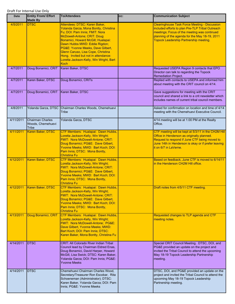| Date      | <b>Entity From/ Effort</b><br><b>Made By</b>          | <b>To/Attendees</b>                                                                                                                                                                                                                                                                                                                                                                         | CC: | <b>Communication Subject</b>                                                                                                                                                                                                                                |
|-----------|-------------------------------------------------------|---------------------------------------------------------------------------------------------------------------------------------------------------------------------------------------------------------------------------------------------------------------------------------------------------------------------------------------------------------------------------------------------|-----|-------------------------------------------------------------------------------------------------------------------------------------------------------------------------------------------------------------------------------------------------------------|
| 4/5/2011  | <b>DTSC</b>                                           | Attendees: DTSC: Karen Baker,<br>Yolanda Garza, Mona Bontty, Christina<br>Fu; DOI: Pam Innis; FMIT: Nora<br>McDowell-Antone; CRIT: Doug<br>Bonamici, Howard McGill; Hualapai:<br>Dawn Hubbs MWD: Eddie Rigdon;<br>PG&E: Yvonne Meeks, Dave Gilbert,<br>Glenn Caruso, Lisa Cope, Christina<br>Hong. Invited but not in attendance:<br>Loretta Jackson-Kelly, Win Wright, Bart<br><b>Koch</b> |     | <b>Clearinghouse Task Force Meeting - Discussion</b><br>included efforts to plan Pre-TLP Tribal Outreach<br>meetings; Focus of the meeting was continued<br>planning of the agenda for the May 18-19, 2011<br><b>Topock Leadership Partnership meeting.</b> |
| 4/7/2011  | Doug Bonamici, CRIT                                   | Karen Baker, DTSC                                                                                                                                                                                                                                                                                                                                                                           |     | Requested USEPA Region 9 contacts that EPO<br>Director can talk to regarding the Topock<br>Remediation Project.                                                                                                                                             |
| 4/7/2011  | Karen Baker, DTSC                                     | Doug Bonamici, CRITs                                                                                                                                                                                                                                                                                                                                                                        |     | Replied with contacts to USEPA and informed him<br>about meeting with the CRIT council on 4/14.                                                                                                                                                             |
| 4/7/2011  | Doug Bonamici, CRIT   Karen Baker, DTSC               |                                                                                                                                                                                                                                                                                                                                                                                             |     | Gave suggestions for meeting with the CRIT<br>council and shared a link to a crit newsletter which<br>includes names of current tribal council members.                                                                                                     |
| 4/8/2011  |                                                       | Yolanda Garza, DTSC Chairman Charles Woods, Chemehuevi<br>Tribe                                                                                                                                                                                                                                                                                                                             |     | Asked for confirmation on location and time of 4/14<br>meeting with the Chemehuevi Executive Council.                                                                                                                                                       |
| 4/11/2011 | <b>Chairman Charles</b><br>Woods, Chemehuevi<br>Tribe | Yolanda Garza, DTSC                                                                                                                                                                                                                                                                                                                                                                         |     | 4/14 meeting will be at 1:00 PM at the Realty<br>Office.                                                                                                                                                                                                    |
| 4/11/2011 | Karen Baker, DTSC                                     | CTF Members: Hualapai: Dawn Hubbs,<br>Loretta Jackson-Kelly, Win Wright;<br>FMIT: Nora McDowell-Antone; CRIT:<br>Doug Bonamici; PG&E: Dave Gilbert,<br>Yvonne Meeks; MWD: Bart Koch; DOI:<br>Pam Innis; DTSC: Mona Bontty,<br>Christina Fu                                                                                                                                                  |     | CTF meeting will be kept at 5/3/11 in the CH2M Hill<br>Office in Henderson as originally planned.<br>Request to respond if June CTF being moved to<br>June 14th in Henderson is okay or if prefer leaving<br>it on 6/7 in LaVerne.                          |
| 4/12/2011 | Karen Baker, DTSC                                     | CTF Members: Hualapai: Dawn Hubbs,<br>Loretta Jackson-Kelly, Win Wright;<br>FMIT: Nora McDowell-Antone; CRIT:<br>Doug Bonamici; PG&E: Dave Gilbert,<br>Yvonne Meeks; MWD: Bart Koch; DOI:<br>Pam Innis; DTSC: Mona Bontty,<br>Christina Fu                                                                                                                                                  |     | Based on feedback, June CTF is moved to 6/14/11<br>in the Henderson CH2M Hill office.                                                                                                                                                                       |
|           | 4/12/2011   Karen Baker, DTSC                         | CTF Members: Hualapai: Dawn Hubbs,<br>Loretta Jackson-Kelly, Win Wright;<br>FMIT: Nora McDowell-Antone; CRIT:<br>Doug Bonamici; PG&E: Dave Gilbert,<br>Yvonne Meeks; MWD: Bart Koch; DOI:<br>Pam Innis; DTSC: Mona Bontty,<br><b>Christina Fu</b>                                                                                                                                           |     | Draft notes from 4/5/11 CTF meeting.                                                                                                                                                                                                                        |
| 4/13/2011 | Doug Bonamici, CRIT                                   | CTF Members: Hualapai: Dawn Hubbs,<br>Loretta Jackson-Kelly, Win Wright;<br>FMIT: Nora McDowell-Antone; PG&E:<br>Dave Gilbert, Yvonne Meeks; MWD:<br>Bart Koch; DOI: Pam Innis; DTSC:<br>Karen Baker, Mona Bontty, Christina Fu                                                                                                                                                             |     | Requested changes to TLP agenda and CTF<br>meeting notes.                                                                                                                                                                                                   |
| 4/14/2011 | <b>IDTSC</b>                                          | CRIT: All Colorado River Indian Tribal<br>Council lead by Chairman Eldred Enas,<br>Doug Bonamici, David Harper, Howard<br>McGill, Lisa Swick; DTSC: Karen Baker,<br>Yolanda Garza; DOI: Pam Innis; PG&E:<br><b>Yvonne Meeks</b>                                                                                                                                                             |     | Special CRIT Council Meeting. DTSC, DOI, and<br>PG&E provided an update on the project and<br>invited the Tribal Council to attend the upcoming<br>May 18-19 Topock Leadership Partnership<br>meeting.                                                      |
| 4/14/2011 | <b>IDTSC</b>                                          | Chemehuevi Chairman Charles Wood,<br>Secretary/Treasurer Ron Escobar, Rita<br>Schoeneman (Administrator); DTSC:<br>Karen Baker, Yolanda Garza; DOI: Pam<br>Innis; PG&E: Yvonne Meeks                                                                                                                                                                                                        |     | DTSC, DOI, and PG&E provided an update on the<br>project and invited the Tribal Council to attend the<br>upcoming May 18-19 Topock Leadership<br>Partnership meeting.                                                                                       |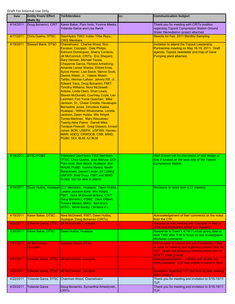| Date      | <b>Entity From/ Effort</b><br><b>Made By</b> | <b>To/Attendees</b>                                                                                                                                                                                                                                                                                                                                                                                                                                                                                                                                                                                                                                                                                                                                                                                                                                                                                                                                                           | CC: | <b>Communication Subject</b>                                                                                                                                                          |
|-----------|----------------------------------------------|-------------------------------------------------------------------------------------------------------------------------------------------------------------------------------------------------------------------------------------------------------------------------------------------------------------------------------------------------------------------------------------------------------------------------------------------------------------------------------------------------------------------------------------------------------------------------------------------------------------------------------------------------------------------------------------------------------------------------------------------------------------------------------------------------------------------------------------------------------------------------------------------------------------------------------------------------------------------------------|-----|---------------------------------------------------------------------------------------------------------------------------------------------------------------------------------------|
| 4/14/2011 | Doug Bonamici, CRIT                          | Karen Baker, Pam Innis, Yvonne Meeks,<br>Yolanda Garza and Lisa Swick                                                                                                                                                                                                                                                                                                                                                                                                                                                                                                                                                                                                                                                                                                                                                                                                                                                                                                         |     | Thank you for meeting with CRITs position<br>regarding Topock Compressor Station Ground<br>Water Remediation project attached.                                                        |
| 4/17/2011 | Chris Guerre, DTSC                           | Geo/Hydro TWG; Indian Tribe Reps.;<br><b>CWG Members</b>                                                                                                                                                                                                                                                                                                                                                                                                                                                                                                                                                                                                                                                                                                                                                                                                                                                                                                                      |     | Results for Feb. 2011 Monthly Sampling                                                                                                                                                |
| 4/18/2011 | <b>Stewart Black, DTSC</b>                   | Chemehuevi: Charles Wood, Ron<br>Escobar; Cocopah: Dale Philips,<br>Edmund Dominguez, Sherry Cordova,<br>Jill McCormick; CRITs: Eric Shepard,<br><b>Gary Hansen, Michael Tsosie,</b><br>Cheyenne Garcia, Richard Armstrong,<br>Amanda Leivas Sharpe, Eldred Enas,<br>Sylvia Homer, Lisa Swick, Mervin Scott,<br>Dennis Welsh, Jr., Valerie Welsh-<br>Tahbo, Herman Lafoon. Johnny Hill, Jr.,<br>Edward Yava, Doug Bonamici; FMIT:<br><b>Timothy Williams, Nora McDowell-</b><br>Antone, Linda Otero, Shan Lewis,<br>Steven McDonald, Courtney Coyle, Leo<br>Leonhart; Fort Yuma-Quechan: Mike<br>Jackson, Sr., Chase Choate; Havasupai:<br>Bernadine Jones, Dimolene Kaska;<br>Hualapai: Wilfred Whatoname, Loretta<br>Jackson, Dawn Hubbs, Win Wright;<br>Torres-Martinez: Mary Resvaloso;<br><b>Twenty-Nine Palms: Darrell Mike;</b><br>Yavapai-Prescott: Greg Glassco, Ernest<br>Jones; BOR; USEPA; USFWS; Havasu<br>NWR; ADEQ; CRWQCB; CRB; MWD;<br>PG&E DOI; BLM; AZ BLM |     | <b>Invitation to attend the Topock Leadership</b><br>Partnership meeting on May 18-19, 2011. Draft<br>agenda, Topock newsletter and map of Gene<br>Pumping plant attached.            |
| 4/18/2011 | DTSC/PG&E                                    | <b>Interested Geo/Hydro TWG Members:</b><br>DTSC: Chris Guerre, Jose Marcos; DOI:<br>Pam Innis, Rick Newill; Hualapai: Win<br>Wright; PG&E: Yvonne Meeks, Martin<br>Barackman, Steven Lanter, Eli Ludwig;<br><b>USFWS: Brad Guay. FMIT and MWD</b><br>invited, but not able to attend.                                                                                                                                                                                                                                                                                                                                                                                                                                                                                                                                                                                                                                                                                        |     | Well Screen call for discussion of well design at<br>Site 6 located on the west side of the Topock<br><b>Compressor Station.</b>                                                      |
| 4/19/2011 |                                              | Dawn Hubbs, Hualapai CTF Members: Hualapai: Dawn Hubbs,<br>Loretta Jackson-Kelly, Win Wright;<br>FMIT: Nora McDowell-Antone; CRIT:<br>Doug Bonamici; PG&E: Dave Gilbert,<br>Yvonne Meeks; MWD: Bart Koch;<br><b>DTSC: Mona Bontty, Christina Fu</b>                                                                                                                                                                                                                                                                                                                                                                                                                                                                                                                                                                                                                                                                                                                           |     | Revisions to notes from CTF meeting.                                                                                                                                                  |
| 4/19/2011 | Karen Baker, DTSC                            | Nora McDowell, FMIT; Dawn Hubbs,<br>Hualapai; Doug Bonamici (CRITs)                                                                                                                                                                                                                                                                                                                                                                                                                                                                                                                                                                                                                                                                                                                                                                                                                                                                                                           |     | Acknowledgement of their comments on the notes<br>from the CTF.                                                                                                                       |
| 4/20/2011 |                                              | Yolanda Garza, DTSC Jill McCormick, Cocopah                                                                                                                                                                                                                                                                                                                                                                                                                                                                                                                                                                                                                                                                                                                                                                                                                                                                                                                                   |     | Request to hold meeting with Cocopah in May or<br>June and information about TLP meeting.                                                                                             |
| 4/20/2011 | Karen Baker, DTSC                            | Dawn Hubbs, Hualapai                                                                                                                                                                                                                                                                                                                                                                                                                                                                                                                                                                                                                                                                                                                                                                                                                                                                                                                                                          |     | Response to Dawn's 4/19/11 email giving date of<br>next TWG after 7/18 to focus on Soil Investigation<br>Workplan comments.                                                           |
| 4/21/2011 | <b>Jill McCormick,</b><br>Cocopah            | <b>Yolanda Garza, DTSC</b>                                                                                                                                                                                                                                                                                                                                                                                                                                                                                                                                                                                                                                                                                                                                                                                                                                                                                                                                                    |     | Will go back to council and ask if available in May<br>or June for meeting and regarding cultural hour for<br>TLP. Upset that proposed meeting dates sent on<br>3/29/11 were ignored. |
| 4/21/2011 |                                              | Yolanda Garza, DTSC Jill McCormick, Cocopah                                                                                                                                                                                                                                                                                                                                                                                                                                                                                                                                                                                                                                                                                                                                                                                                                                                                                                                                   |     | Apology/explanation - problem with emails not<br>being delivered. DOI was unable to travel in April.                                                                                  |
| 4/22/2011 |                                              | Yolanda Garza, DTSC Jill McCormick, Cocopah                                                                                                                                                                                                                                                                                                                                                                                                                                                                                                                                                                                                                                                                                                                                                                                                                                                                                                                                   |     | Questions regarding TLP and face-to-face meeting<br>with Cocopah.                                                                                                                     |
| 4/22/2011 |                                              | Yolanda Garza, DTSC Chairman Wood, Chemehuevi                                                                                                                                                                                                                                                                                                                                                                                                                                                                                                                                                                                                                                                                                                                                                                                                                                                                                                                                 |     | Thank you for meeting and invitation to 5/18-19/11<br>TLP.                                                                                                                            |
| 4/22/2011 | <b>Yolanda Garza</b>                         | Doug Bonamici, Symanthia Ameelyneh,<br><b>CRIT<sub>s</sub></b>                                                                                                                                                                                                                                                                                                                                                                                                                                                                                                                                                                                                                                                                                                                                                                                                                                                                                                                |     | Thank you for meeting and invitation to 5/18-19/11<br>TLP.                                                                                                                            |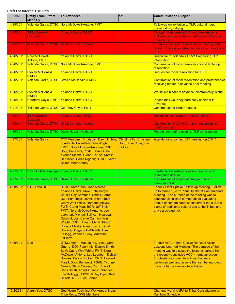| <b>Date</b>           | <b>Entity From/ Effort</b><br><b>Made By</b> | <b>To/Attendees</b>                                                                                                                                                                                                                                                                                                                                                                                                                                                                                                             | CC:                                                         | <b>Communication Subject</b>                                                                                                                                                                                                                                                                                                                                                                     |
|-----------------------|----------------------------------------------|---------------------------------------------------------------------------------------------------------------------------------------------------------------------------------------------------------------------------------------------------------------------------------------------------------------------------------------------------------------------------------------------------------------------------------------------------------------------------------------------------------------------------------|-------------------------------------------------------------|--------------------------------------------------------------------------------------------------------------------------------------------------------------------------------------------------------------------------------------------------------------------------------------------------------------------------------------------------------------------------------------------------|
| 4/25/2011             |                                              | Yolanda Garza, DTSC Nora McDowell-Antone, FMIT                                                                                                                                                                                                                                                                                                                                                                                                                                                                                  |                                                             | Follow-up on invitation to TLP, cultural hour,<br>presentation, lodging.                                                                                                                                                                                                                                                                                                                         |
| 4/25/2011             | <b>Jill McCormick,</b><br>Cocopah            | <b>Yolanda Garza, DTSC</b>                                                                                                                                                                                                                                                                                                                                                                                                                                                                                                      |                                                             | Cocopah Attendees at TLP and presentations.<br>Follow-up on face-to-face meetings with Cocopah<br>tribal council.                                                                                                                                                                                                                                                                                |
| 4/25/2011             |                                              | Yolanda Garza, DTSC Jill McCormick, Cocopah                                                                                                                                                                                                                                                                                                                                                                                                                                                                                     |                                                             | Thank you for reply. Face-to-face meeting better<br>post-TLP unless important to council to have it pre-<br>TLP.                                                                                                                                                                                                                                                                                 |
| 4/26/2011             | Nora McDowell-<br><b>Antone, FMIT</b>        | <b>Yolanda Garza, DTSC</b>                                                                                                                                                                                                                                                                                                                                                                                                                                                                                                      |                                                             | Response to Yolanda's 4/25/11 regarding TLP<br>information.                                                                                                                                                                                                                                                                                                                                      |
| 4/26/2011             |                                              | Yolanda Garza, DTSC Nora McDowell-Antone, FMIT                                                                                                                                                                                                                                                                                                                                                                                                                                                                                  |                                                             | Confirmation of room reservations and table top<br>reservation.                                                                                                                                                                                                                                                                                                                                  |
| 4/26/2011             | <b>Steven McDonald</b><br>(FMIT)             | Yolanda Garza, DTSC                                                                                                                                                                                                                                                                                                                                                                                                                                                                                                             |                                                             | Request for room reservation for TLP.                                                                                                                                                                                                                                                                                                                                                            |
| 4/26/2011             |                                              | Yolanda Garza, DTSC Steven McDonald (FMIT)                                                                                                                                                                                                                                                                                                                                                                                                                                                                                      |                                                             | Confirmation of room reservation and preference of<br>receiving binder in advance or at meeting.                                                                                                                                                                                                                                                                                                 |
| 4/26/2011             | <b>Steven McDonald</b><br>(FMIT)             | <b>Yolanda Garza, DTSC</b>                                                                                                                                                                                                                                                                                                                                                                                                                                                                                                      |                                                             | Would like binder in advance, electronically is fine.                                                                                                                                                                                                                                                                                                                                            |
| 4/26/2011             | Courtney Coyle, FMIT                         | <b>Yolanda Garza, DTSC</b>                                                                                                                                                                                                                                                                                                                                                                                                                                                                                                      |                                                             | Please mail Courtney hard copy of binder in<br>advance.                                                                                                                                                                                                                                                                                                                                          |
| 4/27/2011             | Yolanda Garza, DTSC Courtney Coyle, FMIT     |                                                                                                                                                                                                                                                                                                                                                                                                                                                                                                                                 |                                                             | Confirmation of binder request.                                                                                                                                                                                                                                                                                                                                                                  |
| 4/26/2011             | <b>Jill McCormick,</b><br>Cocopah            | <b>Yolanda Garza, DTSC</b>                                                                                                                                                                                                                                                                                                                                                                                                                                                                                                      |                                                             | Responses to Yolanda's e-mail of 4/25/11.                                                                                                                                                                                                                                                                                                                                                        |
| 4/26/2011             |                                              | Yolanda Garza, DTSC Jill McCormick, Cocopah                                                                                                                                                                                                                                                                                                                                                                                                                                                                                     |                                                             | <b>Confirmation of Jill McCormick's responses to</b><br>4/25/11 e-mail.                                                                                                                                                                                                                                                                                                                          |
| 4/26/2011             |                                              | Yolanda Garza, DTSC Dawn Hubbs, Hualapai                                                                                                                                                                                                                                                                                                                                                                                                                                                                                        |                                                             | Request for confirmation for TLP participation                                                                                                                                                                                                                                                                                                                                                   |
| 4/27/2011             | <b>Yolanda Garza</b>                         | CTF Members: Hualapai: Dawn Hubbs,<br>Loretta Jackson-Kelly, Win Wright;<br>FMIT: Nora McDowell-Antone; CRIT:<br>Doug Bonamici; PG&E: Dave Gilbert,<br>Yvonne Meeks, Glenn Caruso; MWD:<br>Bart Koch, Eddie Rigdon; DTSC: Karen<br><b>Baker, Mona Bontty</b>                                                                                                                                                                                                                                                                    | Christina Fu, Christina<br>Hong, Lisa Cope, Lisa<br>Kellogg | Agenda for upcoming CTF meeting on 5/3/11.                                                                                                                                                                                                                                                                                                                                                       |
| 4/27/2011             | Dawn Hubbs, Hualapai Yolanda Garza, DTSC     |                                                                                                                                                                                                                                                                                                                                                                                                                                                                                                                                 |                                                             | Loretta Jackson-Kelly does not need a room<br>reservation after all.                                                                                                                                                                                                                                                                                                                             |
| 4/27/2011             |                                              | Yolanda Garza, DTSC Dawn Hubbs, Hualapai                                                                                                                                                                                                                                                                                                                                                                                                                                                                                        |                                                             | Confirmation of receipt of change to room<br>reservation list.                                                                                                                                                                                                                                                                                                                                   |
| 4/28/2011             | <b>IDTSC and DOI</b>                         | DTSC: Aaron Yue, Jose Marcos,<br>Yolanda Garza, Mike Eichelberger,<br><b>Shukla Roy-Semmen, Chris Guerre;</b><br>DOI: Pam Innis, Dennis Smith; BLM:<br>Cathy Wolf-White, Ramone McCoy;<br><b>FWS: Carrie Marr; BOR: Jeff Smith;</b><br><b>FMIT: Nora McDowell-Antone, Leo</b><br>Leonhart, Michael Sullivan; Hualapai:<br>Dawn Hubbs, Carrie Cannon, Win<br>Wright; CRIT: Howard Magill; PG&E:<br>Yvonne Meeks, Glenn Caruso, Curt<br>Russell, Bridgette DeShields, Lisa<br>Kellogg, Winnie Curley, Adrienne<br><b>LaPierre</b> |                                                             | Topock Plant Uptake Follow-Up Meeting. Follow-<br>up to March 1, 2011 Plant Uptake of Contaminants<br>Meeting - The purpose of the meeting was to<br>continue discussion of methods of evaluating<br>uptake of contaminants of concern at the site into<br>plants of traditional cultural use to the Tribes and<br>any associated risk.                                                          |
| 4/29/2011<br>5/2/2011 | <b>DOI</b><br>Aaron Yue, DTSC                | <b>DTSC: Aaron Yue, Jose Marcos, Chris</b><br>Guerre; DOI: Pam Innis, Dennis Smith;<br>BLM: Cathy Wolf-White; FMIT: Nora<br>McDowell-Antone, Leo Leonhart; Delbert<br>Holmes, Felton Bricker; CRIT: Howard<br>Magill, Doug Bonamici; PG&E: Yvonne<br>Meeks, Glenn Caruso, Curt Russell,<br>Chris Smith; Arcadis: Hans Johannes,<br>Lisa Kellogg; CH2MHill: Jay Piper, Keith<br>Sheets; NES: Rich Bohrer.<br>Geo/Hydro Technical Workgroup; Indian                                                                               |                                                             | <b>Topock AOC-4 Time Critical Removal Action -</b><br>Lessons Learned Meeting. The purpose of the<br>meeting was to discuss the lessons learned from<br>the recently concluded AOC-4 removal action.<br>Emphasis was given to actions that were<br>performed well and actions that can be improved<br>upon for future similar site activities.<br>Changed working (PA to Tribal Consultation) on |
|                       |                                              | <b>Tribe Reps; CWG Members</b>                                                                                                                                                                                                                                                                                                                                                                                                                                                                                                  |                                                             | <b>Rainbow Schedule</b>                                                                                                                                                                                                                                                                                                                                                                          |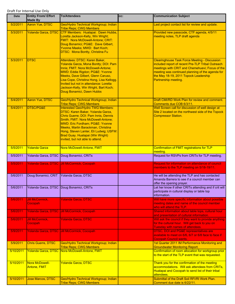| Date      | <b>Entity From/ Effort</b><br><b>Made By</b> | <b>To/Attendees</b>                                                                                                                                                                                                                                                                                                                                               | CC: | <b>Communication Subject</b>                                                                                                                                                                                                                                                      |
|-----------|----------------------------------------------|-------------------------------------------------------------------------------------------------------------------------------------------------------------------------------------------------------------------------------------------------------------------------------------------------------------------------------------------------------------------|-----|-----------------------------------------------------------------------------------------------------------------------------------------------------------------------------------------------------------------------------------------------------------------------------------|
| 5/2/2011  | <b>Aaron Yue, DTSC</b>                       | Geo/Hydro Technical Workgroup; Indian<br><b>Tribe Reps; CWG Members</b>                                                                                                                                                                                                                                                                                           |     | Last project contact list for review and update.                                                                                                                                                                                                                                  |
| 5/3/2011  | Yolanda Garza, DTSC                          | CTF Members: Hualapai: Dawn Hubbs,<br>Loretta Jackson-Kelly, Win Wright;<br>FMIT: Nora McDowell-Antone; CRIT:<br>Doug Bonamici; PG&E: Dave Gilbert,<br>Yvonne Meeks; MWD: Bart Koch;<br><b>DTSC: Mona Bontty, Christina Fu</b>                                                                                                                                    |     | Provided new passcode, CTF agenda, 4/5/11<br>meeting notes, TLP draft agenda                                                                                                                                                                                                      |
| 5/3/2011  | <b>DTSC</b>                                  | Attendees: DTSC: Karen Baker,<br>Yolanda Garza, Mona Bontty; DOI: Pam<br>Innis; FMIT: Nora McDowell-Antone;<br>MWD: Eddie Rigdon; PG&E: Yvonne<br>Meeks, Dave Gilbert, Glenn Caruso,<br>Lisa Cope, Christina Hong, Lisa Kellogg.<br>Invited but not in attendance: Loretta<br>Jackson-Kelly, Win Wright, Bart Koch;<br>Doug Bonamici, Dawn Hubbs                  |     | <b>Clearinghouse Task Force Meeting - Discussion</b><br>included report of recent Pre-TLP Tribal Outreach<br>meetings with CRIT and Chemehuevi; Focus of the<br>meeting was continued planning of the agenda for<br>the May 18-19, 2011 Topock Leadership<br>Partnership meeting. |
| 5/4/2011  | <b>Aaron Yue, DTSC</b>                       | Geo/Hydro Technical Workgroup; Indian<br><b>Tribe Reps; CWG Members</b>                                                                                                                                                                                                                                                                                           |     | Draft CMI/RD Work Plan for review and comment.<br>Comments due COB 6/3/11.                                                                                                                                                                                                        |
| 5/4/2011  | DTSC/PG&E                                    | <b>Interested Geo/Hydro TWG Members:</b><br>DTSC: Karen Baker, Yolanda Garza,<br>Chris Guerre; DOI: Pam Innis, Dennis<br>Smith; FMIT: Nora McDowell-Antone;<br><b>MWD: Eric Fordham; PG&amp;E: Yvonne</b><br>Meeks, Martin Barackman, Christina<br>Hong, Steven Lanter, Eli Ludwig; USFW:<br>Brad Guay. Hualapai (Win Wright)<br>invited, but not able to attend. |     | Well Screen call for discussion of well design at<br>Site 2 located on the northwest side of the Topock<br><b>Compressor Station.</b>                                                                                                                                             |
| 5/5/2011  | <b>Yolanda Garza</b>                         | Nora McDowell-Antone, FMIT                                                                                                                                                                                                                                                                                                                                        |     | <b>Confirmation of FMIT registrations for TLP</b><br>meeting.                                                                                                                                                                                                                     |
| 5/5/2011  |                                              | Yolanda Garza, DTSC Doug Bonamici, CRITs                                                                                                                                                                                                                                                                                                                          |     | Request for RSVPs from CRITs for TLP meeting.                                                                                                                                                                                                                                     |
| 5/5/2011  |                                              | Yolanda Garza, DTSC JJill McCormick, Cocopah                                                                                                                                                                                                                                                                                                                      |     | Request for information on attendance of council<br>members to the TLP meeting on 5/18-19/11.                                                                                                                                                                                     |
| 5/6/2011  | Doug Bonamici, CRIT                          | Yolanda Garza, DTSC                                                                                                                                                                                                                                                                                                                                               |     | He will be attending the TLP and has contacted<br>Amanda Barrera to see if a council member can<br>offer the opening prayer.                                                                                                                                                      |
| 5/6/2011  |                                              | Yolanda Garza, DTSC Doug Bonamici, CRITs                                                                                                                                                                                                                                                                                                                          |     | Let her know if other CRITs attending and if crit will<br>participate in cultural display or table top<br>information.                                                                                                                                                            |
| 5/6/2011  | Jill McCormick,<br>Cocopah                   | <b>Yolanda Garza, DTSC</b>                                                                                                                                                                                                                                                                                                                                        |     | Will have more specific information about possible<br>meeting dates and name of the council member<br>who will attend the TLP.                                                                                                                                                    |
| 5/6/2011  |                                              | Yolanda Garza, DTSC Jill McCormick, Cocopah                                                                                                                                                                                                                                                                                                                       |     | Shared information about table tops, cultural hour<br>and presentation of cultural information.                                                                                                                                                                                   |
| 5/6/2011  | <b>Jill McCormick,</b><br>Cocopah            | <b>Yolanda Garza, DTSC</b>                                                                                                                                                                                                                                                                                                                                        |     | Will ask the council if they want to provide anything<br>for the cultural hour. Will get back to you on<br>Tuesday with names of attendees.                                                                                                                                       |
| 5/9/2011  |                                              | Yolanda Garza, DTSC Jill McCormick, Cocopah                                                                                                                                                                                                                                                                                                                       |     | DTSC, DOI and PG&E representatives are<br>available to meet on 6/6, 6/7 or 6/8 face to face if<br><b>Cocopah Council wants.</b>                                                                                                                                                   |
| 5/9/2011  | <b>Chris Guerre, DTSC</b>                    | Geo/Hydro Technical Workgroup; Indian<br><b>Tribe Reps; CWG Members</b>                                                                                                                                                                                                                                                                                           |     | 1st Quarter 2011 IM Performance Monitoring and<br><b>Groundwater Monitoring Report.</b>                                                                                                                                                                                           |
| 5/10/2011 |                                              | Yolanda Garza, DTSC Nora McDowell-Antone, FMIT                                                                                                                                                                                                                                                                                                                    |     | Confirmation of room allocation for workgroup prior<br>to the start of the TLP event that was requested.                                                                                                                                                                          |
| 5/10/2011 | Nora McDowell-<br>Antone, FMIT               | <b>Yolanda Garza, DTSC</b>                                                                                                                                                                                                                                                                                                                                        |     | Thank you for the confirmation of the meeting<br>accommodations. Will ask attendees from CRITs,<br>Hualapai and Cocopah to send list of their tribal<br>attendees.                                                                                                                |
| 5/10/2011 | Jose Marcos, DTSC                            | Geo/Hydro Technical Workgroup; Indian<br><b>Tribe Reps; CWG Members</b>                                                                                                                                                                                                                                                                                           |     | Submittal of the Draft Soil RFI/RI Work Plan.<br>Comment due date is 6/22/11.                                                                                                                                                                                                     |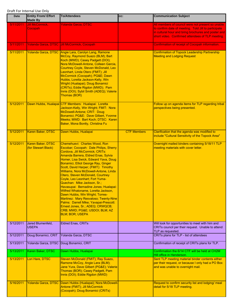| Date      | <b>Entity From/ Effort</b><br><b>Made By</b> | <b>To/Attendees</b>                                                                                                                                                                                                                                                                                                                                                                                                                                                                                                                                                                                                                                                                                                          | CC:                | <b>Communication Subject</b>                                                                                                                                                                                         |
|-----------|----------------------------------------------|------------------------------------------------------------------------------------------------------------------------------------------------------------------------------------------------------------------------------------------------------------------------------------------------------------------------------------------------------------------------------------------------------------------------------------------------------------------------------------------------------------------------------------------------------------------------------------------------------------------------------------------------------------------------------------------------------------------------------|--------------------|----------------------------------------------------------------------------------------------------------------------------------------------------------------------------------------------------------------------|
| 5/11/2011 | Jill McCormick.<br>Cocopah                   | <b>Yolanda Garza, DTSC</b>                                                                                                                                                                                                                                                                                                                                                                                                                                                                                                                                                                                                                                                                                                   |                    | All members of council were not present so unable<br>to confirm date of meeting. Told Jill to participate<br>in cultural hour and bring brochures and poster and<br>short video. Confirmed attendees of TLP meeting. |
| 5/11/2011 |                                              | Yolanda Garza, DTSC Jill McCormick, Cocopah                                                                                                                                                                                                                                                                                                                                                                                                                                                                                                                                                                                                                                                                                  |                    | Confirmation of receipt of Cocopah information.                                                                                                                                                                      |
| 5/11/2011 |                                              | Yolanda Garza, DTSC Angie Lara, Carolyn Lang, Ramone<br>McCoy, Raymond Suazo (BLM); Bart<br>Koch (MWD); Casey Padgett (DOI);<br>Nora McDowell-Antone, Colleen Garcia,<br>Courtney Coyle, Steven McDonald, Leo<br>Leonhart, Linda Otero (FMIT); Jill<br>McCormick (Cocopah); PG&E Dawn<br>Hubbs, Loretta Jackson-Kelly, Win<br>Wright (Hualapai); Doug Bonamici<br>(CRITs); Eddie Rigdon (MWD); Pam<br>Innis (DOI); Sybil Smith (ADEQ); Valerie<br>Thomas (BOR)                                                                                                                                                                                                                                                               |                    | <b>Confirmation of Topock Leadership Partnership</b><br><b>Meeting and Lodging Request</b>                                                                                                                           |
| 5/12/2011 |                                              | Dawn Hubbs, Hualapai CTF Members: Hualapai: Loretta<br>Jackson-Kelly, Win Wright; FMIT: Nora<br>McDowell-Antone; CRIT: Doug<br>Bonamici; PG&E: Dave Gilbert, Yvonne<br>Meeks; MWD: Bart Koch; DTSC: Karen<br>Baker, Mona Bontty, Christina Fu                                                                                                                                                                                                                                                                                                                                                                                                                                                                                |                    | Follow up on agenda items for TLP regarding tribal<br>perspectives being presented.                                                                                                                                  |
| 5/12/2011 | Karen Baker, DTSC                            | Dawn Hubbs, Hualapai                                                                                                                                                                                                                                                                                                                                                                                                                                                                                                                                                                                                                                                                                                         | <b>CTF Members</b> | Clarification that the agenda was modified to<br>include "Cultural Sensitivity of the Topock Area"                                                                                                                   |
| 5/12/2011 | Karen Baker, DTSC<br>(for Stewart Black)     | Chemehuevi: Charles Wood, Ron<br>Escobar; Cocopah: Dale Philips, Sherry<br>Cordova, Jill McCormick; CRITs:<br>Amanda Barrera, Eldred Enas, Sylvia<br>Homer, Lisa Swick, Edward Yava, Doug<br>Bonamici, Elliot George Ray, Ginger<br>Scott, David Harper; (FMIT): Timothy<br>Williams, Nora McDowell-Antone, Linda<br>Otero, Steven McDonald, Courtney<br>Coyle, Leo Leonhart; Fort Yuma-<br>Quechan: Mike Jackson, Sr.;<br>Havasupai: Bernadine Jones; Hualapai:<br>Wilfred Whatoname, Loretta Jackson,<br>Dawn Hubbs, Win Wright; Torres-<br>Martinez: Mary Resvaloso; Twenty-Nine<br>Palms: Darrell Mike; Yavapai-Prescott:<br>Ernest Jones, Sr.; ADEQ; CRWQCB;<br>CRB; MWD; PG&E USDOI; BLM; AZ<br><b>BLM; BOR; USEPA</b> |                    | Overnight mailed binders containing 5/18/11 TLP<br>meeting materials with cover letter.                                                                                                                              |
| 5/12/2011 | Jared Blumenfeld,<br><b>USEPA</b>            | <b>Eldred Enas, CRITs</b>                                                                                                                                                                                                                                                                                                                                                                                                                                                                                                                                                                                                                                                                                                    |                    | Will look for opportunities to meet with him and<br>CRITs council per their request. Unable to attend<br>TLP as requested.                                                                                           |
| 5/12/2011 | Doug Bonamici, CRIT                          | Yolanda Garza, DTSC                                                                                                                                                                                                                                                                                                                                                                                                                                                                                                                                                                                                                                                                                                          |                    | CRITs plans for TLP - list of attendees                                                                                                                                                                              |
| 5/13/2011 | Yolanda Garza, DTSC                          | Doug Bonamici, CRIT                                                                                                                                                                                                                                                                                                                                                                                                                                                                                                                                                                                                                                                                                                          |                    | Confirmation of receipt of CRITs plans for TLP.                                                                                                                                                                      |
| 5/13/2011 | Karen Baker, DTSC                            | Dawn Hubbs, Hualapai                                                                                                                                                                                                                                                                                                                                                                                                                                                                                                                                                                                                                                                                                                         |                    | Confirmation the 6/14 CTF will be held at CH2M<br>Hill office in Henderson.                                                                                                                                          |
| 5/13/2011 | Lori Hare, DTSC                              | Steven McDonald (FMIT); Ray Suazo,<br>Ramone McCoy, Angie Lara (BLM);<br>Jane Yura, Dave Gilbert (PG&E); Valerie<br>Thomas (BOR); Casey Padgett, Pam<br>Innis (DOI); Eddie Rigdon (MWD)                                                                                                                                                                                                                                                                                                                                                                                                                                                                                                                                      |                    | Sent TLP meeting material binder contents either<br>per their request, or because I only had a PO Box<br>and was unable to overnight mail.                                                                           |
| 5/16/2011 | Yolanda Garza, DTSC                          | Dawn Hubbs (Hualapai); Nora McDowell-<br>Antone (FMIT); Jill McCormick<br>(Cocopah); Doug Bonamici (CRITs)                                                                                                                                                                                                                                                                                                                                                                                                                                                                                                                                                                                                                   |                    | Request to confirm security list and lodging/ meal<br>detail for 5/18 TLP meeting.                                                                                                                                   |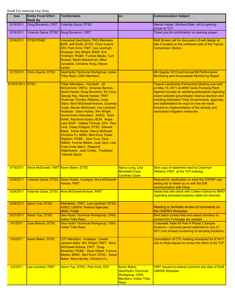| <b>Date</b>       | <b>Entity From/ Effort</b><br><b>Made By</b> | <b>To/Attendees</b>                                                                                                                                                                                                                                                                                                                                                                                                                                                                                                                                                                                                                                                                                                                  | CC:                                                                                                          | <b>Communication Subject</b>                                                                                                                                                                                                                                                                                                                                                                       |
|-------------------|----------------------------------------------|--------------------------------------------------------------------------------------------------------------------------------------------------------------------------------------------------------------------------------------------------------------------------------------------------------------------------------------------------------------------------------------------------------------------------------------------------------------------------------------------------------------------------------------------------------------------------------------------------------------------------------------------------------------------------------------------------------------------------------------|--------------------------------------------------------------------------------------------------------------|----------------------------------------------------------------------------------------------------------------------------------------------------------------------------------------------------------------------------------------------------------------------------------------------------------------------------------------------------------------------------------------------------|
| 5/16/2011         | Doug Bonamici, CRIT                          | Yolanda Garza, DTSC                                                                                                                                                                                                                                                                                                                                                                                                                                                                                                                                                                                                                                                                                                                  |                                                                                                              | Mamie Harper, Mohave Elder, will to opening<br>prayer at TLP.                                                                                                                                                                                                                                                                                                                                      |
| 5/16/2011         | Yolanda Garza, DTSC                          | Doug Bonamici, CRIT                                                                                                                                                                                                                                                                                                                                                                                                                                                                                                                                                                                                                                                                                                                  |                                                                                                              | Thank you for confirmation on opening prayer.                                                                                                                                                                                                                                                                                                                                                      |
| 5/16/2011         | DTSC/PG&E                                    | Interested Geo/Hydro TWG Members:<br><b>BOR: Jeff Smith; DTSC: Chris Guerre;</b><br>DOI: Pam Innis; FMIT: Leo Leonhart;<br>Hualapai: Win Wright; MWD: Eric<br>Fordham; PG&E: Yvonne Meeks, Curt<br>Russell, Martin Barackman, Mike<br>Cavaliere, Christina Hong, Steven<br>Lanter.                                                                                                                                                                                                                                                                                                                                                                                                                                                   |                                                                                                              | Well Screen call for discussion of well design at<br>Site 2 located on the northwest side of the Topock<br><b>Compressor Station.</b>                                                                                                                                                                                                                                                              |
| 5/17/2011         | Chris Guerre, DTSC                           | Geo/Hydro Technical Workgroup; Indian<br><b>Tribe Reps; CWG Members</b>                                                                                                                                                                                                                                                                                                                                                                                                                                                                                                                                                                                                                                                              |                                                                                                              | 4th Quarter 2010 and Annual IM Performance<br><b>Monitoring and Groundwater Monitoring Report</b>                                                                                                                                                                                                                                                                                                  |
| 5/18-5/19/11 DTSC |                                              | Tribal Attendees: Cocopah: Jill<br>McCormick; CRITs: Amanda Barrera,<br>David Harper, Doug Bonamici, Ed Yava,<br>George Ray, Mamie Harper; FMIT:<br><b>Chairman Timothy Williams, Linda</b><br>Otero, Nora McDowell-Antone, Courtney<br>Coyle, Steven McDonald, Leo Leonhart;<br>Hualapai: Dawn Hubbs, Win Wright.<br>Government Attendees: ADEQ: Sybil<br>Smith, Raymond Suazo; BLM: Angie<br>Lara; BOR: Valerie Thomas; DOI: Pam<br>Innis, Casey Padgett; DTSC: Stewart<br>Black, Karen Baker, Nancy Bothwell,<br>Christina Fu; MWD: Bart Koch, Eddie<br>Ridgdon; PG&E: Jane Yura, Dave<br>Gilbert, Yvonne Meeks, Juan Jayo, Lisa<br>Cope (note taker) ; Regional<br>Waterboard: Jose Cortez. Facilitator:<br><b>Yolanda Garza</b> |                                                                                                              | <b>Topock Leadership Partnership Meeting was held</b><br>on May 19, 2011 at MWD Gene Pumping Plant.<br>Agenda focused on updating participants regarding<br>recent selected groundwater cleanup decision and<br>soliciting interested Tribal Governments, agencies,<br>and stakeholders for input on how we move<br>forward on implementation of the remedy and<br>associated mitigation measures. |
| 5/19/2011         | Steve McDonald, FMIT Karen Baker, DTSC       |                                                                                                                                                                                                                                                                                                                                                                                                                                                                                                                                                                                                                                                                                                                                      | Nancy Long, Lisa<br>Micheletti-Cope,<br><b>Courtney Coyle</b>                                                | Sent copy of statement read by Chairman<br>Williams, FMIT, at the TLP meeting.                                                                                                                                                                                                                                                                                                                     |
| 5/20/2011         |                                              | Yolanda Garza, DTSC   Dawn Hubbs, Hualapai, Nora McDowell-<br>Antone, FMIT                                                                                                                                                                                                                                                                                                                                                                                                                                                                                                                                                                                                                                                           |                                                                                                              | Request for clarification on what the CHPMP was<br>asking her to follow-up on with the EIR<br>communication with tribes.                                                                                                                                                                                                                                                                           |
| 5/24/2011         |                                              | Yolanda Garza, DTSC Nora McDowell-Antone, FMIT                                                                                                                                                                                                                                                                                                                                                                                                                                                                                                                                                                                                                                                                                       |                                                                                                              | Asked that she check with Colleen Garcia for MWD<br>regarding borrowed projector cable not returned.                                                                                                                                                                                                                                                                                               |
| 5/26/2011         | Aaron Yue, DTSC                              | Attendees: FMIT: Leo Leonhart, DTSC,<br>ADEQ, USEPA, Federal Agencies,<br>MWD, PG&E                                                                                                                                                                                                                                                                                                                                                                                                                                                                                                                                                                                                                                                  |                                                                                                              | Meeting to facilitate review of comments on<br>the CMI/RD Workplan                                                                                                                                                                                                                                                                                                                                 |
| 5/27/2011         | Aaron Yue, DTSC                              | Geo Hydro Technical Workgroup, CWG,<br><b>Indian Tribe Reps</b>                                                                                                                                                                                                                                                                                                                                                                                                                                                                                                                                                                                                                                                                      |                                                                                                              | Sent latest contact lists and asked members to<br>contact him if changes are needed.                                                                                                                                                                                                                                                                                                               |
| 6/1/2011          | Jose Marcos, DTSC                            | Geo Hydro Technical Workgroup, CWG,<br><b>Indian Tribe Reps</b>                                                                                                                                                                                                                                                                                                                                                                                                                                                                                                                                                                                                                                                                      |                                                                                                              | <b>Crosswalk Table for Part A Phase 2 Sample</b><br>locations - comment period extended to July 21,<br>2011 and revised numbering of sampling locations.                                                                                                                                                                                                                                           |
| 6/2/2011          | Karen Baker, DTSC                            | CTF Members: Hualapai: Loretta<br>Jackson-Kelly, Win Wright; FMIT: Nora<br>McDowell-Antone; CRIT: Doug<br>Bonamici; PG&E: Dave Gilbert, Yvonne<br>Meeks; MWD: Bart Koch; DTSC: Karen<br>Baker, Mona Bontty, Christina Fu                                                                                                                                                                                                                                                                                                                                                                                                                                                                                                             |                                                                                                              | Cancellation of CTF meeting scheduled for 6/14/11<br>due to tribal request to review the intent of the TLP.                                                                                                                                                                                                                                                                                        |
| 6/2/2011          | Leo Leonhart, FMIT                           | Aaron Yue, DTSC, Pam Innis, DOI                                                                                                                                                                                                                                                                                                                                                                                                                                                                                                                                                                                                                                                                                                      | Karen Baker,<br><b>Geo/Hydro Technical</b><br><b>Workgroup, CWG</b><br><b>Members, Indian Tribe</b><br>Reps. | <b>FMIT request to extend comment due date of Draft</b><br><b>CMI/RD Workplan.</b>                                                                                                                                                                                                                                                                                                                 |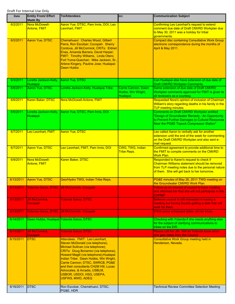| <b>Date</b> | <b>Entity From/ Effort</b><br><b>Made By</b> | <b>To/Attendees</b>                                                                                                                                                                                                                                                                                                                                                                                        | CC:                                                   | <b>Communication Subject</b>                                                                                                                                                                  |
|-------------|----------------------------------------------|------------------------------------------------------------------------------------------------------------------------------------------------------------------------------------------------------------------------------------------------------------------------------------------------------------------------------------------------------------------------------------------------------------|-------------------------------------------------------|-----------------------------------------------------------------------------------------------------------------------------------------------------------------------------------------------|
| 6/2/2011    | Nora McDowell-<br><b>Antone, FMIT</b>        | Aaron Yue, DTSC, Pam Innis, DOI, Leo<br>Leonhart, FMIT                                                                                                                                                                                                                                                                                                                                                     |                                                       | <b>Confirming Leo Leonhart's request to extend</b><br>comment due date of Draft CMI/RD Workplan due<br>to May 30, 2011 was a holiday for tribal<br>governments.                               |
| 6/2/2011    | <b>Aaron Yue, DTSC</b>                       | Chemehuevi: Charles Wood, Gilbert<br>Parra, Ron Escobar; Cocopah: Sherry<br>Cordova, Jill McCormick; CRITs: Eldred<br>Enas, Amanda Barrera, David Harper;<br>FMIT: Timothy Williams, Linda Otero;<br>Fort Yuma-Quechan: Mike Jackson, Sr.,<br>Arlene Kingery, Pauline Jose; Hualapai:<br>Dawn Hubbs                                                                                                        |                                                       | <b>Compact disc containing Consultative Work Group</b><br>electronic correspondence during the months of<br>April & May 2011.                                                                 |
| 6/3/2011    | Loretta Jackson-Kelly,<br>Hualapai           | Aaron Yue, DTSC                                                                                                                                                                                                                                                                                                                                                                                            |                                                       | Can Hualapai also have extension of due date of<br>Draft CMI/RD Workplan Comments.                                                                                                            |
| 6/6/2011    | Aaron Yue, DTSC                              | Loretta Jackson-Kelly, Hualapai Tribe                                                                                                                                                                                                                                                                                                                                                                      | Carrie Cannon, Dawn<br>Hubbs, Win Wright,<br>Hualapai | Same extension of due date of Draft CMI/RD<br>Workplan comments approved for FMIT is given to<br>all reviewers as a courtesy.                                                                 |
| 6/6/2011    | Karen Baker, DTSC                            | Nora McDowell-Antone, FMIT                                                                                                                                                                                                                                                                                                                                                                                 |                                                       | Requested Nora's opinion of inclusion of Chairman<br>William's story regarding deaths in his family in the<br><b>TLP meeting minutes.</b>                                                     |
| 6/6/2011    | Loretta Jackson-Kelly,<br>Hualapai           | Aaron Yue, DTSC, Pam Innis, DOI                                                                                                                                                                                                                                                                                                                                                                            |                                                       | Comments on Draft CMI/RD Workplan entitled<br>"Design of Groundwater Remedy - An Opportunity<br>to Prevent Further Damages to Cultural Resources<br>Near the PG&E Topock Compressor Station"  |
| 6/7/2011    | Leo Leonhart, FMIT                           | <b>Aaron Yue, DTSC</b>                                                                                                                                                                                                                                                                                                                                                                                     |                                                       | Leo called Aaron to verbally ask for another<br>extension until the end of the week for commenting<br>on the Draft CMI/RD Workplan and also sent e-<br>mail request.                          |
| 6/7/2011    | <b>Aaron Yue, DTSC</b>                       | Leo Leonhart, FMIT, Pam Innis, DOI                                                                                                                                                                                                                                                                                                                                                                         | CWG, TWG, Indian<br><b>Tribe Reps.</b>                | Confirmed agreement to provide additional time to<br>the FMIT to compile comments on the CMI/RD<br><b>Work Plan.</b>                                                                          |
| 6/9/2011    | Nora McDowell-<br><b>Antone, FMIT</b>        | Karen Baker, DTSC                                                                                                                                                                                                                                                                                                                                                                                          |                                                       | Responded to Karen's request to check if<br>Chairman Williams statement should be removed<br>from TLP meeting notes due to the personal nature<br>of them. She will get back to her tomorrow. |
| 6/13/2011   | Aaron Yue, DTSC                              | Geo/Hydro TWG, Indian Tribe Reps.                                                                                                                                                                                                                                                                                                                                                                          |                                                       | PG&E minutes of May 26, 2011 TWG meeting on<br>the Groundwater CMI/RD Work Plan.                                                                                                              |
|             |                                              | 6/13/2011   Yolanda Garza, DTSC Jill McCormick, Cocopah                                                                                                                                                                                                                                                                                                                                                    |                                                       | Follow-up on interest of council to have meeting<br>and informed her that she will not participate in the<br>CHPMP.                                                                           |
| 6/13/2011   | <b>Jill McCormick.</b><br>Cocopah            | <b>Yolanda Garza, DTSC</b>                                                                                                                                                                                                                                                                                                                                                                                 |                                                       | Believes council is still interested in having a<br>meeting but having trouble getting a date that will<br>work for them.                                                                     |
| 6/13/2011   |                                              | Yolanda Garza, DTSC Jill McCormick, Cocopah                                                                                                                                                                                                                                                                                                                                                                |                                                       | If find some scheduled dates, let her know.                                                                                                                                                   |
| 6/14/2011   |                                              | Dawn Hubbs, Hualapai Yolanda Garza, DTSC                                                                                                                                                                                                                                                                                                                                                                   |                                                       | Checking with Yolanda if she needs anything else<br>for the subject of clarifying communications to<br>tribes on the EIR.                                                                     |
| 6/14/2011   | <b>Jill McCormick,</b><br>Cocopah            | <b>Yolanda Garza, DTSC</b>                                                                                                                                                                                                                                                                                                                                                                                 |                                                       | Please call her Jill. Will let Yolanda know when<br>she gets dates from the Council.                                                                                                          |
| 6/15/2011   | <b>DTSC</b>                                  | Attendees: FMIT: Leo Leonhart,<br>Steven McDonald (via telephone),<br>Michael Sullivan (via telephone);<br>CRITs: Doug Bonamici (via telephone),<br>Howard Magill (via telephone); Hualapai<br>Indian Tribe: Dawn Hubbs, Win Wright,<br>Carrie Cannon; DTSC, SWRCB, PG&E<br>and their consultants CH2M Hill, Lucas<br>Advocates, & Arcadis, USBLM,<br>USBOR, USDOI, HSG, USEPA,<br><b>USFWS, MWD, ADEQ</b> |                                                       | Consultative Work Group meeting held in<br>Henderson, Nevada.                                                                                                                                 |
| 6/16/2011   | <b>DTSC</b>                                  | Ron Escobar, Chemehuevi, DTSC,<br>PG&E, HDR                                                                                                                                                                                                                                                                                                                                                                |                                                       | Technical Review Committee Selection Meeting                                                                                                                                                  |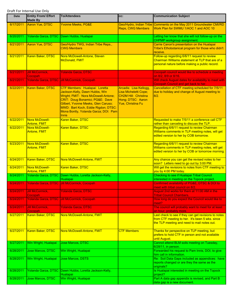| Date      | <b>Entity From/ Effort</b><br><b>Made By</b> | <b>To/Attendees</b>                                                                                                                                                                                                                                                              | CC:                                                                                                               | <b>Communication Subject</b>                                                                                                                           |
|-----------|----------------------------------------------|----------------------------------------------------------------------------------------------------------------------------------------------------------------------------------------------------------------------------------------------------------------------------------|-------------------------------------------------------------------------------------------------------------------|--------------------------------------------------------------------------------------------------------------------------------------------------------|
| 6/17/2011 | Aaron Yue, DTSC                              | <b>Yvonne Meeks, PG&amp;E</b>                                                                                                                                                                                                                                                    | <b>Reps, CWG Members</b>                                                                                          | Geo/Hydro, Indian Tribe Comments on the May 2011 Groundwater CMI/RD<br>Work Plan for SWMU 1/AOC 1 and AOC 10                                           |
| 6/20/2011 |                                              | Yolanda Garza, DTSC Dawn Hubbs, Hualapai                                                                                                                                                                                                                                         |                                                                                                                   | Letting her know that she will not follow-up on the<br>CHPMP workgroup assignment.                                                                     |
| 6/21/2011 | Aaron Yue, DTSC                              | Geo/Hydro TWG, Indian Tribe Reps.,<br><b>CWG Members</b>                                                                                                                                                                                                                         |                                                                                                                   | Carrie Canon's presentation on the Hualapai<br>Tribe's Ethobotanical program for those who didn't<br>receive.                                          |
| 6/21/2011 | Karen Baker, DTSC                            | Nora McDowell-Antone, Steven<br><b>McDonald, FMIT</b>                                                                                                                                                                                                                            |                                                                                                                   | Follow-up regarding 6/6/11 request to review<br>Chairman Williams statement at TLP that are of a<br>personal nature before making a public record.     |
| 6/21/2011 | <b>Jill McCormick,</b><br>Cocopah            | <b>Yolanda Garza, DTSC</b>                                                                                                                                                                                                                                                       |                                                                                                                   | Cocopah council would like to schedule a meeting<br>on 8/2, 8/9 or 8/16.                                                                               |
| 6/21/2011 |                                              | Yolanda Garza, DTSC Jill McCormick, Cocopah                                                                                                                                                                                                                                      |                                                                                                                   | Will check August dates for availability to meet with<br>Cocopah Council and get back to her                                                           |
| 6/22/2011 | Karen Baker, DTSC                            | CTF Members: Hualapai: Loretta<br>Jackson-Kelly, Dawn Hubbs, Win<br>Wright; FMIT: Nora McDowell-Antone;<br>CRIT: Doug Bonamici; PG&E: Dave<br>Gilbert, Yvonne Meeks, Glen Caruso;<br>MWD: Bart Koch, Eddie Rigdon; DTSC:<br>Mona Bontty, Yolanda Garza; DOI: Pam<br><b>Innis</b> | Arcadis: Lisa Kellogg,<br>Lisa Micheletti Cope;<br>CH2M Hill: Christina<br>Hong; DTSC: Aaron<br>Yue, Christina Fu | Cancellation of CTF meeting scheduled for 7/5/11<br>due to holiday and change of August meeting to<br>8/2.                                             |
| 6/22/2011 | Nora McDowell-<br><b>Antone, FMIT</b>        | Karen Baker, DTSC                                                                                                                                                                                                                                                                |                                                                                                                   | Requested to make 7/5/11 a conference call CTF<br>rather than canceling to discuss the TLP.                                                            |
| 6/22/2011 | Nora McDowell-<br><b>Antone, FMIT</b>        | Karen Baker, DTSC                                                                                                                                                                                                                                                                |                                                                                                                   | Regarding 6/6/11 request to review Chairman<br>Williams comments in TLP meeting notes, will get<br>edited version to her by COB tomorrow.              |
| 6/23/2011 | Nora McDowell-<br>Antone, FMIT               | Karen Baker, DTSC                                                                                                                                                                                                                                                                |                                                                                                                   | Regarding 6/6/11 request to review Chairman<br>Williams comments in TLP meeting notes, will get<br>edited version to her by COB or tomorrow morning.   |
| 6/24/2011 | Karen Baker, DTSC                            | Nora McDowell-Antone, FMIT                                                                                                                                                                                                                                                       |                                                                                                                   | Any chance you can get the revised notes to her<br>soon? Letters need to go out by 3:00 PM.                                                            |
| 6/24/2011 | Nora McDowell-<br><b>Antone, FMIT</b>        | Karen Baker, DTSC                                                                                                                                                                                                                                                                |                                                                                                                   | Will get the revisions to notes from CTF meeting to<br>you by 4:00 PM today.                                                                           |
| 6/24/2011 |                                              | Yolanda Garza, DTSC Dawn Hubbs, Loretta Jackson-Kelly,<br>Hualapai                                                                                                                                                                                                               |                                                                                                                   | Checking to see if Hualapai Tribal Council<br>interested in meeting on the Topock project.                                                             |
| 6/24/2011 |                                              | Yolanda Garza, DTSC Jill McCormick, Cocopah                                                                                                                                                                                                                                      |                                                                                                                   | Confirmed availability of PG&E, DTSC & DOI to<br>meet with tribal council on 8/2.                                                                      |
| 6/24/2011 | <b>Jill McCormick,</b><br>Cocopah            | <b>Yolanda Garza, DTSC</b>                                                                                                                                                                                                                                                       |                                                                                                                   | August 2nd works for them at 11:00 AM in the<br><b>Tribal Council Chambers.</b>                                                                        |
| 6/24/2011 |                                              | Yolanda Garza, DTSC Jill McCormick, Cocopah                                                                                                                                                                                                                                      |                                                                                                                   | How long do you expect the Council would like to<br>meet?                                                                                              |
| 6/24/2011 | <b>Jill McCormick,</b><br>Cocopah            | <b>Yolanda Garza, DTSC</b>                                                                                                                                                                                                                                                       |                                                                                                                   | The council will probably want to meet for at least<br>an hour, probably more.                                                                         |
| 6/27/2011 | Karen Baker, DTSC                            | Nora McDowell-Antone, FMIT                                                                                                                                                                                                                                                       |                                                                                                                   | Last check to see if they can get revisions to notes<br>from CTF meeting to her. It's been 5 wks. since<br>the TLP meeting and need to mail notes out. |
| 6/27/2011 | <b>Karen Baker, DTSC</b>                     | Nora McDowell-Antone, FMIT                                                                                                                                                                                                                                                       | <b>CTF Members</b>                                                                                                | Thanks for perspective on TLP meeting, but<br>prefers to hold CTF in person and not available<br>until August.                                         |
| 6/27/2011 | Win Wright, Hualapai                         | <b>Jose Marcos, DTSC</b>                                                                                                                                                                                                                                                         |                                                                                                                   | Cannot attend BLM soils meeting on Tuesday,<br>6/28/11, in person.                                                                                     |
| 6/28/2011 | Jose Marcos, DTSC                            | Win Wright, Hualapai                                                                                                                                                                                                                                                             |                                                                                                                   | Forwarded his request to Pam Innis, DOI, to give<br>him call in information.                                                                           |
| 6/28/2011 | Win Wright, Hualapai                         | Jose Marcos, DSTS                                                                                                                                                                                                                                                                |                                                                                                                   | Re: Soil Data Gaps included as appendices: have<br>reports changed or are they the same as the<br>originals?                                           |
| 6/28/2011 |                                              | Yolanda Garza, DTSC Dawn Hubbs, Loretta Jackson-Kelly,<br><b>Hualapai</b>                                                                                                                                                                                                        |                                                                                                                   | Is Hualapai interested in meeting on the Topock<br>project?                                                                                            |
| 6/28/2011 | Jose Marcos, DTSC                            | Win Wright, Hualapai                                                                                                                                                                                                                                                             |                                                                                                                   | Part A data gap appendix is revised, and Part B<br>data gap is a new document.                                                                         |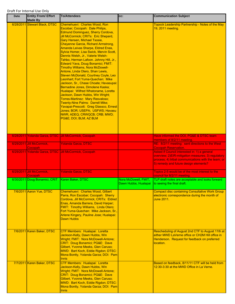| <b>Date</b> | <b>Entity From/ Effort</b><br><b>Made By</b>      | <b>To/Attendees</b>                                                                                                                                                                                                                                                                                                                                                                                                                                                                                                                                                                                                                                                                                                                                                                                                                                                                                                                                                                             | CC:                                          | <b>Communication Subject</b>                                                                                                                                                                       |
|-------------|---------------------------------------------------|-------------------------------------------------------------------------------------------------------------------------------------------------------------------------------------------------------------------------------------------------------------------------------------------------------------------------------------------------------------------------------------------------------------------------------------------------------------------------------------------------------------------------------------------------------------------------------------------------------------------------------------------------------------------------------------------------------------------------------------------------------------------------------------------------------------------------------------------------------------------------------------------------------------------------------------------------------------------------------------------------|----------------------------------------------|----------------------------------------------------------------------------------------------------------------------------------------------------------------------------------------------------|
|             | 6/28/2011 Stewart Black, DTSC                     | Chemehuevi: Charles Wood, Ron<br>Escobar; Cocopah: Dale Philips,<br>Edmund Dominguez, Sherry Cordova,<br>Jill McCormick; CRITs: Eric Shepard,<br><b>Gary Hansen, Michael Tsosie,</b><br><b>Cheyenne Garcia, Richard Armstrong,</b><br>Amanda Leivas Sharpe, Eldred Enas,<br>Sylvia Homer, Lisa Swick, Mervin Scott,<br>Dennis Welsh, Jr., Valerie Welsh-<br>Tahbo, Herman Lafoon. Johnny Hill, Jr.,<br>Edward Yava, Doug Bonamici; FMIT:<br><b>Timothy Williams, Nora McDowell-</b><br>Antone, Linda Otero, Shan Lewis,<br>Steven McDonald, Courtney Coyle, Leo<br>Leonhart; Fort Yuma-Quechan: Mike<br>Jackson, Sr., Chase Choate; Havasupai:<br>Bernadine Jones, Dimolene Kaska;<br>Hualapai: Wilfred Whatoname, Loretta<br>Jackson, Dawn Hubbs, Win Wright;<br>Torres-Martinez: Mary Resvaloso;<br><b>Twenty-Nine Palms: Darrell Mike;</b><br>Yavapai-Prescott: Greg Glassco, Ernest<br>Jones; BOR; USEPA; USFWS; Havasu<br>NWR; ADEQ; CRWQCB; CRB; MWD;<br><u>PG&amp;E DOI; BLM; AZ BLM</u> |                                              | Topock Leadership Partnership - Notes of the May<br>19, 2011 meeting.                                                                                                                              |
|             |                                                   | 6/28/2011 Yolanda Garza, DTSC Jill McCormick, Cocopah                                                                                                                                                                                                                                                                                                                                                                                                                                                                                                                                                                                                                                                                                                                                                                                                                                                                                                                                           |                                              | Have informed the DOI, PG&E & DTSC team<br>members of 8/2/11 meeting.                                                                                                                              |
|             | 6/29/2011 Jill McCormick,<br>Cocopah              | <b>Yolanda Garza, DTSC</b>                                                                                                                                                                                                                                                                                                                                                                                                                                                                                                                                                                                                                                                                                                                                                                                                                                                                                                                                                                      |                                              | RE: 8/2/11 meeting: sent directions to the West<br><b>Cocopah Reservation.</b>                                                                                                                     |
|             |                                                   | 6/29/2011 Yolanda Garza, DTSC Jill McCormick, Cocopah                                                                                                                                                                                                                                                                                                                                                                                                                                                                                                                                                                                                                                                                                                                                                                                                                                                                                                                                           |                                              | Asked if Council interested in: 1) a general<br>overview; 2)EIR-mitigation measures; 3) regulatory<br>process; 4) tribal communications with the team; or<br>5) remedy and future design elements? |
|             | 6/29/2011 Jill McCormick,<br>Cocopah              | Yolanda Garza, DTSC                                                                                                                                                                                                                                                                                                                                                                                                                                                                                                                                                                                                                                                                                                                                                                                                                                                                                                                                                                             |                                              | Topics 2-5 would be of the most interest to the<br>council for 8/2/11 meeting.                                                                                                                     |
|             | 6/30/2011 Doug Bonamici, CRIT   Karen Baker, DTSC |                                                                                                                                                                                                                                                                                                                                                                                                                                                                                                                                                                                                                                                                                                                                                                                                                                                                                                                                                                                                 | Nora McDowell, FMIT,<br>Dawn Hubbs, Hualapai | TLP draft notes are acceptable and looks forward<br>to seeing the final draft.                                                                                                                     |
|             | 7/6/2011 Aaron Yue, DTSC                          | Chemehuevi: Charles Wood, Gilbert<br>Parra, Ron Escobar; Cocopah: Sherry<br>Cordova, Jill McCormick; CRITs: Eldred<br>Enas, Amanda Barrera, David Harper;<br>FMIT: Timothy Williams, Linda Otero;<br>Fort Yuma-Quechan: Mike Jackson, Sr.,<br>Arlene Kingery, Pauline Jose; Hualapai:<br><b>Dawn Hubbs</b>                                                                                                                                                                                                                                                                                                                                                                                                                                                                                                                                                                                                                                                                                      |                                              | <b>Compact disc containing Consultative Work Group</b><br>electronic correspondence during the month of<br>June 2011.                                                                              |
|             | 7/6/2011 Karen Baker, DTSC                        | CTF Members: Hualapai: Loretta<br>Jackson-Kelly, Dawn Hubbs, Win<br>Wright; FMIT: Nora McDowell-Antone;<br>CRIT: Doug Bonamici; PG&E: Dave<br>Gilbert, Yvonne Meeks, Glen Caruso;<br>MWD: Bart Koch, Eddie Rigdon; DTSC:<br>Mona Bontty, Yolanda Garza; DOI: Pam<br><b>Innis</b>                                                                                                                                                                                                                                                                                                                                                                                                                                                                                                                                                                                                                                                                                                                |                                              | Rescheduling of August 2nd CTF to August 11th at<br>either MWD LaVerne office or CH2M Hill office in<br>Henderson. Request for feedback on preferred<br>location.                                  |
|             | 7/7/2011 Karen Baker, DTSC                        | CTF Members: Hualapai: Loretta<br>Jackson-Kelly, Dawn Hubbs, Win<br>Wright; FMIT: Nora McDowell-Antone;<br>CRIT: Doug Bonamici; PG&E: Dave<br>Gilbert, Yvonne Meeks, Glen Caruso;<br>MWD: Bart Koch, Eddie Rigdon; DTSC:<br>Mona Bontty, Yolanda Garza; DOI: Pam<br>Innis                                                                                                                                                                                                                                                                                                                                                                                                                                                                                                                                                                                                                                                                                                                       |                                              | Based on feedback, 8/11/11 CTF will be held from<br>12:30-3:30 at the MWD Office in La Verne.                                                                                                      |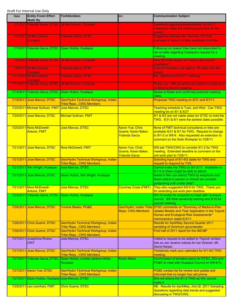| <b>Date</b> | <b>Entity From/ Effort</b><br><b>Made By</b>       | <b>To/Attendees</b>                                                          | CC:                                                                     | <b>Communication Subject</b>                                                                                                                                                                         |
|-------------|----------------------------------------------------|------------------------------------------------------------------------------|-------------------------------------------------------------------------|------------------------------------------------------------------------------------------------------------------------------------------------------------------------------------------------------|
|             |                                                    | 7/7/2011 Yolanda Garza, DTSC Jill McCormick, Cocopah                         |                                                                         | Questions regarding presentations for 8/2/11<br>meeting to make the meeting productive for the<br>council.                                                                                           |
|             | 7/7/2011 Jill McCormick,<br>Cocopah                | <b>Yolanda Garza, DTSC</b>                                                   |                                                                         | Suggested sharing info. from the TLP and<br>overview of topics 2-5 then questions from the.                                                                                                          |
|             | 7/7/2011 Yolanda Garza, DTSC Dawn Hubbs, Hualapai  |                                                                              |                                                                         | Follow-up on reason they have not responded to<br>her e-mails regarding Hualapai's request for a<br>meeting.                                                                                         |
|             |                                                    | 7/8/2011 Yolanda Garza, DTSC Jill McCormick, Cocopah                         |                                                                         | How far is the airport at Yuma to the council<br>chambers?                                                                                                                                           |
|             | 7/8/2011 Jill McCormick,<br>Cocopah                | <b>Yolanda Garza, DTSC</b>                                                   |                                                                         | Council chambers are approx. 15 miles from the<br>airport.                                                                                                                                           |
|             | 7/11/2011 Jill McCormick,<br>Cocopah               | Yolanda Garza, DTSC                                                          |                                                                         | Re: directions for 8/2/11 meeting.                                                                                                                                                                   |
|             |                                                    | 7/11/2011 Yolanda Garza, DTSC Jill McCormick, Cocopah                        |                                                                         | Thank you. Will arrive the day before to make sure<br>on time for the 8/2 meeting.                                                                                                                   |
|             | 7/15/2011 Yolanda Garza, DTSC Dawn Hubbs, Hualapai |                                                                              |                                                                         | Spoke to Dawn and confirmed potential meeting<br>dates.                                                                                                                                              |
|             | 7/19/2011 Jose Marcos, DTSC                        | Geo/Hydro Technical Workgroup, Indian<br><b>Tribe Reps., CWG Members</b>     |                                                                         | Proposed TWG meeting on 8/31 and 9/1/11.                                                                                                                                                             |
|             | 7/20/2011 Michael Sullivan, FMIT                   | <b>Jose Marcos, DTSC</b>                                                     |                                                                         | Teaching schedule is Tues. and Wed. Can TWG<br>meeting be on 8/1 & 8/2?                                                                                                                              |
|             | 7/20/2011 Jose Marcos, DTSC                        | <b>Michael Sullivan, FMIT</b>                                                |                                                                         | 8/1 & 8/2 are not viable dates for DTSC to hold the<br>TWG. 8/31 & 9/1 were the earliest dates possible.                                                                                             |
|             | 7/20/2011 Nora McDowell-<br><b>Antone, FMIT</b>    | <b>Jose Marcos, DTSC</b>                                                     | <b>Aaron Yue, Chris</b><br>Guerre, Karen Baker,<br><b>Yolanda Garza</b> | None of FMIT technical consultants or tribe are<br>available 8/31 & 9/1 for TWG. Request to change<br>to 9/1-2 or 9/8-9. Also requested an extension to<br>comment on the Soils Workplan to 7/28/11. |
|             | 7/21/2011 Jose Marcos, DTSC                        | Nora McDowell, FMIT                                                          | <b>Aaron Yue, Chris</b><br>Guerre, Karen Baker,<br><b>Yolanda Garza</b> | Will ask TWG/CWG to consider 9/1-2 for TWG<br>meeting. Extended deadline to comment on the<br>soil work plan to 7/28/11.                                                                             |
|             | 7/21/2011 Jose Marcos, DTSC                        | Geo/Hydro Technical Workgroup, Indian<br><b>Tribe Reps., CWG Members</b>     |                                                                         | Soliciting input of 9/1-9/2 dates for TWG and<br>request to respond by 7/26.                                                                                                                         |
|             | 7/21/2011 Win Wright, Hualapai                     | Jose Marcos, DTSC                                                            |                                                                         | Cannot make the TWG on 9/1-2/11. Available on<br>9/7-9 or Dawn might be able to attend.                                                                                                              |
|             | 7/21/2011 Jose Marcos, DTSC                        | Dawn Hubbs, Win Wright, Hualapai                                             |                                                                         | Asked if Win can attend TWG by telephone and<br>Dawn attend in person or should we consider<br>postponing until a later date?                                                                        |
|             | 7/21/2011 Nora McDowell-<br>Antone, FMIT           | Jose Marcos, DTSC                                                            |                                                                         | Courtney Coyle (FMIT) They also suggested 9/8-9 for TWG. Thank you<br>for extending soil work plan deadline.                                                                                         |
|             | 7/25/2011 Yolanda Garza, DTSC Dawn Hubbs, Hualapai |                                                                              |                                                                         | 9/9-10 works for everyone to meet with Hualapai<br>council. 9/9 tribal sensitivity training and 9/10 for<br>council meeting.                                                                         |
|             | 7/26/2011 Jose Marcos, DTSC                        | <b>Yvonne Meeks, PG&amp;E</b>                                                | <b>Reps, CWG Members</b>                                                | Geo/Hydro, Indian Tribe DTSC comments on "Summary of Media-to-Plan<br>Uptake Models and Their Application in the Topock<br>Human and Ecological Risk Assessments"<br>memorandum dated 6/3/11.        |
|             | 7/26/2011 Chris Guerre, DTSC                       | Geo/Hydro Technical Workgroup, Indian<br><b>Tribe Reps., CWG Members</b>     |                                                                         | <b>Results for April/May Second Quarter 2011</b><br>sampling of chromium groundwater                                                                                                                 |
|             | 7/26/2011 Chris Guerre, DTSC                       | Geo/Hydro Technical Workgroup, Indian<br><b>Tribe Reps., CWG Members</b>     |                                                                         | First half of 2011 report for the IMCMP                                                                                                                                                              |
|             | 7/27/2011 Josephina Rivera,<br><b>CRIT</b>         | Jose Marcos, DTSC                                                            |                                                                         | Called to request to be added to Topock contact<br>lists so can receive notices for her Director, Mr.<br>David Harper.                                                                               |
|             | 7/27/2011 Jose Marcos, DTSC                        | Geo/Hydro Technical Workgroup, Indian<br><b>Tribe Reps., CWG Members</b>     |                                                                         | Tentatively mark your calendars for 9/1-9/2 TWG<br>meeting.                                                                                                                                          |
|             |                                                    | 7/27/2011 Yolanda Garza, DTSC Dawn Hubbs, Loretta Jackson-Kelly,<br>Hualapai | Karen Baker                                                             | Confirmation of tentative plans for DTSC, DOI and<br>PG&E to meet with Hualapai Council on 9/9-9/10.                                                                                                 |
|             | 7/27/2011 Aaron Yue, DTSC                          | Geo/Hydro Technical Workgroup, Indian<br><b>Tribe Reps., CWG Members</b>     |                                                                         | PG&E contact list for review and update and<br>informed that no longer has cell phone.                                                                                                               |
|             | 7/27/2011 Dawn Hubbs, Hualapai Jose Marcos, DTSC   |                                                                              |                                                                         | She will attend the 9/1-2 TWG as Win cannot<br>make it.                                                                                                                                              |
|             | 7/28/2011 Leo Leonhart, FMIT                       | <b>Chris Guerre, DTSC</b>                                                    |                                                                         | RE: Results for April/May, 2nd Qt. 2011 Sampling.<br>Questions regarding data trends and suggested<br>discussing in TWG/CWG.                                                                         |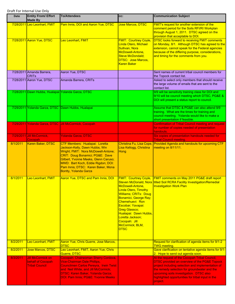| <b>Date</b> | <b>Entity From/ Effort</b><br><b>Made By</b>                           | <b>To/Attendees</b>                                                                                                                                                                                                                                                                     | CC:                                                                                                                                                                                                                                                               | <b>Communication Subject</b>                                                                                                                                                                                                                                                                                   |
|-------------|------------------------------------------------------------------------|-----------------------------------------------------------------------------------------------------------------------------------------------------------------------------------------------------------------------------------------------------------------------------------------|-------------------------------------------------------------------------------------------------------------------------------------------------------------------------------------------------------------------------------------------------------------------|----------------------------------------------------------------------------------------------------------------------------------------------------------------------------------------------------------------------------------------------------------------------------------------------------------------|
|             | 7/28/2011 Leo Leonhart, FMIT                                           | Pam Innis, DOI and Aaron Yue, DTSC                                                                                                                                                                                                                                                      | <b>Jose Marcos, DTSC</b>                                                                                                                                                                                                                                          | <b>FMIT's request for another extension of the</b><br>comment period for the Soils RFI/RI Workplan<br>through August 1, 2011. DTSC agreed on the<br>provision that acceptable to DOI.                                                                                                                          |
|             | 7/28/2011 Aaron Yue, DTSC                                              | <b>Leo Leonhart, FMIT</b>                                                                                                                                                                                                                                                               | <b>FMIT: Courtney Coyle</b><br>Linda Otero, Michael<br>Sullivan, Nora<br>McDowell-Antone,<br><b>Steve McDondald:</b><br><b>DTSC: Jose Marcos,</b><br><b>Karen Baker</b>                                                                                           | <b>DTSC looks forward to receiving FMIT comments</b><br>on Monday, 8/1. Although DTSC has agreed to the<br>extension, cannot speak for the Federal agencies<br>because of the differing purpose, considerations,<br>and timing for the comments from you.                                                      |
|             | 7/28/2011 Amanda Barrera,<br><b>CRIT<sub>s</sub></b>                   | Aaron Yue, DTSC                                                                                                                                                                                                                                                                         |                                                                                                                                                                                                                                                                   | Sent names of current tribal council members for<br>the Topock contact list.                                                                                                                                                                                                                                   |
|             | 7/28/2011 Aaron Yue, DTSC                                              | Amanda Barrera, CRITs                                                                                                                                                                                                                                                                   |                                                                                                                                                                                                                                                                   | Asked to select only members that should receive<br>the large volume of emails that are sent to the<br>contact list.                                                                                                                                                                                           |
|             | 7/28/2011 Dawn Hubbs, Hualapai Yolanda Garza, DTSC                     |                                                                                                                                                                                                                                                                                         |                                                                                                                                                                                                                                                                   | 9/9 will be sensitivity training class for DOI and<br>9/10 will be council meeting which DTSC, PG&E &<br>DOI will present a status report to council.                                                                                                                                                          |
|             |                                                                        | 7/29/2011 Yolanda Garza, DTSC Dawn Hubbs, Hualapai                                                                                                                                                                                                                                      |                                                                                                                                                                                                                                                                   | Assume that DTSC & PG&E can also attend 9/9<br>training. What are the times for training and<br>council meeting. Yolanda would like to make a<br>short presentation if feasible.                                                                                                                               |
|             |                                                                        | 7/29/2011 Yolanda Garza, DTSC Jill McCormick, Cocopah                                                                                                                                                                                                                                   |                                                                                                                                                                                                                                                                   | <b>Confirmation of Tribal Council meeting and request</b><br>for number of copies needed of presentation<br>handouts.                                                                                                                                                                                          |
|             | 7/29/2011 Jill McCormick,<br>Cocopah                                   | <b>Yolanda Garza, DTSC</b>                                                                                                                                                                                                                                                              |                                                                                                                                                                                                                                                                   | Six copies of presentation handouts needed for<br><b>Tribal Council meeting.</b>                                                                                                                                                                                                                               |
| 8/1/2011    | Karen Baker, DTSC                                                      | CTF Members: Hualapai: Loretta<br>Jackson-Kelly, Dawn Hubbs, Win<br>Wright; FMIT: Nora McDowell-Antone;<br>CRIT: Doug Bonamici; PG&E: Dave<br>Gilbert, Yvonne Meeks, Glenn Caruso;<br>MWD: Bart Koch, Eddie Rigdon; DOI:<br>Pam Innis; DTSC: Karen Baker, Mona<br>Bontty, Yolanda Garza | Christina Fu, Lisa Cope,<br>Lisa Kellogg, Christina<br>Hong                                                                                                                                                                                                       | Provided Agenda and handouts for upcoming CTF<br>meeting on 8/11/11.                                                                                                                                                                                                                                           |
| 8/1/2011    | Leo Leonhart, FMIT                                                     | Aaron Yue, DTSC and Pam Innis, DOI                                                                                                                                                                                                                                                      | McDowell-Antone,<br><b>Linda Otero, Timothy</b><br><b>Williams; CRITs: Doug</b><br>Bonamici, George Ray;<br>Chemehuevi: Ron<br>Escobar; Yavapai:<br>Greg Glassco;<br>Hualapai: Dawn Hubbs,<br>Loretta Jackson;<br>Cocopah: Jill<br>McCormick; BLM,<br><b>DTSC</b> | FMIT: Courtney Coyle, FMIT comments on May 2011 PG&E draft report<br>Steven McDonald, Nora titled Soil RCRA Facility Investigation/Remedial<br>Investigation Work Plan                                                                                                                                         |
| 8/2/2011    | Leo Leonhart, FMIT                                                     | Aaron Yue, Chris Guerre, Jose Marcos,<br><b>DTSC</b>                                                                                                                                                                                                                                    |                                                                                                                                                                                                                                                                   | Request for clarification of agenda items for 9/1-2<br><b>TWG meeting.</b>                                                                                                                                                                                                                                     |
| 8/2/2011    | <b>Jose Marcos, DTSC</b>                                               | Leo Leonhart, FMIT, Aaron Yue, Chris<br>Guerre, DTSC                                                                                                                                                                                                                                    |                                                                                                                                                                                                                                                                   | Gave clarification on tentative agenda items for 9/1-<br>2. Hope to send out agenda soon.                                                                                                                                                                                                                      |
| 8/3/2011    | <b>Jill McCormick on</b><br>behalf of Cocopah<br><b>Tribal Council</b> | Cocopah: Chairwoman Sherry Cordova,<br><b>Vice-Chairman Dale Phillips,</b><br><b>Councilmen Carlos Pereyra, Irwin Twist</b><br>and Neil White, and Jill McCormick;<br><b>DTSC: Karen Baker, Yolanda Garza;</b><br>DOI: Pam Innis; PG&E: Yvonne Meeks                                    |                                                                                                                                                                                                                                                                   | At the request of the Cocopah Tribal Council,<br>DTSC provided an overview of the PG&E Topock<br>project including selection and implementation of<br>the remedy selection for groundwater and the<br>upcoming soils investigation. DTSC also<br>highlighted opportunities for tribal input in the<br>project. |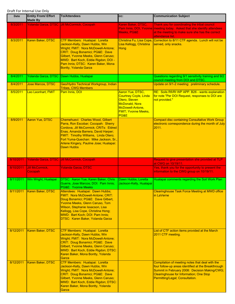| Date      | <b>Entity From/ Effort</b><br><b>Made By</b> | <b>To/Attendees</b>                                                                                                                                                                                                                                                                                        | CC:                                                                                                                                                  | <b>Communication Subject</b>                                                                                                                                                                                                                 |
|-----------|----------------------------------------------|------------------------------------------------------------------------------------------------------------------------------------------------------------------------------------------------------------------------------------------------------------------------------------------------------------|------------------------------------------------------------------------------------------------------------------------------------------------------|----------------------------------------------------------------------------------------------------------------------------------------------------------------------------------------------------------------------------------------------|
| 8/3/2011  |                                              | Yolanda Garza, DTSC Jill McCormick, Cocopah                                                                                                                                                                                                                                                                | Karen Baker, DTSC,<br>Meeks, PG&E                                                                                                                    | Thank you for coordinating the tribal council<br>Pam Innis, DOI, Yvonne meeting today. Asked that she identify attendees<br>at the meeting to make sure she has the correct<br>attendance list.                                              |
| 8/3/2011  | Karen Baker, DTSC                            | CTF Members: Hualapai: Loretta<br>Jackson-Kelly, Dawn Hubbs, Win<br>Wright; FMIT: Nora McDowell-Antone;<br>CRIT: Doug Bonamici; PG&E: Dave<br>Gilbert, Yvonne Meeks, Glenn Caruso;<br>MWD: Bart Koch, Eddie Rigdon; DOI -<br>Pam Innis; DTSC: Karen Baker, Mona<br><b>Bontty, Yolanda Garza</b>            | Christina Fu, Lisa Cope,<br>Lisa Kellogg, Christina<br>Hong                                                                                          | Correction to 8/11 CTF agenda. Lunch will not be<br>served, only snacks.                                                                                                                                                                     |
| 8/4/2011  |                                              | Yolanda Garza, DTSC Dawn Hubbs, Hualapai                                                                                                                                                                                                                                                                   |                                                                                                                                                      | Questions regarding 9/1 sensitivity training and 9/2<br>council meeting from DOI and DTSC.                                                                                                                                                   |
| 8/4/2011  | Jose Marcos, DTSC                            | Geo/Hydro Technical Workgroup, Indian<br><b>Tribes, CWG Members</b>                                                                                                                                                                                                                                        |                                                                                                                                                      | Update on 9/1-2 meeting: preliminary schedule.                                                                                                                                                                                               |
| 8/5/2011  | Leo Leonhart, FMIT                           | Pam Innis, DOI                                                                                                                                                                                                                                                                                             | Aaron Yue, DTSC,<br><b>Courtney Coyle, Linda</b><br>Otero, Steven<br><b>McDonald, Nora</b><br>McDowell-Antone,<br><b>FMIT; Yvonne Meeks,</b><br>PG&E | RE: Soils Rfi/RI WP APP. B26 - wants explanation<br>for note "Per DOI Request, responses to DOI are<br>not provided."                                                                                                                        |
| 8/9/2011  | <b>Aaron Yue, DTSC</b>                       | Chemehuevi: Charles Wood, Gilbert<br>Parra, Ron Escobar; Cocopah: Sherry<br>Cordova, Jill McCormick; CRITs: Eldred<br>Enas, Amanda Barrera, David Harper;<br>FMIT: Timothy Williams, Linda Otero;<br>Fort Yuma-Quechan: Mike Jackson, Sr.,<br>Arlene Kingery, Pauline Jose; Hualapai:<br><b>Dawn Hubbs</b> |                                                                                                                                                      | <b>Compact disc containing Consultative Work Group</b><br>electronic correspondence during the month of July<br>2011.                                                                                                                        |
| 8/10/2011 |                                              | Yolanda Garza, DTSC Jill McCormick, Cocopah                                                                                                                                                                                                                                                                |                                                                                                                                                      | Request to give presentation she provided at TLP<br>at CWG on 10/19/11.                                                                                                                                                                      |
| 8/10/2011 | Jill McCormick,<br><b>Cocopah</b>            | <b>Yolanda Garza, DTSC</b>                                                                                                                                                                                                                                                                                 |                                                                                                                                                      | Yes, thank you for the opportunity to present the<br>information to the CWG group on 10/19/11.                                                                                                                                               |
| 8/11/2011 | Win Wright, Hualapai                         | DTSC: Aaron Yue, Karen Baker, Chris<br>Guerre, Jose Marcos; DOI: Pam Innis;<br>PG&E: Yvonne Meeks                                                                                                                                                                                                          | Dawn Hubbs, Loretta<br>Jackson-Kelly, Hualapai                                                                                                       | Hualapai comments regarding the Soil Work Plan                                                                                                                                                                                               |
| 8/11/2011 | Karen Baker, DTSC                            | Attendees: Hualapai: Dawn Hubbs;<br>FMIT: Nora McDowell-Antone; CRIT:<br>Doug Bonamici; PG&E: Dave Gilbert,<br>Yvonne Meeks, Glenn Caruso, Tom<br>Wilson, Stephanie Issacson, Lisa<br>Kellogg, Lisa Cope, Christina Hong;<br>MWD: Bart Koch; DOI: Pam Innis;<br>DTSC: Karen Baker, Yolanda Garza           |                                                                                                                                                      | <b>Clearinghouse Task Force Meeting at MWD office</b><br>in LaVerne                                                                                                                                                                          |
| 8/12/2011 | Karen Baker, DTSC                            | CTF Members: Hualapai: Loretta<br>Jackson-Kelly, Dawn Hubbs, Win<br>Wright; FMIT: Nora McDowell-Antone;<br>CRIT: Doug Bonamici; PG&E: Dave<br>Gilbert, Yvonne Meeks, Glenn Caruso;<br>MWD: Bart Koch, Eddie Rigdon; DTSC:<br>Karen Baker, Mona Bontty, Yolanda<br>Garza                                    |                                                                                                                                                      | List of CTF action items provided at the March<br>2011 CTF meeting.                                                                                                                                                                          |
| 8/12/2011 | Karen Baker, DTSC                            | CTF Members: Hualapai: Loretta<br>Jackson-Kelly, Dawn Hubbs, Win<br>Wright; FMIT: Nora McDowell-Antone;<br>CRIT: Doug Bonamici; PG&E: Dave<br>Gilbert, Yvonne Meeks, Glenn Caruso;<br>MWD: Bart Koch, Eddie Rigdon; DTSC:<br>Karen Baker, Mona Bontty, Yolanda<br>Garza                                    |                                                                                                                                                      | Compilation of meeting notes that deal with the<br>four follow-up areas identified at the Breakthrough<br>Summit in February 2008: Decision Making/CWG;<br><b>Clearinghouse for Information; One Stop</b><br>Permitting/Legal; Consultation. |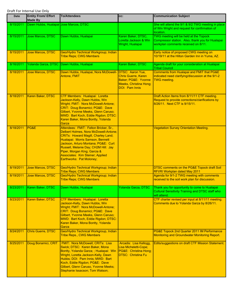| Date      | <b>Entity From/ Effort</b><br><b>Made By</b> | <b>To/Attendees</b>                                                                                                                                                                                                                                                                                                                                    | CC:                                                                                                   | <b>Communication Subject</b>                                                                                                      |
|-----------|----------------------------------------------|--------------------------------------------------------------------------------------------------------------------------------------------------------------------------------------------------------------------------------------------------------------------------------------------------------------------------------------------------------|-------------------------------------------------------------------------------------------------------|-----------------------------------------------------------------------------------------------------------------------------------|
| 8/15/2011 | Dawn Hubbs, Hualapai Jose Marcos, DTSC       |                                                                                                                                                                                                                                                                                                                                                        |                                                                                                       | She will attend the 9/1 & 9/2 TWG meeting in place<br>of Win Wright and request for confirmation of<br>location.                  |
| 8/15/2011 | Jose Marcos, DTSC                            | Dawn Hubbs, Hualapai                                                                                                                                                                                                                                                                                                                                   | Karen Baker, DTSC,<br>Loretta Jackson & Win<br>Wright, Hualapai                                       | TWG meeting will be held at the Topock<br>Compressor station. Also, thank you for Hualapai<br>workplan comments received on 8/11. |
| 8/15/2011 | <b>Jose Marcos, DTSC</b>                     | Geo/Hydro Technical Workgroup; Indian<br><b>Tribe Reps; CWG Members</b>                                                                                                                                                                                                                                                                                |                                                                                                       | Early notice of proposed CWG meeting on<br>10/19/11 at the Hilton Garden Inn in Yuma, AZ.                                         |
| 8/16/2011 |                                              | Yolanda Garza, DTSC Dawn Hubbs, Hualapai                                                                                                                                                                                                                                                                                                               | Karen Baker, DTSC                                                                                     | Agenda draft for your consideration at Hualapai<br><b>Tribal Council</b>                                                          |
| 8/18/2011 | Jose Marcos, DTSC                            | Dawn Hubbs, Hualapai, Nora McDowell- DTSC: Aaron Yue,<br>Antone, FMIT                                                                                                                                                                                                                                                                                  | <b>Chris Guerre, Karen</b><br>Baker; PG&E: Yvonne<br>Meeks, Christina Hong;<br><b>DOI: Pam Innis</b>  | <b>Comments from Hualapai and FMIT that PG&amp;E</b><br>indicated need clarifying/discussion at the 9/1-2<br><b>TWG</b> meeting.  |
| 8/18/2011 | Karen Baker, DTSC                            | CTF Members: Hualapai: Loretta<br>Jackson-Kelly, Dawn Hubbs, Win<br>Wright; FMIT: Nora McDowell-Antone;<br>CRIT: Doug Bonamici; PG&E: Dave<br>Gilbert, Yvonne Meeks, Glenn Caruso;<br>MWD: Bart Koch, Eddie Rigdon; DTSC:<br>Karen Baker, Mona Bontty, Yolanda<br>Garza                                                                                |                                                                                                       | Draft Action Items from 8/11/11 CTF meeting.<br>Request to provide corrections/clarifications by<br>8/26/11. Next CTF is 9/15/11. |
| 8/18/2011 | PG&E                                         | Attendees: FMIT: Felton Bricker, Sr.,<br>Delbert Holmes, Nora McDowell-Antone;<br><b>CRITs: Howard Magill, Charley Land;</b><br>Hualapai: Morris Samson, Bennett<br>Jackson, Arturo Montana; PG&E: Curt<br>Russell, Melanie Day; CH2M Hill: Jay<br>Piper, Morgan King; Garcia &<br><b>Associates: Kim Steiner; Applied</b><br>Earthworks: Pat Moloney; |                                                                                                       | <b>Vegetation Survey Orientation Meeting.</b>                                                                                     |
| 8/19/2011 | Jose Marcos, DTSC                            | Geo/Hydro Technical Workgroup; Indian<br><b>Tribe Reps; CWG Members</b>                                                                                                                                                                                                                                                                                |                                                                                                       | <b>DTSC comments on the PG&amp;E Topock draft Soil</b><br><b>RFI/RI Workplan dated May 2011</b>                                   |
| 8/19/2011 | Jose Marcos, DTSC                            | Geo/Hydro Technical Workgroup; Indian<br><b>Tribe Reps; CWG Members</b>                                                                                                                                                                                                                                                                                |                                                                                                       | Agenda for 9/1-2 TWG meeting with comments<br>received to the soil work plan for discussion.                                      |
| 8/23/2011 | Karen Baker, DTSC                            | Dawn Hubbs, Hualapai                                                                                                                                                                                                                                                                                                                                   | Yolanda Garza, DTSC                                                                                   | Thank you for opportunity to come to Hualapai<br><b>Cultural Sensitivity Training and DTSC staff who</b><br>will attend.          |
| 8/23/2011 | Karen Baker, DTSC                            | CTF Members: Hualapai: Loretta<br>Jackson-Kelly, Dawn Hubbs, Win<br>Wright; FMIT: Nora McDowell-Antone;<br>CRIT: Doug Bonamici; PG&E: Dave<br>Gilbert, Yvonne Meeks, Glenn Caruso;<br>MWD: Bart Koch, Eddie Rigdon; DTSC:<br>Karen Baker, Mona Bontty, Yolanda<br>Garza                                                                                |                                                                                                       | CTF charter revised per input at 8/11/11 meeting.<br>Comments due to Yolanda Garza by 8/26/11.                                    |
| 8/24/2011 | Chris Guerre, DTSC                           | Geo/Hydro Technical Workgroup, Indian<br><b>Tribe Reps., CWG Members</b>                                                                                                                                                                                                                                                                               |                                                                                                       | PG&E Topock 2nd Quarter 2011 IM Performance<br>Monitoring and Groundwater Monitoring Report.                                      |
| 8/25/2011 | Doug Bonamici, CRIT                          | FMIT: Nora McDowell; CRITs: Lisa<br>Swick; DTSC: Karen Baker, Mona<br>Bontty, Yolanda Garza; ; Hualapai: Win<br>Wright, Loretta Jackson-Kelly, Dawn<br>Hubbs; DOI: Pam Innis; MWD: Bart<br>Koch, Eddie Rigdon; PG&E: Dave<br>Gilbert, Glenn Caruso, Yvonne Meeks;<br>Stephanie Issacson; Tom Watson;                                                   | Arcadis: Lisa Kellogg.<br>Lisa Micheletti-Cope;<br>PG&E: Christina Hong;<br><b>DTSC: Christina Fu</b> | Edits/suggestions on draft CTF Mission Statement.                                                                                 |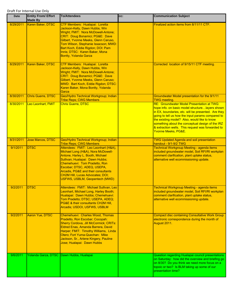| <b>Date</b> | <b>Entity From/ Effort</b><br><b>Made By</b> | <b>To/Attendees</b>                                                                                                                                                                                                                                                                                                               | CC: | <b>Communication Subject</b>                                                                                                                                                                                                                                                                                                                                                               |
|-------------|----------------------------------------------|-----------------------------------------------------------------------------------------------------------------------------------------------------------------------------------------------------------------------------------------------------------------------------------------------------------------------------------|-----|--------------------------------------------------------------------------------------------------------------------------------------------------------------------------------------------------------------------------------------------------------------------------------------------------------------------------------------------------------------------------------------------|
| 8/29/2011   | Karen Baker, DTSC                            | CTF Members: Hualapai: Loretta<br>Jackson-Kelly, Dawn Hubbs, Win<br>Wright; FMIT: Nora McDowell-Antone;<br>CRIT: Doug Bonamici; PG&E: Dave<br>Gilbert, Yvonne Meeks, Glenn Caruso,<br>Tom Wilson, Stephanie Issacson; MWD:<br>Bart Koch, Eddie Rigdon; DOI: Pam<br>Innis; DTSC: Karen Baker, Mona<br><b>Bontty, Yolanda Garza</b> |     | Finalized action items from 8/11/11 CTF.                                                                                                                                                                                                                                                                                                                                                   |
| 8/29/2011   | Karen Baker, DTSC                            | CTF Members: Hualapai: Loretta<br>Jackson-Kelly, Dawn Hubbs, Win<br>Wright; FMIT: Nora McDowell-Antone;<br>CRIT: Doug Bonamici; PG&E: Dave<br>Gilbert, Yvonne Meeks, Glenn Caruso;<br>MWD: Bart Koch, Eddie Rigdon; DTSC:<br>Karen Baker, Mona Bontty, Yolanda<br>Garza                                                           |     | Corrected location of 9/15/11 CTF meeting.                                                                                                                                                                                                                                                                                                                                                 |
| 8/30/2011   | <b>Chris Guerre, DTSC</b>                    | Geo/Hydro Technical Workgroup; Indian<br><b>Tribe Reps; CWG Members</b>                                                                                                                                                                                                                                                           |     | Groundwater Model presentation for the 9/1/11<br><b>TWG</b> meeting.                                                                                                                                                                                                                                                                                                                       |
| 8/30/2011   | Leo Leonhart, FMIT                           | <b>Chris Guerre, DTSC</b>                                                                                                                                                                                                                                                                                                         |     | RE: Groundwater Model Presentation at TWG:<br>hope info. on basic model structure layers shown<br>in EX, boundaries, etc. will be presented. Are they<br>going to tell us how the input params compared to<br>the existing model? Also, would like to know<br>something about the conceptual design of the IRZ<br>& extraction wells. This request was forwarded to<br>Yvonne Meeks, PG&E. |
| 8/31/2011   | Jose Marcos, DTSC                            | Geo/Hydro Technical Workgroup; Indian<br><b>Tribe Reps; CWG Members</b>                                                                                                                                                                                                                                                           |     | <b>TWG Updated Agenda and soil presentation</b><br>handout - 9/1-9/2 TWG                                                                                                                                                                                                                                                                                                                   |
| 9/1/2011    | <b>DTSC</b>                                  | Attendees: FMIT: Leo Leonhart (H&A),<br>Michael Long (H&A), Nora McDowell-<br>Antone, Harley L. Booth, Michael<br>Sullivan; Hualapai: Dawn Hubbs;<br>Chemehuevi: Tom Pradetto, Ron<br>Escobar; DTSC, ADEQ, USEPA,<br>Arcadis, PG&E and their consultants<br>CH2M Hill, Lucas Advocates; DOI;<br>USFWS, USBLM, Geopentech (MWD)    |     | Technical Workgroup Meeting - agenda items<br>included groundwater model, Soil RFI/RI workplan<br>comment clarification, plant uptake status,<br>alternative well ecommissioning update.                                                                                                                                                                                                   |
| 9/2/2011    | <b>DTSC</b>                                  | Attendees: FMIT: Michael Sullivan, Leo<br>Leonhart, Michael Long, Harley Booth;<br>Hualapai: Dawn Hubbs; Chemehuevi:<br>Tom Pradetto; DTSC; USEPA, ADEQ;<br>PG&E & their consultants CH2M Hill,<br>Arcadis; USDOI, USFWS, USBLM                                                                                                   |     | Technical Workgroup Meeting - agenda items<br>included groundwater model, Soil RFI/RI workplan<br>comment clarification, plant uptake status,<br>alternative well ecommissioning update.                                                                                                                                                                                                   |
| 9/2/2011    | Aaron Yue, DTSC                              | Chemehuevi: Charles Wood, Thomas<br>Pradetto, Ron Escobar; Cocopah:<br>Sherry Cordova, Jill McCormick; CRITs:<br>Eldred Enas, Amanda Barrera, David<br>Harper; FMIT: Timothy Williams, Linda<br>Otero; Fort Yuma-Quechan: Mike<br>Jackson, Sr., Arlene Kingery, Pauline<br>Jose; Hualapai: Dawn Hubbs                             |     | <b>Compact disc containing Consultative Work Group</b><br>electronic correspondence during the month of<br>August 2011.                                                                                                                                                                                                                                                                    |
| 9/6/2011    |                                              | Yolanda Garza, DTSC Dawn Hubbs, Hualapai                                                                                                                                                                                                                                                                                          |     | Question regarding Hualapai council presentations<br>on Saturday: how did the overview and briefing go<br>on 8/30? Do you think we need more focus on a<br>topoic or two? Is BLM taking up some of our<br>presentation time?                                                                                                                                                               |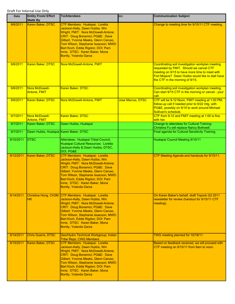| <b>Date</b> | <b>Entity From/ Effort</b><br><b>Made By</b> | <b>To/Attendees</b>                                                                                                                                                                                                                                                                                                                | CC:                      | <b>Communication Subject</b>                                                                                                                                                                                                         |
|-------------|----------------------------------------------|------------------------------------------------------------------------------------------------------------------------------------------------------------------------------------------------------------------------------------------------------------------------------------------------------------------------------------|--------------------------|--------------------------------------------------------------------------------------------------------------------------------------------------------------------------------------------------------------------------------------|
| 9/6/2011    | Karen Baker, DTSC                            | CTF Members: Hualapai: Loretta<br>Jackson-Kelly, Dawn Hubbs, Win<br>Wright; FMIT: Nora McDowell-Antone;<br>CRIT: Doug Bonamici; PG&E: Dave<br>Gilbert, Yvonne Meeks, Glenn Caruso,<br>Tom Wilson, Stephanie Issacson; MWD:<br>Bart Koch, Eddie Rigdon; DOI: Pam<br>Innis; DTSC: Karen Baker, Mona<br>Bontty, Yolanda Garza         |                          | Change to meeting time for 9/15/11 CTF meeting.                                                                                                                                                                                      |
| 9/6/2011    | Karen Baker, DTSC                            | Nora McDowell-Antone, FMIT                                                                                                                                                                                                                                                                                                         |                          | Coordinating soil investigation workplan meeting<br>requested by FMIT. Should we cancel CTF<br>meeting on 9/15 to have more time to meet with<br>Fort Mojave? Dawn Hubbs would like to stall have<br>the CTF in the morning of 9/15. |
| 9/6/2011    | Nora McDowell-<br>Antone, FMIT               | Karen Baker, DTSC                                                                                                                                                                                                                                                                                                                  |                          | Coordinating soil investigation workplan meeting.<br>Can start 9/15 CTF in the morning or cancel - your<br>call.                                                                                                                     |
| 9/6/2011    | Karen Baker, DTSC                            | Nora McDowell-Antone, FMIT                                                                                                                                                                                                                                                                                                         | <b>Jose Marcos, DTSC</b> | CTF will be 9-12 Noon, FMIT meeting at 1:00 PM,<br>follow-up call if needed prior to 9/22 mtg. with<br>PG&E, possibly on 9/19 to work around Michael<br>Sullivan's schedule.                                                         |
| 9/7/2011    | Nora McDowell-<br>Antone, FMIT               | Karen Baker, DTSC                                                                                                                                                                                                                                                                                                                  |                          | CTF from 9-12 and FMIT meeting at 1:00 is fine<br>with her.                                                                                                                                                                          |
| 9/7/2011    | Karen Baker, DTSC                            | Dawn Hubbs, Hualapai                                                                                                                                                                                                                                                                                                               |                          | Change to attendees for Cultural Training:<br>Christina Fu will replace Nancy Bothwell.                                                                                                                                              |
| 9/7/2011    | Dawn Hubbs, Hualapai Karen Baker, DTSC       |                                                                                                                                                                                                                                                                                                                                    |                          | Final agenda for Cultural Sensitivity Training.                                                                                                                                                                                      |
| 9/10/2011   | <b>DTSC</b>                                  | Attendees: Hualapai Tribal Council,<br>Hualapai Cultural Resources: Loretta<br>Jackson-Kelly & Dawn Hubbs; DTSC,<br>DOI, PG&E                                                                                                                                                                                                      |                          | Hualapai Council Meeting 9/10/11                                                                                                                                                                                                     |
| 9/12/2011   | Karen Baker, DTSC                            | CTF Members: Hualapai: Loretta<br>Jackson-Kelly, Dawn Hubbs, Win<br>Wright; FMIT: Nora McDowell-Antone;<br>CRIT: Doug Bonamici; PG&E: Dave<br>Gilbert, Yvonne Meeks, Glenn Caruso,<br>Tom Wilson, Stephanie Issacson; MWD:<br>Bart Koch, Eddie Rigdon; DOI: Pam<br>Innis; DTSC: Karen Baker, Mona<br><u> Bontty, Yolanda Garza</u> |                          | CTF Meeting Agenda and handouts for 9/15/11.                                                                                                                                                                                         |
| 9/14/2011   | Christina Hong, CH2M<br><b>Hill</b>          | CTF Members: Hualapai: Loretta<br>Jackson-Kelly, Dawn Hubbs, Win<br>Wright; FMIT: Nora McDowell-Antone;<br>CRIT: Doug Bonamici; PG&E: Dave<br>Gilbert, Yvonne Meeks, Glenn Caruso,<br>Tom Wilson, Stephanie Issacson; MWD:<br>Bart Koch, Eddie Rigdon; DOI: Pam<br>Innis; DTSC: Karen Baker, Mona<br><b>Bontty, Yolanda Garza</b>  |                          | On Karen Baker's behalf, draft Topock Q3 2011<br>newsletter for review (handout for 9/15/11 CTF<br>meeting).                                                                                                                         |
| 9/14/2011   | <b>Chris Guerre, DTSC</b>                    | Geo/Hydro Technical Workgroup; Indian<br><b>Tribe Reps; CWG Members</b>                                                                                                                                                                                                                                                            |                          | TWG meeting planned for 10/18/11.                                                                                                                                                                                                    |
| 9/15/2011   | Karen Baker, DTSC                            | CTF Members: Hualapai: Loretta<br>Jackson-Kelly, Dawn Hubbs, Win<br>Wright; FMIT: Nora McDowell-Antone;<br>CRIT: Doug Bonamici; PG&E: Dave<br>Gilbert, Yvonne Meeks, Glenn Caruso,<br>Tom Wilson, Stephanie Issacson; MWD:<br>Bart Koch, Eddie Rigdon; DOI: Pam<br>Innis; DTSC: Karen Baker, Mona<br><b>Bontty, Yolanda Garza</b>  |                          | Based on feedback received, we will proceed with<br>CTF meeting on 9/15/11 from 9am to noon.                                                                                                                                         |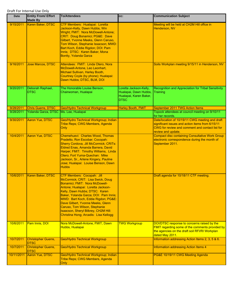| <b>Date</b> | <b>Entity From/ Effort</b><br><b>Made By</b> | <b>To/Attendees</b>                                                                                                                                                                                                                                                                                                                                                                                                     | CC:                                                                                      | <b>Communication Subject</b>                                                                                                                                                 |
|-------------|----------------------------------------------|-------------------------------------------------------------------------------------------------------------------------------------------------------------------------------------------------------------------------------------------------------------------------------------------------------------------------------------------------------------------------------------------------------------------------|------------------------------------------------------------------------------------------|------------------------------------------------------------------------------------------------------------------------------------------------------------------------------|
| 9/15/2011   | Karen Baker, DTSC                            | CTF Members: Hualapai: Loretta<br>Jackson-Kelly, Dawn Hubbs, Win<br>Wright; FMIT: Nora McDowell-Antone;<br>CRIT: Doug Bonamici; PG&E: Dave<br>Gilbert, Yvonne Meeks, Glenn Caruso,<br>Tom Wilson, Stephanie Issacson; MWD:<br>Bart Koch, Eddie Rigdon; DOI: Pam<br>Innis; DTSC: Karen Baker, Mona<br>Bontty, Yolanda Garza                                                                                              |                                                                                          | Meeting will be held at CH2M Hill office in<br>Henderson, NV                                                                                                                 |
| 9/16/2011   | Jose Marcos, DTSC                            | Attendees: FMIT: Linda Otero, Nora<br>McDowell-Antone, Leo Leonhart,<br>Michael Sullivan, Harley Booth,<br>Courtney Coyle (by phone); Hualapai:<br>Dawn Hubbs; DTSC, BLM, DOI                                                                                                                                                                                                                                           |                                                                                          | Soils Workplan meeting 9/15/11 in Henderson, NV                                                                                                                              |
| 9/20/2011   | Deborah Raphael,<br><b>DTSC</b>              | The Honorable Louise Benson,<br>Chairwoman, Hualapai                                                                                                                                                                                                                                                                                                                                                                    | Loretta Jackson-Kelly,<br>Hualapai, Dawn Hubbs,<br>Hualapai, Karen Baker,<br><b>DTSC</b> | Recognition and Appreciation for Tribal Sensitivity<br>Training                                                                                                              |
| 9/28/2011   | Chris Guerre, DTSC                           | <b>Geo/Hydro Technical Workgroup</b>                                                                                                                                                                                                                                                                                                                                                                                    | <b>Harley Booth, FMIT</b>                                                                | September 2011 TWG Action Items                                                                                                                                              |
| 9/28/2011   | Yolanda Garza, DTSC Ms. Lee, Hualapai        |                                                                                                                                                                                                                                                                                                                                                                                                                         |                                                                                          | Topock attendees at council meeting on 9/10/11<br>for her records.                                                                                                           |
| 9/30/2011   | Aaron Yue, DTSC                              | Geo/Hydro Technical Workgroup; Indian<br>Tribe Reps; CWG Members, Agenda<br>Only                                                                                                                                                                                                                                                                                                                                        |                                                                                          | Date/location of 10/19/11 CWG meeting and draft<br>significant issues and action items from 6/15/11<br>CWG for review and comment and contact list for<br>review and update. |
| 10/4/2011   | Aaron Yue, DTSC                              | Chemehuevi: Charles Wood, Thomas<br>Pradetto, Ron Escobar; Cocopah:<br><b>Sherry Cordova, Jill McCormick; CRITs:</b><br>Eldred Enas, Amanda Barrera, David<br>Harper; FMIT: Timothy Williams, Linda<br>Otero; Fort Yuma-Quechan: Mike<br>Jackson, Sr., Arlene Kingery, Pauline<br>Jose; Hualapai: Louise Benson, Dawn<br><b>Hubbs</b>                                                                                   |                                                                                          | <b>Compact disc containing Consultative Work Group</b><br>electronic correspondence during the month of<br>September 2011.                                                   |
| 10/6/2011   | Karen Baker, DTSC                            | <b>CTF Members: Cocopah: Jill</b><br>McCormick; CRIT: Lisa Swick, Doug<br>Bonamici; FMIT: Nora McDowell-<br>Antone; Hualapai: Loretta Jackson-<br>Kelly, Dawn Hubbs; DTSC: Karen<br>Baker, Yolanda Garza; DOI: Pam Innis;<br>MWD: Bart Koch, Eddie Rigdon; PG&E:<br>Dave Gilbert, Yvonne Meeks, Glenn<br>Caruso, Tom Wilson, Stephanie<br>Isaacson, Sheryl Bilbrey, CH2M Hill:<br>Christina Hong; Arcadis: Lisa Kellogg |                                                                                          | Draft agenda for 10/18/11 CTF meeting.                                                                                                                                       |
| 10/6/2011   | Pam Innis, DOI                               | Nora McDowell-Antone, FMIT, Dawn<br>Hubbs, Hualapai                                                                                                                                                                                                                                                                                                                                                                     | <b>TWG Workgroup</b>                                                                     | DOI/DTSC response to concerns raised by the<br><b>FMIT regarding some of the comments provided by</b><br>the agencies on the draft soil RFI/RI Workplan<br>dated May 2011.   |
| 10/7/2011   | <b>Christopher Guerre,</b><br><b>DTSC</b>    | <b>Geo/Hydro Technical Workgroup</b>                                                                                                                                                                                                                                                                                                                                                                                    |                                                                                          | Information addressing Action Items 2, 3, 5 & 6.                                                                                                                             |
| 10/7/2011   | <b>Christopher Guerre,</b><br><b>DTSC</b>    | <b>Geo/Hydro Technical Workgroup</b>                                                                                                                                                                                                                                                                                                                                                                                    |                                                                                          | Information addressing Action Items 4                                                                                                                                        |
| 10/11/2011  | Aaron Yue, DTSC                              | Geo/Hydro Technical Workgroup; Indian<br>Tribe Reps; CWG Members, Agenda<br><b>Only</b>                                                                                                                                                                                                                                                                                                                                 |                                                                                          | PG&E 10/19/11 CWG Meeting Agenda                                                                                                                                             |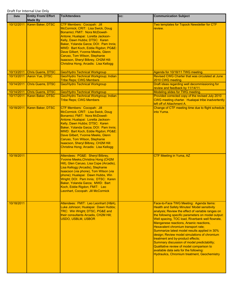| <b>Date</b> | <b>Entity From/ Effort</b><br><b>Made By</b> | <b>To/Attendees</b>                                                                                                                                                                                                                                                                                                                                                                                              | CC: | <b>Communication Subject</b>                                                                                                                                                                                                                                                                                                                                                                                                                                                                                                                                                                                                                                         |
|-------------|----------------------------------------------|------------------------------------------------------------------------------------------------------------------------------------------------------------------------------------------------------------------------------------------------------------------------------------------------------------------------------------------------------------------------------------------------------------------|-----|----------------------------------------------------------------------------------------------------------------------------------------------------------------------------------------------------------------------------------------------------------------------------------------------------------------------------------------------------------------------------------------------------------------------------------------------------------------------------------------------------------------------------------------------------------------------------------------------------------------------------------------------------------------------|
| 10/12/2011  | Karen Baker, DTSC                            | CTF Members: Cocopah: Jill<br>McCormick; CRIT: Lisa Swick, Doug<br>Bonamici; FMIT: Nora McDowell-<br>Antone; Hualapai: Loretta Jackson-<br>Kelly, Dawn Hubbs; DTSC: Karen<br>Baker, Yolanda Garza; DOI: Pam Innis;<br>MWD: Bart Koch, Eddie Rigdon; PG&E:<br>Dave Gilbert, Yvonne Meeks, Glenn<br>Caruso, Tom Wilson, Stephanie<br>Isaacson, Sheryl Bilbrey, CH2M Hill:<br>Christina Hong; Arcadis: Lisa Kellogg |     | Two templates for Topock Newsletter for CTF<br>review.                                                                                                                                                                                                                                                                                                                                                                                                                                                                                                                                                                                                               |
| 10/13/2011  | <b>Chris Guerre, DTSC</b>                    | <b>Geo/Hydro Technical Workgroup</b>                                                                                                                                                                                                                                                                                                                                                                             |     | Agenda for 10/18/11 TWG meeting.                                                                                                                                                                                                                                                                                                                                                                                                                                                                                                                                                                                                                                     |
| 10/13/2011  | Aaron Yue, DTSC                              | Geo/Hydro Technical Workgroup; Indian<br><b>Tribe Reps; CWG Members</b>                                                                                                                                                                                                                                                                                                                                          |     | Revised CWG Charter that was circulated at June<br>2010 CWG meeting.                                                                                                                                                                                                                                                                                                                                                                                                                                                                                                                                                                                                 |
| 10/14/2011  | Chris Guerre, DTSC                           | <b>Geo/Hydro Technical Workgroup</b>                                                                                                                                                                                                                                                                                                                                                                             |     | Draft ideas regarding well decommissioning for<br>review and feedback by 11/14/11.                                                                                                                                                                                                                                                                                                                                                                                                                                                                                                                                                                                   |
| 10/14/2011  | <b>Chris Guerre, DTSC</b>                    | <b>Geo/Hydro Technical Workgroup</b>                                                                                                                                                                                                                                                                                                                                                                             |     | <b>Modeling slides for TWG meeting.</b>                                                                                                                                                                                                                                                                                                                                                                                                                                                                                                                                                                                                                              |
| 10/17/2011  | Karen Baker, DTSC                            | Geo/Hydro Technical Workgroup; Indian<br><b>Tribe Reps; CWG Members</b>                                                                                                                                                                                                                                                                                                                                          |     | Provided corrected copy of the revised July 2010<br>CWG meeting charter. Hualapai tribe inadvertently<br>left off of Attachment A.                                                                                                                                                                                                                                                                                                                                                                                                                                                                                                                                   |
| 10/18/2011  | Karen Baker, DTSC                            | CTF Members: Cocopah: Jill<br>McCormick; CRIT: Lisa Swick, Doug<br>Bonamici; FMIT: Nora McDowell-<br>Antone; Hualapai: Loretta Jackson-<br>Kelly, Dawn Hubbs; DTSC: Karen<br>Baker, Yolanda Garza; DOI: Pam Innis;<br>MWD: Bart Koch, Eddie Rigdon; PG&E:<br>Dave Gilbert, Yvonne Meeks, Glenn<br>Caruso, Tom Wilson, Stephanie<br>Isaacson, Sheryl Bilbrey, CH2M Hill:<br>Christina Hong; Arcadis: Lisa Kellogg |     | Change of CTF meeting time due to flight schedule<br>into Yuma.                                                                                                                                                                                                                                                                                                                                                                                                                                                                                                                                                                                                      |
| 10/18/2011  |                                              | Attendees: PG&E: Sheryl Bilbrey,<br><b>Yvonne Meeks, Christina Hong (CH2M</b><br>Hill), Glen Caruso, Lisa Cope (Arcadis),<br>Lisa Kellogg (Arcadis), Stephanie<br>Isaacson (via phone), Tom Wilson (via<br>phone); Hualapai: Dawn Hubbs, Win<br>Wright; DOI: Pam Innis; DTSC: Karen<br>Baker, Yolanda Garza; MWD: Bart<br>Koch, Eddie Rigdon; FMIT: Leo<br>Leonhart, Cocopah: Jill McCormick                     |     | CTF Meeting in Yuma, AZ                                                                                                                                                                                                                                                                                                                                                                                                                                                                                                                                                                                                                                              |
| 10/18/2011  |                                              | Attendees: FMIT: Leo Leonhart (H&A),<br>Luke Johnson; Hualapai: Dawn Hubbs;<br>TRC: Win Wright; DTSC, PG&E and<br>their consultants Arcadis, CH2M Hill;<br><b>USDO, USBLM, USBOR</b>                                                                                                                                                                                                                             |     | Face-to-Face TWG Meeting: Agenda Items:<br>Health and Safety Minutes' Model sensitivity<br>analysis; Review the effect of variable ranges on<br>the following specific parameters on model output:<br>Well spacing, TOC load, Riverbank well flowrate,<br>Manganese reactions, Arsenic reactions,<br>Hexavalent chromium transport rate;<br>Summarize latest model results applied in 30%<br>design; Review model simulations of chromium<br>treatment and by-product effects;<br>Summary discussion of model predictability;<br>Qualitative review of model comparison to<br>available data sets for the following:<br>Hydraulics, Chromium treatment, Geochemistry |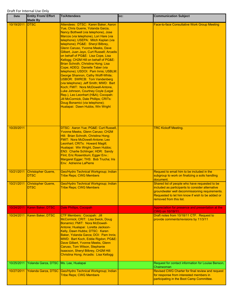| Date       | <b>Entity From/ Effort</b><br><b>Made By</b> | <b>To/Attendees</b>                                                                                                                                                                                                                                                                                                                                                                                                                                                                                                                                                                                                                                                                                                                                                                                                                                                                | CC: | <b>Communication Subject</b>                                                                                                                                                                                                        |
|------------|----------------------------------------------|------------------------------------------------------------------------------------------------------------------------------------------------------------------------------------------------------------------------------------------------------------------------------------------------------------------------------------------------------------------------------------------------------------------------------------------------------------------------------------------------------------------------------------------------------------------------------------------------------------------------------------------------------------------------------------------------------------------------------------------------------------------------------------------------------------------------------------------------------------------------------------|-----|-------------------------------------------------------------------------------------------------------------------------------------------------------------------------------------------------------------------------------------|
| 10/19/2011 | <b>DTSC</b>                                  | Attendees: DTSC: Karen Baker, Aaron<br>Yue, Chris Guerre, Yolanda Garza,<br>Nancy Bothwell (via telephone), Jose<br>Marcos (via telephone), Lori Hare (via<br>telephone); USEPA: Mitch Kaplan (via<br>telephone); PG&E: Sheryl Bilbrey,<br>Glenn Caruso, Yvonne Meeks, Dave<br>Gilbert, Juan Jayo, Curt Russell; Arcadis<br>on behalf of PG&E: Lisa Cope, Lisa<br>Kellogg; CH2M Hill on behalf of PG&E:<br>Brian Schroth, Christina Hong; Lisa<br>Cope; ADEQ: Danielle Taber (via<br>telephone); USDOI: Pam Innis; USBLM:<br>George Shannon, Cathy Wolff-White;<br><b>USBOR: SWRCB: Tom Vandenberg</b><br>(via telephone); Jeff Smith; MWD: Bart<br>Koch; FMIT: Nora McDowell-Antone,<br>Luke Johnson, Courtney Coyle (Legal<br>Rep.), Leo Leonhart (H&A); Cocopah:<br>Jill McCormick, Dale Phillips; CRITs:<br>Doug Bonamici (via telephone);<br>Hualapai: Dawn Hubbs, Win Wright |     | <b>Face-to-face Consultative Work Group Meeting</b>                                                                                                                                                                                 |
| 10/20/2011 |                                              | DTSC: Aaron Yue; PG&E: Curt Russell,<br>Yvonne Meeks, Glenn Caruso; CH2M<br>Hill: Brian Schroth, Christina Hong;<br>FMIT: Nora McDowell-Antone; Leo<br>Leonhart; CRITs: Howard Magill;<br>Hualapai: Win Wright, Dawn Hubbs;<br>EN3: Charlie Schlinger; HDR: Sandy<br>Flint, Eric Rosenblum; Egger Env.:<br>Margaret Egger; THS: Bob Trucha; Iris<br>Env: Adrienne LaPierre                                                                                                                                                                                                                                                                                                                                                                                                                                                                                                         |     | <b>TRC Kickoff Meeting.</b>                                                                                                                                                                                                         |
| 10/21/2011 | <b>Christopher Guerre,</b><br><b>DTSC</b>    | Geo/Hydro Technical Workgroup; Indian<br><b>Tribe Reps; CWG Members</b>                                                                                                                                                                                                                                                                                                                                                                                                                                                                                                                                                                                                                                                                                                                                                                                                            |     | Request to email him to be included in the<br>subgroup to work on finalizing a soils handling<br>document.                                                                                                                          |
| 10/21/2011 | <b>Christopher Guerre,</b><br>DTSC           | Geo/Hydro Technical Workgroup; Indian<br><u> Tribe Reps; CWG Members</u>                                                                                                                                                                                                                                                                                                                                                                                                                                                                                                                                                                                                                                                                                                                                                                                                           |     | Shared list of people who have requested to be<br>included as participants to consider alternative<br>groundwater well decommissioning requirements.<br>Requested to let him know if wish to be added or<br>removed from this list. |
| 10/24/2011 | Karen Baker, DTSC                            | <b>Dale Phillips, Cocopah</b>                                                                                                                                                                                                                                                                                                                                                                                                                                                                                                                                                                                                                                                                                                                                                                                                                                                      |     | Appreciation for presence and presentation at the<br>CWG on 10/19/11.                                                                                                                                                               |
| 10/24/2011 | Karen Baker, DTSC                            | CTF Members: Cocopah: Jill<br>McCormick; CRIT: Lisa Swick, Doug<br>Bonamici; FMIT: Nora McDowell-<br>Antone; Hualapai: Loretta Jackson-<br>Kelly, Dawn Hubbs; DTSC: Karen<br>Baker, Yolanda Garza; DOI: Pam Innis;<br>MWD: Bart Koch, Eddie Rigdon; PG&E:<br>Dave Gilbert, Yvonne Meeks, Glenn<br>Caruso, Tom Wilson, Stephanie<br>Isaacson, Sheryl Bilbrey, CH2M Hill:<br>Christina Hong; Arcadis: Lisa Kellogg                                                                                                                                                                                                                                                                                                                                                                                                                                                                   |     | Draft notes from 10/18/11 CTF. Request to<br>provide comments/revisions by 11/3/11                                                                                                                                                  |
| 10/25/2011 | Yolanda Garza, DTSC Ms. Lee, Hualapai        |                                                                                                                                                                                                                                                                                                                                                                                                                                                                                                                                                                                                                                                                                                                                                                                                                                                                                    |     | Request for contact information for Louise Benson,<br>Chairwoman                                                                                                                                                                    |
| 10/27/2011 | Yolanda Garza, DTSC                          | Geo/Hydro Technical Workgroup; Indian<br><b>Tribe Reps; CWG Members</b>                                                                                                                                                                                                                                                                                                                                                                                                                                                                                                                                                                                                                                                                                                                                                                                                            |     | Revised CWG Charter for final review and request<br>for response from interested members in<br>participating in the Boot Camp Committee.                                                                                            |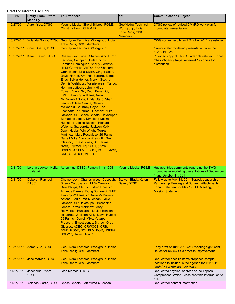| Date       | <b>Entity From/ Effort</b><br><b>Made By</b> | <b>To/Attendees</b>                                                                                                                                                                                                                                                                                                                                                                                                                                                                                                                                                                                                                                                                                                                                                                                                                                                                                                                                                                                         | CC:                                                                                         | <b>Communication Subject</b>                                                                                                                                                   |
|------------|----------------------------------------------|-------------------------------------------------------------------------------------------------------------------------------------------------------------------------------------------------------------------------------------------------------------------------------------------------------------------------------------------------------------------------------------------------------------------------------------------------------------------------------------------------------------------------------------------------------------------------------------------------------------------------------------------------------------------------------------------------------------------------------------------------------------------------------------------------------------------------------------------------------------------------------------------------------------------------------------------------------------------------------------------------------------|---------------------------------------------------------------------------------------------|--------------------------------------------------------------------------------------------------------------------------------------------------------------------------------|
| 10/27/2011 | Aaron Yue, DTSC                              | Yvonne Meeks, Sheryl Bilbrey, PG&E,<br>Christina Hong, CH2M Hill                                                                                                                                                                                                                                                                                                                                                                                                                                                                                                                                                                                                                                                                                                                                                                                                                                                                                                                                            | <b>Geo/Hydro Technical</b><br>Workgroup; Indian<br><b>Tribe Reps; CWG</b><br><b>Members</b> | DTSC review of revised CMI/RD work plan for<br>groundwter remediation                                                                                                          |
| 10/27/2011 | Yolanda Garza, DTSC                          | Geo/Hydro Technical Workgroup; Indian<br><b>Tribe Reps; CWG Members</b>                                                                                                                                                                                                                                                                                                                                                                                                                                                                                                                                                                                                                                                                                                                                                                                                                                                                                                                                     |                                                                                             | CWG survey results and October 2011 Newsletter                                                                                                                                 |
| 10/27/2011 | Chris Guerre, DTSC                           | <b>Geo/Hydro Technical Workgroup</b>                                                                                                                                                                                                                                                                                                                                                                                                                                                                                                                                                                                                                                                                                                                                                                                                                                                                                                                                                                        |                                                                                             | Groundwater modeling presentation from the<br>10/18/11 TWG                                                                                                                     |
| 10/27/2011 | Karen Baker, DTSC                            | Chemehuevi Tribe: Charles Wood; Ron<br>Escobar; Cocopah: Dale Philips,<br><b>Edmund Domingues, Sherry Cordova,</b><br>Jill McCormick; CRITS: Eric Shepard,<br>Grant Buma, Lisa Swick, Ginger Scott,<br>David Harper, Amanda Barrera, Eldred<br>Enas, Sylvia Homer, Mervin Scott, Jr.,<br>Dennis Welsh, Jr., Valerie Welsh Tahbo,<br>Herman Laffoon, Johnny Hill, Jr.,<br>Edward Yava, Sr., Doug Bonamici;<br><b>FMIT: Timothy Williams, Nora</b><br>McDowell-Antone, Linda Otero, Shan<br>Lewis, Colleen Garcia, Steven<br>McDonald, Courtney Coyle, Leo<br>Leonhart: Fort Yuma-Quechan: Mike<br>Jackson, Sr., Chase Choate; Havasupai:<br>Bernadine Jones, Dimolene Kaska;<br>Hualapai: Louise Benson, Richard<br>Walema, Sr., Loretta Jackson-Kelly,<br>Dawn Hubbs, Win Wright; Torres-<br>Martinez: Mary Resvaloso; 29 Palms:<br>Darrell Mike; Yavapai-Prescott: Greg<br>Glassco, Ernest Jones, Sr.; Havasu<br>NWR, USFWS, USEPA, USBOR,<br>USBLM, AZ BLM, USDOI, PG&E, MWD,<br><b>CRB, CRWQCB, ADEQ</b> |                                                                                             | Provided copy of Third Quarter Newsletter. Tribal<br>Chairs/Agency Reps. received 12 copies for<br>distribution.                                                               |
| 10/31/2011 | Loretta Jackson-Kelly,<br>Hualapai           | Aaron Yue, DTSC, Pamela Innis, DOI                                                                                                                                                                                                                                                                                                                                                                                                                                                                                                                                                                                                                                                                                                                                                                                                                                                                                                                                                                          | Yvonne Meeks, PG&E                                                                          | Hualapai tribe comments regarding the TWG<br>groundwater modeling presentations of September<br>1 and October 11, 2011.                                                        |
| 10/31/2011 | Deborah Raphael,<br>DTSC                     | Chemehuevi: Charles Wood; Cocopah:<br>Sherry Cordova, cc: Jill McCormick,<br>Dale Philips; CRITs: Eldred Enas, cc:<br>Amanda Barrera, Doug Bonamici; FMIT:<br>Timothy Williams, cc: Nora McDowell-<br>Antone; Fort Yuma-Quechan: Mike<br>Jackson, Sr.; Havasupai: Bernadine<br>Jones; Torres-Martinez: Mary<br>Resvaloso; Hualapai: Louise Benson,<br>cc: Loretta Jackson-Kelly, Dawn Hubbs;<br>29 Palms: Darrell Mike; Yavapai-<br>Prescott: Ernest Jones, Sr., cc: Greg<br>Glassco, ADEQ, CRWQCB, CRB,<br>MWD, PG&E, DOI, BLM, BOR, USEPA,<br><b>USFWS, Havasu NWR</b>                                                                                                                                                                                                                                                                                                                                                                                                                                    | <b>Stewart Black, Karen</b><br>Baker, DTSC                                                  | Follow-up to May 19, 2011 Topock Leadership<br>Partnership Meeting and Survey. Attachments:<br><b>Tribal Statement for May 19 TLP Meeting, TLP</b><br><b>Mission Statement</b> |
| 10/31/2011 | Aaron Yue, DTSC                              | Geo/Hydro Technical Workgroup; Indian<br><b>Tribe Reps; CWG Members</b>                                                                                                                                                                                                                                                                                                                                                                                                                                                                                                                                                                                                                                                                                                                                                                                                                                                                                                                                     |                                                                                             | Early draft of 10/19/11 CWG meeting significant<br>issues for review as a process improvement.                                                                                 |
| 10/31/2011 | Jose Marcos, DTSC                            | Geo/Hydro Technical Workgroup; Indian<br><b>Tribe Reps; CWG Members</b>                                                                                                                                                                                                                                                                                                                                                                                                                                                                                                                                                                                                                                                                                                                                                                                                                                                                                                                                     |                                                                                             | Request for specific items/proposed sample<br>locations to include in the agenda for 12/15/11<br>Draft Soil Workplan Field Walk                                                |
| 11/1/2011  | Josephina Rivera,<br><b>CRIT</b>             | Jose Marcos, DTSC                                                                                                                                                                                                                                                                                                                                                                                                                                                                                                                                                                                                                                                                                                                                                                                                                                                                                                                                                                                           |                                                                                             | Requested physical address of the Topock<br>Compressor Station. Jose sent this information to<br>her.                                                                          |
| 11/1/2011  |                                              | Yolanda Garza, DTSC Chase Choate, Fort Yuma-Quechan                                                                                                                                                                                                                                                                                                                                                                                                                                                                                                                                                                                                                                                                                                                                                                                                                                                                                                                                                         |                                                                                             | Request for contact information                                                                                                                                                |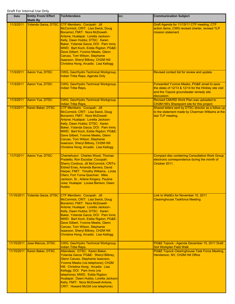| <b>Date</b> | <b>Entity From/ Effort</b><br><b>Made By</b> | <b>To/Attendees</b>                                                                                                                                                                                                                                                                                                                                                                                                                  | CC: | <b>Communication Subject</b>                                                                                                                                 |
|-------------|----------------------------------------------|--------------------------------------------------------------------------------------------------------------------------------------------------------------------------------------------------------------------------------------------------------------------------------------------------------------------------------------------------------------------------------------------------------------------------------------|-----|--------------------------------------------------------------------------------------------------------------------------------------------------------------|
| 11/3/2011   |                                              | Yolanda Garza, DTSC CTF Members: Cocopah: Jill<br>McCormick; CRIT: Lisa Swick, Doug<br>Bonamici; FMIT: Nora McDowell-<br>Antone; Hualapai: Loretta Jackson-<br>Kelly, Dawn Hubbs; DTSC: Karen<br>Baker, Yolanda Garza; DOI: Pam Innis;<br>MWD: Bart Koch, Eddie Rigdon; PG&E:<br>Dave Gilbert, Yvonne Meeks, Glenn<br>Caruso, Tom Wilson, Stephanie<br>Isaacson, Sheryl Bilbrey, CH2M Hill:<br>Christina Hong; Arcadis: Lisa Kellogg |     | Draft Agenda for 11/15/11 CTF meeting, CTF<br>action items, CWG revised charter, revised TLP<br>mission statement                                            |
| 11/3/2011   | Aaron Yue, DTSC                              | CWG, Geo/Hydro Technical Workgroup,<br>Indian Tribe Reps, Agenda Only                                                                                                                                                                                                                                                                                                                                                                |     | Revised contact list for review and update.                                                                                                                  |
| 11/3/2011   | Aaron Yue, DTSC                              | CWG, Geo/Hydro Technical Workgroup,<br><b>Indian Tribe Reps,</b>                                                                                                                                                                                                                                                                                                                                                                     |     | Forwarded Yvonne Meeks, PG&E email to save<br>the dates of 12/13 & 12/14 for the Hinkley site visit<br>and the Topock groundwater remedy site<br>discussion. |
| 11/3/2011   | Aaron Yue, DTSC                              | CWG, Geo/Hydro Technical Workgroup,<br><b>Indian Tribe Reps,</b>                                                                                                                                                                                                                                                                                                                                                                     |     | Revised CMI/RD Work Plan was uploaded to<br>CH2M Hill's Sharepoint site for this project.                                                                    |
| 11/3/2011   | Karen Baker, DTSC                            | CTF Members: Cocopah: Jill<br>McCormick; CRIT: Lisa Swick, Doug<br>Bonamici; FMIT: Nora McDowell-<br>Antone; Hualapai: Loretta Jackson-<br>Kelly, Dawn Hubbs; DTSC: Karen<br>Baker, Yolanda Garza; DOI: Pam Innis;<br>MWD: Bart Koch, Eddie Rigdon; PG&E:<br>Dave Gilbert, Yvonne Meeks, Glenn<br>Caruso, Tom Wilson, Stephanie<br>Isaacson, Sheryl Bilbrey, CH2M Hill:<br>Christina Hong; Arcadis: Lisa Kellogg                     |     | Shared letters sent by DTSC director as a follow up<br>to the statement made by Chairman Williams at the<br>last TLP meeting.                                |
| 11/7/2011   | Aaron Yue, DTSC                              | Chemehuevi: Charles Wood, Thomas<br>Pradetto, Ron Escobar; Cocopah:<br>Sherry Cordova, Jill McCormick; CRITs:<br>Eldred Enas, Amanda Barrera, David<br>Harper; FMIT: Timothy Williams, Linda<br>Otero; Fort Yuma-Quechan: Mike<br>Jackson, Sr., Arlene Kingery, Pauline<br>Jose; Hualapai: Louise Benson, Dawn<br><b>Hubbs</b>                                                                                                       |     | <b>Compact disc containing Consultative Work Group</b><br>electronic correspondence during the month of<br>October 2011.                                     |
| 11/15/2011  |                                              | Yolanda Garza, DTSC CTF Members: Cocopah: Jill<br>McCormick; CRIT: Lisa Swick, Doug<br>Bonamici; FMIT: Nora McDowell-<br>Antone; Hualapai: Loretta Jackson-<br>Kelly, Dawn Hubbs; DTSC: Karen<br>Baker, Yolanda Garza; DOI: Pam Innis;<br>MWD: Bart Koch, Eddie Rigdon; PG&E:<br>Dave Gilbert, Yvonne Meeks, Glenn<br>Caruso, Tom Wilson, Stephanie<br>Isaacson, Sheryl Bilbrey, CH2M Hill:<br>Christina Hong; Arcadis: Lisa Kellogg |     | Link to WebEx for November 15, 2011<br><b>Clearinghouse Taskforce Meeting</b>                                                                                |
| 11/15/2011  | <b>Jose Marcos, DTSC</b>                     | CWG, Geo/Hydro Technical Workgroup,<br><b>Indian Tribe Reps.</b>                                                                                                                                                                                                                                                                                                                                                                     |     | PG&E Topock - Agenda December 15, 2011 Draft<br><b>Soil Workplan Field Walk</b>                                                                              |
| 11/15/2011  | Karen Baker, DTSC                            | Attendees: DTSC: Karen Baker,<br>Yolanda Garza; PG&E: Sheryl Bilbrey,<br>Glenn Caruso, Stephanie Isaacson,<br>Yvonne Meeks (via telephone); CH2M<br>Hill: Christina Hong; Arcadis: Lisa<br>Kellogg; DOI: Pam Innis (via<br>telephone); MWD: Eddie Rigdon;<br>Hualapai: Dawn Hubbs, Loretta Jackson-<br>Kelly; FMIT: Nora McDowell-Antone,<br><b>CRIT: Howard McGill (via telephone)</b>                                              |     | PG&E Topock Clearinghouse Task Force Meeting,<br>Henderson, NV, CH2M Hill Office                                                                             |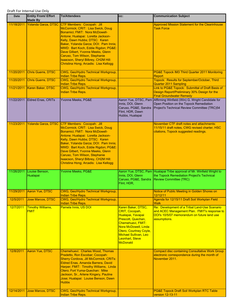| <b>Date</b> | <b>Entity From/ Effort</b><br><b>Made By</b> | <b>To/Attendees</b>                                                                                                                                                                                                                                                                                                                                                                                              | CC:                                                                                                                                                                                                                   | <b>Communication Subject</b>                                                                                                                                     |
|-------------|----------------------------------------------|------------------------------------------------------------------------------------------------------------------------------------------------------------------------------------------------------------------------------------------------------------------------------------------------------------------------------------------------------------------------------------------------------------------|-----------------------------------------------------------------------------------------------------------------------------------------------------------------------------------------------------------------------|------------------------------------------------------------------------------------------------------------------------------------------------------------------|
| 11/18/2011  | Yolanda Garza, DTSC                          | CTF Members: Cocopah: Jill<br>McCormick; CRIT: Lisa Swick, Doug<br>Bonamici; FMIT: Nora McDowell-<br>Antone; Hualapai: Loretta Jackson-<br>Kelly, Dawn Hubbs; DTSC: Karen<br>Baker, Yolanda Garza; DOI: Pam Innis;<br>MWD: Bart Koch, Eddie Rigdon; PG&E:<br>Dave Gilbert, Yvonne Meeks, Glenn<br>Caruso, Tom Wilson, Stephanie<br>Isaacson, Sheryl Bilbrey, CH2M Hill:<br>Christina Hong; Arcadis: Lisa Kellogg |                                                                                                                                                                                                                       | Approved Mission Statement for the Clearinhouse<br><b>Task Force</b>                                                                                             |
| 11/20/2011  | Chris Guerre, DTSC                           | CWG, Geo/Hydro Technical Workgroup,<br><b>Indian Tribe Reps.</b>                                                                                                                                                                                                                                                                                                                                                 |                                                                                                                                                                                                                       | PG&E Topock IM3 Third Quarter 2011 Monitoring<br>Report                                                                                                          |
| 11/20/2011  | Chris Guerre, DTSC                           | CWG, Geo/Hydro Technical Workgroup,<br><b>Indian Tribe Reps.</b>                                                                                                                                                                                                                                                                                                                                                 |                                                                                                                                                                                                                       | Topock: Results for September/October, Third<br><b>Quarter 2011 Sampling</b>                                                                                     |
| 11/21/2011  | Karen Baker, DTSC                            | CWG, Geo/Hydro Technical Workgroup,<br><b>Indian Tribe Reps.</b>                                                                                                                                                                                                                                                                                                                                                 |                                                                                                                                                                                                                       | Link to PG&E Topock: Submittal of Draft Basis of<br>Design Report/Preliminary 30% Design for the<br><b>Final Groundwater Remedy</b>                              |
| 11/22/2011  | <b>Eldred Enas, CRITs</b>                    | Yvonne Meeks, PG&E                                                                                                                                                                                                                                                                                                                                                                                               | Innis, DOI, Glenn<br>Caruso, PG&E, Sandra<br>Flint, HDR, Dawn<br>Hubbs, Hualapai                                                                                                                                      | Aaron Yue, DTSC, Pam Affirming Winfield (Win) G. Wright Candidate for<br>Open Position on the Topock Remediation<br>Project's Technical Review Committee (TRC)54 |
| 11/23/2011  | Yolanda Garza, DTSC                          | CTF Members: Cocopah: Jill<br>McCormick; CRIT: Lisa Swick, Doug<br>Bonamici; FMIT: Nora McDowell-<br>Antone; Hualapai: Loretta Jackson-<br>Kelly, Dawn Hubbs; DTSC: Karen<br>Baker, Yolanda Garza; DOI: Pam Innis;<br>MWD: Bart Koch, Eddie Rigdon; PG&E:<br>Dave Gilbert, Yvonne Meeks, Glenn<br>Caruso, Tom Wilson, Stephanie<br>Isaacson, Sheryl Bilbrey, CH2M Hill:<br>Christina Hong; Arcadis: Lisa Kellogg |                                                                                                                                                                                                                       | November CTF draft notes and attachments:<br>11/15/11 draft notes, CWG revised charter, HSC<br>citations, Topock suggested readings.                             |
| 11/26/2011  | Louise Benson,<br>Hualapai                   | Yvonne Meeks, PG&E                                                                                                                                                                                                                                                                                                                                                                                               | Innis, DOI, Glenn<br>Caruso, PG&E, Sandra<br>Flint, HDR,                                                                                                                                                              | Aaron Yue, DTSC, Pam Hualapai Tribe approval of Mr. Winfield Wright to<br>the Topock Remediation Project's Technical<br><b>Review Committee (TRC)</b>            |
| 11/29/2011  | Aaron Yue, DTSC                              | CWG, Geo/Hydro Technical Workgroup,<br><b>Indian Tribe Reps.</b>                                                                                                                                                                                                                                                                                                                                                 |                                                                                                                                                                                                                       | Notice of Public Meeting in Golden Shores on<br>12/12/11                                                                                                         |
| 12/5/2011   | Jose Marcos, DTSC                            | CWG, Geo/Hydro Technical Workgroup,<br><b>Indian Tribe Reps.</b>                                                                                                                                                                                                                                                                                                                                                 |                                                                                                                                                                                                                       | Agenda for 12/15/11 Draft Soil Workplan Field<br><b>Walk</b>                                                                                                     |
| 12/7/2011   | <b>Timothy Williams,</b><br><b>FMIT</b>      | Pamela Innis, US DOI                                                                                                                                                                                                                                                                                                                                                                                             | Karen Baker, DTSC,<br>CRIT, Cocopah,<br>Hualapai, Yavapai<br>Prescott, Quechan,<br>Chemehuevi, FMIT:<br>Nora McDowell, Linda<br>Otero, Courtney Coyle,<br>Michael Sullivan, Leo<br>Leonhart, Steve<br><b>McDonald</b> | Re: Development of a Tribal Land-Use Scenario<br>and ACEC Management Plan. FMIT's response to<br>DOI's 10/5/07 memorandum on future land use<br>assumptions.     |
| 12/8/2011   | Aaron Yue, DTSC                              | Chemehuevi: Charles Wood, Thomas<br>Pradetto, Ron Escobar; Cocopah:<br>Sherry Cordova, Jill McCormick; CRITs:<br>Eldred Enas, Amanda Barrera, David<br>Harper; FMIT: Timothy Williams, Linda<br>Otero: Fort Yuma-Quechan: Mike<br>Jackson, Sr., Arlene Kingery, Pauline<br>Jose; Hualapai: Louise Benson, Dawn<br><b>Hubbs</b>                                                                                   |                                                                                                                                                                                                                       | <b>Compact disc containing Consultative Work Group</b><br>electronic correspondence during the month of<br>November 2011.                                        |
| 12/14/2011  | Jose Marcos, DTSC                            | CWG, Geo/Hydro Technical Workgroup,<br><b>Indian Tribe Reps.</b>                                                                                                                                                                                                                                                                                                                                                 |                                                                                                                                                                                                                       | PG&E Topock Draft Soil Workplan RTC Table<br>version 12-13-11                                                                                                    |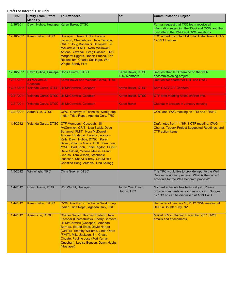| <b>Date</b> | <b>Entity From/ Effort</b><br><b>Made By</b> | <b>To/Attendees</b>                                                                                                                                                                                                                                                                                                                                                                                                                  | CC:                                      | <b>Communication Subject</b>                                                                                                             |
|-------------|----------------------------------------------|--------------------------------------------------------------------------------------------------------------------------------------------------------------------------------------------------------------------------------------------------------------------------------------------------------------------------------------------------------------------------------------------------------------------------------------|------------------------------------------|------------------------------------------------------------------------------------------------------------------------------------------|
| 12/16/2011  | Dawn Hubbs, Hualapai Karen Baker, DTSC       |                                                                                                                                                                                                                                                                                                                                                                                                                                      |                                          | Formal request that TRC team receive all<br>information regarding the TWG and CWG and that<br>they attend the TWG and CWG meetings.      |
| 12/16/2011  | Karen Baker, DTSC                            | Hualapai: Dawn Hubbs, Loretta<br>Jackson; Chemehuevi: Ron Escobar;<br>CRIT: Doug Bonamici; Cocopah: Jill<br>McCormick; FMIT: Nora McDowell-<br>Antone; Yavapai: Greg Glassco, TRC:<br>Margaret Eggers, Robert Prucha, Eric<br>Rosenblum, Charlie Schlinger, Win<br><b>Wright; Sandy Flint</b>                                                                                                                                        |                                          | TRC added to contact list to facilitate Dawn Hubb's<br>12/16/11 request.                                                                 |
| 12/16/2011  | Dawn Hubbs, Hualapai Chris Guerre, DTSC      |                                                                                                                                                                                                                                                                                                                                                                                                                                      | Karen Baker, DTSC,<br><b>TRC Members</b> | Request that TRC team be on the well-<br>decommissioning project.                                                                        |
| 12/21/2011  | Jill McCormick,<br>Cocopah                   | Karen Baker and Yolanda Garza, DTSC                                                                                                                                                                                                                                                                                                                                                                                                  |                                          | <b>Request for charter for CTF and CWG</b>                                                                                               |
| 12/21/2011  |                                              | Yolanda Garza, DTSC Jill McCormick, Cocopah                                                                                                                                                                                                                                                                                                                                                                                          | Karen Baker, DTSC                        | <b>Sent CWG/CTF Charters</b>                                                                                                             |
| 12/21/2011  |                                              | Yolanda Garza, DTSC Jill McCormick, Cocopah                                                                                                                                                                                                                                                                                                                                                                                          | Karen Baker, DTSC                        | CTF draft meeting notes, charter info.                                                                                                   |
| 12/21/2011  |                                              | Yolanda Garza, DTSC Jill McCormick, Cocopah                                                                                                                                                                                                                                                                                                                                                                                          | <b>Karen Baker</b>                       | <b>Change in location of January meeting</b>                                                                                             |
| 12/27/2011  | Aaron Yue, DTSC                              | CWG, Geo/Hydro Technical Workgroup,<br>Indian Tribe Reps., Agenda Only, TRC                                                                                                                                                                                                                                                                                                                                                          |                                          | CWG and TWG meeting on 1/18 and 1/19/12                                                                                                  |
| 1/3/2012    |                                              | Yolanda Garza, DTSC CTF Members: Cocopah: Jill<br>McCormick; CRIT: Lisa Swick, Doug<br>Bonamici; FMIT: Nora McDowell-<br>Antone; Hualapai: Loretta Jackson-<br>Kelly, Dawn Hubbs; DTSC: Karen<br>Baker, Yolanda Garza; DOI: Pam Innis;<br>MWD: Bart Koch, Eddie Rigdon; PG&E:<br>Dave Gilbert, Yvonne Meeks, Glenn<br>Caruso, Tom Wilson, Stephanie<br>Isaacson, Sheryl Bilbrey, CH2M Hill:<br>Christina Hong; Arcadis: Lisa Kellogg |                                          | Draft notes from 11/15/11 CTF meeting, CWG<br>Charter, Topock Project Suggested Readings, and<br><b>CTF</b> action items.                |
| 1/3/2012    | Win Wright, TRC                              | Chris Guerre, DTSC                                                                                                                                                                                                                                                                                                                                                                                                                   |                                          | The TRC would like to provide input to the Well<br>Decommissioning process. What is the current<br>schedule for the Well Decomm process? |
| 1/4/2012    | Chris Guerre, DTSC                           | Win Wright, Hualapai                                                                                                                                                                                                                                                                                                                                                                                                                 | Aaron Yue, Dawn<br>Hubbs, TRC            | No hard schedule has been set yet. Please<br>provide comments as soon as you can. Suggest<br>by 1/13 so can be discussed at 1/19 TWG.    |
| 1/4/2012    | Karen Baker, DTSC                            | CWG, Geo/Hydro Technical Workgroup,<br>Indian Tribe Reps., Agenda Only, TRC                                                                                                                                                                                                                                                                                                                                                          |                                          | Reminder of January 18, 2012 CWG meeting at<br><b>BOR in Boulder City, NV.</b>                                                           |
| 1/4/2012    | Aaron Yue, DTSC                              | Charles Wood, Thomas Pradetto, Ron<br>Escobar (Chemehuevi), Sherry Cordova,<br>Jill McCormick (Cocopah), Amanda<br>Barrera, Eldred Enas, David Harper<br>(CRITs), Timothy Williams, Linda Otero<br>(FMIT), Mike Jackson, Sr., Chase<br>Choate, Pauline Jose (Fort Yuma-<br>Quechan), Louise Benson, Dawn Hubbs<br>(Hualapai)                                                                                                         |                                          | Mailed cd's containing December 2011 CWG<br>emails and attachments.                                                                      |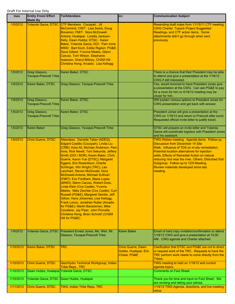| Date      | <b>Entity From/ Effort</b><br><b>Made By</b>   | <b>To/Attendees</b>                                                                                                                                                                                                                                                                                                                                                                                                                                                                                                                                                                                                                                                                                                                                                                                                      | CC:                                                               | <b>Communication Subject</b>                                                                                                                                                                                                                                                                                                                                                                  |
|-----------|------------------------------------------------|--------------------------------------------------------------------------------------------------------------------------------------------------------------------------------------------------------------------------------------------------------------------------------------------------------------------------------------------------------------------------------------------------------------------------------------------------------------------------------------------------------------------------------------------------------------------------------------------------------------------------------------------------------------------------------------------------------------------------------------------------------------------------------------------------------------------------|-------------------------------------------------------------------|-----------------------------------------------------------------------------------------------------------------------------------------------------------------------------------------------------------------------------------------------------------------------------------------------------------------------------------------------------------------------------------------------|
| 1/5/2012  |                                                | Yolanda Garza, DTSC CTF Members: Cocopah: Jill<br>McCormick; CRIT: Lisa Swick, Doug<br>Bonamici; FMIT: Nora McDowell-<br>Antone; Hualapai: Loretta Jackson-<br>Kelly, Dawn Hubbs; DTSC: Karen<br>Baker, Yolanda Garza; DOI: Pam Innis;<br>MWD: Bart Koch, Eddie Rigdon; PG&E:<br>Dave Gilbert, Yvonne Meeks, Glenn<br>Caruso, Tom Wilson, Stephanie<br>Isaacson, Sheryl Bilbrey, CH2M Hill:<br>Christina Hong; Arcadis: Lisa Kellogg                                                                                                                                                                                                                                                                                                                                                                                     |                                                                   | Resending draft notes from 11/15/11 CTF meeting,<br><b>CWG Charter, Topock Project Suggested</b><br>Readings, and CTF action items. Some<br>attachments didn't go through when sent<br>previously.                                                                                                                                                                                            |
| 1/5/2012  | Greg Glassco,<br>Yavapai-Prescott Tribe        | Karen Baker, DTSC                                                                                                                                                                                                                                                                                                                                                                                                                                                                                                                                                                                                                                                                                                                                                                                                        |                                                                   | There is a chance that their President may be able<br>to attend and give a presentation at the 1/18/12<br>CWG if still interested.                                                                                                                                                                                                                                                            |
| 1/5/2012  | Karen Baker, DTSC                              | Greg Glassco, Yavapai-Prescott Tribe                                                                                                                                                                                                                                                                                                                                                                                                                                                                                                                                                                                                                                                                                                                                                                                     |                                                                   | Yes, would honored to have President Jones give<br>a presentation at the CWG. Can ask PG&E to pay<br>for a room for him or 4/18/12 meeting may be<br>closer for him.                                                                                                                                                                                                                          |
| 1/5/2012  | Greg Glassco,<br><b>Yavapai-Prescott Tribe</b> | Karen Baker, DTSC                                                                                                                                                                                                                                                                                                                                                                                                                                                                                                                                                                                                                                                                                                                                                                                                        |                                                                   | Will explain various options to President Jones for<br>CWG presentation and get back with answer.                                                                                                                                                                                                                                                                                             |
| 1/5/2012  | Greg Glassco,<br><b>Yavapai-Prescott Tribe</b> | Karen Baker, DTSC                                                                                                                                                                                                                                                                                                                                                                                                                                                                                                                                                                                                                                                                                                                                                                                                        |                                                                   | President Jones will give a presentation at the<br>CWG on 1/18/12 and return to Prescott after lunch.<br>Requested official invite letter to justify travel.                                                                                                                                                                                                                                  |
| 1/5/2012  | <b>Karen Baker</b>                             | Greg Glassco, Yavapai-Prescott Tribe                                                                                                                                                                                                                                                                                                                                                                                                                                                                                                                                                                                                                                                                                                                                                                                     |                                                                   | DTSC will prepare an invite letter and Yolanda<br>Garza will coordinate logistics with President Jones<br>and his assistant.                                                                                                                                                                                                                                                                  |
| 1/6/2012  | <b>Chris Guerre, DTSC</b>                      | Attendees: Danielle Taber (ADEQ);<br>Edgard Castillo (Cocopah); Lindia Liu<br>(CRB); Kara Ali, Michael Anderson, Pam<br>Innis, Rick Newill, Toni Sekunda, Jeffery<br>Smith (DOI / BOR); Karen Baker, Chris<br>Guerre, Aaron Yue (DTSC); Margaret<br>Eggers, Eric Rosenblum, Charlie<br>Schlinger, Win Wright (TRC), Leo<br>Leonhart, Steven McDonald, Nora<br>McDowell-Antone, Michael Sullivan<br>(FMIT); Eric Fordham, Maria Lopez<br>(MWD); Glenn Caruso, Robert Doss,<br>Linda Klein (Cox Castle), Yvonne<br>Meeks, Mike Zischke (Cox Castle), Curt<br>Russell (PG&E); Margaret Gentile, Jeff<br>Gillow, Hans Johannes, Lisa Kellogg,<br>Frank Lenzo, Jonathan Roller (Arcadis<br>for PG&E); Martin Barackman, Mike<br>Cavaliere, Jay Piper, John Porcella,<br>Christina Hong, Brian Schroth (CH2M<br>Hill for PG&E) |                                                                   | TWG Webex meeting. Agenda items: Follow-up<br><b>Discussion from December 14 Site</b><br>Walk: Influence of TDS on in-situ remediation,<br>Potential location alternatives for injection<br>wells, Effects of Remedial Action on natural<br>reducing rind near the river, Others; Disturbed Soil<br>Subgroup: Follow-up to 12/9 Meeting,<br>Review materials developed since last<br>meeting. |
| 1/9/2012  | Yolanda Garza, DTSC                            | President Ernest Jones, Ms. Weir, Mr.<br>Glassco, Yavapai-Prescott Tribe                                                                                                                                                                                                                                                                                                                                                                                                                                                                                                                                                                                                                                                                                                                                                 | <b>Karen Baker</b>                                                | Email of hard copy invitation/confirmation to attend<br>1/18/12 CWG and give a presentation at 10:00<br>AM. CWG agenda and Charter attached.                                                                                                                                                                                                                                                  |
| 1/10/2012 | Karen Baker, DTSC                              | TRC                                                                                                                                                                                                                                                                                                                                                                                                                                                                                                                                                                                                                                                                                                                                                                                                                      | <b>Chris Guerre, Dawn</b><br>Hubbs, Hualapai, Eric<br>Chase, PG&E | Clarification that DTSC and PG&E are not to direct<br>or request work of the TRC. Requests to have the<br>TRC perform work needs to come directly from the<br>Tribes.                                                                                                                                                                                                                         |
| 1/10/2012 | Chris Guerre, DTSC                             | Geo/Hydro Technical Workgroup, Indian<br><b>Tribe Reps., TRC</b>                                                                                                                                                                                                                                                                                                                                                                                                                                                                                                                                                                                                                                                                                                                                                         |                                                                   | TWG meeting to held on 1/19/12 and current<br>agenda topics.                                                                                                                                                                                                                                                                                                                                  |
| 1/10/2012 | Dawn Hubbs, Hualapai Yolanda Garza, DTSC       |                                                                                                                                                                                                                                                                                                                                                                                                                                                                                                                                                                                                                                                                                                                                                                                                                          |                                                                   | <b>Comments on Fact Sheet.</b>                                                                                                                                                                                                                                                                                                                                                                |
| 1/10/2012 |                                                | Yolanda Garza, DTSC Dawn Hubbs, Hualapai                                                                                                                                                                                                                                                                                                                                                                                                                                                                                                                                                                                                                                                                                                                                                                                 |                                                                   | Thank you for time and input on Fact Sheet. We<br>are revising and taking your advise.                                                                                                                                                                                                                                                                                                        |
| 1/11/2012 | <b>Chris Guerre, DTSC</b>                      | <b>TWG, Indian Tribe Reps, TRC</b>                                                                                                                                                                                                                                                                                                                                                                                                                                                                                                                                                                                                                                                                                                                                                                                       |                                                                   | 1/19/12 TWG Agenda, directions, and live meeting<br>setup                                                                                                                                                                                                                                                                                                                                     |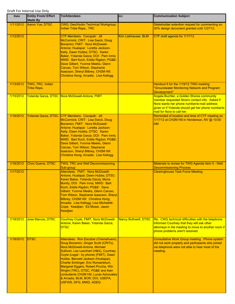| <b>Date</b> | <b>Entity From/ Effort</b><br><b>Made By</b> | <b>To/Attendees</b>                                                                                                                                                                                                                                                                                                                                                                                                                                               | cc:                         | <b>Communication Subject</b>                                                                                                                                                                                                  |
|-------------|----------------------------------------------|-------------------------------------------------------------------------------------------------------------------------------------------------------------------------------------------------------------------------------------------------------------------------------------------------------------------------------------------------------------------------------------------------------------------------------------------------------------------|-----------------------------|-------------------------------------------------------------------------------------------------------------------------------------------------------------------------------------------------------------------------------|
| 1/11/2012   | Aaron Yue, DTSC                              | CWG, Geo/Hydro Technical Workgroup,<br><b>Indian Tribe Reps., TRC</b>                                                                                                                                                                                                                                                                                                                                                                                             |                             | Stakeholder extention request for commenting on<br>30% design document granted until 1/27/12.                                                                                                                                 |
| 1/12/2012   |                                              | CTF Members: Cocopah: Jill<br>McCormick; CRIT: Lisa Swick, Doug<br>Bonamici; FMIT: Nora McDowell-<br>Antone; Hualapai: Loretta Jackson-<br>Kelly, Dawn Hubbs; DTSC: Karen<br>Baker, Yolanda Garza; DOI: Pam Innis;<br>MWD: Bart Koch, Eddie Rigdon; PG&E:<br>Dave Gilbert, Yvonne Meeks, Glenn<br>Caruso, Tom Wilson, Stephanie<br>Isaacson, Sheryl Bilbrey, CH2M Hill:<br>Christina Hong; Arcadis: Lisa Kellogg                                                  | Kim Liebhauser, BLM         | CTF draft agenda for 1/17/12                                                                                                                                                                                                  |
| 1/13/2012   | TWG, TRC, Indian<br><b>Tribe Reps.</b>       |                                                                                                                                                                                                                                                                                                                                                                                                                                                                   |                             | Handout 6 for the 1/19/12 TWG meeting<br>"Groundwater Monitoring Network and Program<br>Development"                                                                                                                          |
| 1/15/2012   |                                              | Yolanda Garza, DTSC Nora McDowell-Antone, FMIT                                                                                                                                                                                                                                                                                                                                                                                                                    |                             | Angela Buchler, a Golden Shores community<br>member requested Nora's contact info. Asked if<br>Nora wants her phone number/e-mail address<br>given or if Yolanda should get her phone number/e-<br>mail for Nora to call her. |
| 1/16/2012   |                                              | Yolanda Garza, DTSC CTF Members: Cocopah: Jill<br>McCormick; CRIT: Lisa Swick, Doug<br>Bonamici; FMIT: Nora McDowell-<br>Antone; Hualapai: Loretta Jackson-<br>Kelly, Dawn Hubbs; DTSC: Karen<br>Baker, Yolanda Garza; DOI: Pam Innis;<br>MWD: Bart Koch, Eddie Rigdon; PG&E:<br>Dave Gilbert, Yvonne Meeks, Glenn<br>Caruso, Tom Wilson, Stephanie<br>Isaacson, Sheryl Bilbrey, CH2M Hill:<br>Christina Hong; Arcadis: Lisa Kellogg                              |                             | Reminded of location and time of CTF meeting on<br>1/17/12 at CH2M Hill in Henderson, NV @ 10:00<br><b>AM</b>                                                                                                                 |
| 1/16/2012   | <b>Chris Guerre, DTSC</b>                    | TWG, TRC and Well Decommissioning<br>Sub-group                                                                                                                                                                                                                                                                                                                                                                                                                    |                             | Materials to review for TWG Agenda Item 5 - Well<br><b>Decommissioning Process</b>                                                                                                                                            |
| 1/17/2012   |                                              | Attendees: FMIT: Nora McDowell-<br>Antone; Hualapai: Dawn Hubbs; DTSC:<br>Karen Baker, Yolanda Garza, Mona<br>Bontty; DOI: Pam Innis; MWD: Bart<br>Koch, Eddie Rigdon; PG&E: Dave<br>Gilbert, Yvonne Meeks, Glenn Caruso,<br>Tom Wilson, Stephanie Isaacson, Sheryl<br>Bilbrey, CH2M Hill: Christina Hong;<br>Arcadis: Lisa Kellogg, Lisa Micheletti-<br>Cope; Keadjian: Ed Moser, Jason<br><b>Keadiian</b>                                                       |                             | <b>Clearinghouse Task Force Meeting</b>                                                                                                                                                                                       |
| 1/18/2012   | Jose Marcos, DTSC                            | Courtney Coyle, FMIT, Nora McDowell-<br>Antone, Karen Baker, Yolanda Garza,<br><b>DTSC</b>                                                                                                                                                                                                                                                                                                                                                                        | <b>Nancy Bothwell, DTSC</b> | Re: CWG technical difficulties with the telephone.<br>Informed Courtney that they will ask other<br>attorneys in the meeting to move to another room if<br>phone problems aren't resolved.                                    |
| 1/18/2012   | <b>DTSC</b>                                  | Attendees: Ron Escobar (Chemehuevi),<br>Doug Bonamici, Ginger Scott (CRITs),<br>Nora McDowell-Antone, Michael<br>Sullivan, Leo Leonhart (H&A), Courtney<br>Coyle (Legal - by phone) (FMIT), Dawn<br>Hubbs, Bennett Jackson (Hualapai),<br>Charlie Schlinger, Eric Ronsenblum,<br>Margaret Eggers, Robert Prucha, Win<br>Wright (TRC), DTSC, PG&E and their<br>consultants CH2M Hill, Lucas Advocates<br>& Arcadis, BLM, BOR, DOI, USEPA,<br>USFWS, DFG, MWD, ADEQ |                             | <b>Consultative Work Group meeting. Phone system</b><br>did not work properly and participants who joined<br>via telephone were not able to hear most of the<br>meeting.                                                      |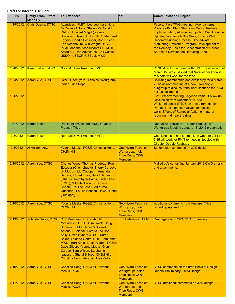| Date      | <b>Entity From/ Effort</b><br><b>Made By</b> | <b>To/Attendees</b>                                                                                                                                                                                                                                                                                                                                                                                                                  | CC:                                                                                         | <b>Communication Subject</b>                                                                                                                                                                                                                                                                                                                                                       |
|-----------|----------------------------------------------|--------------------------------------------------------------------------------------------------------------------------------------------------------------------------------------------------------------------------------------------------------------------------------------------------------------------------------------------------------------------------------------------------------------------------------------|---------------------------------------------------------------------------------------------|------------------------------------------------------------------------------------------------------------------------------------------------------------------------------------------------------------------------------------------------------------------------------------------------------------------------------------------------------------------------------------|
| 1/19/2012 | <b>Chris Guerre, DTSC</b>                    | Attendees: FMIT: Leo Leonhart, Nora<br>McDowell-Antone, Steven McDonald;<br><b>CRITs: Howard Magill (phone);</b><br>Hualapai: Dawn Hubbs; TRC: Margaret<br>Eggers, Charlie Schlinger, Bob Prucha,<br>Eric Rosenblum, Win Wright; DTSC,<br>PG&E and their consultants CH2M Hill,<br>Arcadis, Lucas Advocates, Cox Castle;<br>USDOI, USBOR, USBLM, MWD                                                                                 |                                                                                             | Face-to-Face TWG meeting: Agenda items:<br>Plans for IM3 Plant Shutdown During Remedy<br>Implementation; Alternative Injection Well Location<br>Update; January 9th Site Walk; Topock Well<br><b>Decommissioning Process; Groundwater</b><br>Monitoring Network & Program Development for<br>the Remedy; Basis for Concentration of Carbon<br>Source to Develop the Reducing Zone. |
| 1/20/2012 | <b>Karen Baker, DTSC</b>                     | Nora McDowell-Antone, FMIT                                                                                                                                                                                                                                                                                                                                                                                                           |                                                                                             | DTSC director can meet with FMIT the afternoon of<br>March 15, 2012. Asked that Nora let her know if<br>this date will work for the tribe.                                                                                                                                                                                                                                         |
| 1/24/2012 | Aaron Yue, DTSC                              | CWG, Geo/Hydro Technical Workgroup,<br><b>Indian Tribe Reps.</b>                                                                                                                                                                                                                                                                                                                                                                     |                                                                                             | Soliciting membership and availability for a March<br>2012 kick-off meeting of a new Toxicologic<br>subgroup to discuss "tribal use" scenario for PG&E<br>risk assessments                                                                                                                                                                                                         |
| 1/26/2012 |                                              |                                                                                                                                                                                                                                                                                                                                                                                                                                      |                                                                                             | TWG Webex meeting: Agenda items: Follow-up<br><b>Discussion from December 14 Site</b><br>Walk: Influence of TDS on in-situ remediation,<br>Potential location alternatives for injection<br>wells. Effects of Remedial Action on natural<br>reducing rind near the river                                                                                                           |
| 1/31/2012 | <b>Karen Baker</b>                           | President Ernest Jones, Sr., Yavapai-<br><b>Prescott Tribe</b>                                                                                                                                                                                                                                                                                                                                                                       |                                                                                             | Note of Appreciation - Topock Consultative<br>Workgroup Meeting January 18, 2012 presentation                                                                                                                                                                                                                                                                                      |
| 2/3/2012  | <b>Karen Baker</b>                           | Nora McDowell-Antone, FMIT                                                                                                                                                                                                                                                                                                                                                                                                           |                                                                                             | Checking if she has feedback on whether 3/14 or<br>3/15 will work for FMIT to meet in Needles with<br>Director Debbie Raphael.                                                                                                                                                                                                                                                     |
| 2/3/2012  | <b>Aaron Yue, DTSC</b>                       | Yvonne Meeks, PG&E, Christina Hong,<br><b>CH2M Hill</b>                                                                                                                                                                                                                                                                                                                                                                              | <b>Geo/Hydro Technical</b><br>Workgroup; Indian<br><b>Tribe Reps; CWG</b><br><b>Members</b> | Stakeholder comments on 30% design.                                                                                                                                                                                                                                                                                                                                                |
| 2/10/2012 | <b>Aaron Yue, DTSC</b>                       | Charles Wood, Thomas Pradetto, Ron<br>Escobar (Chemehuevi), Sherry Cordova,<br>Jill McCormick (Cocopah), Amanda<br>Barrera, Eldred Enas, David Harper<br>(CRITs), Timothy Williams, Linda Otero<br>(FMIT), Mike Jackson, Sr., Chase<br><b>Choate, Pauline Jose (Fort Yuma-</b><br>Quechan), Louise Benson, Dawn Hubbs<br>(Hualapai)                                                                                                  |                                                                                             | Mailed cd's containing January 2012 CWG emails<br>and attachments.                                                                                                                                                                                                                                                                                                                 |
| 2/10/2012 | Aaron Yue, DTSC                              | Yvonne Meeks, PG&E, Christina Hong,<br><b>CH2M Hill</b>                                                                                                                                                                                                                                                                                                                                                                              | <b>Geo/Hydro Technical</b><br>Workgroup; Indian<br><b>Tribe Reps; CWG</b><br><b>Members</b> | <b>Additional comments from Hualapai Tribe</b><br>regarding Appendix F                                                                                                                                                                                                                                                                                                             |
| 2/13/2012 |                                              | Yolanda Garza, DTSC CTF Members: Cocopah: Jill<br>McCormick; CRIT: Lisa Swick, Doug<br>Bonamici: FMIT: Nora McDowell-<br>Antone; Hualapai: Loretta Jackson-<br>Kelly, Dawn Hubbs; DTSC: Karen<br>Baker, Yolanda Garza; DOI: Pam Innis;<br>MWD: Bart Koch, Eddie Rigdon; PG&E:<br>Dave Gilbert, Yvonne Meeks, Glenn<br>Caruso, Tom Wilson, Stephanie<br>Isaacson, Sheryl Bilbrey, CH2M Hill:<br>Christina Hong; Arcadis: Lisa Kellogg | Kim Liebhauser, BLM                                                                         | Draft agenda for 2/21/12 CTF meeting                                                                                                                                                                                                                                                                                                                                               |
| 2/16/2012 | Aaron Yue, DTSC                              | Christina Hong, CH2M Hill, Yvonne<br>Meeks, PG&E                                                                                                                                                                                                                                                                                                                                                                                     | <b>Geo/Hydro Technical</b><br>Workgroup; Indian<br><b>Tribe Reps; CWG</b><br><b>Members</b> | <b>DTSC comments on the draft Basis of Design</b><br>Report/ Preliminary (30%) Design                                                                                                                                                                                                                                                                                              |
| 2/17/2012 | Aaron Yue, DTSC                              | Christina Hong, CH2M Hill, Yvonne<br>Meeks, PG&E                                                                                                                                                                                                                                                                                                                                                                                     | Geo/Hydro Technical<br>Workgroup; Indian<br><b>Tribe Reps; CWG</b><br><b>Members</b>        | DTSC additional comments on 30% design                                                                                                                                                                                                                                                                                                                                             |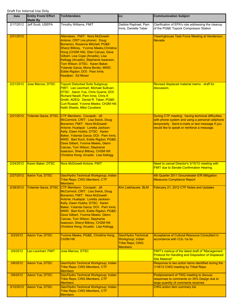| <b>Date</b>           | <b>Entity From/ Effort</b><br><b>Made By</b> | <b>To/Attendees</b>                                                                                                                                                                                                                                                                                                                                                                                                                  | cc:                                                                                         | <b>Communication Subject</b>                                                                                                                                                                             |
|-----------------------|----------------------------------------------|--------------------------------------------------------------------------------------------------------------------------------------------------------------------------------------------------------------------------------------------------------------------------------------------------------------------------------------------------------------------------------------------------------------------------------------|---------------------------------------------------------------------------------------------|----------------------------------------------------------------------------------------------------------------------------------------------------------------------------------------------------------|
| 2/17/2012             | Jeff Scott, USEPA                            | Timothy Williams, FMIT                                                                                                                                                                                                                                                                                                                                                                                                               | Debbie Raphael, Pam<br>Innis. Danielle Taber                                                | Clarification of EPA's role addressing the cleanup<br>of the PG&E Topock Compressor Station                                                                                                              |
| 2/21/2012             |                                              | Attendees: FMIT: Nora McDowell-<br>Antone; CRIT (via phone): Doug<br>Bonamici, Rosanna Mitchell; PG&E:<br>Sheryl Bilbrey, Yvonne Meeks, Christina<br>Hong (CH2M Hill), Glen Caruso, Dave<br>Gilbert, Lisa Cope (Arcadis), Lisa<br>Kellogg (Arcadis), Stephanie Isaacson,<br>Tom Wilson; DTSC: Karen Baker,<br>Yolanda Garza, Mona Bontty; MWD:<br>Eddie Rigdon; DOI: Pam Innis;<br>Keadjian: Ed Moser                                |                                                                                             | Clearinghouse Task Force Meeting at Henderson,<br><b>Nevada</b>                                                                                                                                          |
| 2/21/2012             | <b>Jose Marcos, DTSC</b>                     | <b>Topock Disturbed Soils Subgroup:</b><br><b>FMIT: Leo Leonhart, Michael Sullivan;</b><br>DTSC: Aaron Yue, Chris Guerre; DOI:<br>Richard Newill, Pam Innis; Chris K<br>Smith; ADEQ: Daniel R. Taber; PG&E:<br>Curt Russell, Yvonne Meeks; CH2M Hill:<br><b>Keith Sheets, Mike Cavaliere</b>                                                                                                                                         |                                                                                             | Revised displaced material memo - draft for<br>discussion.                                                                                                                                               |
| 2/21/2012             | Yolanda Garza, DTSC                          | CTF Members: Cocopah: Jill<br>McCormick; CRIT: Lisa Swick, Doug<br>Bonamici; FMIT: Nora McDowell-<br>Antone; Hualapai: Loretta Jackson-<br>Kelly, Dawn Hubbs; DTSC: Karen<br>Baker, Yolanda Garza; DOI: Pam Innis;<br>MWD: Bart Koch, Eddie Rigdon; PG&E:<br>Dave Gilbert, Yvonne Meeks, Glenn<br>Caruso, Tom Wilson, Stephanie<br>Isaacson, Sheryl Bilbrey, CH2M Hill:<br>Christina Hong; Arcadis: Lisa Kellogg                     |                                                                                             | During CTF meeting: having technical difficulties<br>with phone system and using a personal cellphone<br>temporarily. Send e-mails or text message if you<br>would like to speak or reinforce a message. |
| 2/24/2012             | <b>Karen Baker, DTSC</b>                     | Nora McDowell-Antone, FMIT                                                                                                                                                                                                                                                                                                                                                                                                           |                                                                                             | Need to cancel Director's 3/15/12 meeting with<br><b>FMIT due to Senate Confirmation Hearing.</b>                                                                                                        |
| 2/27/2012             | Aaron Yue, DTSC                              | Geo/Hydro Technical Workgroup; Indian<br>Tribe Reps; CWG Members, CTF<br><b>Members</b>                                                                                                                                                                                                                                                                                                                                              |                                                                                             | 4th Quarter 2011 Groundwater EIR Mitigation<br><b>Measures Compliance Report</b>                                                                                                                         |
| 2/28/2012             |                                              | Yolanda Garza, DTSC CTF Members: Cocopah: Jill<br>McCormick; CRIT: Lisa Swick, Doug<br>Bonamici; FMIT: Nora McDowell-<br>Antone; Hualapai: Loretta Jackson-<br>Kelly, Dawn Hubbs; DTSC: Karen<br>Baker, Yolanda Garza; DOI: Pam Innis;<br>MWD: Bart Koch, Eddie Rigdon; PG&E:<br>Dave Gilbert, Yvonne Meeks, Glenn<br>Caruso, Tom Wilson, Stephanie<br>Isaacson, Sheryl Bilbrey, CH2M Hill:<br>Christina Hong; Arcadis: Lisa Kellogg | Kim Liebhauser, BLM                                                                         | February 21, 2012 CTF Notes and Updates                                                                                                                                                                  |
| 3/2/2012              | Aaron Yue, DTSC                              | Yvonne Meeks, PG&E, Christina Hong,<br><b>CH2M Hill</b>                                                                                                                                                                                                                                                                                                                                                                              | <b>Geo/Hydro Technical</b><br>Workgroup; Indian<br><b>Tribe Reps; CWG</b><br><b>Members</b> | <b>Acceptance of Cultural Resource Consultant in</b><br>accordance with CUL-1a-3a                                                                                                                        |
| 3/5/2012              | Leo Leonhart, FMIT                           | Jose Marcos, DTSC                                                                                                                                                                                                                                                                                                                                                                                                                    |                                                                                             | FMIT's markup of the latest draft of "Management<br>Protocol for Handling and Disposition of Displaced<br><b>Site Material"</b>                                                                          |
| 3/6/2012              | Aaron Yue, DTSC                              | Geo/Hydro Technical Workgroup; Indian<br>Tribe Reps; CWG Members, CTF<br><b>Members</b>                                                                                                                                                                                                                                                                                                                                              |                                                                                             | Response to two action items identified during the<br>1/18/12 CWG meeting by Tribal Reps.                                                                                                                |
| 3/6/2012<br>3/12/2012 | Aaron Yue, DTSC<br>Aaron Yue, DTSC           | Geo/Hydro Technical Workgroup; Indian<br><b>Tribe Reps; CWG Members, CTF</b><br><b>Members</b><br>Geo/Hydro Technical Workgroup; Indian<br>Tribe Reps; CWG Members, CTF                                                                                                                                                                                                                                                              |                                                                                             | Postponement of TWG meeting to discuss<br>responses to comments on 30% Design due to<br>large quantity of comments received.<br><b>CWG</b> action item summary list.                                     |
|                       |                                              | <b>Members</b>                                                                                                                                                                                                                                                                                                                                                                                                                       |                                                                                             |                                                                                                                                                                                                          |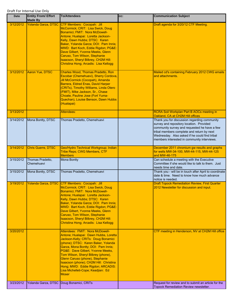| Date                   | <b>Entity From/ Effort</b><br><b>Made By</b> | <b>To/Attendees</b>                                                                                                                                                                                                                                                                                                                                                                                                                                                                           | CC: | <b>Communication Subject</b>                                                                                                                                                                                                                                                           |
|------------------------|----------------------------------------------|-----------------------------------------------------------------------------------------------------------------------------------------------------------------------------------------------------------------------------------------------------------------------------------------------------------------------------------------------------------------------------------------------------------------------------------------------------------------------------------------------|-----|----------------------------------------------------------------------------------------------------------------------------------------------------------------------------------------------------------------------------------------------------------------------------------------|
| 3/12/2012              |                                              | Yolanda Garza, DTSC CTF Members: Cocopah: Jill<br>McCormick; CRIT: Lisa Swick, Doug<br>Bonamici; FMIT: Nora McDowell-<br>Antone; Hualapai: Loretta Jackson-<br>Kelly, Dawn Hubbs; DTSC: Karen<br>Baker, Yolanda Garza; DOI: Pam Innis;<br>MWD: Bart Koch, Eddie Rigdon; PG&E:<br>Dave Gilbert, Yvonne Meeks, Glenn<br>Caruso, Tom Wilson, Stephanie<br>Isaacson, Sheryl Bilbrey, CH2M Hill:<br>Christina Hong; Arcadis: Lisa Kellogg                                                          |     | Draft agenda for 3/20/12 CTF Meeting.                                                                                                                                                                                                                                                  |
| 3/12/2012              | Aaron Yue, DTSC                              | Charles Wood, Thomas Pradetto, Ron<br>Escobar (Chemehuevi), Sherry Cordova,<br>Jill McCormick (Cocopah), Amanda<br>Barrera, Eldred Enas, David Harper<br>(CRITs), Timothy Williams, Linda Otero<br>(FMIT), Mike Jackson, Sr., Chase<br>Choate, Pauline Jose (Fort Yuma-<br>Quechan), Louise Benson, Dawn Hubbs<br>(Hualapai)                                                                                                                                                                  |     | Mailed cd's containing February 2012 CWG emails<br>and attachments.                                                                                                                                                                                                                    |
| 3/13/2012              |                                              | <b>Attendees:</b>                                                                                                                                                                                                                                                                                                                                                                                                                                                                             |     | RCRA Soil Workplan Part B AOCs meeting in<br>Oakland, CA at CH2M Hill offices                                                                                                                                                                                                          |
| 3/14/2012              | Mona Bontty, DTSC                            | Thomas Pradetto, Chemehuevi                                                                                                                                                                                                                                                                                                                                                                                                                                                                   |     | Thank you for discussion regarding community<br>survey and repository location. Provided<br>community survey and requested he have a few<br>tribal members complete and return by next<br>Wednesday. Also asked if he could find tribal<br>members interested in community interviews. |
| 3/14/2012              | Chris Guerre, DTSC                           | Geo/Hydro Technical Workgroup; Indian<br><b>Tribe Reps; CWG Members, CTF</b><br><b>Members</b>                                                                                                                                                                                                                                                                                                                                                                                                |     | December 2011 chromium gw results and graphs<br>for wells MW-34-100, MW-44-115, MW-44-125<br>and MW-46-175                                                                                                                                                                             |
| 3/15/2012              | Thomas Pradetto,<br>Chemehuevi               | Mona Bontty                                                                                                                                                                                                                                                                                                                                                                                                                                                                                   |     | Can schedule a meeting with the Executive<br>Committee if she would like to talk to them. Just<br>needs time and date.                                                                                                                                                                 |
| 3/15/2012              | Mona Bontty, DTSC                            | Thomas Pradetto, Chemehuevi                                                                                                                                                                                                                                                                                                                                                                                                                                                                   |     | Thank you - will be in touch after April to coordinate<br>date & time. Need to know how much advance<br>notice is needed.                                                                                                                                                              |
| 3/19/2012              |                                              | Yolanda Garza, DTSC CTF Members: Cocopah: Jill<br>McCormick; CRIT: Lisa Swick, Doug<br>Bonamici; FMIT: Nora McDowell-<br>Antone; Hualapai: Loretta Jackson-<br>Kelly, Dawn Hubbs; DTSC: Karen<br>Baker, Yolanda Garza; DOI: Pam Innis;<br>MWD: Bart Koch, Eddie Rigdon; PG&E:<br>Dave Gilbert, Yvonne Meeks, Glenn<br>Caruso, Tom Wilson, Stephanie<br>Isaacson, Sheryl Bilbrey, CH2M Hill:<br>Christina Hong; Arcadis: Lisa Kellogg                                                          |     | <b>Draft Topock Remediation Review, First Quarter</b><br>2012 Newsletter for discussion and input.                                                                                                                                                                                     |
| 3/20/2012<br>3/23/2012 |                                              | Attendees: FMIT: Nora McDowell-<br>Antone; Hualapai: Dawn Hubbs, Loretta<br>Jackson-Kelly; CRITs: Doug Bonamici<br>(phone); DTSC: Karen Baker, Yolanda<br>Garza, Mona Bontty; DOI: Pam Innis;<br>PG&E: Dave Gilbert, Yvonne Meeks,<br>Tom Wilson, Sheryl Bilbrey (phone),<br>Glenn Caruso (phone), Stephanie<br>Isaacson (phone); CH2M Hill: Christina<br>Hong; MWD: Eddie Rigdon; ARCADIS:<br>Lisa Michelleti-Cope; Keadjian: Ed<br><b>Moser</b><br>Yolanda Garza, DTSC Doug Bonamici, CRITs |     | CTF meeting in Henderson, NV at CH2M Hill office<br>Request for review and to submit an article for the                                                                                                                                                                                |
|                        |                                              |                                                                                                                                                                                                                                                                                                                                                                                                                                                                                               |     | Topock Remediation Review newsletter.                                                                                                                                                                                                                                                  |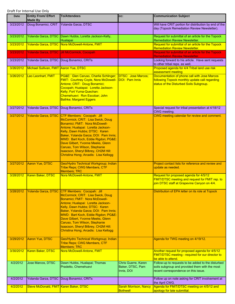| Date      | <b>Entity From/ Effort</b><br><b>Made By</b> | <b>To/Attendees</b>                                                                                                                                                                                                                                                                                                                                                                                                                  | CC:                                                   | <b>Communication Subject</b>                                                                                                                 |
|-----------|----------------------------------------------|--------------------------------------------------------------------------------------------------------------------------------------------------------------------------------------------------------------------------------------------------------------------------------------------------------------------------------------------------------------------------------------------------------------------------------------|-------------------------------------------------------|----------------------------------------------------------------------------------------------------------------------------------------------|
| 3/23/2012 | Doug Bonamici, CRIT                          | Yolanda Garza, DTSC                                                                                                                                                                                                                                                                                                                                                                                                                  |                                                       | Will have CRIT portion for distribution by end of the<br>day (Topock Remediation Review Newsletter).                                         |
|           |                                              |                                                                                                                                                                                                                                                                                                                                                                                                                                      |                                                       |                                                                                                                                              |
| 3/23/2012 |                                              | Yolanda Garza, DTSC Dawn Hubbs, Loretta Jackson-Kelly,<br>Hualapai                                                                                                                                                                                                                                                                                                                                                                   |                                                       | Request for submittal of an article for the Topock<br>Remediation Review Newsletter.                                                         |
| 3/23/2012 |                                              | Yolanda Garza, DTSC Nora McDowell-Antone, FMIT                                                                                                                                                                                                                                                                                                                                                                                       |                                                       | Request for submittal of an article for the Topock<br><b>Remediation Review Newsletter.</b>                                                  |
| 3/23/2012 |                                              | Yolanda Garza, DTSC Jill McCormick, Cocopah                                                                                                                                                                                                                                                                                                                                                                                          |                                                       | Request for submittal of an article for the Topock                                                                                           |
| 3/23/2012 |                                              | Yolanda Garza, DTSC Doug Bonamici, CRITs                                                                                                                                                                                                                                                                                                                                                                                             |                                                       | <b>Remediation Review Newsletter.</b><br>Looking forward to his article. Have sent requests<br>to other tribal reps. as well.                |
| 3/26/2012 | Michael Sullivan, FMIT Aaron Yue, DTSC       |                                                                                                                                                                                                                                                                                                                                                                                                                                      |                                                       | Proposed agenda for 4/4 Tribal land use risk<br>assessment meeting                                                                           |
| 3/26/2012 | Leo Leonhart, FMIT                           | PG&E: Glen Caruso, Charlie Schlinger;<br><b>FMIT: Courtney Coyle, Nora McDowell-</b><br>Antone; CRIT: Doug Bonamici;<br>Cocopah; Hualapai: Loretta Jackson-<br>Kelly; Fort Yuma-Quechan:<br>Chemehuevi: Ron Escobar; John<br><b>Bathke; Margaret Eggers</b>                                                                                                                                                                          | <b>DTSC: Jose Marcos;</b><br>DOI: Pam Innis           | Documentation of phone call with Jose Marcos<br>following Topock monthly update call regarding<br>status of the Disturbed Soils Subgroup.    |
| 3/27/2012 |                                              | Yolanda Garza, DTSC Doug Bonamici, CRITs                                                                                                                                                                                                                                                                                                                                                                                             |                                                       | Special request for tribal presentation at 4/18/12<br>CWG meeting.                                                                           |
| 3/27/2012 |                                              | Yolanda Garza, DTSC CTF Members: Cocopah: Jill<br>McCormick; CRIT: Lisa Swick, Doug<br>Bonamici: FMIT: Nora McDowell-<br>Antone; Hualapai: Loretta Jackson-<br>Kelly, Dawn Hubbs; DTSC: Karen<br>Baker, Yolanda Garza; DOI: Pam Innis;<br>MWD: Bart Koch, Eddie Rigdon; PG&E:<br>Dave Gilbert, Yvonne Meeks, Glenn<br>Caruso, Tom Wilson, Stephanie<br>Isaacson, Sheryl Bilbrey, CH2M Hill:<br>Christina Hong; Arcadis: Lisa Kellogg |                                                       | CWG meeting calendar for review and comment.                                                                                                 |
| 3/27/2012 | Aaron Yue, DTSC                              | Geo/Hydro Technical Workgroup; Indian<br>Tribe Reps; CWG Members, CTF<br><b>Members; TRC</b>                                                                                                                                                                                                                                                                                                                                         |                                                       | Project contact lists for reference and review and<br>update as needed.                                                                      |
| 3/28/2012 | Karen Baker, DTSC                            | Nora McDowell-Antone, FMIT                                                                                                                                                                                                                                                                                                                                                                                                           |                                                       | Request for proposed agenda for 4/5/12<br>FMIT/DTSC meeting and request for FMIT rep. to<br>join DTSC staff at Grapevine Canyon on 4/4.      |
| 3/28/2012 |                                              | Yolanda Garza, DTSC CTF Members: Cocopah: Jill<br>McCormick; CRIT: Lisa Swick, Doug<br>Bonamici; FMIT: Nora McDowell-<br>Antone; Hualapai: Loretta Jackson-<br>Kelly, Dawn Hubbs; DTSC: Karen<br>Baker, Yolanda Garza; DOI: Pam Innis;<br>MWD: Bart Koch, Eddie Rigdon; PG&E:<br>Dave Gilbert, Yvonne Meeks, Glenn<br>Caruso, Tom Wilson, Stephanie<br>Isaacson, Sheryl Bilbrey, CH2M Hill:<br>Christina Hong; Arcadis: Lisa Kellogg |                                                       | Distribution of EPA letter on its role at Topock                                                                                             |
| 3/29/2012 | Aaron Yue, DTSC                              | Geo/Hydro Technical Workgroup; Indian<br>Tribe Reps; CWG Members, CTF<br><b>Members; TRC</b>                                                                                                                                                                                                                                                                                                                                         |                                                       | Agenda for TWG meeting on 4/19/12.                                                                                                           |
| 3/30/2012 | Karen Baker, DTSC                            | Nora McDowell-Antone, FMIT                                                                                                                                                                                                                                                                                                                                                                                                           |                                                       | Another request for proposed agenda for 4/5/12<br>FMIT/DTSC meeting - required for our director to<br>be able to attend.                     |
| 4/2/2012  | Jose Marcos, DTSC                            | Dawn Hubbs, Hualapai; Thomas<br>Pradetto, Chemehuevi                                                                                                                                                                                                                                                                                                                                                                                 | Chris Guerre, Karen<br>Baker, DTSC, Pam<br>Innis, DOI | Follow-up to requests to be added to the disturbed<br>soils subgroup and provided them with the most<br>recent correspondence on this issue. |
| 4/2/2012  |                                              | Yolanda Garza, DTSC Doug Bonamici, CRITs                                                                                                                                                                                                                                                                                                                                                                                             |                                                       | Follow up on note asking for CRIT involvement at<br>the April CWG.                                                                           |
| 4/2/2012  | Steve McDonald, FMIT Karen Baker, DTSC       |                                                                                                                                                                                                                                                                                                                                                                                                                                      | <b>Sarah Morrison, Nancy</b><br><b>Bothwell</b>       | Agenda for FMIT/DTSC meeting on 4/5/12 and<br>apology for late submittal.                                                                    |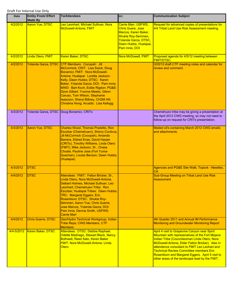| Date       | <b>Entity From/ Effort</b><br><b>Made By</b> | <b>To/Attendees</b>                                                                                                                                                                                                                                                                                                                                                                                                                  | CC:                                                                                                                                                              | <b>Communication Subject</b>                                                                                                                                                                                                                                                                                                                                                                                |
|------------|----------------------------------------------|--------------------------------------------------------------------------------------------------------------------------------------------------------------------------------------------------------------------------------------------------------------------------------------------------------------------------------------------------------------------------------------------------------------------------------------|------------------------------------------------------------------------------------------------------------------------------------------------------------------|-------------------------------------------------------------------------------------------------------------------------------------------------------------------------------------------------------------------------------------------------------------------------------------------------------------------------------------------------------------------------------------------------------------|
| 4/2/2012   | Aaron Yue, DTSC                              | Leo Leonhart, Michael Sullivan, Nora<br><b>McDowell-Antone, FMIT</b>                                                                                                                                                                                                                                                                                                                                                                 | Carrie Marr, USFWS,<br><b>Chris Guere, Jose</b><br>Marcos, Karen Baker,<br>Shukla Roy-Semmen,<br>Yolanda Garza, DTSC,<br>Dawn Hubbs, Hualapai,<br>Pam Innis, DOI | Request for advanced copies of presentations for<br>4/4 Tribal Land Use Risk Assessment meeting.                                                                                                                                                                                                                                                                                                            |
| 4/2/2012   | Linda Otero, FMIT                            | Karen Baker, DTSC                                                                                                                                                                                                                                                                                                                                                                                                                    | Nora McDowell, FMIT                                                                                                                                              | Proposed agenda for 4/5/12 meeting between<br><b>FMIT/DTSC.</b>                                                                                                                                                                                                                                                                                                                                             |
| 4/2/2012   |                                              | Yolanda Garza, DTSC CTF Members: Cocopah: Jill<br>McCormick; CRIT: Lisa Swick, Doug<br>Bonamici; FMIT: Nora McDowell-<br>Antone; Hualapai: Loretta Jackson-<br>Kelly, Dawn Hubbs; DTSC: Karen<br>Baker, Yolanda Garza; DOI: Pam Innis;<br>MWD: Bart Koch, Eddie Rigdon; PG&E:<br>Dave Gilbert, Yvonne Meeks, Glenn<br>Caruso, Tom Wilson, Stephanie<br>Isaacson, Sheryl Bilbrey, CH2M Hill:<br>Christina Hong; Arcadis: Lisa Kellogg |                                                                                                                                                                  | 3/20/12 draft CTF meeting notes and calendar for<br>review and comment.                                                                                                                                                                                                                                                                                                                                     |
| 4/3/2012   |                                              | Yolanda Garza, DTSC Doug Bonamici, CRITs                                                                                                                                                                                                                                                                                                                                                                                             |                                                                                                                                                                  | Chemehuevi tribe may be giving a presentation at<br>the April 2012 CWG meeting, so may not need to<br>follow-up on request for CRITs presentation.                                                                                                                                                                                                                                                          |
| 4/3/2012   | <b>Aaron Yue, DTSC</b>                       | <b>Charles Wood, Thomas Pradetto, Ron</b><br>Escobar (Chemehuevi), Sherry Cordova,<br>Jill McCormick (Cocopah), Amanda<br>Barrera, Eldred Enas, David Harper<br>(CRITs), Timothy Williams, Linda Otero<br>(FMIT), Mike Jackson, Sr., Chase<br>Choate, Pauline Jose (Fort Yuma-<br>Quechan), Louise Benson, Dawn Hubbs<br>(Hualapai)                                                                                                  |                                                                                                                                                                  | Mailed cd's containing March 2012 CWG emails<br>and attachments.                                                                                                                                                                                                                                                                                                                                            |
| 4/3/2012   | <b>DTSC</b>                                  |                                                                                                                                                                                                                                                                                                                                                                                                                                      |                                                                                                                                                                  | Agencies and PG&E Site Walk, Topock - Needles,<br><b>CA</b>                                                                                                                                                                                                                                                                                                                                                 |
| 4/4/2012   | <b>DTSC</b>                                  | Attendees: FMIT: Felton Bricker, Sr.,<br>Linda Otero, Nora McDowell-Antone,<br>Delbert Holmes, Michael Sullivan, Leo<br>Leonhart; Chemehuevi Tribe: Ron<br>Escobar; Hualapai Tribes: Dawn Hubbs;<br><b>TRC: Margaret Eggers, Eric</b><br>Rosenblum; DTSC: Shukla Roy-<br>Semmen, Aaron Yue, Chris Guerre,<br>Jose Marcos, Yolanda Garza; DOI:<br>Pam Innis, Dennis Smith, USFWS:<br><b>Carrie Marr</b>                               |                                                                                                                                                                  | <b>Sub-Group Meeting on Tribal Land Use Risk</b><br><b>Assessment</b>                                                                                                                                                                                                                                                                                                                                       |
| 4/4/2012   | <b>Chris Guerre, DTSC</b>                    | Geo/Hydro Technical Workgroup; Indian<br>Tribe Reps; CWG Members, CTF<br><b>Members</b>                                                                                                                                                                                                                                                                                                                                              |                                                                                                                                                                  | 4th Quarter 2011 and Annual IM Performance<br><b>Monitoring and Groundwater Monitoring Report</b>                                                                                                                                                                                                                                                                                                           |
| 4/4-5/2012 | Karen Baker, DTSC                            | Attendees: DTSC: Debbie Raphael,<br>Odette Madriago, Stewart Black, Nancy<br>Bothwell, Reed Sato, Karen Baker<br><b>FMIT: Nora McDowell-Antone; Linda</b><br>Otero                                                                                                                                                                                                                                                                   |                                                                                                                                                                  | April 4 visit to Grapevine Canyon near Spirit<br>Mountain with represenatives of the Fort Mojave<br>Indian Tribe (Councilwoman Linda Otero, Nora<br>McDowell-Antone, Elder Felton Bricker). Also in<br>attendence consultant to FMIT Leo Leohart and<br><b>Technical Review Committee members Eric</b><br>Rosenblum and Margaret Eggers. April 5 visit to<br>other areas of the landscape lead by the FMIT. |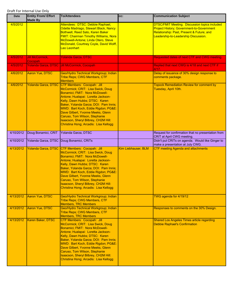| Date      | <b>Entity From/ Effort</b><br><b>Made By</b> | <b>To/Attendees</b>                                                                                                                                                                                                                                                                                                                                                                                              | CC:                 | <b>Communication Subject</b>                                                                                                                                                           |
|-----------|----------------------------------------------|------------------------------------------------------------------------------------------------------------------------------------------------------------------------------------------------------------------------------------------------------------------------------------------------------------------------------------------------------------------------------------------------------------------|---------------------|----------------------------------------------------------------------------------------------------------------------------------------------------------------------------------------|
| 4/5/2012  |                                              | Attendees: DTSC: Debbie Raphael,<br>Odette Madriago, Stewart Black, Nancy<br>Bothwell, Reed Sato, Karen Baker<br><b>FMIT: Chairman Timothy Williams, Nora</b><br>McDowell-Antone; Linda Otero, Steve<br>McDonald, Courtney Coyle, David Wolff,<br>Leo Leonhart                                                                                                                                                   |                     | <b>DTSC/FMIT Meeting. Discussion topics included</b><br>Project History; Government-to-Government<br>Relationship: Past, Present & Future; and<br>Leadership-to-Leadership Discussion. |
| 4/5/2012  | <b>Jill McCormick,</b><br>Cocopah            | <b>Yolanda Garza, DTSC</b>                                                                                                                                                                                                                                                                                                                                                                                       |                     | Requested dates of next CTF and CWG meeting.                                                                                                                                           |
| 4/5/2012  | Yolanda Garza, DTSC                          | <b>Jill McCormick, Cocopah</b>                                                                                                                                                                                                                                                                                                                                                                                   |                     | Replied that next CWG is 4/18 and next CTF if<br>4/17.                                                                                                                                 |
| 4/6/2012  | Aaron Yue, DTSC                              | Geo/Hydro Technical Workgroup; Indian<br><b>Tribe Reps; CWG Members, CTF</b><br><b>Members</b>                                                                                                                                                                                                                                                                                                                   |                     | Delay of issuance of 30% design response to<br>comments package.                                                                                                                       |
| 4/6/2012  | Yolanda Garza, DTSC                          | CTF Members: Cocopah: Jill<br>McCormick; CRIT: Lisa Swick, Doug<br>Bonamici; FMIT: Nora McDowell-<br>Antone; Hualapai: Loretta Jackson-<br>Kelly, Dawn Hubbs; DTSC: Karen<br>Baker, Yolanda Garza; DOI: Pam Innis;<br>MWD: Bart Koch, Eddie Rigdon; PG&E:<br>Dave Gilbert, Yvonne Meeks, Glenn<br>Caruso, Tom Wilson, Stephanie<br>Isaacson, Sheryl Bilbrey, CH2M Hill:<br>Christina Hong; Arcadis: Lisa Kellogg |                     | <b>Topock Remediation Review for comment by</b><br>Tuesday, April 10th.                                                                                                                |
| 4/10/2012 | Doug Bonamici, CRIT                          | Yolanda Garza, DTSC                                                                                                                                                                                                                                                                                                                                                                                              |                     | Request for confirmation that no presentation from<br>CRIT at April CWG meeting.                                                                                                       |
| 4/10/2012 |                                              | Yolanda Garza, DTSC Doug Bonamici, CRITs                                                                                                                                                                                                                                                                                                                                                                         |                     | Didn't put CRITs on agenda. Would like Ginger to<br>make a presentation at July CWG.                                                                                                   |
| 4/13/2012 | <b>Yolanda Garza, DTSC</b>                   | CTF Members: Cocopah: Jill<br>McCormick; CRIT: Lisa Swick, Doug<br>Bonamici; FMIT: Nora McDowell-<br>Antone; Hualapai: Loretta Jackson-<br>Kelly, Dawn Hubbs; DTSC: Karen<br>Baker, Yolanda Garza; DOI: Pam Innis;<br>MWD: Bart Koch, Eddie Rigdon; PG&E:<br>Dave Gilbert, Yvonne Meeks, Glenn<br>Caruso, Tom Wilson, Stephanie<br>Isaacson, Sheryl Bilbrey, CH2M Hill:<br>Christina Hong; Arcadis: Lisa Kellogg | Kim Liebhauser, BLM | <b>CTF meeting Agenda and attachments</b>                                                                                                                                              |
| 4/13/2012 | Aaron Yue, DTSC                              | Geo/Hydro Technical Workgroup; Indian<br><b>Tribe Reps; CWG Members, CTF</b><br><b>Members, TRC Members</b>                                                                                                                                                                                                                                                                                                      |                     | TWG agenda for 4/19/12                                                                                                                                                                 |
| 4/13/2012 | <b>Aaron Yue, DTSC</b>                       | Geo/Hydro Technical Workgroup; Indian<br>Tribe Reps; CWG Members, CTF<br><b>Members, TRC Members</b>                                                                                                                                                                                                                                                                                                             |                     | Responses to comments on the 30% Design.                                                                                                                                               |
| 4/13/2012 | Karen Baker, DTSC                            | CTF Members: Cocopah: Jill<br>McCormick; CRIT: Lisa Swick, Doug<br>Bonamici; FMIT: Nora McDowell-<br>Antone; Hualapai: Loretta Jackson-<br>Kelly, Dawn Hubbs; DTSC: Karen<br>Baker, Yolanda Garza; DOI: Pam Innis;<br>MWD: Bart Koch, Eddie Rigdon; PG&E:<br>Dave Gilbert, Yvonne Meeks, Glenn<br>Caruso, Tom Wilson, Stephanie<br>Isaacson, Sheryl Bilbrey, CH2M Hill:<br>Christina Hong; Arcadis: Lisa Kellogg |                     | <b>Shared Los Angeles Times article regarding</b><br><b>Debbie Raphael's Confirmation</b>                                                                                              |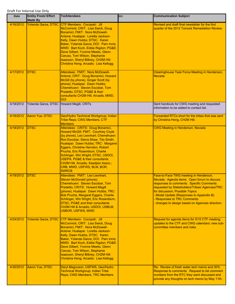| Date                   | <b>Entity From/ Effort</b><br><b>Made By</b> | <b>To/Attendees</b>                                                                                                                                                                                                                                                                                                                                                                                                                                            | CC: | <b>Communication Subject</b>                                                                                                                                                                                                                                                                                                                                                                             |
|------------------------|----------------------------------------------|----------------------------------------------------------------------------------------------------------------------------------------------------------------------------------------------------------------------------------------------------------------------------------------------------------------------------------------------------------------------------------------------------------------------------------------------------------------|-----|----------------------------------------------------------------------------------------------------------------------------------------------------------------------------------------------------------------------------------------------------------------------------------------------------------------------------------------------------------------------------------------------------------|
| 4/16/2012              | Yolanda Garza, DTSC                          | CTF Members: Cocopah: Jill<br>McCormick; CRIT: Lisa Swick, Doug<br>Bonamici; FMIT: Nora McDowell-<br>Antone; Hualapai: Loretta Jackson-<br>Kelly, Dawn Hubbs; DTSC: Karen<br>Baker, Yolanda Garza; DOI: Pam Innis;<br>MWD: Bart Koch, Eddie Rigdon; PG&E:<br>Dave Gilbert, Yvonne Meeks, Glenn<br>Caruso, Tom Wilson, Stephanie<br>Isaacson, Sheryl Bilbrey, CH2M Hill:<br>Christina Hong; Arcadis: Lisa Kellogg                                               |     | Revised and draft final newsletter for the first<br>quarter of the 2012 Tomock Remediation Review.                                                                                                                                                                                                                                                                                                       |
| 4/17/2012              | <b>DTSC</b>                                  | Attendees: FMIT: Nora McDowell-<br>Antone; CRIT: Doug Bonamici, Howard<br>McGill (by phone), Ginger Scott (by<br>phone); Hualapai: Dawn Hubbs;<br>Chemehuevi: Steven Escobar, Tom<br>Pradetto; DTSC, PG&E & their<br>consultants CH2M Hill, Arcadis; MWD,<br><b>DOI</b>                                                                                                                                                                                        |     | Clearinghouse Task Force Meeting in Henderson,<br><b>Nevada</b>                                                                                                                                                                                                                                                                                                                                          |
| 4/18/2012              | Yolanda Garza, DTSC                          | Howard Magill, CRITs                                                                                                                                                                                                                                                                                                                                                                                                                                           |     | Sent handouts for CWG meeting and requested<br>information to be added to contact list.                                                                                                                                                                                                                                                                                                                  |
| 4/18/2012              | <b>Aaron Yue, DTSC</b>                       | Geo/Hydro Technical Workgroup; Indian<br>Tribe Reps; CWG Members, CTF<br><b>Members</b>                                                                                                                                                                                                                                                                                                                                                                        |     | Forwarded RTCs short for the tribes that was sent<br>by Christina Hong, CH2M Hill.                                                                                                                                                                                                                                                                                                                       |
| 4/18/2012              | <b>DTSC</b>                                  | Attendees: CRITS: Doug Bonamici,<br><b>Howard McGill; FMIT: Courtney Coyle</b><br>(by phone), Leo Leonhart; Chemehuevi:<br>Ron Escobar, Sierra Shaw, Tito Smith;<br>Hualapai: Dawn Hubbs; TRC: Margaret<br>Eggers, Christine Herndon, Robert<br>Prucha, Eric Rosenblum, Charlie<br>Schlinger, Win Wright; DTSC, USDOI,<br><b>USEPA, PG&amp;E &amp; their consultants</b><br>CH2M Hill, Arcadis, Keadjian Assoc.;<br>CRB, MWD, USFWS, BLM, BOR,<br><b>SWRCB</b> |     | <b>CWG Meeting in Henderson, Nevada</b>                                                                                                                                                                                                                                                                                                                                                                  |
| 4/19/2012<br>4/24/2012 | <b>DTSC</b><br><b>Yolanda Garza, DTSC</b>    | Attendees: FMIT: Leo Leonhart,<br>Steven McDonald (phone);<br>Chemehuevi: Steven Escobar, Tom<br>Pradetto; CRITS: Howard Magill<br>(phone); Hualapai: Dawn Hubbs; TRC:<br>Bob Prucha, Margaret Eggers, Charlie<br>Schlinger, Win Wright, Eric Rosenblum;<br>DTSC, PG&E and their consultants<br>CH2M Hill & Arcadis; USDOI, USBLM,<br><b>USBOR, USFWS, MWD</b><br>CTF Members: Cocopah: Jill                                                                   |     | Face-to-Face TWG meeting in Henderson,<br>Nevada: Agenda items: Open forum to discuss<br>responses to comments: Specific Comments<br>requested by Stakeholders/Tribes/ Agencies/TRC<br>for discussion; Possible Topics<br>Model Update (Responses to Appendix B)<br><b>Responses to TRC Comments</b><br>changes to design based on Agencies direction.<br>Request for agenda items for 5/15 CTF meeting; |
|                        |                                              | McCormick; CRIT: Lisa Swick, Doug<br>Bonamici: FMIT: Nora McDowell-<br>Antone; Hualapai: Loretta Jackson-<br>Kelly, Dawn Hubbs; DTSC: Karen<br>Baker, Yolanda Garza; DOI: Pam Innis;<br>MWD: Bart Koch, Eddie Rigdon; PG&E:<br>Dave Gilbert, Yvonne Meeks, Glenn<br>Caruso, Tom Wilson, Stephanie<br>Isaacson, Sheryl Bilbrey, CH2M Hill:<br>Christina Hong; Arcadis: Lisa Kellogg                                                                             |     | updates to the CTF and CWG calendars; new sub-<br>committee members and roles.                                                                                                                                                                                                                                                                                                                           |
| 4/30/2012              | Aaron Yue, DTSC                              | Daryl Magnuson, USFWS, Geo/Hydro<br><b>Technical Workgroup; Indian Tribe</b><br>Reps; CWG Members, TRC Members                                                                                                                                                                                                                                                                                                                                                 |     | Re: Review of fresh water tech memo and 30%<br>Response to comments. Request to list comment<br>numbers from the RTC they want discussed and<br>provide any thoughts on tech memo by May 11th.                                                                                                                                                                                                           |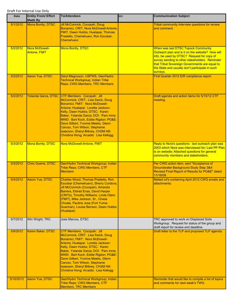| <b>Date</b> | <b>Entity From/ Effort</b><br><b>Made By</b> | <b>To/Attendees</b>                                                                                                                                                                                                                                                                                                                                                                                                     | CC: | <b>Communication Subject</b>                                                                                                                                                                                                                                                                                    |
|-------------|----------------------------------------------|-------------------------------------------------------------------------------------------------------------------------------------------------------------------------------------------------------------------------------------------------------------------------------------------------------------------------------------------------------------------------------------------------------------------------|-----|-----------------------------------------------------------------------------------------------------------------------------------------------------------------------------------------------------------------------------------------------------------------------------------------------------------------|
| 5/1/2012    | Mona Bontty, DTSC                            | Jill McCormick, Cocopah, Doug<br>Bonamici, CRIT, Nora McDowell-Antone,<br>FMIT, Dawn Hubbs, Hualapai, Thomas<br>Pradetto, Chemehuevi, Ron Escobar,<br><b>Chemehuevi</b>                                                                                                                                                                                                                                                 |     | Tribal community interview questions for review<br>and comment.                                                                                                                                                                                                                                                 |
| 5/2/2012    | Nora McDowell-<br><b>Antone, FMIT</b>        | <b>Mona Bontty, DTSC</b>                                                                                                                                                                                                                                                                                                                                                                                                |     | <b>When was last DTSC Topock Community</b><br>Outreach plan and is it on the website? How will<br>info. be used by DTSC? Request for copy of<br>survey sending to other stakeholders. Reminder<br>that Tribal Sovereign Governments are equal to<br>the State and usually don't participate in such<br>surveys. |
| 5/2/2012    | Aaron Yue, DTSC                              | Daryl Magnuson, USFWS, Geo/Hydro<br><b>Technical Workgroup; Indian Tribe</b><br><b>Reps; CWG Members, TRC Members</b>                                                                                                                                                                                                                                                                                                   |     | First Quarter 2012 EIR compliance report.                                                                                                                                                                                                                                                                       |
| 5/2/2012    | <b>Yolanda Garza, DTSC</b>                   | <b>CTF Members: Cocopah: Jill</b><br>McCormick; CRIT: Lisa Swick, Doug<br>Bonamici; FMIT: Nora McDowell-<br>Antone; Hualapai: Loretta Jackson-<br>Kelly, Dawn Hubbs; DTSC: Karen<br>Baker, Yolanda Garza; DOI: Pam Innis;<br>MWD: Bart Koch, Eddie Rigdon; PG&E:<br>Dave Gilbert, Yvonne Meeks, Glenn<br>Caruso, Tom Wilson, Stephanie<br>Isaacson, Sheryl Bilbrey, CH2M Hill:<br>Christina Hong; Arcadis: Lisa Kellogg |     | Draft agenda and action items for 5/15/12 CTF<br>meeting.                                                                                                                                                                                                                                                       |
| 5/3/2012    | <b>Mona Bontty, DTSC</b>                     | Nora McDowell-Antone, FMIT                                                                                                                                                                                                                                                                                                                                                                                              |     | Reply to Nora's questions: last outreach plan was<br>2003 which Nora was interviewed for; Last PP Plan<br>is on website; Attached questions for general<br>community members and stakeholders.                                                                                                                  |
| 5/3/2012    | <b>Chris Guerre, DTSC</b>                    | Geo/Hydro Technical Workgroup; Indian<br>Tribe Reps; CWG Members, CTF<br><b>Members</b>                                                                                                                                                                                                                                                                                                                                 |     | Per CWG action item, sent "Acceptance of<br><b>Groundwater Background Study Step 3&amp;4:</b><br>Revised Final Report of Results for PG&E" dated<br>11/16/09.                                                                                                                                                   |
| 5/4/2012    | Aaron Yue, DTSC                              | Charles Wood, Thomas Pradetto, Ron<br>Escobar (Chemehuevi), Sherry Cordova,<br>Jill McCormick (Cocopah), Amanda<br>Barrera, Eldred Enas, David Harper<br>(CRITs), Timothy Williams, Linda Otero<br>(FMIT), Mike Jackson, Sr., Chase<br>Choate, Pauline Jose (Fort Yuma-<br>Quechan), Louise Benson, Dawn Hubbs<br>(Hualapai)                                                                                            |     | Mailed cd's containing April 2012 CWG emails and<br>attachments.                                                                                                                                                                                                                                                |
| 5/7/2012    | Win Wright, TRC                              | Jose Marcos, DTSC                                                                                                                                                                                                                                                                                                                                                                                                       |     | TRC approved to work on Displaced Soils<br>Workgroup. Request for status of the group and<br>draft report for review and deadline.                                                                                                                                                                              |
| 5/8/2012    | Karen Baker, DTSC                            | CTF Members: Cocopah: Jill<br>McCormick; CRIT: Lisa Swick, Doug<br>Bonamici; FMIT: Nora McDowell-<br>Antone; Hualapai: Loretta Jackson-<br>Kelly, Dawn Hubbs; DTSC: Karen<br>Baker, Yolanda Garza; DOI: Pam Innis;<br>MWD: Bart Koch, Eddie Rigdon; PG&E:<br>Dave Gilbert, Yvonne Meeks, Glenn<br>Caruso, Tom Wilson, Stephanie<br>Isaacson, Sheryl Bilbrey, CH2M Hill:<br>Christina Hong; Arcadis: Lisa Kellogg        |     | Draft letter to the TLP and proposed TLP agenda.                                                                                                                                                                                                                                                                |
| 5/10/2012   | <b>Aaron Yue, DTSC</b>                       | Geo/Hydro Technical Workgroup; Indian<br>Tribe Reps; CWG Members, CTF<br><b>Members, TRC Members</b>                                                                                                                                                                                                                                                                                                                    |     | Reminder that would like to compile a list of topics<br>and comments for next week's TWG.                                                                                                                                                                                                                       |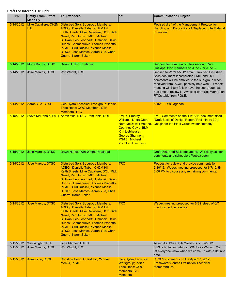| Date      | <b>Entity From/ Effort</b><br><b>Made By</b> | <b>To/Attendees</b>                                                                                                                                                                                                                                                                                                                                           | CC:                                                                                                                                                                          | <b>Communication Subject</b>                                                                                                                                                                                                                                                                                                          |
|-----------|----------------------------------------------|---------------------------------------------------------------------------------------------------------------------------------------------------------------------------------------------------------------------------------------------------------------------------------------------------------------------------------------------------------------|------------------------------------------------------------------------------------------------------------------------------------------------------------------------------|---------------------------------------------------------------------------------------------------------------------------------------------------------------------------------------------------------------------------------------------------------------------------------------------------------------------------------------|
| 5/14/2012 | Hill                                         | Mike Cavaliere, CH2M Disturbed Soils Subgroup Members:<br>ADEQ: Danielle Taber; CH2M Hill:<br>Keith Sheets, Mike Cavaliere; DOI: Rick<br>Newill, Pam Innis; FMIT: Michael<br>Sullivan, Leo Leonhart; Hualapai: Dawn<br>Hubbs; Chemehuevi: Thomas Pradetto;<br>PG&E: Curt Russell, Yvonne Meeks;<br>DTSC: Jose Marcos, Aaron Yue, Chris<br>Guerre, Karen Baker |                                                                                                                                                                              | Revised draft of the Management Protocol for<br><b>Handling and Disposition of Displaced Site Material</b><br>for review.                                                                                                                                                                                                             |
| 5/14/2012 | Mona Bontty, DTSC                            | Dawn Hubbs, Hualapai                                                                                                                                                                                                                                                                                                                                          |                                                                                                                                                                              | Request for community interviews with 5-6<br>Hualapai tribe members on June 7 or June 8.                                                                                                                                                                                                                                              |
| 5/14/2012 | Jose Marcos, DTSC                            | Win Wright, TRC                                                                                                                                                                                                                                                                                                                                               |                                                                                                                                                                              | Replied to Win's 5/7/12 email. Revised Disturbed<br>Soils document incorporated FMIT and DOI<br>comments will be emailed to the sub-group when<br>received from PG&E, possibly next week. Webex<br>meeting will likely follow have the sub-group has<br>had time to review it. Awaiting draft Soil Work Plan<br>RTCs table from PG&E. |
| 5/14/2012 | Aaron Yue, DTSC                              | Geo/Hydro Technical Workgroup; Indian<br>Tribe Reps; CWG Members, CTF<br><b>Members; TRC</b>                                                                                                                                                                                                                                                                  |                                                                                                                                                                              | 5/16/12 TWG agenda                                                                                                                                                                                                                                                                                                                    |
| 5/15/2012 |                                              | Steve McDonald, FMIT Aaron Yue, DTSC, Pam Innis, DOI                                                                                                                                                                                                                                                                                                          | <b>FMIT: Timothy</b><br>Williams, Linda Otero,<br>Nora McDowell-Antone,<br>Courtney Coyle; BLM:<br>Kim Liebhauser,<br>George Shannon;<br>PG&E: Michael<br>Zischke, Juan Jayo | FMIT Comments on the 11/18/11 document titled,<br>"Draft Basis of Design Report/ Preliminary 30%<br>Desgin for the Final Groundwater Remedy".                                                                                                                                                                                         |
| 5/15/2012 | Jose Marcos, DTSC                            | Dawn Hubbs, Win Wright, Hualapai                                                                                                                                                                                                                                                                                                                              |                                                                                                                                                                              | Draft Disturbed Soils document. Will likely ask for<br>comments and schedule a Webex soon.                                                                                                                                                                                                                                            |
| 5/15/2012 | <b>Jose Marcos, DTSC</b>                     | <b>Disturbed Soils Subgroup Members:</b><br><b>ADEQ: Danielle Taber; CH2M Hill:</b><br>Keith Sheets, Mike Cavaliere; DOI: Rick<br>Newill, Pam Innis; FMIT: Michael<br>Sullivan, Leo Leonhart; Hualapai: Dawn<br>Hubbs; Chemehuevi: Thomas Pradetto;<br>PG&E: Curt Russell, Yvonne Meeks;<br><b>DTSC: Jose Marcos, Aaron Yue, Chris</b><br>Guerre, Karen Baker | <b>TRC</b>                                                                                                                                                                   | Request to review and provide comments by<br>5/30/12. Webex meeting proposed for 6/7/12 @<br>2:00 PM to discuss any remaining comments.                                                                                                                                                                                               |
| 5/15/2012 | Jose Marcos, DTSC                            | <b>Disturbed Soils Subgroup Members:</b><br><b>ADEQ: Danielle Taber; CH2M Hill:</b><br>Keith Sheets, Mike Cavaliere; DOI: Rick<br>Newill, Pam Innis; FMIT: Michael<br>Sullivan, Leo Leonhart; Hualapai: Dawn<br>Hubbs; Chemehuevi: Thomas Pradetto;<br>PG&E: Curt Russell, Yvonne Meeks;<br><b>DTSC: Jose Marcos, Aaron Yue, Chris</b><br>Guerre, Karen Baker | <b>TRC</b>                                                                                                                                                                   | Webex meeting proposed for 6/8 instead of 6/7<br>due to schedule conflics.                                                                                                                                                                                                                                                            |
| 5/15/2012 | Win Wright, TRC                              | Jose Marcos, DTSC                                                                                                                                                                                                                                                                                                                                             |                                                                                                                                                                              | Asked if a TWG Soils Webex is on 5/29/12.                                                                                                                                                                                                                                                                                             |
| 5/15/2012 | Jose Marcos, DTSC                            | Win Wright, TRC                                                                                                                                                                                                                                                                                                                                               |                                                                                                                                                                              | 5/29 is tentative date for TWG Soils Webex. Will<br>let everyone know when we come up with a definite<br>date.                                                                                                                                                                                                                        |
| 5/15/2012 | Aaron Yue, DTSC                              | Christina Hong, CH2M Hill, Yvonne<br>Meeks, PG&E                                                                                                                                                                                                                                                                                                              | <b>Geo/Hydro Technical</b><br>Workgroup; Indian<br><b>Tribe Reps; CWG</b><br>Members, CTF<br><b>Members</b>                                                                  | DTSC's comments on the April 27, 2012<br><b>Freshwater Source Evaluation Technical</b><br>Memorandum.                                                                                                                                                                                                                                 |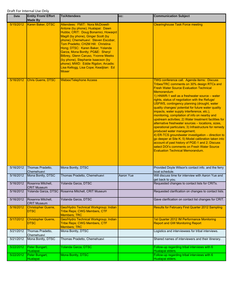| <b>Date</b> | <b>Entity From/ Effort</b><br><b>Made By</b> | <b>To/Attendees</b>                                                                                                                                                                                                                                                                                                                                                                                                                                                                          | cc:       | <b>Communication Subject</b>                                                                                                                                                                                                                                                                                                                                                                                                                                                                                                                                                                                                                                                                                                                                                                                                                                                                                                                 |
|-------------|----------------------------------------------|----------------------------------------------------------------------------------------------------------------------------------------------------------------------------------------------------------------------------------------------------------------------------------------------------------------------------------------------------------------------------------------------------------------------------------------------------------------------------------------------|-----------|----------------------------------------------------------------------------------------------------------------------------------------------------------------------------------------------------------------------------------------------------------------------------------------------------------------------------------------------------------------------------------------------------------------------------------------------------------------------------------------------------------------------------------------------------------------------------------------------------------------------------------------------------------------------------------------------------------------------------------------------------------------------------------------------------------------------------------------------------------------------------------------------------------------------------------------------|
| 5/15/2012   | Karen Baker, DTSC                            | Attendees: FMIT: Nora McDowell-<br>Antone (by phone); Hualapai: Dawn<br>Hubbs; CRIT: Doug Bonamici, Howaqrd<br>Magill (by phone), Ginger Scott (by<br>phone); Chemehuevi: Steven Escobar,<br>Tom Pradetto; CH2M Hill: Christina<br>Hong; DTSC: Karen Baker, Yolanda<br>Garza, Mona Bontty; PG&E: Sheryl<br><b>Bilbrey, Glenn Caruso, Yvonne Meeks</b><br>(by phone), Stephanie Isaacson (by<br>phone); MWD: Eddie Rigdon; Arcadis:<br>Lisa Kellogg, Lisa Cope; Keadjiian: Ed<br><b>Moser</b> |           | <b>Clearinghouse Task Force meeting</b>                                                                                                                                                                                                                                                                                                                                                                                                                                                                                                                                                                                                                                                                                                                                                                                                                                                                                                      |
| 5/16/2012   | <b>Chris Guerre, DTSC</b>                    | <b>Webex/Telephone Access</b>                                                                                                                                                                                                                                                                                                                                                                                                                                                                |           | TWG conference call. Agenda items: Discuss<br>Tribes/TRC comments on 30% design RTCs and<br><b>Fresh Water Source Evaluation Technical</b><br>Memorandum<br>1) HNWR-1 well as a freshwater source $-$ water<br>rights, status of negotiation with the Refuge/<br>USFWS, contingency planning (drought, water<br>quality changes/ potential for future water quality<br>impacts, water supply interference, etc.),<br>monitoring, compilation of info on nearby and<br>upstream activities; 2) Water treatment facilities for<br>alternative freshwater sources - locations, sizes,<br>operational particulars; 3) Infrastructure for remedy<br>produced water management;<br>$\vert$ 4) ER-TCS groundwater investigation – direction to<br>go deeper at Site K; 5) Model calibration taken into<br>account of past history of PGE-1 and 2; Discuss<br>select DOI's comments on Fresh Water Source<br><b>Evaluation Technical Memorandum.</b> |
| 5/16/2012   | Thomas Pradetto,<br>Chemehuevi               | Mona Bontty, DTSC                                                                                                                                                                                                                                                                                                                                                                                                                                                                            |           | Provided Doyle Wilson's contact info. and the ferry<br>boat schedule.                                                                                                                                                                                                                                                                                                                                                                                                                                                                                                                                                                                                                                                                                                                                                                                                                                                                        |
| 5/16/2012   | Mona Bontty, DTSC                            | Thomas Pradetto, Chemehuevi                                                                                                                                                                                                                                                                                                                                                                                                                                                                  | Aaron Yue | Will discuss time for interview with Aaron Yue and<br>get back to you.                                                                                                                                                                                                                                                                                                                                                                                                                                                                                                                                                                                                                                                                                                                                                                                                                                                                       |
| 5/16/2012   | Rosanna Mitchell.<br><b>CRIT Museum</b>      | Yolanda Garza, DTSC                                                                                                                                                                                                                                                                                                                                                                                                                                                                          |           | Requested changes to contact lists for CRITs.                                                                                                                                                                                                                                                                                                                                                                                                                                                                                                                                                                                                                                                                                                                                                                                                                                                                                                |
| 5/16/2012   | Yolanda Garza, DTSC                          | Rosanna Mitchell, CRIT Museum                                                                                                                                                                                                                                                                                                                                                                                                                                                                |           | Requested clarification on changes to contact lists.                                                                                                                                                                                                                                                                                                                                                                                                                                                                                                                                                                                                                                                                                                                                                                                                                                                                                         |
| 5/16/2012   | Rosanna Mitchell,<br><b>CRIT Museum</b>      | Yolanda Garza, DTSC                                                                                                                                                                                                                                                                                                                                                                                                                                                                          |           | Gave clarification on contact list changes for CRIT.                                                                                                                                                                                                                                                                                                                                                                                                                                                                                                                                                                                                                                                                                                                                                                                                                                                                                         |
| 5/16/2012   | <b>Christopher Guerre,</b><br>DTSC           | Geo/Hydro Technical Workgroup; Indian<br><b>Tribe Reps; CWG Members, CTF</b><br><b>Members; TRC</b>                                                                                                                                                                                                                                                                                                                                                                                          |           | <b>Results for February First Quarter 2012 Sampling</b>                                                                                                                                                                                                                                                                                                                                                                                                                                                                                                                                                                                                                                                                                                                                                                                                                                                                                      |
| 5/17/2012   | Christopher Guerre,<br><b>DTSC</b>           | Geo/Hydro Technical Workgroup; Indian<br>Tribe Reps; CWG Members, CTF<br><b>Members; TRC</b>                                                                                                                                                                                                                                                                                                                                                                                                 |           | 1st Quarter 2012 IM Performance Monitoring<br><b>Report and GW Monitoring Report</b>                                                                                                                                                                                                                                                                                                                                                                                                                                                                                                                                                                                                                                                                                                                                                                                                                                                         |
| 5/21/2012   | Thomas Pradetto,<br>Chemehuevi               | Mona Bontty, DTSC                                                                                                                                                                                                                                                                                                                                                                                                                                                                            |           | Logistics and interviewees for tribal interviews.                                                                                                                                                                                                                                                                                                                                                                                                                                                                                                                                                                                                                                                                                                                                                                                                                                                                                            |
| 5/21/2012   | Mona Bontty, DTSC                            | Thomas Pradetto, Chemehuevi                                                                                                                                                                                                                                                                                                                                                                                                                                                                  |           | Shared names of interviewers and their itinerary.                                                                                                                                                                                                                                                                                                                                                                                                                                                                                                                                                                                                                                                                                                                                                                                                                                                                                            |
| 5/22/2012   | Peter Bungart,<br>Hualapai                   | Yolanda Garza, DTSC                                                                                                                                                                                                                                                                                                                                                                                                                                                                          |           | Follow-up regarding tribal interviews with 6<br>Hualapai elders.                                                                                                                                                                                                                                                                                                                                                                                                                                                                                                                                                                                                                                                                                                                                                                                                                                                                             |
| 5/22/2012   | Peter Bungart,<br>Hualapai                   | Mona Bontty, DTSC                                                                                                                                                                                                                                                                                                                                                                                                                                                                            |           | Follow-up regarding tribal interviews with 6<br>Hualapai elders.                                                                                                                                                                                                                                                                                                                                                                                                                                                                                                                                                                                                                                                                                                                                                                                                                                                                             |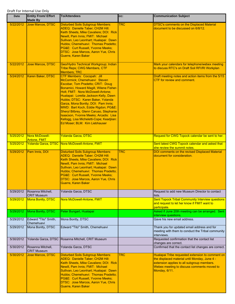| Date      | <b>Entity From/ Effort</b><br><b>Made By</b> | <b>To/Attendees</b>                                                                                                                                                                                                                                                                                                                                                                                                                                                                                            | CC:        | <b>Communication Subject</b>                                                                                                                                                                                   |
|-----------|----------------------------------------------|----------------------------------------------------------------------------------------------------------------------------------------------------------------------------------------------------------------------------------------------------------------------------------------------------------------------------------------------------------------------------------------------------------------------------------------------------------------------------------------------------------------|------------|----------------------------------------------------------------------------------------------------------------------------------------------------------------------------------------------------------------|
| 5/22/2012 | Jose Marcos, DTSC                            | <b>Disturbed Soils Subgroup Members:</b><br><b>ADEQ: Danielle Taber; CH2M Hill:</b><br>Keith Sheets, Mike Cavaliere; DOI: Rick<br>Newill, Pam Innis; FMIT: Michael<br>Sullivan, Leo Leonhart; Hualapai: Dawn<br>Hubbs; Chemehuevi: Thomas Pradetto;<br>PG&E: Curt Russell, Yvonne Meeks;<br>DTSC: Jose Marcos, Aaron Yue, Chris<br>Guerre, Karen Baker                                                                                                                                                         | <b>TRC</b> | <b>DTSC's comments on the Displaced Material</b><br>document to be discussed on 6/8/12.                                                                                                                        |
| 5/22/2012 | <b>Jose Marcos, DTSC</b>                     | Geo/Hydro Technical Workgroup; Indian<br><b>Tribe Reps; CWG Members, CTF</b><br><b>Members; TRC</b>                                                                                                                                                                                                                                                                                                                                                                                                            |            | Mark your calendars for telephone/webex meeting<br>to discuss RTC's on Draft Soil RFI/RI Workplan                                                                                                              |
| 5/24/2012 | Karen Baker, DTSC                            | CTF Members: Cocopah: Jill<br>McCormick; Chemehuevi: Steven<br>Escobar, Tom Pradetto; CRIT: Doug<br>Bonamici, Howard Magill, Wilene Fisher-<br>Holt; FMIT: Nora McDowell-Antone;<br>Hualapai: Loretta Jackson-Kelly, Dawn<br>Hubbs; DTSC: Karen Baker, Yolanda<br>Garza, Mona Bontty; DOI: Pam Innis;<br>MWD: Bart Koch, Eddie Rigdon; PG&E:<br>Sheryl Bilbrey, Glenn Caruso, Stephanie<br>Isaacson, Yvonne Meeks; Arcadis: Lisa<br>Kellogg, Lisa Micheletti-Cope; Keadjiian:<br>Ed Moser; BLM: Kim Liebhauser |            | Draft meeting notes and action items from the 5/15<br>CTF for review and comment.                                                                                                                              |
| 5/25/2012 | Nora McDowell-<br><b>Antone, FMIT</b>        | <b>Yolanda Garza, DTSC</b>                                                                                                                                                                                                                                                                                                                                                                                                                                                                                     |            | Request for CWG Topock calendar be sent to her.                                                                                                                                                                |
| 5/25/2012 |                                              | Yolanda Garza, DTSC Nora McDowell-Antone, FMIT                                                                                                                                                                                                                                                                                                                                                                                                                                                                 |            | Sent latest CWG Topock calendar and asked that<br>she review the summit notes.                                                                                                                                 |
| 5/29/2012 | Pam Innis, DOI                               | <b>Disturbed Soils Subgroup Members:</b><br>ADEQ: Danielle Taber; CH2M Hill:<br>Keith Sheets, Mike Cavaliere; DOI: Rick<br>Newill, Pam Innis; FMIT: Michael<br>Sullivan, Leo Leonhart; Hualapai: Dawn<br>Hubbs: Chemehuevi: Thomas Pradetto:<br>PG&E: Curt Russell, Yvonne Meeks;<br>DTSC: Jose Marcos, Aaron Yue, Chris<br>Guerre, Karen Baker                                                                                                                                                                | <b>TRC</b> | DOI comments on the revised Displaced Material<br>document for consideration.                                                                                                                                  |
| 5/29/2012 | Rosanna Mitchell,<br><b>CRIT Museum</b>      | Yolanda Garza, DTSC                                                                                                                                                                                                                                                                                                                                                                                                                                                                                            |            | Request to add new Museum Director to contact<br>lists.                                                                                                                                                        |
| 5/29/2012 | <b>Mona Bontty, DTSC</b>                     | Nora McDowell-Antone, FMIT                                                                                                                                                                                                                                                                                                                                                                                                                                                                                     |            | <b>Sent Topock Tribal Community Interview questions</b><br>and request to let her know if FMIT want to<br>participate.                                                                                         |
| 5/29/2012 | Mona Bontty, DTSC                            | Peter Bungart, Hualapai                                                                                                                                                                                                                                                                                                                                                                                                                                                                                        |            | Asked if June 20th meeting can be arranged. Sent<br>interview questions.                                                                                                                                       |
| 5/29/2012 | Edward "Tito" Smith,<br>Chemehuevi           | Mona Bontty, DTSC                                                                                                                                                                                                                                                                                                                                                                                                                                                                                              |            | Gave his new email address.                                                                                                                                                                                    |
| 5/29/2012 | Mona Bontty, DTSC                            | Edward "Tito" Smith, Chemehuevi                                                                                                                                                                                                                                                                                                                                                                                                                                                                                |            | Thank you for updated email address and for<br>meeting with them to conduct the Tribal community<br>interviews.                                                                                                |
| 5/30/2012 |                                              | Yolanda Garza, DTSC Rosanna Mitchell, CRIT Museum                                                                                                                                                                                                                                                                                                                                                                                                                                                              |            | Requested confirmation that the contact list<br>changes are correct.                                                                                                                                           |
| 5/30/2012 | Rosanna Mitchell,<br><b>CRIT Museum</b>      | Yolanda Garza, DTSC                                                                                                                                                                                                                                                                                                                                                                                                                                                                                            |            | Confirmed that the contact list changes are correct.                                                                                                                                                           |
| 5/30/2012 | <b>Jose Marcos, DTSC</b>                     | <b>Disturbed Soils Subgroup Members:</b><br><b>ADEQ: Danielle Taber; CH2M Hill:</b><br>Keith Sheets, Mike Cavaliere; DOI: Rick<br>Newill, Pam Innis; FMIT: Michael<br>Sullivan, Leo Leonhart; Hualapai: Dawn<br>Hubbs; Chemehuevi: Thomas Pradetto;<br>PG&E: Curt Russell, Yvonne Meeks;<br>DTSC: Jose Marcos, Aaron Yue, Chris<br>Guerre, Karen Baker                                                                                                                                                         | <b>TRC</b> | Hualapai Tribe requested extension to comment on<br>the displaced material until Monday, June 4 -<br>extension applies to all subgroup members.<br>Webex meeting to discuss comments moved to<br>Monday, 6/11. |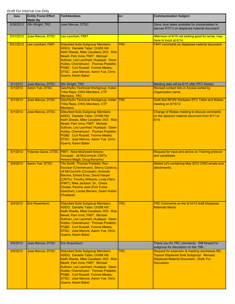| Date      | <b>Entity From/ Effort</b><br><b>Made By</b> | <b>To/Attendees</b>                                                                                                                                                                                                                                                                                                                                    | CC:        | <b>Communication Subject</b>                                                                                                                                              |
|-----------|----------------------------------------------|--------------------------------------------------------------------------------------------------------------------------------------------------------------------------------------------------------------------------------------------------------------------------------------------------------------------------------------------------------|------------|---------------------------------------------------------------------------------------------------------------------------------------------------------------------------|
| 5/30/2012 | Win Wright, TRC                              | Jose Marcos, DTSC                                                                                                                                                                                                                                                                                                                                      |            | Gave Jose dates available for phone/webex to<br>discuss RTC's on displaced material document.                                                                             |
| 5/31/2012 | <b>Jose Marcos, DTSC</b>                     | Leo Leonhart, FMIT                                                                                                                                                                                                                                                                                                                                     |            | Afternoon of 6/15 not looking good for some, may<br>have to loock at 6/14.                                                                                                |
| 5/31/2012 | Leo Leonhart, FMIT                           | <b>Disturbed Soils Subgroup Members:</b><br><b>ADEQ: Danielle Taber; CH2M Hill:</b><br>Keith Sheets, Mike Cavaliere; DOI: Rick<br>Newill, Pam Innis; FMIT: Michael<br>Sullivan, Leo Leonhart; Hualapai: Dawn<br>Hubbs; Chemehuevi: Thomas Pradetto;<br>PG&E: Curt Russell, Yvonne Meeks;<br>DTSC: Jose Marcos, Aaron Yue, Chris<br>Guerre, Karen Baker | <b>TRC</b> | FMIT comments on displaced material document.                                                                                                                             |
| 6/1/2012  | Jose Marcos, DTSC                            | Win Wright, TRC                                                                                                                                                                                                                                                                                                                                        |            | Meeting date will be 6/15 after RTC Webex.                                                                                                                                |
| 6/1/2012  | <b>Aaron Yue, DTSC</b>                       | Geo/Hydro Technical Workgroup; Indian<br><b>Tribe Reps; CWG Members, CTF</b><br><b>Members; TRC</b>                                                                                                                                                                                                                                                    |            | Revised contact lists in Access sorted by<br>Organization name.                                                                                                           |
| 6/1/2012  | <b>Jose Marcos, DTSC</b>                     | Geo/Hydro Technical Workgroup; Indian TRC<br><b>Tribe Reps; CWG Members, CTF</b><br><b>Members</b>                                                                                                                                                                                                                                                     |            | Draft Soil RFI/RI Workplan RTC Table and Webex<br>meeting on 6/15/12                                                                                                      |
| 6/1/2012  | Jose Marcos, DTSC                            | <b>Disturbed Soils Subgroup Members:</b><br><b>ADEQ: Danielle Taber; CH2M Hill:</b><br>Keith Sheets, Mike Cavaliere; DOI: Rick<br>Newill, Pam Innis; FMIT: Michael<br>Sullivan, Leo Leonhart; Hualapai: Dawn<br>Hubbs; Chemehuevi: Thomas Pradetto;<br>PG&E: Curt Russell, Yvonne Meeks;<br>DTSC: Jose Marcos, Aaron Yue, Chris<br>Guerre, Karen Baker |            | Change of Webex meeting to discuss comments<br>on the diplaced material document from 6/11 to<br>6/15.                                                                    |
| 6/1/2012  |                                              | Yolanda Garza, DTSC FMIT: Nora McDowell-Antone;<br>Cocopah: Jill McCormick; CRITs:<br><b>Howard Magill, Doug Bonamici</b>                                                                                                                                                                                                                              |            | Request for input and advice on Training protocol<br>and candidates.                                                                                                      |
| 6/4/2012  | <b>Aaron Yue, DTSC</b>                       | <b>Tito Smith, Thomas Pradetto, Ron</b><br>Escobar (Chemehuevi), Sherry Cordova,<br>Jill McCormick (Cocopah), Amanda<br>Barrera, Eldred Enas, David Harper<br>(CRITs), Timothy Williams, Linda Otero<br>(FMIT), Mike Jackson, Sr., Chase<br>Choate, Pauline Jose (Fort Yuma-<br>Quechan), Louise Benson, Dawn Hubbs<br>(Hualapai)                      |            | Mailed cd's containing May 2012 CWG emails and<br>attachments.                                                                                                            |
| 6/4/2012  | <b>Eric Rosenblum</b>                        | <b>Disturbed Soils Subgroup Members:</b><br><b>ADEQ: Danielle Taber; CH2M Hill:</b><br>Keith Sheets, Mike Cavaliere; DOI: Rick<br>Newill, Pam Innis; FMIT: Michael<br>Sullivan, Leo Leonhart; Hualapai: Dawn<br>Hubbs; Chemehuevi: Thomas Pradetto;<br>PG&E: Curt Russell, Yvonne Meeks;<br>DTSC: Jose Marcos, Aaron Yue, Chris<br>Guerre, Karen Baker | <b>TRC</b> | TRC Comments on the 5/14/12 draft Displaced<br><b>Materials Memo</b>                                                                                                      |
| 6/5/2012  | Jose Marcos, DTSC                            | Eric Rosenblum                                                                                                                                                                                                                                                                                                                                         |            | Thank you for TRC comments. Will forward to<br>subgroup for discussion on the 15th.                                                                                       |
| 6/5/2012  | <b>Jose Marcos, DTSC</b>                     | <b>Disturbed Soils Subgroup Members:</b><br><b>ADEQ: Danielle Taber; CH2M Hill:</b><br>Keith Sheets, Mike Cavaliere; DOI: Rick<br>Newill, Pam Innis; FMIT: Michael<br>Sullivan, Leo Leonhart; Hualapai: Dawn<br>Hubbs; Chemehuevi: Thomas Pradetto;<br>PG&E: Curt Russell, Yvonne Meeks;<br>DTSC: Jose Marcos, Aaron Yue, Chris<br>Guerre, Karen Baker | <b>TRC</b> | Request for extension & meeting reschedule RE:<br><b>Topock Displaced Soils Subgroup: Revised</b><br><b>Displaced Material Document - Draft, For</b><br><b>Discussion</b> |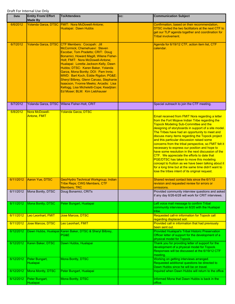| Date      | <b>Entity From/ Effort</b><br><b>Made By</b> | <b>To/Attendees</b>                                                                                                                                                                                                                                                                                                                                                                                                                                                                                            | CC: | <b>Communication Subject</b>                                                                                                                                                                                                                                                                                                                                                                                                                                                                                                                                                                                                                                                                                                                                                                |
|-----------|----------------------------------------------|----------------------------------------------------------------------------------------------------------------------------------------------------------------------------------------------------------------------------------------------------------------------------------------------------------------------------------------------------------------------------------------------------------------------------------------------------------------------------------------------------------------|-----|---------------------------------------------------------------------------------------------------------------------------------------------------------------------------------------------------------------------------------------------------------------------------------------------------------------------------------------------------------------------------------------------------------------------------------------------------------------------------------------------------------------------------------------------------------------------------------------------------------------------------------------------------------------------------------------------------------------------------------------------------------------------------------------------|
| 6/6/2012  |                                              | Yolanda Garza, DTSC FMIT: Nora McDowell-Antone;<br>Hualapai: Dawn Hubbs                                                                                                                                                                                                                                                                                                                                                                                                                                        |     | Confirmation, based on their recommendation,<br>DTSC invited the two facilitators at the next CTF to<br>get our TLP agenda together and coordination for<br><b>Tribal involvement.</b>                                                                                                                                                                                                                                                                                                                                                                                                                                                                                                                                                                                                      |
| 6/7/2012  | <b>Yolanda Garza, DTSC</b>                   | CTF Members: Cocopah: Jill<br>McCormick; Chemehuevi: Steven<br>Escobar, Tom Pradetto; CRIT: Doug<br>Bonamici, Howard Magill, Wilene Fisher-<br>Holt; FMIT: Nora McDowell-Antone;<br>Hualapai: Loretta Jackson-Kelly, Dawn<br>Hubbs; DTSC: Karen Baker, Yolanda<br>Garza, Mona Bontty; DOI: Pam Innis;<br>MWD: Bart Koch, Eddie Rigdon; PG&E:<br>Sheryl Bilbrey, Glenn Caruso, Stephanie<br>Isaacson, Yvonne Meeks; Arcadis: Lisa<br>Kellogg, Lisa Micheletti-Cope; Keadjiian:<br>Ed Moser; BLM: Kim Liebhauser |     | Agenda for 6/19/12 CTF, action item list, CTF<br>calendar.                                                                                                                                                                                                                                                                                                                                                                                                                                                                                                                                                                                                                                                                                                                                  |
| 6/7/2012  |                                              | Yolanda Garza, DTSC Wilene Fisher-Holt, CRIT                                                                                                                                                                                                                                                                                                                                                                                                                                                                   |     | Special outreach to join the CTF meeting.                                                                                                                                                                                                                                                                                                                                                                                                                                                                                                                                                                                                                                                                                                                                                   |
| 6/8/2012  | Nora McDowell-<br><b>Antone, FMIT</b>        | Yolanda Garza, DTSC                                                                                                                                                                                                                                                                                                                                                                                                                                                                                            |     | Email received from FMIT Nora regarding a letter<br>from the Fort Mojave Indian Tribe regarding the<br><b>Topock Modeling Sub-Committee and the</b><br>designing of storyboards in support of a site model.<br>The Tribes have had an opportunity to meet and<br>discuss many items regarding the Topock project<br>and this particular discussion raised some<br>concerns from the tribal perspective, so FMIT felt it<br>necessary to express our position and hope to<br>have some resolution in the next discussion of the<br>CTF. We appreciate the efforts to date that<br>PGE/DTSC has taken to move this modeling<br>concept to fruition as we have been talking about it<br>for a long time but at the same time didn't want to<br>lose the tribes intent of its original request. |
| 6/11/2012 | <b>Aaron Yue, DTSC</b>                       | Geo/Hydro Technical Workgroup; Indian<br><b>Tribe Reps; CWG Members, CTF</b><br><b>Members; TRC</b>                                                                                                                                                                                                                                                                                                                                                                                                            |     | Shared revised contact lists since the 6/1/12<br>revision and requested review for errors or<br>omissions.                                                                                                                                                                                                                                                                                                                                                                                                                                                                                                                                                                                                                                                                                  |
| 6/11/2012 | Mona Bontty, DTSC                            | Doug Bonamici, CRITs                                                                                                                                                                                                                                                                                                                                                                                                                                                                                           |     | Provided community interview questions and asked<br>if any day 6/26-6/28 will work for CRIT interviews.                                                                                                                                                                                                                                                                                                                                                                                                                                                                                                                                                                                                                                                                                     |
| 6/11/2012 | Mona Bontty, DTSC                            | Peter Bungart, Hualapai                                                                                                                                                                                                                                                                                                                                                                                                                                                                                        |     | Left voice mail message to confirm Tribal<br>community interviews on 6/20 with the Hualapai<br>tribe.                                                                                                                                                                                                                                                                                                                                                                                                                                                                                                                                                                                                                                                                                       |
| 6/11/2012 | Leo Leonhart, FMIT                           | Jose Marcos, DTSC                                                                                                                                                                                                                                                                                                                                                                                                                                                                                              |     | Requested call-in information for Topock call<br>regarding displaced soil.                                                                                                                                                                                                                                                                                                                                                                                                                                                                                                                                                                                                                                                                                                                  |
| 6/11/2012 | Jose Marcos, DTSC                            | Leo Leonhart, FMIT                                                                                                                                                                                                                                                                                                                                                                                                                                                                                             |     | Provided call in information that had previously<br>been sent out.                                                                                                                                                                                                                                                                                                                                                                                                                                                                                                                                                                                                                                                                                                                          |
| 6/12/2012 |                                              | Dawn Hubbs, Hualapai Karen Baker, DTSC & Sheryl Bilbrey,<br>PG&E                                                                                                                                                                                                                                                                                                                                                                                                                                               |     | <b>Provided Hualapai's Tribal Historic Preservation</b><br>Officer letter of support for the development of a<br>physical model for Topock.                                                                                                                                                                                                                                                                                                                                                                                                                                                                                                                                                                                                                                                 |
| 6/12/2012 | Karen Baker, DTSC                            | Dawn Hubbs, Hualapai                                                                                                                                                                                                                                                                                                                                                                                                                                                                                           |     | Thank you for providing letter of support for the<br>development of a physical model for Topock.<br>Responses will be discussed at the 6/19/12 CTF<br>meeting.                                                                                                                                                                                                                                                                                                                                                                                                                                                                                                                                                                                                                              |
| 6/12/2012 | Peter Bungart,<br><b>Hualapai</b>            | Mona Bontty, DTSC                                                                                                                                                                                                                                                                                                                                                                                                                                                                                              |     | Working on getting interviews arranged.<br>Requested additional questions be directed to<br>Dawn Hubbs since he will be on travel.                                                                                                                                                                                                                                                                                                                                                                                                                                                                                                                                                                                                                                                          |
| 6/12/2012 | Mona Montty, DTSC                            | Peter Bungart, Hualapai                                                                                                                                                                                                                                                                                                                                                                                                                                                                                        |     | Inquired when Dawn Hubbs will return to the office.                                                                                                                                                                                                                                                                                                                                                                                                                                                                                                                                                                                                                                                                                                                                         |
| 6/12/2012 | Peter Bungart,<br>Hualapai                   | Mona Bontty, DTSC                                                                                                                                                                                                                                                                                                                                                                                                                                                                                              |     | Informed Mona that Dawn Hubbs is back in the<br>office.                                                                                                                                                                                                                                                                                                                                                                                                                                                                                                                                                                                                                                                                                                                                     |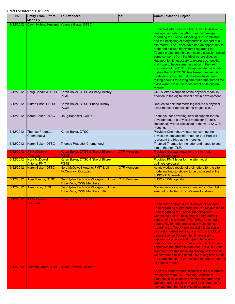| Date      | <b>Entity From/ Effort</b><br><b>Made By</b> | <b>To/Attendees</b>                                                                 | CC:                | <b>Communication Subject</b>                                                                                                                                                                                                                                                                                                                                                                                                                                                                                                                                                                                                                                                                                                                                                                                             |
|-----------|----------------------------------------------|-------------------------------------------------------------------------------------|--------------------|--------------------------------------------------------------------------------------------------------------------------------------------------------------------------------------------------------------------------------------------------------------------------------------------------------------------------------------------------------------------------------------------------------------------------------------------------------------------------------------------------------------------------------------------------------------------------------------------------------------------------------------------------------------------------------------------------------------------------------------------------------------------------------------------------------------------------|
| 6/12/2012 | Dawn Hubbs, Hualapai Yolanda Garza, DTSC     |                                                                                     |                    | Email and letter received from Dawn Hubbs of the<br>Hualapai regarding a letter from the Hualapai<br>regarding the Topock Modeling Sub-Committee<br>and the designing of storyboards in support of a<br>site model. The Tribes have had an opportunity to<br>meet and discuss many items regarding the<br>Topock project and this particular discussion raised<br>some concerns from the tribal perspective, so<br>Hualapai felt it necessary to express our position<br>and hope to have some resolution in the next<br>discussion of the CTF. We appreciate the efforts<br>to date that PGE/DTSC has taken to move this<br>modeling concept to fruition as we have been<br>talking about it for a long time but at the same time<br>didn't want to lose the tribes intent of its original<br>request.                  |
| 6/12/2012 | Doug Bonamici, CRIT                          | Karen Baker, DTSC & Sheryl Bilbrey,<br>PG&E                                         |                    | CRITs letter in support of the physical model in<br>addition to the digital model now in development.                                                                                                                                                                                                                                                                                                                                                                                                                                                                                                                                                                                                                                                                                                                    |
| 6/12/2012 | Eldred Enas, CRITs                           | Karen Baker, DTSC; Sheryl Bilbrey,<br>PG&E                                          |                    | Request to ask that modeling include a physical<br>scale-model or models of the project site.                                                                                                                                                                                                                                                                                                                                                                                                                                                                                                                                                                                                                                                                                                                            |
| 6/12/2012 | Karen Baker, DTSC                            | Doug Bonamici, CRITs                                                                |                    | Thank you for providing letter of support for the<br>development of a physical model for Topock.<br>Responses will be discussed at the 6/19/12 CTF<br>meeting.                                                                                                                                                                                                                                                                                                                                                                                                                                                                                                                                                                                                                                                           |
| 6/12/2012 | Thomas Pradetto,<br>Chemehuevi               | Karen Baker, DTSC                                                                   |                    | Provided Chemehuevi letter concerning the<br>physical model and informed her that Ron will<br>represent the tribe at the meeting.                                                                                                                                                                                                                                                                                                                                                                                                                                                                                                                                                                                                                                                                                        |
| 6/12/2012 | Karen Baker, DTSC                            | Thomas Pradetto, Chemehuevi                                                         |                    | Thanked Thomas for the letter and hopes to see<br>him at the next TLP.                                                                                                                                                                                                                                                                                                                                                                                                                                                                                                                                                                                                                                                                                                                                                   |
| 6/12/2012 | <b>Jill McCormick,</b><br>Cocopah            | Karen Baker, DTSC & Sheryl Bilbrey,<br>PG&E                                         | <b>CTF Members</b> | <b>Provided Cocopah letter for the site model</b><br>outline/storyboard                                                                                                                                                                                                                                                                                                                                                                                                                                                                                                                                                                                                                                                                                                                                                  |
| 6/12/2012 | Nora McDowell-<br><b>Antone, FMIT</b>        | Karen Baker, DTSC & Sheryl Bilbrey,<br>PG&E                                         |                    | Provided FMIT letter for the site model<br>outline/storyboard                                                                                                                                                                                                                                                                                                                                                                                                                                                                                                                                                                                                                                                                                                                                                            |
| 6/12/2012 | Karen Baker, DTSC                            | Nora McDowell-Antone, FMIT & Jill<br>McCormick, Cocopah                             | <b>CTF Members</b> | Acknowledged receipt of their letters for the site<br>model outline/storyboard to be discussed at the<br>6/19/12 CTF meeting.                                                                                                                                                                                                                                                                                                                                                                                                                                                                                                                                                                                                                                                                                            |
| 6/12/2012 | Jose Marcos, DTSC                            | Geo/Hydro Technical Workgroup; Indian CTF Members<br><b>Tribe Reps; CWG Members</b> |                    | 6/15/12 TWG agenda                                                                                                                                                                                                                                                                                                                                                                                                                                                                                                                                                                                                                                                                                                                                                                                                       |
| 6/12/2012 | <b>Aaron Yue, DISC</b>                       | Geo/Hydro Technical Workgroup; Indian<br>Tribe Reps; CWG Members, TRC               |                    | Notified everyone of error in revised contact list<br>sent out on Robert Prucha's email address.                                                                                                                                                                                                                                                                                                                                                                                                                                                                                                                                                                                                                                                                                                                         |
| 6/12/2012 | <b>Jill McCormick,</b><br>Cocopah            | <b>Yolanda Garza, DTSC</b>                                                          |                    | <b>Email received from Jill McCormick of Cocopah</b><br>Tribe regarding a letter from the Fort Mojave Indian<br>Tribe regarding the Topock Modeling Sub-<br>Committee and the designing of storyboards in<br>support of a site model. The Tribes have had an<br>opportunity to meet and discuss many items<br>regarding the Topock project and this particular<br>discussion raised some concerns from the tribal<br>perspective, so Cocopah felt it necessary to<br>express our position and hope to have some<br>resolution in the next discussion of the CTF. We<br>appreciate the efforts to date that PGE/DTSC has<br>taken to move this modeling concept to fruition as<br>we have been talking about it for a long time but at<br>the same time didn't want to lose the tribes intent of<br>its original request. |
| 6/12/2012 |                                              | Yolanda Garza, DTSC Jill McCormick, Cocopah                                         |                    | Special outreach communication to Jill McCormick<br>inviting her to the CTF meeting. Additional<br>electronic discussion on new staff member from<br>Cocopah and I provided myself as a resource for<br>new staff member for project information.                                                                                                                                                                                                                                                                                                                                                                                                                                                                                                                                                                        |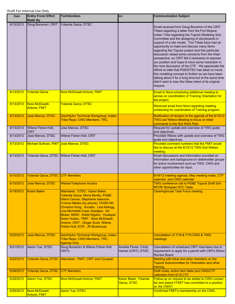| <b>Date</b> | <b>Entity From/ Effort</b><br><b>Made By</b> | <b>To/Attendees</b>                                                                                                                                                                                                                                                                                                                                                               | CC:                                         | <b>Communication Subject</b>                                                                                                                                                                                                                                                                                                                                                                                                                                                                                                                                                                                                                                                                                                                                                                                    |
|-------------|----------------------------------------------|-----------------------------------------------------------------------------------------------------------------------------------------------------------------------------------------------------------------------------------------------------------------------------------------------------------------------------------------------------------------------------------|---------------------------------------------|-----------------------------------------------------------------------------------------------------------------------------------------------------------------------------------------------------------------------------------------------------------------------------------------------------------------------------------------------------------------------------------------------------------------------------------------------------------------------------------------------------------------------------------------------------------------------------------------------------------------------------------------------------------------------------------------------------------------------------------------------------------------------------------------------------------------|
| 6/12/2012   | Doug Bonamici, CRIT                          | Yolanda Garza, DTSC                                                                                                                                                                                                                                                                                                                                                               |                                             | Email received from Doug Bonamici of the CRIT<br>Tribes regarding a letter from the Fort Mojave<br>Indian Tribe regarding the Topock Modeling Sub-<br>Committee and the designing of storyboards in<br>support of a site model. The Tribes have had an<br>opportunity to meet and discuss many items<br>regarding the Topock project and this particular<br>discussion raised some concerns from the tribal<br>perspective, so CRIT felt it necessary to express<br>our position and hope to have some resolution in<br>the next discussion of the CTF. We appreciate the<br>efforts to date that PGE/DTSC has taken to move<br>this modeling concept to fruition as we have been<br>talking about it for a long time but at the same time<br>didn't want to lose the tribes intent of its original<br>request. |
| 6/12/2012   | <b>Yolanda Garza</b>                         | Nora McDowell-Antone, FMIT                                                                                                                                                                                                                                                                                                                                                        |                                             | Email to Nora scheduling additional meeting to<br>advise on coordination of Training Orientation for<br>the project.                                                                                                                                                                                                                                                                                                                                                                                                                                                                                                                                                                                                                                                                                            |
| 6/13/2012   | Nora McDowell-<br><b>Antone, FMIT</b>        | Yolanda Garza, DTSC                                                                                                                                                                                                                                                                                                                                                               |                                             | Received email from Nora regarding meeting<br>scheduling for coordination of Training program.                                                                                                                                                                                                                                                                                                                                                                                                                                                                                                                                                                                                                                                                                                                  |
| 6/13/2012   | Jose Marcos, DTSC                            | Geo/Hydro Technical Workgroup; Indian<br><b>Tribe Reps; CWG Members, TRC</b>                                                                                                                                                                                                                                                                                                      |                                             | Notification of revision to the agenda of the 6/15/12<br><b>TWG soil Webex Meeting to focus on tribal</b><br>comments to the Soil Work Plan.                                                                                                                                                                                                                                                                                                                                                                                                                                                                                                                                                                                                                                                                    |
| 6/13/2012   | Wilene Fisher-Holt,<br><b>CRIT</b>           | Jose Marcos, DTSC                                                                                                                                                                                                                                                                                                                                                                 |                                             | Request for update and overview of TWG goals<br>and objectives.                                                                                                                                                                                                                                                                                                                                                                                                                                                                                                                                                                                                                                                                                                                                                 |
| 6/13/2012   | Jose Marcos, DTSC                            | Wilene Fisher-Holt, CRIT                                                                                                                                                                                                                                                                                                                                                          |                                             | Provided Wilene with update and overview of TWG<br>goals and objectives.                                                                                                                                                                                                                                                                                                                                                                                                                                                                                                                                                                                                                                                                                                                                        |
| 6/13/2012   | Michael Sullivan, FMIT Jose Marcos, DTSC     |                                                                                                                                                                                                                                                                                                                                                                                   |                                             | Provided comment numbers that the FMIT would<br>like to discuss at the 6/15/12 TWG Soil Webex<br>meeting.                                                                                                                                                                                                                                                                                                                                                                                                                                                                                                                                                                                                                                                                                                       |
| 6/13/2012   |                                              | Yolanda Garza, DTSC Wilene Fisher-Holt, CRIT                                                                                                                                                                                                                                                                                                                                      |                                             | Email discussions and information provided on<br>information and background on stakeholder groups<br>for active involvement such as TWG, CWG and<br>other opportunities for input.                                                                                                                                                                                                                                                                                                                                                                                                                                                                                                                                                                                                                              |
| 6/15/2012   | Yolanda Garza, DTSC CTF Members              |                                                                                                                                                                                                                                                                                                                                                                                   |                                             | 6/19/12 meeting agenda, May meeting notes, CTF<br>calendar, and CWG calendar.                                                                                                                                                                                                                                                                                                                                                                                                                                                                                                                                                                                                                                                                                                                                   |
| 6/15/2012   | Jose Marcos, DTSC                            | <b>Webex/Telephone Access</b>                                                                                                                                                                                                                                                                                                                                                     |                                             | <b>TWG conference call to PG&amp;E Topock Draft Soil</b><br><b>RFI/RI Workplan RTC Table</b>                                                                                                                                                                                                                                                                                                                                                                                                                                                                                                                                                                                                                                                                                                                    |
| 6/19/2012   | <b>Karen Baker</b>                           | Attendees: DTSC: Karen Baker,<br>Yolanda Garza, Mona Bontty; PG&E:<br>Glenn Caruso, Stephanie Isaacson,<br>Yvonne Meeks (by phone); CH2M Hill:<br>Christina Hong; Arcadis: Lisa Kellogg,<br>Lisa Micheletti-Cope; Keadjian: Ed<br>Moser; MWD: Eddie Rigdon; Hualapai:<br>Dawn Hubbs; FMIT: Nora McDowell-<br>Antone; CRIT: Ginger Scott, Wilene<br>Fisher-Holt; ECR: JR Bluehouse |                                             | <b>Clearinghouse Task Force meeting</b>                                                                                                                                                                                                                                                                                                                                                                                                                                                                                                                                                                                                                                                                                                                                                                         |
| 6/20/2012   | <b>Jose Marcos, DTSC</b>                     | Geo/Hydro Technical Workgroup; Indian<br>Tribe Reps; CWG Members, TRC,<br><b>Agenda Only</b>                                                                                                                                                                                                                                                                                      |                                             | Cancellation of 7/18 & 7/19 CWG & TWG<br>meetings.                                                                                                                                                                                                                                                                                                                                                                                                                                                                                                                                                                                                                                                                                                                                                              |
| 6/21/2012   | Aaron Yue, DTSC                              | Doug Bonamici & Wilene Fisher-Holt<br><b>CRITS</b>                                                                                                                                                                                                                                                                                                                                | Ameilia Flores, Cindy<br>Homer (CRIT); DTSC | Cancellation of scheduled CRIT interviews due to<br>requirement to apply for a permit with CRITs Ethics<br>Review Board.                                                                                                                                                                                                                                                                                                                                                                                                                                                                                                                                                                                                                                                                                        |
| 6/22/2012   |                                              | Yolanda Garza, DTSC Attendees: FMIT, CRIT and Cocopah                                                                                                                                                                                                                                                                                                                             |                                             | Meeting with tribal and other members on the<br><b>Topock Subcommittee for Orientation and other</b><br>training.                                                                                                                                                                                                                                                                                                                                                                                                                                                                                                                                                                                                                                                                                               |
| 6/26/2012   | Yolanda Garza, DTSC CTF Members              |                                                                                                                                                                                                                                                                                                                                                                                   |                                             | Draft notes, action item table and CWG/CTF<br>calendars from 6/19 CTF.                                                                                                                                                                                                                                                                                                                                                                                                                                                                                                                                                                                                                                                                                                                                          |
| 6/26/2012   | Aaron Yue, DTSC                              | Nora McDowell-Antone, FMIT                                                                                                                                                                                                                                                                                                                                                        | Karen Baker, Yolanda<br>Garza, DTSC         | Follow-up on request to be added to CWG contact<br>list and asked if FMIT has committed to a position<br>on the CWG?                                                                                                                                                                                                                                                                                                                                                                                                                                                                                                                                                                                                                                                                                            |
| 6/26/2012   | Nora McDowell-<br>Antone, FMIT               | <b>Aaron Yue, DTSC</b>                                                                                                                                                                                                                                                                                                                                                            |                                             | Confirmed FMIT's membership on the CWG.                                                                                                                                                                                                                                                                                                                                                                                                                                                                                                                                                                                                                                                                                                                                                                         |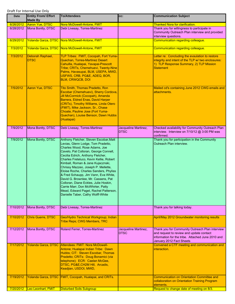| Date      | <b>Entity From/ Effort</b><br><b>Made By</b> | <b>To/Attendees</b>                                                                                                                                                                                                                                                                                                                                                                                                                                                                                                                                                                                     | CC:                                 | <b>Communication Subject</b>                                                                                                                                                 |
|-----------|----------------------------------------------|---------------------------------------------------------------------------------------------------------------------------------------------------------------------------------------------------------------------------------------------------------------------------------------------------------------------------------------------------------------------------------------------------------------------------------------------------------------------------------------------------------------------------------------------------------------------------------------------------------|-------------------------------------|------------------------------------------------------------------------------------------------------------------------------------------------------------------------------|
| 6/26/2012 | Aaron Yue, DTSC                              | Nora McDowell-Antone, FMIT                                                                                                                                                                                                                                                                                                                                                                                                                                                                                                                                                                              |                                     | <b>Thanked Nora for clarification.</b>                                                                                                                                       |
| 6/28/2012 | Mona Bontty, DTSC                            | Debi Livesay, Torres-Martinez                                                                                                                                                                                                                                                                                                                                                                                                                                                                                                                                                                           |                                     | Thank you for willingness to participate in<br>Community Outreach Plan interview and provided<br>interview questions.                                                        |
| 6/29/2012 |                                              | Yolanda Garza, DTSC Nora McDowell-Antone, FMIT                                                                                                                                                                                                                                                                                                                                                                                                                                                                                                                                                          |                                     | Communication regarding colleague.                                                                                                                                           |
| 7/3/2012  |                                              | Yolanda Garza, DTSC Nora McDowell-Antone, FMIT                                                                                                                                                                                                                                                                                                                                                                                                                                                                                                                                                          |                                     | Communication regarding colleague.                                                                                                                                           |
| 7/3/2012  | Deborah Raphael,<br>DTSC                     | TLP Tribes: FMIT, Cocopah, Fort Yuma-<br>Quechan, Torres-Martinez Desert<br>Cahuilla, Hualapai, Yavapai-Prescott<br>Tribe; CRITs, Chemehuevi, Twenty-Nine<br>Palms, Havasupai, BLM, USEPA, MWD,<br>USFWS, CRB, PG&E, ADEQ, BOR,<br><b>BLM, CRWQCB, DOI</b>                                                                                                                                                                                                                                                                                                                                              |                                     | Letter re: Concluding the evaulation to restore<br>integrity and intent of the TLP w/ two enclosures:<br>1) TLP Response Summary, 2) TLP Mission<br><b>Statement</b>         |
| 7/5/2012  | <b>Aaron Yue, DTSC</b>                       | Tito Smith, Thomas Pradetto, Ron<br>Escobar (Chemehuevi), Sherry Cordova,<br>Jill McCormick (Cocopah), Amanda<br>Barrera, Eldred Enas, David Harper<br>(CRITs), Timothy Williams, Linda Otero<br>(FMIT), Mike Jackson, Sr., Chase<br>Choate, Pauline Jose (Fort Yuma-<br>Quechan), Louise Benson, Dawn Hubbs<br>(Hualapai)                                                                                                                                                                                                                                                                              |                                     | Mailed cd's containing June 2012 CWG emails and<br>attachments.                                                                                                              |
| 7/9/2012  | Mona Bontty, DTSC                            | Debi Livesay, Torres-Martinez                                                                                                                                                                                                                                                                                                                                                                                                                                                                                                                                                                           | Jacqueline Martinez,<br><b>DTSC</b> | Checked availability for Community Outreach Plan<br>interview. Interview on 7/10/12 @ 3:00 PM was<br>confirmed.                                                              |
| 7/9/2012  | Mona Bontty, DTSC                            | Anthony Fletcher, Steven Escobar, Matt<br>Levias, Glenn Lodge, Tom Pradetto,<br>Charles Wood, Rose Adams, Joe<br>Cavelo, Pat Colloran, George Connell,<br>Cecilia Edrich, Anthony Fletcher,<br>Charles Freteluco, Kevin Kellie, Robert<br>Kimball, Roman & Jane Kujacznski,<br>Chrissy Mazzeo, Joseph P. Mellette,<br>Eloise Roche, Charles Sanders, Phyliss<br>& Fred Schaupp, Jim Vann, Eva White,<br>David G. Brownlee, Mr. Cassens, Pat<br>Colloran, Diane Eckles, Julie Hoskin,<br>Carrie Marr, Don McWhirter, Patty<br>Mead, Edward Paget, Rachel Patterson,<br>Danielle Taber, Cathy Wolff-White |                                     | Thank you for participation in the Community<br>Outreach Plan interview.                                                                                                     |
| 7/10/2012 | Mona Bontty, DTSC                            | Debi Livesay, Torres-Martinez                                                                                                                                                                                                                                                                                                                                                                                                                                                                                                                                                                           |                                     | Thank you for talking today.                                                                                                                                                 |
| 7/10/2012 | Chris Guerre, DTSC                           | Geo/Hydro Technical Workgroup; Indian<br><b>Tribe Reps; CWG Members, TRC</b>                                                                                                                                                                                                                                                                                                                                                                                                                                                                                                                            |                                     | April/May 2012 Groundwater monitoring results                                                                                                                                |
| 7/12/2012 | Mona Bontty, DTSC                            | Roland Ferrer, Torres-Martinez                                                                                                                                                                                                                                                                                                                                                                                                                                                                                                                                                                          | Jacqueline Martinez,<br><b>DTSC</b> | Thank you for Community Outreach Plan interview<br>and request to review and update contact<br>information for the tribe. Attached June 2010 and<br>January 2012 Fact Sheets |
| 7/17/2012 | Yolanda Garza, DTSC                          | Attendees: FMIT: Nora McDowell-<br>Antone; Hualapai Indian Tribe: Dawn<br>Hubbs; CIT: Steven Escobar, Thomas<br>Pradetto; CRITs: Doug Bonamici (via<br>telephone); ECR: Caelan McGee,<br>DTSC, PG&E, CH2M Hill, Arcadis,<br>Keadjian, USDOI, MWD,                                                                                                                                                                                                                                                                                                                                                       |                                     | Convened a CTF meeting and communication and<br>interaction.                                                                                                                 |
| 7/19/2012 | Yolanda Garza, DTSC                          | FMIT, Cocopah, Hualapai, and CRITs.                                                                                                                                                                                                                                                                                                                                                                                                                                                                                                                                                                     |                                     | <b>Communication on Orientation Committee and</b><br>collaboration on Orientation Training Program<br>elements.                                                              |
| 7/20/2012 | Leo Leonhart, FMIT                           | <b>Disturbed Soils Subgroup</b>                                                                                                                                                                                                                                                                                                                                                                                                                                                                                                                                                                         |                                     | Request to change date of meeting on 8/3.                                                                                                                                    |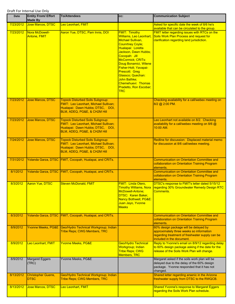| Date      | <b>Entity From/ Effort</b><br><b>Made By</b> | <b>To/Attendees</b>                                                                                                                                  | CC:                                                                                                                                                                                                                                                                                                                                                                     | <b>Communication Subject</b>                                                                                                                                      |
|-----------|----------------------------------------------|------------------------------------------------------------------------------------------------------------------------------------------------------|-------------------------------------------------------------------------------------------------------------------------------------------------------------------------------------------------------------------------------------------------------------------------------------------------------------------------------------------------------------------------|-------------------------------------------------------------------------------------------------------------------------------------------------------------------|
| 7/23/2012 | Jose Marcos, DTSC                            | Leo Leonhart, FMIT                                                                                                                                   |                                                                                                                                                                                                                                                                                                                                                                         | Asked for specific date the week of 8/6 he's<br>available that can be circulated to the group.                                                                    |
| 7/23/2012 | Nora McDowell-<br><b>Antone, FMIT</b>        | Aaron Yue, DTSC, Pam Innis, DOI                                                                                                                      | <b>FMIT: Timothy</b><br><b>Williams, Leo Leonhart,</b><br><b>Michael Sullivan,</b><br><b>Counrtney Coyle;</b><br>Hualapai: Loretta<br>Jackson, Dawn Hubbs;<br>Cocopah: Jill<br>McCormick; CRITs:<br>Doug Bonamici, Wilene<br>Fisher-Holt; Yavapai-<br>Prescott: Greg<br>Glassco; Quechan:<br>John Bathke;<br>Chemehuevi: Thomas<br>Pradetto, Ron Escobar;<br><b>TRC</b> | <b>FMIT letter regarding issues with RTCs on the</b><br>Soils Work Plan Process and request for<br>clarification regarding land jurisdiction.                     |
| 7/23/2012 | <b>Jose Marcos, DTSC</b>                     | <b>Topock Disturbed Soils Subgroup:</b><br>FMIT: Leo Leonhart, Michael Sullivan;<br>Hualapai: Dawn Hubbs; DTSC, DOI,<br>BLM, ADEQ, PG&E, & CH2M Hill |                                                                                                                                                                                                                                                                                                                                                                         | Checking availability for a call/webex meeting on<br>8/2 @ 2:00 PM.                                                                                               |
| 7/23/2012 | <b>Jose Marcos, DTSC</b>                     | <b>Topock Disturbed Soils Subgroup:</b><br>FMIT: Leo Leonhart, Michael Sullivan;<br>Hualapai: Dawn Hubbs; DTSC, DOI,<br>BLM, ADEQ, PG&E, & CH2M Hill |                                                                                                                                                                                                                                                                                                                                                                         | Leo Leonhart not available on 8/2. Checking<br>availability for a call/webex meeting on 8/6 @<br>10:00 AM.                                                        |
| 7/24/2012 | <b>Jose Marcos, DTSC</b>                     | <b>Topock Disturbed Soils Subgroup:</b><br>FMIT: Leo Leonhart, Michael Sullivan;<br>Hualapai: Dawn Hubbs; DTSC, DOI,<br>BLM, ADEQ, PG&E, & CH2M Hill |                                                                                                                                                                                                                                                                                                                                                                         | Redline for discussion: Displaced material memo<br>for discussion at 8/6 call/webex meeting.                                                                      |
| 7/31/2012 |                                              | Yolanda Garza, DTSC   FMIT, Cocopah, Hualapai, and CRITs.                                                                                            |                                                                                                                                                                                                                                                                                                                                                                         | <b>Communication on Orientation Committee and</b><br>collaboration on Orientation Training Program<br>elements.                                                   |
| 8/1/2012  |                                              | Yolanda Garza, DTSC FMIT, Cocopah, Hualapai, and CRITs.                                                                                              |                                                                                                                                                                                                                                                                                                                                                                         | <b>Communication on Orientation Committee and</b><br>collaboration on Orientation Training Program<br>elements.                                                   |
| 8/3/2012  | Aaron Yue, DTSC                              | <b>Steven McDonald, FMIT</b>                                                                                                                         | <b>FMIT: Linda Otero.</b><br><b>Timothy Williams, Nora</b><br>McDowell-Antone;<br><b>DTSC: Karen Baker,</b><br>Nancy Bothwell; PG&E:<br>Juan Jayo, Yvonne<br><b>Meeks</b>                                                                                                                                                                                               | DTSC's response to FMIT's letter dated 5/15/12<br>regarding 30% Groundwater Remedy Design RTC<br>Comments.                                                        |
| 8/3/2012  | <b>Yolanda Garza, DTSC</b>                   | FMIT, Cocopah, Hualapai, and CRITs.                                                                                                                  |                                                                                                                                                                                                                                                                                                                                                                         | <b>Communication on Orientation Committee and</b><br>collaboration on Orientation Training Program<br>elements.                                                   |
| 8/9/2012  | <b>Yvonne Meeks, PG&amp;E</b>                | Geo/Hydro Technical Workgroup; Indian<br><b>Tribe Reps; CWG Members, TRC</b>                                                                         |                                                                                                                                                                                                                                                                                                                                                                         | 60% design package will be delayed by<br>approximately three weeks so information<br>regarding treatment of freshwater supply can be<br>included in the document. |
| 8/9/2012  | Leo Leonhart, FMIT                           | Yvonne Meeks, PG&E                                                                                                                                   | Geo/Hydro Technical<br>Workgroup; Indian<br><b>Tribe Reps; CWG</b><br>Members, TRC                                                                                                                                                                                                                                                                                      | Reply to Yvonne's email on 8/9/12 regarding delay<br>to 60% design package asking if the date for the<br>release of the Soils Work Plan will change.              |
| 8/9/2012  | <b>Margaret Eggers</b><br>(TRC)              | Yvonne Meeks, PG&E                                                                                                                                   |                                                                                                                                                                                                                                                                                                                                                                         | Margaret asked if the soils work plan will be<br>delayed due to the delay of the 60% design<br>package. Yvonne responded that it has not<br>changed.              |
| 8/13/2012 | <b>Christopher Guerre,</b><br><b>DTSC</b>    | Geo/Hydro Technical Workgroup; Indian<br><b>Tribe Reps; CWG Members, TRC</b>                                                                         |                                                                                                                                                                                                                                                                                                                                                                         | Shared letter regarding arsenic in the Arizona<br>freshwater supply from DTSC to the RWQCB.                                                                       |
| 8/13/2012 | Jose Marcos, DTSC                            | Leo Leonhart, FMIT                                                                                                                                   |                                                                                                                                                                                                                                                                                                                                                                         | <b>Shared Yvonne's response to Margaret Eggers</b><br>regarding the Soils Work Plan schedule.                                                                     |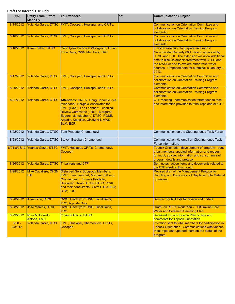| <b>Date</b>         | <b>Entity From/ Effort</b><br><b>Made By</b> | <b>To/Attendees</b>                                                                                                                                                                                                                                   | CC: | <b>Communication Subject</b>                                                                                                                                                                                                                                                                              |
|---------------------|----------------------------------------------|-------------------------------------------------------------------------------------------------------------------------------------------------------------------------------------------------------------------------------------------------------|-----|-----------------------------------------------------------------------------------------------------------------------------------------------------------------------------------------------------------------------------------------------------------------------------------------------------------|
| 8/15/2012           |                                              | Yolanda Garza, DTSC FMIT, Cocopah, Hualapai, and CRITs.                                                                                                                                                                                               |     | <b>Communication on Orientation Committee and</b><br>collaboration on Orientation Training Program<br>elements.                                                                                                                                                                                           |
| 8/16/2012           |                                              | Yolanda Garza, DTSC FMIT, Cocopah, Hualapai, and CRITs.                                                                                                                                                                                               |     | <b>Communication on Orientation Committee and</b><br>collaboration on Orientation Training Program<br>elements.                                                                                                                                                                                           |
| 8/16/2012           | Karen Baker, DTSC                            | Geo/Hydro Technical Workgroup; Indian<br>Tribe Reps; CWG Members, TRC                                                                                                                                                                                 |     | 3 month extension to prepare and submit<br>Groundwater Remedy 60% Design approved by<br>DTSC and DOI. The extension will allow additional<br>time to discuss arsenic treatment with DTSC and<br>the RWQCB and to explore other fresh water<br>sources. Proposed date for submittal is January 2,<br>2013. |
| 8/17/2012           |                                              | Yolanda Garza, DTSC FMIT, Cocopah, Hualapai, and CRITs.                                                                                                                                                                                               |     | <b>Communication on Orientation Committee and</b><br>collaboration on Orientation Training Program<br>elements.                                                                                                                                                                                           |
| 8/20/2012           |                                              | Yolanda Garza, DTSC FMIT, Cocopah, Hualapai, and CRITs.                                                                                                                                                                                               |     | <b>Communication on Orientation Committee and</b><br>collaboration on Orientation Training Program<br>elements.                                                                                                                                                                                           |
| 8/21/2012           | Yolanda Garza, DTSC                          | Attendees: CRITs: Doug Bonamici (via<br>telephone); Hargis & Associates for<br>FMIT (H&A): Leo Leonhart; Technical<br>Review Committee (TRC): Margaret<br>Eggers (via telephone) DTSC, PG&E,<br>Arcadis, Keadjian, CH2M Hill, MWD,<br><b>BLM, ECR</b> |     | CTF meeting - communication forum face to face<br>and information provided to tribal reps and all CTF.                                                                                                                                                                                                    |
| 8/22/2012           | Yolanda Garza, DTSC                          | Tom Pradetto, Chemehuevi                                                                                                                                                                                                                              |     | Communication on the Clearinghouse Task Force.                                                                                                                                                                                                                                                            |
| 8/23/2012           |                                              | Yolanda Garza, DTSC Steven Escobar, Chemehuevi                                                                                                                                                                                                        |     | Communication via email on Clearinghouse Task<br>Force information.                                                                                                                                                                                                                                       |
|                     | 8/24-8/25/12 Yoanda Garza, DTSC              | FMIT, Hualapai, CRITs, Chemehuevi,<br>Cocopah                                                                                                                                                                                                         |     | Topock Orientation development of program - sent<br>tribal members updated information and request<br>for input, advice, information and concurrence of<br>program details and protocol.                                                                                                                  |
| 8/26/2012           | Yolanda Garza, DTSC                          | <b>Tribal reps and CTF</b>                                                                                                                                                                                                                            |     | Sent notes, action items and documents related to<br>the CTF meeting this month.                                                                                                                                                                                                                          |
| 8/28/2012           | Mike Cavaliere, CH2M<br>Hill                 | <b>Disturbed Soils Subgroup Members:</b><br>FMIT: Leo Leonhart, Michael Sullivan;<br>Chemehuevi: Thomas Pradetto,<br>Hualapai: Dawn Hubbs; DTSC, PG&E<br>and their consultants CH2M Hill; ADEQ;<br><b>BLM</b> ; TRC                                   |     | Revised draft of the Management Protocol for<br><b>Handling and Disposition of Displaced Site Material</b><br>for review.                                                                                                                                                                                 |
| 8/28/2012           | Aaron Yue, DTSC                              | CWG, Geo/Hydro TWG, Tribal Reps,<br><b>TRC, Agenda Only</b>                                                                                                                                                                                           |     | Revised contact lists for review and update                                                                                                                                                                                                                                                               |
| 8/28/2012           | Jose Marcos, DTSC                            | CWG, Geo/Hydro TWG, Tribal Reps,<br><b>TRC</b>                                                                                                                                                                                                        |     | Draft Soil RFI/RI Work Plan - East Ravine Pore<br><b>Water and Sediment Sampling Plan</b>                                                                                                                                                                                                                 |
| 8/29/2012           | Nora McDowell-<br>Antone, FMIT               | Yolanda Garza, DTSC                                                                                                                                                                                                                                   |     | Received Topock Lesson Plan outline and<br>comments for Topock Orientation.                                                                                                                                                                                                                               |
| $8/30 -$<br>8/31/12 |                                              | Yolanda Garza, DTSC FMIT, Hualapai, Chemehuevi, CRITs,<br>Cocopah                                                                                                                                                                                     |     | Invitation sent to tribal members for participation in<br><b>Topock Orientation. Communications with various</b><br>tribal reps. and updated them on the status of the<br>program.                                                                                                                        |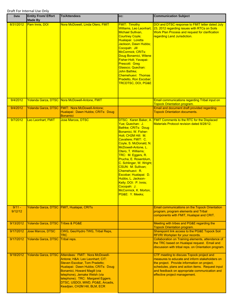| Date                | <b>Entity From/ Effort</b><br><b>Made By</b> | <b>To/Attendees</b>                                                                                                                                                                                                                                                                                                                     | CC:                                                                                                                                                                                                                                                                                                                                                                                                                                                              | <b>Communication Subject</b>                                                                                                                                                                                                                                                      |
|---------------------|----------------------------------------------|-----------------------------------------------------------------------------------------------------------------------------------------------------------------------------------------------------------------------------------------------------------------------------------------------------------------------------------------|------------------------------------------------------------------------------------------------------------------------------------------------------------------------------------------------------------------------------------------------------------------------------------------------------------------------------------------------------------------------------------------------------------------------------------------------------------------|-----------------------------------------------------------------------------------------------------------------------------------------------------------------------------------------------------------------------------------------------------------------------------------|
| 8/31/2012           | Pam Innis, DOI                               | Nora McDowell, Linda Otero, FMIT                                                                                                                                                                                                                                                                                                        | <b>FMIT: Timothy</b><br>Williams, Leo Leonhart,<br>Michael Sullivan,<br>Courtney Coyle;<br>Hualapai: Loretta<br>Jackson, Dawn Hubbs;<br>Cocopah: Jill<br>McCormick; CRITs:<br>Doug Bonamici, Wilene<br>Fisher-Holt; Yavapai-<br><b>Prescott: Greg</b><br>Glassco; Quechan:<br>John Bathke;<br>Chemehuevi: Thomas<br><b>Pradetto, Ron Escobar;</b><br><b>TRCDTSC, DOI, PG&amp;E</b>                                                                               | DOI and DTSC response to FMIT letter dated July<br>23, 2012 regarding issues with RTCs on Soils<br><b>Work Plan Process and request for clarification</b><br>regarding Land Jurisdiction.                                                                                         |
| 9/4/2012            |                                              | Yolanda Garza, DTSC Nora McDowell-Antone, FMIT                                                                                                                                                                                                                                                                                          |                                                                                                                                                                                                                                                                                                                                                                                                                                                                  | Email communications regarding Tribal input on<br><b>Topock Orientation program.</b>                                                                                                                                                                                              |
| 9/4/2012            |                                              | Yolanda Garza, DTSC FMIT: Nora McDowell-Antone;<br>Hualapai: Dawn Hubbs; CRITs: Doug<br>Bonamici                                                                                                                                                                                                                                        |                                                                                                                                                                                                                                                                                                                                                                                                                                                                  | Email and document draft provided regarding<br><b>Topock Orientation documents.</b>                                                                                                                                                                                               |
| 9/7/2012            | Leo Leonhart, FMIT                           | <b>Jose Marcos, DTSC</b>                                                                                                                                                                                                                                                                                                                | Yue; Quechan: J.<br><b>Bathke; CRITs: Doug</b><br>Bonamici, W. Fisher-<br>Holt; CH2M Hill: M.<br>Cavaliere; FMIT: C.<br>Coyle, S. McDonald, N.<br>McDowell-Antone, L.<br>Otero, T. Williams;<br>TRC: M. Eggers, R.<br>Prucha, E. Rosenblum,<br>C. Schlinger, W. Wright;<br><b>CSUN: M. Sullivan;</b><br>Chemehuevi: R.<br>Escobar; Hualapai: D.<br>Hubbs, L. Jackson-<br>Kelly; DOI: P. Innis;<br><u>Cocopah: J.</u><br>McCormick, K. Morton;<br>PG&E: Y. Meeks; | DTSC: Karen Baker, A. FMIT Comments to the RTC for the Displaced<br><b>Materials Protocol revision dated 8/28/12.</b>                                                                                                                                                             |
| $9/11 -$<br>9/12/12 |                                              | Yolanda Garza, DTSC FMIT, Hualapai, CRITs                                                                                                                                                                                                                                                                                               |                                                                                                                                                                                                                                                                                                                                                                                                                                                                  | <b>Email communications on the Topock Orientation</b><br>program, program elements and Tribal<br>components with FMIT, Hualapai and CRIT.                                                                                                                                         |
| 9/13/2012           | Yolanda Garza, DTSC Tribes & PG&E            |                                                                                                                                                                                                                                                                                                                                         |                                                                                                                                                                                                                                                                                                                                                                                                                                                                  | Meeting with tribes and PG&E regarding the<br><b>Topock Orientation program.</b>                                                                                                                                                                                                  |
| 9/17/2012           | <b>Jose Marcos, DTSC</b>                     | CWG, Geo/Hydro TWG, Tribal Reps,<br>TRC                                                                                                                                                                                                                                                                                                 |                                                                                                                                                                                                                                                                                                                                                                                                                                                                  | Sharepoint link access to the PG&E Topock Soil<br>RFI/RI Workplan for your records.                                                                                                                                                                                               |
| 9/17/2012           | Yolanda Garza, DTSC Tribal reps.             |                                                                                                                                                                                                                                                                                                                                         |                                                                                                                                                                                                                                                                                                                                                                                                                                                                  | Collaboration on Training elements, attendance of<br>the TRC based on Hualapai request. Email and<br>discussion with tribal reps. on Orientation program.                                                                                                                         |
| 9/18/2012           |                                              | Yolanda Garza, DTSC Attendees: FMIT: Nora McDowell-<br>Antone; H&A: Leo Leonhart; CIT:<br>Steven Escobar, Tom Pradetto;<br>Hualapai: Dawn Hubbs; CRITs: Doug<br>Bonamici, Howard Magill (via<br>telephone), Jemake Welsh (via<br>telephone); TRC: Margaret Eggers.<br>DTSC, USDOI, MWD, PG&E, Arcadis,<br>Keadjian, CH2M Hill, BLM, ECR |                                                                                                                                                                                                                                                                                                                                                                                                                                                                  | CTF meeting to discuss Topock project and<br>measures to educate and inform stakeholders on<br>the project. Provide information on project,<br>schedules, plans and action items. Request input<br>and feedback on appropriate communication and<br>effective project management. |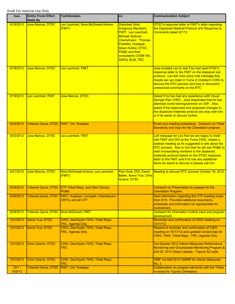| <b>Date</b>         | <b>Entity From/ Effort</b><br><b>Made By</b> | <b>To/Attendees</b>                                                            | cc:                                                                                                                                                                                                                                          | <b>Communication Subject</b>                                                                                                                                                                                                                                                                                                                                                                                  |
|---------------------|----------------------------------------------|--------------------------------------------------------------------------------|----------------------------------------------------------------------------------------------------------------------------------------------------------------------------------------------------------------------------------------------|---------------------------------------------------------------------------------------------------------------------------------------------------------------------------------------------------------------------------------------------------------------------------------------------------------------------------------------------------------------------------------------------------------------|
| 9/18/2012           | Jose Marcos, DTSC                            | Leo Leonhart, Nora McDowell-Antone<br>(FMIT)                                   | <b>Disturbed Soils</b><br><b>Subgroup Members:</b><br><b>FMIT: Leo Leonhart,</b><br>Michael Sullivan;<br>Chemehuevi: Thomas<br>Pradetto, Hualapai:<br>Dawn Hubbs; DTSC,<br>PG&E and their<br>consultants CH2M Hill;<br><b>ADEQ; BLM; TRC</b> | <b>DTSC's response letter to FMIT's letter regarding</b><br>the Displaced Material Protocol and Response to<br>Comments dated 9/7/12.                                                                                                                                                                                                                                                                         |
| 9/19/2012           | Jose Marcos, DTSC                            | Leo Leonhart, FMIT                                                             |                                                                                                                                                                                                                                              | Jose emailed Leo to see if he had read DTSC's<br>response letter to the FMIT on the displaced soil<br>protocol. Leo left Jose voice mail message that<br>maybe we can meet in Yuma in October's CWG to<br>discuss the RTC process and how to document<br>unresolved comments on the RTC                                                                                                                       |
| 9/19/2012           | Leo Leonhart, FMIT                           | Jose Marcos, DTSC                                                              |                                                                                                                                                                                                                                              | Asked if he has had any experience with Visual<br>Sample Plan (VSP). Jose responded that he has<br>attended some training/seminar on VSP. Also,<br>asked if the responses and proposed changes to<br>the displaced materials protocol are okay with him<br>or if he wants to discuss further.                                                                                                                 |
| 9/20/2012           | Yolanda Garza, DTSC FMIT, Crit, Hualapai     |                                                                                |                                                                                                                                                                                                                                              | Email and meeting scheduling. Outreach on Tribal<br>Sensitivity and input for the Orientation program.                                                                                                                                                                                                                                                                                                        |
| 9/20/2012           | <b>Jose Marcos, DTSC</b>                     | Leo Leonhart, FMIT                                                             |                                                                                                                                                                                                                                              | Left message for Leo that we are happy to meet<br>with FMIT and DOI at the Yuma CWG, maybe a<br>sidebar meeting as he suggested to talk about the<br>RTC process. Also to him that he will ask PG&E to<br>start incorporating revisions to the displaced<br>materials protocol based on the DTSC response<br>letter to the FMIT and if he has any additional<br>items he wants to discuss to please call him. |
| 9/21/2012           | <b>Jose Marcos, DTSC</b>                     | Nora McDowell-Antone, Leo Leonhart<br>(FMIT)                                   | Pam Innis, DOI, Karen<br><b>Baker, Aaron Yue, Chris</b><br>Guerre, DTSC                                                                                                                                                                      | Meeting to discuss RTC process October 16, 2012                                                                                                                                                                                                                                                                                                                                                               |
| 9/25/2012           |                                              | Yolanda Garza, DTSC CTF Tribal Reps. and Glen Caruso,<br>PG&E                  |                                                                                                                                                                                                                                              | Outreach on Presentation to prepare for the<br><b>Orientation Program.</b>                                                                                                                                                                                                                                                                                                                                    |
| 9/26/2012           |                                              | Yolanda Garza, DTSC FMIT, Hualapai, Cocopah, Chemehuevi,<br>CRITs, and all CTF |                                                                                                                                                                                                                                              | Sent information regarding the CTF meeting notes<br>from 9/18. Provided additional documents,<br>schedules and information for opportunities for<br>involvement.                                                                                                                                                                                                                                              |
| 9/28/2012           | Yolanda Garza, DTSC Nora McDowell, FMIT      |                                                                                |                                                                                                                                                                                                                                              | Outreach for Orientation Outline input and program<br>development.                                                                                                                                                                                                                                                                                                                                            |
| 10/1/2012           | Aaron Yue, DTSC                              | CWG, Geo/Hydro TWG, Tribal Reps,<br><b>TRC, Agenda Only</b>                    |                                                                                                                                                                                                                                              | Reminder and confirmation of CWG meeting on<br>10/17/12.                                                                                                                                                                                                                                                                                                                                                      |
| 10/1/2012           | <b>Aaron Yue, DTSC</b>                       | CWG, Geo/Hydro TWG, Tribal Reps,<br><b>TRC, Agenda Only</b>                    |                                                                                                                                                                                                                                              | Resend of reminder and confirmation of CWG<br>meeting on 10/17/12 and updated contact lists for<br>CWG, TWG, Tribal Reps., TRC, Agenda Only.                                                                                                                                                                                                                                                                  |
| 10/1/2012           | <b>Chris Guerre, DTSC</b>                    | CWG, Geo/Hydro TWG, Tribal Reps,<br>TRC                                        |                                                                                                                                                                                                                                              | 2nd Quarter 2012 Interim Measures Performance<br>Monitoring and Groundwater Monitoring Program &<br>2nd Qt. 2012 Status Update - Topock AZ wells                                                                                                                                                                                                                                                              |
| 10/1/2012           | <b>Chris Guerre, DTSC</b>                    | CWG, Geo/Hydro TWG, Tribal Reps,<br>TRC                                        |                                                                                                                                                                                                                                              | <b>CMP 1st Half 2012 GWMR for Interim Measures</b><br><b>No. 3</b>                                                                                                                                                                                                                                                                                                                                            |
| $10/1 -$<br>10/5/12 | Yolanda Garza, DTSC FMIT, Crit, Hualapai     |                                                                                |                                                                                                                                                                                                                                              | Collaboration on program elements with the Tribes<br>involved for Topock Orientation.                                                                                                                                                                                                                                                                                                                         |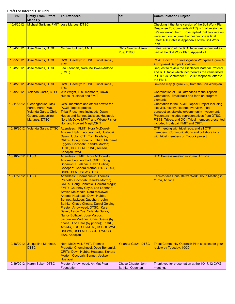| <b>Date</b> | <b>Entity From/ Effort</b><br><b>Made By</b>                                                                   | <b>To/Attendees</b>                                                                                                                                                                                                                                                                                                                                                                                                                                                                                                                                                                          | CC:                                     | <b>Communication Subject</b>                                                                                                                                                                                                                                                                 |
|-------------|----------------------------------------------------------------------------------------------------------------|----------------------------------------------------------------------------------------------------------------------------------------------------------------------------------------------------------------------------------------------------------------------------------------------------------------------------------------------------------------------------------------------------------------------------------------------------------------------------------------------------------------------------------------------------------------------------------------------|-----------------------------------------|----------------------------------------------------------------------------------------------------------------------------------------------------------------------------------------------------------------------------------------------------------------------------------------------|
| 10/4/2012   | Michael Sullivan, FMIT Jose Marcos, DTSC                                                                       |                                                                                                                                                                                                                                                                                                                                                                                                                                                                                                                                                                                              |                                         | Checking if the June version of the Soil Work Plan<br>Response To Comments (RTC) is final version as<br>he's reviewing them. Jose replied that two version<br>were sent out in June, but neither one is final.<br>Latest RTC table is Appendix I of the Soil Work<br>Plan.                   |
| 10/4/2012   | Jose Marcos, DTSC                                                                                              | <b>Michael Sullivan, FMIT</b>                                                                                                                                                                                                                                                                                                                                                                                                                                                                                                                                                                | <b>Chris Guerre, Aaron</b><br>Yue, DTSC | Latest version of the RTC table was submitted as<br>part of the Soil Work Plan, Appendix I.                                                                                                                                                                                                  |
| 10/5/2012   | <b>Jose Marcos, DTSC</b>                                                                                       | CWG, Geo/Hydro TWG, Tribal Reps.,<br>TRC                                                                                                                                                                                                                                                                                                                                                                                                                                                                                                                                                     |                                         | PG&E Soil RFI/RI Investigation Workplan Figure 1-<br>4 Proposed Sample Locations.                                                                                                                                                                                                            |
| 10/8/2012   | Jose Marcos, DTSC                                                                                              | Leo Leonhart, Nora McDowell-Antone<br>(FMIT)                                                                                                                                                                                                                                                                                                                                                                                                                                                                                                                                                 |                                         | Request to review the Displaced Material Protocol<br>and RTC table which incorporates the items listed<br>in DTSC's September 18, 2012 response letter to<br>the FMIT.                                                                                                                       |
| 10/8/2012   | <b>Jose Marcos, DTSC</b>                                                                                       | CWG, Geo/Hydro TWG, Tribal Reps.,<br>TRC                                                                                                                                                                                                                                                                                                                                                                                                                                                                                                                                                     |                                         | Revised map (Figure 2-2) from the Soil Workplan.                                                                                                                                                                                                                                             |
| 10/9/2012   |                                                                                                                | Yolanda Garza, DTSC Win Wright, TRC members, Dawn<br>Hubbs, Hualapai and FMIT                                                                                                                                                                                                                                                                                                                                                                                                                                                                                                                |                                         | Coordination of TRC attendees to the Topock<br>Orientation. Email back and forth on program<br>elements.                                                                                                                                                                                     |
| 10/11/2012  | <b>Clearinghouse Task</b><br>Force, Aaron Yue,<br>Yolanda Garza, Chris<br>Guerre, Jacqueline<br>Martinez, DTSC | CWG members and others new to the<br>PG&E Topock project.<br>Tribal Presenters included: Dawn<br>Hubbs and Bennet Jackson, Hualapai,<br>Nora McDowell, FMIT and Wilene Fisher-<br><b>Holt and Howard Magill, CRIT</b>                                                                                                                                                                                                                                                                                                                                                                        |                                         | Orientation to the PG&E Topock Project including<br>site visit, history, cleanup overview, tribal<br>perspective, stakeholer/community invovement.<br>Presenters included representatives from DTSC,<br>PG&E, Tribes, and DOI. Tribal members presented<br>included Hualapai, FMIT and CRIT. |
| 10/16/2012  |                                                                                                                | Yolanda Garza, DTSC Attendees: FMIT: Nora McDowell-<br>Antone; H&A: Leo Leonhart; Hualapai:<br>Dawn Hubbs; CIT: Tom Pradetto;<br><b>CRITs: Doug Bonamici; TRC: Margaret</b><br>Eggers; Cocopah: Kendra Morton;<br>DTSC, DOI, BLM, PG&E, Arcadis,<br>Keadjian, MWD                                                                                                                                                                                                                                                                                                                            |                                         | CTF meeting with tribal reps. and all CTF<br>members. Communications and collaborations<br>with tribal members on Topock project.                                                                                                                                                            |
| 10/16/2012  | <b>IDTSC</b>                                                                                                   | Attendees: FMIT: Nora McDowell-<br>Antone, Leo Leonhart; CRIT: Doug<br>Bonamici; Hualapai: Dawn Hubbs;<br>Cocopah: Kendra Morton; DTSC, DOI,<br><b>USBR, BLM USFWS, TRC</b>                                                                                                                                                                                                                                                                                                                                                                                                                  |                                         | RTC Process meeting in Yuma, Arizona                                                                                                                                                                                                                                                         |
| 10/17/2012  | <b>IDTSC</b>                                                                                                   | Attendees: Chemehuevi: Thomas<br>Pradetto; Cocopah: Kendra Morton;<br><b>CRITs: Doug Bonamici, Howard Magill;</b><br>FMIT: Courtney Coyle, Leo Leonhart,<br>Steven McDonald, Nora McDowell-<br>Antone; Hualapai: Dawn Hubbs,<br>Bennett Jackson; Quechan: John<br>Bathke, Chase Choate, Daniel Golding,<br>Preston Arrowweed; DTSC: Karen<br>Baker, Aaron Yue, Yolanda Garza,<br>Nancy Bothwell, Jose Marcos,<br>Jacqueline Martinez, Chris Guerre (by<br>phone), Lori Hare (by phone); PG&E,<br>Arcadis, TRC, CH2M Hill, USDOI, MWD,<br>USFWS, USBLM, USBOR, SWRCB,<br><b>ESA, Keadjian</b> |                                         | Face-to-face Consultative Work Group Meeting in<br>Yuma, Arizona                                                                                                                                                                                                                             |
| 10/18/2012  | Jacqueline Martinez,<br><b>DTSC</b>                                                                            | Nora McDowell, FMIT, Thomas<br>Pradetto, Chemehuevi, Doug Bonamici,<br>CRITs, Dawn Hubbs, Hualapai, Kendra<br>Morton, Cocopah, Bennett Jackson,<br><b>Hualapai</b>                                                                                                                                                                                                                                                                                                                                                                                                                           | <b>Yolanda Garza, DTSC</b>              | <b>Tribal Community Outreach Plan sections for your</b><br>review by Tuesday, 10/30.                                                                                                                                                                                                         |
| 10/19/2012  | Karen Baker, DTSC                                                                                              | Preston Arrow-weed, Ah Mut Pipa<br>Foundation                                                                                                                                                                                                                                                                                                                                                                                                                                                                                                                                                | Chase Choate, John<br>Bathke, Quechan   | Thank you for presentation at the 10/17/12 CWG<br>meeting.                                                                                                                                                                                                                                   |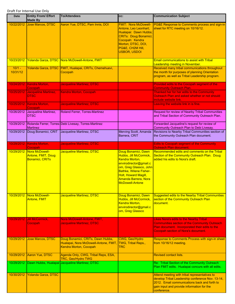| Date                 | <b>Entity From/ Effort</b><br><b>Made By</b>                   | <b>To/Attendees</b>                                                                                  | cc:                                                                                                                                                                                                              | <b>Communication Subject</b>                                                                                                                                                                                   |
|----------------------|----------------------------------------------------------------|------------------------------------------------------------------------------------------------------|------------------------------------------------------------------------------------------------------------------------------------------------------------------------------------------------------------------|----------------------------------------------------------------------------------------------------------------------------------------------------------------------------------------------------------------|
| 10/22/2012           | Jose Marcos, DTSC                                              | Aaron Yue, DTSC, Pam Innis, DOI                                                                      | <b>FMIT: Nora McDowell-</b><br>Antone, Leo Leonhart;<br>Hualapai: Dawn Hubbs;<br><b>CRITs: Doug Bonamici;</b><br>Cocopah: Kendra<br>Morton; DTSC, DOI,<br>PG&E, CH2M Hill,<br><b>USBOR, USDOI</b>                | PG&E Response to Comments process and sign-in<br>sheet for RTC meeting on 10/16/12.                                                                                                                            |
| 10/23/2012           |                                                                | Yolanda Garza, DTSC Nora McDowell-Antone, FMIT                                                       |                                                                                                                                                                                                                  | <b>Email communications to assist with Tribal</b><br>Leadership meeting in November.                                                                                                                           |
| $10/1 -$<br>10/31/12 |                                                                | Yolanda Garza, DTSC FMIT, Hualapai, CRITs, Chemehuevi,<br>Cocopah                                    |                                                                                                                                                                                                                  | Received many tribal communications throughout<br>the month for purposes of planning Orientation<br>program, as well as Tribal Leadership program.                                                             |
| 10/24/2012           | Kendra Morton.<br>Cocopah                                      | <b>Jacqueline Martinez, DTSC</b>                                                                     |                                                                                                                                                                                                                  | Provided edits to the Cocopah segment of the<br><b>Community Outreach Plan.</b>                                                                                                                                |
| 10/25/2012           | Jacqueline Martinez,<br><b>DTSC</b>                            | Kendra Morton, Cocopah                                                                               |                                                                                                                                                                                                                  | Thanked her for her edits to the Community<br>Outreach Plan and asked whether or not should<br>include website link.                                                                                           |
| 10/25/2012           | Kendra Morton.<br>Cocopah                                      | <b>Jacqueline Martinez, DTSC</b>                                                                     |                                                                                                                                                                                                                  | Leaving the website link in is fine.                                                                                                                                                                           |
| 10/26/2012           | Jacqueline Martinez,<br><b>DTSC</b>                            | Roland Ferrer, Torres-Martinez                                                                       |                                                                                                                                                                                                                  | Request for review of Nearby Tribal Communities<br>and Tribal Section of Community Outreach Plan.                                                                                                              |
| 10/29/2012           | <b>Martinez</b>                                                | Rolanda Ferrer, Torres-Debi Livesay, Torres-Martinez                                                 |                                                                                                                                                                                                                  | Forwarded Jacqueline's request for review of<br>Community Outreach Plan to Debi Livesay.                                                                                                                       |
| 10/29/2012           | Doug Bonamici, CRIT                                            | Jacqueline Martinez, DTSC                                                                            | Merving Scott, Amanda<br>Barrera, CRIT                                                                                                                                                                           | Revisions to Nearby Tribal Communities section of<br>the Community Outreach Plan document.                                                                                                                     |
| 10/29/2012           | Kendra Morton,<br>Cocopah                                      | <b>Jacqueline Martinez, DTSC</b>                                                                     |                                                                                                                                                                                                                  | <b>Edits to Cocopah segment of the Community</b><br><b>Outreach Plan document.</b>                                                                                                                             |
| 10/29/2012           | Nora McDowell-<br>Antone, FMIT, Doug<br><b>Bonamici, CRITs</b> | Jacqueline Martinez, DTSC                                                                            | Doug Bonamici, Dawn<br>Hubbs, Jill McCormick,<br>Kendra Morton,<br>envirodirector@gmail.c<br>om, Greg Glassco, John<br>Bathke, Wilene Fisher-<br>Holt, Howard Magill,<br>Amanda Barrera, Nora<br>McDowell-Antone | Recommended edits and comments on the Tribal<br>Section of the Community Outreach Plan. Doug<br>added his edits to Nora's draft.                                                                               |
| 10/29/2012           | Nora McDowell-<br><b>Antone, FMIT</b>                          | <b>Jacqueline Martinez, DTSC</b>                                                                     | Doug Bonamici, Dawn<br>Hubbs, Jill McCormick,<br>Kendra Morton,<br>envirodirector@gmail.c<br>om, Greg Glassco                                                                                                    | <b>Suggested edits to the Nearby Tribal Communities</b><br>section of the Community Outreach Plan<br>document.                                                                                                 |
| 10/29/2012           | <b>Jill McCormick.</b><br>Cocopah                              | Nora McDowell-Antone, FMIT,<br><b>Jacqueline Martinez, DTSC</b>                                      |                                                                                                                                                                                                                  | <b>Likes Nora's edits to the Nearby Tribal</b><br><b>Communities section of the Community Outreach</b><br>Plan document. Incorporated their edits to the<br><b>Cocopah section of Nora's document.</b>         |
| 10/29/2012           | <b>Jose Marcos, DTSC</b>                                       | Doug Bonamici, CRITs, Dawn Hubbs,<br>Hualapai, Nora McDowell-Antone, FMIT,<br>Kendra Morton, Cocopah | CWG, Geo/Hydro<br>TWG, Tribal Reps.,<br>TRC                                                                                                                                                                      | Response to Comments Process with sign-in sheet<br>from 10/16/12 meeting.                                                                                                                                      |
| 10/29/2012           | Aaron Yue, DTSC                                                | Agenda Only, CWG, Tribal Reps, ESA,<br><b>TRC, Geo/Hydro TWG</b>                                     |                                                                                                                                                                                                                  | <b>Revised contact lists.</b>                                                                                                                                                                                  |
|                      |                                                                | 10/29/2012 Dawn Hubbs, Hualapai Jacqueline Martinez, DTSC                                            |                                                                                                                                                                                                                  | Re: Tribal Section of the Community Outreach<br>Plan FMIT edits. Hualapai concurs with all edits.                                                                                                              |
| 10/30/2012           | Yolanda Garza, DTSC                                            |                                                                                                      |                                                                                                                                                                                                                  | Attend meeting with tribal representatives to<br>develop Tribal Leadership conference Nov. 13-14,<br>2012. Email communications back and forth to<br>gain input and provide information for the<br>conference. |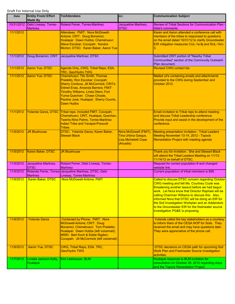| <b>Date</b> | <b>Entity From/ Effort</b><br><b>Made By</b> | <b>To/Attendees</b>                                                                                                                                                                                                                                                                                  | CC:                                                                                     | <b>Communication Subject</b>                                                                                                                                                                                                                                                                                                                                                                                                                                      |
|-------------|----------------------------------------------|------------------------------------------------------------------------------------------------------------------------------------------------------------------------------------------------------------------------------------------------------------------------------------------------------|-----------------------------------------------------------------------------------------|-------------------------------------------------------------------------------------------------------------------------------------------------------------------------------------------------------------------------------------------------------------------------------------------------------------------------------------------------------------------------------------------------------------------------------------------------------------------|
| 10/31/2012  | Debi Livesay, Torres-<br><b>Martinez</b>     | Roland Ferrer, Torres-Martinez                                                                                                                                                                                                                                                                       | Jacqueline Martinez,<br><b>DTSC</b>                                                     | Review of Tribal Sections for Communication Plan -<br>Debi's comments                                                                                                                                                                                                                                                                                                                                                                                             |
| 11/1/2012   |                                              | Attendees: FMIT: Nora McDowell-<br>Antone; CRIT: Doug Bonamici;<br>Hualapai: Dawn Hubbs; Chemehuevi:<br>Steve Escobar; Cocopah: Kendra<br>Morton; DTSC: Karen Baker, Aaron Yue                                                                                                                       |                                                                                         | Karen and Aaron attended a conference call with<br>members of the tribes to responsed to questions<br>on the email dated 10/31/12 to clarify Groundwater<br>EIR mitigation measures CUL-1a-8j and SUL-1b/c-<br>3.                                                                                                                                                                                                                                                 |
| 11/1/2012   | Doug Bonamici, CRIT                          | Jacqueline Martinez, DTSC                                                                                                                                                                                                                                                                            |                                                                                         | Submitted CRIT portion of "Nearby Tribal<br>Communities" section of the Community Outreach<br>Plan document.                                                                                                                                                                                                                                                                                                                                                      |
| 11/1/2012   | Aaron Yue, DTSC                              | Agenda Only, CWG, Tribal Reps, ESA,<br><b>TRC, Geo/Hydro TWG</b>                                                                                                                                                                                                                                     |                                                                                         | <b>Revised CWG contact list.</b>                                                                                                                                                                                                                                                                                                                                                                                                                                  |
| 11/1/2012   | Aaron Yue, DTSC                              | <b>Chemehuevi: Tito Smith, Thomas</b><br>Pradetto, Ron Escobar; Cocopah:<br><b>Sherry Cordova, Jill McCormick; CRITs:</b><br>Eldred Enas, Amanda Barrera; FMIT:<br>Timothy Williams, Linda Otero; Fort<br>Yuma-Quechan: Chase Choate,<br>Pauline Jose; Hualapai: Sherry Counts,<br><b>Dawn Hubbs</b> |                                                                                         | Mailed cd's containing emails and attachments<br>provided to the CWG during September and<br>October 2012.                                                                                                                                                                                                                                                                                                                                                        |
| 11/1/2012   | Yolanda Garza, DTSC                          | Tribal reps. Included FMIT, Cocopah,<br>Chemehuevi, CRIT, Hualapai, Quechan,<br><b>Twenty-Nine Palms, Torres-Martinez</b><br><b>Indian Tribe and Yavapai-Prescott</b><br><b>Tribes</b>                                                                                                               |                                                                                         | Email invitation to Tribal reps to attend meeting<br>and discuss Tribal Leadership conference.<br>Provide input and assist in the development of the<br>conference.                                                                                                                                                                                                                                                                                               |
| 11/5/2012   | <b>JR Bluehouse</b>                          | DTSC: Yolanda Garza, Karen Baker,<br><b>Stewart Black</b>                                                                                                                                                                                                                                            | Nora McDowell (FMIT)<br><b>Tina Urbina Gargus,</b><br>Lisa Micheletti Cope<br>(Arcadis) | <b>Meeting presentation invitation - Tribal Leaders</b><br>Meeting November 13-14, 2012 - Topock<br>Remediation Project with meeting agenda                                                                                                                                                                                                                                                                                                                       |
| 11/5/2012   | Karen Baker, DTSC                            | <b>JR Bluehouse</b>                                                                                                                                                                                                                                                                                  |                                                                                         | Thank you for invitation. She and Stewart Black<br>will attend the Tribal Leaders Meeting on 11/13-<br>11/14/12 on behalf of DTSC.                                                                                                                                                                                                                                                                                                                                |
| 11/5/2012   | Jacqueline Martinez,<br><b>DTSC</b>          | Roland Ferrer, Debi Livesay, Torres-<br><b>Martinez</b>                                                                                                                                                                                                                                              |                                                                                         | Request for correct population # and changed<br>website link.                                                                                                                                                                                                                                                                                                                                                                                                     |
| 11/5/2012   | <b>Martinez</b>                              | Rolanda Ferrer, Torres-Jacqueline Martinez, DTSC, Debi<br>Livesay, Torres-Martinez                                                                                                                                                                                                                   |                                                                                         | Current population of tribal members is 858.                                                                                                                                                                                                                                                                                                                                                                                                                      |
| 11/6/2012   | Karen Baker, DTSC                            | Nora McDowell-Antone, FMIT                                                                                                                                                                                                                                                                           |                                                                                         | Called to discuss DTSC concern regarding October<br><b>CWG meeting and felt Ms. Courtney Coyle was</b><br>threatening another lawsuit before we had begun<br>work. Let Nora know that Director Raphael will be<br>calling Chairman Williams to discuss this. Also,<br>informed Nora that DTSC will be doing an EIR for<br>the Soil Investigation Workplan and an Addendum<br>to the Groundwater EIR for the freshwater source<br>investigation PG&E is proposing. |
| 11/6/2012   | <b>Yolanda Garza</b>                         | Contacted by Phone: FMIT: Nora<br>McDowell-Antone; CRIT: Doug<br>Bonamici; Chemehuevi: Tom Pradetto;<br>Hualapai: Dawn Hubbs (left voicemail);<br>MWD: Bart Koch & Eddie Rigdon;<br>Cocopah: Jill McCormick (left voicemail)                                                                         |                                                                                         | Yolanda called the key stakeholders as a courtesy<br>to inform them of the CEQA NOP for Soils. They<br>received the email and may have questions later.<br>They were appreciative of the phone call.                                                                                                                                                                                                                                                              |
| 11/6/2012   | <b>Aaron Yue, DTSC</b>                       | CWG, Tribal Reps, ESA, TRC,<br><b>Geo/Hydro TWG</b>                                                                                                                                                                                                                                                  |                                                                                         | DTSC decisions on CEQA path for upcoming Soil<br>Work Plan and Freshwater Source investigation<br>activities.                                                                                                                                                                                                                                                                                                                                                     |
| 11/7/2012   | Loretta Jackson-Kelly,<br>Hualapai           | Kim Liebhauser, BLM                                                                                                                                                                                                                                                                                  |                                                                                         | Hualapai response to BLM invitation for<br>consultation on October 29, 2012 regarding clays<br>and the Topock Remediation Project.                                                                                                                                                                                                                                                                                                                                |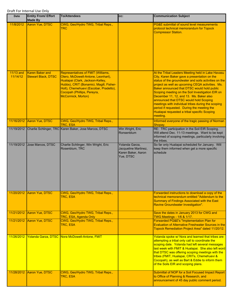| Date                     | <b>Entity From/ Effort</b><br><b>Made By</b>         | <b>To/Attendees</b>                                                                                                                                                                                                                                                  | CC:                                                                       | <b>Communication Subject</b>                                                                                                                                                                                                                                                                                                                                                                                                                                                                                                                                            |
|--------------------------|------------------------------------------------------|----------------------------------------------------------------------------------------------------------------------------------------------------------------------------------------------------------------------------------------------------------------------|---------------------------------------------------------------------------|-------------------------------------------------------------------------------------------------------------------------------------------------------------------------------------------------------------------------------------------------------------------------------------------------------------------------------------------------------------------------------------------------------------------------------------------------------------------------------------------------------------------------------------------------------------------------|
| 11/8/2012                | Aaron Yue, DTSC                                      | CWG, Geo/Hydro TWG, Tribal Reps.,<br><b>TRC</b>                                                                                                                                                                                                                      |                                                                           | PG&E submittal of sound level measurements<br>protocol technical memorandum for Topock<br><b>Compressor Station.</b>                                                                                                                                                                                                                                                                                                                                                                                                                                                    |
| 11/13 and<br>11/14/12    | <b>Karen Baker and</b><br><b>Stewart Black, DTSC</b> | <b>Representatives of FMIT (Williams,</b><br>Otero, McDowell-Antone, Leonhart),<br>Hualapai (Clark, Jackson-Kelley,<br>Hubbs), CRIT (Bonamici, Magill, Fisher-<br>Holt), Chemehuevi (Escobar, Pradetto),<br>Cocopah (Phillips, Pereyra,<br><b>McCormick, Morton)</b> |                                                                           | At the Tribal Leaders Meeting held in Lake Havasu<br>City, Karen Baker gave a presentation on the<br>status of the groundwater and soils activities on the<br>project as well as upcoming CEQA activities. Ms.<br>Baker announced that DTSC would hold public<br>Scoping meeting on the Soil Investigation EIR on<br>December 11, 12, and 13. Ms. Baker also<br>announced that DTSC would hold Scoping<br>meetings with individual tribes during the scoping<br>period if requested. During the meeting the<br>Hualapai requested a tribal specific Scoping<br>meeting. |
| 11/16/2012               | Aaron Yue, DTSC                                      | CWG, Geo/Hydro TWG, Tribal Reps.,<br>TRC, ESA                                                                                                                                                                                                                        |                                                                           | Informed everyone of the tragic passing of Norman<br>Shopay.                                                                                                                                                                                                                                                                                                                                                                                                                                                                                                            |
| 11/19/2012               |                                                      | Charlie Schlinger, TRC Karen Baker, Jose Marcos, DTSC                                                                                                                                                                                                                | Win Wright, Eric<br>Ronsenblum                                            | RE: TRC participation in the Soil EIR Scoping.<br>Will attend Dec. 11-13 meetings. Want to be kept<br>informed of scoping meetings, particularly involving<br>the tribes.                                                                                                                                                                                                                                                                                                                                                                                               |
| 11/19/2012               | Jose Marcos, DTSC                                    | Charlie Schlinger, Win Wright, Eric<br>Rosenblum, TRC                                                                                                                                                                                                                | Yolanda Garza,<br>Jacqueline Martinez,<br>Karen Baker, Aaron<br>Yue, DTSC | So far only Hualapai scheduled for January. Will<br>keep them informed when get a more specific<br>schedule                                                                                                                                                                                                                                                                                                                                                                                                                                                             |
| 11/20/2012               | Aaron Yue, DTSC                                      | CWG, Geo/Hydro TWG, Tribal Reps.,<br>TRC, ESA                                                                                                                                                                                                                        |                                                                           | Forwarded instructions to download a copy of the<br>technical memorandum entitled "Addendum to the<br>Summary of Findings Associated with the East<br>Ravine Groundwater Investigation".                                                                                                                                                                                                                                                                                                                                                                                |
| 11/21/2012               | <b>Aaron Yue, DTSC</b>                               | CWG, Geo/Hydro TWG, Tribal Reps.,<br>TRC, ESA, Agenda Only                                                                                                                                                                                                           |                                                                           | Save the dates in January 2013 for CWG and<br><b>TWG Meetings - 1/6 &amp; 1/17.</b>                                                                                                                                                                                                                                                                                                                                                                                                                                                                                     |
| 11/21/2012               | Aaron Yue, DTSC                                      | CWG, Geo/Hydro TWG, Tribal Reps.,<br>TRC, ESA                                                                                                                                                                                                                        |                                                                           | Forwarded PG&E's "Implementation Plan for<br>Evaluation of Alternative Freshwater Sources in the<br>Topock Remediation Project Area" dated 11/20/12.                                                                                                                                                                                                                                                                                                                                                                                                                    |
| 11/26/2012<br>11/28/2012 | <b>Aaron Yue, DTSC</b>                               | Yolanda Garza, DTSC Nora McDowell-Antone, FMIT<br>CWG, Geo/Hydro TWG, Tribal Reps.,                                                                                                                                                                                  |                                                                           | Yolanda spoke w/ Nora and learned that tribes are<br>attempting a tribal only call to coordinate the<br>scoping date. Yolanda had left several messages<br>last week with FMIT & Hualapai. She also left word<br>that DTSC was offering scoping meetings with the<br>tribes (FMIT, Hualapai, CRITs, Chemehuevi &<br>Cocopah), as well as Bart & Eddie to inform them<br>of the Soils EIR and scoping plans.<br>Submittal of NOP for a Soil Focused Impact Report                                                                                                        |
|                          |                                                      | TRC, ESA                                                                                                                                                                                                                                                             |                                                                           | to Office of Planning & Research, and<br>announcement of 45 day public comment period.                                                                                                                                                                                                                                                                                                                                                                                                                                                                                  |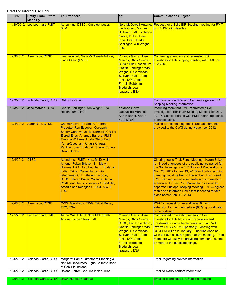| <b>Date</b> | <b>Entity From/ Effort</b><br><b>Made By</b> | <b>To/Attendees</b>                                                                                                                                                                                                                                                                                                | CC:                                                                                                                                                                                                                                                            | <b>Communication Subject</b>                                                                                                                                                                                                                                                                                                                                                                                                                                                                          |
|-------------|----------------------------------------------|--------------------------------------------------------------------------------------------------------------------------------------------------------------------------------------------------------------------------------------------------------------------------------------------------------------------|----------------------------------------------------------------------------------------------------------------------------------------------------------------------------------------------------------------------------------------------------------------|-------------------------------------------------------------------------------------------------------------------------------------------------------------------------------------------------------------------------------------------------------------------------------------------------------------------------------------------------------------------------------------------------------------------------------------------------------------------------------------------------------|
| 11/30/2012  | Leo Leonhart, FMIT                           | Aaron Yue, DTSC, Kim Liebhauser,<br><b>BLM</b>                                                                                                                                                                                                                                                                     | Nora McDowell-Antone,<br>Linda Otero, Michael<br>Sullivan, FMIT; Yolanda<br>Garza, DTSC; Pam<br>Innis, DOI, Charlie<br><b>Schlinger, Win Wright,</b><br><b>TRC</b>                                                                                             | Request for a Soils EIR Scoping meeting for FMIT<br>on 12/12/12 in Needles                                                                                                                                                                                                                                                                                                                                                                                                                            |
| 12/3/2012   | <b>Aaron Yue, DTSC</b>                       | Leo Leonhart, Nora McDowell-Antone,<br>Linda Otero (FMIT)                                                                                                                                                                                                                                                          | <b>Yolanda Garza, Jose</b><br>Marcos, Chris Guerre,<br>DTSC; Eric Rosenblum,<br><b>Charlie Schlinger, Win</b><br><b>Wright, TRC; Michael</b><br>Sullivan, FMIT; Pam<br>Innis, DOI; Addie<br><b>Farrell, Bobbette</b><br>Biddulph, Joan<br><b>Isaacson, ESA</b> | Confirming attendance at requested Soil<br>Investigation EIR scoping meeting with FMIT on<br>12/12/12.                                                                                                                                                                                                                                                                                                                                                                                                |
| 12/3/2012   | Yolanda Garza, DTSC CRITs Librarian          |                                                                                                                                                                                                                                                                                                                    |                                                                                                                                                                                                                                                                | Coordination on receiving Soil Investigation EIR<br>Scoping Meeting information.                                                                                                                                                                                                                                                                                                                                                                                                                      |
| 12/3/2012   | Jose Marcos, DTSC                            | Charlie Schlinger, Win Wright, Eric<br>Rosenblum, TRC                                                                                                                                                                                                                                                              | Yolanda Garza,<br>Jacqueline Martinez,<br>Karen Baker, Aaron<br>Yue, DTSC                                                                                                                                                                                      | Informing them that FMIT requested a Soil<br>Investigation EIR NOP Scoping Meeting for Dec.<br>12. Please coordinate with FMIT regarding details<br>of participating.                                                                                                                                                                                                                                                                                                                                 |
| 12/4/2012   | <b>Aaron Yue, DTSC</b>                       | <b>Chemehuevi: Tito Smith, Thomas</b><br>Pradetto, Ron Escobar; Cocopah:<br><b>Sherry Cordova, Jill McCormick; CRITs:</b><br>Eldred Enas, Amanda Barrera; FMIT:<br>Timothy Williams, Linda Otero; Fort<br>Yuma-Quechan: Chase Choate,<br>Pauline Jose; Hualapai: Sherry Counts,<br><b>Dawn Hubbs</b>               |                                                                                                                                                                                                                                                                | Mailed cd's containing emails and attachments<br>provided to the CWG during November 2012.                                                                                                                                                                                                                                                                                                                                                                                                            |
| 12/4/2012   | <b>DTSC</b>                                  | Attendees: FMIT: Nora McDowell-<br>Antone, Felton Bricker, Sr., Melvin<br>Holmes; H&A: Leo Leonhart; Hualapai<br>Indian Tribe: Dawn Hubbs (via<br>telephone); CIT: Steven Escobar;<br>DTSC: Karen Baker, Yolanda Garza;<br>PG&E and their consultants CH2M Hill,<br><u>Arcadis and Keadjian,USDOI, MWD,</u><br>TRC |                                                                                                                                                                                                                                                                | Clearinghouse Task Force Meeting - Karen Baker<br>reminded attendees of the public notice period for<br>the Soil Investigation EIR Notice of Preparation is<br>Nov. 28, 2012 to Jan. 13, 2013 and public scoping<br>meeting would be held in December. Discussed<br>FMIT had requested a separate scoping meeting<br>scheduled for Dec. 12. Dawn Hubbs asked for<br>separate Hualapai scoping meeting. DTSC agreed<br>to this and informed Dawn that it needed to take<br>place before Jan. 13, 2013. |
| 12/4/2012   | Aaron Yue, DTSC                              | CWG, Geo/Hydro TWG, Tribal Reps.,<br>TRC, ESA                                                                                                                                                                                                                                                                      |                                                                                                                                                                                                                                                                | PG&E's request for an additional 6 month<br>extension for the intermediate (60%) groundwater<br>remedy design.                                                                                                                                                                                                                                                                                                                                                                                        |
| 12/5/2012   | Leo Leonhart, FMIT                           | Aaron Yue, DTSC; Nora McDowell-<br><b>Antone, Linda Otero, FMIT</b>                                                                                                                                                                                                                                                | Yolanda Garza, Jose<br>Marcos, Chris Guerre,<br><b>DTSC; Eric Rosenblum</b><br><b>Charlie Schlinger, Win</b><br>Wright, TRC; Michael<br>Sullivan, FMIT; Pam<br>Innis, DOI; Addie<br><b>Farrell, Bobbette</b><br>Biddulph, Joan<br><b>Isaacson, ESA</b>         | <b>Coordinated on meeting regarding Soil</b><br><b>Investigaiton EIR Notice of Preparation and</b><br><b>Freshwater Source Implementation Plan. Will</b><br>involve DTSC & FMIT primarily. Meeting with<br>DOI/BLM will be in January. The tribe does not<br>wish to have a court reporter at the meeting. Tribal<br>members will likely be providing comments at one<br>or more of the public meetings.                                                                                              |
| 12/6/2012   | Yolanda Garza, DTSC                          | Margaret Parks, Director of Planning &<br>Natural Resources, Agua Caliente Band<br>of Cahuilla Indians                                                                                                                                                                                                             |                                                                                                                                                                                                                                                                | Email regarding contact information.                                                                                                                                                                                                                                                                                                                                                                                                                                                                  |
| 12/6/2012   |                                              | Yolanda Garza, DTSC Roland Ferrer, Cahuilla Indian Tribe                                                                                                                                                                                                                                                           |                                                                                                                                                                                                                                                                | Email to clarify contact information.                                                                                                                                                                                                                                                                                                                                                                                                                                                                 |
| 12/6/2012   |                                              | Yolanda Garza, DTSC Dawn Hubbs, Hualapai                                                                                                                                                                                                                                                                           |                                                                                                                                                                                                                                                                | Email to coordinate EIR Scoping meeting.                                                                                                                                                                                                                                                                                                                                                                                                                                                              |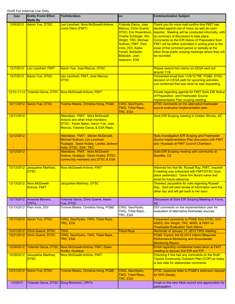| Date       | <b>Entity From/ Effort</b><br><b>Made By</b> | <b>To/Attendees</b>                                                                                                                                    | cc:                                                                                                                                                                                                                                                            | <b>Communication Subject</b>                                                                                                                                                                                                                                                                                                                                                                                                            |
|------------|----------------------------------------------|--------------------------------------------------------------------------------------------------------------------------------------------------------|----------------------------------------------------------------------------------------------------------------------------------------------------------------------------------------------------------------------------------------------------------------|-----------------------------------------------------------------------------------------------------------------------------------------------------------------------------------------------------------------------------------------------------------------------------------------------------------------------------------------------------------------------------------------------------------------------------------------|
| 12/6/2012  | <b>Aaron Yue, DTSC</b>                       | Leo Leonhart, Nora McDowell-Antone,<br>Linda Otero (FMIT)                                                                                              | Yolanda Garza, Jose<br><b>Marcos, Chris Guerre,</b><br><b>DTSC</b> ; Eric Rosenblum<br><b>Charlie Schlinger, Win</b><br>Wright, TRC; Michael<br>Sullivan, FMIT; Pam<br>Innis, DOI; Addie<br><b>Farrell, Bobbette</b><br>Biddulph, Joan<br><b>Isaacson, ESA</b> | Thank you for voice mail confirm that FMIT has<br>decided against use of voice, as well as court<br>reporter. Meeting will be conducted informally, with<br>no summary of discussion to take place.<br>Comments on the EIR Notice of Preparation from<br>FMIT will be either submitted in writing prior to the<br>close of the comment period or verbally at the<br>other three public scoping meetings where they will<br>be recorded. |
| 12/7/2012  | Leo Leonhart, FMIT                           | Aaron Yue, Jose Marcos, DTSC                                                                                                                           |                                                                                                                                                                                                                                                                | Please resend him memo on CEQA sent out<br>around 11/6.                                                                                                                                                                                                                                                                                                                                                                                 |
| 12/7/2012  | <b>Aaron Yue, DTSC</b>                       | Leo Leonhart, FMIT, Jose Marcos,<br><b>DTSC</b>                                                                                                        |                                                                                                                                                                                                                                                                | Forwarded email from 11/6/12 "RE: PG&E: DTSC<br>decision on CEQA path for upcoming activities.<br>Leo confirmed that was what he was requesting.                                                                                                                                                                                                                                                                                        |
|            |                                              | 12/10-11/12 Yolanda Garza, DTSC Nora McDowell-Antone, FMIT                                                                                             |                                                                                                                                                                                                                                                                | <b>Emails regarding agenda for FMIT Soils EIR Notice</b><br>of Preparation and Freshwater Source<br>Implementation Plan scoping meeting.                                                                                                                                                                                                                                                                                                |
| 12/11/2012 | Aaron Yue, DTSC                              | Yvonne Meeks, Christina Hong, PG&E                                                                                                                     | CWG, Geo/Hydro,<br>TWG, Tribal Reps.,<br><b>TRC, ESA</b>                                                                                                                                                                                                       | <b>DTSC comments on the alternative freshwater</b><br>source evaluation implementation plan.                                                                                                                                                                                                                                                                                                                                            |
| 12/11/2012 |                                              | Attendees: FMIT: Nora McDowell-<br><b>Antone and other tribal members:</b><br>DTSC: Karen Baker, Aaron Yue, Jose<br>Marcos, Yolanda Garza, & ESA Reps. |                                                                                                                                                                                                                                                                | Soils EIR Scoping meeting in Golden Shores, AZ                                                                                                                                                                                                                                                                                                                                                                                          |
| 12/12/2012 |                                              | Attendees: FMIT: Steven McDonald,<br>Michael Sullivan, Leo Leonhart;<br>Hualapai: Dawn Hubbs, Loretta Jackson-<br>Kelly; DTSC, ESA, TRC                |                                                                                                                                                                                                                                                                | Soils Investigation EIR Scoping and Freshwater<br>Source Implementation Plan discussion with FMIT<br>and Hualapai at FMIT Council Chambers                                                                                                                                                                                                                                                                                              |
| 12/12/2012 |                                              | Attendees: FMIT: Nora McDowell-<br>Antone; Hualapai: Dawn Hubbs; DTSC;<br>community members and DTSC & ESA                                             |                                                                                                                                                                                                                                                                | Soils EIR Scoping meeting with community at<br>Needles, CA                                                                                                                                                                                                                                                                                                                                                                              |
| 12/13/2012 | Jacqueline Martinez,<br><b>DTSC</b>          | Nora McDowell-Antone, FMIT                                                                                                                             |                                                                                                                                                                                                                                                                | Informed her that Mr. Russell Ray, FMIT, inquired<br>if meeting was scheduled with FMIT/DTSC (took<br>place yesterday). Gave him Nora's name and<br>email for future reference.                                                                                                                                                                                                                                                         |
| 12/13/2012 | Nora McDowell-<br><b>Antone, FMIT</b>        | Jacqueline Martinez, DTSC                                                                                                                              |                                                                                                                                                                                                                                                                | <b>Thanked Jacqueline for note regarding Russell</b><br>Ray. Said will start review of information sent the<br>other day and will get back to her soon.                                                                                                                                                                                                                                                                                 |
| 12/13/2012 | Amanda Barrera,<br><b>CRIT<sub>s</sub></b>   | Yolanda Garza, Chris Guerre, Aaron<br>Yue, DTSC                                                                                                        |                                                                                                                                                                                                                                                                | Discussion at Soils EIR Scoping Meeting in Yuma,<br><b>AZ</b>                                                                                                                                                                                                                                                                                                                                                                           |
| 12/13/2012 | Pam Innis, DOI                               | Yvonne Meeks, Christina Hong, PG&E                                                                                                                     | CWG, Geo/Hydro,<br>TWG, Tribal Reps.,<br>TRC, ESA                                                                                                                                                                                                              | DOI comments on the implementation plan for<br>evaluation of alternative freshwater sources.                                                                                                                                                                                                                                                                                                                                            |
| 12/17/2012 | Aaron Yue, DTSC                              | CWG, Geo/Hydro, TWG, Tribal Reps.,<br>TRC, ESA                                                                                                         |                                                                                                                                                                                                                                                                | Forwarded comments to PG&E from DTSC, DOI,<br>ADEQ, Win Wright, TRC, MWD, & FMIT on<br><b>Freshwater Evaluation Tech Memo</b>                                                                                                                                                                                                                                                                                                           |
| 12/21/2012 | Chris Guerre, DTSC                           | <b>TWG</b>                                                                                                                                             | <b>Tribal Reps.</b>                                                                                                                                                                                                                                            | Reminder of January 17, 2013 TWG meeting.                                                                                                                                                                                                                                                                                                                                                                                               |
| 12/21/2012 | Chris Guerre, DTSC                           | CWG, Geo/Hydro, TWG, Tribal Reps.,<br>TRC, ESA                                                                                                         |                                                                                                                                                                                                                                                                | PG&E Topock 3rd Qt 2012 Interim Measures<br><b>Performance Monitoring and Groundwater</b><br><b>Monitoring Report.</b>                                                                                                                                                                                                                                                                                                                  |
| 12/26/2012 | <b>Yolanda Garza, DTSC</b>                   | Nora McDowell-Antone, FMIT, Dawn<br>Hubbs, Hualapai                                                                                                    |                                                                                                                                                                                                                                                                | Email regarding confidential notes taken at FMIT<br>meeting to discuss Soil EIR and FIP.                                                                                                                                                                                                                                                                                                                                                |
| 12/28/2012 | Jacqueline Martinez,<br><b>DTSC</b>          | Nora McDowell-Antone, FMIT                                                                                                                             |                                                                                                                                                                                                                                                                | Checking if she had any comments on the Draft<br><b>Topock Community Outreach Plan (COP) as today</b><br>is due date for stakeholder comments.                                                                                                                                                                                                                                                                                          |
| 12/31/2012 | <b>Aaron Yue, DTSC</b>                       | Yvonne Meeks, Christina Hong, PG&E                                                                                                                     | CWG, Geo/Hydro,<br><b>TWG, Tribal Reps.,</b><br>TRC, ESA                                                                                                                                                                                                       | DTSC response letter to PG&E's extension request<br>for 60% Design.                                                                                                                                                                                                                                                                                                                                                                     |
| 1/2/2013   |                                              | Yolanda Garza, DTSC Doug Bonamici, CRITs                                                                                                               |                                                                                                                                                                                                                                                                | Email on the new tribal council and appreciation for<br>participation.                                                                                                                                                                                                                                                                                                                                                                  |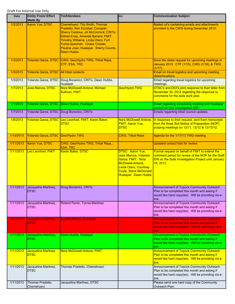| Date      | <b>Entity From/ Effort</b><br><b>Made By</b> | <b>To/Attendees</b>                                                                                                                                                                                                                                                                           | CC:                                                                                                                                                                 | <b>Communication Subject</b>                                                                                                                                              |
|-----------|----------------------------------------------|-----------------------------------------------------------------------------------------------------------------------------------------------------------------------------------------------------------------------------------------------------------------------------------------------|---------------------------------------------------------------------------------------------------------------------------------------------------------------------|---------------------------------------------------------------------------------------------------------------------------------------------------------------------------|
| 1/2/2013  | Aaron Yue, DTSC                              | <b>Chemehuevi: Tito Smith, Thomas</b><br>Pradetto, Ron Escobar; Cocopah:<br>Sherry Cordova, Jill McCormick; CRITs:<br>Eldred Enas, Amanda Barrera; FMIT:<br>Timothy Williams, Linda Otero; Fort<br>Yuma-Quechan: Chase Choate,<br>Pauline Jose; Hualapai: Sherry Counts,<br><b>Dawn Hubbs</b> |                                                                                                                                                                     | Mailed cd's containing emails and attachments<br>provided to the CWG during December 2012.                                                                                |
| 1/3/2013  |                                              | Yolanda Garza, DTSC CWG, Geo/Hydro TWG, Tribal Reps,<br>CTF, ESA, TRC                                                                                                                                                                                                                         |                                                                                                                                                                     | Save the dates request for upcoming meetings in<br>January 2013: CTF (1/15), CWG (1/16), & TWG<br>(1/17).                                                                 |
| 1/3/2013  | Yolanda Garza, DTSC                          | All tribal contacts                                                                                                                                                                                                                                                                           |                                                                                                                                                                     | Email on travel logistics and upcoming meeting<br>dates/locations.                                                                                                        |
| 1/3/2013  |                                              | Yolanda Garza, DTSC Doug Bonamici, CRITs, Dawn Hubbs,<br>Hualapai                                                                                                                                                                                                                             |                                                                                                                                                                     | Email regarding travel logistics for upcoming<br>meetings.                                                                                                                |
| 1/7/2013  | <b>Jose Marcos, DTSC</b>                     | Nora McDowell-Antone, Michael<br><b>Sullivan, FMIT</b>                                                                                                                                                                                                                                        | Geo/Hydro TWG                                                                                                                                                       | DTSC's and DOI's joint response to their letter from<br>November 30, 2012 regarding the response to<br>comments for the soils work plan.                                  |
| 1/7/2013  |                                              | Yolanda Garza, DTSC Dawn Hubbs, Hualapai                                                                                                                                                                                                                                                      |                                                                                                                                                                     | Email regarding scheduling meeting with Hualapai<br>council on Soil Investigation EIR.                                                                                    |
| 1/7/2013  |                                              | Yolanda Garza, DTSC Doug Bonamici, CRITs                                                                                                                                                                                                                                                      |                                                                                                                                                                     | Emails regarding tribal council updates.                                                                                                                                  |
| 1/8/2013  |                                              | Yolanda Garza, DTSC Leo Leonhart, FMIT, Karen Baker,<br><b>DTSC</b>                                                                                                                                                                                                                           | Nora McDowell-Antone,<br><b>FMIT; Aaron Yue,</b><br><b>DTSC</b>                                                                                                     | In response to their request, sent them transcripts<br>from the three Soil Notice of Preparation (NOP)<br>scoping meetings on 12/11, 12/12 & 12/13/12.                    |
| 1/10/2013 | Yolanda Garza, DTSC                          | Geo/Hydro TWG                                                                                                                                                                                                                                                                                 | <b>CWG, Tribal Reps</b>                                                                                                                                             | Agenda for the 1/17/13 TWG meeting                                                                                                                                        |
| 1/11/2013 | Aaron Yue, DTSC                              | CWG, Geo/Hydro TWG, Tribal Reps.,<br><b>ESA, TRC</b>                                                                                                                                                                                                                                          |                                                                                                                                                                     | Updated contact lists for review.                                                                                                                                         |
| 1/11/2013 | Leo Leonhart, FMIT                           | Karen Baker, DTSC                                                                                                                                                                                                                                                                             | DTSC: Aaron Yue,<br>Jose Marcos, Yolanda<br>Garza; FMIT: Nora<br>McDowell-Antone,<br><b>Linda Otero, Courtney</b><br>Coyle, Steve McDonald;<br>Hualapai: Dawn Hubbs | Formal request on behalf of FMIT to extend the<br>comment period for review of the NOP for the Draft<br>EIR on the Soils Investigation Project until January<br>18, 2013. |
| 1/11/2013 | Jacqueline Martinez,<br><b>DTSC</b>          | Doug Bonamici, CRITs                                                                                                                                                                                                                                                                          |                                                                                                                                                                     | Announcement of Topock Community Outreach<br>Plan to be completed this month and asking if<br>would like hard copy(ies). Will be providing via e-<br>link.                |
| 1/11/2013 | Jacqueline Martinez,<br><b>DTSC</b>          | Roland Ferrer, Torres-Martinez                                                                                                                                                                                                                                                                |                                                                                                                                                                     | Announcement of Topock Community Outreach<br>Plan to be completed this month and asking if<br>would like hard copy(ies). Will be providing via e-<br>link.                |
| 1/11/2013 | Jacqueline Martinez,<br><b>DTSC</b>          | Kendra Morton, Cocopah                                                                                                                                                                                                                                                                        |                                                                                                                                                                     | <b>Announcement of Topock Community Outreach</b><br>Plan to be completed this month and asking if<br>would like hard copy(ies). Will be providing via e-<br>link.         |
| 1/11/2013 | Jacqueline Martinez,<br><b>DTSC</b>          | Dawn Hubbs, Hualapai                                                                                                                                                                                                                                                                          |                                                                                                                                                                     | Announcement of Topock Community Outreach<br>Plan to be completed this month and asking if<br>would like hard copy(ies). Will be providing via e-<br>link.                |
| 1/11/2013 | Jacqueline Martinez,<br><b>DTSC</b>          | Nora McDowell-Antone, FMIT                                                                                                                                                                                                                                                                    |                                                                                                                                                                     | <b>Announcement of Topock Community Outreach</b><br>Plan to be completed this month and asking if<br>would like hard copy(ies). Will be providing via e-<br>link.         |
| 1/11/2013 | Jacqueline Martinez,<br><b>DTSC</b>          | Thomas Pradetto, Chemehuevi                                                                                                                                                                                                                                                                   |                                                                                                                                                                     | Announcement of Topock Community Outreach<br>Plan to be completed this month and asking if<br>would like hard copy(ies). Will be providing via e-<br>link.                |
| 1/11/2013 | Thomas Pradetto,<br>Chemehuevi               | Jacqueline Martinez, DTSC                                                                                                                                                                                                                                                                     |                                                                                                                                                                     | Please send one hard copy of the Community<br>Outreach Plan.                                                                                                              |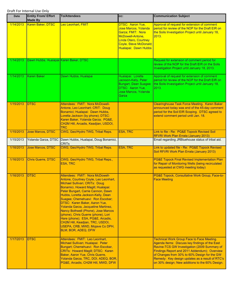| Date      | <b>Entity From/ Effort</b><br><b>Made By</b> | <b>To/Attendees</b>                                                                                                                                                                                                                                                                                                                                                                                                                                                                                                                                             | cc:                                                                                                                                                                 | <b>Communication Subject</b>                                                                                                                                                                                                                                                                                                                              |
|-----------|----------------------------------------------|-----------------------------------------------------------------------------------------------------------------------------------------------------------------------------------------------------------------------------------------------------------------------------------------------------------------------------------------------------------------------------------------------------------------------------------------------------------------------------------------------------------------------------------------------------------------|---------------------------------------------------------------------------------------------------------------------------------------------------------------------|-----------------------------------------------------------------------------------------------------------------------------------------------------------------------------------------------------------------------------------------------------------------------------------------------------------------------------------------------------------|
| 1/14/2013 | Karen Baker, DTSC                            | Leo Leonhart, FMIT                                                                                                                                                                                                                                                                                                                                                                                                                                                                                                                                              | DTSC: Aaron Yue,<br>Jose Marcos, Yolanda<br>Garza; FMIT: Nora<br>McDowell-Antone,<br><b>Linda Otero, Courtney</b><br>Coyle, Steve McDonald;<br>Hualapai: Dawn Hubbs | Approval of request for extension of comment<br>period for review of the NOP for the Draft EIR on<br>the Soils Investigation Project until January 18,<br>2013.                                                                                                                                                                                           |
| 1/14/2013 | Dawn Hubbs, Hualapai Karen Baker, DTSC       |                                                                                                                                                                                                                                                                                                                                                                                                                                                                                                                                                                 |                                                                                                                                                                     | Request for extension of comment period for<br>review of the NOP for the Draft EIR on the Soils<br>Investigation Project until January 18, 2013.                                                                                                                                                                                                          |
| 1/14/2013 | <b>Karen Baker</b>                           | Dawn Hubbs, Hualapai                                                                                                                                                                                                                                                                                                                                                                                                                                                                                                                                            | Hualapai: Loretta<br>Jackson-Kelly, Peter<br><b>Bungart, Dean Suagee;</b><br>DTSC: Aaron Yue,<br>Jose Marcos, Yolanda<br>Garza                                      | Approval of request for extension of comment<br>period for review of the NOP for the Draft EIR on<br>the Soils Investigation Project until January 18,<br>2013.                                                                                                                                                                                           |
| 1/15/2013 | <b>DTSC</b>                                  | Attendees: FMIT: Nora McDowell-<br>Antone, Leo Leonhart; CRIT: Doug<br>Bonamici; Hualapai: Dawn Hubbs,<br>Loretta Jackson (by phone); DTSC:<br>Karen Baker, Yolanda Garza; PG&E,<br>CH2M Hill, Arcadis, Keadjian, USDOI,<br><b>TRC</b>                                                                                                                                                                                                                                                                                                                          |                                                                                                                                                                     | <b>Clearinghouse Task Force Meeting. Karen Baker</b><br>announced today was end of the 45-day comment<br>period for the Soil EIR Scoping. DTSC agreed to<br>extend comment period until Jan. 18.                                                                                                                                                          |
| 1/15/2013 | Jose Marcos, DTSC                            | CWG, Geo/Hydro TWG, Tribal Reps.                                                                                                                                                                                                                                                                                                                                                                                                                                                                                                                                | <b>ESA, TRC</b>                                                                                                                                                     | Link to file - Re: PG&E Topock Revised Soil<br>RFI/RI Work Plan Errata (January 2013)                                                                                                                                                                                                                                                                     |
| 1/15/2013 | Yolanda Garza, DTSC                          | Dawn Hubbs, Hualapai, Doug Bonamici,<br><b>CRIT<sub>s</sub></b>                                                                                                                                                                                                                                                                                                                                                                                                                                                                                                 |                                                                                                                                                                     | Email regarding JRBluehouse status of tribal aid.                                                                                                                                                                                                                                                                                                         |
| 1/16/2013 | <b>Jose Marcos, DTSC</b>                     | CWG, Geo/Hydro TWG, Tribal Reps.                                                                                                                                                                                                                                                                                                                                                                                                                                                                                                                                | <b>ESA, TRC</b>                                                                                                                                                     | Link to updated file - Re: PG&E Topock Revised<br>Soil RFI/RI Work Plan Errata (January 2013)                                                                                                                                                                                                                                                             |
| 1/16/2013 | <b>Chris Guerre, DTSC</b>                    | CWG, Geo/Hydro TWG, Tribal Reps.,<br><b>ESA, TRC</b>                                                                                                                                                                                                                                                                                                                                                                                                                                                                                                            |                                                                                                                                                                     | <b>PG&amp;E Topock Final Revised Implementation Plan</b><br>for Repair of Monitoring Wells (being recirculated<br>as requested at CWG meeting today)                                                                                                                                                                                                      |
| 1/16/2013 | <b>DTSC</b>                                  | Attendees: FMIT: Nora McDowell-<br>Antone, Courtney Coyle, Leo Leonhart,<br>Michael Sullivan; CRITs: Doug<br>Bonamici, Howard Magill; Hualapai:<br>Peter Bungart, Carrie Cannon, Dawn<br>Hubbs, Loretta Jackson-Kelly, Dean<br>Suagee; Chemehuevi: Ron Escobar;<br>DTSC: Karen Baker, Aaron Yue,<br>Yolanda Garza, Jacqueline Martinez,<br>Nancy Bothwell (Phone), Jose Marcos<br>(phone), Chris Guerre (phone), Lori<br>Hare (phone); ESA, PG&E, Arcadis,<br>CH2M Hill, Keadjian, TRC, USDOI,<br>USEPA, CRB, MWD, Mojave Co DPH,<br><b>BLM, BOR, ADEQ, DFW</b> |                                                                                                                                                                     | PG&E Topock, Consultative Work Group, Face-to-<br><b>Face Meeting</b>                                                                                                                                                                                                                                                                                     |
| 1/17/2013 | <b>DTSC</b>                                  | Attendees: FMIT: Leo Leonhart,<br>Michael Sullivan; Hualapai: Peter<br>Bungart; Chemehuevi: Ron Escobar,<br>CRITs: Howard Magill; DTSC: Karen<br>Baker, Aaron Yue, Chris Guerre,<br>Yolanda Garza, TRC, DOI, ADEQ, BOR,<br>PG&E, Arcadis, CH2M Hill, MWD, DFW                                                                                                                                                                                                                                                                                                   |                                                                                                                                                                     | <b>Technical Work Group Face to Face Meeting.</b><br>Agenda Items: Discuss key findings of the East<br>Ravine-TCS GW Investigation (2009 Summary of<br>Findings Report and 2011 Addendum); Overview<br>of Changes from 30% to 60% Design for the GW<br>Remedy: Key design updates as a result of RTC's<br>on 30% design; New additions to the 60% Design. |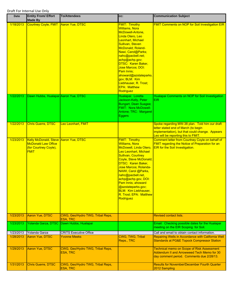| <b>Date</b> | <b>Entity From/ Effort</b><br><b>Made By</b>                                                                | <b>To/Attendees</b>                                 | CC:                                                                                                                                                                                                                                                                                                                                                                                            | <b>Communication Subject</b>                                                                                                                                                     |
|-------------|-------------------------------------------------------------------------------------------------------------|-----------------------------------------------------|------------------------------------------------------------------------------------------------------------------------------------------------------------------------------------------------------------------------------------------------------------------------------------------------------------------------------------------------------------------------------------------------|----------------------------------------------------------------------------------------------------------------------------------------------------------------------------------|
| 1/18/2013   | Courtney Coyle, FMIT Aaron Yue, DTSC                                                                        |                                                     | <b>FMIT: Timothy</b><br><b>Williams, Nora</b><br>McDowell-Antone,<br>Linda Otero, Leo<br>Leonhart, Michael<br>Sullivan, Steven<br>McDonald; Roland-<br>Nawi, Carol@Parks;<br>nahc@pacbell.net;<br>achp@achp.gov;<br><b>DTSC: Karen Baker,</b><br><b>Jose Marcos; DOI:</b><br>Pam Innis:<br>ahoward@azstateparks.<br>gov; BLM: Kim<br>Liebhauser, R. Trost;<br><b>EPA: Matthew</b><br>Rodriguez | <b>FMIT Comments on NOP for Soil Investigation EIR</b>                                                                                                                           |
| 1/22/2013   | Dawn Hubbs, Hualapai Aaron Yue, DTSC                                                                        |                                                     | Hualapai: Loretta<br>Jackson-Kelly, Peter<br><b>Bungart, Dean Suagee;</b><br><b>FMIT: Nora McDowell-</b><br>Antone; TRC: Margaret<br><b>Eggers</b>                                                                                                                                                                                                                                             | Hualapai Comments on NOP for Soil Investigation<br><b>EIR</b>                                                                                                                    |
| 1/22/2013   | <b>Chris Guerre, DTSC</b>                                                                                   | Leo Leonhart, FMIT                                  |                                                                                                                                                                                                                                                                                                                                                                                                | Spoke regarding MW-38 plan. Told him our draft<br>letter stated end of March (to begin<br>implementation), but that could change. Appears<br>Leo will be reporting this to FMIT. |
| 1/23/2013   | Kelly McDonald, Steve Aaron Yue, DTSC<br><b>McDonald Law Office</b><br>(for Courtney Coyle),<br><b>FMIT</b> |                                                     | <b>FMIT: Timothy</b><br><b>Williams, Nora</b><br>McDowell, Linda Otero,<br>Leo Leonhart, Michael<br>Sullivan, Courtney<br>Coyle, Steve McDonald;<br><b>DTSC: Karen Baker.</b><br>Jose Marcos; Rolanda-<br>NAWI, Carol @Parks,<br>nahc@pacbell.net,<br>achp@achp.gov, DOI:<br>Pam Innis; ahoward<br>@azstateparks.gov;<br><b>BLM: Kim Liebhauser,</b><br>R. Trost; EPA: Matthew<br>Rodriguez    | Comment letter from Courtney Coyle on behalf of<br><b>FMIT regarding the Notice of Preparation for an</b><br>EIR for the Soil Investigation.                                     |
| 1/23/2013   | Aaron Yue, DTSC                                                                                             | CWG, Geo/Hydro TWG, Tribal Reps,<br><b>ESA, TRC</b> |                                                                                                                                                                                                                                                                                                                                                                                                | <b>Revised contact lists.</b>                                                                                                                                                    |
| 1/23/2013   |                                                                                                             | Yolanda Garza, DTSC Dawn Hubbs, Hualapai            |                                                                                                                                                                                                                                                                                                                                                                                                | Email: Checking possible dates for the Hualapai<br>meeting on the EIR Scoping for Soil.                                                                                          |
| 1/23/2013   | Yolanda Garza                                                                                               | <b>CRITS Executive Office</b>                       |                                                                                                                                                                                                                                                                                                                                                                                                | Call and email to obtain contact information.                                                                                                                                    |
| 1/28/2013   | Aaron Yue, DTSC                                                                                             | <b>Yvonne Meeks</b>                                 | CWG, TWG, Tribal<br>Reps., TRC                                                                                                                                                                                                                                                                                                                                                                 | Repairing Wells in Accordance with California Well<br><b>Standards at PG&amp;E Topock Compressor Station</b>                                                                     |
| 1/29/2013   | Aaron Yue, DTSC                                                                                             | CWG, Geo/Hydro TWG, Tribal Reps,<br><b>ESA, TRC</b> |                                                                                                                                                                                                                                                                                                                                                                                                | <b>Technical memo on Scope of Risk Assessment</b><br>Addendum II and Arrowweed Tech Memo for 30<br>day comment period. Comments due 2/28/13.                                     |
| 1/31/2013   | Chris Guerre, DTSC                                                                                          | CWG, Geo/Hydro TWG, Tribal Reps,<br><b>ESA, TRC</b> |                                                                                                                                                                                                                                                                                                                                                                                                | <b>Results for November/December Fourth Quarter</b><br>2012 Sampling                                                                                                             |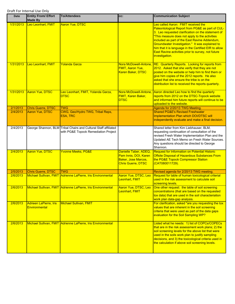| Date      | <b>Entity From/ Effort</b><br><b>Made By</b> | <b>To/Attendees</b>                                                                                     | CC:                                                                                               | <b>Communication Subject</b>                                                                                                                                                                                                                                                                                                                                                                                                         |
|-----------|----------------------------------------------|---------------------------------------------------------------------------------------------------------|---------------------------------------------------------------------------------------------------|--------------------------------------------------------------------------------------------------------------------------------------------------------------------------------------------------------------------------------------------------------------------------------------------------------------------------------------------------------------------------------------------------------------------------------------|
| 1/31/2013 | Leo Leonhart, FMIT                           | <b>Aaron Yue, DTSC</b>                                                                                  |                                                                                                   | Leo called Aaron: FMIT received the<br>Paleontological Report from PG&E as part of CUL-<br>3. Leo requested clarification on the statement of<br>"This measure does not apply to the activities<br>included as part of the East Ravine Addendum,<br>Groundwater Investigation." It was explained to<br>him that it is language in the Certified EIR to allow<br>East Ravine activities prior to survey, not future<br>investigation. |
| 1/31/2013 | Leo Leonhart, FMIT                           | <b>Yolanda Garza</b>                                                                                    | Nora McDowell-Antone,<br><b>FMIT, Aaron Yue,</b><br><b>Karen Baker, DTSC</b>                      | <b>RE: Quarterly Reports. Looking for reports from</b><br>2012. Asked that she verify that they are not<br>posted on the website or help him to find them or<br>give him copies of the 2012 reports. He also<br>asked that she ensure the tribe is on the<br>distribution list to received the reports quarterly.                                                                                                                    |
| 1/31/2013 | Aaron Yue, DTSC                              | Leo Leonhart, FMIT, Yolanda Garza,<br><b>DTSC</b>                                                       | Nora McDowell-Antone,<br><b>FMIT, Karen Baker,</b><br><b>DTSC</b>                                 | Aaron directed Leo how to find the quarterly<br>reports from 2012 on the DTSC-Topock website<br>and informed him future reports will continue to be<br>uploaded to the website.                                                                                                                                                                                                                                                      |
| 2/1/2013  | <b>Chris Guerre, DTSC</b>                    | <b>TWG</b>                                                                                              |                                                                                                   | Agenda for 2/20/13 TWG Meeting                                                                                                                                                                                                                                                                                                                                                                                                       |
| 2/4/2013  | Aaron Yue, DTSC                              | CWG, Geo/Hydro TWG, Tribal Reps,<br><b>ESA, TRC</b>                                                     |                                                                                                   | <b>Shared PG&amp;E's Revised Freshwater</b><br>Implementation Plan which DOI/DTSC will<br>independently evaluate and make a final decision.                                                                                                                                                                                                                                                                                          |
| 2/4/2013  |                                              | George Shannon, BLM Tribal Chairs and Cultural Staff affiliated<br>with PG&E Topock Remediation Project |                                                                                                   | Shared letter from Kim Liebhauser, BLM,<br>requesting continuation of consultation of the<br>revised Fresh Water Implementation Plan and the<br>Updated AE Tech Memo on Fresh Water Sources.<br>Any questions should be directed to George<br>Shannon.                                                                                                                                                                               |
| 2/4/2013  | Aaron Yue, DTSC                              | <b>Yvonne Meeks, PG&amp;E</b>                                                                           | Danielle Taber, ADEQ<br>Pam Innis, DOI, Karen<br>Baker, Jose Marcos,<br><b>Chris Guerre, DTSC</b> | Request for Information on Potential Historic<br>Offsite Disposal of Hazardous Substances From<br>the PG&E Topock Compressor Station<br>(CAT080011729).                                                                                                                                                                                                                                                                              |
| 2/5/2013  | <b>Chris Guerre, DTSC</b>                    | <b>TWG</b>                                                                                              |                                                                                                   | Revised agenda for 2/20/13 TWG meeting.                                                                                                                                                                                                                                                                                                                                                                                              |
| 2/6/2013  | <b>Michael Sullivan, FMIT</b>                | Adrienne LaPierre, Iris Environmental                                                                   | Aaron Yue, DTSC, Leo<br>Leonhart, FMIT                                                            | Request for table of human toxicological criterial<br>used in the risk assessment to calculate soil<br>screening levels.                                                                                                                                                                                                                                                                                                             |
| 2/6/2013  |                                              | Michael Sullivan, FMIT Adrienne LaPierre, Iris Environmental                                            | Aaron Yue, DTSC, Leo<br>Leonhart, FMIT                                                            | One other request: the table of soil screening<br>concentrations (that are based on the requested<br>tox data) that are used in the soil characteriation<br>work plan data-gap analysis.                                                                                                                                                                                                                                             |
| 2/6/2013  | Adrieen LaPierre, Iris<br>Environmental      | <b>Michael Sullivan, FMIT</b>                                                                           |                                                                                                   | For clarification, asked "are you requesting the tox<br>values that are inherent in the soil screening<br>criteria that were used as part of the data gaps<br>evaluation for the Soil Sampling WP?                                                                                                                                                                                                                                   |
| 2/6/2013  |                                              | Michael Sullivan, FMIT Adrienne LaPierre, Iris Environmental                                            |                                                                                                   | Listed what he needs: 1) list of COPCs/COPECs<br>that are in the risk assessment work plans; 2) the<br>soil screening levels for the above list that were<br>used in the soils work plan to justify sampling<br>decisions, and 3) the toxicological criteria used in<br>the calculation if above soil screening levels.                                                                                                              |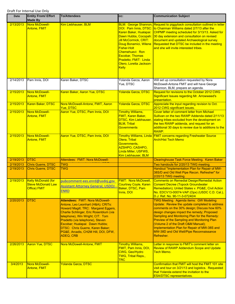| Date      | <b>Entity From/ Effort</b><br><b>Made By</b>                            | <b>To/Attendees</b>                                                                                                                                                                                                                                                                                                                                              | CC:                                                                                                                                                                                                                                             | <b>Communication Subject</b>                                                                                                                                                                                                                                                                                                                                                                                                                |
|-----------|-------------------------------------------------------------------------|------------------------------------------------------------------------------------------------------------------------------------------------------------------------------------------------------------------------------------------------------------------------------------------------------------------------------------------------------------------|-------------------------------------------------------------------------------------------------------------------------------------------------------------------------------------------------------------------------------------------------|---------------------------------------------------------------------------------------------------------------------------------------------------------------------------------------------------------------------------------------------------------------------------------------------------------------------------------------------------------------------------------------------------------------------------------------------|
| 2/13/2013 | Nora McDowell-<br><b>Antone, FMIT</b>                                   | Kim Liebhauser, BLM                                                                                                                                                                                                                                                                                                                                              | DOI: Pam Innis, DTSC:<br>Karen Baker, Hualapai:<br><b>Jill McCormick, CRIT:</b><br>Doug Bonamici, Wilene<br><b>Fisher-Holt</b><br>Chemehuevi: Ron<br><b>Escobar, Thomas</b><br>Pradetto; FMIT: Linda<br>Otero, Loretta Jackson-<br><b>Kelly</b> | BLM: George Shannon, Request to piggyback consultation outlined in letter<br>to Chairman Williams dated 2/7/13 after the<br>CHPMP meeting scheduled for 3/13/13. Asked for<br>Dawn Hubbs, Cocopah: 30 day extension and consultation on revised<br>document and updated Archaeological survey.<br>Requested that DTSC be included in the meeting<br>and she will invite interested tribes.                                                  |
| 2/14/2013 | Pam Innis, DOI                                                          | Karen Baker, DTSC                                                                                                                                                                                                                                                                                                                                                | Yolanda Garza, Aaron<br>Yue, DTSC                                                                                                                                                                                                               | Will set up consultation requested by Nora<br>McDowell-Antone FMIT and will have George<br>Shannon, BLM, prepare an agenda.                                                                                                                                                                                                                                                                                                                 |
| 2/15/2013 | Nora McDowell-<br>Antone, FMIT                                          | Karen Baker, Aaron Yue, DTSC                                                                                                                                                                                                                                                                                                                                     | <b>Yolanda Garza, DTSC</b>                                                                                                                                                                                                                      | Request for revisions to the October 2012 CWG<br>Significant Issues regarding Mr. Arrowweed's<br>presentation.                                                                                                                                                                                                                                                                                                                              |
| 2/15/2013 | Karen Baker, DTSC                                                       | Nora McDowell-Antone, FMIT, Aaron<br><b>Yue, DTSC</b>                                                                                                                                                                                                                                                                                                            | <b>Yolanda Garza, DTSC</b>                                                                                                                                                                                                                      | Appreciate the input regarding revision to Oct.<br>2012 CWG significant issues.                                                                                                                                                                                                                                                                                                                                                             |
| 2/15/2013 | Nora McDowell-<br><b>Antone, FMIT</b>                                   | Aaron Yue, DTSC, Pam Innis, DOI                                                                                                                                                                                                                                                                                                                                  | <b>Timothy Williams,</b><br><b>FMIT, Karen Baker,</b><br><b>DTSC, Kim Liebhauser,</b><br><b>BLM, Tribal</b><br><b>Governments</b>                                                                                                               | <b>Cover letter of comment letter from Michael</b><br>Sullivan on the two RAWP Addenda dated 2/11/13<br>stating tribes excluded from the development on<br>the two RAWP addenda, and request for an<br>additional 30 days to review due to additions to the<br>RAWP.                                                                                                                                                                        |
| 2/15/2013 | Nora McDowell-<br>Antone, FMIT                                          | Aaron Yue, DTSC, Pam Innis, DOI                                                                                                                                                                                                                                                                                                                                  | Otera, Tribal<br>Governments,<br>AZSHPO, CASHPO,<br>Linda Miller, USFWS,<br>Kim Liebhauser, BLM                                                                                                                                                 | Timothy Williams, Linda   FMIT concerns regarding Freshwater Source<br><b>Arch/Hist Tech Memo</b>                                                                                                                                                                                                                                                                                                                                           |
| 2/19/2013 | <b>DTSC</b>                                                             | Attendees: FMIT: Nora McDowell-                                                                                                                                                                                                                                                                                                                                  |                                                                                                                                                                                                                                                 | <b>Clearinghouse Task Force Meeting. Karen Baker</b>                                                                                                                                                                                                                                                                                                                                                                                        |
| 2/19/2013 | <b>Chris Guerre, DTSC</b>                                               | <b>TWG</b>                                                                                                                                                                                                                                                                                                                                                       |                                                                                                                                                                                                                                                 | Two handouts for 2/20/13 TWG meeting                                                                                                                                                                                                                                                                                                                                                                                                        |
| 2/19/2013 | <b>Chris Guerre, DTSC</b>                                               | <b>TWG</b>                                                                                                                                                                                                                                                                                                                                                       |                                                                                                                                                                                                                                                 | Handout "Implementation Plan for Repair of MW-<br>38S/D and Old Well Pipe Recon. Refresher" for<br>2/20/13 TWG meeting.                                                                                                                                                                                                                                                                                                                     |
| 2/19/2013 | <b>Kelly McDonald (for</b><br><b>Steve McDonald Law</b><br>Office) FMIT | pubcomment-ees.enrd@usdoj.gov<br><b>Assistant Attorney General, USDOJ</b><br><b>ENRD</b>                                                                                                                                                                                                                                                                         | <b>FMIT: Nora McDowell,</b><br><b>Courtney Coyle, Karen</b><br>Baker, DTSC, Pam<br>Innis, DOI                                                                                                                                                   | <b>Comments on Remedial Design/Remedial Action</b><br><b>Consent Decree (Topock Groundwater</b><br>Remediation); United States v. PG&E, Civil Action<br>No. EDCV13-00074-VAP (Opx) (USDC C.D. Cal.),<br>D.J. Ref. No. 90-11-3-07240/4                                                                                                                                                                                                       |
| 2/20/2013 | <b>DTSC</b>                                                             | <b>Attendees: FMIT: Nora McDowell-</b><br>Antone, Leo Leonhart (H&A); CRITs:<br>Howard Magill; TRC: Margaret Eggers,<br>Charlie Schlinger, Eric Rosenblum (via<br>telephone), Win Wright; CIT: Tom<br>Pradetto (via telephone), Steven<br>Escobar; Hualapai: Dawn Hubbs;<br>DTSC: Chris Guerre, Karen Baker;<br>PG&E, Arcadis, CH2M Hill, DOI, DFW,<br>ADEQ, CRB |                                                                                                                                                                                                                                                 | <b>TWG Meeting. Agenda items: GW Modeling</b><br>Update: Review the update completed to address<br>comments on the 30% design; Discuss how 60%<br>design changes impact the remedy; Proposed<br>Sampling and Monitoring Plan for the Remedy:<br>Preview of the Sampling and Monitoring Plan<br>(Volume 2 of the Draft O&M Manual);<br>Implementation Plan for Repair of MW-38S and<br>MW-38D and Old Well/Pipe Reconnaissance<br>Refresher. |
| 2/26/2013 | <b>Aaron Yue, DTSC</b>                                                  | Nora McDowell-Antone, FMIT                                                                                                                                                                                                                                                                                                                                       | <b>Timothy Williams,</b><br>FMIT, Pam Innis, DOI,<br>CWG, Geo/Hydro<br><b>TWG, Tribal Reps.,</b><br><b>TRC</b>                                                                                                                                  | Letter in response to FMIT's comment letter on<br><b>Review of RAWP Addendum Scope and Update</b><br><b>Tech Memo.</b>                                                                                                                                                                                                                                                                                                                      |
| 3/4/2013  | Nora McDowell-<br>Antone, FMIT                                          | <b>Yolanda Garza, DTSC</b>                                                                                                                                                                                                                                                                                                                                       |                                                                                                                                                                                                                                                 | Confirmation that FMIT will host the FMIT 101 site<br>visit and tour on 3/21/13 and logistics. Requested<br>that Yolanda extend the invitation to the<br><b>ESA/DTSC representatives.</b>                                                                                                                                                                                                                                                   |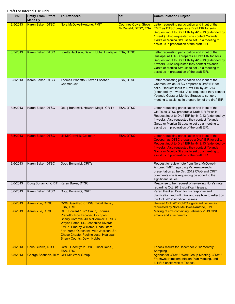| <b>Date</b>          | <b>Entity From/ Effort</b><br><b>Made By</b>                      | <b>To/Attendees</b>                                                                                                                                                                                                                                                                                                       | CC:                                                 | <b>Communication Subject</b>                                                                                                                                                                                                                                                                                 |
|----------------------|-------------------------------------------------------------------|---------------------------------------------------------------------------------------------------------------------------------------------------------------------------------------------------------------------------------------------------------------------------------------------------------------------------|-----------------------------------------------------|--------------------------------------------------------------------------------------------------------------------------------------------------------------------------------------------------------------------------------------------------------------------------------------------------------------|
| 3/5/2013             | Karen Baker, DTSC                                                 | Nora McDowell-Antone, FMIT                                                                                                                                                                                                                                                                                                | <b>Courtney Coyle, Steve</b><br>McDonald, DTSC, ESA | Letter requesting participation and input of the<br><b>FMIT as DTSC prepares a Draft EIR for soils.</b><br>Request input to Draft EIR by 4/19/13 (extended by<br>1 week). Also requested she contact Yolanda<br>Garza or Monica Strauss to set up a meeting to<br>assist us in preparation of the draft EIR. |
| 3/5/2013             | Karen Baker, DTSC                                                 | Loretta Jackson, Dawn Hubbs, Hualapai ESA, DTSC                                                                                                                                                                                                                                                                           |                                                     | Letter requesting participation and input of the<br>Hualapai as DTSC prepares a Draft EIR for soils.<br>Request input to Draft EIR by 4/19/13 (extended by<br>1 week). Also requested they contact Yolanda<br>Garza or Monica Strauss to set up a meeting to<br>assist us in preparation of the draft EIR.   |
| 3/5/2013             | Karen Baker, DTSC                                                 | Thomas Pradetto, Steven Escobar,<br>Chemehuevi                                                                                                                                                                                                                                                                            | ESA, DTSC                                           | Letter requesting participation and input of the<br>Chemehuevi as DTSC prepares a Draft EIR for<br>soils. Request input to Draft EIR by 4/19/13<br>(extended by 1 week). Also requested they contact<br>Yolanda Garza or Monica Strauss to set up a<br>meeting to assist us in preparation of the draft EIR. |
| 3/5/2013             | Karen Baker, DTSC                                                 | Doug Bonamici, Howard Magill, CRITs                                                                                                                                                                                                                                                                                       | <b>ESA, DTSC</b>                                    | Letter requesting participation and input of the<br>CRITs as DTSC prepares a Draft EIR for soils.<br>Request input to Draft EIR by 4/19/13 (extended by<br>1 week). Also requested they contact Yolanda<br>Garza or Monica Strauss to set up a meeting to<br>assist us in preparation of the draft EIR.      |
| 3/5/2013             | Karen Baker, DTSC                                                 | <b>Jill McCormick, Cocopah</b>                                                                                                                                                                                                                                                                                            | <b>ESA, DTSC</b>                                    | Letter requesting participation and input of the<br>Cocopah as DTSC prepares a Draft EIR for soils.<br>Request input to Draft EIR by 4/19/13 (extended by<br>1 week). Also requested they contact Yolanda<br>Garza or Monica Strauss to set up a meeting to<br>assist us in preparation of the draft EIR.    |
| 3/6/2013             | Karen Baker, DTSC                                                 | Doug Bonamici, CRITs                                                                                                                                                                                                                                                                                                      |                                                     | Request to review note from Nora McDowell-<br>Antone, FMIT, regarding Mr. Arrowweed's<br>presentation at the Oct. 2012 CWG and CRIT<br>comments she is requesting be added to the<br>significant issues.                                                                                                     |
| 3/6/2013<br>3/6/2013 | Doug Bonamici, CRIT                                               | Karen Baker, DTSC                                                                                                                                                                                                                                                                                                         |                                                     | Response to her request of reviewing Nora's note<br>regarding Oct. 2012 significant issues.                                                                                                                                                                                                                  |
|                      | Karen Baker, DTSC                                                 | Doug Bonamici, CRIT                                                                                                                                                                                                                                                                                                       |                                                     | Karen thanked Doug for his response and<br>clarification and will think and see how to reflect on<br>the Oct. 2012 significant issues.                                                                                                                                                                       |
| 3/6/2013             | Aaron Yue, DTSC                                                   | CWG, Geo/Hydro TWG, Tribal Reps.,<br><b>ESA, TRC</b>                                                                                                                                                                                                                                                                      |                                                     | Revised Oct. 2012 CWG significant issues as<br>requested by Nora McDowell-Antone, FMIT                                                                                                                                                                                                                       |
| 3/6/2013             | Aaron Yue, DTSC                                                   | CIT: Edward "Tito" Smith, Thomas<br>Pradetto, Ron Escobar; Cocopah:<br>Sherry Cordova, Jill McCormick; CRITS:<br>Wayne Patch, Sr., Josephine Rivera;<br><b>FMIT: Timothy Williams, Linda Otero;</b><br>Fort Yuma-Quechan: Mike Jackson, Sr.,<br>Chase Choate, Pauline Jose; Hualapai:<br><b>Sherry Counts, Dawn Hubbs</b> |                                                     | Mailing of cd's containing February 2013 CWG<br>emails and attachments.                                                                                                                                                                                                                                      |
| 3/8/2013<br>3/8/2013 | <b>Chris Guerre, DTSC</b><br>George Shannon, BLM CHPMP Work Group | CWG, Geo/Hydro TWG, Tribal Reps.,<br><b>ESA, TRC</b>                                                                                                                                                                                                                                                                      |                                                     | <b>Topock results for December 2012 Monthly</b><br><b>Sampling</b><br>Agenda for 3/13/13 Work Group Meeting, 3/13/13                                                                                                                                                                                         |
|                      |                                                                   |                                                                                                                                                                                                                                                                                                                           |                                                     | Freshwater Implementation Plan Meeting, and<br>3/14/13 onsite visit at Topock.                                                                                                                                                                                                                               |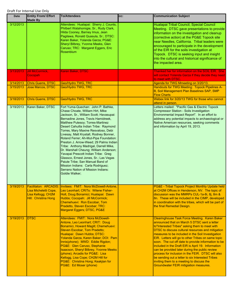| Date      | <b>Entity From/ Effort</b><br><b>Made By</b>                                                               | <b>To/Attendees</b>                                                                                                                                                                                                                                                                                                                                                                                                                                                                                                                                                                                                                                                                                            | CC: | <b>Communication Subject</b>                                                                                                                                                                                                                                                                                                                                                                                                                                                                                                                                                                                                                                                   |
|-----------|------------------------------------------------------------------------------------------------------------|----------------------------------------------------------------------------------------------------------------------------------------------------------------------------------------------------------------------------------------------------------------------------------------------------------------------------------------------------------------------------------------------------------------------------------------------------------------------------------------------------------------------------------------------------------------------------------------------------------------------------------------------------------------------------------------------------------------|-----|--------------------------------------------------------------------------------------------------------------------------------------------------------------------------------------------------------------------------------------------------------------------------------------------------------------------------------------------------------------------------------------------------------------------------------------------------------------------------------------------------------------------------------------------------------------------------------------------------------------------------------------------------------------------------------|
| 3/12/2013 |                                                                                                            | Attendees: Hualapai: Sherry J. Counts,<br>Philbert Watahomigie, Sr., Rudy Clark,<br>Hilda Cooney, Barney Imus, Jean<br>Pagilawa, Ronald Quasula, Sr.; DTSC:<br>Karen Baker, Yolanda Garza; PG&E:<br>Sheryl Bilbrey, Yvonne Meeks, Glen<br>Caruso; TRC: Margaret Eggers, Eric<br>Rosenblum                                                                                                                                                                                                                                                                                                                                                                                                                      |     | Hualapai Tribal Council, Special Council<br>Meeting. DTSC gave presentations to provide<br>information on the investigation and cleanup<br>(corrective action) at the PG&E Topock site<br>near Needles, California. Tribal leaders were<br>encouraged to participate in the development<br>of the EIR for the soils investigation at<br>Topock. DTSC is seeking input and insight<br>into the cultural and historical significance of<br>the impacted area.                                                                                                                                                                                                                    |
| 3/13/2013 | Jill McCormick,<br>Cocopah                                                                                 | Karen Baker, DTSC                                                                                                                                                                                                                                                                                                                                                                                                                                                                                                                                                                                                                                                                                              |     | Thanked her for information on the SOIL EIR. She<br>will contact Yolanda Garza if they decide they need<br>to meet with DTSC.                                                                                                                                                                                                                                                                                                                                                                                                                                                                                                                                                  |
| 3/14/2013 | <b>Chris Guerre, DTSC</b>                                                                                  | Geo/Hydro TWG, TRC                                                                                                                                                                                                                                                                                                                                                                                                                                                                                                                                                                                                                                                                                             |     | Agenda for TWG Mmeeting on 3/20/13.                                                                                                                                                                                                                                                                                                                                                                                                                                                                                                                                                                                                                                            |
| 3/15/2013 | <b>Jose Marcos, DTSC</b>                                                                                   | <b>Geo/Hydro TWG, TRC</b>                                                                                                                                                                                                                                                                                                                                                                                                                                                                                                                                                                                                                                                                                      |     | Handouts for TWG Meeting: Topock Pipelines A-<br>B, Soil Management Plan Baselines SAP, SMP<br><b>Flow Charts</b>                                                                                                                                                                                                                                                                                                                                                                                                                                                                                                                                                              |
| 3/18/2013 | <b>Chris Guerre, DTSC</b>                                                                                  | <b>Geo/Hydro TWG, TRC</b>                                                                                                                                                                                                                                                                                                                                                                                                                                                                                                                                                                                                                                                                                      |     | Webex link for 3/20/13 TWG for those who cannot                                                                                                                                                                                                                                                                                                                                                                                                                                                                                                                                                                                                                                |
| 3/19/2013 | Karen Baker, DTSC                                                                                          | Fort Yuma-Quechan: John P. Bathke,<br>Chase Choate, William Hirt, Mike<br>Jackson, Sr., William Scott; Havasupai:<br>Bernadine Jones, Travis Hamidreek,<br>Matthew Putesoy; Torres-Martinez<br>Desert Cahuilla Indian Tribe: Raymond<br>Torres, Mary Maxine Resvaloso, Debi<br>Livesay, Matt Krystall, Rodney Bonner,<br>Roland Ferrer; Ah-Mut-Pipa Foundation:<br>Preston J. Arrow-Weed; 29 Palms Indian<br>Tribe: Anthony Madrigal, Darrell Mike,<br>Dr. Marshall Cheung; William Anderson;<br>Yavapai Prescott Indian Tribe: Greg<br>Glassco, Ernest Jones, Sr.; Las Vegas<br>Paiute Tribe; San Manual Band of<br>Mission Indians: Carla Rodriguez;<br>Serrano Nation of Mission Indians:<br>Goldie Walker; |     | attend in person.<br>Letters mailed: "Pacific Gas & Electric Topock<br>Compressor Station - Soils Investigation<br>Environmental Impact Report". In an effort to<br>address any potential impacts to archaeological or<br>Native American resources, seeking comments<br>and information by April 19, 2013.                                                                                                                                                                                                                                                                                                                                                                    |
| 3/19/2013 | <b>Facilitaton: ARCADIS:</b><br>Lisa Micheletti Cope,<br>Lisa Kellogg; CH2M<br><b>Hill: Christina Hong</b> | Invitees: FMIT: Nora McDowell-Antone,<br>Leo Leonhart; CRITs: Wilene Fisher-<br>Holt, Doug Bonamici; Hualapai: Dawn<br>Hubbs; Cocopah: Jill McCormick;<br>Chemehuevi: Ron Escobar, Tom<br>Pradetto, Steven Escobar; TRC:<br>Margaret Eggers; DTSC, PG&E                                                                                                                                                                                                                                                                                                                                                                                                                                                        |     | <b>PG&amp;E</b> - Tribal Topock Project Monthly Update held<br>at CH2M Offices in Henderson, NV. The topic of<br>discussion was the MMRPs CUL-1a-8i, 8j, 8m &<br>8n. These will be included in the CIMP, developed<br>in coordination with the tribes, which will be part of<br>the final Remedial Design.                                                                                                                                                                                                                                                                                                                                                                     |
| 3/19/2013 | <b>DTSC</b>                                                                                                | Attendees: FMIT: Nora McDowell-<br>Antone, Leo Leonhart; CRIT: Doug<br>Bonamici, Howard Magill; Chemehuevi:<br>Steven Escobar, Tom Pradetto;<br>Hualapai: Dawn Hubbs; DTSC:<br>Yolanda Garza, Karen Baker; DOI: Pam<br>Innis(phone); MWD: Eddie Rigdon;<br>PG&E: Glen Caruso, Stephanie<br><b>Isaacson, Sheryl Bilbrey, Yvonne Meeks</b><br>(phone); Arcadis for PG&E: Lisa<br>Kellogg, Lisa Cope; CH2M Hill for<br>PG&E: Christina Hong; Keakjian for<br>PG&E: Ed Moser (phone)                                                                                                                                                                                                                               |     | Clearinghouse Task Force Meeting. Karen Baker<br>announced that on March 5 DTSC sent a letter<br>to"Interested Tribes" asking them to meet with<br>DTSC to discuss cultural resources and mitigation<br>measures to be included in the Soil Investigation<br>EIR. Letters will go to other Tribes on same topic<br>soon. The cut off date to provide information to be<br>included in the Draft EIR is April 19. Information<br>can be provided later during the public review<br>process for inclusion in the FEIR. DTSC will also<br>be sending out a letter to six Interested Tribes<br>inviting them to a meeting to discuss the<br>Groundwater FEIR mitigiation measures. |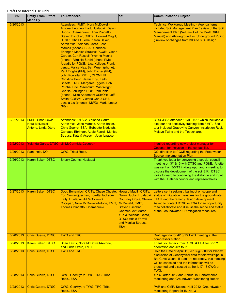| Date      | <b>Entity From/ Effort</b><br><b>Made By</b>                             | <b>To/Attendees</b>                                                                                                                                                                                                                                                                                                                                                                                                                                                                                                                                                                                                                                                                                                                                                                                                            | CC:                                                                                                                                                                                                                | <b>Communication Subject</b>                                                                                                                                                                                                                                                                                       |
|-----------|--------------------------------------------------------------------------|--------------------------------------------------------------------------------------------------------------------------------------------------------------------------------------------------------------------------------------------------------------------------------------------------------------------------------------------------------------------------------------------------------------------------------------------------------------------------------------------------------------------------------------------------------------------------------------------------------------------------------------------------------------------------------------------------------------------------------------------------------------------------------------------------------------------------------|--------------------------------------------------------------------------------------------------------------------------------------------------------------------------------------------------------------------|--------------------------------------------------------------------------------------------------------------------------------------------------------------------------------------------------------------------------------------------------------------------------------------------------------------------|
| 3/20/2013 |                                                                          | Attendees: FMIT: Nora McDowell-<br>Antone, Leo Leonhart; Hualapai: Dawn<br>Hubbs; Chemehuevi: Tom Pradetto,<br>Steven Escobar; CRITs: Howard Magill;<br>DTSC: Chris Guerre, Karen Baker,<br>Aaron Yue, Yolanda Garza, Jose<br>Marcos (phone); ESA: Candace<br>Ehringer, Monica Strauss; PG&E: Glenn<br>Caruso, Curt Russell, Yvonne Meeks<br>(phone), Virginia Strohl (phone PM);<br>Arcadis for PG&E: Lisa Kellogg, Frank<br>Lenzo, Valisa Nez, Ben Wuerl (phone),<br>Paul Tjoghs (PM), John Baxter (PM),<br>John Porcella (PM) ; CH2M Hill:<br>Christina Hong, Jamie Eby, Keith<br>Sheets; TRC: Margaret Eggers, Bob<br>Prucha, Eric Rosenblum, Win Wright,<br>Charlie Schlinger; DOI: Pam Innis<br>(phone), Mike Anderson; USBOR: Jeff<br>Smith; CDFW: Victoria Chau; CRB:<br>Lyndia Liu (phone); MWD: Maria Lopez<br>(PM); |                                                                                                                                                                                                                    | <b>Technical Workgroup Meeting - Agenda items</b><br>included Soil Management Plan (review of the Soil<br>Management Plan (Volume 4 of the Draft O&M<br>Manual) and Aboveground vs. Underground Piping<br>(Review of changes from 30% to 60% design.                                                               |
| 3/21/2013 | <b>FMIT: Shan Lewis,</b><br><b>Nora McDowell-</b><br>Antone, Linda Otero | Attendees: DTSC: Yolanda Garza,<br>Aaron Yue, Jose Marcos, Karen Baker,<br>Chris Guerre; ESA: Bobbette Biddulph,<br>Candace Ehringer, Addie Farrell, Monica<br>Strauss; Katz & Assoc.: Joan Isaacson                                                                                                                                                                                                                                                                                                                                                                                                                                                                                                                                                                                                                           |                                                                                                                                                                                                                    | DTSC/ESA attended "FMIT 101" which included a<br>site tour and sensitivity training from FMIT. Site<br>tour included Grapevine Canyon, Inscription Rock,<br>Mojave Twins and the Topock area.                                                                                                                      |
| 3/22/2013 |                                                                          | Yolanda Garza, DTSC Jill McCormick, Cocopah                                                                                                                                                                                                                                                                                                                                                                                                                                                                                                                                                                                                                                                                                                                                                                                    |                                                                                                                                                                                                                    | Inquired regarding new project manager for<br>Cocopah for inclusion in the contact list.                                                                                                                                                                                                                           |
| 3/26/2013 | Pam Innis, DOI                                                           | <b>CWG, Tribal Reps.</b>                                                                                                                                                                                                                                                                                                                                                                                                                                                                                                                                                                                                                                                                                                                                                                                                       |                                                                                                                                                                                                                    | DOI direction to PG&E regarding the Freshwater<br><b>Source Implementation Plan</b>                                                                                                                                                                                                                                |
| 3/26/2013 | Karen Baker, DTSC                                                        | Sherry Counts, Hualapai                                                                                                                                                                                                                                                                                                                                                                                                                                                                                                                                                                                                                                                                                                                                                                                                        |                                                                                                                                                                                                                    | Thank you letter for convening a special council<br>meeting on 3/12/13 with DTSC and PG&E. A letter<br>was sent on 3/5/13 inviting input and a meeting to<br>discuss the development of the soil EIR. DTSC<br>looks forward to continuing the dialogue and input<br>with the Hualapai council and representatives. |
| 3/27/2013 | Karen Baker, DTSC                                                        | Doug Bonamicci, CRITs; Chase Choate,<br>Fort Yuma-Quechan; Loretta Jackson-<br>Kelly, Hualapai; Jill McCormick,<br>Cocopah; Nora McDowell-Antone, FMIT; McDonald, FMIT;<br>Thomas Pradetto, Chemehuevi                                                                                                                                                                                                                                                                                                                                                                                                                                                                                                                                                                                                                         | Howard Magill, CRITs;<br>Dawn Hubbs, Hualapai;<br><b>Courtney Coyle, Steven</b><br>Steven Escobar,<br>Chemehuevi; Aaron<br>Yue & Yolanda Garza.<br><b>DTSC; Addie Farrell</b><br>and Monica Strauss,<br><b>ESA</b> | Letters sent seeking tribal input on scope and<br>status of mitigation measures for the groundwater<br>EIR during the remedy design development.<br>Asked to contact DTSC or ESA for an opportunity<br>to to collaborate and discuss the scope and status<br>of the Groundwater EIR mitigation measures.           |
| 3/28/2013 | <b>Chris Guerre, DTSC</b>                                                | <b>TWG and TRC</b>                                                                                                                                                                                                                                                                                                                                                                                                                                                                                                                                                                                                                                                                                                                                                                                                             |                                                                                                                                                                                                                    | Draft agenda for 4/18/13 TWG meeting at the<br>compressor station.                                                                                                                                                                                                                                                 |
| 3/28/2013 | Karen Baker, DTSC                                                        | Shan Lewis, Nora McDowell-Antone,<br>and Linda Otero, FMIT                                                                                                                                                                                                                                                                                                                                                                                                                                                                                                                                                                                                                                                                                                                                                                     |                                                                                                                                                                                                                    | Thank you letters from DTSC & ESA for 3/21/13<br>orientation and site tour.                                                                                                                                                                                                                                        |
| 3/28/2013 | <b>Chris Guerre, DTSC</b>                                                | <b>TWG and TRC</b>                                                                                                                                                                                                                                                                                                                                                                                                                                                                                                                                                                                                                                                                                                                                                                                                             |                                                                                                                                                                                                                    | Hold the Date of April 11, 2013 @ 2:00 for Webex<br>discussion of Geophysical data for old well/pipe in<br>Bat Cave Wash. If data are not ready, this meeting<br>will be canceled and the information will be<br>presented and discused at the 4/17-18 CWG or<br>TWG.                                              |
| 3/28/2013 | <b>Chris Guerre, DTSC</b>                                                | CWG, Geo/Hydro TWG, TRC, Tribal<br>Reps., ESA                                                                                                                                                                                                                                                                                                                                                                                                                                                                                                                                                                                                                                                                                                                                                                                  |                                                                                                                                                                                                                    | 4th Quarter 2012 and Annual IM Performance<br><b>Monitoring and Groundwater Monitoring Report</b>                                                                                                                                                                                                                  |
| 3/28/2013 | <b>Chris Guerre, DTSC</b>                                                | CWG, Geo/Hydro TWG, TRC, Tribal<br>Reps., ESA                                                                                                                                                                                                                                                                                                                                                                                                                                                                                                                                                                                                                                                                                                                                                                                  |                                                                                                                                                                                                                    | PAR and CMP, Second Half 2012, Groundwater<br>Monitoring Report for IM No. 3                                                                                                                                                                                                                                       |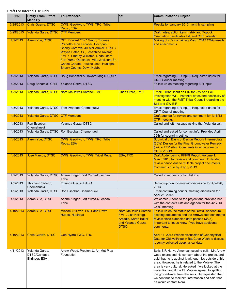| Date      | <b>Entity From/ Effort</b><br><b>Made By</b>    | <b>To/Attendees</b>                                                                                                                                                                                                                                                                                                       | CC:                                                                                                                     | <b>Communication Subject</b>                                                                                                                                                                                                                                                                                                                                                                                                                                               |
|-----------|-------------------------------------------------|---------------------------------------------------------------------------------------------------------------------------------------------------------------------------------------------------------------------------------------------------------------------------------------------------------------------------|-------------------------------------------------------------------------------------------------------------------------|----------------------------------------------------------------------------------------------------------------------------------------------------------------------------------------------------------------------------------------------------------------------------------------------------------------------------------------------------------------------------------------------------------------------------------------------------------------------------|
| 3/28/2013 | Chris Guerre, DTSC                              | CWG, Geo/Hydro TWG, TRC, Tribal<br>Reps., ESA                                                                                                                                                                                                                                                                             |                                                                                                                         | Results for January 2013 monthly sampling                                                                                                                                                                                                                                                                                                                                                                                                                                  |
| 3/29/2013 | Yolanda Garza, DTSC CTF Members                 |                                                                                                                                                                                                                                                                                                                           |                                                                                                                         | Draft notes, action item matrix and Topock<br>Orientation candidates list, and CTF calendar.                                                                                                                                                                                                                                                                                                                                                                               |
| 4/2/2013  | <b>Aaron Yue, DTSC</b>                          | CIT: Edward "Tito" Smith, Thomas<br>Pradetto, Ron Escobar; Cocopah:<br><b>Sherry Cordova, Jill McCormick; CRITS:</b><br>Wayne Patch, Sr., Josephine Rivera;<br>FMIT: Timothy Williams, Linda Otero;<br>Fort Yuma-Quechan: Mike Jackson, Sr.,<br>Chase Choate, Pauline Jose; Hualapai:<br><b>Sherry Counts, Dawn Hubbs</b> |                                                                                                                         | Mailing of cd's containing March 2013 CWG emails<br>and attachments.                                                                                                                                                                                                                                                                                                                                                                                                       |
| 4/3/2013  |                                                 | Yolanda Garza, DTSC   Doug Bonamici & Howard Magill, CRITs                                                                                                                                                                                                                                                                |                                                                                                                         | Email regarding EIR input. Requested dates for<br>CRIT Council meeting.                                                                                                                                                                                                                                                                                                                                                                                                    |
| 4/3/2013  | Doug Bonamici, CRIT                             | Yolanda Garza, DTSC                                                                                                                                                                                                                                                                                                       |                                                                                                                         | Follow-up on meeting regarding EIR input.                                                                                                                                                                                                                                                                                                                                                                                                                                  |
| 4/3/2013  |                                                 | Yolanda Garza, DTSC   Nora McDowell-Antone, FMIT                                                                                                                                                                                                                                                                          | Linda Otero, FMIT                                                                                                       | Email - Tribal input on EIR for GW and Soil<br>Investigation WP. Potential dates and possibility of<br>meeting with the FMIT Tribal Council regarding the<br>Soil and GW EIR.                                                                                                                                                                                                                                                                                              |
| 4/3/2013  |                                                 | Yolanda Garza, DTSC Tom Pradetto, Chemehuevi                                                                                                                                                                                                                                                                              |                                                                                                                         | Email regarding EIR input. Requested dates for<br>CRIT Council meeting.                                                                                                                                                                                                                                                                                                                                                                                                    |
| 4/5/2013  | Yolanda Garza, DTSC                             | <b>CTF Members</b>                                                                                                                                                                                                                                                                                                        |                                                                                                                         | Draft agenda for review and comment for 4/16/13<br>CTF meeting.                                                                                                                                                                                                                                                                                                                                                                                                            |
| 4/8/2013  | Ron Escobar,<br>Chemehuevi                      | Yolanda Garza, DTSC                                                                                                                                                                                                                                                                                                       |                                                                                                                         | Called and left message asking that Yolanda call.                                                                                                                                                                                                                                                                                                                                                                                                                          |
| 4/8/2013  |                                                 | Yolanda Garza, DTSC Ron Escobar, Chemehuevi                                                                                                                                                                                                                                                                               |                                                                                                                         | Called and asked for contact info. Provided April<br>26th for council meeting.                                                                                                                                                                                                                                                                                                                                                                                             |
| 4/8/2013  | Aaron Yue, DTSC                                 | CWG, Geo/Hydro TWG, TRC, Tribal<br>Reps., ESA                                                                                                                                                                                                                                                                             |                                                                                                                         | Submittal of Basis of Design Report/ Intermediate<br>(60%) Design for the Final Groundwater Remedy<br>(link to FTP site). Comments in writing due by<br>COB 6/16/13.                                                                                                                                                                                                                                                                                                       |
| 4/8/2013  | Jose Marcos, DTSC                               | CWG, Geo/Hydro TWG, Tribal Reps.                                                                                                                                                                                                                                                                                          | <b>ESA, TRC</b>                                                                                                         | Draft Addendum to RFI/RI Report, Volume 1,<br>March 2013 for review and comment. Extended<br>review period due to multiple project documents.<br>Comments due by July 5, 2013.                                                                                                                                                                                                                                                                                             |
| 4/9/2013  |                                                 | Yolanda Garza, DTSC Arlene Kinger, Fort Yuma-Quechan<br>Tribe                                                                                                                                                                                                                                                             |                                                                                                                         | Called to request contact list info.                                                                                                                                                                                                                                                                                                                                                                                                                                       |
| 4/9/2013  | Thomas Pradetto,<br>Chemehuevi                  | Yolanda Garza, DTSC                                                                                                                                                                                                                                                                                                       |                                                                                                                         | Setting up council meeting discussion for April 26,<br>2013.                                                                                                                                                                                                                                                                                                                                                                                                               |
| 4/9/2013  |                                                 | Yolanda Garza, DTSC   Ron Escobar, Chemehuevi                                                                                                                                                                                                                                                                             |                                                                                                                         | Email confirming council meeting discussion for<br>April 26, 2013.                                                                                                                                                                                                                                                                                                                                                                                                         |
| 4/9/2013  | Aaron Yue, DTSC                                 | Arlene Kinger, Fort Yuma-Quechan<br>Tribe                                                                                                                                                                                                                                                                                 |                                                                                                                         | Welcomed Arlene to the project and provided her<br>with the contacts lists and agenda for the 4/17/13<br>CWG meeting.                                                                                                                                                                                                                                                                                                                                                      |
| 4/10/2013 | Aaron Yue, DTSC                                 | Michael Sullivan, FMIT and Dawn<br>Hubbs, Hualapai                                                                                                                                                                                                                                                                        | Nora McDowell-Antone,<br><b>FMIT, Lisa Kellogg,</b><br><b>Arcadis, Karen Baker</b><br>and Yolanda Garza,<br><b>DTSC</b> | Follow-up on the status of the RAWP addendum<br>scoping documents and the Arrowweed tech memo<br>review since extension date passed (3/28).<br>Important to let us know if you have additional<br>comments.                                                                                                                                                                                                                                                                |
| 4/10/2013 | Chris Guerre, DTSC                              | Geo/Hydro TWG, TRC                                                                                                                                                                                                                                                                                                        |                                                                                                                         | April 11, 2013 Webex discussion of Geophysical<br>Data for Old well/pipe in Bat Cave Wash to discuss<br>recently collected geophysical data.                                                                                                                                                                                                                                                                                                                               |
| 4/11/2013 | Yolanda Garza,<br>DTSC/Candace<br>Ehringer, ESA | Arrow-Weed, Preston J., Ah-Mut-Pipa<br>Foundation                                                                                                                                                                                                                                                                         |                                                                                                                         | Soils EIR Native American scoping call:: Mr. Arrow-<br>weed expressed his concern about the project and<br>said that he is against it, although it's outside of his<br>area. However, he is related to the Mojave. The<br>area is very cultural. He asked if we looked at the<br>water first and if the Ft. Mojave agreed to splitting<br>the groundwater from the soils. He requested that<br>we continue to mail him information and said that<br>he would contact Nora. |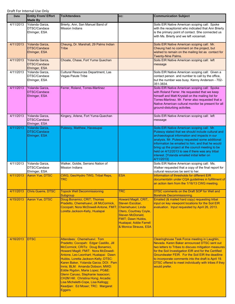| Draft For Internal Use Only |  |
|-----------------------------|--|
|-----------------------------|--|

| <b>Date</b> | <b>Entity From/ Effort</b><br><b>Made By</b>           | <b>To/Attendees</b>                                                                                                                                                                                                                                                                                                                                                                                                                                                                                                     | CC:                                                                                                                                                                   | <b>Communication Subject</b>                                                                                                                                                                                                                                                                                                                                                                                                     |
|-------------|--------------------------------------------------------|-------------------------------------------------------------------------------------------------------------------------------------------------------------------------------------------------------------------------------------------------------------------------------------------------------------------------------------------------------------------------------------------------------------------------------------------------------------------------------------------------------------------------|-----------------------------------------------------------------------------------------------------------------------------------------------------------------------|----------------------------------------------------------------------------------------------------------------------------------------------------------------------------------------------------------------------------------------------------------------------------------------------------------------------------------------------------------------------------------------------------------------------------------|
| 4/11/2013   | Yolanda Garza.<br>DTSC/Candace<br>Ehringer, ESA        | Brierty, Ann, San Manuel Band of<br><b>Mission Indians</b>                                                                                                                                                                                                                                                                                                                                                                                                                                                              |                                                                                                                                                                       | Soils EIR Native American scoping call: Spoke<br>with the receptionist who indicated that Ann Brierty<br>is the primary point of contact. She connected us<br>with Ms. Brierty and we left voicemail.                                                                                                                                                                                                                            |
| 4/11/2013   | Yolanda Garza,<br>DTSC/Candace<br>Ehringer, ESA        | Cheung, Dr. Marshall, 29 Palms Indian<br>Tribe                                                                                                                                                                                                                                                                                                                                                                                                                                                                          |                                                                                                                                                                       | Soils EIR Native American scoping call: Mr.<br>Cheung had no comment on the project, but<br>wished to remain on the mailing list as contact for<br>Twenty-Nine Palms.                                                                                                                                                                                                                                                            |
| 4/11/2013   | Yolanda Garza,<br>DTSC/Candace<br>Ehringer, ESA        | Choate, Chase, Fort Yuma Quechan                                                                                                                                                                                                                                                                                                                                                                                                                                                                                        |                                                                                                                                                                       | Soils EIR Native American scoping call: left<br>message                                                                                                                                                                                                                                                                                                                                                                          |
| 4/11/2013   | Yolanda Garza,<br>DTSC/Candace<br>Ehringer, ESA        | Cultural Resources Department, Las<br>Vegas Paiute Tribe                                                                                                                                                                                                                                                                                                                                                                                                                                                                |                                                                                                                                                                       | Soils EIR Native American scoping call: Given a<br>contact person and number to call by the office,<br>but the number was busy. Kenny Anderson - 702-<br>351-3834.                                                                                                                                                                                                                                                               |
| 4/11/2013   | Yolanda Garza,<br>DTSC/Candace<br>Ehringer, ESA        | Ferrer, Roland, Torres-Martinez                                                                                                                                                                                                                                                                                                                                                                                                                                                                                         |                                                                                                                                                                       | Soils EIR Native American scoping call: Spoke<br>with Roland Ferrer. He requested that we keep<br>himself and Matt Krystall on the mailing list for<br>Torres-Martinez. Mr. Ferrer also requested that a<br>Native American cultural monitor be present for all<br>ground-disturbing activites.                                                                                                                                  |
| 4/11/2013   | Yolanda Garza,<br>DTSC/Candace<br>Ehringer, ESA        | Kingery, Arlene, Fort Yuma-Quechan                                                                                                                                                                                                                                                                                                                                                                                                                                                                                      |                                                                                                                                                                       | Soils EIR Native American scoping call: left<br>message                                                                                                                                                                                                                                                                                                                                                                          |
| 4/11/2013   | Yolanda Garza,<br><b>DTSC/Candace</b><br>Ehringer, ESA | Putesoy, Matthew, Havasupai                                                                                                                                                                                                                                                                                                                                                                                                                                                                                             |                                                                                                                                                                       | Soils EIR Native American scoping call: Mr.<br>Putesoy stated that we should include cultural and<br>archaeological information and impacts in our<br>analysis. Mr. Putesoy requested some additional<br>information be emailed to him, and that he would<br>bring up the project at the council meeting to be<br>held on 4/12/2013 to see if there was any tribal<br>interest. [Yolanda emailed initial letter on<br>4/11/2013] |
| 4/11/2013   | Yolanda Garza,<br>DTSC/Candace<br>Ehringer, ESA        | Walker, Goldie, Serrano Nation of<br><b>Mission Indians</b>                                                                                                                                                                                                                                                                                                                                                                                                                                                             |                                                                                                                                                                       | Soils EIR Native American scoping call: Ms.<br>Walker requested that a copy of the final report for<br>cultural resources be sent to her.                                                                                                                                                                                                                                                                                        |
| 4/11/2013   | Aaron Yue, DTSC                                        | CWG, Geo/Hydro TWG, Tribal Reps,<br><b>TRC</b>                                                                                                                                                                                                                                                                                                                                                                                                                                                                          | <b>ESA</b>                                                                                                                                                            | Information of thresholds for different EIR<br>documentatin under CQA guidelines in fulfillment of<br>an action item from the 1/16/13 CWG meeting.                                                                                                                                                                                                                                                                               |
| 4/11/2013   | Chris Guerre, DTSC                                     | <b>Topock Well Decommissioning</b><br>Subgroup                                                                                                                                                                                                                                                                                                                                                                                                                                                                          | <b>TRC</b>                                                                                                                                                            | DTSC comments on the Draft SOP for Well and<br><b>Borehole Decommissioning.</b>                                                                                                                                                                                                                                                                                                                                                  |
| 4/15/2013   | Aaron Yue, DTSC                                        | Doug Bonamici, CRIT; Thomas<br>Pradetto, Chemehuevi; Jill McCormick,<br>Cocopah; Nora McDowell-Antone, FMIT; Chemehuevi; Linda<br>Loretta Jackson-Kelly, Hualapai                                                                                                                                                                                                                                                                                                                                                       | Howard Magill, CRIT,<br>Steven Escobar,<br>Otero, Courtney Coyle,<br>Steven McDonald,<br><b>FMIT; Dawn Hubbs,</b><br>Hualapai; Addie Farrell<br>& Monica Strauss, ESA | Emailed (& mailed hard copy) requesting tribal<br>input on key viewpoint locations for the Soil EIR<br>evaluation. Input requested by April 26, 2013.                                                                                                                                                                                                                                                                            |
| 4/16/2013   | <b>DTSC</b>                                            | Attendees: Chemehuevi: Tom<br>Pradetto; Cocopah: Edgar Castillo, Jill<br>McCormick; CRITs: Doug Bonamici,<br>Howard Magill; FMIT: Nora McDowell-<br>Antone, Leo Leonhart; Hualapai: Dawn<br>Hubbs, Loretta Jackson-Kelly; DTSC:<br>Karen Baker, Yolanda Garza; DOI: Pam<br>Innis; BLM: Amanda Dobson; MWD:<br>Eddie Rigdon, Maria Lopez; PG&E:<br>Glenn Caruso, Stephanie Isaacson;<br>CH2M Hill: Christina Hong; Arcadis:<br>Lisa Micheletti-Cope, Lisa Kellogg;<br>Keadjian: Ed Moser; TRC: Margaret<br><b>Eggers</b> |                                                                                                                                                                       | Clearinghouse Task Force meeting in Laughlin,<br>Nevada. Karen Baker announced DTSC sent out<br>two letters to Tribes to discuss mitigation measures<br>for the Soil Investigation EIR and for the Certified<br>Groundwater FEIR. For the Soil EIR the deadline<br>to incorporate comments into the draft is April 19.<br>DTSC offered to meet individually with tribes if they<br>would prefer.                                 |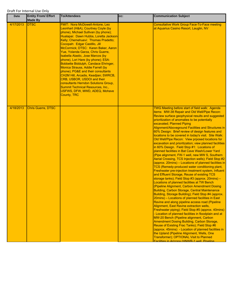| <b>Date</b> | <b>Entity From/ Effort</b>    | <b>To/Attendees</b>                                                                                                                                                                                                                                                                                                                                                                                                                                                                                                                                                                                                                                                                             | CC: | <b>Communication Subject</b>                                                                                                                                                                                                                                                                                                                                                                                                                                                                                                                                                                                                                                                                                                                                                                                                                                                                                                                                                                                                                                                                                                                                                                                                                                                                                                                                                                                                                                                                                                                                                                                                                                                                                                                                                                                     |
|-------------|-------------------------------|-------------------------------------------------------------------------------------------------------------------------------------------------------------------------------------------------------------------------------------------------------------------------------------------------------------------------------------------------------------------------------------------------------------------------------------------------------------------------------------------------------------------------------------------------------------------------------------------------------------------------------------------------------------------------------------------------|-----|------------------------------------------------------------------------------------------------------------------------------------------------------------------------------------------------------------------------------------------------------------------------------------------------------------------------------------------------------------------------------------------------------------------------------------------------------------------------------------------------------------------------------------------------------------------------------------------------------------------------------------------------------------------------------------------------------------------------------------------------------------------------------------------------------------------------------------------------------------------------------------------------------------------------------------------------------------------------------------------------------------------------------------------------------------------------------------------------------------------------------------------------------------------------------------------------------------------------------------------------------------------------------------------------------------------------------------------------------------------------------------------------------------------------------------------------------------------------------------------------------------------------------------------------------------------------------------------------------------------------------------------------------------------------------------------------------------------------------------------------------------------------------------------------------------------|
| 4/17/2013   | <b>Made By</b><br><b>DTSC</b> | <b>FMIT: Nora McDowell-Antone, Leo</b>                                                                                                                                                                                                                                                                                                                                                                                                                                                                                                                                                                                                                                                          |     | <b>Consultative Work Group Face-To-Face meeting</b>                                                                                                                                                                                                                                                                                                                                                                                                                                                                                                                                                                                                                                                                                                                                                                                                                                                                                                                                                                                                                                                                                                                                                                                                                                                                                                                                                                                                                                                                                                                                                                                                                                                                                                                                                              |
|             |                               | Leonhart (H&A), Courtney Coyle (by<br>phone), Michael Sullivan (by phone);<br>Hualapai: Dawn Hubbs, Loretta Jackson-<br>Kelly; Chemehuevi: Thomas Pradetto;<br>Cocopah: Edgar Castillo, Jill<br>McCormick; DTSC: Karen Baker, Aaron<br>Yue, Yolanda Garza, Chris Guerre,<br><b>Isabella Alastic, Jose Marcos (by</b><br>phone), Lori Hare (by phone); ESA:<br>Bobbette Biddulph, Candace Ehringer,<br>Monica Strauss, Addie Farrell (by<br>phone); PG&E and their consultants<br>CH2M Hill, Arcadis, Keadjian; SWRCB,<br>CRB, USBOR, USDOI and their<br>consultants Herndon Solutions Group,<br><b>Summit Technical Resources, Inc.,</b><br>USFWS, DFW, MWD, ADEQ, Mohave<br><b>County, TRC</b> |     | at Aquarius Casino Resort, Lauglin, NV                                                                                                                                                                                                                                                                                                                                                                                                                                                                                                                                                                                                                                                                                                                                                                                                                                                                                                                                                                                                                                                                                                                                                                                                                                                                                                                                                                                                                                                                                                                                                                                                                                                                                                                                                                           |
|             |                               |                                                                                                                                                                                                                                                                                                                                                                                                                                                                                                                                                                                                                                                                                                 |     |                                                                                                                                                                                                                                                                                                                                                                                                                                                                                                                                                                                                                                                                                                                                                                                                                                                                                                                                                                                                                                                                                                                                                                                                                                                                                                                                                                                                                                                                                                                                                                                                                                                                                                                                                                                                                  |
| 4/18/2013   | <b>Chris Guerre, DTSC</b>     |                                                                                                                                                                                                                                                                                                                                                                                                                                                                                                                                                                                                                                                                                                 |     | TWG Meeting before start of field walk: Agenda<br>items: MW-38 Repair and Old Well/Pipe Recon:<br>Review surface geophysical results and suggested<br>prioritization of anomalies to be potentially<br>excavated; Planned Piping<br>Alignment/Aboveground Facilities and Structures in<br>60% Design: Brief review of design features and<br>locations to be covered in today's visit. Site Walk:<br>Old Well/Pipe Recon: View prposed locations for<br>excavation and prioritization; view planned facilities<br>in 60% Design. Field Stop #1: Locations of<br>planned facilities in Bat Cave Wash/Lower Yard<br>(Pipe alignment, FW-1 well, new MW S, Southern<br>Aerial Crossing, TCS Injection wells); Field Stop #2<br>(approx. 20mins) – Locations of planned facilities in<br>TCS (Remedy-produced water conditioning plant,<br>Freshwater pre-injection treatment system, Influent<br>and Effluent Storage, Reuse of existing TCS<br>storage tanks); Field Stop #3 (approx. 20mins) -<br>Locations of planned facilities at TW Bench<br>(Pipeline Alignment, Carbon Amendment Dosing<br>Building, Carbon Storage, Central Maintenance<br>Building, Storage Building); Field Stop #4 (approx.<br>20mins) - Locations of planned facilities in East<br>Ravine and along pipeline access road (Pipeline<br>Alignment, East Ravine extraction wells,<br>Freshwater piping); Field Stop #5 (approx. 40mins)<br>- Location of planned facilities in floodplain and at<br>MW-20 Bench (Pipeline alignment, Carbon<br>Amendment Dosing Building, Carbon Storage,<br>Reuse of Existing Frac Tanks); Field Stop #6<br>(approx. 45mins) - Location of planned facilities in<br>the Upland (Pipeline Alignment, Wells, One<br>Transformer); OPTIONAL Visit to Planned<br>Facilities in Arizona (HNWR-1 well Pineline |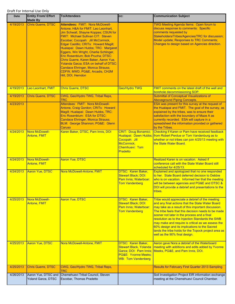| Date      | <b>Entity From/ Effort</b><br><b>Made By</b> | <b>To/Attendees</b>                                                                                                                                                                                                                                                                                                                                                                                                                                                                                                                                   | CC:                                                                                                                               | <b>Communication Subject</b>                                                                                                                                                                                                                                                                                                                                                                                                                                                                                       |
|-----------|----------------------------------------------|-------------------------------------------------------------------------------------------------------------------------------------------------------------------------------------------------------------------------------------------------------------------------------------------------------------------------------------------------------------------------------------------------------------------------------------------------------------------------------------------------------------------------------------------------------|-----------------------------------------------------------------------------------------------------------------------------------|--------------------------------------------------------------------------------------------------------------------------------------------------------------------------------------------------------------------------------------------------------------------------------------------------------------------------------------------------------------------------------------------------------------------------------------------------------------------------------------------------------------------|
| 4/19/2013 | Chris Guerre, DTSC                           | <b>Attendees: FMIT: Nora McDowell-</b><br>Antone; H&A for FMIT: Leo Leonhart,<br>Jim Schwall, Shayne Koppas; CSUN for<br><b>FMIT: Michael Sullivan CIT: Steven</b><br>Escobar; Cocopah: Jill McCormick,<br>Edgar Castillo; CRITs: Howard Magill;<br>Hualapai: Dawn Hubbs; TRC: Margaret<br>Eggers, Win Wright, Charlie Schlinger,<br>Eric Rosenblum; Bob Prucha; DTSC:<br>Chris Guerre, Karen Baker, Aaron Yue,<br>Yolanda Garza; ESA on behalf of DTSC:<br>Candace Ehringer, Monica Strauss;<br>CDFW, MWD, PG&E, Arcadis, CH2M<br>Hill, DOI, Herndon |                                                                                                                                   | <b>TWG Meeting Agenda Items: Open forum to</b><br>discuss response to comments: Specific<br>comments requested by<br>Stakeholders/Tribes/Agencies/TRC for discussion;<br>Model update; Responses to TRC Comments;<br>Changes to design based on Agencies direction.                                                                                                                                                                                                                                                |
| 4/19/2013 | Leo Leonhart, FMIT                           | <b>Chris Guerre, DTSC</b>                                                                                                                                                                                                                                                                                                                                                                                                                                                                                                                             | Geo/Hydro TWG                                                                                                                     | <b>FMIT comments on the latest draft of the well and</b><br>borehole decommissioning SOP.                                                                                                                                                                                                                                                                                                                                                                                                                          |
| 4/19/2013 | <b>Chris Guerre, DTSC</b>                    | CWG, Geo/Hydro TWG, Tribal Reps,<br>TRC                                                                                                                                                                                                                                                                                                                                                                                                                                                                                                               |                                                                                                                                   | <b>Submittal of Conceptual Visualizations of</b><br><b>Aboveground Piping Concepts.</b>                                                                                                                                                                                                                                                                                                                                                                                                                            |
| 4/23/2013 |                                              | Attendees: FMIT: Nora McDowell-<br>Antone, Craig Gordon; CRITs: Howard<br>Magill; Hualapai: Dawn Hubbs, TRC:<br>Eric Rosenblum: ESA for DTSC:<br>Candace Ehringer, Monica Strauss;<br>BLM: George Shannon; PG&E: Glenn<br>Caruso                                                                                                                                                                                                                                                                                                                      |                                                                                                                                   | ESA was present for this survey at the request of<br>the Hualapai and FMIT. The goal of the survey, as<br>explained by the tribes, was to ensure their<br>satisfaction with the boundary of Maze A as<br>currently recorded. ESA will capture in a<br>spreadsheet the information provided or gathered<br>by the Tribes.                                                                                                                                                                                           |
| 4/24/2013 | Nora McDowell-<br><b>Antone, FMIT</b>        | Karen Baker, DTSC, Pam Innis, DOI                                                                                                                                                                                                                                                                                                                                                                                                                                                                                                                     | <b>CRIT: Doug Bonamici;</b><br>Cocopah: Jill<br>McCormick;<br>Chemhuevi: Tom<br><b>Pradetto</b>                                   | Checking if Karen or Pam have received feedback<br>Hualapai: Dawn Hubbs; from Robert Perdue or Tom Vandenburg as to<br>whether or not tribes can join 4/25/13 meeting with<br>the State Water Board.                                                                                                                                                                                                                                                                                                               |
| 4/24/2013 | Nora McDowell-<br>Antone, FMIT               | <b>Aaron Yue, DTSC</b>                                                                                                                                                                                                                                                                                                                                                                                                                                                                                                                                |                                                                                                                                   | Realized Karen is on vacation. Asked if<br>conference call with the State Water Board still<br>scheduled for 4/25/13.                                                                                                                                                                                                                                                                                                                                                                                              |
| 4/24/2013 | <b>Aaron Yue, DTSC</b>                       | Nora McDowell-Antone, FMIT                                                                                                                                                                                                                                                                                                                                                                                                                                                                                                                            | DTSC: Karen Baker,<br><b>Stewart Black: DOI:</b><br>Pam Innis; Waterboar:<br><b>Tom Vandenberg</b>                                | Explained and apologized that no one responded<br>to her. State Board deferred decision to Debbie<br>who is on vacation. Informed her that the meeting<br>will be between agencies and PG&E and DTSC &<br>DOI will provide a debrief and presentations to the<br>tribes.                                                                                                                                                                                                                                           |
| 4/25/2013 | Nora McDowell-<br>Antone, FMIT               | <b>Aaron Yue, DTSC</b>                                                                                                                                                                                                                                                                                                                                                                                                                                                                                                                                | DTSC: Karen Baker,<br><b>Stewart Black; DOI:</b><br>Pam Innis; Waterboar:<br><b>Tom Vandenberg</b>                                | Tribe would appreciate a debrief of the meeting<br>and any final actions that the State Water Board<br>may take as a result of this important discussion.<br>The tribe feels that this decision needs to be made<br>sooner not later in the process and a final<br>resolution as to the Injection Standards the SWB<br>may make and require is critical as we assess the<br>60% design and its implications to the Sacred<br>lands the tribe holds for the Topock project area as<br>well as the 90% final design. |
| 4/25/2013 | <b>Aaron Yue, DTSC</b>                       | Nora McDowell-Antone, FMIT                                                                                                                                                                                                                                                                                                                                                                                                                                                                                                                            | DTSC: Karen Baker,<br><b>Stewart Black, Yolanda</b><br>Garza; DOI: Pam Innis;<br>PG&E: Yvonne Meeks;<br><b>WB: Tom Vandenberg</b> | Aaron gave Nora a debrief of the Waterboard<br>meeting with additions and edits added by Yvonne<br>Meeks, PG&E, and Pam Innis, DOI.                                                                                                                                                                                                                                                                                                                                                                                |
| 4/25/2013 | <b>Chris Guerre, DTSC</b>                    | CWG, Geo/Hydro TWG, Tribal Reps,<br><b>TRC</b>                                                                                                                                                                                                                                                                                                                                                                                                                                                                                                        |                                                                                                                                   | <b>Results for February First Quarter 2013 Sampling</b>                                                                                                                                                                                                                                                                                                                                                                                                                                                            |
| 4/26/2013 | Aaron Yue, DTSC and<br>Yoland Garza, DTSC    | Chemehuevi Tribal Council, Steven<br>Escobar, Thomas Pradetto                                                                                                                                                                                                                                                                                                                                                                                                                                                                                         |                                                                                                                                   | Soil Investigation Project EIR information exchange<br>meeting at the Chemehuevi Council Chamber.                                                                                                                                                                                                                                                                                                                                                                                                                  |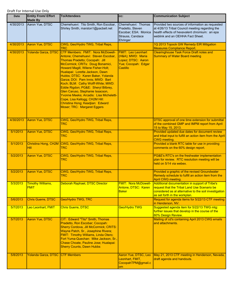| <b>Date</b>          | <b>Entity From/ Effort</b><br><b>Made By</b>       | <b>To/Attendees</b>                                                                                                                                                                                                                                                                                                                                                                                                                                                                                                                                                      | CC:                                                                                                     | <b>Communication Subject</b>                                                                                                                                                              |
|----------------------|----------------------------------------------------|--------------------------------------------------------------------------------------------------------------------------------------------------------------------------------------------------------------------------------------------------------------------------------------------------------------------------------------------------------------------------------------------------------------------------------------------------------------------------------------------------------------------------------------------------------------------------|---------------------------------------------------------------------------------------------------------|-------------------------------------------------------------------------------------------------------------------------------------------------------------------------------------------|
| 4/30/2013            | Aaron Yue, DTSC                                    | Chemehuevi: Tito Smith, Ron Escobar,<br>Shirley Smith, marston1@pacbell.net                                                                                                                                                                                                                                                                                                                                                                                                                                                                                              | Chemehuevi: Thomas<br>Pradetto, Steven<br>Escobar; ESA: Monica<br>Strauss, Candace<br>Ehringer          | Provided two sources of information as requested<br>at 4/26/13 Tribal Council meeting regarding the<br>health effects of hexavalent chromium: an epa<br>weblink and an OEHHA Fact Sheet.  |
| 4/30/2013            | Aaron Yue, DTSC                                    | CWG, Geo/Hydro TWG, Tribal Reps,<br><b>TRC</b>                                                                                                                                                                                                                                                                                                                                                                                                                                                                                                                           |                                                                                                         | 1Q 2013 Topock GW Remedy EIR Mitigation<br><b>Measures Compliance Report.</b>                                                                                                             |
| 4/30/2013            | Yolanda Garza, DTSC                                | CTF Members: FMIT: Nora McDowell-<br>Antone; Chemehuevi: Steven Escobar,<br>Thomas Pradetto; Cocopah: Jill<br>McCormick; CRITs: Doug Bonamici,<br>Howard Magill, Wilene Fisher-Holt;<br>Hualapai: Loretta Jackson, Dawn<br>Hubbs; DTSC: Karen Baker, Yolanda<br>Garza; DOI: Pam Innis; MWD: Bart<br>Koch; BLM: Cathy Wolff-White; MWD:<br>Eddie Rigdon; PG&E: Sheryl Bilbrey,<br>Glen Caruso, Stephanie Issacson,<br>Yvonne Meeks; Arcadis: Lisa Micheletti-<br>Cope, Lisa Kellogg; CH2M Hill:<br>Christina Hong; Keadjian: Edward<br><b>Moser; TRC: Margaret Eggers</b> | <b>FMIT: Leo Leonhart</b><br>(H&A); MWD: Maria<br>Lopez; DTSC: Aaron<br>Yue; Cocopah: Edgar<br>Castillo | <b>Clearinghouse Task Force Draft notes and</b><br><b>Summary of Water Board meeting</b>                                                                                                  |
| 4/30/2013            | <b>Aaron Yue, DTSC</b>                             | CWG, Geo/Hydro TWG, Tribal Reps,<br><b>TRC</b>                                                                                                                                                                                                                                                                                                                                                                                                                                                                                                                           |                                                                                                         | DTSC approval of one time extension for submittal<br>of the combined GMP and IMPM report from April<br>15 to May 15, 2013.                                                                |
| 5/1/2013             | Aaron Yue, DTSC                                    | CWG, Geo/Hydro TWG, Tribal Reps,<br><b>TRC</b>                                                                                                                                                                                                                                                                                                                                                                                                                                                                                                                           |                                                                                                         | Provided updated due dates for document review<br>and tribal input to fulfill an action item from the April<br><b>CWG</b> meeting.                                                        |
| 5/1/2013             | Hill                                               | Christina Hong, CH2M CWG, Geo/Hydro TWG, Tribal Reps,<br><b>TRC</b>                                                                                                                                                                                                                                                                                                                                                                                                                                                                                                      |                                                                                                         | Provided a blank RTC table for use in providing<br>comments on the 60% design report.                                                                                                     |
| 5/2/2013             | Aaron Yue, DTSC                                    | CWG, Geo/Hydro TWG, Tribal Reps,<br>TRC                                                                                                                                                                                                                                                                                                                                                                                                                                                                                                                                  |                                                                                                         | PG&E's RTC's on the freshwater implementation<br>plan for review. RTC resolution meeting will be<br>held on 5/14 via webex.                                                               |
| 5/2/2013             | Aaron Yue, DTSC                                    | CWG, Geo/Hydro TWG, Tribal Reps,<br><b>TRC</b>                                                                                                                                                                                                                                                                                                                                                                                                                                                                                                                           |                                                                                                         | Provided a graphic of the revised Groundwater<br>Remedy schedule to fulfill an action item from the<br>April CWG meeting.                                                                 |
| 5/3/2013             | <b>Timothy Williams,</b><br><b>FMIT</b>            | Deborah Raphael, DTSC Director                                                                                                                                                                                                                                                                                                                                                                                                                                                                                                                                           | <b>FMIT: Nora McDowell-</b><br>Antone, DTSC: Karen<br><b>Baker</b>                                      | Additional documentation in support of Tribe's<br>request that the Tribal Land Use Scenario be<br>considered as al alternative to the soil investigation<br>as set forth in the workplan. |
| 5/6/2013             | <b>Chris Guerre, DTSC</b>                          | <b>Geo/Hydro TWG, TRC</b>                                                                                                                                                                                                                                                                                                                                                                                                                                                                                                                                                |                                                                                                         | Request for agenda items for 5/22/13 CTF meeting<br>in Henderson, NV.                                                                                                                     |
| 5/7/2013             | Leo Leonhart, FMIT                                 | <b>Chris Guerre, DTSC</b>                                                                                                                                                                                                                                                                                                                                                                                                                                                                                                                                                | Geo/Hydro TWG                                                                                           | Suggested agenda item for 5/22/13 TWG mtg:<br>further issues that develop in the course of the<br>60% Design Review.                                                                      |
| 5/7/2013<br>5/8/2013 | Aaron Yue, DTSC<br>Yolanda Garza, DTSC CTF Members | CIT: Edward "Tito" Smith, Thomas<br>Pradetto, Ron Escobar; Cocopah:<br>Sherry Cordova, Jill McCormick; CRITS:<br>Wayne Patch, Sr., Josephine Rivera;<br>FMIT: Timothy Williams, Linda Otero;<br>Fort Yuma-Quechan: Mike Jackson, Sr.,<br>Chase Choate, Pauline Jose; Hualapai:<br><b>Sherry Counts, Dawn Hubbs</b>                                                                                                                                                                                                                                                       | Aaron Yue, DTSC, Leo                                                                                    | Mailing of cd's containing April 2013 CWG emails<br>and attachments.<br>May 21, 2013 CTF meeting in Henderson, Nevada,                                                                    |
|                      |                                                    |                                                                                                                                                                                                                                                                                                                                                                                                                                                                                                                                                                          | Leonhart, FMIT,<br>CocopahTPM@gmail.c<br>om                                                             | draft agenda and handouts.                                                                                                                                                                |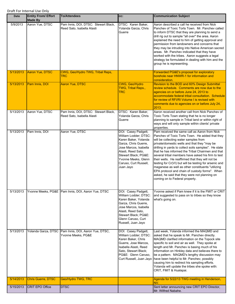| Date      | <b>Entity From/ Effort</b><br><b>Made By</b> | <b>To/Attendees</b>                                                | CC:                                                                                                                                                                                                                              | <b>Communication Subject</b>                                                                                                                                                                                                                                                                                                                                                                                                                                                                                                                                                                                                                                          |
|-----------|----------------------------------------------|--------------------------------------------------------------------|----------------------------------------------------------------------------------------------------------------------------------------------------------------------------------------------------------------------------------|-----------------------------------------------------------------------------------------------------------------------------------------------------------------------------------------------------------------------------------------------------------------------------------------------------------------------------------------------------------------------------------------------------------------------------------------------------------------------------------------------------------------------------------------------------------------------------------------------------------------------------------------------------------------------|
| 5/9/2013  | Aaron Yue, DTSC                              | Pam Innis, DOI, DTSC: Stewart Black,<br>Reed Sato, Isabella Alasti | DTSC: Karen Baker,<br>Yolanda Garza, Chris<br>Guerre                                                                                                                                                                             | Aaron described a call he received from Nick<br>Panchev of Toxic Torts Town. Mr. Panchev called<br>to inform DTSC that they are planning to send a<br>drill rig out to sample "all over" the area. Aaron<br>explained the need to him of getting approval and<br>permission from landowners and concerns that<br>they may be intruding into Native American sacred<br>areas. Mr. Panchev indicated that they have<br>worked with the tribes. Aaron suggests a legal<br>strategy be formulated in dealing with him and the<br>group he is representing.                                                                                                                |
| 5/13/2013 | Aaron Yue, DTSC                              | CWG, Geo/Hydro TWG, Tribal Reps,<br><b>TRC</b>                     |                                                                                                                                                                                                                                  | Forwarded PG&E's proposal for exploratory<br>borehole near HNWR-1 for information and<br>consideration.                                                                                                                                                                                                                                                                                                                                                                                                                                                                                                                                                               |
| 5/13/2013 | Pam Innis, DOI                               | <b>Aaron Yue, DTSC</b>                                             | CWG, Geo/Hydro<br>TWG, Tribal Reps.,<br><b>TRC</b>                                                                                                                                                                               | Revision to the BOD and 60% Design Submittal<br>review schedule. Comments are now due to the<br>agencies on or before June 24, 2013 to<br>accommodate federal tribal consultation. Schedule<br>for review of RFI/RI Volume I is revised with<br>comments due to agencies on or before July 24,<br>2013.                                                                                                                                                                                                                                                                                                                                                               |
| 5/13/2013 | Aaron Yue, DTSC                              | Pam Innis, DOI, DTSC: Stewart Black,<br>Reed Sato, Isabella Alasti | DTSC: Karen Baker,<br>Yolanda Garza, Chris<br>Guerre                                                                                                                                                                             | Aaron received another call from Nick Panchev of<br>Toxic Torts Town stating that he is no longer<br>planning to sample in Tribal land or within right of<br>ways and will only sample within clients' private<br>properties.                                                                                                                                                                                                                                                                                                                                                                                                                                         |
| 5/13/2013 | Pam Innis, DOI                               | Aaron Yue, DTSC                                                    | DOI: Casey Padgett,<br>William Lodder; DTSC:<br>Karen Baker, Yolanda<br>Garza, Chris Guerre,<br>Jose Marcos, Isabella<br>Alasti, Reed Sato,<br>Stewart Black; PG&E:<br>Yvonne Meeks, Glenn<br>Caruso, Curt Russell,<br>Juan Jayo | Pam received the same call as Aaron from Nick<br>Panchev of Toxic Torts Town. He added that they<br>will be collecting water samples from<br>private/domestic wells and that they "may be<br>drilling in yards to collect soils samples". He state<br>that he has informed the Tribal Chairmen and that<br>several tribal members have asked his firm to test<br>their wells. He reaffirmed that they will not be<br>testing for Cr(VI) but will be testing for arsenic and<br>maganese as well as other constituents "utilizing<br>EPA protocol and chain of custody forms". When<br>asked, he said that they were not planning on<br>coming on to Federal property. |
| 5/13/2013 |                                              | Yvonne Meeks, PG&E Pam Innis, DOI, Aaron Yue, DTSC                 | DOI: Casey Padgett,<br>William Lodder; DTSC:<br>Karen Baker, Yolanda<br>Garza, Chris Guerre,<br>Jose Marcos, Isabella<br>Alasti, Reed Sato,<br>Stewart Black; PG&E:<br>Glenn Caruso, Curt<br>Russell, Juan Jayo                  | Yvonne asked if Pam knew if it is the FMIT or CRIT<br>and suggested to pass on to tribes so they know<br>what's going on.                                                                                                                                                                                                                                                                                                                                                                                                                                                                                                                                             |
| 5/13/2013 | Yolanda Garza, DTSC                          | Pam Innis, DOI, Aaron Yue, DTSC,<br>Yvonne Meeks, PG&E             | DOI: Casey Padgett,<br>William Lodder; DTSC:<br>Karen Baker, Chris<br>Guerre, Jose Marcos,<br>Isabella Alasti, Reed<br>Sato, Stewart Black;<br>PG&E: Glenn Caruso,<br>Curt Russell, Juan Jayo                                    | Last week, Yolanda informed the MAQMD and<br>asked that he speak to Mr. Panchev directly.<br>MAQMD clarified information on the Topock site<br>specific to soil and air as well. They spoke at<br>length and Mr. Panchev is basing much of his<br>information on Hinkley data and believes there to<br>be a pattern. MAQMD's lengthy discussion may<br>have been helpful to Mr. Panchev, possibly<br>causing him to redirect his sampling efforts.<br>Yolanda will update the tribes she spoke with:<br>CRIT, FMIT & Hualapai.                                                                                                                                        |
| 5/14/2013 | <b>Chris Guerre, DTSC</b>                    | Geo/Hydro TWG, TRC                                                 |                                                                                                                                                                                                                                  | Agenda for 5/22/13 TWG meeting in Henderson,<br>NV.                                                                                                                                                                                                                                                                                                                                                                                                                                                                                                                                                                                                                   |
| 5/15/2013 | <b>CRIT EPO Office</b>                       | <b>DTSC</b>                                                        |                                                                                                                                                                                                                                  | Sent letter announcing new CRIT EPO Director,<br>Mr. Wilfred Nabahe.                                                                                                                                                                                                                                                                                                                                                                                                                                                                                                                                                                                                  |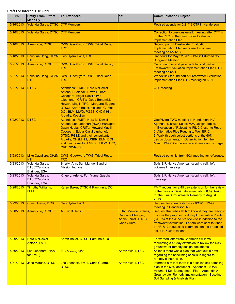| Date      | <b>Entity From/ Effort</b><br><b>Made By</b>    | <b>To/Attendees</b>                                                                                                                                                                                                                                                                      | CC:                                                                                                   | <b>Communication Subject</b>                                                                                                                                                                                                                                                                                                          |
|-----------|-------------------------------------------------|------------------------------------------------------------------------------------------------------------------------------------------------------------------------------------------------------------------------------------------------------------------------------------------|-------------------------------------------------------------------------------------------------------|---------------------------------------------------------------------------------------------------------------------------------------------------------------------------------------------------------------------------------------------------------------------------------------------------------------------------------------|
| 5/16/2013 | Yolanda Garza, DTSC CTF Members                 |                                                                                                                                                                                                                                                                                          |                                                                                                       | Revised agenda for 5/21/13 CTF in Henderson.                                                                                                                                                                                                                                                                                          |
| 5/16/2013 | Yolanda Garza, DTSC CTF Members                 |                                                                                                                                                                                                                                                                                          |                                                                                                       | Correction to previous email, meeting after CTF is<br>for the RTC on the Freshwater Evaluation<br>Implementation Plan.                                                                                                                                                                                                                |
| 5/16/2013 | Aaron Yue, DTSC                                 | CWG, Geo/Hydro TWG, Tribal Reps,<br><b>TRC</b>                                                                                                                                                                                                                                           |                                                                                                       | <b>Second part of Freshwater Evaluation</b><br>Implementation Plan response to comment<br>meeting on 5/21/13.                                                                                                                                                                                                                         |
| 5/18/2013 | Christina Hong, CH2M<br>Hill                    | Geo/Hydro TWG, TRC                                                                                                                                                                                                                                                                       |                                                                                                       | Handouts for May 22, 2013 TWG/Disturbed Soil<br><b>Subgroup Meeting.</b>                                                                                                                                                                                                                                                              |
| 5/21/2013 | <b>Aaron Yue, DTSC</b>                          | CWG, Geo/Hydro TWG, Tribal Reps.,<br>TRC                                                                                                                                                                                                                                                 |                                                                                                       | Call in number and passcode for 2nd part of<br><b>Freshwater Evaluation Implementation Plan RTC</b><br>meeting on 5/21.                                                                                                                                                                                                               |
| 5/21/2013 | <b>Hill</b>                                     | Christina Hong, CH2M CWG, Geo/Hydro TWG, Tribal Reps.,<br><b>TRC</b>                                                                                                                                                                                                                     |                                                                                                       | Webex link for 2nd part of Freshwater Evaluation<br>Implementation Plan RTC meeting on 5/21.                                                                                                                                                                                                                                          |
| 5/21/2013 | <b>DTSC</b>                                     | Attendees: FMIT: Nora McDowell-<br>Antone; Hualapai: Dawn Hubbs;<br>Cocopah: Edgar Castillo (via<br>telephone); CRITs: Doug Bonamici,<br>Howard Magill; TRC: Margaret Eggers;<br>DTSC: Karen Baker, Yolanda Garza;<br>DOI, BLM, MWD, PG&E, CH2M Hill,<br>Arcadis, Keadjian               |                                                                                                       | <b>CTF Meeting</b>                                                                                                                                                                                                                                                                                                                    |
| 5/22/2013 | <b>DTSC</b>                                     | Attendees: FMIT: Nora McDowell-<br>Antone, Leo Leonhart (H&A); Hualapai:<br>Dawn Hubbs; CRITs: Howard Magill;<br>Cocopah: Edgar Castillo (phone);<br>DTSC, PG&E and their consultants<br>Arcadis, CH2M Hill, USBR, BLM, DOI<br>and their consultant GRB, CDFW, TRC,<br><b>CRB, SWRCB</b> |                                                                                                       | Geo/Hydro TWG meeting in Henderson, NV.<br>Agenda: Discuss Select 60% Design Topics<br>1. Evaluation of Relocating IRL-2 Closer to Road;<br>2. Alternative Pipe Routing to Well ER-6;<br>3. Walk through select portions of the 60%<br>design documents; 4. OthersAction item from<br>March TWG/Discussion on soil reuse and storage. |
| 5/23/2013 | Mike Cavaliere, CH2M<br><b>Hill</b>             | CWG, Geo/Hydro TWG, Tribal Reps,<br>TRC                                                                                                                                                                                                                                                  |                                                                                                       | Revised punchlist from 5/21 meeting for reference.                                                                                                                                                                                                                                                                                    |
| 5/23/2013 | Yolanda Garza,<br>DTSC/Candace<br>Ehringer, ESA | Brierty, Ann, San Manuel Band of<br><b>Mission Indians</b>                                                                                                                                                                                                                               |                                                                                                       | Soils EIR Native American scoping call: left<br>voicemail message.                                                                                                                                                                                                                                                                    |
| 5/23/2013 | Yolanda Garza,<br>DTSC/Candace<br>Ehringer, ESA | Kingery, Arlene, Fort Yuma-Quechan                                                                                                                                                                                                                                                       |                                                                                                       | Soils EIR Native American scoping call: left<br>message                                                                                                                                                                                                                                                                               |
| 5/28/2013 | <b>Timothy Williams,</b><br><b>FMIT</b>         | Karen Baker, DTSC & Pam Innis, DOI                                                                                                                                                                                                                                                       |                                                                                                       | FMIT request for a 45 day extension for the review<br>of the Basis of Design/Intermediate (60%) Design<br>for the Final Groundwater Remedy to August 8,<br>2013.                                                                                                                                                                      |
| 5/29/2013 | Chris Guerre, DTSC                              | Geo/Hydro TWG                                                                                                                                                                                                                                                                            |                                                                                                       | Request for agenda items for 6/19/13 TWG<br>meeting in Henderson, NV                                                                                                                                                                                                                                                                  |
| 5/30/2013 | Aaron Yue, DTSC                                 | <b>All Tribal Reps</b>                                                                                                                                                                                                                                                                   | <b>ESA: Monica Strauss,</b><br>Candace Ehringer,<br><b>Addie Farrell; DTSC:</b><br><b>Chris Guere</b> | Request that tribes let him know if they are ready to<br>discuss the proposed soil Key Observation Points<br>(KOP's) at the June 5th site visit in addition to the<br>freshwater evaluation. Letters were sent to tribes<br>on 4/15/13 requesting comments on the proposed<br>soil EIR KOP locations.                                 |
| 5/29/2013 | Nora McDowell-<br><b>Antone, FMIT</b>           | Karen Baker, DTSC, Pam Innis, DOI                                                                                                                                                                                                                                                        |                                                                                                       | <b>Forwarded letter from Chairman Williams</b><br>requesting a 45-day extension to review the 60%<br>groundwater remedy design documents.                                                                                                                                                                                             |
| 5/30/2013 | Leo Leonhart, (H&A<br>for FMIT)                 | <b>Jose Marcos, DTSC</b>                                                                                                                                                                                                                                                                 | <b>Aaron Yue, DTSC</b>                                                                                | Asked if there was a plan that went out in draft<br>regarding the baselining of soils in regard to<br>remedy construction.                                                                                                                                                                                                            |
| 5/31/2013 | Jose Marcos, DTSC                               | Leo Leonhart, FMIT, Chris Guerre,<br><b>DTSC</b>                                                                                                                                                                                                                                         | <b>Aaron Yue, DTSC</b>                                                                                | Informed him that there is a baseline soil sampling<br>plan in the 60% document - Appendix L (O&M) -<br>Volume 4 Soil Management Plan - Appendix A<br><b>Groundwater Remedy Implementation - Baseline</b><br>Soil Sampling & Analysis Plan.                                                                                           |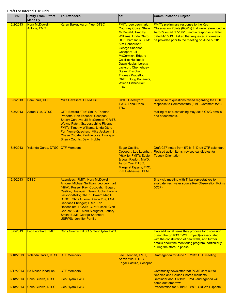| <b>Date</b> | <b>Entity From/ Effort</b><br><b>Made By</b> | <b>To/Attendees</b>                                                                                                                                                                                                                                                                                                                                                                                                 | cc:                                                                                                                                                                                                                                                                                                                                                                                                          | <b>Communication Subject</b>                                                                                                                                                                                                                                     |
|-------------|----------------------------------------------|---------------------------------------------------------------------------------------------------------------------------------------------------------------------------------------------------------------------------------------------------------------------------------------------------------------------------------------------------------------------------------------------------------------------|--------------------------------------------------------------------------------------------------------------------------------------------------------------------------------------------------------------------------------------------------------------------------------------------------------------------------------------------------------------------------------------------------------------|------------------------------------------------------------------------------------------------------------------------------------------------------------------------------------------------------------------------------------------------------------------|
| 6/2/2013    | Nora McDowell-<br><b>Antone, FMIT</b>        | Karen Baker, Aaron Yue, DTSC                                                                                                                                                                                                                                                                                                                                                                                        | <b>FMIT: Leo Leonhart.</b><br><b>Courtney Coyle, Steve</b><br>McDonald, Timothy<br>Williams, Linda Otero;<br><b>DOI: Pam Innis: BLM:</b><br>Kim Liebhauser,<br>George Shannon;<br>Cocopah: Jill<br>McCormick, Edgard<br>Castillo; Hualapai:<br>Dawn Hubbs, Loretta<br>Jackson; Chemehuevi:<br>Steven Escobar,<br><b>Thomas Pradetto:</b><br>CRIT: Doug Bonamici,<br><b>Wilene Fisher-Holt:</b><br><b>ESA</b> | <b>FMIT's preliminary response to the Key</b><br>Observation Points (KOP's) that were referenced in<br>Aaron's email of 5/30/13 and in response to letter<br>dated 4/15/13. Asked that requested information<br>be provided prior to the meeting on June 5, 2013 |
| 6/3/2013    | Pam Innis, DOI                               | Mike Cavaliere, CH2M Hill                                                                                                                                                                                                                                                                                                                                                                                           | CWG, Geo/Hydro<br>TWG, Tribal Reps.,<br><b>TRC</b>                                                                                                                                                                                                                                                                                                                                                           | Response to questions raised regarding the DOI<br>response to Comment #88 (FMIT Comment #28)                                                                                                                                                                     |
| 6/3/2013    | <b>Aaron Yue, DTSC</b>                       | CIT: Edward "Tito" Smith, Thomas<br>Pradetto, Ron Escobar; Cocopah:<br>Sherry Cordova, Jill McCormick; CRITS:<br>Wayne Patch, Sr., Josephine Rivera;<br>FMIT: Timothy Williams, Linda Otero;<br>Fort Yuma-Quechan: Mike Jackson, Sr.,<br>Chase Choate, Pauline Jose; Hualapai:<br><b>Sherry Counts, Dawn Hubbs</b>                                                                                                  |                                                                                                                                                                                                                                                                                                                                                                                                              | Mailing of cd's containing May 2013 CWG emails<br>and attachments.                                                                                                                                                                                               |
| 6/5/2013    | Yolanda Garza, DTSC                          | <b>CTF Members</b>                                                                                                                                                                                                                                                                                                                                                                                                  | Edgar Castillo,<br>Cocopah; Leo Leonhart<br>(H&A for FMIT); Eddie<br>& Joan Rigdon, MWD,<br>Aaron Yue, DTSC,<br>Margaret Eggers, TRC,<br>Kim Liebhauser, BLM                                                                                                                                                                                                                                                 | Draft CTF notes from 5/21/13, Draft CTF calendar,<br>Revised action items, revised candidates for<br><b>Topock Orientation</b>                                                                                                                                   |
| 6/5/2013    | <b>DTSC</b>                                  | Attendees: FMIT: Nora McDowell-<br>Antone; Michael Sulllivan, Leo Leonhart<br>(H&A), Russell Ray; Cocopah: Edgard<br>Castillo; Hualapai: Dawn Hubbs, Loretta<br>Jackson-Kelly; CRIT: Howard Magill;<br>DTSC: Chris Guerre, Aaron Yue; ESA:<br>Candace Ehringer; TRC: Eric<br>Rosenblum; PG&E: Curt Russell, Glen<br>Caruso; BOR: Mark Slaughter, Jeffery<br>Smith; BLM: George Shannon;<br>USFWS: Jennifer Portilla |                                                                                                                                                                                                                                                                                                                                                                                                              | Site visit/ meeting with Tribal represtatives to<br>evaluate freshwater source Key Observation Points<br>(KOP).                                                                                                                                                  |
| 6/6/2013    | Leo Leonhart, FMIT                           | Chris Guerre, DTSC & Geo/Hydro TWG                                                                                                                                                                                                                                                                                                                                                                                  |                                                                                                                                                                                                                                                                                                                                                                                                              | Two additional items they propose for discussion<br>during the 6/19/13 TWG: impact(s) associated<br>with the construction of new wells, and further<br>details about the monitoring program, particularly<br>during the start-up phase.                          |
| 6/10/2013   | Yolanda Garza, DTSC CTF Members              |                                                                                                                                                                                                                                                                                                                                                                                                                     | Leo Leonhart, FMIT,<br>Aaron Yue, DTSC,<br>Edgar Castillo, Cocopah                                                                                                                                                                                                                                                                                                                                           | Draft agenda for June 18, 2013 CTF meeting                                                                                                                                                                                                                       |
| 6/17/2013   | Ed Moser, Keadjian                           | <b>CTF Members</b>                                                                                                                                                                                                                                                                                                                                                                                                  |                                                                                                                                                                                                                                                                                                                                                                                                              | Community newsletter that PG&E sent out to<br><b>Needles and Golden Shores residents.</b>                                                                                                                                                                        |
| 6/18/2013   | Chris Guerre, DTSC                           | Geo/Hydro TWG                                                                                                                                                                                                                                                                                                                                                                                                       |                                                                                                                                                                                                                                                                                                                                                                                                              | Reminder about 6/19/13 TWG and agenda will<br>come out tomorrow.                                                                                                                                                                                                 |
| 6/18/2013   | Chris Guerre, DTSC                           | Geo/Hydro TWG                                                                                                                                                                                                                                                                                                                                                                                                       |                                                                                                                                                                                                                                                                                                                                                                                                              | Presentation for 6/19/13 TWG: Old Well Update                                                                                                                                                                                                                    |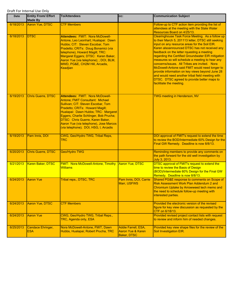| <b>Date</b> | <b>Entity From/ Effort</b><br><b>Made By</b> | <b>To/Attendees</b>                                                                                                                                                                                                                                                                                                                                  | CC:                                                     | <b>Communication Subject</b>                                                                                                                                                                                                                                                                                                                                                                                                                                                                                                                                                                                                                          |
|-------------|----------------------------------------------|------------------------------------------------------------------------------------------------------------------------------------------------------------------------------------------------------------------------------------------------------------------------------------------------------------------------------------------------------|---------------------------------------------------------|-------------------------------------------------------------------------------------------------------------------------------------------------------------------------------------------------------------------------------------------------------------------------------------------------------------------------------------------------------------------------------------------------------------------------------------------------------------------------------------------------------------------------------------------------------------------------------------------------------------------------------------------------------|
| 6/18/2013   | Aaron Yue, DTSC                              | <b>CTF Members</b>                                                                                                                                                                                                                                                                                                                                   |                                                         | Follow-up to CTF action item providing the list of<br>attendees at the meeting with the State Water<br>Resources Board on 4/25/13.                                                                                                                                                                                                                                                                                                                                                                                                                                                                                                                    |
| 6/18/2013   | <b>DTSC</b>                                  | <b>Attendees: FMIT: Nora McDowell-</b><br>Antone, Leo Leonhart; Hualapai: Dawn<br>Hubbs; CIT: Steven Escobar, Tom<br>Pradetto; CRITs: Doug Bonamici (via<br>telephone), Howard Magill; TRC:<br>Margaret Eggers; DTSC: Karen Baker,<br>Aaron Yue (via telephone); ; DOI, BLM,<br>MWD, PG&E, CH2M Hill, Arcadis,<br>Keadjian                           |                                                         | Clearinghouse Task Force Meeting. As a follow up<br>to their March 5, 201113 letter, DTSC still seeking<br>input on any resource areas for the Soil EIR.<br>Karen alsoannounced DTSC has not received any<br>feedback on the letter rquesting a meeting<br>regarding the Certified Groundwater EIR mitigation<br>measures so will schedule a meeting to hear any<br>concerns/issues. All Tribes are invited. Nora<br>McDowell-Antone said FMIT would need longer to<br>provide information on key views beyond June 28<br>and would need another tribal field meeting with<br>DTSC. DTSC agreed to provide better maps to<br>facilitiate the meeting. |
| 6/19/2013   | <b>Chris Guerre, DTSC</b>                    | Attendees: FMIT: Nora McDowell-<br>Antone; FMIT Consultant: Michael<br>Sullivan; CIT: Steven Escobar, Tom<br>Pradetto; CRITs: Howard Magill;<br>Hualapai: Dawn Hubbs; TRC: Margaret<br>Eggers, Charlie Schlinger, Bob Prucha;<br>DTSC: Chris Guerre, Karen Baker,<br>Aaron Yue (via telephone), Jose Marcos<br>(via telephone); DOI, HSG, I, Arcadis |                                                         | <b>TWG meeting in Henderson, NV</b>                                                                                                                                                                                                                                                                                                                                                                                                                                                                                                                                                                                                                   |
| 6/19/2013   | Pam Innis, DOI                               | CWG, Geo/Hydro TWG, Tribal Reps,<br><b>TRC</b>                                                                                                                                                                                                                                                                                                       |                                                         | DOI approval of FMIT's request to extend the time<br>to review the BOD/Intermediate 60% Design for the<br>Final GW Remedy. Deadline is now 8/8/13.                                                                                                                                                                                                                                                                                                                                                                                                                                                                                                    |
| 6/20/2013   | Chris Guerre, DTSC                           | Geo/Hydro TWG                                                                                                                                                                                                                                                                                                                                        |                                                         | Reminding members to provide any comments on<br>the path forward for the old well investigation by<br>July 3, 2013.                                                                                                                                                                                                                                                                                                                                                                                                                                                                                                                                   |
| 6/21/2013   | Karen Baker, DTSC                            | <b>FMIT: Nora McDowell-Antone, Timothy</b><br><b>Williams</b>                                                                                                                                                                                                                                                                                        | <b>Aaron Yue, DTSC</b>                                  | <b>DTSC approval of FMIT's request to extend the</b><br>time to review the Basis of Design<br>(BOD)/Intermediate 60% Design for the Final GW<br>Remedy. Deadline is now 8/8/13.                                                                                                                                                                                                                                                                                                                                                                                                                                                                       |
| 6/24/2013   | <b>Aaron Yue</b>                             | <b>Tribal reps., DTSC, TRC</b>                                                                                                                                                                                                                                                                                                                       | Pam Innis, DOI, Carrie<br>Marr, USFWS                   | Shared PG&E response to comments on Scope of<br>Risk Assessment Work Plan Addendum 2 and<br>Chromium Uptake by Arrowweed tech memo and<br>the need to schedule follow-up meeting with<br>interested parties.                                                                                                                                                                                                                                                                                                                                                                                                                                          |
| 6/24/2013   | Aaron Yue, DTSC                              | <b>CTF Members</b>                                                                                                                                                                                                                                                                                                                                   |                                                         | Provided the electronic version of the revised<br>figure for key view discussion as requested by the<br>CTF on 6/18/13.                                                                                                                                                                                                                                                                                                                                                                                                                                                                                                                               |
| 6/24/2013   | <b>Aaron Yue</b>                             | CWG, Geo/Hydro TWG, Tribal Reps.,<br>TRC, Agenda only, ESA                                                                                                                                                                                                                                                                                           |                                                         | Provided revised project contact lists with request<br>to review and inform him of needed changes.                                                                                                                                                                                                                                                                                                                                                                                                                                                                                                                                                    |
| 6/25/2013   | Candace Ehringer,<br><b>ESA</b>              | Nora McDowell-Antone, FMIT, Dawn<br>Hubbs, Hualapai; Robert Prucha, TRC                                                                                                                                                                                                                                                                              | Addie Farrell, ESA,<br>Aaron Yue & Karen<br>Baker, DTSC | Provided key view shape files for the review of the<br>Soil Investigation EIR.                                                                                                                                                                                                                                                                                                                                                                                                                                                                                                                                                                        |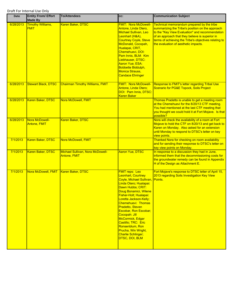| <b>Date</b> | <b>Entity From/ Effort</b><br><b>Made By</b> | <b>To/Attendees</b>                                     | CC:                                                                                                                                                                                                                                                                                                                                                                                                                                | <b>Communication Subject</b>                                                                                                                                                                                                                                                                          |
|-------------|----------------------------------------------|---------------------------------------------------------|------------------------------------------------------------------------------------------------------------------------------------------------------------------------------------------------------------------------------------------------------------------------------------------------------------------------------------------------------------------------------------------------------------------------------------|-------------------------------------------------------------------------------------------------------------------------------------------------------------------------------------------------------------------------------------------------------------------------------------------------------|
| 6/28/2013   | <b>Timothy Williams,</b><br><b>FMIT</b>      | Karen Baker, DTSC                                       | <b>FMIT: Nora McDowell-</b><br>Antone, Linda Otero,<br>Michael Sullivan, Leo<br>Leonhart (H&A),<br><b>Courtney Coyle, Steve</b><br>McDonald, Cocopah,<br>Hualapai, CRIT,<br>Chemehuevi, DOI:<br>Pam Innis, BLM: Kim<br>Liebhauser, DTSC:<br><b>Aaron Yue; ESA:</b><br>Bobbette Biddulph,<br><b>Monica Strauss,</b><br><b>Candace Ehringer</b>                                                                                      | Technical memorandum prepared by the tribe<br>summarizing the Tribe's position on the approach<br>to the "Key View Evaluation" and recommendation<br>of an approach that they believe is superior in<br>terms of achieving the Tribe's objectives relating to<br>the evaluation of aesthetic impacts. |
| 6/28/2013   | <b>Stewart Black, DTSC</b>                   | <b>Chairman Timothy Williams, FMIT</b>                  | <b>FMIT: Nora McDowell-</b><br>Antone, Linda Otero;<br>DOI: Pam Innis, DTSC:<br><b>Karen Baker</b>                                                                                                                                                                                                                                                                                                                                 | Response to FMIT's letter regarding Tribal Use<br>Scenario for PG&E Topock, Soils Project                                                                                                                                                                                                             |
| 6/28/2013   | Karen Baker, DTSC                            | Nora McDowell, FMIT                                     |                                                                                                                                                                                                                                                                                                                                                                                                                                    | Thomas Pradetto is unable to get a meeting room<br>at the Chemehuevi for the 8/20/13 CTF meeting.<br>You had mentioned at the last CTF meeting that<br>you thought we could hold it at Fort Mojave. Is that<br>possible?                                                                              |
| 6/28/2013   | Nora McDowell-<br><b>Antone, FMIT</b>        | Karen Baker, DTSC                                       |                                                                                                                                                                                                                                                                                                                                                                                                                                    | Nora will check the availability of a room at Fort<br>Mojave to hold the CTF on 8/20/13 and get back to<br>Karen on Monday. Also asked for an extension<br>until Monday to respond to DTSC's letter on key<br>view points.                                                                            |
| 7/1/2013    | Karen Baker, DTSC                            | Nora McDowell, FMIT                                     |                                                                                                                                                                                                                                                                                                                                                                                                                                    | Thanked Nora for checking on room availability<br>and for sending their response to DTSC's letter on<br>key view points on Monday.                                                                                                                                                                    |
| 7/1/2013    | Karen Baker, DTSC                            | Michael Sullivan, Nora McDowell-<br><b>Antone, FMIT</b> | <b>Aaron Yue, DTSC</b>                                                                                                                                                                                                                                                                                                                                                                                                             | In response to a discussion they had in June,<br>informed them that the decommissioning costs for<br>the groundwater remedy can be found in Appendix<br>H of the Design as Attachment E.                                                                                                              |
| 7/1/2013    | Nora McDowell, FMIT                          | Karen Baker, DTSC                                       | <b>FMIT reps: Leo</b><br>Leonhart, Courtney<br>Coyle, Michael Sullivan,<br>Linda Otero; Hualapai:<br>Dawn Hubbs; CRIT:<br>Doug Bonamici, Wilene<br>Fisher-Holt; Hualapai:<br>Loretta Jackson-Kelly;<br>Chemehuevi: Thomas<br><b>Pradetto, Steven</b><br>Escobar, Ron Escobar;<br>Cocopah: Jill<br>McCormick, Edgar<br>Castillo; TRC: Eric<br>Ronsenblum, Ron<br>Prucha, Win Wright,<br><b>Charlie Schlinger;</b><br>DTSC, DOI, BLM | Fort Mojave's response to DTSC letter of April 15,<br>2013 regarding Soils Investigation Key View<br>Points.                                                                                                                                                                                          |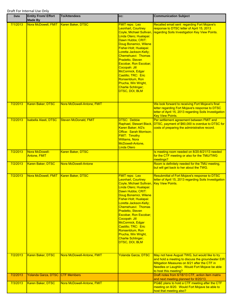| <b>Date</b> | <b>Entity From/ Effort</b><br><b>Made By</b> | <b>To/Attendees</b>          | CC:                                                                                                                                                                                                                                                                                                                                                                                                                                                        | <b>Communication Subject</b>                                                                                                                                                                                                   |
|-------------|----------------------------------------------|------------------------------|------------------------------------------------------------------------------------------------------------------------------------------------------------------------------------------------------------------------------------------------------------------------------------------------------------------------------------------------------------------------------------------------------------------------------------------------------------|--------------------------------------------------------------------------------------------------------------------------------------------------------------------------------------------------------------------------------|
| 7/1/2013    | Nora McDowell, FMIT   Karen Baker, DTSC      |                              | <b>FMIT reps: Leo</b><br>Leonhart, Courtney<br><b>Coyle, Michael Sullivan</b><br>Linda Otero; Hualapai:<br>Dawn Hubbs; CRIT:<br>Doug Bonamici, Wilene<br>Fisher-Holt; Hualapai:<br>Loretta Jackson-Kelly;<br>Chemehuevi: Thomas<br><b>Pradetto, Steven</b><br><b>Escobar, Ron Escobar;</b><br>Cocopah: Jill<br>McCormick, Edgar<br>Castillo; TRC: Eric<br>Ronsenblum, Ron<br>Prucha, Win Wright,<br><b>Charlie Schlinger;</b><br><b>DTSC, DOI, BLM</b>     | Recalled email sent regarding Fort Mojave's<br>response to DTSC letter of April 15, 2013<br>regarding Soils Investigation Key View Points.                                                                                     |
| 7/2/2013    | Karen Baker, DTSC                            | Nora McDowell-Antone, FMIT   |                                                                                                                                                                                                                                                                                                                                                                                                                                                            | We look forward to receiving Fort Mojave's final<br>letter regarding Fort Mojave's response to DTSC<br>letter of April 15, 2013 regarding Soils Investigation<br><b>Key View Points.</b>                                       |
| 7/2/2013    | Isabella Alasti, DTSC                        | <b>Steven McDonald, FMIT</b> | <b>DTSC: Debbie</b><br>Raphael, Stewart Black,<br>Karen Baker; AG's<br>Office: Sarah Morrison;<br><b>FMIT: Timothy</b><br><b>Williams, Nora</b><br>McDowell-Antone,<br><b>Linda Otero</b>                                                                                                                                                                                                                                                                  | Per settlement agreement between FMIT and<br>DTSC, payment of \$60,000 is overdue to DTSC for<br>costs of preparing the administrative record.                                                                                 |
| 7/2/2013    | Nora McDowell-<br><b>Antone, FMIT</b>        | Karen Baker, DTSC            |                                                                                                                                                                                                                                                                                                                                                                                                                                                            | Is meeting room needed on 8/20-8/21/13 needed<br>for the CTF meeting or also for the TMU/TWG<br>meetings?                                                                                                                      |
| 7/2/2013    | <b>Karen Baker, DTSC</b>                     | <b>Nora McDowell-Antone</b>  |                                                                                                                                                                                                                                                                                                                                                                                                                                                            | Room is definitely needed for the TMU meeting,<br>but will get back to her about the TWG.                                                                                                                                      |
| 7/2/2013    | Nora McDowell, FMIT                          | Karen Baker, DTSC            | <b>FMIT reps: Leo</b><br>Leonhart, Courtney<br>Coyle, Michael Sullivan, Key View Points.<br>Linda Otero; Hualapai:<br>Dawn Hubbs; CRIT:<br>Doug Bonamici, Wilene<br>Fisher-Holt; Hualapai:<br>Loretta Jackson-Kelly;<br>Chemehuevi: Thomas<br><b>Pradetto, Steven</b><br><b>Escobar, Ron Escobar;</b><br>Cocopah: Jill<br>McCormick, Edgar<br>Castillo; TRC: Eric<br>Ronsenblum, Ron<br>Prucha, Win Wright,<br><b>Charlie Schlinger;</b><br>DTSC, DOI, BLM | <b>Resubmittal of Fort Mojave's response to DTSC</b><br>letter of April 15, 2013 regarding Soils Investigation                                                                                                                 |
| 7/2/2013    | Karen Baker, DTSC                            | Nora McDowell-Antone, FMIT   | Yolanda Garza, DTSC                                                                                                                                                                                                                                                                                                                                                                                                                                        | May not have August TWG, but would like to try<br>and hold a meeting to discuss the groundwater EIR<br>Mitigation Measures on 8/21 after the CTF in<br>Needles or Laughlin. Would Fort Mojave be able<br>to host this meeting? |
| 7/2/2013    | Yolanda Garza, DTSC CTF Members              |                              |                                                                                                                                                                                                                                                                                                                                                                                                                                                            | Draft notes from 6/18/13 CTF, action item matrix<br>and next meeting planned for 8/20/13.                                                                                                                                      |
| 7/3/2013    | Karen Baker, DTSC                            | Nora McDowell-Antone, FMIT   |                                                                                                                                                                                                                                                                                                                                                                                                                                                            | PG&E plans to hold a CTF meeting after the CTF<br>meeting on 8/20. Would Fort Mojave be able to<br>host that meeting also?                                                                                                     |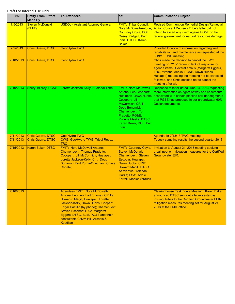| Date      | <b>Entity From/ Effort</b><br><b>Made By</b> | <b>To/Attendees</b>                                                                                                                                                                                                                                                                                                | CC:                                                                                                                                                                                                                                         | <b>Communication Subject</b>                                                                                                                                                                                                                                                                                     |
|-----------|----------------------------------------------|--------------------------------------------------------------------------------------------------------------------------------------------------------------------------------------------------------------------------------------------------------------------------------------------------------------------|---------------------------------------------------------------------------------------------------------------------------------------------------------------------------------------------------------------------------------------------|------------------------------------------------------------------------------------------------------------------------------------------------------------------------------------------------------------------------------------------------------------------------------------------------------------------|
| 7/5/2013  | <b>Steven McDonald</b><br>(FMIT)             | <b>USDOJ - Assistant Attorney General</b>                                                                                                                                                                                                                                                                          | <b>FMIT: Tribal Council,</b><br><b>Nora McDowell-Antone</b><br>Courtney Coyle; DOI:<br>Casey Padgett, Pam<br>Innis; DTSC: Karen<br><b>Baker</b>                                                                                             | Revised Comment on Remedial Design/Remedial<br>Action Consent Decree - Tribe's letter did not<br>intend to assert any claim agains PG&E or the<br>federal government for natural resources damage.                                                                                                               |
| 7/9/2013  | <b>Chris Guerre, DTSC</b>                    | Geo/Hydro TWG                                                                                                                                                                                                                                                                                                      |                                                                                                                                                                                                                                             | Provided location of information regarding well<br>rehabilitation and maintenance as requested at the<br>6/19/13 TWG meeting.                                                                                                                                                                                    |
| 7/10/2013 | <b>Chris Guerre, DTSC</b>                    | Geo/Hydro TWG                                                                                                                                                                                                                                                                                                      |                                                                                                                                                                                                                                             | Chris made the decision to cancel the TWG<br>meeting on 7/18/13 due to lack of response for<br>agenda items. Several emails (Margaret Eggers,<br>TRC, Yvonne Meeks, PG&E, Dawn Hubbs,<br>Hualapai) requesting the meeting not be canceled<br>followed, and Chris decided not to cancel the<br>meeting after all. |
| 7/10/2013 | Sheryl Bilbrey, PG&E                         | Loretta Jackson-Kelly, Hualapai Tribe                                                                                                                                                                                                                                                                              | <b>FMIT: Nora McDowell-</b><br>Antone, Leo Leonhart;<br>Cocopah: Jill<br>McCormick; CRIT:<br>Doug Bonamici, ;<br>Chemehuevi: Tom<br>Pradetto; PG&E:<br>Yvonne Meeks: DTSC:<br>Karen Baker; DOI: Pam<br><b>Innis</b>                         | Response to letter dated June 24, 2013 requesting<br>more information on rights of way and easements<br>Hualapai: Dawn Hubbs; associated with certain pipeline corridor segments<br>that PG&E has proposed in our groundwater 60%<br>Design documents.                                                           |
| 7/11/2013 | Chris Guerre, DTSC                           | Geo/Hydro TWG                                                                                                                                                                                                                                                                                                      |                                                                                                                                                                                                                                             | Agenda for 7/18/13 TWG meeting.                                                                                                                                                                                                                                                                                  |
| 7/11/2013 | Chris Guerre, DTSC                           | CWG, Geo/Hydro TWG, Tribal Reps.,<br>TRC                                                                                                                                                                                                                                                                           |                                                                                                                                                                                                                                             | Topock sampling results the second quarter 2013.                                                                                                                                                                                                                                                                 |
| 7/15/2013 | Karen Baker, DTSC                            | <b>FMIT: Nora McDowell-Antone;</b><br>Chemehuevi: Thomas Pradetto:<br>Cocopah: Jill McCormick; Hualapai:<br>Loretta Jackson-Kelly; Crit: Doug<br>Bonamici; Fort Yuma-Quechan: Chase<br>Choate:                                                                                                                     | <b>FMIT: Courtney Coyle,</b><br><b>Steven McDonald:</b><br>Chemehuevi: Steven<br>Escobar; Hualapai:<br>Dawn Hubbs; CRIT:<br><b>Howard Magill; DTSC:</b><br><b>Aaron Yue, Yolanda</b><br>Garza; ESA: Addie<br><b>Farrell, Monica Strauss</b> | Invitiation to August 21, 2013 meeting seeking<br>tribal input on mitigation measures for the Certified<br><b>Groundwater EIR.</b>                                                                                                                                                                               |
| 7/16/2013 |                                              | Attendees: FMIT: Nora McDowell-<br>Antone, Leo Leonhart (phone); CRITs:<br>Howagrd Magill; Hualapai: Loretta<br>Jackson-Kelly, Dawn Hubbs; Cocpah:<br>Edgar Castillo (by phone); Chemehuevi:<br>Steven Escobar; TRC: Margaret<br>Eggers; DTSC, BLM, PG&E and their<br>consultants CH2M Hill, Arcadis &<br>Keadjian |                                                                                                                                                                                                                                             | <b>Clearinghouse Task Force Meeting. Karen Baker</b><br>announced DTSC sent out a letter yesterday<br>inviting Tribes to the Certified Groundwater FEIR<br>mitigation measures meeting set for August 21,<br>2013 at the FMIT office.                                                                            |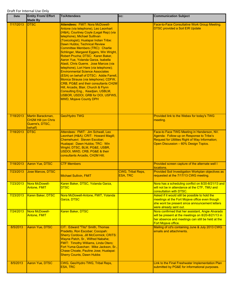| <b>Date</b> | <b>Entity From/ Effort</b><br><b>Made By</b>                                  | <b>To/Attendees</b>                                                                                                                                                                                                                                                                                                                                                                                                                                                                                                                                                                                                                                                                                                                                                                                         | CC:                                  | <b>Communication Subject</b>                                                                                                                                                        |
|-------------|-------------------------------------------------------------------------------|-------------------------------------------------------------------------------------------------------------------------------------------------------------------------------------------------------------------------------------------------------------------------------------------------------------------------------------------------------------------------------------------------------------------------------------------------------------------------------------------------------------------------------------------------------------------------------------------------------------------------------------------------------------------------------------------------------------------------------------------------------------------------------------------------------------|--------------------------------------|-------------------------------------------------------------------------------------------------------------------------------------------------------------------------------------|
| 7/17/2013   | <b>DTSC</b>                                                                   | <b>Attendees: FMIT: Nora McDowell-</b><br>Antone (via telephone), Leo Leonhart<br>(H&A), Courtney Coyle (Legal Rep) (via<br>telephone), Michael Sulllivan<br>(Toxicologist); Hualapai Indian Tribe:<br>Dawn Hubbs; Technical Review<br>Committee Members (TRC): Charlie<br>Schlinger, Margaret Eggers, Win Wright,<br>Robert Prucha; DTSC: Karen Baker,<br>Aaron Yue, Yolanda Garza, Isabella<br>Alasti, Chris Guerre. Jose Marcos (via<br>telephone), Lori Hare (via telephone);<br><b>Environmental Science Associates</b><br>(ESA) on behalf of DTSC: Addie Farrell,<br>Monica Strauss (via telephone); CDFW,<br>CRB, PG&E and their consultants CH2M<br>Hill, Arcadis, Blair, Church & Flynn<br>Consulting Eng., Keadjian, USBLM,<br>USBOR, USDOI, GRB for DOI, USFWS,<br><b>MWD, Mojave County DPH</b> |                                      | Face-to-Face Consultative Work Group Meeting.<br><b>DTSC provided a Soil EIR Update</b>                                                                                             |
| 7/18/2013   | Martin Barackman,<br><b>CH2M Hill (on Chris</b><br>Guerre's, DTSC,<br>behalf) | Geo/Hydro TWG                                                                                                                                                                                                                                                                                                                                                                                                                                                                                                                                                                                                                                                                                                                                                                                               |                                      | Provided link to the Webex for today's TWG<br>meeting.                                                                                                                              |
| 7/18/2013   | <b>DTSC</b>                                                                   | Attendees: FMIT: Jim Schwall, Leo<br>Leonhart (H&A); CRIT: Howard Magill;<br>Chemehuevi: Steven Escobar;<br>Hualapai: Dawn Hubbs; TRC: Win<br>Wright; DTSC, BLM, PG&E, USBR,<br>USDOI, MWD, CRB, PG&E & their<br>consultants Arcadis, CH2M Hill;                                                                                                                                                                                                                                                                                                                                                                                                                                                                                                                                                            |                                      | Face-to Face TWG Meeting in Henderson, NV.<br>Agenda: Follow-up on Response to Tribe's<br>Request for Utilities Right of Way Information;<br>Open Discussion - 60% Design Topics.   |
| 7/18/2013   | Aaron Yue, DTSC                                                               | <b>CTF Members</b>                                                                                                                                                                                                                                                                                                                                                                                                                                                                                                                                                                                                                                                                                                                                                                                          |                                      | Provided screen capture of the alternate well I<br>locations.                                                                                                                       |
| 7/23/2013   | <b>Jose Marcos, DTSC</b>                                                      | <b>Michael Sullivin, FMIT</b>                                                                                                                                                                                                                                                                                                                                                                                                                                                                                                                                                                                                                                                                                                                                                                               | CWG, Tribal Reps,<br><b>ESA, TRC</b> | Provided Soil Investigation Workplan objectives as<br>requested at the 7/17/13 CWG meeting.                                                                                         |
| 7/23/2013   | Nora McDowell-<br><b>Antone, FMIT</b>                                         | Karen Baker, DTSC, Yolanda Garza,<br><b>DTSC</b>                                                                                                                                                                                                                                                                                                                                                                                                                                                                                                                                                                                                                                                                                                                                                            |                                      | Nora has a scheduling conflict on 8/20-8/21/13 and<br>will not be in attendance at the CTF, TMU and<br>consultation with DTSC.                                                      |
| 7/23/2013   | Karen Baker, DTSC                                                             | Nora McDowell-Antone, FMIT, Yolanda<br>Garza, DTSC                                                                                                                                                                                                                                                                                                                                                                                                                                                                                                                                                                                                                                                                                                                                                          |                                      | Asked if it would still be possible to hold the<br>meetings at the Fort Mojave office even though<br>she wont be present since announcement letters<br>were already sent out.       |
| 7/24/2013   | Nora McDowell-<br><b>Antone, FMIT</b>                                         | Karen Baker, DTSC                                                                                                                                                                                                                                                                                                                                                                                                                                                                                                                                                                                                                                                                                                                                                                                           |                                      | Nora confirmed that her assistant, Angie Alvarado<br>will be present at the meetings on 8/20-8/21/13 in<br>her absence and meetings can still be held at the<br>Fort Mojave office. |
| 8/5/2013    | <b>Aaron Yue, DTSC</b>                                                        | CIT: Edward "Tito" Smith, Thomas<br>Pradetto, Ron Escobar; Cocopah:<br>Sherry Cordova, Jill McCormick; CRITS:<br>Wayne Patch, Sr., Wilfred Nabahe;<br>FMIT: Timothy Williams, Linda Otero;<br>Fort Yuma-Quechan: Mike Jackson, Sr.,<br>Chase Choate, Pauline Jose; Hualapai:<br><b>Sherry Counts, Dawn Hubbs</b>                                                                                                                                                                                                                                                                                                                                                                                                                                                                                            |                                      | Mailing of cd's containing June & July 2013 CWG<br>emails and attachments.                                                                                                          |
| 8/5/2013    | <b>Aaron Yue, DTSC</b>                                                        | CWG, Geo/Hydro TWG, Tribal Reps,<br><b>ESA, TRC</b>                                                                                                                                                                                                                                                                                                                                                                                                                                                                                                                                                                                                                                                                                                                                                         |                                      | Link to the Final Freshwater Implementation Plan<br>submitted by PG&E for informational purposes.                                                                                   |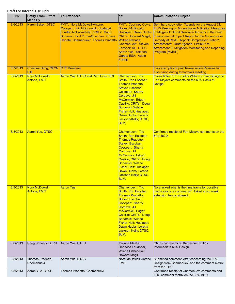| <b>Date</b> | <b>Entity From/ Effort</b><br><b>Made By</b> | <b>To/Attendees</b>                                                                                                                                                                         | CC:                                                                                                                                                                                                                                                                                | <b>Communication Subject</b>                                                                                                                                                                                                                                                                                                                                                                              |
|-------------|----------------------------------------------|---------------------------------------------------------------------------------------------------------------------------------------------------------------------------------------------|------------------------------------------------------------------------------------------------------------------------------------------------------------------------------------------------------------------------------------------------------------------------------------|-----------------------------------------------------------------------------------------------------------------------------------------------------------------------------------------------------------------------------------------------------------------------------------------------------------------------------------------------------------------------------------------------------------|
| 8/6/2013    | Karen Baker, DTSC                            | <b>FMIT: Nora McDowell-Antone:</b><br>Cocopah: Hill McCormick; Hualapai:<br>Loretta Jackson-Kelly; CRITs: Doug<br>Bonamici; Fort Yuma-Quechan: Chase<br>Choate; Chemehuevi: Thomas Pradetto | <b>FMIT: Courtney Coyle,</b><br><b>Steven McDonald:</b><br><b>CRITs: Howard Magill,</b><br><b>Wilfred Nabahe;</b><br>Chemehuevi: Steven<br>Escobar; All: DTSC:<br>Aaron Yue, Yolanda<br>Garza; ESA: Addie<br>Farrell                                                               | Sent hard copy letter "Agenda for the August 21,<br>2013 Meeting on Groundwater Mitigation Measures<br>Hualapai: Dawn Hubbs; to Mitigate Cultural Resource Impacts in the Final<br><b>Environmental Impact Report for the Groundwater</b><br>Remedy at PG&E Topock Compressor Station".<br>Attachments: Draft Agenda, Exhibit 2 to<br>Attachment B, Mitigation Momitoring and Reporting<br>Program (MMRP) |
| 8/7/2013    | Christina Hong, CH2M CTF Members<br>Hill     |                                                                                                                                                                                             |                                                                                                                                                                                                                                                                                    | Two examples of past Remediation Reviews for<br>discussion during tomorrow's meeting.                                                                                                                                                                                                                                                                                                                     |
| 8/8/2013    | Nora McDowell-<br><b>Antone, FMIT</b>        | Aaron Yue, DTSC and Pam Innis, DOI                                                                                                                                                          | Chemehuevi: Tito<br>Smith, Ron Escobar,<br><b>Thomas Pradetto,</b><br>Steven Escobar;<br>Cocopah: Sherry<br>Cordova, Jill<br>McCormick, Edgar<br>Castillo; CRITs: Doug<br>Bonamici, Wilene<br>Fisher-Holt; Hualapai:<br>Dawn Hubbs, Loretta<br>Jackson-Kelly; DTSC,<br>BLM,        | Cover letter from Timothy Williams transmitting the<br>Fort Mojave comments on the 60% Basis of<br>Design.                                                                                                                                                                                                                                                                                                |
| 8/8/2013    | <b>Aaron Yue, DTSC</b>                       |                                                                                                                                                                                             | Chemehuevi: Tito<br>Smith, Ron Escobar,<br><b>Thomas Pradetto,</b><br>Steven Escobar;<br>Cocopah: Sherry<br>Cordova, Jill<br>McCormick, Edgar<br>Castillo; CRITs: Doug<br>Bonamici, Wilene<br>Fisher-Holt; Hualapai:<br>Dawn Hubbs, Loretta<br>Jackson-Kelly; DTSC,<br>BLM,        | Confirmed receipt of Fort Mojave comments on the<br>60% BOD.                                                                                                                                                                                                                                                                                                                                              |
| 8/8/2013    | Nora McDowell-<br><b>Antone, FMIT</b>        | <b>Aaron Yue</b>                                                                                                                                                                            | Chemehuevi: Tito<br>Smith, Ron Escobar,<br><b>Thomas Pradetto,</b><br>Steven Escobar;<br>Cocopah: Sherry<br>Cordova, Jill<br>McCormick, Edgar<br>Castillo; CRITs: Doug<br><b>Bonamici, Wilene</b><br>Fisher-Holt; Hualapai:<br>Dawn Hubbs, Loretta<br>Jackson-Kelly; DTSC,<br>BLM, | Nora asked what is the time frame for possible<br>clarifications of comments? Asked a two week<br>extension be considered.                                                                                                                                                                                                                                                                                |
| 8/8/2013    | Doug Bonamici, CRIT                          | Aaron Yue, DTSC                                                                                                                                                                             | Yvonne Meeks,<br>Rebecca Loudbear,<br>Wilene Fisher-Holt,<br><b>Howard Magill</b>                                                                                                                                                                                                  | CRITs comments on the revised BOD -<br>Intermediate 60% Design                                                                                                                                                                                                                                                                                                                                            |
| 8/8/2013    | Thomas Pradetto,<br>Chemehuevi               | Aaron Yue, DTSC                                                                                                                                                                             | Nora McDowell-Antone,<br><b>FMIT</b>                                                                                                                                                                                                                                               | Submitted comment letter concerning the 60%<br>Design from Chemehuevi and the comment matrix<br>from the TRC.                                                                                                                                                                                                                                                                                             |
| 8/8/2013    | Aaron Yue, DTSC                              | Thomas Pradetto, Chemehuevi                                                                                                                                                                 |                                                                                                                                                                                                                                                                                    | Confirmed receipt of Chemehuevi comments and<br>TRC comment matrix on the 60% BOD.                                                                                                                                                                                                                                                                                                                        |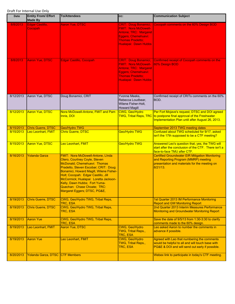| <b>Date</b> | <b>Entity From/ Effort</b><br><b>Made By</b> | <b>To/Attendees</b>                                                                                                                                                                                                                                                                                                                                                   | cc:                                                                                                                                                           | <b>Communication Subject</b>                                                                                                                                |
|-------------|----------------------------------------------|-----------------------------------------------------------------------------------------------------------------------------------------------------------------------------------------------------------------------------------------------------------------------------------------------------------------------------------------------------------------------|---------------------------------------------------------------------------------------------------------------------------------------------------------------|-------------------------------------------------------------------------------------------------------------------------------------------------------------|
| 8/8/2013    | Edgar Castillo,<br>Cocopah                   | <b>Aaron Yue, DTSC</b>                                                                                                                                                                                                                                                                                                                                                | <b>CRIT: Doug Bonamici;</b><br><b>FMIT: Nora McDowell-</b><br>Antone; TRC: Margaret<br>Eggers; Chemehuevi:<br><b>Thomas Pradetto:</b><br>Hualapai: Dawn Hubbs | Cocopah comments on the 60% Design BOD                                                                                                                      |
| 8/8/2013    | <b>Aaron Yue, DTSC</b>                       | <b>Edgar Castillo, Cocopah</b>                                                                                                                                                                                                                                                                                                                                        | <b>CRIT: Doug Bonamici;</b><br><b>FMIT: Nora McDowell-</b><br>Antone; TRC: Margaret<br>Eggers; Chemehuevi:<br><b>Thomas Pradetto;</b><br>Hualapai: Dawn Hubbs | Confirmed receipt of Cocopah comments on the<br>60% Design BOD                                                                                              |
| 8/12/2013   | Aaron Yue, DTSC                              | Doug Bonamici, CRIT                                                                                                                                                                                                                                                                                                                                                   | Yvonne Meeks,<br>Rebecca Loudbear,<br>Wilene Fisher-Holt,<br><b>Howard Magill</b>                                                                             | Confirmed receipt of CRITs comments on the 60%<br>BOD.                                                                                                      |
| 8/12/2013   | <b>Aaron Yue, DTSC</b>                       | Nora McDowell-Antone, FMIT and Pam<br>Innis, DOI                                                                                                                                                                                                                                                                                                                      | CWG, Geo/Hydro<br><b>TWG, Tribal Reps, TRC</b>                                                                                                                | Per Fort Mojave's request, DTSC and DOI agreed<br>to postpone final approval of the Freshwater<br>Implementation Plan until after August 26, 2013.          |
| 8/15/2013   | <b>Chris Guerre, DTSC</b>                    | Geo/Hydro TWG                                                                                                                                                                                                                                                                                                                                                         |                                                                                                                                                               | September 2013 TWG meeting dates                                                                                                                            |
| 8/15/2013   | Leo Leonhart, FMIT                           | <b>Chris Guerre, DTSC</b>                                                                                                                                                                                                                                                                                                                                             | Geo/Hydro TWG                                                                                                                                                 | Confused about TWG scheduled for 9/17, asked<br>isn't the 17th supposed to be a CTF meeting?                                                                |
| 8/15/2013   | <b>Aaron Yue, DTSC</b>                       | Leo Leonhart, FMIT                                                                                                                                                                                                                                                                                                                                                    | Geo/Hydro TWG                                                                                                                                                 | Answered Leo's question that, yes, the TWG will<br>start after the conclusion of the CTF. There isn't a<br>face-to-face TMU after CTF.                      |
| 8/16/2013   | <b>Yolanda Garza</b>                         | FMIT: Nora McDowell-Antone, LInda<br>Otero, Courtney Coyle, Steven<br>McDonald; Chemehuevi: Thomas<br>Pradetto, Steven Escobar; CRIT: Doug<br>Bonamici, Howard Magill, Wilene Fisher-<br>Holt; Cocopah: Edgar Castillo, Jill<br>McCormick; Hualapai: Loretta Jackson-<br>Kelly, Dawn Hubbs; Fort Yuma-<br>Quechan: Chase Choate; TRC:<br>Margaret Eggers; DTSC, PG&E, |                                                                                                                                                               | <b>Certified Groundwater EIR Mitigation Monitoring</b><br>and Reporting Program (MMRP) meeting<br>presentation and materials for the meeting on<br>8/21/13. |
| 8/19/2013   | <b>Chris Guerre, DTSC</b>                    | CWG, Geo/Hydro TWG, Tribal Reps,<br>TRC, ESA                                                                                                                                                                                                                                                                                                                          |                                                                                                                                                               | 1st Quarter 2013 IM Performance Monitoring<br><b>Report and GW Monitoring Report</b>                                                                        |
| 8/19/2013   | <b>Chris Guerre, DTSC</b>                    | CWG, Geo/Hydro TWG, Tribal Reps,<br>TRC, ESA                                                                                                                                                                                                                                                                                                                          |                                                                                                                                                               | 2nd Quarter 2013 Interim Measures Performance<br>Monitoring and Groundwater Monitoring Report                                                               |
| 8/19/2013   | <b>Aaron Yue</b>                             | CWG, Geo/Hydro TWG, Tribal Reps,<br>TRC, ESA                                                                                                                                                                                                                                                                                                                          |                                                                                                                                                               | Save the date of 9/5/13 from 1:30-3:30 to clarify<br>comments made to the 60% design.                                                                       |
| 8/19/2013   | Leo Leonhart, FMIT                           | Aaron Yue, DTSC                                                                                                                                                                                                                                                                                                                                                       | CWG, Geo/Hydro<br>TWG, Tribal Reps.,<br>TRC, ESA                                                                                                              | Leo asked Aaron to number the comments in<br>advance if possible.                                                                                           |
| 8/19/2013   | <b>Aaron Yue</b>                             | Leo Leonhart, FMIT                                                                                                                                                                                                                                                                                                                                                    | CWG, Geo/Hydro<br>TWG, Tribal Reps.,<br>TRC, ESA                                                                                                              | Agreed with Leo that numbering the comments<br>would be helpful to all and will touch base with<br>PG&E & DOI and will send out early if possible.          |
| 8/20/2013   | Yolanda Garza, DTSC CTF Members              |                                                                                                                                                                                                                                                                                                                                                                       |                                                                                                                                                               | Webex link to participate in today's CTF meeting.                                                                                                           |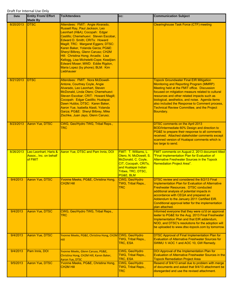| Date      | <b>Entity From/ Effort</b><br><b>Made By</b>               | <b>To/Attendees</b>                                                                                                                                                                                                                                                                                                                                                                                                                                                        | CC:                                                                                                                                                      | <b>Communication Subject</b>                                                                                                                                                                                                                                                                                                                                                                                         |
|-----------|------------------------------------------------------------|----------------------------------------------------------------------------------------------------------------------------------------------------------------------------------------------------------------------------------------------------------------------------------------------------------------------------------------------------------------------------------------------------------------------------------------------------------------------------|----------------------------------------------------------------------------------------------------------------------------------------------------------|----------------------------------------------------------------------------------------------------------------------------------------------------------------------------------------------------------------------------------------------------------------------------------------------------------------------------------------------------------------------------------------------------------------------|
| 8/20/2013 | <b>IDTSC</b>                                               | Attendees: FMIT: Angie Alvarado,<br>Russell Ray, Paul Jackson, Leo<br>Leonhart (H&A); Cocopah: Edgar<br>Castillo; Chemehuevi: Steven Escobar,<br>Edward D. Smith; CRITs: Howard<br>Magill; TRC: Margaret Eggers; DTSC:<br>Karen Baker, Yolanda Garza; PG&E:<br>Sheryl Bilbrey, Glenn Caruso; CH2M<br>Hill: Christina Hong; Arcadis: Lisa<br>Kellogg, Lisa Micheletti-Cope; Keadjian:<br>Edward Moser; MWD: Eddie Rigdon,<br>Maria Lopez (by phone); BLM: Kim<br>Liebhauser |                                                                                                                                                          | <b>Clearinghouse Task Force (CTF) meeting</b>                                                                                                                                                                                                                                                                                                                                                                        |
| 8/21/2013 | <b>DTSC</b>                                                | Attendees: FMIT: Nora McDowell-<br>Antone, Courtney Coyle, Angie<br>Alvarado, Leo Leonhart, Steven<br>McDonald, Linda Otero; Chemehuevi:<br>Steven Escobar; CRIT: Howard Magill;<br>Cocopah: Edgar Castillo; Hualapai:<br>Dawn Hubbs; DTSC: Karen Baker,<br>Aaron Yue, Isabella Alasti, Yolanda<br>Garza; PG&E: Sheryl Bilbrey, Mike<br>Zischke, Juan Jayo, Glenn Caruso;                                                                                                  |                                                                                                                                                          | <b>Topock Groundwater Final EIR Mitigation</b><br>Monitoring and Reporting Program (MMRP)<br>Meeting held at the FMIT office. Discussion<br>focused on mitgiation measurs related to cultural<br>resources and other related impacts such as<br>biological, aesthetics, and noise. Agenda items<br>also included the Response to Comment process,<br><b>Technical Review Committee, and the Project</b><br>Boundary. |
| 8/23/2013 | <b>Aaron Yue, DTSC</b>                                     | CWG, Geo/Hydro TWG, Tribal Reps.,<br>TRC                                                                                                                                                                                                                                                                                                                                                                                                                                   |                                                                                                                                                          | DTSC comments on the April 2013<br>BOD/Intermediate 60% Design and direction to<br>PG&E to prepare their response to all comments<br>received. Attached stakeholder comments except<br>scanned version of Hualapai comments which is<br>too large to send.                                                                                                                                                           |
| 8/26/2013 | Leo Leonhart, Haris &<br>Assoc., Inc. on behalf<br>of FMIT | Aaron Yue, DTSC and Pam Innis, DOI                                                                                                                                                                                                                                                                                                                                                                                                                                         | FMIT: T. Williams, L.<br>Otero, N. McDowell, S.<br>McDonald, C. Coyle,<br>CIT, Cocopah, CRITs,<br>and Hualapai Indian<br>Tribes, TRC, DTSC,<br>PG&E, BLM | FMIT comments on August 2, 2013 document titled<br>"Final Implementation Plan for Evaluation of<br><b>Alternative Freshwater Sources in the Topock</b><br><b>Remediation Project Area".</b>                                                                                                                                                                                                                          |
| 9/4/2013  | Aaron Yue, DTSC                                            | Yvonne Meeks, PG&E, Christina Hong,<br><b>CH2M Hill</b>                                                                                                                                                                                                                                                                                                                                                                                                                    | CWG, Geo/Hydro<br>TWG, Tribal Reps.,<br>TRC                                                                                                              | DTSC review and considered the 8/2/13 Final<br><b>Implementation Plan for Evaluation of Alternative</b><br><b>Freshwater Resources. DTSC conducted</b><br>additional analysis of potential impacts in<br>accordance with CEQA and prepared an<br>Addendum to the January 2011 Certified EIR.<br>Conditional approval letter for the implementation<br>plan attached.                                                 |
| 9/4/2013  | Aaron Yue, DTSC                                            | CWG, Geo/Hydro TWG, Tribal Reps.,<br><b>TRC</b>                                                                                                                                                                                                                                                                                                                                                                                                                            |                                                                                                                                                          | Informed everyone that they were cc'd on approval<br>leeter to PG&E for the Aug. 2013 Final Freshwater<br>Implementation Plan and that EIR addendum,<br>NOD, and DTSC's resolutions for the adoption will<br>be uploaded to www.dtsc-topock.com by tomorrow.                                                                                                                                                         |
| 9/4/2013  | Aaron Yue, DTSC                                            | Yvonne Meeks, PG&E, Christina Hong, CH2M CWG, Geo/Hydro<br>Hill                                                                                                                                                                                                                                                                                                                                                                                                            | TWG, Tribal Reps.,<br>TRC, ESA                                                                                                                           | DTSC Approval of Final Implementation Plan for<br><b>Evaluation of Alternative Freshwater Sources for</b><br>SWMU 1/ AOC 1 and AOC 10, GW Remedy.                                                                                                                                                                                                                                                                    |
| 9/4/2013  | Pam Innis, DOI                                             | Yvonne Meeks, Glenn Caruso, PG&E,<br>Christina Hong, CH2M Hill, Karen Baker,<br><b>Aaron Yue, DTSC</b>                                                                                                                                                                                                                                                                                                                                                                     | CWG, Geo/Hydro<br>TWG, Tribal Reps.,<br>TRC, ESA                                                                                                         | DOI Approval of the Implementation Plan for<br><b>Evaluation of Alternative Freshwater Sources in the</b><br><b>Topock Remediation Project Area</b>                                                                                                                                                                                                                                                                  |
| 9/5/2013  | Aaron Yue, DTSC                                            | Yvonne Meeks, PG&E, Christina Hong,<br><b>CH2M Hill</b>                                                                                                                                                                                                                                                                                                                                                                                                                    | CWG, Geo/Hydro<br>TWG, Tribal Reps.,<br><b>TRC</b>                                                                                                       | Resend of 9/4/13 email due to problem with merge<br>of documents and asked that 9/4/13 attachment be<br>disregarded and use the revised attachment.                                                                                                                                                                                                                                                                  |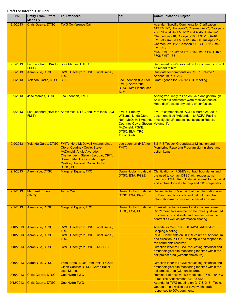| Date      | <b>Entity From/ Effort</b><br><b>Made By</b>             | <b>To/Attendees</b>                                                                                                                                                                                                                         | CC:                                                                                                                                                                               | <b>Communication Subject</b>                                                                                                                                                                                                                                                                                                                                                 |
|-----------|----------------------------------------------------------|---------------------------------------------------------------------------------------------------------------------------------------------------------------------------------------------------------------------------------------------|-----------------------------------------------------------------------------------------------------------------------------------------------------------------------------------|------------------------------------------------------------------------------------------------------------------------------------------------------------------------------------------------------------------------------------------------------------------------------------------------------------------------------------------------------------------------------|
| 9/5/2013  | <b>Chris Guerre, DTSC</b>                                | <b>TWG Conference Call</b>                                                                                                                                                                                                                  |                                                                                                                                                                                   | Agenda: Specific Comments for Clarification<br>#12 FMIT-7, Hualapai-7, Chemehuevi-7, Cocopah-<br>7, CRIT-7; #84a FMIT-22 and #84b Hualapai-16,<br>Chemehuevi-16, Cocopah-16, CRIT-16; #248<br>FMIT-33; #436a FMIT-128, #436b Hualapai-112,<br>Chemehuevi-112, Cocopah-112, CRIT-112; #438<br><b>FMIT-130</b><br>#487 FMIT-150/#488 FMIT-151; #496 FMIT-159;<br>#708 FMIT-183 |
| 9/5/2013  | Leo Leonhart (H&A for Jose Marcos, DTSC<br><b>FMIT</b> ) |                                                                                                                                                                                                                                             |                                                                                                                                                                                   | Requested Jose's solicitation for comments on soil<br>be resent to him.                                                                                                                                                                                                                                                                                                      |
| 9/5/2013  | Aaron Yue, DTSC                                          | CWG, Geo/Hydro TWG, Tribal Reps.,<br>TRC                                                                                                                                                                                                    |                                                                                                                                                                                   | Due date for comments on RFI/RI Volume 1<br>Addendum is 9/9/13                                                                                                                                                                                                                                                                                                               |
| 9/6/2013  | Yolanda Garza, DTSC                                      | <b>CTF</b>                                                                                                                                                                                                                                  | Leo Leonhart (H&A for<br>FMIT), Aaron Yue,<br>DTSC, Kim Liebhauser,<br><b>BLM</b>                                                                                                 | Draft Agenda for 9/17/13 CTF meeting                                                                                                                                                                                                                                                                                                                                         |
| 9/9/2013  | <b>Jose Marcos, DTSC</b>                                 | Leo Leonhart, FMIT                                                                                                                                                                                                                          |                                                                                                                                                                                   | Apologized, reply to Leo on 9/5 didn't go through.<br>Saw that his comments were received earlier.<br>Hope didn't cause any delay or confusion.                                                                                                                                                                                                                              |
| 9/9/2013  | <b>FMIT)</b>                                             | Leo Leonhart (H&A for Aaron Yue, DTSC and Pam Innis, DOI                                                                                                                                                                                    | <b>FMIT: Timothy</b><br><b>Williams, Linda Otero.</b><br>Nora McDowell-Antone,<br>Courtney Coyle, Steven Volume 1".<br>McDonald, PG&E,<br>DTSC, BLM, TRC,<br><b>Tribal Govts.</b> | FMIT's comments on PG&E's March 26, 2013,<br>document titled "Addendum to RCRA Facility<br>Investigation/Remedial Investigation Report,                                                                                                                                                                                                                                      |
| 9/9/2013  |                                                          | Yolanda Garza, DTSC FMIT: Nora McDowell-Antone, Linda<br>Otero, Courtney Coyle, Steven<br>McDonald, Angie Alvarado;<br>Chemehuevi: Steven Escobar; CRIT:<br>Howard Magill; Cocopah: Edgar<br>Castillo; Hualapai: Dawn Hubbs;<br>DTSC, PG&E, | Leo Leonhart (H&A for<br>FMIT)                                                                                                                                                    | 8/21/13 Topock Groundwater Mitigation and<br>Monitoring Reporting Program sign-in sheet and<br>action items.                                                                                                                                                                                                                                                                 |
| 9/9/2013  | <b>Aaron Yue, DTSC</b>                                   | <b>Margaret Eggers, TRC</b>                                                                                                                                                                                                                 | Dawn Hubbs, Hualapai,<br>DTSC, ESA, PG&E                                                                                                                                          | Clarification on PG&E's contract boundaries and<br>the need to contact DTSC with requests, not<br>directly to ESA. Re: Hualapai request for historical<br>and archaeological site map and GIS shape files.                                                                                                                                                                   |
| 9/9/2013  | <b>Margaret Eggers</b><br>(TRC)                          | <b>Aaron Yue</b>                                                                                                                                                                                                                            | Dawn Hubbs, Hualapai,<br>DTSC, ESA, PG&E                                                                                                                                          | Replied to Aaron's email that the information was<br>for Dawn and Nora only and did not want the<br>information/map conveyed to her at any time.                                                                                                                                                                                                                             |
| 9/9/2013  | Aaron Yue, DTSC                                          | Margaret Eggers, TRC                                                                                                                                                                                                                        | Dawn Hubbs, Hualapai,<br>DTSC, ESA, PG&E                                                                                                                                          | Thanked her for voicemail and email response.<br>Didn't mean to alarm her or the tribes, just wanted<br>to share our constraints and perspective in the<br>contract as well as information sharing.                                                                                                                                                                          |
| 9/10/2013 | Aaron Yue, DTSC                                          | CWG, Geo/Hydro TWG, Tribal Reps.,<br>TRC                                                                                                                                                                                                    |                                                                                                                                                                                   | Agenda for Sept. 19 & 20 RAWP Addendum<br><b>Scoping Meeting</b>                                                                                                                                                                                                                                                                                                             |
| 9/10/2013 | Aaron Yue, DTSC                                          | CWG, Geo/Hydro TWG, Tribal Reps.,<br><b>TRC</b>                                                                                                                                                                                             |                                                                                                                                                                                   | PG&E Comments on RFI/RI Volume 1 Addendum<br>and direction to PG&E to compile and respond to<br>the comments received.                                                                                                                                                                                                                                                       |
| 9/10/2013 | Aaron Yue, DTSC                                          | CWG, Geo/Hydro TWG, TRC, ESA                                                                                                                                                                                                                |                                                                                                                                                                                   | Direction letter to PG&E requesting historical and<br>archaeological site monitoring for sites within the<br>soil project area (without enclosure).                                                                                                                                                                                                                          |
| 9/10/2013 | Aaron Yue, DTSC                                          | Tribal Reps., DOI: Pam Innis; PG&E:<br>Glenn Caruso; DTSC: Karen Baker,<br><b>Jose Marcos</b>                                                                                                                                               |                                                                                                                                                                                   | Direction letter to PG&E requesting historical and<br>archaeological site monitoring for sites within the<br>soil project area (with enclosure).                                                                                                                                                                                                                             |
| 9/10/2013 | <b>Chris Guerre, DTSC</b>                                | <b>Geo Hydro TWG</b>                                                                                                                                                                                                                        |                                                                                                                                                                                   | Reminder of next week's meetings: TWG - 9/17 &<br>9/18; Risk Assessment - 9/19 & 9/20                                                                                                                                                                                                                                                                                        |
| 9/12/2013 | <b>Chris Guerre, DTSC</b>                                | <b>Geo Hydro TWG</b>                                                                                                                                                                                                                        |                                                                                                                                                                                   | Agenda for TWG meeting on 9/17 & 9/18: Topics:<br>Update on old well in bat cave wash; draft<br>responses to 60% comments                                                                                                                                                                                                                                                    |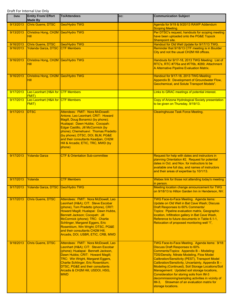| Date      | <b>Entity From/ Effort</b><br><b>Made By</b>      | <b>To/Attendees</b>                                                                                                                                                                                                                                                                                                                                                               | CC: | <b>Communication Subject</b>                                                                                                                                                                                                                                                                                                                                                                                                                                                                                                                                                     |
|-----------|---------------------------------------------------|-----------------------------------------------------------------------------------------------------------------------------------------------------------------------------------------------------------------------------------------------------------------------------------------------------------------------------------------------------------------------------------|-----|----------------------------------------------------------------------------------------------------------------------------------------------------------------------------------------------------------------------------------------------------------------------------------------------------------------------------------------------------------------------------------------------------------------------------------------------------------------------------------------------------------------------------------------------------------------------------------|
| 9/13/2013 | Chris Guerre, DTSC                                | Geo/Hydro TWG                                                                                                                                                                                                                                                                                                                                                                     |     | Agenda for 9/19 & 9/20/13 RAWP Addendum<br><b>Scoping Meeting.</b>                                                                                                                                                                                                                                                                                                                                                                                                                                                                                                               |
| 9/13/2013 | Christina Hong, CH2M Geo/Hydro TWG<br><b>Hill</b> |                                                                                                                                                                                                                                                                                                                                                                                   |     | Per DTSC's request, handouts for scoping meeting<br>have been uploaded onto the PG&E Topock<br>Sharepoint site.                                                                                                                                                                                                                                                                                                                                                                                                                                                                  |
| 9/16/2013 | Chris Guerre, DTSC                                | Geo/Hydro TWG                                                                                                                                                                                                                                                                                                                                                                     |     | Handout for Old Well Update for 9/17/13 TWG.                                                                                                                                                                                                                                                                                                                                                                                                                                                                                                                                     |
| 9/16/2013 | Yolanda Garza, DTSC CTF Members                   |                                                                                                                                                                                                                                                                                                                                                                                   |     | Reminder that 9/18/13 CTF meeting is in Boulder<br>City and not the usual CH2M Hill offices.                                                                                                                                                                                                                                                                                                                                                                                                                                                                                     |
| 9/16/2013 | Christina Hong, CH2M Geo/Hydro TWG<br><b>Hill</b> |                                                                                                                                                                                                                                                                                                                                                                                   |     | Handouts for 9/17-18, 2013 TWG Meeting: List of<br>RTC's, RTC #776a and #776b, #289; Attachment<br>A Alternative Pipeline Evaluation Matrix.                                                                                                                                                                                                                                                                                                                                                                                                                                     |
| 9/16/2013 | Christina Hong, CH2M Geo/Hydro TWG<br><b>Hill</b> |                                                                                                                                                                                                                                                                                                                                                                                   |     | Handout for 9/17-18, 2013 TWG Meeting:<br>Appendix B: Development of Groundwater Flow,<br>Geochemical, and Solute Transport Models".                                                                                                                                                                                                                                                                                                                                                                                                                                             |
| 9/17/2013 | Leo Leonhart (H&A for CTF Members<br><b>FMIT)</b> |                                                                                                                                                                                                                                                                                                                                                                                   |     | Links to GRAC meetings of potential interest.                                                                                                                                                                                                                                                                                                                                                                                                                                                                                                                                    |
| 9/17/2013 | Leo Leonhart (H&A for<br><b>FMIT)</b>             | <b>CTF Members</b>                                                                                                                                                                                                                                                                                                                                                                |     | Copy of Arizona Hydrological Society presentation<br>to be given on Thursday, 9/19/13.                                                                                                                                                                                                                                                                                                                                                                                                                                                                                           |
| 9/17/2013 | <b>DTSC</b>                                       | Attendees: FMIT: Nora McDowell-<br>Antone, Leo Leonhart; CRIT: Howard<br>Magill, Doug Bonamici (by phone);<br>Hualapai: Dawn Hubbs; Cocopah:<br>Edgar Castillo, Jill McCormick (by<br>phone); Chemehuevi: Thomas Pradetto<br>(by phone); DTSC, DOI, BLM, PG&E<br>and their consultants Keadjian, CH2M<br>Hill & Arcadis; ETIC, TRC, MWD (by<br>phone)                             |     | <b>Clearinghouse Task Force Meeting.</b>                                                                                                                                                                                                                                                                                                                                                                                                                                                                                                                                         |
| 9/17/2013 | <b>Yolanda Garza</b>                              | <b>CTF &amp; Orientation Sub-committee</b>                                                                                                                                                                                                                                                                                                                                        |     | Request for help with dates and instructors in<br>planning Orientation #2. Request for potential<br>dates in Oct. and Nov. for instructors to be<br>available one full day, and names of instructors<br>and their areas of expertise by 10/1/13.                                                                                                                                                                                                                                                                                                                                 |
| 9/17/2013 | Yolanda                                           | <b>CTF Members</b>                                                                                                                                                                                                                                                                                                                                                                |     | Webex link for those not attending today's meeting<br>in person.                                                                                                                                                                                                                                                                                                                                                                                                                                                                                                                 |
| 9/17/2013 | Yolanda Garza, DTSC Geo/Hydro TWG                 |                                                                                                                                                                                                                                                                                                                                                                                   |     | Meeting location change announcement for TWG<br>on 9/18/13 to Hilton Garden Inn in Henderson, NV.                                                                                                                                                                                                                                                                                                                                                                                                                                                                                |
| 9/17/2013 | <b>Chris Guerre, DTSC</b>                         | Attendees: FMIT: Nora McDowell, Leo<br>Leonhart (H&A); CIT: Steve Escobar<br>(phone), Tom Pradetto (phone), CRIT:<br>Howard Magill; Hualapai: Dawn Hubbs,<br>Bennett Jackson; Cocopah: Jill<br>McCormick (phone); TRC: Charlie<br>Schlinger, Margaret Eggers, Eric<br>Rosenblum, Win Wright; DTSC, PG&E<br>and their consultants CH2M Hill,<br>Arcadis, DOI, USBR, ETIC, CRB, MWD |     | <b>TWG Face-to-Face Meeting. Agenda items:</b><br>Update on Old Well in Bat Cave Wash; Discuss<br>Draft Responses to 60% Comments/<br>Topics: Pipeline evaluation matrix, Geographic<br>location, Infiltration gallery in Bat Cave Wash,<br>Reference to future documents in Table 6.1-1,<br>Relocation of proposed monitoring well "I",                                                                                                                                                                                                                                         |
| 9/18/2013 | <b>Chris Guerre, DTSC</b>                         | Attendees: FMIT: Nora McDowell, Leo<br>Leonhart (H&A); CIT: Steven Escobar<br>(phone); Hualapai: Bennett Jackson,<br>Dawn Hubbs; CRIT: Howard Magill;<br>TRC: Win Wright, Margaret Eggers,<br>Charlie Schlinger, Eric Rosenblum;<br>DTSC, PG&E and their consultants<br>Arcadis & CH2M Hill, USDOI, HSG,<br><b>MWD</b>                                                            |     | TWG Face-to-Face Meeting. Agenda items: 9/18:<br><b>Discuss Draft Responses to 60%</b><br>Comments/Topics: Appendix B - Modeling:<br><b>TDS/Density, Nitrate Modeling, Flow Model</b><br><b>Calibration/Sensitivity (PEST), Transport Model</b><br>Calibration/Sensitivity, Uncertainty, Appendix B -<br>Modeling (Continued), Soil Storage Locations/Soil<br>Management: Updated soil storage locations,<br>Consideration for storing soils from IM-3<br>decommissioning/sampling activities in vicinity of<br>IM-3. Strawman of an evaluation matrix for<br>storage locations. |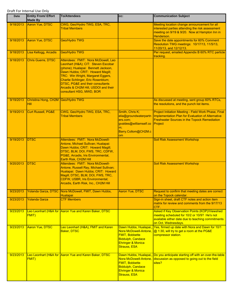| Date      | <b>Entity From/ Effort</b><br><b>Made By</b> | <b>To/Attendees</b>                                                                                                                                                                                                                                                                                                                      | CC:                                                                                                                                                 | <b>Communication Subject</b>                                                                                                                                                       |
|-----------|----------------------------------------------|------------------------------------------------------------------------------------------------------------------------------------------------------------------------------------------------------------------------------------------------------------------------------------------------------------------------------------------|-----------------------------------------------------------------------------------------------------------------------------------------------------|------------------------------------------------------------------------------------------------------------------------------------------------------------------------------------|
| 9/18/2013 | Aaron Yue, DTSC                              | CWG, Geo/Hydro TWG, ESA, TRC,<br><b>Tribal Members</b>                                                                                                                                                                                                                                                                                   |                                                                                                                                                     | Meeting location change announcement for all<br>interested parties attending the risk assessment<br>meeting on 9/19 & 9/20. Now at Hampton Inn in<br>Henderson.                    |
| 9/18/2013 | Aaron Yue, DTSC                              | Geo/Hydro TWG                                                                                                                                                                                                                                                                                                                            |                                                                                                                                                     | Save the date appointments for 60% Comment<br>Resolution TWG meetings: 10/17/13, 11/5/13,<br>11/20/13, and 12/12/13.                                                               |
| 9/18/2013 | Lisa Kellogg, Arcadis                        | Geo/Hydro TWG                                                                                                                                                                                                                                                                                                                            |                                                                                                                                                     | Per request, emailed Appendix B 60% RTC particle<br>tracking.                                                                                                                      |
| 9/18/2013 | Chris Guerre, DTSC                           | Attendees: FMIT: Nora McDowell, Leo<br>Leonhart (H&A); CIT: Steven Escobar<br>(phone); Hualapai: Bennett Jackson,<br>Dawn Hubbs; CRIT: Howard Magill;<br>TRC: Win Wright, Margaret Eggers,<br>Charlie Schlinger, Eric Rosenblum;<br>DTSC, PG&E and their consultants<br>Arcadis & CH2M Hill, USDOI and their<br>consultant HSG, MWD, BOR |                                                                                                                                                     |                                                                                                                                                                                    |
| 9/19/2013 | Christina Hong, CH2M Geo/Hydro TWG<br>Hill   |                                                                                                                                                                                                                                                                                                                                          |                                                                                                                                                     | As discussed at meeting, sent group 60% RTCs,<br>the resolutions, and the punch list items.                                                                                        |
| 9/19/2013 | Curt Russell, PG&E                           | CWG, Geo/Hydro TWG, ESA, TRC,<br><b>Tribal Members</b>                                                                                                                                                                                                                                                                                   | Smith, Chris K;<br>elia@groundwaterpartn<br>ers.com;<br>gvaldes@williamself.co<br>m:<br>Barry.Collom@CH2M.c<br>om                                   | Project Initiation Meeting - Field Work Phase, Final<br><b>Implementation Plan for Evaluation of Alternative</b><br><b>Freshwater Sources in the Topock Remediation</b><br>Project |
| 9/19/2013 | <b>DTSC</b>                                  | Attendees: FMIT: Nora McDowell-<br>Antone, Michael Sullivan; Hualapai:<br>Dawn Hubbs; CRIT: Howard Magill;<br>DTSC, BLM, DOI, FWS, TRC, CDFW,<br>PG&E, Arcadis, Iris Environmental,<br>Earth Risk, CH2M Hill                                                                                                                             |                                                                                                                                                     | <b>Soil Risk Assessment Workshop</b>                                                                                                                                               |
| 9/20/2013 | <b>DTSC</b>                                  | Attendees: FMIT: Nora McDowell-<br>Antone, Russell Ray, Michael Sullivan;<br>Hualapai: Dawn Hubbs; CRIT: Howard<br>Magill; DTSC, BLM, DOI, FWS, TRC,<br>CDFW, USBR, Iris Environmental;<br>Arcadis, Earth Risk, Inc., CH2M Hill                                                                                                          |                                                                                                                                                     | <b>Soil Risk Assessment Workshop</b>                                                                                                                                               |
| 9/23/2013 |                                              | Yolanda Garza, DTSC Nora McDowell, FMIT, Dawn Hubbs,<br><b>Hualapai</b>                                                                                                                                                                                                                                                                  | <b>Aaron Yue, DTSC</b>                                                                                                                              | Request to confirm that meeting dates are correct<br>on the Topock calendar.                                                                                                       |
| 9/23/2013 | <b>Yolanda Garza</b>                         | <b>CTF Members</b>                                                                                                                                                                                                                                                                                                                       |                                                                                                                                                     | Sign-in sheet, draft CTF notes and action item<br>matrix for review and comments from the 9/17/13<br>CTF.                                                                          |
| 9/23/2013 | <b>FMIT)</b>                                 | Leo Leonhart (H&A for Aaron Yue and Karen Baker, DTSC                                                                                                                                                                                                                                                                                    |                                                                                                                                                     | Asked if Key Observation Points (KOP)/Viewshed<br>meeting scheduled for 10/2 or 10/9? He's not<br>available either date due to teaching commitments<br>on Oct. Wednesdays.         |
| 9/23/2013 | <b>Aaron Yue, DTSC</b>                       | Leo Leonhart (H&A), FMIT and Karen<br><b>Baker, DTSC</b>                                                                                                                                                                                                                                                                                 | Dawn Hubbs, Hualapai,<br>Nora McDowell-Antone.<br><b>FMIT, Bobbette</b><br>Biddulph, Candace<br><b>Ehringer &amp; Monica</b><br><b>Strauss, ESA</b> | Yes, firmed up date with Nora and Dawn for 10/1<br>@ 1:30, will try to get a room at the PG&E<br>compressor station.                                                               |
| 9/23/2013 | FMIT)                                        | Leo Leonhart (H&A for Aaron Yue and Karen Baker, DTSC                                                                                                                                                                                                                                                                                    | Nora McDowell-Antone,<br><b>FMIT, Bobbette</b><br><b>Biddulph, Candace</b><br><b>Ehringer &amp; Monica</b><br><b>Strauss, ESA</b>                   | Dawn Hubbs, Hualapai,, Do you anticipate starting off with an over-the-table<br>discussion as opposed to going out to the field<br>sites?                                          |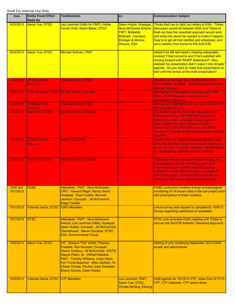| <b>Date</b>             | <b>Entity From/ Effort</b><br><b>Made By</b> | <b>To/Attendees</b>                                                                                                                                                                                                                                                                                              | CC:                                                                                                                                             | <b>Communication Subject</b>                                                                                                                                                                                                                                                                                         |
|-------------------------|----------------------------------------------|------------------------------------------------------------------------------------------------------------------------------------------------------------------------------------------------------------------------------------------------------------------------------------------------------------------|-------------------------------------------------------------------------------------------------------------------------------------------------|----------------------------------------------------------------------------------------------------------------------------------------------------------------------------------------------------------------------------------------------------------------------------------------------------------------------|
| 9/23/2013               | <b>Aaron Yue, DTSC</b>                       | Leo Leonhart (H&A for FMIT); Addie<br>Farrell, ESA, Karen Baker, DTSC                                                                                                                                                                                                                                            | Dawn Hubbs, Hualapai,<br>Nora McDowell-Antone,<br><b>FMIT, Bobbette</b><br><b>Biddulph, Candace</b><br>Ehringer & Monica<br><b>Strauss, ESA</b> | Thinks that Leo is right, but defers to ESA. Thinks<br>discussion would be between ESA and Tribes to<br>flush out how the viewshed approach would work<br>and what info would be needed to make it happen.<br>Goal is to get all that clarified and scheduled, and<br>set a realistic time frame for the draft EIR.  |
| 9/23/2013               | <b>Aaron Yue, DTSC</b>                       | <b>Michael Sullivan, FMIT</b>                                                                                                                                                                                                                                                                                    |                                                                                                                                                 | Asked if he felt last week's meeting adequately<br>covered Tribal concerns and if he's satisfied with<br>moving forward with RAWP Addendum? Also,<br>realized his presentation didn't make it into Arcadis'<br>agenda. Do you want to make that presentation or<br>wait until the review of the draft presentation?  |
| 9/24/2013               | Jill McCormick,<br>Cocopah                   | <b>Yolanda Garza, DTSC</b>                                                                                                                                                                                                                                                                                       |                                                                                                                                                 | Received email regarding meeting dates from<br>Dawn Hubbs, Hualapai. Wondering why Cocopah<br>was not included.                                                                                                                                                                                                      |
| 9/24/2013               |                                              | Yolanda Garza, DTSC Jill McCormick, Cocopah                                                                                                                                                                                                                                                                      |                                                                                                                                                 | Apologized for disregard of Cocopah and other<br>tribes. Will reissue the confirmation with<br>appropriate notification.                                                                                                                                                                                             |
| 9/24/2013               | Jill McCormick,<br>Cocopah                   | <b>Yolanda Garza, DTSC</b>                                                                                                                                                                                                                                                                                       |                                                                                                                                                 | Apologized if seemed harsh, but feels Cocopah is<br>left out of the process.                                                                                                                                                                                                                                         |
| 9/24/2013               | Aaron Yue, DTSC                              | <b>Jill McCormick, Cocopah</b>                                                                                                                                                                                                                                                                                   |                                                                                                                                                 | Clarification that the viewshed discussion is a<br>follow-up meeting with FMIT & Hualapai, but<br>welcome to attend although Cocopah gave no<br>input. Asked that Dawn & Nora provide<br>coordination with other tribes and give DTSC<br>direction if Tuesday is still the appropriate meeting<br>day/time.          |
| 9/24/2013               | <b>Jill McCormick,</b><br>Cocopah            | Aaron Yue, DTSC                                                                                                                                                                                                                                                                                                  |                                                                                                                                                 | Hopeful that next week's meetings will give them<br>more info. So they can provide specific comments<br>on the process. If private meetings, will not attend<br>but would like to schedule private meetings.                                                                                                         |
| 9/24/2013               | Aaron Yue, DTSC                              | <b>Jill McCormick, Cocopah</b>                                                                                                                                                                                                                                                                                   |                                                                                                                                                 | PG&E to notify all interested tribes to history and<br>archaeological annual monitoring event and<br>Freshwater implementation kick-off meeting.<br>Invitations to view shed discussion is update to<br><b>FMIT &amp; Hualapai. It is not DTSC's intention to</b><br>offend any part, but to respect those involved. |
| $9/30$ and<br>10/1/2013 | PG&E                                         | Attendees: FMIT: Nora McDowell;<br><b>CRIT: Howard Magill, Nancy Swick;</b><br>Hualapai: Dawn Hubbs, Bennett<br>Jackson; Cocopah: Jill McCormick,<br><b>Edgar Castillo</b>                                                                                                                                       |                                                                                                                                                 | PG&E conducted modified annual archaeological<br>monitoring of 14 known sites in the soil project area<br>with participation of tribal monitors.                                                                                                                                                                     |
| 10/1/2013               | Yolanda Garza, DTSC CWG Members              |                                                                                                                                                                                                                                                                                                                  |                                                                                                                                                 | Link to survey and request to complete by 10/8/13.<br>Survey regarding usefulness of newsletter.                                                                                                                                                                                                                     |
| 10/1/2013               | <b>DTSC</b>                                  | <b>Attendees: FMIT: Nora McDowell-</b><br>Antone, Leo Leonhart (H&A); Hualapai:<br>Dawn Hubbs; Cocopah: Jill McCormick;<br>Chemehuevi: Steven Escobar; DTSC,<br><b>ESA, Environmental Visual</b>                                                                                                                 |                                                                                                                                                 | DTSC and consultant ESA meeting with Tribes to<br>discuss the Soil EIR Asthetic/ Viewshed Approach                                                                                                                                                                                                                   |
| 10/6/2013               | <b>Aaron Yue, DTSC</b>                       | CIT: Edward "Tito" Smith, Thomas<br>Pradetto, Ron Escobar; Cocopah:<br>Sherry Cordova, Jill McCormick; CRITS:<br>Wayne Patch, Sr., Wilfred Nabahe;<br>FMIT: Timothy Williams, Linda Otero;<br>Fort Yuma-Quechan: Mike Jackson, Sr.,<br>Chase Choate, Pauline Jose; Hualapai:<br><b>Sherry Counts, Dawn Hubbs</b> |                                                                                                                                                 | Mailing of cd's containing September 2013 CWG<br>emails and attachments.                                                                                                                                                                                                                                             |
| 10/2/2013               | Yolanda Garza, DTSC CTF Members              |                                                                                                                                                                                                                                                                                                                  | Leo Leonhart, FMIT,<br>Aaron Yue, DTSC,<br><b>Christa Marting, Eticeng</b>                                                                      | Draft agenda for 10/15/13 CTF, notes from 9/17/13<br>CTF, CTF Calendar, CTF action items                                                                                                                                                                                                                             |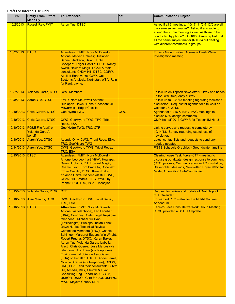| Date       | <b>Entity From/ Effort</b><br><b>Made By</b>            | <b>To/Attendees</b>                                                                                                                                                                                                                                                                                                                                                                                                                                                                                                                                                                                                                                                                                                                                                                                                           | CC:        | <b>Communication Subject</b>                                                                                                                                                                                                                                                                        |
|------------|---------------------------------------------------------|-------------------------------------------------------------------------------------------------------------------------------------------------------------------------------------------------------------------------------------------------------------------------------------------------------------------------------------------------------------------------------------------------------------------------------------------------------------------------------------------------------------------------------------------------------------------------------------------------------------------------------------------------------------------------------------------------------------------------------------------------------------------------------------------------------------------------------|------------|-----------------------------------------------------------------------------------------------------------------------------------------------------------------------------------------------------------------------------------------------------------------------------------------------------|
| 10/2/2013  | <b>Russell Ray, FMIT</b>                                | <b>Aaron Yue, DTSC</b>                                                                                                                                                                                                                                                                                                                                                                                                                                                                                                                                                                                                                                                                                                                                                                                                        |            | Asked if all 3 meetings: 10/17, 11/5 & 12/5 are all<br>the same subject matter? Asked if advisable to<br>attend the Yuma meeting as well as those to be<br>conducted by phone? On 10/3, Aaron replied that<br>all the same subject matter (RTC's) but dealing<br>with different comments in groups. |
| 10/2/2013  | <b>DTSC</b>                                             | Attendees: FMIT: Nora McDowell-<br>Antone, Melven Holmes; Hualapai:<br>Bennett Jackson, Dawn Hubbs;<br>Cocopah: Edgar Castillo; CRIT: Nancy<br>Swick, Howard Magill; PG&E & their<br>consultants CH2M Hill; DTSC, CDFW,<br><b>Applied Earthworks, GWP, Geo</b><br>Systems Analysis, Northstar, WSA, Rain<br>for Rent, Layne,                                                                                                                                                                                                                                                                                                                                                                                                                                                                                                  |            | Topock Groundwater: Alternate Fresh Water<br><b>Investigation meeting</b>                                                                                                                                                                                                                           |
| 10/7/2013  | Yolanda Garza, DTSC CWG Members                         |                                                                                                                                                                                                                                                                                                                                                                                                                                                                                                                                                                                                                                                                                                                                                                                                                               |            | Follow-up on Topock Newsletter Survey and heads<br>up for CWG frequency survey.                                                                                                                                                                                                                     |
| 10/8/2013  | Aaron Yue, DTSC                                         | <b>FMIT: Nora McDowell-Antone;</b><br>Hualapai: Dawn Hubbs; Cocopah: Jill<br>McCormick, Edgar Castillo                                                                                                                                                                                                                                                                                                                                                                                                                                                                                                                                                                                                                                                                                                                        |            | Follow-up to 10/1/13 meeting regarding viewshed<br>discussion. Request for agenda for site walk on<br>October 28, 2013.                                                                                                                                                                             |
| 10/10/2013 | Chris Guerre, DTSC                                      | Geo/Hydro TWG                                                                                                                                                                                                                                                                                                                                                                                                                                                                                                                                                                                                                                                                                                                                                                                                                 | <b>CWG</b> | Agenda for 10/16 & 10/17 TWG meetings to<br>discuss 60% design comments.                                                                                                                                                                                                                            |
| 10/10/2013 | <b>Chris Guerre, DTSC</b>                               | CWG, Geo/Hydro TWG, TRC, Tribal<br>Reps., ESA                                                                                                                                                                                                                                                                                                                                                                                                                                                                                                                                                                                                                                                                                                                                                                                 |            | CMP 1st half 2013 GWMR for Topock IM No. 3                                                                                                                                                                                                                                                          |
| 10/10/2013 | PG&E File (Lori) on<br><b>Yolanda Garza's</b><br>behalf | Geo/Hydro TWG, TRC, CTF                                                                                                                                                                                                                                                                                                                                                                                                                                                                                                                                                                                                                                                                                                                                                                                                       |            | Link to survey and request to complete by<br>10/14/13. Survey regarding usefulness of<br>newsletter.                                                                                                                                                                                                |
| 10/10/2013 | Aaron Yue, DTSC                                         | Agenda Only, CWG, Tribal Reps, ESA,<br><b>TRC, Geo/Hydro TWG</b>                                                                                                                                                                                                                                                                                                                                                                                                                                                                                                                                                                                                                                                                                                                                                              |            | Latest contact lists and requests to send any<br>needed updated.                                                                                                                                                                                                                                    |
| 10/14/2013 | Aaron Yue, DTSC                                         | CWG, Geo/Hydro TWG, Tribal Reps.,<br>TRC, ESA                                                                                                                                                                                                                                                                                                                                                                                                                                                                                                                                                                                                                                                                                                                                                                                 |            | <b>PG&amp;E Schedule Graphics - Groundwater timeline</b>                                                                                                                                                                                                                                            |
| 10/15/2013 | <b>DTSC</b>                                             | Attendees: FMIT: Nora McDowell-<br>Antone; Leo Leonhart (H&A); Hualapai:<br>Dawn Hubbs; CRIT: Howard Magill;<br>Chemehuevi: Tom Pradetto; Cocopah:<br>Edgar Castillo; DTSC: Karen Baker,<br>Yolanda Garza, Isabella Alasti; PG&E,<br>CH2M Hill, Arcadis, ETIC, MWD; by<br>Phone: DOI, TRC, PG&E, Keadjian;                                                                                                                                                                                                                                                                                                                                                                                                                                                                                                                    |            | <b>Clearinghouse Task Force (CTF) meeting to</b><br>discuss groundwater design response to comment<br>(RTC) process, Communication and Consultation,<br>Stakeholder Meetings, Newsletter, Physical/Digital<br>Model, Orientation Sub-Committee.                                                     |
| 10/15/2013 | Yolanda Garza, DTSC CTF                                 |                                                                                                                                                                                                                                                                                                                                                                                                                                                                                                                                                                                                                                                                                                                                                                                                                               |            | <b>Request for review and update of Draft Topock</b><br><b>CTF Calendar.</b>                                                                                                                                                                                                                        |
| 10/16/2013 | Jose Marcos, DTSC                                       | CWG, Geo/Hydro TWG, Tribal Reps.,<br>TRC, ESA                                                                                                                                                                                                                                                                                                                                                                                                                                                                                                                                                                                                                                                                                                                                                                                 |            | Forwarded RTC matrix for the RFI/RI Volume I<br>Addendum.                                                                                                                                                                                                                                           |
| 10/16/2013 | <b>DTSC</b>                                             | <b>Attendees: FMIT: Nora McDowell-</b><br>Antone (via telephone), Leo Leonhart<br>(H&A), Courtney Coyle (Legal Rep) (via<br>telephone), Michael Sulllivan<br>(Toxicologist); Hualapai Indian Tribe:<br>Dawn Hubbs; Technical Review<br><b>Committee Members (TRC): Charlie</b><br>Schlinger, Margaret Eggers, Win Wright,<br>Robert Prucha; DTSC: Karen Baker,<br>Aaron Yue, Yolanda Garza, Isabella<br>Alasti, Chris Guerre. Jose Marcos (via<br>telephone), Lori Hare (via telephone);<br><b>Environmental Science Associates</b><br>(ESA) on behalf of DTSC: Addie Farrell,<br>Monica Strauss (via telephone); CDFW,<br><b>CRB, PG&amp;E and their consultants CH2M</b><br>Hill, Arcadis, Blair, Church & Flynn<br>Consulting Eng., Keadjian, USBLM,<br>USBOR, USDOI, GRB for DOI, USFWS,<br><b>MWD, Mojave County DPH</b> |            | Face-to-Face Consultative Work Group Meeting.<br><b>DTSC provided a Soil EIR Update.</b>                                                                                                                                                                                                            |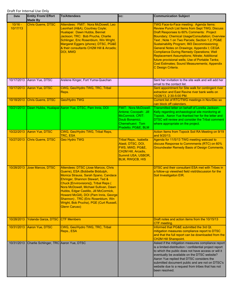| Date                  | <b>Entity From/ Effort</b><br><b>Made By</b> | <b>To/Attendees</b>                                                                                                                                                                                                                                                                                                                                                                                                                       | CC:                                                                                                                                    | <b>Communication Subject</b>                                                                                                                                                                                                                                                                                                                                                                                                                                                                                                                                                                  |
|-----------------------|----------------------------------------------|-------------------------------------------------------------------------------------------------------------------------------------------------------------------------------------------------------------------------------------------------------------------------------------------------------------------------------------------------------------------------------------------------------------------------------------------|----------------------------------------------------------------------------------------------------------------------------------------|-----------------------------------------------------------------------------------------------------------------------------------------------------------------------------------------------------------------------------------------------------------------------------------------------------------------------------------------------------------------------------------------------------------------------------------------------------------------------------------------------------------------------------------------------------------------------------------------------|
| $10/16 -$<br>10/17/13 | <b>Chris Guerre, DTSC</b>                    | Attendees: FMIT: Nora McDowell, Leo<br>Leonhart (H&A), Courtney Coyle;<br>Hualapai: Dawn Hubbs, Bennet<br>Jackson; TRC: Bob Prucha, Charlie<br>Schlinger, Eric Rosenblum, Win Wright,<br>Margaret Eggers (phone); DTSC, PG&E<br>& their consultants CH2M Hill & Arcadis;<br><b>DOI, MWD</b>                                                                                                                                               |                                                                                                                                        | TWG Face-to-Face meeting: Agenda Items:<br><b>Review Punch List Items from Sept TWG; Discuss</b><br>Draft Responses to 60% Comments: Project<br>Boundary; Chemical Usage/Consultation; Overview<br>Text ; Note 1 on Two Parcels; Section 1.2; PG&E<br>Sustainability Program; IM3 Decommissioning;<br>General Notes on Drawings; Appendix I; CEQA<br><b>Compliance During Remedy Operations; Well</b><br><b>Replacement Assumptions; Nitrate; Additional</b><br>future provisional wells; Use of Portable Tanks;<br><b>Cost Estimates; Sound Measurements; Appendix</b><br>C Design Criteria. |
|                       | 10/17/2013 Aaron Yue, DTSC                   | Arelene Kinger, Fort Yuma-Quechan                                                                                                                                                                                                                                                                                                                                                                                                         |                                                                                                                                        | Sent her invitation to the site walk and will add her<br>email to the contact list.                                                                                                                                                                                                                                                                                                                                                                                                                                                                                                           |
| 10/17/2013            | Aaron Yue, DTSC                              | CWG, Geo/Hydro TWG, TRC, Tribal<br>Reps.                                                                                                                                                                                                                                                                                                                                                                                                  |                                                                                                                                        | Sent appointment for Site walk for contingent river<br>extraction and East Ravine river bank wells on<br>10/28/13, 2:30-5:00 PM.                                                                                                                                                                                                                                                                                                                                                                                                                                                              |
| 10/18/2013            | <b>Chris Guerre, DTSC</b>                    | Geo/Hydro TWG                                                                                                                                                                                                                                                                                                                                                                                                                             |                                                                                                                                        | Current list of RTC/TWG meetings in Nov/Dec so<br>can block off calendars.                                                                                                                                                                                                                                                                                                                                                                                                                                                                                                                    |
|                       |                                              | 10/21/2013   Dawn Hubbs, Hualapai Aaron Yue, DTSC, Pam Innis, DOI                                                                                                                                                                                                                                                                                                                                                                         | <b>FMIT: Nora McDowell-</b><br>Antone; Cocopah: Jill<br>McCormick; CRIT:<br>Doub Bonamici:<br>Chemehuevi: Tom<br>Pradetto; PG&E, BLM   | Transmitted letter on behalf of Loretta Jackson-<br>Kelly regarding archaeological site monitoring at<br>Topock. Aaron Yue thanked her for the letter and<br>DTSC will review and consider the Tribal comment<br>where appropriate on the project.                                                                                                                                                                                                                                                                                                                                            |
| 10/22/2013            | Aaron Yue, DTSC                              | CWG, Geo/Hydro TWG, Tribal Reps,<br>TRC, ESA                                                                                                                                                                                                                                                                                                                                                                                              |                                                                                                                                        | Action Items from Topock Soil RA Meeting on 9/19<br>and 9/20/13.                                                                                                                                                                                                                                                                                                                                                                                                                                                                                                                              |
| 10/27/2013            | Chris Guerre, DTSC                           | <b>Geo Hydro TWG</b>                                                                                                                                                                                                                                                                                                                                                                                                                      | Tribal Reps., Isabella<br>Alasti, DTSC, DOI,<br>FWS, MWD, PG&E,<br>CH2M Hill, Arcadis,<br>Summit USA, USBOR,<br><b>BLM, RWQCB, HIS</b> | Agenda for 11/5/13 TWG meeting webcast to<br>discuss Response to Commments (RTC) on 60%<br><b>Groundwater Remedy Basis of Design Comments.</b>                                                                                                                                                                                                                                                                                                                                                                                                                                                |
| 10/28/2013            | Jose Marcos, DTSC                            | Attendees: DTSC (Jose Marcos, Chris<br>Guerre), ESA (Bobbette Biddulph,<br>Monica Strauss, Sarah Spano, Candace<br>Ehringer, Shannon Stewart, Ted &<br>Chuck [Envirovisions]), Tribal Reps (<br><u>Nora McDowell, Michael Sullivan, Dawn</u><br>Hubbs, Edgar Castillo, Jill McCormick,<br>Howard McGill), DOI (Pam Innis, George<br>Shannon), TRC (Eric Rosenblum, Win<br>Wright, Bob Prucha), PGE (Curt Russell,<br><b>Glenn Caruso)</b> |                                                                                                                                        | DTSC and their consultant ESA met with Tribes in<br>a follow-up viewshed field visit/discussion for the<br>Soil Investigaiton EIR.                                                                                                                                                                                                                                                                                                                                                                                                                                                            |
| 10/28/2013            | Yolanda Garza, DTSC CTF Members              |                                                                                                                                                                                                                                                                                                                                                                                                                                           |                                                                                                                                        | Draft notes and action items from the 10/15/13<br>CTF meeting.                                                                                                                                                                                                                                                                                                                                                                                                                                                                                                                                |
| 10/31/2013            | Aaron Yue, DTSC                              | CWG, Geo/Hydro TWG, TRC, Tribal<br>Reps., ESA                                                                                                                                                                                                                                                                                                                                                                                             |                                                                                                                                        | Informed that PG&E submitted the 3rd Qt.<br>mitigation measures compliance report to DTSC<br>and that the full report can be downloaded from the<br><b>CH2M Hill Sharepoint.</b>                                                                                                                                                                                                                                                                                                                                                                                                              |
| 10/31/2013            | Charlie Schlinger, TRC Aaron Yue, DTSC       |                                                                                                                                                                                                                                                                                                                                                                                                                                           |                                                                                                                                        | Asked if the mitigation measures compliance report<br>is a limited-distribution / confidential project report<br>to which the public does not have access or will it<br>eventually be available on the DTSC website?<br>Aaron Yue replied that DTSC considers the<br>submitted document public and are not on DTSC's<br>website due to a request from tribes that has not<br>been resolved.                                                                                                                                                                                                   |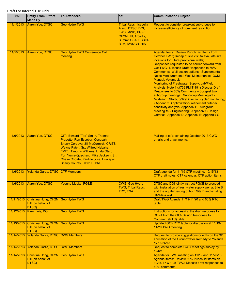| Date       | <b>Entity From/ Effort</b><br><b>Made By</b>                      | <b>To/Attendees</b>                                                                                                                                                                                                                                                                                              | CC:                                                                                                                                    | <b>Communication Subject</b>                                                                                                                                                                                                                                                                                                                                                                                                                                                                                                                                                                                                                                                                                                                                                                                 |
|------------|-------------------------------------------------------------------|------------------------------------------------------------------------------------------------------------------------------------------------------------------------------------------------------------------------------------------------------------------------------------------------------------------|----------------------------------------------------------------------------------------------------------------------------------------|--------------------------------------------------------------------------------------------------------------------------------------------------------------------------------------------------------------------------------------------------------------------------------------------------------------------------------------------------------------------------------------------------------------------------------------------------------------------------------------------------------------------------------------------------------------------------------------------------------------------------------------------------------------------------------------------------------------------------------------------------------------------------------------------------------------|
| 11/1/2013  | Aaron Yue, DTSC                                                   | <b>Geo Hydro TWG</b>                                                                                                                                                                                                                                                                                             | Tribal Reps., Isabella<br>Alasti, DTSC, DOI,<br>FWS, MWD, PG&E,<br>CH2M Hill, Arcadis,<br>Summit USA, USBOR,<br><b>BLM, RWQCB, HIS</b> | Request to consider breakout sub-groups to<br>increase efficiency of comment resolution.                                                                                                                                                                                                                                                                                                                                                                                                                                                                                                                                                                                                                                                                                                                     |
| 11/5/2013  | Aaron Yue, DTSC                                                   | <b>Geo Hydro TWG Conference Call</b><br>meeting                                                                                                                                                                                                                                                                  |                                                                                                                                        | Agenda Items: Review Punch List Items from<br>October TWG; Recap of site visit to evaluate/site<br>locations for future provisional wells;<br>Responses requested to be carried forward from<br>Oct TWG'; D iscuss Draft Responses to 60%<br>Comments: Well design options; Supplemental<br>Noise Measurements; Well Maintenance; O&M<br>Manual, Volume 2;<br>Monitoring of Freshwater Supply; Lab/Field<br>Analysis; Note 1 (#759 FMIT-191) Discuss Draft<br>Responses to 60% Comments - Suggest two<br>subgroup meetings: Subgroup Meeting #1 -<br>Modeling: Start-up/"first injection cycle" monitoring;<br>• Appendix B optimization/ refinement criteria/<br>sensitivity analysis; Appendix B. Subgroup<br>Meeting #2 - Engineering: Appendix C Design<br>Criteria; Appendix D; Appendix E; Appendix G. |
| 11/6/2013  | <b>Aaron Yue, DTSC</b>                                            | CIT: Edward "Tito" Smith, Thomas<br>Pradetto, Ron Escobar; Cocopah:<br>Sherry Cordova, Jill McCormick; CRITS:<br>Wayne Patch, Sr., Wilfred Nabahe;<br>FMIT: Timothy Williams, Linda Otero;<br>Fort Yuma-Quechan: Mike Jackson, Sr.,<br>Chase Choate, Pauline Jose; Hualapai:<br><b>Sherry Counts, Dawn Hubbs</b> |                                                                                                                                        | Mailing of cd's containing October 2013 CWG<br>emails and attachments.                                                                                                                                                                                                                                                                                                                                                                                                                                                                                                                                                                                                                                                                                                                                       |
| 11/6/2013  | Yolanda Garza, DTSC CTF Members                                   |                                                                                                                                                                                                                                                                                                                  |                                                                                                                                        | Draft agenda for 11/19 CTF meeting, 10/15/13<br>CTF draft notes, CTF calendar, CTF action items                                                                                                                                                                                                                                                                                                                                                                                                                                                                                                                                                                                                                                                                                                              |
| 11/6/2013  | Aaron Yue, DTSC                                                   | <b>Yvonne Meeks, PG&amp;E</b>                                                                                                                                                                                                                                                                                    | <b>CWG, Geo Hydro</b><br><b>TWG, Tribal Reps,</b><br><b>TRC, ESA</b>                                                                   | DTSC and DOI jointly instruct PG&E to proceed<br>with installation of freshwater supply well at Site B<br>and the aquifer testing of both Site B and existing<br>HNWR-2 well.                                                                                                                                                                                                                                                                                                                                                                                                                                                                                                                                                                                                                                |
| 11/11/2013 | Christina Hong, CH2M Geo Hydro TWG<br>Hill (on behalf of<br>DTSC) |                                                                                                                                                                                                                                                                                                                  |                                                                                                                                        | Draft TWG Agenda 11/19-11/20 and 60% RTC<br>table                                                                                                                                                                                                                                                                                                                                                                                                                                                                                                                                                                                                                                                                                                                                                            |
| 11/12/2013 | Pam Innis, DOI                                                    | <b>Geo Hydro TWG</b>                                                                                                                                                                                                                                                                                             |                                                                                                                                        | Instructions for accessing the draft response to<br>DOI-1 from the 60% Design Response to<br>Comment (RTC) table.                                                                                                                                                                                                                                                                                                                                                                                                                                                                                                                                                                                                                                                                                            |
| 11/13/2013 | Christina Hong, CH2M Geo Hydro TWG<br>Hill (on behalf of<br>DTSC) |                                                                                                                                                                                                                                                                                                                  |                                                                                                                                        | Updated 60% RTC table for discussion at 11/19-<br>11/20 TWG meeting.                                                                                                                                                                                                                                                                                                                                                                                                                                                                                                                                                                                                                                                                                                                                         |
| 11/14/2013 | Yolanda Garza, DTSC CWG Members                                   |                                                                                                                                                                                                                                                                                                                  |                                                                                                                                        | Request to provide suggestions or edits on the 3D<br>animation of the Groundwater Remedy to Yolanda<br>by 11/26/13.                                                                                                                                                                                                                                                                                                                                                                                                                                                                                                                                                                                                                                                                                          |
| 11/14/2013 | Yolanda Garza, DTSC CWG Members                                   |                                                                                                                                                                                                                                                                                                                  |                                                                                                                                        | Request to complete CWG meetings survey by<br>12/6/13.                                                                                                                                                                                                                                                                                                                                                                                                                                                                                                                                                                                                                                                                                                                                                       |
| 11/14/2013 | Christina Hong, CH2M Geo Hydro TWG<br>Hill (on behalf of<br>DTSC) |                                                                                                                                                                                                                                                                                                                  |                                                                                                                                        | Agenda for TWG meeting on 11/19 and 11/20/13:<br>Agenda items: Review 60% Punch list items on<br>10/16-17 & 11/5 TWG; Discuss draft responses to<br>60% comments.                                                                                                                                                                                                                                                                                                                                                                                                                                                                                                                                                                                                                                            |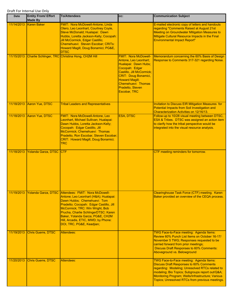| Date       | <b>Entity From/ Effort</b><br><b>Made By</b> | <b>To/Attendees</b>                                                                                                                                                                                                                                                                                                                   | CC:                                                                                                                                                                                                                                           | <b>Communication Subject</b>                                                                                                                                                                                                                                                                           |
|------------|----------------------------------------------|---------------------------------------------------------------------------------------------------------------------------------------------------------------------------------------------------------------------------------------------------------------------------------------------------------------------------------------|-----------------------------------------------------------------------------------------------------------------------------------------------------------------------------------------------------------------------------------------------|--------------------------------------------------------------------------------------------------------------------------------------------------------------------------------------------------------------------------------------------------------------------------------------------------------|
| 11/14/2013 | <b>Karen Baker</b>                           | <b>FMIT: Nora McDowell-Antone, Linda</b><br>Otero, Leo Leonhart, Courtney Coyle,<br>Steve McDonald; Hualapai: Dawn<br>Hubbs, Loretta Jackson-Kelly; Cocopah:<br>Jill McCormick, Edgar Castillo;<br>Chemehuevi: Steven Escobar; CRITs:<br>Howard Magill, Doug Bonamici; PG&E,<br><b>DTSC</b>                                           |                                                                                                                                                                                                                                               | E-mailed electronic copy of letters and handouts<br>regarding "Comments Raised at August 21st<br><b>Meeting on Groundwater Mitigation Measures to</b><br>Mitigate Cultural Resource Impacts in the Final<br><b>Environmental Impact Report"</b>                                                        |
| 11/15/2013 |                                              | Charlie Schlinger, TRC Christina Hong, CH2M Hill                                                                                                                                                                                                                                                                                      | <b>FMIT: Nora McDowell-</b><br>Antone, Leo Leonhart;<br>Hualapai: Dawn Hubs;<br>Cocopah: Edgar<br>Castillo, Jill McCormick;<br><b>CRIT: Doug Bonamici,</b><br><b>Howard Magill;</b><br>Chemehuevi: Thomas<br>Pradetto, Steven<br>Escobar, TRC | Memorandum concerning the 60% Basis of Design<br>Response to Comments 317-321 regarding Noise.                                                                                                                                                                                                         |
| 11/18/2013 | Aaron Yue, DTSC                              | <b>Tribal Leaders and Representatives</b>                                                                                                                                                                                                                                                                                             |                                                                                                                                                                                                                                               | <b>Invitation to Discuss EIR Mitigation Measures for</b><br>Potential Impacts from Soil Investigation and<br>Characterization Activities on 12/16/13.                                                                                                                                                  |
| 11/18/2013 | Aaron Yue, DTSC                              | FMIT: Nora McDowell-Antone, Leo<br>Leonhart, Michael Sullivan; Hualapai:<br>Dawn Hubbs, Loretta Jackson-Kelly;<br>Cocopah: Edgar Castillo, Jill<br>McCormick; Chemehuevi: Thomas<br>Pradetto, Ron Escobar, Steven Escobar;<br>CRIT: Howard Magill, Doug Bonamici;<br><b>TRC</b>                                                       | <b>ESA, DTSC</b>                                                                                                                                                                                                                              | Follow-up to 10/28 visual meeting between DTSC,<br>ESA & Tribes. DTSC was assigned an action item<br>to clarify how the tribal perspective would be<br>integrated into the visual resource analysis.                                                                                                   |
| 11/18/2013 | Yolanda Garza, DTSC                          | <b>CTF</b>                                                                                                                                                                                                                                                                                                                            |                                                                                                                                                                                                                                               | CTF meeting reminders for tomorrow.                                                                                                                                                                                                                                                                    |
|            | 11/19/2013 Yolanda Garza, DTSC               | Attendees: FMIT: Nora McDowell-<br>Antone; Leo Leonhart (H&A); Hualapai:<br>Dawn Hubbs; Chemehuevi: Tom<br>Pradetto; Cocopah: Edgar Castillo, Jill<br>McCormick; TRC: Win Wright, Bob<br>Prucha, Charlie SchlingerDTSC: Karen<br>Baker, Yolanda Garza; PG&E, CH2M<br>Hill, Arcadis, ETIC, MWD; by Phone:<br>DOI, TRC, PG&E, Keadjian; |                                                                                                                                                                                                                                               | Clearinghouse Task Force (CTF) meeting. Karen<br>Baker provided an overview of the CEQA process.                                                                                                                                                                                                       |
| 11/19/2013 | Chris Guerre, DTSC                           | <b>Attendees:</b>                                                                                                                                                                                                                                                                                                                     |                                                                                                                                                                                                                                               | TWG Face-to-Face meeting: Agenda Items:<br>Review 60% Punch List Items on October 16-17/<br>November 5 TWG; Responses requested to be<br>carried forward from prior meetings;<br><b>Discuss Draft Responses to 60% Comments:</b><br>Aboveground vs. Belowground                                        |
| 11/20/2013 | <b>Chris Guerre, DTSC</b>                    | Attendees:                                                                                                                                                                                                                                                                                                                            |                                                                                                                                                                                                                                               | TWG Face-to-Face meeting: Agenda Items:<br><b>Discuss Draft Responses to 60% Comments</b><br>regarding: Modeling; Unresolved RTCs related to<br>modeling; Bio Topics; Subgroups report out/Q&A<br>Monitoring Program; Wells/Infrastructure; Various<br>Topics; Unresolved RTCs from previous meetings. |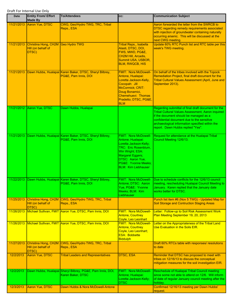| <b>Date</b> | <b>Entity From/ Effort</b><br><b>Made By</b>        | <b>To/Attendees</b>                                                                        | CC:                                                                                                                                                                                                                               | <b>Communication Subject</b>                                                                                                                                                                                                                                                                    |
|-------------|-----------------------------------------------------|--------------------------------------------------------------------------------------------|-----------------------------------------------------------------------------------------------------------------------------------------------------------------------------------------------------------------------------------|-------------------------------------------------------------------------------------------------------------------------------------------------------------------------------------------------------------------------------------------------------------------------------------------------|
| 11/21/2013  | Aaron Yue, DTSC                                     | CWG, Geo/Hydro TWG, TRC, Tribal<br>Reps., ESA                                              |                                                                                                                                                                                                                                   | Aaron forwarded the letter from the SWRCB to<br><b>DTSC regarding remedy requirements associated</b><br>with injection of groundwater containing naturally<br>occurring arsenic. This will be discussed at the<br>next CWG meeting.                                                             |
| 11/21/2013  | Christina Hong, CH2M<br>Hill (on behalf of<br>DTSC) | <b>Geo Hydro TWG</b>                                                                       | <b>Tribal Reps., Isabella</b><br>Alasti, DTSC, DOI,<br>FWS, MWD, PG&E,<br>CH2M Hill, Arcadis,<br>Summit USA, USBOR,<br><b>BLM, RWQCB, HIS</b>                                                                                     | Update 60% RTC Punch list and RTC table per this<br>week's TWG meeting.                                                                                                                                                                                                                         |
| 11/21/2013  |                                                     | Dawn Hubbs, Hualapai Karen Baker, DTSC, Sheryl Bilbrey,<br>PG&E, Pam Innis, DOI            | <b>FMIT: Nora McDowell-</b><br>Antone, Hualapai:<br>Loretta Jackson-Kelly,<br>Cocopah: Jill<br>McCormick; CRIT:<br>Doug Bonamici,<br>Chemehuevi: Thomas<br>Pradetto; DTSC, PG&E,<br><b>BLM</b>                                    | On behalf of the tribes involved with the Topock<br>Remediation Project, final draft document for the<br><b>Tribal Cultural Values Assessment (April, June and</b><br>September 2013).                                                                                                          |
|             | 11/21/2012 Aaron Yue, DTSC                          | Dawn Hubbs, Hualapai                                                                       |                                                                                                                                                                                                                                   | Regarding submittal of final draft document for the<br><b>Tribal Cultural Values Assessment, Aaron inquired</b><br>if the document should be managed as a<br>confidential document due to the sensitive<br>archaeological information specified within the<br>report. Dawn Hubbs replied "Yes". |
|             |                                                     | 11/21/2013 Dawn Hubbs, Hualapai Karen Baker, DTSC, Sheryl Bilbrey,<br>PG&E, Pam Innis, DOI | <b>FMIT: Nora McDowell-</b><br>Antone; Hualapai:<br>Loretta Jackson-Kelly;<br><b>TRC: Eric Rosenblum,</b><br>Win Wright; ESA:<br><b>Margaret Eggers;</b><br>DTSC: Aaron Yue,<br>PG&E: Yvonne Meeks:<br><b>BLM: Kim Liebhauser</b> | Request for attendance at the Hualapai Tribal<br>Council Meeting 12/6/13.                                                                                                                                                                                                                       |
|             |                                                     | 11/22/2013 Dawn Hubbs, Hualapai Karen Baker, DTSC, Sheryl Bilbrey,<br>PG&E, Pam Innis, DOI | Antone; DTSC: Aaron<br>Yue, PG&E: Yvonne<br>Meeks; BLM: Kim<br>Liebhauser                                                                                                                                                         | FMIT: Nora McDowell- Due to schedule conflicts for the 12/6/13 council<br>meeting, rescheduling Hualapai Council Meeting to<br>January. Karen replied that the January date<br>works better for DTSC.                                                                                           |
| 11/25/2013  | Christina Hong, CH2M<br>Hill (on behalf of<br>DTSC) | CWG, Geo/Hydro TWG, TRC, Tribal<br>Reps., ESA                                              |                                                                                                                                                                                                                                   | Punch list item #6 (Nov 5 TWG) - Updated Map for<br><b>Soil Storage and Contruction Staging Areas</b>                                                                                                                                                                                           |
| 11/26/2013  |                                                     | Michael Sullivan, FMIT Aaron Yue, DTSC, Pam Innis, DOI                                     | <b>FMIT: Nora McDowell-</b><br><b>Antone, Courtney</b><br>Coyle, Leo Leonhart                                                                                                                                                     | Letter: Follow-up to Soil Risk Assessment Work<br>Plan Meeting September 19, 20, 2013                                                                                                                                                                                                           |
| 11/26/2013  |                                                     | Michael Sullivan, FMIT Aaron Yue, DTSC, Pam Innis, DOI                                     | <b>FMIT: Nora McDowell-</b><br><b>Antone, Courtney</b><br>Coyle, Leo Leonhart;<br><b>ESA: Bobbette</b><br><b>Biddulph</b>                                                                                                         | Letter on the Appropriateness of the Tribal Land<br>Use Evaluation in the Soils EIR.                                                                                                                                                                                                            |
| 11/27/2013  | Christina Hong, CH2M<br>Hill (on behalf of<br>DTSC) | CWG, Geo/Hydro TWG, TRC, Tribal<br>Reps., ESA                                              |                                                                                                                                                                                                                                   | Draft 60% RTCs table with responses/ resolutions<br>to date                                                                                                                                                                                                                                     |
| 12/2/2013   | Aaron Yue, DTSC                                     | <b>Tribal Leaders and Representatives</b>                                                  | <b>DTSC, ESA</b>                                                                                                                                                                                                                  | Reminder that DTSC has proposed to meet with<br>tribes on 12/16/13 to discuss the conceptual<br>mitigation measures for the soil investigation EIR.                                                                                                                                             |
| 12/2/2013   |                                                     | Dawn Hubbs, Hualapai Sheryl Bilbrey, PG&E, Pam Innis, DOI,<br>Karen Baker, DTSC            | <b>FMIT: Nora McDowell-</b><br>Antone; Hualapai:<br>Loretta Jackson-Kelly;<br><b>DTSC</b>                                                                                                                                         | Reschedule of Hualapai Tribal Council meeting<br>since some not able to attend on 12/6. Will inform<br>of date of regular January council meeting after the<br>holiday.                                                                                                                         |
| 12/3/2013   | Aaron Yue, DTSC                                     | Dawn Hubbs & Nora McDowell-Antone                                                          |                                                                                                                                                                                                                                   | Confirmed 12/16/13 meeting per Dawn Hubbs'<br>request.                                                                                                                                                                                                                                          |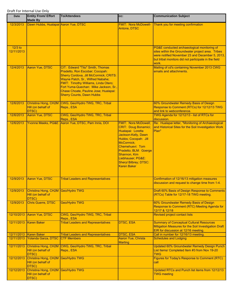| <b>Date</b>              | <b>Entity From/ Effort</b><br><b>Made By</b>                      | <b>To/Attendees</b>                                                                                                                                                                                                                                                                                              | CC:                                                                                                                                                                                                                                                                   | <b>Communication Subject</b>                                                                                                                                                                                         |
|--------------------------|-------------------------------------------------------------------|------------------------------------------------------------------------------------------------------------------------------------------------------------------------------------------------------------------------------------------------------------------------------------------------------------------|-----------------------------------------------------------------------------------------------------------------------------------------------------------------------------------------------------------------------------------------------------------------------|----------------------------------------------------------------------------------------------------------------------------------------------------------------------------------------------------------------------|
| 12/3/2013                | Dawn Hubbs, Hualapai Aaron Yue, DTSC                              |                                                                                                                                                                                                                                                                                                                  | <b>FMIT: Nora McDowell-</b><br>Antone, DTSC                                                                                                                                                                                                                           | Thank you for meeting confirmation                                                                                                                                                                                   |
| $12/3$ to<br>12/11/2013  |                                                                   |                                                                                                                                                                                                                                                                                                                  |                                                                                                                                                                                                                                                                       | PG&E conducted archaeological monitoring of<br>sites within the Groundwater project area. Tribes<br>were notified November 23 and December 5, 2013,<br>but tribal monitors did not participate in the field<br>work. |
| 12/4/2013                | <b>Aaron Yue, DTSC</b>                                            | CIT: Edward "Tito" Smith, Thomas<br>Pradetto, Ron Escobar; Cocopah:<br>Sherry Cordova, Jill McCormick; CRITS:<br>Wayne Patch, Sr., Wilfred Nabahe;<br>FMIT: Timothy Williams, Linda Otero;<br>Fort Yuma-Quechan: Mike Jackson, Sr.,<br>Chase Choate, Pauline Jose; Hualapai:<br><b>Sherry Counts, Dawn Hubbs</b> |                                                                                                                                                                                                                                                                       | Mailing of cd's containing November 2013 CWG<br>emails and attachments.                                                                                                                                              |
| 12/6/2013                | Hill (on behalf of<br>DTSC)                                       | Christina Hong, CH2M CWG, Geo/Hydro TWG, TRC, Tribal<br>Reps., ESA                                                                                                                                                                                                                                               |                                                                                                                                                                                                                                                                       | 60% Groundwater Remedy Basis of Design<br>Response to Comment (RTCs) for 12/12/13 TWG<br>and link to webconference.                                                                                                  |
| 12/6/2013                | Aaron Yue, DTSC                                                   | CWG, Geo/Hydro TWG, TRC, Tribal<br>Reps., ESA                                                                                                                                                                                                                                                                    |                                                                                                                                                                                                                                                                       | TWG Agenda for 12/12/13 - list of RTCs for<br>discussion.                                                                                                                                                            |
| 12/6/2013                | Yvonne Meeks, PG&E                                                | Aaron Yue, DTSC, Pam Innis, DOI                                                                                                                                                                                                                                                                                  | <b>FMIT: Nora McDowell;</b><br>CRIT: Doug Bonamici;<br>Hualapai: Loretta<br>Jackson-Kelly, Dawn<br>Hubbs; Cocopah: Jill<br>McCormick;<br>Chemehuevi: Tom<br>Pradetto; BLM: Goerge<br>Shannon, Kim<br>Liebhauser; PG&E:<br>Sheryl Bilbrey; DTSC:<br><b>Karen Baker</b> | Re: Hualapai letter, "Monitoring of Archaeological<br>and Historical Sites for the Soil Investigation Work<br>Plan"                                                                                                  |
| 12/9/2013                | <b>Aaron Yue, DTSC</b>                                            | <b>Tribal Leaders and Representatives</b>                                                                                                                                                                                                                                                                        |                                                                                                                                                                                                                                                                       | Confirmation of 12/16/13 mitigation measures<br>discussion and request to change time from 1-4.                                                                                                                      |
| 12/9/2013                | Christina Hong, CH2M Geo/Hydro TWG<br>Hill (on behalf of<br>DTSC) |                                                                                                                                                                                                                                                                                                                  |                                                                                                                                                                                                                                                                       | Draft 60% Basis of Design Response to Comments<br>(RTCs) Table for 12/17-18 TWG meeting.                                                                                                                             |
| 12/9/2013                | <b>Chris Guerre, DTSC</b>                                         | Geo/Hydro TWG                                                                                                                                                                                                                                                                                                    |                                                                                                                                                                                                                                                                       | 60% Groundwater Remedy Basis of Design<br>Response to Comment (RTC) Meeting Agenda for<br>12/17 & 12/18                                                                                                              |
| 12/10/2013               | Aaron Yue, DTSC                                                   | CWG, Geo/Hydro TWG, TRC, Tribal<br>Reps., ESA                                                                                                                                                                                                                                                                    |                                                                                                                                                                                                                                                                       | <b>Revised project contact lists</b>                                                                                                                                                                                 |
| 12/11/2013               | <b>Karen Baker</b>                                                | <b>Tribal Leaders and Representatives</b>                                                                                                                                                                                                                                                                        | <b>DTSC, ESA</b>                                                                                                                                                                                                                                                      | <b>Summary of Conceptual Cultural Resources</b><br>Mitigation Measures for the Soil Investigation Draft<br>EIR for discussion at 12/16 meeting.                                                                      |
| 12/11/2013<br>12/11/2013 | <b>Karen Baker</b><br>Yolanda Garza, DTSC                         | <b>Tribal Leaders and Representatives</b><br><b>CTF Members</b>                                                                                                                                                                                                                                                  | <b>DTSC, ESA</b><br><b>Aaron Yue, Christa</b>                                                                                                                                                                                                                         | Call in number for 12/16/13 meeting.<br><b>Schedules and Lodging</b>                                                                                                                                                 |
| 12/11/2013               | Hill (on behalf of<br>DTSC)                                       | Christina Hong, CH2M CWG, Geo/Hydro TWG, TRC, Tribal<br>Reps., ESA                                                                                                                                                                                                                                               | <b>Marting</b>                                                                                                                                                                                                                                                        | <b>Updated 60% Groundwater Remedy Design Punch</b><br>List Items/ Completed Item #3 from Nov 19-20<br><b>TWG</b>                                                                                                     |
| 12/12/2013               | Christina Hong, CH2M<br>Hill (on behalf of<br>DTSC)               | Geo/Hydro TWG                                                                                                                                                                                                                                                                                                    |                                                                                                                                                                                                                                                                       | <b>Figures for Today's Response to Comment (RTC)</b><br>call                                                                                                                                                         |
| 12/12/2013               | Christina Hong, CH2M Geo/Hydro TWG<br>Hill (on behalf of<br>DTSC) |                                                                                                                                                                                                                                                                                                                  |                                                                                                                                                                                                                                                                       | Updated RTCs and Punch list items from 12/12/13<br><b>TWG meeting</b>                                                                                                                                                |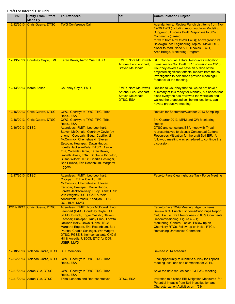| Date       | <b>Entity From/ Effort</b><br><b>Made By</b> | <b>To/Attendees</b>                                                                                                                                                                                                                                                                                                                                                                                              | CC:                                                                                                 | <b>Communication Subject</b>                                                                                                                                                                                                                                                                                                                             |
|------------|----------------------------------------------|------------------------------------------------------------------------------------------------------------------------------------------------------------------------------------------------------------------------------------------------------------------------------------------------------------------------------------------------------------------------------------------------------------------|-----------------------------------------------------------------------------------------------------|----------------------------------------------------------------------------------------------------------------------------------------------------------------------------------------------------------------------------------------------------------------------------------------------------------------------------------------------------------|
| 12/12/2013 | Chris Guerre, DTSC                           | <b>TWG Conference Call</b>                                                                                                                                                                                                                                                                                                                                                                                       |                                                                                                     | Agenda Items: Review Punch List Items from Nov<br>19-20 TWG (including report out from Modeling<br>Subgroup); Discuss Draft Responses to 60%<br><b>Comments (carried</b><br>forward from Nov 19-20 TWG); Aboveground vs.<br>Belowground; Engineering Topics: Move IRL-2<br>closer to road, Node 5, Pull boxes, FW-1,<br>Arch Bridge, Monitoring Program. |
| 12/13/2013 |                                              | Courtney Coyle, FMIT   Karen Baker, Aaron Yue, DTSC                                                                                                                                                                                                                                                                                                                                                              | <b>FMIT: Nora McDowell-</b><br>Antone, Leo Leonhart,<br><b>Steven McDonald</b>                      | RE: Conceptual Cultural Resources mitigation<br>measures for Soil Draft EIR discussion on 12/16.<br>Courtney asked if we have an outline of the<br>projected significant effects/impacts from the soil<br>investigation to help tribes provide meaningful<br>feedback at the meeting.                                                                    |
| 12/13/2013 | <b>Karen Baker</b>                           | <b>Courtney Coyle, FMIT</b>                                                                                                                                                                                                                                                                                                                                                                                      | <b>FMIT: Nora McDowell-</b><br>Antone, Leo Leonhart,<br><b>Steven McDonald,</b><br><b>DTSC, ESA</b> | Replied to Courtney that no, we do not have a<br>summary of this ready for Monday, but hopes that<br>since everyone has reviewed the workplan and<br>walked the proposed soil boring locations, can<br>have a productive meeting.                                                                                                                        |
| 12/16/2013 | <b>Chris Guerre, DTSC</b>                    | CWG, Geo/Hydro TWG, TRC, Tribal<br>Reps., ESA                                                                                                                                                                                                                                                                                                                                                                    |                                                                                                     | Results for September/October 2013 Sampling                                                                                                                                                                                                                                                                                                              |
| 12/16/2013 | Chris Guerre, DTSC                           | CWG, Geo/Hydro TWG, TRC, Tribal<br>Reps., ESA                                                                                                                                                                                                                                                                                                                                                                    |                                                                                                     | 3rd Quarter 2013 IMPM and GW Monitoring<br>Report                                                                                                                                                                                                                                                                                                        |
| 12/16/2013 | <b>DTSC</b>                                  | Attendees: FMIT: Leo Leonhart,<br><b>Steven McDonald, Courtney Coyle (by</b><br>phone); Cocopah: Edgar Castillo, Jill<br>McCormick; Chemehuevi: Steven<br>Escobar; Hualapai: Dawn Hubbs,<br>Loretta Jackson-Kelly; DTSC: Aaron<br>Yue, Yolanda Garza, Karen Baker,<br>Isabella Alasti; ESA: Bobbette Biddulph,<br>Susan Wilcox; TRC: Charlie Schlinger,<br>Bob Prucha, Eric Rosenblum, Margaret<br><b>Eggers</b> |                                                                                                     | <b>DTSC and consultant ESA meet with Tribal</b><br>representatives to discuss Conceptual Cultural<br>Resources Mitigation for the draft Soil EIR. A<br>follow-up meeting was scheduled to continue the<br>discussion.                                                                                                                                    |
| 12/17/2013 | <b>DTSC</b>                                  | Attendees: FMIT: Leo Leonhart;<br>Cocopah: Edgar Castillo, Jill<br>McCormick; Chemehuevi: Steven<br><u>Escobar; Hualapai:  Dawn Hubbs,</u><br>Loretta Jackson-Kelly, Rudy Clark; TRC:<br>Win Wright;DTSC, PG&E & their<br>consultants Arcadis, Keadjian, ETIC;<br>DOI, BLM, MWD                                                                                                                                  |                                                                                                     | <b>Face-to-Face Clearinghouse Task Force Meeting</b>                                                                                                                                                                                                                                                                                                     |
|            | 12/17-18/13 Chris Guerre, DTSC               | Attendees: FMIT: Nora McDowell, Leo<br>Leonhart (H&A), Courtney Coyle; CIT:<br>Jill McCormick, Edgar Castillo, Steven<br>Escobar; Hualapai: Rudy Clark, Loretta<br>Jackson-Kelly, Dawn Hubbs; TRC:<br>Margaret Eggers, Eric Rosenblum, Bob<br>Prucha, Charlie Schlinger, Win Wright;<br>DTSC, PG&E & their consultants CH2M<br>Hill & Arcadis, USDOI, ETIC for DOI,<br><b>USBR, MWD</b>                          |                                                                                                     | Face-to-Face TWG Meeting: Agenda items:<br>Review 60% Punch List Items/Subgroups Report<br>Out; Discuss Draft Responses to 60% Comments:<br>Decommissioning, Figure 4.2-1;<br>Monitoring, General Topics, Follow-up on<br>Chemistry RTCs, Follow-up on Noise RTCs,<br><b>Remaining Unresolved Comments.</b>                                              |
| 12/18/2013 | Yolanda Garza, DTSC                          | <b>CTF Members</b>                                                                                                                                                                                                                                                                                                                                                                                               |                                                                                                     | Revised 2014 schedule.                                                                                                                                                                                                                                                                                                                                   |
| 12/24/2013 | Yolanda Garza, DTSC                          | CWG, Geo/Hydro TWG, TRC, Tribal<br>Reps., ESA                                                                                                                                                                                                                                                                                                                                                                    |                                                                                                     | Final opportunity to submit a survey for Topock<br>meeting locations and comments for 2014.                                                                                                                                                                                                                                                              |
| 12/27/2013 | Aaron Yue, DTSC                              | CWG, Geo/Hydro TWG, TRC, Tribal<br>Reps., ESA                                                                                                                                                                                                                                                                                                                                                                    |                                                                                                     | Save the date request for 1/23 TWG meeting.                                                                                                                                                                                                                                                                                                              |
| 12/27/2013 | Aaron Yue, DTSC                              | <b>Tribal Leaders and Representatives</b>                                                                                                                                                                                                                                                                                                                                                                        | DTSC, ESA                                                                                           | Invitation to discuss EIR Mitigation Measures for<br>Potential Impacts from Soil Investigation and<br>Characterization Activities on 1/23/14.                                                                                                                                                                                                            |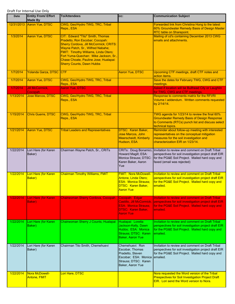| <b>Date</b> | <b>Entity From/ Effort</b><br><b>Made By</b> | <b>To/Attendees</b>                                                                                                                                                                                                                                                                                              | CC:                                                                                                                                 | <b>Communication Subject</b>                                                                                                                                                                                     |
|-------------|----------------------------------------------|------------------------------------------------------------------------------------------------------------------------------------------------------------------------------------------------------------------------------------------------------------------------------------------------------------------|-------------------------------------------------------------------------------------------------------------------------------------|------------------------------------------------------------------------------------------------------------------------------------------------------------------------------------------------------------------|
| 12/31/2013  | Aaron Yue, DTSC                              | CWG, Geo/Hydro TWG, TRC, Tribal<br>Reps., ESA                                                                                                                                                                                                                                                                    |                                                                                                                                     | Forwarded link from Christina Hong to the latest<br>60% Groundwater Remedy Basis of Design Master<br>RTC table on Sharepoint.                                                                                    |
| 1/3/2014    | <b>Aaron Yue, DTSC</b>                       | CIT: Edward "Tito" Smith, Thomas<br>Pradetto, Ron Escobar; Cocopah:<br>Sherry Cordova, Jill McCormick; CRITS:<br>Wayne Patch, Sr., Wilfred Nabahe;<br>FMIT: Timothy Williams, Linda Otero;<br>Fort Yuma-Quechan: Mike Jackson, Sr.,<br>Chase Choate, Pauline Jose; Hualapai:<br><b>Sherry Counts, Dawn Hubbs</b> |                                                                                                                                     | Mailing of cd's containing December 2013 CWG<br>emails and attachments.                                                                                                                                          |
| 1/7/2014    | <b>Yolanda Garza, DTSC</b>                   | <b>CTF</b>                                                                                                                                                                                                                                                                                                       | <b>Aaron Yue, DTSC</b>                                                                                                              | Upcoming CTF meetings, draft CTF notes and<br>action items.                                                                                                                                                      |
| 1/7/2014    | Aaron Yue, DTSC                              | CWG, Geo/Hydro TWG, TRC, Tribal<br>Reps., ESA                                                                                                                                                                                                                                                                    |                                                                                                                                     | Save the dates for February TWG, CWG and CTF<br>meetings.                                                                                                                                                        |
| 1/7/2014    | <b>Jill McCormick,</b><br>Cocopah            | <b>Aaron Yue, DTSC</b>                                                                                                                                                                                                                                                                                           |                                                                                                                                     | Asked if location will be Bullhead City or Laughlin<br>for TWG, CWG and CTF meetings.                                                                                                                            |
| 1/13/2014   | Jose Marcos, DTSC                            | CWG, Geo/Hydro TWG, TRC, Tribal<br>Reps., ESA                                                                                                                                                                                                                                                                    |                                                                                                                                     | Response to comments matrix for the RFI/RI<br>Volume I addendum. Written comments requested<br>by 2/14/14.                                                                                                       |
| 1/15/2014   | Chris Guerre, DTSC                           | CWG, Geo/Hydro TWG, TRC, Tribal<br>Reps., ESA                                                                                                                                                                                                                                                                    |                                                                                                                                     | TWG agenda for 1/23/14 to review the final 60%<br><b>Groundwater Remedy Basis of Design Response</b><br>to Comments (RTCs) punch list and discuss select<br>technical topics.                                    |
| 1/21/2014   | <b>Aaron Yue, DTSC</b>                       | <b>Tribal Leaders and Representatives</b>                                                                                                                                                                                                                                                                        | DTSC: Karen Baker,<br>Jose Marcos, John<br><b>Meerscheidt, Kimberly</b><br>Hudson, ESA                                              | Reminder about follow-up meeting with interested<br>representatives on the conceptual mitigation<br>measures for the soil investigation and<br>characterization EIR on 1/23/14.                                  |
| 1/22/2014   | Lori Hare (for Karen<br>Baker)               | Chairman Wayne Patch, Sr., CRITs                                                                                                                                                                                                                                                                                 | Howard Magill; ESA:<br>Monica Strauss; DTSC:<br>Karen Baker, Aaron<br>Yue                                                           | CRITs: Doug Bonamici, Invitation to review and comment on Draft Tribal<br>perspectives for soil investigation project draft EIR<br>for the PG&E Soil Project. Mailed hard copy and<br>faxed (email was rejected) |
| 1/22/2014   | Lori Hare (for Karen<br><b>Baker</b> )       | <b>Chairman Timothy Williams, FMIT</b>                                                                                                                                                                                                                                                                           | <b>FMIT: Nora McDowell-</b><br>Antone, Linda Otero;<br><b>ESA: Monica Strauss;</b><br>DTSC: Karen Baker,<br>Aaron Yue               | Invitation to review and comment on Draft Tribal<br>perspectives for soil investigation project draft EIR<br>for the PG&E Soil Project. Mailed hard copy and<br>emailed.                                         |
| 1/22/2014   | Lori Hare (for Karen<br>Baker)               | Chairwoman Sherry Cordova, Cocopah                                                                                                                                                                                                                                                                               | Cocopah: Edgar<br>Castillo, Jill McCormick;<br><b>ESA: Monica Strauss;</b><br><b>DTSC: Karen Baker,</b><br><b>Aaron Yue</b>         | <b>Invitation to review and comment on Draft Tribal</b><br>perspectives for soil investigation project draft EIR<br>for the PG&E Soil Project. Mailed hard copy and<br>emailed.                                  |
| 1/22/2014   | Lori Hare (for Karen<br>Baker)               | Chairwoman Sherry J Counts, Hualapai                                                                                                                                                                                                                                                                             | Hualapai: Loretta<br>Jackson-Kelly, Dawn<br>Hubbs; ESA: Monica<br>Strauss; DTSC: Karen<br><b>Baker, Aaron Yue</b>                   | Invitation to review and comment on Draft Tribal<br>perspectives for soil investigation project draft EIR<br>for the PG&E Soil Project. Mailed hard copy and<br>emailed.                                         |
| 1/22/2014   | Lori Hare (for Karen<br>Baker)               | Chairman Tito Smith, Chemehuevi                                                                                                                                                                                                                                                                                  | Chemehuevi: Ron<br>Escobar, Thomas<br>Pradetto, Steven<br>Escobar; ESA: Monica emailed.<br>Strauss; DTSC: Karen<br>Baker, Aaron Yue | Invitation to review and comment on Draft Tribal<br>perspectives for soil investigation project draft EIR<br>for the PG&E Soil Project. Mailed hard copy and                                                     |
| 1/22/2014   | Nora McDowell-<br><b>Antone, FMIT</b>        | Lori Hare, DTSC                                                                                                                                                                                                                                                                                                  |                                                                                                                                     | Nora requested the Word version of the Tribal<br><b>Prespectives for Soil Investigation Project Draft</b><br>EIR. Lori send the Word version to Nora.                                                            |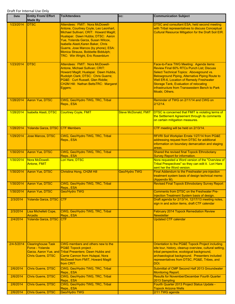| <b>Date</b> | <b>Entity From/ Effort</b><br><b>Made By</b>                              | <b>To/Attendees</b>                                                                                                                                                                                                                                                                                                                                         | CC:                         | <b>Communication Subject</b>                                                                                                                                                                                                                                                                                                                                       |
|-------------|---------------------------------------------------------------------------|-------------------------------------------------------------------------------------------------------------------------------------------------------------------------------------------------------------------------------------------------------------------------------------------------------------------------------------------------------------|-----------------------------|--------------------------------------------------------------------------------------------------------------------------------------------------------------------------------------------------------------------------------------------------------------------------------------------------------------------------------------------------------------------|
| 1/23/2014   | <b>IDTSC</b>                                                              | Attendees: FMIT: Nora McDowell-<br>Antone, Courtney Coyle, Leo Leonhart,<br>Michael Sullivan; CRIT: Howard Magill;<br>Hualapai: Dawn Hubbs; DTSC: Aaron<br>Yue, Yolanda Garza, Susan Wilcox,<br>Isabella Alasti, Karen Baker, Chris<br>Guerre, Jose Marcos (by phone); ESA:<br>Monica Strauss, Bobbette Biddulph;<br><b>TRC: Win Wright, Eric Rosenblum</b> |                             | <b>DTSC and consultant ESA, held second meeting</b><br>with Tribal representatives to discuss Conceptual<br><b>Cultural Resource Mitigation for the Draft Soil EIR.</b>                                                                                                                                                                                            |
| 1/23/2014   | <b>DTSC</b>                                                               | Attendees: FMIT: Nora McDowell-<br>Antone, Michael Sullivan; CRIT:<br>Howard Magill; Hualapai: Dawn Hubbs,<br>Rudolph Clark; DTSC: Chris Guerre;<br>PG&E: Curt Russell, Glen Riddle;<br>CH2M Hill: Nathan BettsTRC: Margaret<br>Eggers;                                                                                                                     |                             | Face-to-Face TWG Meeting: Agenda items:<br><b>Review Final 60% RTCs Punch List: Discuss</b><br>Select Technical Topics: Aboveground vs.<br>Belowground Piping, Alternative Piping Route to<br><b>Well ER-6, Location of Remedy Freshwater</b><br><b>Storage Tank, Evaluation of relocating</b><br>infrastructure from Transwestern Bench to Park<br>Moabi, Others. |
| 1/28/2014   | Aaron Yue, DTSC                                                           | CWG, Geo/Hydro TWG, TRC, Tribal<br>Reps., ESA                                                                                                                                                                                                                                                                                                               |                             | Reminder of TWG on 2/11/14 and CWG on<br>$2/12/14$ .                                                                                                                                                                                                                                                                                                               |
| 1/28/2014   | Isabella Alasti, DTSC                                                     | <b>Courtney Coyle, FMIT</b>                                                                                                                                                                                                                                                                                                                                 | <b>Steve McDonald, FMIT</b> | DTSC is concerned that FMIT is violating terms of<br>the Settlement Agreement through its comments<br>on certain mitigaition measures.                                                                                                                                                                                                                             |
| 1/28/2014   | Yolanda Garza, DTSC CTF Members                                           |                                                                                                                                                                                                                                                                                                                                                             |                             | CTF meeting will be held on 2/13/14.                                                                                                                                                                                                                                                                                                                               |
| 1/29/2014   | <b>Jose Marcos, DTSC</b>                                                  | CWG, Geo/Hydro TWG, TRC, Tribal<br>Reps., ESA                                                                                                                                                                                                                                                                                                               |                             | RFI/RI Soil Workplan Errata 1/27/14 from PG&E<br>addressing request from DTSC for additional<br>information on boundary demarcation and staging<br>areas.                                                                                                                                                                                                          |
| 1/30/2014   | Aaron Yue, DTSC                                                           | CWG, Geo/Hydro TWG, TRC, Tribal<br>Reps., ESA                                                                                                                                                                                                                                                                                                               |                             | Shared the revised final Topock Ethnobotany<br><b>Survey Report for information.</b>                                                                                                                                                                                                                                                                               |
| 1/30/2014   | Nora McDowell-<br>Antone, FMIT                                            | Lori Hare, DTSC                                                                                                                                                                                                                                                                                                                                             |                             | Nora requested a Word version of the "Overview of<br>Tribal Prespectives" so they can edit it. Lori Hare<br>sent her the Word version.                                                                                                                                                                                                                             |
| 1/30/2014   | Aaron Yue, DTSC                                                           | Christina Hong, CH2M Hill                                                                                                                                                                                                                                                                                                                                   | Geo/Hydro TWG               | Final Addendum to the Freshwater pre-injection<br>treatment system basis of design technical memo<br>(Appendix M).                                                                                                                                                                                                                                                 |
| 1/30/2014   | Aaron Yue, DTSC                                                           | CWG, Geo/Hydro TWG, TRC, Tribal<br>Reps., ESA                                                                                                                                                                                                                                                                                                               |                             | <b>Revised Final Topock Ethnobotany Survey Report</b>                                                                                                                                                                                                                                                                                                              |
| 1/30/2014   | <b>Aaron Yue, DTSC</b>                                                    | Geo/Hydro TWG                                                                                                                                                                                                                                                                                                                                               |                             | <b>Comments from DTSC on the Freshwater Pre-</b><br>Injection Treatment System basis of design.                                                                                                                                                                                                                                                                    |
| 2/3/2014    | Yolanda Garza, DTSC CTF                                                   |                                                                                                                                                                                                                                                                                                                                                             |                             | Draft agenda for 2/13/14, 12/17/13 meeting notes,<br>sign in and action items, draft CTF calendar                                                                                                                                                                                                                                                                  |
| 2/3/2014    | Lisa Michelleti Cope,<br><b>Arcadis</b>                                   | CWG, Geo/Hydro TWG, TRC, Tribal<br>Reps., ESA                                                                                                                                                                                                                                                                                                               |                             | <b>February 2014 Topock Remediation Review</b><br><b>Newsletter</b>                                                                                                                                                                                                                                                                                                |
| 2/4/2014    | Yolanda Garza, DTSC                                                       | CTF                                                                                                                                                                                                                                                                                                                                                         |                             | <b>Updated CTF calendar</b>                                                                                                                                                                                                                                                                                                                                        |
| 2/4-5/2014  | <b>Clearinghouse Task</b><br>Force - Yolanda<br><b>Chris Guerre, DTSC</b> | CWG members and others new to the<br>PG&E Topock project.<br>Garza, Aaron Yue, and Tribal Presenters: Dawn Hubbs and<br>Carrie Cannon from Hulapai, Nora<br><b>McDowell from FMIT, Howard Magill</b><br>from CRIT.                                                                                                                                          |                             | Orientation to the PG&E Topock Project including<br>site tour, history, cleanup overview, cultural setting,<br>tribal perspective, ecoloigcal background,<br>archaeological background. Presenters included<br>representatives from DTSC, PG&E, Tribes, and<br>DOI.                                                                                                |
| 2/6/2014    | <b>Chris Guerre, DTSC</b>                                                 | CWG, Geo/Hydro TWG, TRC, Tribal<br>Reps., ESA                                                                                                                                                                                                                                                                                                               |                             | Submittal of CMP Second Half 2013 Groundwater<br><b>Monitoring Report.</b>                                                                                                                                                                                                                                                                                         |
| 2/6/2014    | Chris Guerre, DTSC                                                        | CWG, Geo/Hydro TWG, TRC, Tribal<br>Reps., ESA                                                                                                                                                                                                                                                                                                               |                             | <b>Results for November/December Fourth Quarter</b><br>2013 Sampling                                                                                                                                                                                                                                                                                               |
| 2/6/2014    | Chris Guerre, DTSC                                                        | CWG, Geo/Hydro TWG, TRC, Tribal<br>Reps., ESA                                                                                                                                                                                                                                                                                                               |                             | Fourth Quarter 2013 Project Status Update -<br><b>Topock Arizona Wells</b>                                                                                                                                                                                                                                                                                         |
| 2/6/2014    | Chris Guerre, DTSC                                                        | Geo/Hydro TWG                                                                                                                                                                                                                                                                                                                                               |                             | 2/11 TWG agenda                                                                                                                                                                                                                                                                                                                                                    |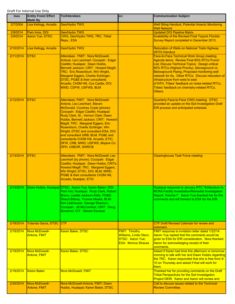| Date      | <b>Entity From/ Effort</b><br><b>Made By</b> | <b>To/Attendees</b>                                                                                                                                                                                                                                                                                                                                                                                                                                                                       | CC:                                                                                                     | <b>Communication Subject</b>                                                                                                                                                                                                                                                                                                                                                                                                                           |
|-----------|----------------------------------------------|-------------------------------------------------------------------------------------------------------------------------------------------------------------------------------------------------------------------------------------------------------------------------------------------------------------------------------------------------------------------------------------------------------------------------------------------------------------------------------------------|---------------------------------------------------------------------------------------------------------|--------------------------------------------------------------------------------------------------------------------------------------------------------------------------------------------------------------------------------------------------------------------------------------------------------------------------------------------------------------------------------------------------------------------------------------------------------|
| 2/7/2004  | Lisa Kellogg, Arcadis                        | Geo/Hydro TWG                                                                                                                                                                                                                                                                                                                                                                                                                                                                             |                                                                                                         | <b>Well Siting Handout, Potential Arsenic Monitoring</b><br><b>Well Network</b>                                                                                                                                                                                                                                                                                                                                                                        |
| 2/9/2014  | Pam Innis, DOI                               | <b>Geo/Hydro TWG</b>                                                                                                                                                                                                                                                                                                                                                                                                                                                                      |                                                                                                         | <b>Updated DOI Pipeline Matrix</b>                                                                                                                                                                                                                                                                                                                                                                                                                     |
| 2/9/2014  | Aaron Yue, DTSC                              | CWG, Geo/Hydro TWG, TRC, Tribal<br>Reps., ESA                                                                                                                                                                                                                                                                                                                                                                                                                                             |                                                                                                         | <b>Availability of the Revised Final Topock Floristic</b><br>Survey Report completed in December 2013.                                                                                                                                                                                                                                                                                                                                                 |
| 2/10/2014 | Lisa Kellogg, Arcadis                        | Geo/Hydro TWG                                                                                                                                                                                                                                                                                                                                                                                                                                                                             |                                                                                                         | <b>Relocation of Wells on National Trails Highway</b><br>(NTH) Handout                                                                                                                                                                                                                                                                                                                                                                                 |
| 2/11/2014 | <b>DTSC</b>                                  | Attendees: FMIT: Nora McDowell-<br>Antone, Leo Leonhart; Cocopah: Edgar<br>Castillo; Hualapai: Dawn Hubbs,<br>Bennett Jackson; CRIT: Howard Magill;<br>TRC: Eric Rosenblum, Win Wright,<br>Margaret Eggers, Charlie Schlinger;<br>DTSC, PG&E & their consultants<br>Arcadis, CH2M Hill, Cox Castle, DOI,<br>MWD, CDFW, USFWS, BLM                                                                                                                                                         |                                                                                                         | Face-to-Face Technical Work Group meeting.<br>Agenda items: Review Final 60% RTCs Punch<br>List; Discuss Technical Topics: Design-critical<br>60% RTCs (Highest Priority), Aboveground vs.<br>Belowground Piping, Proposed monitoring well<br>network for As. Other RTCs: Discuss relocation of<br>infrastructure from west to east<br>of NTH, Tribes' feedback on noise-related RTCs,<br>Tribes' feedback on chemistry-related RTCs,<br><b>Others</b> |
| 2/12/2014 | <b>DTSC</b>                                  | Attendees: FMIT: Nora McDowell-<br>Antone, Leo Leonhart, Steven<br>McDonald, Courtney Coyle (phone);<br>Cocopah: Edgar Castillo; Hualapai:<br>Rudy Clark, Sr., Vernon Clark; Dawn<br>Hubbs, Bennett Jackson; CRIT: Howard<br>Magill; TRC: Margaret Eggers, Eric<br>Rosenblum, Charlie Schlinger, Win<br>Wright; DTSC and consultant ESA, DOI<br>and consultant GRB; BLM, PG&E and<br>consultants CH2M Hill, Arcadis, ETIC;<br>DFW, CRB, MWD, USFWS, Mojave Co<br><b>DPH, USBOR, SWRCB</b> |                                                                                                         | Quarterly Face-to-Face CWG meeting. DTSC<br>provided an update on the Soil Investigaiton Draft<br>EIR process and anticipated schedule.                                                                                                                                                                                                                                                                                                                |
| 2/13/2014 | <b>DTSC</b>                                  | Attendees: FMIT: Nora McDowell, Leo<br>Leonhart (by phone); Cocopah: Edgar<br>Castillo; Hualapai: Dawn Hubbs; CRITs:<br>Howard Magill; TRC: Margaret Eggers,<br>Win Wright; DTSC, DOI, BLM, MWD,<br>PG&E & their consultants CH2M Hill,<br>Arcadis, Keadjian, ETIC                                                                                                                                                                                                                        |                                                                                                         | <b>Clearinghouse Task Force meeting</b>                                                                                                                                                                                                                                                                                                                                                                                                                |
| 2/14/2014 |                                              | Dawn Hubbs, Hualapai DTSC: Aaron Yue, Karen Baker; DOI:<br>Pam Inis; Hualapai: Rudy Clark, Robert<br>Bravo, Loretta Jackson-Kelly; PG&E:<br>Sheryl Bilbrey, Yvonne Meeks; BLM:<br>Kim Liebhauser, George Shannon,<br>Cocopah: Jill McCormick; CRIT: Doug<br>Bonamici; CIT: Steven Escobar                                                                                                                                                                                                 |                                                                                                         | Hualapai response to January RTC "Addendum to<br><b>RCRA Facility Investiation/Remedial Investigation</b><br>Report, Volume I". Aaron Yue thanked her for the<br>comments and will forward to ESA for the EIR.                                                                                                                                                                                                                                         |
| 2/18/2014 | Yolanda Garza, DTSC CTF                      |                                                                                                                                                                                                                                                                                                                                                                                                                                                                                           |                                                                                                         | <b>CTF Draft Revised Calendar for review and</b><br>comment.                                                                                                                                                                                                                                                                                                                                                                                           |
| 2/19/2014 | Nora McDowell-<br>Antone, FMIT               | Karen Baker, DTSC                                                                                                                                                                                                                                                                                                                                                                                                                                                                         | <b>FMIT: Timothy</b><br><b>Williams, Linda Otero;</b><br>DTSC: Aaron Yue;<br><b>ESA: Monica Strauss</b> | FMIT response to invitation letter dated 1/22/14.<br>Aaron Yue replied that the comments would be<br>given to ESA for EIR consideration. Nora thanked<br>Aaron for acknowledging receipt of their<br>comments.                                                                                                                                                                                                                                         |
| 2/19/2014 | Nora McDowell-<br><b>Antone, FMIT</b>        | Karen Baker, DTSC                                                                                                                                                                                                                                                                                                                                                                                                                                                                         |                                                                                                         | Asked if Karen had time this afternoon or tomorrow<br>morning to talk with her and Dawn Hubbs regarding<br>the TRC. Karen responded that she is free from 9-<br>10 on Thursday and asked if that will work for<br>them.                                                                                                                                                                                                                                |
| 2/19/2014 | <b>Karen Baker</b>                           | Nora McDowell, FMIT                                                                                                                                                                                                                                                                                                                                                                                                                                                                       |                                                                                                         | Thanked her for providing comments on the Draft<br><b>Tribal Perspectives for the Soil Investigation</b><br>Project DEIR. Karen and Aaron will review and                                                                                                                                                                                                                                                                                              |
| 2/20/2014 | Nora McDowell-                               | Nora McDowell-Antone, FMIT; Dawn                                                                                                                                                                                                                                                                                                                                                                                                                                                          |                                                                                                         | Call to discuss issues related to the Technical                                                                                                                                                                                                                                                                                                                                                                                                        |
|           | Antone, FMIT                                 | Hubbs, Hualapai; Karen Baker, DTSC                                                                                                                                                                                                                                                                                                                                                                                                                                                        |                                                                                                         | <b>Review Committee.</b>                                                                                                                                                                                                                                                                                                                                                                                                                               |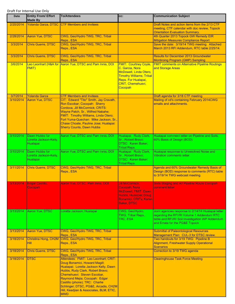| Date      | <b>Entity From/ Effort</b><br><b>Made By</b>         | <b>To/Attendees</b>                                                                                                                                                                                                                                                                                                                             | CC:                                                                                                                                                                | <b>Communication Subject</b>                                                                                                                                                          |
|-----------|------------------------------------------------------|-------------------------------------------------------------------------------------------------------------------------------------------------------------------------------------------------------------------------------------------------------------------------------------------------------------------------------------------------|--------------------------------------------------------------------------------------------------------------------------------------------------------------------|---------------------------------------------------------------------------------------------------------------------------------------------------------------------------------------|
| 2/20/2014 |                                                      | <b>Yolanda Garza, DTSC CTF Members and Invitees</b>                                                                                                                                                                                                                                                                                             |                                                                                                                                                                    | Draft Notes and action items from the 2/13 CTF<br>meeting, CTF calendar with doc review, Topock<br><b>Orientation Evaluation Summary.</b>                                             |
| 2/28/2014 | <b>Aaron Yue, DTSC</b>                               | CWG, Geo/Hydro TWG, TRC, Tribal<br>Reps., ESA                                                                                                                                                                                                                                                                                                   |                                                                                                                                                                    | 4th Quarter 2013 Topock GW Remedy EIR<br><b>Mitigation Measures Compliance Report</b>                                                                                                 |
| 3/3/2014  | <b>Chris Guerre, DTSC</b>                            | CWG, Geo/Hydro TWG, TRC, Tribal<br>Reps., ESA                                                                                                                                                                                                                                                                                                   |                                                                                                                                                                    | Save the date: 3/19/14 TWG meeting. Attached<br>March 2013 RFI Addendum, RTC table 2/25/14.                                                                                           |
| 3/3/2014  | <b>Chris Guerre, DTSC</b>                            | CWG, Geo/Hydro TWG, TRC, Tribal<br>Reps., ESA                                                                                                                                                                                                                                                                                                   |                                                                                                                                                                    | <b>Results for December 2013 Groundwater</b><br><b>Montiroing Program (GMP) Sampling</b>                                                                                              |
| 3/6/2014  | Leo Leonhart (H&A for<br>FMIT)                       | Aaron Yue, DTSC and Pam Innis, DOI                                                                                                                                                                                                                                                                                                              | <b>FMIT: Courtney Coyle</b><br>C. Garcia, Nora<br>McDowell, Linda Otero,<br><b>Timothy Williams; Tribal</b><br>Reps. For Hualapai,<br>CRIT, Chemehuevi,<br>Cocopah | <b>FMIT comments on Alternative Pipeline Routings</b><br>and Storage Areas                                                                                                            |
| 3/7/2014  | Yolanda Garza                                        | <b>CTF Members and Invitees</b>                                                                                                                                                                                                                                                                                                                 |                                                                                                                                                                    | Draft agenda for 3/18 CTF meeting                                                                                                                                                     |
| 3/10/2014 | Aaron Yue, DTSC                                      | CIT: Edward "Tito" Smith, Jay Cravath,<br>Ron Escobar; Cocopah: Sherry<br>Cordova, Jill McCormick; CRITS:<br>Wayne Patch, Sr., Wilfred Nabahe;<br>FMIT: Timothy Williams, Linda Otero;<br>Fort Yuma-Quechan: Mike Jackson, Sr.,<br>Chase Choate, Pauline Jose; Hualapai:<br><b>Sherry Counts, Dawn Hubbs</b>                                    |                                                                                                                                                                    | Mailing of cd's containing February 2014CWG<br>emails and attachments.                                                                                                                |
| 3/10/2014 | Dawn Hubbs for<br>Loretta Jackson-Kelly,<br>Hualapai | Aaron Yue, DTSC and Pam Innis, DOI                                                                                                                                                                                                                                                                                                              | Hualapai: Rudy Clark,<br>Sr., Robert Bravo;<br>DTSC: Karen Baker;<br><b>Tribal Reps.</b>                                                                           | Hualapai comment letter on Pipeline and Soils,<br>60% Basis of Design (BOD)                                                                                                           |
| 3/10/2014 | Dawn Hubbs for<br>Loretta Jackson-Kelly,<br>Hualapai | Aaron Yue, DTSC and Pam Innis, DOI                                                                                                                                                                                                                                                                                                              | Hualapai: Rudy Clark,<br>Sr., Robert Bravo;<br>DTSC: Karen Baker;<br><b>Tribal Reps.</b>                                                                           | Hualapai response to Unresolved Noise and<br><b>Vibration comments letter.</b>                                                                                                        |
| 3/11/2014 | <b>Chris Guerre, DTSC</b>                            | CWG, Geo/Hydro TWG, TRC, Tribal<br>Reps., ESA                                                                                                                                                                                                                                                                                                   |                                                                                                                                                                    | Agenda and 60% Groundwater Remedy Basis of<br>Design (BOD) response to comments (RTC) table<br>to 3/19/14 TWG webcast meeting.                                                        |
| 3/13/2014 | Edgar Castillo,<br><mark>Jocopah</mark>              | Aaron Yue, DTSC, Pam Innis, DOI                                                                                                                                                                                                                                                                                                                 | <b>Jill McCormick,</b><br>Cocopah; Nora<br>McDowell, FMIT; Dawn<br>Hubbs, Hualapai; Doug<br>Bonamici, CRITs; Karen<br><b>Baker, DTSC</b>                           | <b>Soils Staging and Alt Pipeline Route Cocopah</b><br><b>T</b> comment refrer                                                                                                        |
| 3/13/2014 | Aaron Yue, DTSC                                      | Loretta Jackson, Hualapai                                                                                                                                                                                                                                                                                                                       | CWG, Geo/Hydro,<br>TWG, Tribal Reps.,<br>TRC, ESA                                                                                                                  | Joint agencies response to 2/14/14 Hualapai letter<br>regarding the RFI/RI Volume 1 Addendum RTC<br>table and RFI/RI Soil Investigation WP Addendum<br>and Errata for the PG&E Topock |
| 3/13/2014 | <b>Aaron Yue, DTSC</b>                               | CWG, Geo/Hydro TWG, TRC, Tribal<br>Reps., ESA                                                                                                                                                                                                                                                                                                   |                                                                                                                                                                    | <b>Submittal of Paleontological Resources</b><br>Management Plan: CUL-3 for DTSC review.                                                                                              |
| 3/18/2014 | Christina Hong, CH2M<br>Hill                         | CWG, Geo/Hydro TWG, TRC, Tribal<br>Reps., ESA                                                                                                                                                                                                                                                                                                   |                                                                                                                                                                    | Two handouts for 3/19 TWG: Pipeline B<br><b>Alignment, Freshwater Supply Operational</b><br><b>Scenarios</b>                                                                          |
| 3/18/2014 | <b>Chris Guerre, DTSC</b>                            | CWG, Geo/Hydro TWG, TRC, Tribal<br>Reps., ESA                                                                                                                                                                                                                                                                                                   |                                                                                                                                                                    | Correction to 3/19 TWG agenda                                                                                                                                                         |
| 3/18/2014 | <b>DTSC</b>                                          | Attendees: FMIT: Leo Leonhart; CRIT:<br>Doug Bonamici, Howard Magill;<br>Hualapai: Loretta Jackson Kelly, Dawn<br>Hubbs, Rudy Clark, Robert Bravo;<br>Chemehuevi: Steven Escobar,<br>Raymond Mejia; Cocopah: Edgar<br>Castillo (phone); TRC: Charlie<br>Schlinger; DTSC, PG&E, Arcadis, CH2M<br>Hill, Keadjian & Associates, BLM, ETIC,<br>MWD. |                                                                                                                                                                    | <b>Clearinghouse Task Force Meeting</b>                                                                                                                                               |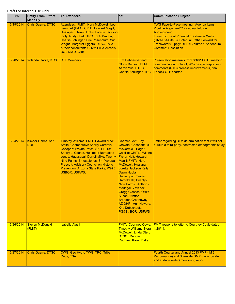| Date      | <b>Entity From/ Effort</b><br><b>Made By</b> | <b>To/Attendees</b>                                                                                                                                                                                                                                                                                                                                         | CC:                                                                                                                                                                                                                                                                                                                                                                                                                                         | <b>Communication Subject</b>                                                                                                                                                                                                                                                        |
|-----------|----------------------------------------------|-------------------------------------------------------------------------------------------------------------------------------------------------------------------------------------------------------------------------------------------------------------------------------------------------------------------------------------------------------------|---------------------------------------------------------------------------------------------------------------------------------------------------------------------------------------------------------------------------------------------------------------------------------------------------------------------------------------------------------------------------------------------------------------------------------------------|-------------------------------------------------------------------------------------------------------------------------------------------------------------------------------------------------------------------------------------------------------------------------------------|
| 3/19/2014 | <b>Chris Guerre, DTSC</b>                    | Attendees: FMIT: Nora McDowell, Leo<br>Leonhart (H&A); CRIT: Howard Magill;<br>Hualapai: Dawn Hubbs, Loretta Jackson-<br>Kelly, Rudy Clark; TRC: Bob Prucha,<br>Charlie Schlinger, Eric Rosenblum, Win<br>Wright, Margaret Eggers; DTSC, PG&E<br>& their consultants CH2M Hill & Arcadis;<br>DOI, MWD, CRB                                                  |                                                                                                                                                                                                                                                                                                                                                                                                                                             | TWG Face-to-Face meeting. Agenda Items:<br>Pipeline Alignment/Conceptual Info on<br>Aboveground<br><b>Infrastructure at Potential Freshwater Wells</b><br>(HNWR-1/Site B); Potential Paths Forward for<br>Freshwater Supply; RFI/RI Volume 1 Addendum<br><b>Comment Resolution.</b> |
| 3/20/2014 | Yolanda Garza, DTSC CTF Members              |                                                                                                                                                                                                                                                                                                                                                             | <b>Kim Liebhauser and</b><br>Gloria Benson, BLM,<br>Aaron Yue, DTSC,<br><b>Charlie Schlinger, TRC</b>                                                                                                                                                                                                                                                                                                                                       | Presentation materials from 3/18/14 CTF meeting:<br>communication protocol, 90% design response to<br>comments (RTC) process improvements, final<br><b>Topock CTF charter</b>                                                                                                       |
| 3/24/2014 | Kimber Liebhauser,<br><b>DOI</b>             | Timothy Williams, FMIT, Edward "Tito"<br>Smith, Chemehuevi; Sherry Cordova,<br>Cocopah; Wayne Patch, Sr., CRITs;<br>Sherry J. Counts, Hualapai; Bernadine<br>Jones, Havasupai; Darrell Mike, Twenty-<br>Nine Palms; Ernest Jones, Sr., Yavapai-<br>Prescott; Advisory Council on Historic<br>Prevention, Arizona State Parks, PG&E,<br><b>USBOR, USFWS,</b> | Chemehuevi: Jay<br>Cravath; Cocopah: Jill<br>McCormick, Edgar<br>Castillo; CRITs: Wilene<br>Fisher-Holt, Howard<br>Magill; FMIT: Nora<br>McDowell; Hualapai:<br>Loretta Jackson Kelly,<br>Dawn Hubbs;<br>Havasupai: Travis<br>Hamidreek; Twenty-<br>Nine Palms: Anthony<br>Madrigal; Yavapai:<br>Gregg Glassco; OHP:<br><b>Susan Stratton.</b><br><b>Brendon Greenaway;</b><br>AZ OHP: Ann Howard,<br>Kris Dobschuetz;<br>PG&E:, BOR, USFWS | Letter regarding BLM determination that it will not<br>pursue a third-party, contracted ethnographic study                                                                                                                                                                          |
| 3/26/2014 | <b>Steven McDonald</b><br>(FMIT)             | <b>Isabella Alasti</b>                                                                                                                                                                                                                                                                                                                                      | <b>FMIT: Courtney Coyle,</b><br><b>Timothy Williams, Nora</b><br>McDowell, Linda Otero;<br><b>DTSC: Debbie</b><br>Raphael, Karen Baker                                                                                                                                                                                                                                                                                                      | <b>FMIT respone to letter to Courtney Coyle dated</b><br>$1/28/14$ .                                                                                                                                                                                                                |
| 3/27/2014 | <b>Chris Guerre, DTSC</b>                    | CWG, Geo Hydro TWG, TRC, Tribal<br>Reps, ESA                                                                                                                                                                                                                                                                                                                |                                                                                                                                                                                                                                                                                                                                                                                                                                             | Fourth Quarter and Annual 2013 PMP (IM 3<br>Performance) and Site-wide GMP (groundwater<br>and surface water) monitoring report.                                                                                                                                                    |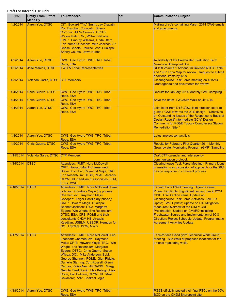| Date      | <b>Entity From/ Effort</b><br><b>Made By</b> | <b>To/Attendees</b>                                                                                                                                                                                                                                                                                                                                                                                                                                                | CC: | <b>Communication Subject</b>                                                                                                                                                                                                                                                                                                                                                                                                                                                 |
|-----------|----------------------------------------------|--------------------------------------------------------------------------------------------------------------------------------------------------------------------------------------------------------------------------------------------------------------------------------------------------------------------------------------------------------------------------------------------------------------------------------------------------------------------|-----|------------------------------------------------------------------------------------------------------------------------------------------------------------------------------------------------------------------------------------------------------------------------------------------------------------------------------------------------------------------------------------------------------------------------------------------------------------------------------|
| 4/2/2014  | Aaron Yue, DTSC                              | CIT: Edward "Tito" Smith, Jay Cravath,<br>Ron Escobar; Cocopah: Sherry<br>Cordova, Jill McCormick; CRITS:<br>Wayne Patch, Sr., Wilfred Nabahe;<br>FMIT: Timothy Williams, Linda Otero;<br>Fort Yuma-Quechan: Mike Jackson, Sr.,<br>Chase Choate, Pauline Jose; Hualapai:<br><b>Sherry Counts, Dawn Hubbs</b>                                                                                                                                                       |     | Mailing of cd's containing March 2014 CWG emails<br>and attachments.                                                                                                                                                                                                                                                                                                                                                                                                         |
| 4/2/2014  | Aaron Yue, DTSC                              | CWG. Geo Hydro TWG, TRC, Tribal<br>Reps, ESA                                                                                                                                                                                                                                                                                                                                                                                                                       |     | <b>Availability of the Freshwater Evaluation Tech</b><br><b>Memo on Sharepoint Site</b>                                                                                                                                                                                                                                                                                                                                                                                      |
| 4/2/2014  | Jose Marcos, DTSC                            | <b>TWG &amp; Tribal Representatives</b>                                                                                                                                                                                                                                                                                                                                                                                                                            |     | <b>RFI/RI Volume 1 Addendum Revised RTCs Table</b><br>and 1957 Topo Map for review. Request to submit<br>additional items by 4/18.                                                                                                                                                                                                                                                                                                                                           |
| 4/3/2014  | Yolanda Garza, DTSC                          | <b>CTF Members</b>                                                                                                                                                                                                                                                                                                                                                                                                                                                 |     | Clearinghouse Task Force meeting on 4/15/14.<br>Draft agenda and documents for review.                                                                                                                                                                                                                                                                                                                                                                                       |
| 4/4/2014  | <b>Chris Guerre, DTSC</b>                    | CWG. Geo Hydro TWG, TRC, Tribal<br>Reps, ESA                                                                                                                                                                                                                                                                                                                                                                                                                       |     | Results for January 2014 Monthly GMP sampling                                                                                                                                                                                                                                                                                                                                                                                                                                |
| 4/4/2014  | <b>Chris Guerre, DTSC</b>                    | CWG. Geo Hydro TWG, TRC, Tribal<br>Reps, ESA                                                                                                                                                                                                                                                                                                                                                                                                                       |     | Save the date: TWG/Site Walk on 4/17/14                                                                                                                                                                                                                                                                                                                                                                                                                                      |
| 4/4/2014  | Aaron Yue, DTSC                              | CWG. Geo Hydro TWG, TRC, Tribal<br>Reps, ESA                                                                                                                                                                                                                                                                                                                                                                                                                       |     | Joint letter from DTSC/DOI joint direction letter to<br>guide PG&E towards the 90% design. "Directives<br>on Outstanding Issues of the Response to Basis of<br>Design Report/ Intermediate (60%) Design<br>Comments for PG&E Topock Compressor Station<br><b>Remediation Site."</b>                                                                                                                                                                                          |
| 4/8/2014  | Aaron Yue, DTSC                              | CWG. Geo Hydro TWG, TRC, Tribal<br>Reps, ESA                                                                                                                                                                                                                                                                                                                                                                                                                       |     | Latest project contact lists                                                                                                                                                                                                                                                                                                                                                                                                                                                 |
| 4/9/2014  | <b>Chris Guerre, DTSC</b>                    | CWG. Geo Hydro TWG, TRC, Tribal<br>Reps, ESA                                                                                                                                                                                                                                                                                                                                                                                                                       |     | <b>Results for February First Quarter 2014 Monthly</b><br><b>Groundwater Monitoring Program (GMP) Sampling</b>                                                                                                                                                                                                                                                                                                                                                               |
| 4/15/2014 | Yolanda Garza, DTSC                          | <b>CTF Members</b>                                                                                                                                                                                                                                                                                                                                                                                                                                                 |     | <b>Draft CTF calendar and Interagency</b><br>communication protocol.                                                                                                                                                                                                                                                                                                                                                                                                         |
| 4/15/2014 | <b>DTSC</b>                                  | Attendees: FMIT: Nora McDowell;<br><b>CRIT: Howard Magill; Chemehuevi:</b><br>Steven Escobar, Raymond Mejia; TRC:<br>Eric Rosenblum; DTSC, PG&E, Arcadis,<br>CH2M Hill, Keadjian & Associates, BLM,<br>ETIC, MWD                                                                                                                                                                                                                                                   |     | <b>Clearinghouse Task Force Meeting - Primary focus</b><br>of meeting was discussion of approach for the 90%<br>design response to comment process.                                                                                                                                                                                                                                                                                                                          |
| 4/16/2014 | <b>IDTSC</b>                                 | Attendees: FMIT: Nora McDowell, Luke<br>Johnson, Courtney Coyle (by phone);<br>Chemehuevi: Raymond Mejiu;<br>Cocopah: Edgar Castillo (by phone);<br>CRIT: Howard Magill; Hualapai:<br>Bennett Jackson; TRC: Margaret<br>Eggers, Win Wright, Eric Rosenblum;<br>DTSC, ESA, CRB, PG&E and their<br>consultants CH2M Hill, Arcadis,<br>Keadjian; USBLM, USBOR, Herndon for<br>DOI, USFWS, DFW, MWD                                                                    |     | <b>Face-to Face CWG meeting. Agenda items:</b><br>Project highlights; Significant Issues from 2/12/14<br>CWG, CWG action items; Update on<br><b>Clearinghouse Task Force Activities; Soil EIR</b><br>Updte; TWG Update; Update on EIR Mitigation<br>Measures/Overview of the CIMP; CRIT<br>Presentation; Update on CMI/RD including<br>Freshwater Source and Implementation of 90%<br>Direction; Project Schedule Update; Programmatic<br><b>Agreement Activities Update</b> |
| 4/17/2014 | <b>DTSC</b>                                  | Attendees: FMIT: Nora McDowell, Leo<br>Leonhart; Chemehuevi: Raymond<br>Mejia; CRIT: Howard Magill; TRC: Win<br>Wright, Eric Rosenblum, Margaret<br>Eggers; DTSC: Chris Guerre, Susan<br>Wilcox; DOI: Mike Anderson; BLM:<br>George Shannon; PG&E: Glen Riddle,<br>Danielle Starring, Curt Russell, Glenn<br>Caruso, Valisa Nez; ARCADIS: Margy<br>Gentile, Fred Stanin, Llsa Kellogg, Lisa<br>Cope, Eric Putnam; CH2M Hill: Mike<br>Cavaliere; PVX: Shakeel Jogia |     | Face-to-face Geo/Hydro Technical Work Group<br>Meeting - Site Walk of proposed locations for the<br>arsenic monitoring wells.                                                                                                                                                                                                                                                                                                                                                |
| 4/18/2014 | Aaron Yue, DTSC                              | CWG, Geo Hydro TWG, TRC, Tribal<br>Reps, ESA                                                                                                                                                                                                                                                                                                                                                                                                                       |     | PG&E officially posted their final RTCs on the 60%<br>BOD on the CH2M Sharepoint site.                                                                                                                                                                                                                                                                                                                                                                                       |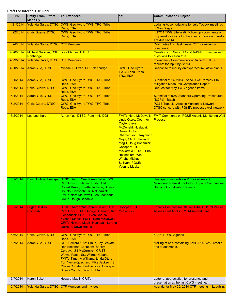| Date      | <b>Entity From/ Effort</b><br><b>Made By</b> | <b>To/Attendees</b>                                                                                                                                                                                                                                                                                          | CC:                                                                                                                                                                                                                                                                                                                       | <b>Communication Subject</b>                                                                                            |
|-----------|----------------------------------------------|--------------------------------------------------------------------------------------------------------------------------------------------------------------------------------------------------------------------------------------------------------------------------------------------------------------|---------------------------------------------------------------------------------------------------------------------------------------------------------------------------------------------------------------------------------------------------------------------------------------------------------------------------|-------------------------------------------------------------------------------------------------------------------------|
| 4/21/2014 | Yolanda Garza, DTSC                          | CWG, Geo Hydro TWG, TRC, Tribal<br>Reps, ESA                                                                                                                                                                                                                                                                 |                                                                                                                                                                                                                                                                                                                           | <b>Lodging Accomodations for July Topock meetings</b><br>in San Diego.                                                  |
| 4/22/2014 | Chris Guerre, DTSC                           | CWG, Geo Hydro TWG, TRC, Tribal<br>Reps, ESA                                                                                                                                                                                                                                                                 |                                                                                                                                                                                                                                                                                                                           | 4/17/14 TWG Site Walk Follow-up - comments on<br>proposed locations for the arsenic monitoring wells<br>are due 5/2/14. |
| 4/24/2014 | Yolanda Garza, DTSC CTF Members              |                                                                                                                                                                                                                                                                                                              |                                                                                                                                                                                                                                                                                                                           | Draft notes from last weeks CTF for review and<br>comments.                                                             |
| 4/28/2014 | Michael Sullivan, CSU<br>Northridge          | Jose Marcos, DTSC                                                                                                                                                                                                                                                                                            |                                                                                                                                                                                                                                                                                                                           | Questions on Soils EIR and RAWP. Jose passed<br>questions to Aaron Yue.                                                 |
| 4/29/2014 | Yolanda Garza, DTSC CTF Members              |                                                                                                                                                                                                                                                                                                              |                                                                                                                                                                                                                                                                                                                           | <b>Interagency Communication Guide for CTF -</b><br>request for input by 5/1/14.                                        |
| 4/30/2014 | Aaron Yue, DTSC                              | Michael Sullivan, CSU Northridge                                                                                                                                                                                                                                                                             | <b>CWG, Geo Hydro</b><br><b>TWG, Tribal Reps,</b><br>TRC, ESA                                                                                                                                                                                                                                                             | Response to inquiry on hyperaccumulative plants                                                                         |
| 5/1/2014  | Aaron Yue, DTSC                              | CWG, Geo Hydro TWG, TRC, Tribal<br>Reps, ESA                                                                                                                                                                                                                                                                 |                                                                                                                                                                                                                                                                                                                           | Submittal of 1Q 2014 Topock GW Remedy EIR<br><b>Mitigation Measures Compliance Report</b>                               |
| 5/1/2014  | <b>Chris Guerre, DTSC</b>                    | CWG, Geo Hydro TWG, TRC, Tribal<br>Reps, ESA                                                                                                                                                                                                                                                                 |                                                                                                                                                                                                                                                                                                                           | <b>Request for May TWG agenda items</b>                                                                                 |
| 5/1/2014  | Aaron Yue, DTSC                              | CWG, Geo Hydro TWG, TRC, Tribal<br>Reps, ESA                                                                                                                                                                                                                                                                 |                                                                                                                                                                                                                                                                                                                           | <b>Submittal of 90% Standard Operating Procedures</b><br>(SOPs) - Batch 1                                               |
| 5/2/2014  | <b>Chris Guerre, DTSC</b>                    | CWG, Geo Hydro TWG, TRC, Tribal<br>Reps, ESA                                                                                                                                                                                                                                                                 |                                                                                                                                                                                                                                                                                                                           | <b>PG&amp;E Topock: Arsenic Monitoring Network -</b><br>DTSC concurs with PG&E's proposed well network.                 |
| 5/2/2014  | Leo Leonhart                                 | Aaron Yue, DTSC, Pam Innis DOI                                                                                                                                                                                                                                                                               | <b>FMIT: Nora McDowell,</b><br><b>Linda Otero, Courtney</b><br>Coyle, Steven<br>McDonald; Hualapai:<br>Dawn Hubbs;<br>Chemehuevi: Raymond<br>Mejia; CRIT: Howard<br>Magill, Doug Bonamici;<br>Cocopah: Jill<br>McCormick; TRC: Eric<br>Rosenblum, Win<br><b>Wright, Michael</b><br>Sullivan; PG&E:<br><b>Yvonne Meeks</b> | <b>FMIT Comments on PG&amp;E Arsenic Monitoring Well</b><br>Proposal                                                    |
| 5/2/2014  |                                              | Dawn Hubbs, Hualapai DTSC: Aaron Yue, Karen Baker; DOI:<br>Pam Innis; Hualapai: Rudy Clark,<br>Robert Bravo, Loretta Jackson, Sherry J<br>Counts; Cocopah: Jill McCormick;<br>FMIT: Nora McDowell, Leo Leonhart;<br><b>CRIT: Dough Bonamici</b>                                                              |                                                                                                                                                                                                                                                                                                                           | Hualapai comments on Proposed Arsenic<br>Monitoring Network for PG&E Topock Compressor<br>Station Groundwater Remedy.   |
| 5/5/2014  | Edgar Castillo,                              | DTSC: Aaron Yue, Karen Baker; DOI:                                                                                                                                                                                                                                                                           | Cocopah: Jill                                                                                                                                                                                                                                                                                                             | <b>Topock Compressor Station Tribal Cultural Values</b>                                                                 |
|           | Cocopah                                      | Pam Innis; BLM: George Shannon, Kim<br>Liebhauser; PG&E: Glen Caruso,<br>Yvonne Meeks; FMIT: Nora McDowell;<br>CRIT: Howard Magill; Hualapai: Loretta<br>Jackson, Dawn Hubbs.                                                                                                                                | <b>McCormick</b>                                                                                                                                                                                                                                                                                                          | <b>Assessment April 25, 2014 Amendment</b>                                                                              |
| 5/6/2014  | <b>Chris Guerre, DTSC</b>                    | CWG, Geo Hydro TWG, TRC, Tribal<br>Reps, ESA                                                                                                                                                                                                                                                                 |                                                                                                                                                                                                                                                                                                                           | 5/21/14 TWG Agenda                                                                                                      |
| 5/7/2014  | <b>Aaron Yue, DTSC</b>                       | CIT: Edward "Tito" Smith, Jay Cravath,<br>Ron Escobar; Cocopah: Sherry<br>Cordova, Jill McCormick; CRITS:<br>Wayne Patch, Sr., Wilfred Nabahe;<br>FMIT: Timothy Williams, Linda Otero;<br>Fort Yuma-Quechan: Mike Jackson, Sr.,<br>Chase Choate, Pauline Jose; Hualapai:<br><b>Sherry Counts, Dawn Hubbs</b> |                                                                                                                                                                                                                                                                                                                           | Mailing of cd's containing April 2014 CWG emails<br>and attachments.                                                    |
| 5/7/2014  | Karen Baker                                  | Howard Magill, CRITs                                                                                                                                                                                                                                                                                         |                                                                                                                                                                                                                                                                                                                           | Letter of appreciation for presence and<br>presentation at the last CWG meeting.                                        |
| 5/7/2014  |                                              | Yolanda Garza, DTSC CTF Members and Invitees                                                                                                                                                                                                                                                                 |                                                                                                                                                                                                                                                                                                                           | Agenda for May 20, 2014 CTF meeting in Laughlin.                                                                        |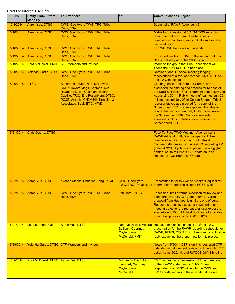| Date      | <b>Entity From/ Effort</b><br><b>Made By</b> | <b>To/Attendees</b>                                                                                                                                                                                                       | CC:                                                                             | <b>Communication Subject</b>                                                                                                                                                                                                                                                                                                                                                                                                                                                                                                    |
|-----------|----------------------------------------------|---------------------------------------------------------------------------------------------------------------------------------------------------------------------------------------------------------------------------|---------------------------------------------------------------------------------|---------------------------------------------------------------------------------------------------------------------------------------------------------------------------------------------------------------------------------------------------------------------------------------------------------------------------------------------------------------------------------------------------------------------------------------------------------------------------------------------------------------------------------|
| 5/8/2014  | Aaron Yue, DTSC                              | CWG, Geo Hydro TWG, TRC, Tribal<br>Reps, ESA                                                                                                                                                                              |                                                                                 | Submittal of RAWP Addendum 2                                                                                                                                                                                                                                                                                                                                                                                                                                                                                                    |
| 5/16/2014 | Aaron Yue, DTSC                              | CWG, Geo Hydro TWG, TRC, Tribal<br>Reps, ESA                                                                                                                                                                              |                                                                                 | Matrix for discussion at 5/21/14 TWG regarding<br>recommendations from tribes for arsenic<br>compliance monitoring wells in California arsenic<br>well evaluation.                                                                                                                                                                                                                                                                                                                                                              |
| 5/16/2014 | Aaron Yue, DTSC                              | CWG, Geo Hydro TWG, TRC, Tribal<br>Reps, ESA                                                                                                                                                                              |                                                                                 | 5/21/14 TWG handouts and agenda                                                                                                                                                                                                                                                                                                                                                                                                                                                                                                 |
| 5/19/2014 | Aaron Yue, DTSC                              | CWG, Geo Hydro TWG, TRC, Tribal<br>Reps, ESA                                                                                                                                                                              |                                                                                 | Fowarded link from PG&E to the second batch of<br>SOPs that are part of the 90% dsign.                                                                                                                                                                                                                                                                                                                                                                                                                                          |
| 5/19/2014 | <b>Nora McDowell, FMIT</b>                   | <b>CTF Members and Invitees</b>                                                                                                                                                                                           |                                                                                 | Informed the group that Eric Rosenbloom will<br>attend the 5/20/14 CTF in her place.                                                                                                                                                                                                                                                                                                                                                                                                                                            |
| 5/20/2014 | <b>Yolanda Garza, DTSC</b>                   | CWG, Geo Hydro TWG, TRC, Tribal<br>Reps, ESA                                                                                                                                                                              |                                                                                 | Reminder about Topock meeting lodging<br>reservations at a reduced rate for July CTF, CWG<br>and TWG meetings.                                                                                                                                                                                                                                                                                                                                                                                                                  |
| 5/20/2014 | <b>DTSC</b>                                  | Attendees: FMIT: Nora McDowell;<br><b>CRIT: Howard Magill; Chemehuevi:</b><br>Raymond Mejia; Cocopah: Edgar<br>Castillo; TRC: Eric Rosenblum; DTSC,<br>PG&E, Arcadis, CH2M Hill, Keadjian &<br>Associates, BLM, ETIC, MWD |                                                                                 | Clearinghouse Task Force - Karen Baker<br>discussed the timeing and process for release of<br>the Draft Soil EIR. Public comment period July 7 to<br>August 21, 2014. Public meeting/hearings July 22<br>in Needles and July 23 in Golden Shores. Tribal<br>representatives again asked for a copy of the<br>Screencheck EIR. Karen explained that due to<br>contractual requirement only PG&E could review<br>the Screencheck EIR. No govenermental<br>agencies, including Tribes would receive the<br><b>Screencheck EIR.</b> |
| 5/21/2014 | <b>Chris Guerre, DTSC</b>                    |                                                                                                                                                                                                                           |                                                                                 | Face-To-Face TWG Meeting: Agenda Items:<br>RAWP Addendum II; Discuss specific Tribes'<br>comments on As monitoring well network;<br>Confirm path forward on Tribes/TRC modeling TM<br>(dated 4/3/14); Update on Pipeline B routing (AZ<br>portion, south of HNWR-1); Update on Pipe<br>Routing at TCS Entrance; Others.                                                                                                                                                                                                         |
| 5/22/2014 | Aaron Yue, DTSC                              | Yvonne Meeks, Christina Hong, PG&E                                                                                                                                                                                        | CWG, Geo/Hydro                                                                  | <b>Transmitted letter to Yvonne Meeks "Request for</b><br><b>TWG, TRC, Tribal Reps Information Regarding Historic PG&amp;E Wells".</b>                                                                                                                                                                                                                                                                                                                                                                                          |
| 5/22/2014 | Aaron Yue, DTSC                              | CWG, Geo Hydro TWG, TRC, Tribal<br>Reps, ESA                                                                                                                                                                              | Lori Hare, DTSC                                                                 | Tribes to submit a formal extention for review and<br>comment on the RAWP Addendum II - verbal<br>proposal from Hualapai is until the end of June.<br>Request to tribes to discuss and put forth some<br>meeting dates for the recreational user exposure<br>scenario with DOI. Michael Sullivan not available<br>on original proposal of 6/17, 6/18, 6/19.                                                                                                                                                                     |
| 5/27/2014 | Leo Leonhart, FMIT                           | <b>Aaron Yue, DTSC</b>                                                                                                                                                                                                    | Sullivan, Courtney<br>Coyle, Steven<br>McDonald, FMIT                           | Nora McDowell, Michael Request for clarification on slide #4 of TWG<br>presentation for the RAWP regarding schedule for<br>RAWP, RFI/RI, CEQA/EIR. Aaron sent clarification<br>reply explaining the proper flow for this project.                                                                                                                                                                                                                                                                                               |
| 5/29/2014 |                                              | Yolanda Garza, DTSC CTF Members and Invitees                                                                                                                                                                              |                                                                                 | Notes from 5/20/14 CTF, sign-in sheet, draft CTF<br>calendar with document review for June 2014, CTF<br>action items 5/29/14, and RWQCB 5/8/14 briefing.                                                                                                                                                                                                                                                                                                                                                                        |
| 6/2/2014  | Nora McDowell, FMIT                          | Aaron Yue, DTSC                                                                                                                                                                                                           | Michael Sullivan, Leo<br>Leonhart, Courtney<br>Coyle, Steven<br><b>McDonald</b> | FMIT request for an extension of time to respond<br>to the RAWP addendum to 6/16/14. Aaron<br>responded that DTSC will notify the CWG and<br>TWG shortly regarding the extended due date.                                                                                                                                                                                                                                                                                                                                       |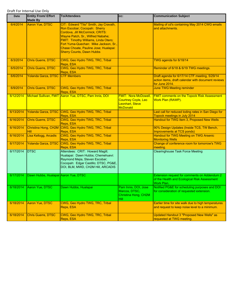| Date      | <b>Entity From/ Effort</b><br><b>Made By</b> | <b>To/Attendees</b>                                                                                                                                                                                                                                                                                          | CC:                                                                                             | <b>Communication Subject</b>                                                                                          |
|-----------|----------------------------------------------|--------------------------------------------------------------------------------------------------------------------------------------------------------------------------------------------------------------------------------------------------------------------------------------------------------------|-------------------------------------------------------------------------------------------------|-----------------------------------------------------------------------------------------------------------------------|
| 6/4/2014  | Aaron Yue, DTSC                              | CIT: Edward "Tito" Smith, Jay Cravath,<br>Ron Escobar; Cocopah: Sherry<br>Cordova, Jill McCormick; CRITS:<br>Wayne Patch, Sr., Wilfred Nabahe;<br>FMIT: Timothy Williams, Linda Otero;<br>Fort Yuma-Quechan: Mike Jackson, Sr.,<br>Chase Choate, Pauline Jose; Hualapai:<br><b>Sherry Counts, Dawn Hubbs</b> |                                                                                                 | Mailing of cd's containing May 2014 CWG emails<br>and attachments.                                                    |
| 6/3/2014  | <b>Chris Guerre, DTSC</b>                    | CWG, Geo Hydro TWG, TRC, Tribal<br>Reps, ESA                                                                                                                                                                                                                                                                 |                                                                                                 | TWG agenda for 6/18/14                                                                                                |
| 6/5/2014  | <b>Chris Guerre, DTSC</b>                    | CWG, Geo Hydro TWG, TRC, Tribal<br>Reps, ESA                                                                                                                                                                                                                                                                 |                                                                                                 | Reminder of 6/18 & 6/19 TWG meetings.                                                                                 |
| 6/6/2014  | Yolanda Garza, DTSC                          | <b>CTF Members</b>                                                                                                                                                                                                                                                                                           |                                                                                                 | Draft agenda for 6/17/14 CTF meeting, 5/29/14<br>action items, draft calendar with document reviews<br>for June 2014. |
| 6/9/2014  | <b>Chris Guerre, DTSC</b>                    | CWG, Geo Hydro TWG, TRC, Tribal<br>Reps, ESA                                                                                                                                                                                                                                                                 |                                                                                                 | <b>June TWG Meeting reminder</b>                                                                                      |
| 6/12/2014 |                                              | Michael Sullivan, FMIT Aaron Yue, DTSC, Pam Innis, DOI                                                                                                                                                                                                                                                       | <b>FMIT: Nora McDowell,</b><br><b>Courtney Coyle, Leo</b><br>Leonhart, Steve<br><b>McDonald</b> | <b>FMIT comments on the Topock Risk Assessment</b><br>Work Plan (RAWP).                                               |
| 6/13/2014 | Yolanda Garza, DTSC                          | CWG, Geo Hydro TWG, TRC, Tribal<br>Reps, ESA                                                                                                                                                                                                                                                                 |                                                                                                 | Last call for reduced loding rates in San Diego for<br>Topock meetings in July 2014                                   |
| 6/16/2014 | <b>Chris Guerre, DTSC</b>                    | CWG, Geo Hydro TWG, TRC, Tribal<br>Reps, ESA                                                                                                                                                                                                                                                                 |                                                                                                 | Handout for TWG Item 3, Proposed New Wells                                                                            |
| 6/16/2014 | Christina Hong, CH2M<br><b>Hill</b>          | CWG, Geo Hydro TWG, TRC, Tribal<br>Reps, ESA                                                                                                                                                                                                                                                                 |                                                                                                 | 90% Design Updates (Inside TCS, TW Bench,<br><b>Improvements at TCS ponds)</b>                                        |
| 6/16/2014 | Lisa Kellogg, Arcadis                        | CWG, Geo Hydro TWG, TRC, Tribal<br>Reps, ESA                                                                                                                                                                                                                                                                 |                                                                                                 | Handout for TWG Meeting on TWG Arsenic<br><b>Monitoring Wells</b>                                                     |
| 6/17/2014 | Yolanda Garza, DTSC                          | CWG, Geo Hydro TWG, TRC, Tribal<br>Reps, ESA                                                                                                                                                                                                                                                                 |                                                                                                 | Change of conference room for tomorrow's TWG<br>meeting.                                                              |
| 6/17/2014 | <b>DTSC</b>                                  | Attendees: CRIT: Howard Magill;<br>Hualapai: Dawn Hubbs; Chemehuevi:<br>Raymond Mejia, Steven Escobar;<br>Cocopah: Edgar Castillo; DTSC, PG&E,<br>DOI, BLM, MWD, CH2M Hill, ARCADIS                                                                                                                          |                                                                                                 | <b>Clearinghouse Task Force Meeting</b>                                                                               |
| 6/17/2014 | Dawn Hubbs, Hualapai Aaron Yue, DTSC         |                                                                                                                                                                                                                                                                                                              |                                                                                                 | Extension request for comments on Addendum 2<br>of the Health and Ecological Risk Assessment<br>Work Plan.            |
| 6/18/2014 | Aaron Yue, DTSC                              | Dawn Hubbs, Hualapai                                                                                                                                                                                                                                                                                         | Pam Innis, DOI, Jose<br>Marcos, DTSC,<br>Christina Hong, CH2M<br>Hill                           | Notified PG&E for scheduling purposes and DOI<br>for consideration of requested extension.                            |
| 6/18/2014 | Aaron Yue, DTSC                              | CWG, Geo Hydro TWG, TRC, Tribal<br>Reps, ESA                                                                                                                                                                                                                                                                 |                                                                                                 | Earlier time for site walk due to high temperatures<br>and request to keep noise level to a minimum.                  |
| 6/18/2014 | <b>Chris Guerre, DTSC</b>                    | CWG, Geo Hydro TWG, TRC, Tribal<br>Reps, ESA                                                                                                                                                                                                                                                                 |                                                                                                 | <b>Updated Handout 3 "Proposed New Wells" as</b><br>requested at TWG meeting.                                         |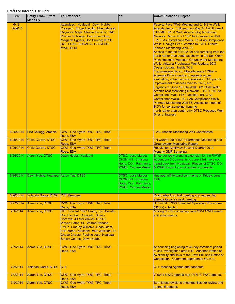| Date                   | <b>Entity From/ Effort</b><br><b>Made By</b>            | <b>To/Attendees</b>                                                                                                                                                                                                                                                                                          | CC:                                                                                                                                                                     | <b>Communication Subject</b>                                                                                                                                                                                                                                                                                                                                                                                                                                                                                                                                                                                                                                                                                                                                                                                                                                                                                                                                                                                                                                                                                                        |
|------------------------|---------------------------------------------------------|--------------------------------------------------------------------------------------------------------------------------------------------------------------------------------------------------------------------------------------------------------------------------------------------------------------|-------------------------------------------------------------------------------------------------------------------------------------------------------------------------|-------------------------------------------------------------------------------------------------------------------------------------------------------------------------------------------------------------------------------------------------------------------------------------------------------------------------------------------------------------------------------------------------------------------------------------------------------------------------------------------------------------------------------------------------------------------------------------------------------------------------------------------------------------------------------------------------------------------------------------------------------------------------------------------------------------------------------------------------------------------------------------------------------------------------------------------------------------------------------------------------------------------------------------------------------------------------------------------------------------------------------------|
| $6/18-$<br>19/2014     |                                                         | Attendees: Hualapai: Dawn Hubbs;<br>Cocopah: Edgar Castillo; Chemehuevi:<br>Raymond Mejia, Steven Escobar; TRC:<br>Charles Schlinger, Eric Rosenblum,<br>Margaret Eggers, Bob Prucha; DTSC,<br>DOI, PG&E, ARCADIS, CH2M Hill,<br>MWD, BLM                                                                    |                                                                                                                                                                         | Face-to-Face TWG Meeting and 6/19 Site Walk:<br>Agenda Items: Follow-up on May 21 TWG/June 4<br>CHPMP: IRL-1 Well, Arsenic (As) Monitoring<br>Network: Move IRL-1 150' As Compliance Well,<br>IRL-3 As Compliance Wells, IRL-4 As Compliance<br>Wells, Change FW-1 location to FW-1, Others;<br><b>Planned Monitoring Well ZZ;</b><br>Access to mouth of BCW for soil sampling from the<br>north rather than south as shown in the Soil Work<br>Plan; Recently Proposed Groundwater Monitoring<br>Wells; Arizona Freshwater Well Update; 90%<br>Design Update: Inside TCS,<br>Transwestern Bench, Miscellaneous / Other -<br>Alternate BCW crossing in uplands under<br>evaluation, enhanced evaporation at TCS ponds,<br>improvement of access road to FW-2, etc.,<br>Logistics for June 19 Site Walk. 6/19 Site Walk:<br>Arsenic (As) Monitoring Network - IRL-1 150' As<br>Compliance Well, FW-1 location, IRL-3 As<br>Compliance Wells, IRL-4 As Compliance Wells;<br>Planned Monitoring Well ZZ; Access to mouth of<br>BCW for soil sampling from the<br>north rather than south; Any DTSC Proposed Well<br>Sites of Interest. |
| 6/25/2014              | Lisa Kellogg, Arcadis                                   | CWG, Geo Hydro TWG, TRC, Tribal<br>Reps, ESA                                                                                                                                                                                                                                                                 |                                                                                                                                                                         | <b>TWG Arsenic Monitoring Well Coordinates</b>                                                                                                                                                                                                                                                                                                                                                                                                                                                                                                                                                                                                                                                                                                                                                                                                                                                                                                                                                                                                                                                                                      |
| 6/26/2014              | <b>Chris Guerre, DTSC</b>                               | CWG, Geo Hydro TWG, TRC, Tribal<br>Reps, ESA                                                                                                                                                                                                                                                                 |                                                                                                                                                                         | 1st Quarter 2014 IM Performance Monitoring and<br><b>Groundwater Monitoring Report</b>                                                                                                                                                                                                                                                                                                                                                                                                                                                                                                                                                                                                                                                                                                                                                                                                                                                                                                                                                                                                                                              |
| 6/26/2014              | <b>Chris Guerre, DTSC</b>                               | CWG, Geo Hydro TWG, TRC, Tribal<br>Reps, ESA                                                                                                                                                                                                                                                                 |                                                                                                                                                                         | <b>Results for April/May Second Quarter 2014</b><br><b>Monthly GMP Sampling</b>                                                                                                                                                                                                                                                                                                                                                                                                                                                                                                                                                                                                                                                                                                                                                                                                                                                                                                                                                                                                                                                     |
| 6/26/2014<br>6/26/2014 | Aaron Yue, DTSC<br>Dawn Hubbs, Hualapai Aaron Yue, DTSC | Dawn Hubbs, Hualapai                                                                                                                                                                                                                                                                                         | <b>DTSC: Jose Marcos,</b><br>CH2M Hill: Christina<br>Hong; DOI: Pam Innis;<br>PG&E: Yvonne Meeks<br>DTSC: Jose Marcos,<br>CH2M Hill: Christina<br>Hong: DOI: Pam Innis: | Since our reply granting extension for the RAWP<br>Addendum 2 Comments to June 23rd, have not<br>heard back from Hualapai. Please let DTSC, DOI<br>& PG&E know if you will submit comments.<br>Hualapai will forward comments on Friday, June<br>27th.                                                                                                                                                                                                                                                                                                                                                                                                                                                                                                                                                                                                                                                                                                                                                                                                                                                                              |
|                        |                                                         |                                                                                                                                                                                                                                                                                                              | PG&E: Yvonne Meeks                                                                                                                                                      |                                                                                                                                                                                                                                                                                                                                                                                                                                                                                                                                                                                                                                                                                                                                                                                                                                                                                                                                                                                                                                                                                                                                     |
| 6/26/2014              | Yolanda Garza, DTSC CTF Members                         |                                                                                                                                                                                                                                                                                                              |                                                                                                                                                                         | Draft notes from last meeting and request for<br>agenda items for next meeting.                                                                                                                                                                                                                                                                                                                                                                                                                                                                                                                                                                                                                                                                                                                                                                                                                                                                                                                                                                                                                                                     |
| 6/27/2014              | Aaron Yue, DTSC                                         | CWG, Geo Hydro TWG, TRC, Tribal<br>Reps, ESA                                                                                                                                                                                                                                                                 |                                                                                                                                                                         | <b>Submittal of 90% Standard Operating Procedures</b><br>(SOPs) - Batch 3                                                                                                                                                                                                                                                                                                                                                                                                                                                                                                                                                                                                                                                                                                                                                                                                                                                                                                                                                                                                                                                           |
| 7/1/2014               | Aaron Yue, DTSC                                         | CIT: Edward "Tito" Smith, Jay Cravath,<br>Ron Escobar; Cocopah: Sherry<br>Cordova, Jill McCormick; CRITS:<br>Wayne Patch, Sr., Wilfred Nabahe;<br>FMIT: Timothy Williams, Linda Otero;<br>Fort Yuma-Quechan: Mike Jackson, Sr.,<br>Chase Choate, Pauline Jose; Hualapai:<br><b>Sherry Counts, Dawn Hubbs</b> |                                                                                                                                                                         | Mailing of cd's containing June 2014 CWG emails<br>and attachments.                                                                                                                                                                                                                                                                                                                                                                                                                                                                                                                                                                                                                                                                                                                                                                                                                                                                                                                                                                                                                                                                 |
| 7/7/2014               | Aaron Yue, DTSC                                         | CWG, Geo Hydro TWG, TRC, Tribal<br>Reps, ESA                                                                                                                                                                                                                                                                 |                                                                                                                                                                         | Announcing beginning of 45 day comment period<br>of soil investigation draft EIR. Attached Notice of<br>Availability and links to the Draft EIR and Notice of<br>Completion. Comment period ends 8/21/14.                                                                                                                                                                                                                                                                                                                                                                                                                                                                                                                                                                                                                                                                                                                                                                                                                                                                                                                           |
| 7/8/2014               | Yolanda Garza, DTSC                                     | <b>ICTF</b>                                                                                                                                                                                                                                                                                                  |                                                                                                                                                                         | CTF meeting Agenda and handouts.                                                                                                                                                                                                                                                                                                                                                                                                                                                                                                                                                                                                                                                                                                                                                                                                                                                                                                                                                                                                                                                                                                    |
| 7/9/2014               | Aaron Yue, DTSC                                         | CWG, Geo Hydro TWG, TRC, Tribal<br>Reps, ESA                                                                                                                                                                                                                                                                 |                                                                                                                                                                         | 7/16/14 CWG agenda and 7/17/14 TWG agenda.                                                                                                                                                                                                                                                                                                                                                                                                                                                                                                                                                                                                                                                                                                                                                                                                                                                                                                                                                                                                                                                                                          |
| 7/9/2014               | Aaron Yue, DTSC                                         | CWG, Geo Hydro TWG, TRC, Tribal<br>Reps, ESA                                                                                                                                                                                                                                                                 |                                                                                                                                                                         | Sent latest revisions of contact lists for review and<br>update if needed.                                                                                                                                                                                                                                                                                                                                                                                                                                                                                                                                                                                                                                                                                                                                                                                                                                                                                                                                                                                                                                                          |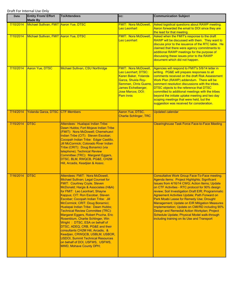| Date      | <b>Entity From/ Effort</b><br><b>Made By</b> | <b>To/Attendees</b>                                                                                                                                                                                                                                                                                                                                                                                                                                                                                                                                                                                                                                                                                                        | CC:                                                                                                                                                                                      | <b>Communication Subject</b>                                                                                                                                                                                                                                                                                                                                                                                                                                                                                                                                                                                          |
|-----------|----------------------------------------------|----------------------------------------------------------------------------------------------------------------------------------------------------------------------------------------------------------------------------------------------------------------------------------------------------------------------------------------------------------------------------------------------------------------------------------------------------------------------------------------------------------------------------------------------------------------------------------------------------------------------------------------------------------------------------------------------------------------------------|------------------------------------------------------------------------------------------------------------------------------------------------------------------------------------------|-----------------------------------------------------------------------------------------------------------------------------------------------------------------------------------------------------------------------------------------------------------------------------------------------------------------------------------------------------------------------------------------------------------------------------------------------------------------------------------------------------------------------------------------------------------------------------------------------------------------------|
| 7/10/2014 | Michael Sullivan, FMIT Aaron Yue, DTSC       |                                                                                                                                                                                                                                                                                                                                                                                                                                                                                                                                                                                                                                                                                                                            | <b>FMIT: Nora McDowell,</b><br><b>Leo Leonhart</b>                                                                                                                                       | Asked logistical questions about RAWP meeting.<br>Aaron forwarded the email to DOI since they are<br>the lead for that meeting.                                                                                                                                                                                                                                                                                                                                                                                                                                                                                       |
| 7/10/2014 | Michael Sullivan, FMIT Aaron Yue, DTSC       |                                                                                                                                                                                                                                                                                                                                                                                                                                                                                                                                                                                                                                                                                                                            | <b>FMIT: Nora McDowell,</b><br><b>Leo Leonhart</b>                                                                                                                                       | Asked when the FMIT's response to the draft<br>RAWP will be discussed with them. They want to<br>discuss prior to the issuance of the RTC table. He<br>claimed that there were agency commitments to<br>additional RAWP meetings for the purpose of<br>discussing these issues prior to the RAWP<br>document which did not happen.                                                                                                                                                                                                                                                                                    |
| 7/10/2014 | Aaron Yue, DTSC                              | Michael Sullivan, CSU Northridge                                                                                                                                                                                                                                                                                                                                                                                                                                                                                                                                                                                                                                                                                           | <b>FMIT: Nora McDowell</b><br>Leo Leonhart; DTSC:<br>Karen Baker, Yolanda<br>Garza, Shukla Roy-<br>Semmen, Chris Guerre,<br>James Eichelberger,<br>Jose Marcos; DOI:<br><b>Pam Innis</b> | Agencies will respond to FMIT's 5/8/14 letter in<br>writing. PG&E will prepare responses to all<br>comments received on the draft Risk Assessment<br>Work Plan (RAWP) addendum. There will be<br>comment resolution discussions with the tribes.<br>DTSC objects to the reference that DTSC<br>committed to additional meetings with the tribes<br>beyond the initiate uptake meeting and two day<br>scoping meetings that were held, but the<br>suggestion was received for consideration.                                                                                                                           |
| 7/14/2014 | <b>Yolanda Garza, DTSC</b>                   | <b>CTF Members</b>                                                                                                                                                                                                                                                                                                                                                                                                                                                                                                                                                                                                                                                                                                         | Aaron Yue, DTSC,<br><b>Charlie Schlinger, TRC</b>                                                                                                                                        | <b>Updated calendar</b>                                                                                                                                                                                                                                                                                                                                                                                                                                                                                                                                                                                               |
| 7/15/2014 | <b>DTSC</b>                                  | Attendees: Hualapai Indian Tribe:<br>Dawn Hubbs; Fort Mojave Indian Tribe<br>(FMIT): Nora McDowell; Chemehuevi<br>Indian Tribe (CIT): Steven Escobar;<br>Cocopah Indian Tribe: Edgar Castillo,<br>Jill McCormick; Colorado River Indian<br>Tribe (CRIT): Doug Bonamici (via<br>telephone); Technical Review<br>Committee (TRC): Margaret Eggers,<br>DTSC, BLM, RWQCB, PG&E, CH2M<br>Hill, Arcadis, Keadjian & Assoc.                                                                                                                                                                                                                                                                                                       |                                                                                                                                                                                          | <b>Clearinghouse Task Force Face-to-Face Meeting</b>                                                                                                                                                                                                                                                                                                                                                                                                                                                                                                                                                                  |
| 7/16/2014 | <b>DTSC</b>                                  | Attendees: FMIT: Nora McDowell,<br>Michael Sullivan; Legal Counsel for<br><b>FMIT: Courtney Coyle, Steven</b><br>McDonald; Hargis & Associates (H&A)<br>for FMIT: Leo Leonhart, Shayne<br>Kappus; CIT: Ron Escobar, Steven<br>Escobar; Cocopah Indian Tribe: Jill<br>McCormick; CRIT: Doug Bonamici;<br>Hualapai Indian Tribe: Dawn Hubbs;<br><b>Technical Review Committee (TRC):</b><br>Margaret Eggers, Robert Prucha, Eric<br>Rosenblum, Charlie Schlinger, Win<br>Wright: DTSC, ESA on behalf of<br>DTSC, ADEQ, CRB, PG&E and their<br>consultants CH2M Hill, Arcadis, &<br>Keadjian, CRWQCB, USBLM, USBOR,<br><b>USDOI, Summit Technical Resources</b><br>on behalf of DOI, USFWS, USFWS,<br>MWD, Mohave County DPH; |                                                                                                                                                                                          | <b>Consultative Work Group Face-To-Face meeting.</b><br>Agenda items: Project Highlights; Significant<br>Issues from 4/16/14 CWG; Action Items; Update<br>on CTF Activities - RTC protocol for 90% design.<br>review; Soil Investigation Draft EIR; Programmatic<br>Agreement Activities Update; Path Forward on<br>Park Moabi Lease for Remedy Use; Drought<br><b>Management; Update on EIR Mitigation Measures</b><br>Implementation; Update on CMI/RD including 90%<br>Design and Remedial Action Workplan; Project<br>Schedule Update; Physical Model walk-through<br>including training on its Use and Transport |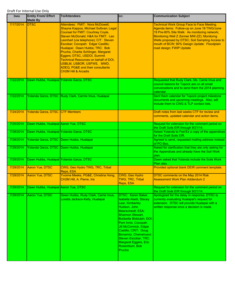| Date      | <b>Entity From/ Effort</b><br><b>Made By</b> | <b>To/Attendees</b>                                                                                                                                                                                                                                                                                                                                                                                                                                                                                  | CC:                                                                                                                                                                                                                                                                                                                                              | <b>Communication Subject</b>                                                                                                                                                                                                                                                                                                  |
|-----------|----------------------------------------------|------------------------------------------------------------------------------------------------------------------------------------------------------------------------------------------------------------------------------------------------------------------------------------------------------------------------------------------------------------------------------------------------------------------------------------------------------------------------------------------------------|--------------------------------------------------------------------------------------------------------------------------------------------------------------------------------------------------------------------------------------------------------------------------------------------------------------------------------------------------|-------------------------------------------------------------------------------------------------------------------------------------------------------------------------------------------------------------------------------------------------------------------------------------------------------------------------------|
| 7/17/2014 | <b>DTSC</b>                                  | Attendees: FMIT: Nora McDowell,<br>Shayne Kappos, Michael Sullivan; Legal<br><b>Counsel for FMIT: Courtney Coyle,</b><br>Steven McDonald; H&A for FMIT: Leo<br>Leonhart (via telephone); CIT: Steven<br>Escobar; Cocopah: Edgar Castillo;<br>Hualapai: Dawn Hubbs; TRC: Bob<br>Prucha, Charlie Schlinger, Margaret<br>Eggers; DTSC, USDOI, Summit<br><b>Technical Resources on behalf of DOI,</b><br>USBLM, USBOR, USFWS, MWD,<br>ADEQ, PG&E and their consultants<br><b>CH2M Hill &amp; Arcadis</b> |                                                                                                                                                                                                                                                                                                                                                  | <b>Technical Work Group Face to Face Meeting.</b><br>Agenda items: Follow-up on June 18 TWG/June<br>19 Pre-90% Site Walk: As monitoring network;<br>Monitoring Well Z (former MW-ZZ); Monitorng<br>Wells proposed by DTSC; Soil Sampling Access to<br>mouth of BCW; 90% Design Update: Floodplain<br>road design; FWIP Update |
| 7/22/2014 |                                              | Dawn Hubbs, Hualapai Yolanda Garza, DTSC                                                                                                                                                                                                                                                                                                                                                                                                                                                             |                                                                                                                                                                                                                                                                                                                                                  | Requested that Rudy Clark, Ms. Carrie Imus and<br>council liaisons for Topock are on all email<br>conversations and to send them the 2014 planning<br>calendar.                                                                                                                                                               |
| 7/22/2014 |                                              | Yolanda Garza, DTSC Rudy Clark, Carrrie Imus, Hualapai                                                                                                                                                                                                                                                                                                                                                                                                                                               |                                                                                                                                                                                                                                                                                                                                                  | Sent them calendar for Topock project milestone<br>documents and upcoming meetings. Also, will<br>include them to CWG & TLP contact lists.                                                                                                                                                                                    |
| 7/24/2014 | Yolanda Garza, DTSC CTF Members              |                                                                                                                                                                                                                                                                                                                                                                                                                                                                                                      |                                                                                                                                                                                                                                                                                                                                                  | Draft notes from last weeks CTF for review and<br>comments, updated calendar and action items.                                                                                                                                                                                                                                |
| 7/25/2014 | Dawn Hubbs, Hualapai Aaron Yue, DTSC         |                                                                                                                                                                                                                                                                                                                                                                                                                                                                                                      |                                                                                                                                                                                                                                                                                                                                                  | Request for extension for the comment period on<br>the Draft Soils EIR through 9/21/14.                                                                                                                                                                                                                                       |
| 7/28/2014 |                                              | Dawn Hubbs, Hualapai Yolanda Garza, DTSC                                                                                                                                                                                                                                                                                                                                                                                                                                                             |                                                                                                                                                                                                                                                                                                                                                  | Asked Yolanda to Fed-Ex a copy of the appendices<br>for the Draft Soils EIR.                                                                                                                                                                                                                                                  |
| 7/28/2014 |                                              | Yolanda Garza, DTSC Dawn Hubbs, Hualapai                                                                                                                                                                                                                                                                                                                                                                                                                                                             |                                                                                                                                                                                                                                                                                                                                                  | Agreed to send, requested mailing address instead<br>of PO Box.                                                                                                                                                                                                                                                               |
| 7/29/2014 |                                              | Yolanda Garza, DTSC Dawn Hubbs, Hualapai                                                                                                                                                                                                                                                                                                                                                                                                                                                             |                                                                                                                                                                                                                                                                                                                                                  | Asked for clarification that they are only asking for<br>the Appendices and already have the Soil Work<br>plan.                                                                                                                                                                                                               |
| 7/29/2014 |                                              | Dawn Hubbs, Hualapai Yolanda Garza, DTSC                                                                                                                                                                                                                                                                                                                                                                                                                                                             |                                                                                                                                                                                                                                                                                                                                                  | Dawn asked that Yolanda include the Soils Work<br>Plan also.                                                                                                                                                                                                                                                                  |
| 7/29/2014 | Aaron Yue, DTSC                              | CWG, Geo Hydro TWG, TRC, Tribal<br>Reps, ESA                                                                                                                                                                                                                                                                                                                                                                                                                                                         |                                                                                                                                                                                                                                                                                                                                                  | Provided optional blank DEIR comment template.                                                                                                                                                                                                                                                                                |
| 7/29/2014 | Aaron Yue, DTSC                              | Yvonne Meeks, PG&E, Christina Hong,<br>CH2M Hill, A. Pierre, Iris                                                                                                                                                                                                                                                                                                                                                                                                                                    | CWG, Geo Hydro<br><b>TWG, TRC, Tribal</b><br>Reps, ESA                                                                                                                                                                                                                                                                                           | DTSC comments on the May 2014 Risk<br>Assessment Work Plan Addendum 2                                                                                                                                                                                                                                                         |
| 7/29/2014 | Dawn Hubbs, Hualapai Aaron Yue, DTSC         |                                                                                                                                                                                                                                                                                                                                                                                                                                                                                                      |                                                                                                                                                                                                                                                                                                                                                  | Request for extension for the comment period on<br>the Draft Soils EIR through 9/21/14.                                                                                                                                                                                                                                       |
| 7/29/2014 | Aaron Yue, DTSC                              | Dawn Hubbs, Rudy Clark, Carrie Imus,<br>Loretta Jackson-Kelly, Hualapai                                                                                                                                                                                                                                                                                                                                                                                                                              | DTSC: Karen Baker,<br><b>Isabella Alasti, Stacey</b><br>Lear, Kimberley<br>Hudson, John<br>Meerscheidt; ESA:<br>Shannon Stewart,<br>Bobbette Biddulph; DOI:<br>Pam Innis, Cocopah:<br>Jill McCormick, Edgar<br>Castillo; CRIT: Doug<br>Bonamici; Chemehuevi:<br>Steven Escobar; TRC:<br>Margaret Eggers, Eric<br>Rosenblum, Bob<br><b>Prucha</b> | Apologized for the delay in response, DTSC is<br>currently evaluating Hualapai's request for<br>extension. DTSC will provide Hualapai with a<br>written response once a decision is made.                                                                                                                                     |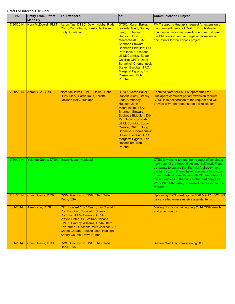| <b>Date</b>          | <b>Entity From/ Effort</b><br><b>Made By</b> | <b>To/Attendees</b>                                                                                                                                                                                                                                                                                                                             | cc:                                                                                                                                                                                                                                                                                                                                                                           | <b>Communication Subject</b>                                                                                                                                                                                                                                                                                                                                                         |
|----------------------|----------------------------------------------|-------------------------------------------------------------------------------------------------------------------------------------------------------------------------------------------------------------------------------------------------------------------------------------------------------------------------------------------------|-------------------------------------------------------------------------------------------------------------------------------------------------------------------------------------------------------------------------------------------------------------------------------------------------------------------------------------------------------------------------------|--------------------------------------------------------------------------------------------------------------------------------------------------------------------------------------------------------------------------------------------------------------------------------------------------------------------------------------------------------------------------------------|
| 7/30/2014            | Nora McDowell, FMIT                          | Aaron Yue, DTSC, Dawn Hubbs, Rudy<br>Clark, Carrie Imus, Loretta Jackson-<br>Kelly, Hualapai                                                                                                                                                                                                                                                    | DTSC: Karen Baker,<br><b>Isabella Alasti, Stacey</b><br>Lear, Kimberley<br>Hudson, John<br><b>Meerscheidt</b> ; ESA:<br><b>Shannon Stewart,</b><br><b>Bobbette Biddulph; DOI:</b><br>Pam Innis, Cocopah:<br>Jill McCormick, Edgar<br>Castillo; CRIT: Doug<br>Bonamici; Chemehuevi:<br><b>Steven Escobar; TRC:</b><br><b>Margaret Eggers, Eric</b><br>Rosenblum, Bob<br>Prucha | <b>FMIT supports Hualapi's request for extension of</b><br>the comment period of Draft EIR Soils due to<br>changes in personnel/transition and recruitment of<br>the PM position, and amongst other review of<br>documents for the Topock project.                                                                                                                                   |
| 7/30/2014            | <b>Aaron Yue, DTSC</b>                       | Nora McDowell, FMIT, Dawn Hubbs,<br>Rudy Clark, Carrie Imus, Loretta<br>Jackson-Kelly, Hualapai                                                                                                                                                                                                                                                 | DTSC: Karen Baker,<br><b>Isabella Alasti, Stacey</b><br>Lear, Kimberley<br>Hudson, John<br><b>Meerscheidt</b> ; ESA:<br><b>Shannon Stewart,</b><br><b>Bobbette Biddulph; DOI:</b><br>Pam Innis, Cocopah:<br><b>Jill McCormick, Edgar</b><br>Castillo; CRIT: Doug<br>Bonamici; Chemehuevi:<br>Steven Escobar; TRC:<br><b>Margaret Eggers, Eric</b><br>Rosenblum, Bob<br>Prucha | Thanked Nora for FMIT support email for<br>Hualapai's comment period extension request.<br>DTSC is in deliberation of the request and will<br>provide a written response on the resolution.                                                                                                                                                                                          |
| 7/30/2014            |                                              | Yolanda Garza, DTSC Dawn Hubbs, Hualapai                                                                                                                                                                                                                                                                                                        |                                                                                                                                                                                                                                                                                                                                                                               | DTSC is working to meet her request of sending a<br>hard copy of the Appendices and Soil Work Plan,<br>but wants to ensure that they don't already have<br>the hard copy. Should have received a hard copy<br>during Federal consultation with DOI and disks of<br>the appendices in the back of the hard copy Soil<br>Work Plan EIR. Also, requested the reason for the<br>request. |
| 7/31/2014            | Chris Guerre, DTSC                           | CWG, Geo Hydro TWG, TRC, Tribal<br>Reps, ESA                                                                                                                                                                                                                                                                                                    |                                                                                                                                                                                                                                                                                                                                                                               | Upcoming TWG meetings on 8/20 & 9/17. 8/20 will<br>be cancelled unless receive agenda items.                                                                                                                                                                                                                                                                                         |
| 8/1/2014<br>8/1/2014 | Aaron Yue, DTSC<br>Chris Guerre, DTSC        | CIT: Edward "Tito" Smith, Jay Cravath,<br>Ron Escobar; Cocopah: Sherry<br>Cordova, Jill McCormick; CRITS:<br>Wayne Patch, Sr., Wilfred Nabahe;<br>FMIT: Timothy Williams, Linda Otero;<br>Fort Yuma-Quechan: Mike Jackson, Sr.,<br>Chase Choate, Pauline Jose; Hualapai:<br><b>Sherry Counts, Dawn Hubbs</b><br>CWG, Geo Hydro TWG, TRC, Tribal |                                                                                                                                                                                                                                                                                                                                                                               | Mailing of cd's containing July 2014 CWG emails<br>and attachments.<br><b>Redline Well Decommissioning SOP</b>                                                                                                                                                                                                                                                                       |
|                      |                                              | Reps, ESA                                                                                                                                                                                                                                                                                                                                       |                                                                                                                                                                                                                                                                                                                                                                               |                                                                                                                                                                                                                                                                                                                                                                                      |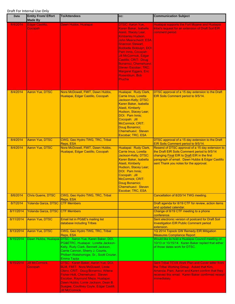| <b>Date</b> | <b>Entity From/ Effort</b><br><b>Made By</b> | <b>To/Attendees</b>                                                                                                                                                                                                                                                                                  | CC:                                                                                                                                                                                                                                                                                                                                                                                                   | <b>Communication Subject</b>                                                                                                                                                                                                                  |
|-------------|----------------------------------------------|------------------------------------------------------------------------------------------------------------------------------------------------------------------------------------------------------------------------------------------------------------------------------------------------------|-------------------------------------------------------------------------------------------------------------------------------------------------------------------------------------------------------------------------------------------------------------------------------------------------------------------------------------------------------------------------------------------------------|-----------------------------------------------------------------------------------------------------------------------------------------------------------------------------------------------------------------------------------------------|
| 8/4/2014    | Edgar Castillo,<br>Cocopah                   | Dawn Hubbs, Hualapai                                                                                                                                                                                                                                                                                 | <b>DTSC: Aaron Yue,</b><br>Karen Baker, Isabella<br>Alasti, Stacey Lear,<br>Kimberley Hudson,<br><b>John Meerscheidt; ESA:</b><br><b>Shannon Stewart,</b><br><b>Bobbette Biddulph; DOI:</b><br>Pam Innis, Cocopah:<br><b>Jill McCormick, Edgar</b><br>Castillo; CRIT: Doug<br><b>Bonamici: Chemehuevi:</b><br><b>Steven Escobar; TRC:</b><br><b>Margaret Eggers, Eric</b><br>Rosenblum, Bob<br>Prucha | Hualapai supports the Fort Mojave and Hualapai<br>tribe's request for an extension of Draft Soil EIR<br>comment period.                                                                                                                       |
| 8/4/2014    | <b>Aaron Yue, DTSC</b>                       | Nora McDowell, FMIT, Dawn Hubbs,<br>Hualapai, Edgar Castillo, Cocopah                                                                                                                                                                                                                                | Hualapai: Rudy Clark,<br>Carrie Imus, Loretta<br>Jackson-Kelly; DTSC:<br>Karen Baker, Isabella<br>Alasti, Kimberly<br>Hudson, Stacey Lear;<br>DOI: Pam Innis;<br>Cocopah: Jill<br>McCormick; CRIT:<br>Doug Bonamici;<br>Chemehuevi: Steven<br>Escobar; TRC, ESA                                                                                                                                       | DTSC approval of a 15 day extension to the Draft<br>EIR Soils Comment period to 9/5/14.                                                                                                                                                       |
| 8/4/2014    | <b>Aaron Yue, DTSC</b>                       | CWG, Geo Hydro TWG, TRC, Tribal<br>Reps, ESA                                                                                                                                                                                                                                                         |                                                                                                                                                                                                                                                                                                                                                                                                       | DTSC approval of a 15 day extension to the Draft<br>EIR Soils Comment period to 9/5/14.                                                                                                                                                       |
| 8/4/2014    | <b>Aaron Yue, DTSC</b>                       | Nora McDowell, FMIT, Dawn Hubbs,<br>Hualapai, Edgar Castillo, Cocopah                                                                                                                                                                                                                                | Hualapai: Rudy Clark,<br>Carrie Imus, Loretta<br>Jackson-Kelly; DTSC:<br>Karen Baker, Isabella<br>Alasti, Kimberly<br>Hudson, Stacey Lear;<br>DOI: Pam Innis;<br>Cocopah: Jill<br>McCormick; CRIT:<br>Doug Bonamici;<br>Chemehuevi: Steven<br>Escobar; TRC, ESA                                                                                                                                       | Resend of DTSC approval of a 15 day extension to<br>the Draft EIR Soils Comment period to 9/5/14<br>changing Final EIR to Draft EIR in the first<br>paragraph of email. Dawn Hubbs & Edgar Castillo<br>sent Thank you notes for the approval. |
| 8/6/2014    | <b>Chris Guerre, DTSC</b>                    | CWG, Geo Hydro TWG, TRC, Tribal<br>Reps, ESA                                                                                                                                                                                                                                                         |                                                                                                                                                                                                                                                                                                                                                                                                       | Cancellation of 8/20/14 TWG meeting.                                                                                                                                                                                                          |
| 8/7/2014    | <b>Yolanda Garza, DTSC</b>                   | <b>CTF Members</b>                                                                                                                                                                                                                                                                                   |                                                                                                                                                                                                                                                                                                                                                                                                       | Draft agenda for 8/19 CTF for review, action items<br>and updated calendar.                                                                                                                                                                   |
| 8/11/2014   | Yolanda Garza, DTSC                          | <b>CTF Members</b>                                                                                                                                                                                                                                                                                   |                                                                                                                                                                                                                                                                                                                                                                                                       | Change of 8/19 CTF meeting to a phone<br>conference.                                                                                                                                                                                          |
| 8/11/2014   | Aaron Yue, DTSC                              | Email list in PG&E's mailing list<br>database including Tribes                                                                                                                                                                                                                                       |                                                                                                                                                                                                                                                                                                                                                                                                       | Sent electronic version of postcard for Draft Soil<br><b>Investigation EIR Public Comment period</b><br>extension.                                                                                                                            |
| 8/13/2014   | <b>Aaron Yue, DTSC</b>                       | CWG, Geo Hydro TWG, TRC, Tribal<br>Reps, ESA                                                                                                                                                                                                                                                         |                                                                                                                                                                                                                                                                                                                                                                                                       | 1Q 2014 Topock GW Remedy EIR Mitigation<br><b>Measures Compliance Report</b>                                                                                                                                                                  |
| 8/15/2014   |                                              | Dawn Hubbs, Hualapai DTSC: Aaron Yue, Karen Baker, DOI,<br>PG&ETRC, Hualapai: Loretta Jackson-<br>Kelly, Rudy Clark, Bennett Jackson,<br>Carrie Cannon, Sherry J. Counts,<br>Philbert Watahomigie, Sr., Scott Crozier,<br>Emma Tapija                                                                |                                                                                                                                                                                                                                                                                                                                                                                                       | Would like to hold a Hualapai Council meeting on<br>10/13 or 10/15/14. Karen Baker replied that either<br>of those dates work for DTSC.                                                                                                       |
| 8/15/2014   | <b>Jill McCormick,</b><br>Cocopah            | DTSC: Karen Baker, Aaron Yue, DOI,<br><b>BLM, FMIT: Nora McDowell, Linda</b><br>Otero; CRIT: Doug Bonamici, Wilene<br>Fisher-Holt, Chemehuevi: Steven<br>Escobar, Raymond Mejia; Hualapai:<br>Dawn Hubbs; Lorrie Jackson, Dean B.<br>Suagee, Courtney Coyle, Edgar Castill,<br><b>Jill McCormick</b> |                                                                                                                                                                                                                                                                                                                                                                                                       | Sent Tribal TCVA Work Plan and Cover letter from<br>the Tribal Working Group. Asked that Kim,<br>Amanda, Pam, Aaron and Karen confirm that they<br>received this email. Karen Baker confirmed receipt<br>immediately.                         |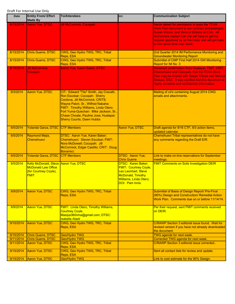| <b>Date</b>            | <b>Entity From/ Effort</b><br><b>Made By</b>                                                                | <b>To/Attendees</b>                                                                                                                                                                                                                                                                                          | CC:                                                                                                                                                      | <b>Communication Subject</b>                                                                                                                                                                                                                                                                       |
|------------------------|-------------------------------------------------------------------------------------------------------------|--------------------------------------------------------------------------------------------------------------------------------------------------------------------------------------------------------------------------------------------------------------------------------------------------------------|----------------------------------------------------------------------------------------------------------------------------------------------------------|----------------------------------------------------------------------------------------------------------------------------------------------------------------------------------------------------------------------------------------------------------------------------------------------------|
| 8/15/2014              | Aaron Yue, DTSC                                                                                             | <b>Jill McCormick, Cocopah</b>                                                                                                                                                                                                                                                                               |                                                                                                                                                          | Aaron asked for permission to pass the TCVA<br>Work Plan document to our contract archaeologist,<br><b>Susan Wilcox, and Monica Strauss at ESA. Jill</b><br>McCormick replied that she will have to get his<br>request approved by all the tribes and will get back<br>to him some time next week. |
| 8/15/2014              | Chris Guerre, DTSC                                                                                          | CWG, Geo Hydro TWG, TRC, Tribal<br>Reps, ESA                                                                                                                                                                                                                                                                 |                                                                                                                                                          | 2nd Quarter 2014 IM Performance Monitoring and<br><b>Groundwater Monitoring Report</b>                                                                                                                                                                                                             |
| 8/15/2014              | <b>Chris Guerre, DTSC</b>                                                                                   | CWG, Geo Hydro TWG, TRC, Tribal<br>Reps, ESA                                                                                                                                                                                                                                                                 |                                                                                                                                                          | Submittal of CMP First Half 2014 GW Monitoring<br>Report for IM No. 3                                                                                                                                                                                                                              |
| 8/19/2014              | Jill McCormick,<br>Cocopah                                                                                  | Aaron Yue, Karen Baker, DTSC                                                                                                                                                                                                                                                                                 |                                                                                                                                                          | Received confirmation from Hualapai, FMIT, CRIT,<br><b>Chemehuevi and Cocopah, that the TCVA Work</b><br>Plan may be shared with Susan Wilcox and Monica<br>Strauss, ESA. It was clarified that this document is<br>highly sensitive and confidential information.                                 |
| 9/3/2014               | <b>Aaron Yue, DTSC</b>                                                                                      | CIT: Edward "Tito" Smith, Jay Cravath,<br>Ron Escobar; Cocopah: Sherry<br>Cordova, Jill McCormick; CRITS:<br>Wayne Patch, Sr., Wilfred Nabahe;<br>FMIT: Timothy Williams, Linda Otero;<br>Fort Yuma-Quechan: Mike Jackson, Sr.,<br>Chase Choate, Pauline Jose; Hualapai:<br><b>Sherry Counts, Dawn Hubbs</b> |                                                                                                                                                          | Mailing of cd's containing August 2014 CWG<br>emails and attachments.                                                                                                                                                                                                                              |
| 9/5/2014               | Yolanda Garza, DTSC CTF Members                                                                             |                                                                                                                                                                                                                                                                                                              | <b>Aaron Yue, DTSC</b>                                                                                                                                   | Draft agenda for 9/16 CTF, 9/3 action items,<br>updated calendar.                                                                                                                                                                                                                                  |
| 9/5/2014               | Raymond Mejia,<br>Chemehuevi                                                                                | <b>DTSC: Aaron Yue, Karen Baker;</b><br>Chemehuevi: Steven Escobar; FMIT:<br>Nora McDowell; Cocopah: Jill<br>McCormick, Edgar Castillo; CRIT: Doug<br>Bonamici;                                                                                                                                              |                                                                                                                                                          | Chemehuevi Tribal representatives do not have<br>any comments regarding the Draft EIR.                                                                                                                                                                                                             |
| 9/5/2014               | Yolanda Garza, DTSC                                                                                         | <b>CTF Members</b>                                                                                                                                                                                                                                                                                           | DTSC: Aaron Yue,<br><b>Chris Guerre</b>                                                                                                                  | Link to make on-line reservations for September<br>meetings.                                                                                                                                                                                                                                       |
| 9/5/2014               | Kelly McDonald, Steve Aaron Yue, DTSC<br><b>McDonald Law Office</b><br>(for Courtney Coyle),<br><b>FMIT</b> |                                                                                                                                                                                                                                                                                                              | <b>DTSC: Karen Baker;</b><br><b>FMIT: Courtney Coyle,</b><br>Leo Leonhart, Steve<br>McDonald, Timothy<br><b>Williams, Linda Otero;</b><br>DOI: Pam Innis | <b>FMIT Comments on Soils Investigation DEIR</b>                                                                                                                                                                                                                                                   |
| 9/9/2014               | Aaron Yue, DTSC                                                                                             | CWG, Geo Hydro TWG, TRC, Tribal<br>Reps, ESA                                                                                                                                                                                                                                                                 |                                                                                                                                                          | Submittal of Basis of Design Report/ Pre-Final<br>(90%) Design and Construction/ Remedial Action<br>Work Plan. Comments due on or before 11/14/14.                                                                                                                                                 |
| 9/9/2014               | <b>Aaron Yue, DTSC</b>                                                                                      | <b>FMIT: Linda Otero, Timothy Williams,</b><br><b>Courtney Coyle,</b><br>Masipa360nma@gmail.com; DTSC:<br><b>Isabella Alasti</b>                                                                                                                                                                             |                                                                                                                                                          | Per their request, sent FMIT comments received<br>on DEIR.                                                                                                                                                                                                                                         |
| 9/10/2014              | Aaron Yue, DTSC                                                                                             | CWG, Geo Hydro TWG, TRC, Tribal<br>Reps, ESA                                                                                                                                                                                                                                                                 |                                                                                                                                                          | C/RAWP Section 3 editorial issue found. Wait for<br>revised version if you have not already downloaded<br>the document.                                                                                                                                                                            |
| 9/10/2014<br>9/11/2014 | <b>Chris Guerre, DTSC</b><br><b>Chris Guerre, DTSC</b>                                                      | <b>Geo/Hydro TWG</b><br>Geo/Hydro TWG                                                                                                                                                                                                                                                                        |                                                                                                                                                          | <b>TWG agenda for next week.</b><br>Corrected TWG agenda for next week.                                                                                                                                                                                                                            |
| 9/11/2014              | Aaron Yue, DTSC                                                                                             | CWG, Geo Hydro TWG, TRC, Tribal<br>Reps, ESA                                                                                                                                                                                                                                                                 |                                                                                                                                                          | C/RAWP Section 3 editorial issue corrected                                                                                                                                                                                                                                                         |
| 9/15/2014              | Aaron Yue, DTSC                                                                                             | CWG, Geo Hydro TWG, TRC, Tribal<br>Reps, ESA                                                                                                                                                                                                                                                                 |                                                                                                                                                          | Sent all contact lists for review and update.                                                                                                                                                                                                                                                      |
| 9/15/2014              | Aaron Yue, DTSC                                                                                             | Geo/Hydro TWG                                                                                                                                                                                                                                                                                                |                                                                                                                                                          | Link to cost estimate for the 90% Design.                                                                                                                                                                                                                                                          |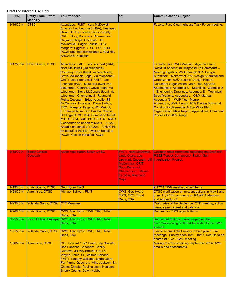| Date      | <b>Entity From/ Effort</b><br><b>Made By</b> | <b>To/Attendees</b>                                                                                                                                                                                                                                                                                                                                                                                                                                                                                                                                                                                                                                                                                                                                 | CC:                                                                                                                                                                               | <b>Communication Subject</b>                                                                                                                                                                                                                                                                                                                                                                                                                                                                                                                                                                                                                |
|-----------|----------------------------------------------|-----------------------------------------------------------------------------------------------------------------------------------------------------------------------------------------------------------------------------------------------------------------------------------------------------------------------------------------------------------------------------------------------------------------------------------------------------------------------------------------------------------------------------------------------------------------------------------------------------------------------------------------------------------------------------------------------------------------------------------------------------|-----------------------------------------------------------------------------------------------------------------------------------------------------------------------------------|---------------------------------------------------------------------------------------------------------------------------------------------------------------------------------------------------------------------------------------------------------------------------------------------------------------------------------------------------------------------------------------------------------------------------------------------------------------------------------------------------------------------------------------------------------------------------------------------------------------------------------------------|
| 9/16/2014 | <b>DTSC</b>                                  | Attendees: FMIT: Nora McDowell<br>(phone), Leo Leonhart (H&A); Hualapai:<br>Dawn Hubbs, Loretta Jackson-Kelly;<br>CRIT: Doug Bonamici; Chemehuevi:<br>Raymond Mejia; Cocopah: Jill<br>McCormick, Edgar Castillo; TRC:<br>Margaret Eggers; DTSC, DOI, BLM,<br>PG&E and their consultants CH2M Hill,<br><b>ARCADIS, Keadjian</b>                                                                                                                                                                                                                                                                                                                                                                                                                      |                                                                                                                                                                                   | Face-to-Face Clearinghouse Task Force meeting.                                                                                                                                                                                                                                                                                                                                                                                                                                                                                                                                                                                              |
| 9/17/2014 | Chris Guerre, DTSC                           | Attendees: FMIT: Leo Leonhart (H&A),<br>Nora McDowell (via telephone),<br>Courtney Coyle (legal, via telephone),<br>Steve McDonald (legal, via telephone);<br>CRIT: Doug Bonamici; FMIT: Leo<br>Leonhart (H&A), Nora McDowell (via<br>telephone), Courtney Coyle (legal, via<br>telephone), Steve McDonald (legal, via<br>telephone); Chemehuevi: Raymond<br>Mejia; Cocopah: Edgar Castillo, Jill<br>McCormick; Hualapai: Dawn Hubbs;<br>TRC: Margaret Eggers, Win Wright,<br>Eric Rosenblum, Bob Prucha, Charlie<br>SchlingerDTSC, DOI, Summit on behalf<br>of DOI, BLM, CRB, BOR, ADEQ, MWD,<br>Geopentch on behalf of MWD, PG&E,<br>Arcadis on behalf of PG&E, CH2M Hill<br>on behalf of PG&E, Pivox on behalf of<br>PG&E: Cox on behalf of PG&E |                                                                                                                                                                                   | Face-to-Face TWG Meeting: Agenda Items:<br>RAWP II Addendum Response To Comments -<br>Meeting logistics; Walk through 90% Design<br>Submittal: Overview of 90% Design Submittal and<br>Organization. 90% Basis of Design Report:<br>Document Organization, Main Text, Specific<br>Appendices: Appendix B - Modeling, Appendix D<br>- Engineering Drawings, Appendix E - Technical<br>Specifications, Appendix L - O&M Manual,<br>Appendix N - FWIP Tech Memo<br>Addendum; Walk through 90% Design Submittal:<br><b>Construction/Remedial Action Work Plan:</b><br>Organization, Main Report, Appendices. Comment<br>Process for 90% Design. |
| 9/18/2014 | Edgar Castillo,<br>Cocopah                   | Aaron Yue, Karen Baker, DTSC                                                                                                                                                                                                                                                                                                                                                                                                                                                                                                                                                                                                                                                                                                                        | <b>FMIT: Nora McDowell,</b><br>Linda Otero, Leo<br>Leonhart; Cocopah: Jill<br>McCormick; CRIT:<br>Doug Bonamici;<br><b>Chemehuevi: Steven</b><br><b>Escobar, Raymond</b><br>Mejia | Cocopah tribal comments regarding the Draft EIR<br><b>PG&amp;E Topock Compressor Station Soil</b><br><b>Investigation Project.</b>                                                                                                                                                                                                                                                                                                                                                                                                                                                                                                          |
| 9/19/2014 | <b>Chris Guerre, DTSC</b>                    | Geo/Hydro TWG                                                                                                                                                                                                                                                                                                                                                                                                                                                                                                                                                                                                                                                                                                                                       |                                                                                                                                                                                   | 9/17/14 TWG meeting action items.                                                                                                                                                                                                                                                                                                                                                                                                                                                                                                                                                                                                           |
| 9/23/2014 | Aaron Yue, DTSC                              | <b>Michael Sullivan, FMIT</b>                                                                                                                                                                                                                                                                                                                                                                                                                                                                                                                                                                                                                                                                                                                       | CWG, Geo Hydro<br><b>TWG, TRC, Tribal</b><br>Reps, ESA                                                                                                                            | DTSC clarification on misconceptions in May 8 and<br>June 11, 2014 comments on RAWP Addendum<br>and Addendum 2.                                                                                                                                                                                                                                                                                                                                                                                                                                                                                                                             |
| 9/23/2014 | Yolanda Garza, DTSC                          | <b>CTF Members</b>                                                                                                                                                                                                                                                                                                                                                                                                                                                                                                                                                                                                                                                                                                                                  |                                                                                                                                                                                   | Draft notes of the September CTF meeting, action<br>items, sign-in sheet and calendar.                                                                                                                                                                                                                                                                                                                                                                                                                                                                                                                                                      |
| 9/24/2014 | Chris Guerre, DTSC                           | CWG, Geo Hydro TWG, TRC, Tribal<br>Reps, ESA                                                                                                                                                                                                                                                                                                                                                                                                                                                                                                                                                                                                                                                                                                        |                                                                                                                                                                                   | Request for TWG agenda items.                                                                                                                                                                                                                                                                                                                                                                                                                                                                                                                                                                                                               |
| 9/25/2014 |                                              | Dawn Hubbs, Hualapai CWG, Geo Hydro TWG, TRC, Tribal<br>Reps. ESA                                                                                                                                                                                                                                                                                                                                                                                                                                                                                                                                                                                                                                                                                   |                                                                                                                                                                                   | Requested that discussion regarding the<br>decommissioning of TCS-4 be added to the TWG<br>agenda.                                                                                                                                                                                                                                                                                                                                                                                                                                                                                                                                          |
| 10/1/2014 | Yolanda Garza, DTSC                          | CWG, Geo Hydro TWG, TRC, Tribal<br>Reps, ESA                                                                                                                                                                                                                                                                                                                                                                                                                                                                                                                                                                                                                                                                                                        |                                                                                                                                                                                   | Link to annual CWG survey to help plan future<br>meetings. Survey open 10/1 - 10/17, Results to be<br>shared at 10/29 CWG meeting.                                                                                                                                                                                                                                                                                                                                                                                                                                                                                                          |
| 10/6/2014 | Aaron Yue, DTSC                              | CIT: Edward "Tito" Smith, Jay Cravath,<br>Ron Escobar; Cocopah: Sherry<br>Cordova, Jill McCormick; CRITS:<br>Wayne Patch, Sr., Wilfred Nabahe;<br>FMIT: Timothy Williams, Linda Otero;<br>Fort Yuma-Quechan: Mike Jackson, Sr.,<br>Chase Choate, Pauline Jose; Hualapai:<br><b>Sherry Counts, Dawn Hubbs</b>                                                                                                                                                                                                                                                                                                                                                                                                                                        |                                                                                                                                                                                   | Mailing of cd's containing September 2014 CWG<br>emails and attachments.                                                                                                                                                                                                                                                                                                                                                                                                                                                                                                                                                                    |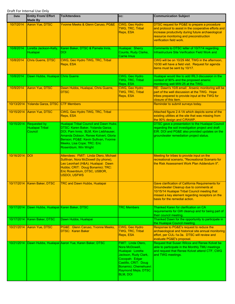| Date       | <b>Entity From/ Effort</b><br><b>Made By</b> | <b>To/Attendees</b>                                                                                                                                                                                                                                                | CC:                                                                                                                                                                                                   | <b>Communication Subject</b>                                                                                                                                                                                                       |
|------------|----------------------------------------------|--------------------------------------------------------------------------------------------------------------------------------------------------------------------------------------------------------------------------------------------------------------------|-------------------------------------------------------------------------------------------------------------------------------------------------------------------------------------------------------|------------------------------------------------------------------------------------------------------------------------------------------------------------------------------------------------------------------------------------|
| 10/7/2014  | Aaron Yue, DTSC                              | Yvonne Meeks & Glenn Caruso, PG&E                                                                                                                                                                                                                                  | CWG, Geo Hydro<br>TWG, TRC, Tribal<br>Reps, ESA                                                                                                                                                       | DTSC request for PG&E to prepare a procedure<br>and protocol to assist in the cooperative efforts and<br>increase productivity during future archaeological<br>resource monitoring and preconstruction<br>verification field work. |
| 10/8/2014  | Loretta Jackson-Kelly,<br>Hualapai           | Karen Baker, DTSC & Pamela Innis,<br>DOI                                                                                                                                                                                                                           | Hualapai: Sherry<br>Counts, Rudy Clarke,<br><b>Carrie Imus</b>                                                                                                                                        | Comments to DTSC letter of 10/7/14 regarding<br>Infrastructure Site Verification Field Work and                                                                                                                                    |
| 10/8/2014  | Chris Guerre, DTSC                           | CWG, Geo Hydro TWG, TRC, Tribal<br>Reps, ESA                                                                                                                                                                                                                       |                                                                                                                                                                                                       | CWG will be on 10/29 AM, TWG in the afternoon,<br>10/30 will have a field visit. Request for agenda<br>items must be sent by 10/17.                                                                                                |
| 10/8/2014  | Dawn Hubbs, Hualapai Chris Guerre            |                                                                                                                                                                                                                                                                    | CWG, Geo Hydro<br>TWG, TRC, Tribal<br>Reps, ESA                                                                                                                                                       | Hualapai would like to add IRL3 discussion in the<br>context of 90% and the proposed arsenic<br>monitoring well MW-25 at the TWG.                                                                                                  |
| 10/9/2014  | Aaron Yue, DTSC                              | Dawn Hubbs, Hualapai, Chris Guerre,<br><b>DTSC</b>                                                                                                                                                                                                                 | CWG, Geo Hydro<br>TWG, TRC, Tribal<br>Reps, ESA                                                                                                                                                       | RE: Dawn's 10/8 email: Arsenic monitoring will be<br>part of the well discussion at the TWG. Hope<br>tribes prepared to provide input at the TWG for<br>closure of this item.                                                      |
| 10/13/2014 | Yolanda Garza, DTSC CTF Members              |                                                                                                                                                                                                                                                                    |                                                                                                                                                                                                       | Reminder to submit surveys today.                                                                                                                                                                                                  |
| 10/15/2014 | Aaron Yue, DTSC                              | CWG, Geo Hydro TWG, TRC, Tribal<br>Reps, ESA                                                                                                                                                                                                                       |                                                                                                                                                                                                       | Attached figure 2.4-1A which depicts some of the<br>existing utilities at the site that was missing from<br>the 90% design and C/RAWP.                                                                                             |
| 10/15/2014 | Requested by<br>Hualapai Tribal<br>Council   | <b>Hualapai Tribal Council and Dawn Hubs;</b><br>DTSC: Karen Baker, Yolanda Garza;<br>DOI, Pam Innis; BLM, Kim Liebhauser,<br>Amanda Dobson, Renee Kolvert, Gloria<br>Benson; PG&E: Kevin Sullivan, Yvonne<br>Meeks, Lisa Cope; TRC: Eric<br>Rosenblum, Win Wright |                                                                                                                                                                                                       | DTSC gave a presentation to the Hualapai Council<br>regarding the soil investigation project and draft<br>EIR. DOI and PG&E also provided updates on the<br>groundwater remediation project status.                                |
| 10/16/2014 | <b>IDOI</b>                                  | Attendees: FMIT: Linda Otero, Michael<br>Sullilvan, Nora McDowell (by phone),<br>Leo Leonhart (H&A); Hualapai: Dawn<br>Hubbs; CRIT: Doug Bonamici; TRC:<br>Eric Rosenblum, DTSC, USBOR,<br><b>USDOI, USFWS</b>                                                     |                                                                                                                                                                                                       | Meeting for tribes to provide input on the<br>recreational scenario, "Recreational Scenario for<br>the Risk Assessment Work Plan Addendum II".                                                                                     |
|            | 10/17/2014   Karen Baker, DTSC               | <b>TRC and Dawn Hubbs, Hualapai</b>                                                                                                                                                                                                                                |                                                                                                                                                                                                       | Gave clarification of California Requirements for<br>Groundwater Cleanup due to comments at<br>10/15/14 Hualapai Tribal Council meeting that<br>missed a key element regarding receptors on the<br>basis for the remedial action.  |
| 10/17/2014 | Dawn Hubbs, Hualapai Karen Baker, DTSC       |                                                                                                                                                                                                                                                                    | <b>TRC Members</b>                                                                                                                                                                                    | Thanked Karen for clarification on CA<br>requirements for GW cleanup and for being part of<br>their council meeting.                                                                                                               |
| 10/17/2014 | Karen Baker, DTSC                            | Dawn Hubbs, Hualapai                                                                                                                                                                                                                                               |                                                                                                                                                                                                       | Thanked Dawn for the opportunity to participate in<br>the Hualapai Council meeting.                                                                                                                                                |
| 10/21/2014 | Aaron Yue, DTSC                              | PG&E: Glenn Caruso, Yvonne Meeks,<br><b>DTSC: Karen Baker</b>                                                                                                                                                                                                      | CWG, Geo Hydro<br><b>TWG, TRC, Tribal</b><br>Reps, ESA                                                                                                                                                | Response to PG&E's request to reduce the<br>archaeological and historical site annual monitoring<br>effort, per CUL-1a-3a. DTSC will review and<br>evaluate PG&E's proposal.                                                       |
| 10/21/2014 |                                              | Dawn Hubbs, Hualapai Aaron Yue, Karen Baker, DTSC                                                                                                                                                                                                                  | FMIT: Linda Otero,<br>Nora McDowell,<br>Hualapai: Loretta<br>Jackson, Rudy Clark,<br>Cocopah: Edgar<br>Castillo, CRIT: Doug<br>Bonamici, Chemehuevi:<br><b>Raymond Mejia, DTSC</b><br><b>BLM, DOI</b> | Request that Susan Wilcox and Renee Kolvet be<br>able to participate in the Monthly TMU meetings<br>and request that Renee Kolvet attend CTF, CWG<br>and TWG meetings.                                                             |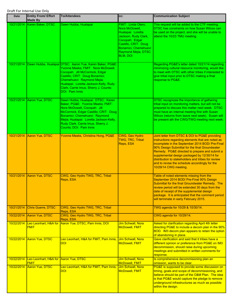| <b>Date</b> | <b>Entity From/ Effort</b><br><b>Made By</b>         | <b>To/Attendees</b>                                                                                                                                                                                                                                                                                  | CC:                                                                                                                                                                                            | <b>Communication Subject</b>                                                                                                                                                                                                                                                                                                                                                                                                               |
|-------------|------------------------------------------------------|------------------------------------------------------------------------------------------------------------------------------------------------------------------------------------------------------------------------------------------------------------------------------------------------------|------------------------------------------------------------------------------------------------------------------------------------------------------------------------------------------------|--------------------------------------------------------------------------------------------------------------------------------------------------------------------------------------------------------------------------------------------------------------------------------------------------------------------------------------------------------------------------------------------------------------------------------------------|
|             | 10/21/2014 Karen Baker, DTSC                         | Dawn Hubbs, Hualapai                                                                                                                                                                                                                                                                                 | FMIT: Linda Otero,<br>Nora McDowell,<br>Hualapai: Loretta<br>Jackson, Rudy Clark,<br>Cocopah: Edgar<br>Castillo, CRIT: Doug<br>Bonamici, Chemehuevi:<br>Raymond Mejia, DTSC<br><b>BLM, DOI</b> | This request will be added to the CTF meeting.<br>DTSC has constraints on how Susan Wilcox can<br>be used on the project, and she will be unable to<br>attend the 10/23 TMU meeting.                                                                                                                                                                                                                                                       |
| 10/21/2014  |                                                      | Dawn Hubbs, Hualapai DTSC: Aaron Yue, Karen Baker, PG&E:<br>Yvonne Meeks; FMIT: Nora McDowell,<br>Cocopah: Jill McCormick, Edgar<br>Castillo; CRIT: Doug Bonamici;<br>Chemehuevi: Raymond Mejia;<br>Hualapai: Loretta Jackson-Kelly, Rudy<br>Clark, Carrie Imus, Sherry J. Counts;<br>DOI: Pam Innis |                                                                                                                                                                                                | Regarding PG&E's letter dated 10/21/14 regarding<br>minimizing cultural resource monitoring, would like<br>to meet with DTSC with other tribes if interested to<br>give tribal input prior to DTSC making a final<br>response to PG&E.                                                                                                                                                                                                     |
|             | 10/21/2014 Aaron Yue, DTSC                           | Dawn Hubbs, Hualapai; DTSC: Karen<br>Baker, PG&E: Yvonne Meeks; FMIT:<br>Nora McDowell, Cocopah: Jill<br>McCormick, Edgar Castillo; CRIT: Doug<br>Bonamici; Chemehuevi: Raymond<br>Mejia; Hualapai: Loretta Jackson-Kelly,<br>Rudy Clark, Carrie Imus, Sherry J.<br>Counts; DOI: Pam Innis           |                                                                                                                                                                                                | DTSC recognizes the importance of gathering<br>tribal input on monitoring matters, but will not be<br>prepared to discuss this matter next week. DTSC<br>must have an internal meeting first with Susan<br>Wilcox (returns from leave next week). Susan will<br>be present ath the CWG/TWG meeting next week.                                                                                                                              |
| 10/21/2014  | Aaron Yue, DTSC                                      | Yvonne Meeks, Christina Hong, PG&E                                                                                                                                                                                                                                                                   | CWG, Geo Hydro<br>TWG, TRC, Tribal<br>Reps, ESA                                                                                                                                                | Joint letter from DTSC & DOI to PG&E providing<br>instructions regarding elements that are noted as<br>incomplete in the September 2014 BOD/ Pre-Final<br>90% Design Submittal for the final Groundwater<br>Remedy. PG&E directed to prepare and submit a<br>supplemental design packaged by 12/30/14 for<br>distribution to stakeholders and tribes for review<br>and to revise the schedule accordingly for the<br>10/29/14 CWG meeting. |
| 10/21/2014  | Aaron Yue, DTSC                                      | CWG, Geo Hydro TWG, TRC, Tribal<br>Reps, ESA                                                                                                                                                                                                                                                         |                                                                                                                                                                                                | Table of noted elements missing from the<br>September 2014 BOD/ Pre-Final 90% Design<br>Submittal for the final Groundwater Remedy. The<br>review period will be extended 30 days from the<br>date of receipt of the supplemental design<br>package. It is anticipated that the comment period<br>will terminate in early February 2015.                                                                                                   |
| 10/21/2014  | <b>Chris Guerre, DTSC</b>                            | CWG, Geo Hydro TWG, TRC, Tribal<br>Reps, ESA                                                                                                                                                                                                                                                         |                                                                                                                                                                                                | TWG agenda for 10/29 & 10/30/14.                                                                                                                                                                                                                                                                                                                                                                                                           |
| 10/22/2014  | Aaron Yue, DTSC                                      | CWG, Geo Hydro TWG, TRC, Tribal<br>Reps, ESA                                                                                                                                                                                                                                                         |                                                                                                                                                                                                | CWG agenda for 10/29/14.                                                                                                                                                                                                                                                                                                                                                                                                                   |
| 10/22/2014  | <b>FMIT</b>                                          | Leo Leonhart, H&A for Aaron Yue, DTSC, Pam Innis, DOI                                                                                                                                                                                                                                                | <b>Jim Schwall, Nora</b><br><b>McDowell, FMIT</b>                                                                                                                                              | Asked for clarification regarding April 4th letter<br>directing PG&E to include a decom plan in the 90%<br>BOD. IM3 decom plan appears to retain the option<br>of abandoning in place.                                                                                                                                                                                                                                                     |
| 10/22/2014  | Aaron Yue, DTSC                                      | Leo Leonhart, H&A for FMIT, Pam Innis,<br><u>DOI</u>                                                                                                                                                                                                                                                 | Jim Schwall, Nora<br><b>McDowell, FMIT</b>                                                                                                                                                     | Gave clarification and said that it tribes have a<br>different opinion or preference from PG&E on IM3<br>decommission, should raise during upcoming<br>meetings and submitted in written comments for<br>response.                                                                                                                                                                                                                         |
| 10/22/2014  | Leo Leonhart, H&A for Aaron Yue, DTSC<br><b>FMIT</b> |                                                                                                                                                                                                                                                                                                      | Jim Schwall, Nora<br><b>McDowell, FMIT</b>                                                                                                                                                     | Is comprehensive decommisioning plan an<br>omission, wants to be clear.                                                                                                                                                                                                                                                                                                                                                                    |
| 10/22/2014  | Aaron Yue, DTSC                                      | Leo Leonhart, H&A for FMIT, Pam Innis,<br><b>DOI</b>                                                                                                                                                                                                                                                 | Jim Schwall, Nora<br><b>McDowell, FMIT</b>                                                                                                                                                     | PG&E is supposed to provide some discussion on<br>timing, goals and scope of decommissioning, and<br>believe should be part of the O&M Plan. The idea<br>is that PG&E would capture the pledge to remove<br>underground infrastructures as much as possible<br>within the design.                                                                                                                                                          |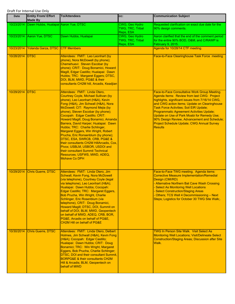| <b>Date</b> | <b>Entity From/ Effort</b><br><b>Made By</b>    | <b>To/Attendees</b>                                                                                                                                                                                                                                                                                                                                                                                                                                                                                                                                                                                                                                                        | CC:                                             | <b>Communication Subject</b>                                                                                                                                                                                                                                                                                                                                                                                                                                    |
|-------------|-------------------------------------------------|----------------------------------------------------------------------------------------------------------------------------------------------------------------------------------------------------------------------------------------------------------------------------------------------------------------------------------------------------------------------------------------------------------------------------------------------------------------------------------------------------------------------------------------------------------------------------------------------------------------------------------------------------------------------------|-------------------------------------------------|-----------------------------------------------------------------------------------------------------------------------------------------------------------------------------------------------------------------------------------------------------------------------------------------------------------------------------------------------------------------------------------------------------------------------------------------------------------------|
|             | 10/23/2014 Dawn Hubbs, Hualapai Aaron Yue, DTSC |                                                                                                                                                                                                                                                                                                                                                                                                                                                                                                                                                                                                                                                                            | CWG, Geo Hydro<br>TWG, TRC, Tribal<br>Reps, ESA | Requested clarification on exact due date for the<br>90% design comments.                                                                                                                                                                                                                                                                                                                                                                                       |
|             | 10/23/2014 Aaron Yue, DTSC                      | Dawn Hubbs, Hualapai                                                                                                                                                                                                                                                                                                                                                                                                                                                                                                                                                                                                                                                       | CWG, Geo Hydro<br>TWG, TRC, Tribal<br>Reps, ESA | Aaron clarified that the end of the comment period<br>for the entire 90% BOD, O&M, and C/RAWP is<br>February 9, 2015.                                                                                                                                                                                                                                                                                                                                           |
| 10/23/2014  | Yolanda Garza, DTSC                             | <b>CTF Members</b>                                                                                                                                                                                                                                                                                                                                                                                                                                                                                                                                                                                                                                                         |                                                 | Agenda for 10/28/14 CTF meeting.                                                                                                                                                                                                                                                                                                                                                                                                                                |
| 10/28/2014  | <b>IDTSC</b>                                    | Attendees: FMIT: Leo Leonhart (by<br>phone), Nora McDowell (by phone);<br>Chemehuevi: Steven Escobar (by<br>phone); CRIT: Doug Bonamici, Howard<br>Magill, Edgar Castillo; Hualapai: Dawn<br>Hubbs; TRC: Margaret Eggers; DTSC,<br>DOI, BLM, MWD, PG&E & their<br>consultants CH2M hill, Arcadis, Keadjian                                                                                                                                                                                                                                                                                                                                                                 |                                                 | Face-to-Face Clearinghouse Task Force meeting                                                                                                                                                                                                                                                                                                                                                                                                                   |
| 10/29/2014  | <b>DTSC</b>                                     | Attendees: FMIT: Linda Otero,<br>Courtney Coyle, Michael Sullivan (by<br>phone), Leo Leonhart (H&A), Kevin<br>Fong (H&A), Jim Schwall (H&A), Nora<br>McDowell; CIT: Raymond Mejia (by<br>phone), Steven Escobar (by phone);<br>Cocopah: Edgar Castillo; CRIT:<br>Howard Magill, Doug Bonamici, Amanda<br>Barrera, David Harper; Hualapai: Dawn<br>Hubbs; TRC: Charlie Schlinger,<br>Margaret Eggers, Win Wright, Robert<br>Prucha, Eric Ronsenblum (by phone);<br>DTSC, ESA, SWRCB, CRB, PG&E &<br>their consultants CH2M HillArcadis, Cox,<br>Pivox; USBLM, USBOR, USDOI and<br>their consultant Summit Technical<br>Resources; USFWS, MWD, ADEQ,<br><b>Mohave Co DPH</b> |                                                 | Face-to-Face Consultative Work Group Meeting.<br>Agenda Items: Review from last CWG: Project<br>highlights, significant issues from 7/16/14 CWG,<br>and CWG action items; Update on Clearinghouse<br>Task Force Activities; Soil EIR Update;<br><b>Programmatic Agreement Activities Update;</b><br>Update on Use of Park Moabi for Remedy Use;<br>90% Design Review, Advancement and Schedule;<br>Project Schedule Update; CWG Annual Survey<br><b>Results</b> |
| 10/29/2014  | Chris Guerre, DTSC                              | Attendees: FMIT: Linda Otero, Jim<br>Schwall, Kevin Fong, Nora McDowell<br>(via telephone), Courtney Coyle (legal<br>via telephone), Leo Leonhart (H&A);<br>Hualapai: Dawn Hubbs; Cocopah:<br>Edgar Castillo; TRC: Margaret Eggers,<br>Bob Prucha, Win Wright, Charlie<br>Schlinger, Eric Rosenblum (via<br>telephone), CRIT: Doug Bonamici,<br>Howard Magill; DTSC, DOI, Summit on<br>behalf of DOI, BLM, MWD, Geopentech<br>on behalf of MWD, ADEQ, CRB, BOR,<br>PG&E, Arcadis on behalf of PG&E,<br><b>CH2M Hill on behalf of PG&amp;E</b>                                                                                                                              |                                                 | Face-to-Face TWG meeting. Agenda items:<br><b>Corrective Measure Implementation/Remedial</b><br>Design (CMI/RD)<br>- Alternative Northern Bat Cave Wash Crossing<br><b>Select As Monitoring Well Locations</b><br><b>Select Construction/Staging Areas</b><br>Others; TCS Well 4 Decommissioning - Next<br>Steps; Logistics for October 30 TWG Site Walk;.                                                                                                      |
| 10/30/2014  | <b>Chris Guerre, DTSC</b>                       | Attendees: FMIT: Linda Otero, Delbert<br>Holmes, Jim Schwall (H&A), Kevin Fong<br>(H&A); Cocopah: Edgar Castillo;<br>Hualapai: Dawn Hubbs; CRIT: Doug<br>Bonamici; TRC: Win Wright, Margaret<br>Eggers, Bob Prucha, Charlie Schlinger;<br>DTSC, DOI and their consultant Summit,<br><b>BORPG&amp;E &amp; their consultants CH2M</b><br>Hill & Arcadis; BLM, Geopentech on<br>behalf of MWD                                                                                                                                                                                                                                                                                 |                                                 | <b>TWG In Person Site Walk. Visit Select As</b><br><b>Monitoring Well Locations; Visit/Delineate Select</b><br><b>Construction/Staging Areas; Discussion after Site</b><br>Walk.                                                                                                                                                                                                                                                                                |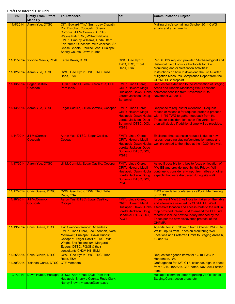| <b>Date</b> | <b>Entity From/ Effort</b><br><b>Made By</b> | <b>To/Attendees</b>                                                                                                                                                                                                                                                                                          | CC:                                                                                                                                        | <b>Communication Subject</b>                                                                                                                                                                                                                                                                                                 |
|-------------|----------------------------------------------|--------------------------------------------------------------------------------------------------------------------------------------------------------------------------------------------------------------------------------------------------------------------------------------------------------------|--------------------------------------------------------------------------------------------------------------------------------------------|------------------------------------------------------------------------------------------------------------------------------------------------------------------------------------------------------------------------------------------------------------------------------------------------------------------------------|
| 11/5/2014   | <b>Aaron Yue, DTSC</b>                       | CIT: Edward "Tito" Smith, Jay Cravath,<br>Ron Escobar; Cocopah: Sherry<br>Cordova, Jill McCormick; CRITS:<br>Wayne Patch, Sr., Wilfred Nabahe;<br>FMIT: Timothy Williams, Linda Otero;<br>Fort Yuma-Quechan: Mike Jackson, Sr.,<br>Chase Choate, Pauline Jose; Hualapai:<br><b>Sherry Counts, Dawn Hubbs</b> |                                                                                                                                            | Mailing of cd's containing October 2014 CWG<br>emails and attachments.                                                                                                                                                                                                                                                       |
| 11/11/2014  | Yvonne Meeks, PG&E Karen Baker, DTSC         |                                                                                                                                                                                                                                                                                                              | <b>CWG, Geo Hydro</b><br>TWG, TRC, Tribal<br>Reps, ESA                                                                                     | Per DTSC's request, provided "Archaeological and<br><b>Historical Field Logistics Protocols for Site</b><br><b>Monitoring and/or Verfication Activities".</b>                                                                                                                                                                |
| 11/12/2014  | Aaron Yue, DTSC                              | CWG, Geo Hydro TWG, TRC, Tribal<br>Reps, ESA                                                                                                                                                                                                                                                                 |                                                                                                                                            | Instructions on how to download the 3rd Quarter<br>Mitigation Measures Compliance Report from the<br><b>CH2M Hill Sharepoint.</b>                                                                                                                                                                                            |
| 11/13/2014  | Edgar Castillo,<br>Cocopah                   | DTSC: Chris Guerre, Aaron Yue; DOI:<br><b>Pam Innis</b>                                                                                                                                                                                                                                                      | <b>FMIT: Linda Otero;</b><br><b>CRIT: Howard Magill;</b><br>Hualapai: Dawn Hubbs,<br>Loretta Jackson, Doug<br><b>Bonamici</b>              | <b>Request for extension to the Verification of Staging</b><br><b>Areas and Arsenic Monitorng Well Locations</b><br>comment deadline from November 19 to<br><b>November 30, 2014.</b>                                                                                                                                        |
| 11/13/2014  | Aaron Yue, DTSC                              | Edgar Castillo, Jill McCormick, Cocopah                                                                                                                                                                                                                                                                      | FMIT: Linda Otero;<br><b>CRIT: Howard Magill;</b><br>Hualapai: Dawn Hubbs,<br>Loretta Jackson, Doug<br>Bonamici; DTSC, DOI,<br>PG&E        | Response to request for extension. Request<br>reason or rationale for request, prefer to proceed<br>with 11/19 TWG to gather feedback from the<br>Tribes for consideration, even if in verbal form,<br>then will decide if additional time will be provided.                                                                 |
| 11/14/2014  | Jill McCormick,<br>Cocopah                   | Aaron Yue, DTSC, Edgar Castillo,<br>Cocoaph                                                                                                                                                                                                                                                                  | <b>FMIT: Linda Otero;</b><br><b>CRIT: Howard Magill;</b><br>Hualapai: Dawn Hubbs,<br>Loretta Jackson, Doug<br>Bonamici; DTSC, DOI,<br>PG&E | Explained that extension request is due to new<br>issues regarding staging/construction areas and<br>well presented to the tribes at the 10/30 field visit.                                                                                                                                                                  |
| 11/17/2014  | Aaron Yue, DTSC                              | Jill McCormick, Edgar Castillo, Cocopah                                                                                                                                                                                                                                                                      | <b>FMIT: Linda Otero:</b><br><b>CRIT: Howard Magill;</b><br>Hualapai: Dawn Hubbs,<br>Loretta Jackson, Doug<br>Bonamici; DTSC, DOI,<br>PG&E | Asked if possible for tribes to focus on location of<br>MW EE and provide input by this Friday. Will<br>continue to consider any input from tribes on other<br>aspects that were discussed during site walk.                                                                                                                 |
| 11/17/2014  | Chris Guerre, DTSC                           | CWG, Geo Hydro TWG, TRC, Tribal<br>Reps, ESA                                                                                                                                                                                                                                                                 |                                                                                                                                            | TWG agenda for conference call/Join Me meeting<br>on 11/19.                                                                                                                                                                                                                                                                  |
| 11/18/2014  | Jill McCormick,<br>Cocopah                   | Aaron Yue, DTSC, Edgar Castillo,<br>Cocopah                                                                                                                                                                                                                                                                  | <b>FMIT: Linda Otero;</b><br><b>CRIT: Howard Magill;</b><br>Hualapai: Dawn Hubbs,<br>Loretta Jackson, Doug<br>Bonamici; DTSC, DOI,<br>PG&E | Tribes want MWEE well location taken off the table<br>and alternative selected by CH2M Hill. Want<br>alternative location and access route to the well in<br>map provided. Want BLM to amend the DPR site<br>record to include new boundary mapped by the<br>Tribes per the new discoveries protocol of the<br><b>CHPMP.</b> |
| 11/19/2014  | <b>Chris Guerre, DTSC</b>                    | <b>TWG webconference: Attendees:</b><br>FMIT: Linda Otero, Leo Leonhart, Nora<br>McDowell; Hualapai: Dawn Hubbs;<br>Cocopah: Edgar Castillo; TRC: Win<br>Wright, Eric Rosenblum, Margaret<br>Eggers; DTSC, PG&E & their<br>consultants CH2M Hill, BLM                                                        |                                                                                                                                            | Agenda Items: Follow-up from October TWG Site<br><b>Walk: Inputs from Tribes on Monitoring Well</b><br>Locations and Preferred Limits to Staging Areas 6,<br>12 and 13.                                                                                                                                                      |
| 11/25/2014  | Chris Guerre, DTSC                           | CWG, Geo Hydro TWG, TRC, Tribal<br>Reps, ESA                                                                                                                                                                                                                                                                 |                                                                                                                                            | Request for agenda items for 12/10 TWG in<br>Henderson, NV.                                                                                                                                                                                                                                                                  |
| 11/30/2014  | Yolanda Garza, DTSC                          | <b>CTF Members</b>                                                                                                                                                                                                                                                                                           |                                                                                                                                            | Draft agenda for 12/9 CTF, calendar, sign-in sheet<br>from 10/14, 10/28/14 CTF notes, Nov. 2014 action<br>items                                                                                                                                                                                                              |
| 12/1/2014   |                                              | Dawn Hubbs, Hualapai DTSC: Aaron Yue; DOI: Pam Innis;<br>Hualapai: Sherry J Counts, Rudy Clark,<br>Nancy Brown; vhauser@achp.gov                                                                                                                                                                             |                                                                                                                                            | Hualapai comment letter regarding Verfication of<br>Staging/Construction areas etc.                                                                                                                                                                                                                                          |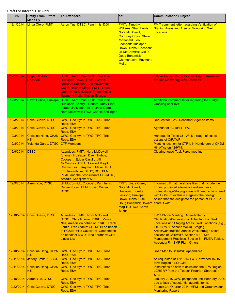| <b>Date</b> | <b>Entity From/ Effort</b><br><b>Made By</b> | <b>To/Attendees</b>                                                                                                                                                                                                                                                                  | CC:                                                                                                                                                                                                                                               | <b>Communication Subject</b>                                                                                                                                                                                                                                                                                                                                                          |
|-------------|----------------------------------------------|--------------------------------------------------------------------------------------------------------------------------------------------------------------------------------------------------------------------------------------------------------------------------------------|---------------------------------------------------------------------------------------------------------------------------------------------------------------------------------------------------------------------------------------------------|---------------------------------------------------------------------------------------------------------------------------------------------------------------------------------------------------------------------------------------------------------------------------------------------------------------------------------------------------------------------------------------|
| 12/1/2014   | Linda Otero, FMIT                            | Aaron Yue, DTSC, Pam Innis, DOI                                                                                                                                                                                                                                                      | <b>FMIT: Timothy</b><br><b>Williams, Shan Lewis,</b><br>Nora McDowell,<br><b>Courtney Coyle, Steve</b><br>McDonald, Leo<br>Leonhart; Hualapai:<br>Dawn Hubbs; Cocopah:<br>Jill McCormick; CRIT:<br>Doug Bonamici;<br>Chemehuevi: Raymond<br>Mejia | <b>FMIT comment letter regarding Verification of</b><br><b>Staging Areas and Arsenic Monitoring Well</b><br><b>Locations</b>                                                                                                                                                                                                                                                          |
| 12/2/2014   | Edgar Castillo,<br>Cocopah                   | <b>DTSC: Aaron Yue; DOI: Pam Innis;</b><br>Hualapai: Dawn Hubbs, Loretta<br>Jackson; Cocopah: Jill McCormick;<br><b>CRIT: Howard Magill; FMIT: Linda</b><br>Otero, Nora McDowell; Chemehuevi:<br>Raymond Mejia, Steven Escobar                                                       |                                                                                                                                                                                                                                                   | <b>Official Letter: Verification of Staging Areas and</b><br><b>Arsenic Monitoring Well Locations</b>                                                                                                                                                                                                                                                                                 |
| 12/3/2014   |                                              | Dawn Hubbs, Hualapai DTSC: Aaron Yue, DOI: Pam Innis;<br>Hualapai: Sherry J Counts, Rudy Clark,<br>Loretta Jackson; FMIT: Linda Otero,<br>Nora McDowell; TRC: Charlie Schlinger                                                                                                      |                                                                                                                                                                                                                                                   | Additional comment letter regarding the Bridge<br>Crossing near IM#.                                                                                                                                                                                                                                                                                                                  |
| 12/3/2014   | <b>Chris Guerre, DTSC</b>                    | CWG, Geo Hydro TWG, TRC, Tribal<br>Reps, ESA                                                                                                                                                                                                                                         |                                                                                                                                                                                                                                                   | <b>Request for TWG December Agenda Items</b>                                                                                                                                                                                                                                                                                                                                          |
| 12/8/2014   | <b>Chris Guerre, DTSC</b>                    | CWG, Geo Hydro TWG, TRC, Tribal<br>Reps, ESA                                                                                                                                                                                                                                         |                                                                                                                                                                                                                                                   | Agenda for 12/10/14 TWG                                                                                                                                                                                                                                                                                                                                                               |
| 12/8/2014   | <b>Hill</b>                                  | Christina Hong, CH2M CWG, Geo Hydro TWG, TRC, Tribal<br>Reps, ESA                                                                                                                                                                                                                    |                                                                                                                                                                                                                                                   | Handout for Topic #8 - Walk through of select<br>sctions of C/RAWP                                                                                                                                                                                                                                                                                                                    |
| 12/8/2014   | Yolanda Garza, DTSC                          | <b>CTF Members</b>                                                                                                                                                                                                                                                                   |                                                                                                                                                                                                                                                   | Meeting location for CTF is in Henderson at CH2M<br>Hill office on 12/9/14.                                                                                                                                                                                                                                                                                                           |
| 12/9/2014   | <b>DTSC</b>                                  | <b>Attendees: FMIT: Nora McDowell</b><br>(phone); Hualapai: Dawn Hubbs;<br>Cocopah: Edgar Castillo, Jill<br>McCormick; CRIT: Howard Magill;<br>Chemehuevi: Raymond Mejia; TRC:<br>Eric Rosenblum; DTSC, DOI, BLM,<br>PG&E and their consultants CH2M Hill,<br>Arcadis, Keadjian; MWD |                                                                                                                                                                                                                                                   | <b>Clearinghouse Task Force meeting.</b>                                                                                                                                                                                                                                                                                                                                              |
| 12/9/2014   | Aaron Yue, DTSC                              | Jill McCormick, Cocopah, Pam Innis,<br>Renee Kolvet, BLM, Susan Wilcox,<br><b>DTSC</b>                                                                                                                                                                                               | <b>FMIT: Linda Otero,</b><br>Nora McDowell,<br>Hualapai: Loretta<br>Jackson; Hualapai:<br>Dawn Hubbs; CRIT:<br>Doug Bonamici; Howard share it with.<br>Magill; DTSC: Karen<br><b>Baker</b>                                                        | Informed Jill that the shape files that include the<br>Tribes' proposed alternative wells-access<br>routes/storage/staging areas will need to be shared<br>with PG&E to evaluate it against their design.<br>Asked that she designate the person at PG&E to                                                                                                                           |
| 12/10/2014  | Chris Guerre, DTSC                           | Attendees: FMIT: Nora McDowell;<br>DTSC: Chris Guerre; PG&E: Valisa<br>Nez; Arcadis on behalf of PG&E: Frank<br>Lenzo, Fred Stanin; CH2M Hill on behalf<br>of PG&E: Mike Cavaliere; Geopentech<br>on behalf of MWD: Eric Fordham; CRB:<br>Lindia Liu;                                |                                                                                                                                                                                                                                                   | <b>TWG Phone Meeting: Agenda Items:</b><br><b>Clarification/Discussion of Tribal Input on Well</b><br>Locations and Staging Areas: Well Locations (e.g.,<br>IRL-1/FW-1, Arizona Wells). Staging<br><b>Areas/Construction Zones; Walk through select</b><br>sections of C/RAWP: Section 4.3 - Site<br>Management Practices. Section 5 - FMEA Tables,<br>Appendix R - BMP Plan, Others. |
| 12/10/2014  | Hill                                         | Christina Hong, CH2M CWG, Geo Hydro TWG, TRC, Tribal<br>Reps, ESA                                                                                                                                                                                                                    |                                                                                                                                                                                                                                                   | Road Map to C/RAWP Appendices                                                                                                                                                                                                                                                                                                                                                         |
| 12/11/2014  |                                              | Jeffery Smith, USBOR CWG, Geo Hydro TWG, TRC, Tribal<br>Reps, ESA                                                                                                                                                                                                                    |                                                                                                                                                                                                                                                   | As requested at 12/10/14 TWG, provided link to<br>EPA Region 9 LCRGRP.                                                                                                                                                                                                                                                                                                                |
| 12/11/2014  | <b>Hill</b>                                  | Christina Hong, CH2M CWG, Geo Hydro TWG, TRC, Tribal<br>Reps, ESA                                                                                                                                                                                                                    |                                                                                                                                                                                                                                                   | Instructions on how to download the EPA Region 9<br><b>LCRGRP from the Topock Program Sharepoint</b><br>Site.                                                                                                                                                                                                                                                                         |
| 12/18/2014  | <b>Aaron Yue, DTSC</b>                       | CWG, Geo Hydro TWG, TRC, Tribal<br>Reps, ESA                                                                                                                                                                                                                                         |                                                                                                                                                                                                                                                   | January 2015 CWG postponed until February 2015<br>due to lack of substantial agenda items.                                                                                                                                                                                                                                                                                            |
| 12/22/2014  | <b>Chris Guerre, DTSC</b>                    | CWG, Geo Hydro TWG, TRC, Tribal<br>Reps, ESA                                                                                                                                                                                                                                         |                                                                                                                                                                                                                                                   | Topock 3rd Quarter 2014 IMPM and Groundwater<br><b>Monitoring Report</b>                                                                                                                                                                                                                                                                                                              |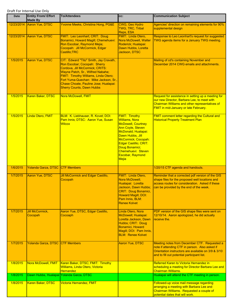| <b>Date</b> | <b>Entity From/ Effort</b><br><b>Made By</b> | <b>To/Attendees</b>                                                                                                                                                                                                                                                                                          | CC:                                                                                                                                                                                                                                                                           | <b>Communication Subject</b>                                                                                                                                                                         |
|-------------|----------------------------------------------|--------------------------------------------------------------------------------------------------------------------------------------------------------------------------------------------------------------------------------------------------------------------------------------------------------------|-------------------------------------------------------------------------------------------------------------------------------------------------------------------------------------------------------------------------------------------------------------------------------|------------------------------------------------------------------------------------------------------------------------------------------------------------------------------------------------------|
| 12/23/2014  | Aaron Yue, DTSC                              | Yvonne Meeks, Christina Hong, PG&E                                                                                                                                                                                                                                                                           | CWG, Geo Hydro<br>TWG, TRC, Tribal<br>Reps, ESA                                                                                                                                                                                                                               | Agencies' direction on remaining elements for 90%<br>supplemental design                                                                                                                             |
| 12/23/2014  | Aaron Yue, DTSC                              | FMIT: Leo Leonhart; CRIT: Doug<br>Bonamici, Howard Magill; Chemehuevi:<br>Ron Escobar, Raymond Mejia;<br>Cocopah: Jill McCormick, Edgar<br>Castillo; TRC                                                                                                                                                     | FMIT: Linda Otero,<br><b>Nora McDowell, Walter</b><br>Roderick; Hualapai:<br>Dawn Hubbs, Loretta<br>Jackson, DTSC                                                                                                                                                             | Response to Leo Leonhart's request for suggested<br>TWG agenda items for a January TWG meeting.                                                                                                      |
| 1/5/2015    | <b>Aaron Yue, DTSC</b>                       | CIT: Edward "Tito" Smith, Jay Cravath,<br>Ron Escobar; Cocopah: Sherry<br>Cordova, Jill McCormick; CRITS:<br>Wayne Patch, Sr., Wilfred Nabahe;<br>FMIT: Timothy Williams, Linda Otero;<br>Fort Yuma-Quechan: Mike Jackson, Sr.,<br>Chase Choate, Pauline Jose; Hualapai:<br><b>Sherry Counts, Dawn Hubbs</b> |                                                                                                                                                                                                                                                                               | Mailing of cd's containing November and<br>December 2014 CWG emails and attachments.                                                                                                                 |
| 1/5/2015    | Karen Baker, DTSC                            | Nora McDowell, FMIT                                                                                                                                                                                                                                                                                          |                                                                                                                                                                                                                                                                               | Request for assistance in setting up a meeting for<br>our new Director, Barbara Lee, to meet with<br>Chairman Williams and other representatives of<br>FMIT in mid-January or late February.         |
| 1/5/2015    | Linda Otero, FMIT                            | BLM: K. Liebhauser, R. Kovet; DOI:<br>Pam Innis; DTSC: Aaron Yue, Susan<br><b>Wilcox</b>                                                                                                                                                                                                                     | <b>FMIT: Timothy</b><br><b>Williams, Nora</b><br><b>McDowell, Courtney</b><br><b>Ann Coyle, Steven</b><br>McDonald; Hualapai:<br>Dawn Hubbs, Jill<br>McCormick; Cocopah:<br>Edgar Castillo; CRIT:<br>Doug Bonamici;<br>Chemehuevi: Steven<br>Escobar, Raymond<br><b>Mejia</b> | <b>FMIT comment letter regarding the Cultural and</b><br><b>Historical Property Treatment Plan</b>                                                                                                   |
| 1/6/2015    | Yolanda Garza, DTSC                          | <b>CTF Members</b>                                                                                                                                                                                                                                                                                           |                                                                                                                                                                                                                                                                               | 1/20/15 CTF agenda and handouts.                                                                                                                                                                     |
| 1/7/2015    | Aaron Yue, DTSC                              | <b>Jill McCormick and Edgar Castillo,</b><br>Cocopah                                                                                                                                                                                                                                                         | FMIT: Linda Otero,<br>Nora McDowell:<br>Hualapai: Loretta<br><u> Jackson, Dawn Hubbs;</u><br>CRIT: Doug Bonamici,<br>Howard Magill; DOI:<br>Pam Innis, BLM:<br><b>Renee Kolvet</b>                                                                                            | Reminder that a corrected pdf version of the GIS<br>shape files for the proposed well locations and<br>access routes for consideration. Asked if these<br>can be provided by the end of the week.    |
| 1/7/2015    | <b>Jill McCormick,</b><br>Cocopah            | Aaron Yue, DTSC, Edgar Castillo,<br>Cocoaph                                                                                                                                                                                                                                                                  | Linda Otero, Nora<br>McDowell; Hualapai:<br>Loretta Jackson, Dawn<br>Hubbs; CRIT: Doug<br>Bonamici, Howard<br>Magill; DOI: Pam Innis,<br><b>BLM: Renee Kolvet</b>                                                                                                             | PDF version of the GIS shape files were sent on<br>12/10/14. Aaron apologized, he did actually<br>receive the.                                                                                       |
| 1/7/2015    | <b>Yolanda Garza, DTSC</b>                   | <b>CTF Members</b>                                                                                                                                                                                                                                                                                           | Aaron Yue, DTSC                                                                                                                                                                                                                                                               | Meeting notes from December CTF. Requested a<br>note if attending CTF in person. Also asked if<br>Orientation instructors are available on 3/9 & 3/10<br>and to fill out potential participant list. |
| 1/8/2015    | Nora McDowell, FMIT                          | Karen Baker, DTSC; FMIT: Timothy<br>Williams, Linda Otero, Victoria<br>Hernandez                                                                                                                                                                                                                             |                                                                                                                                                                                                                                                                               | Referred Karen to Victoria Hernandez in<br>scheduling a meeting for Director Barbara Lee and<br>Chairman Williams.                                                                                   |
| 1/8/2015    |                                              | Dawn Hubbs, Hualapai Yolanda Garza, DTSC                                                                                                                                                                                                                                                                     |                                                                                                                                                                                                                                                                               | Hualapai will attend the CTF meeting in person.                                                                                                                                                      |
| 1/8/2015    | Karen Baker, DTSC                            | Victoria Hernandez, FMIT                                                                                                                                                                                                                                                                                     |                                                                                                                                                                                                                                                                               | Followed-up voice mail message regarding<br>arranging a meeting with Barbara Lee and<br>Chairman Williams. Requested a couple of<br>potential dates that will work.                                  |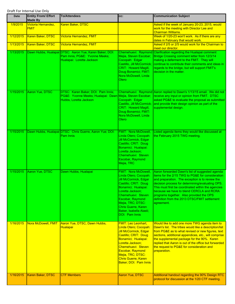| <b>Date</b> | <b>Entity From/ Effort</b><br><b>Made By</b> | <b>To/Attendees</b>                                                                                                    | CC:                                                                                                                                                                                                                                                                                        | <b>Communication Subject</b>                                                                                                                                                                                                                                                                                                                                                                                            |
|-------------|----------------------------------------------|------------------------------------------------------------------------------------------------------------------------|--------------------------------------------------------------------------------------------------------------------------------------------------------------------------------------------------------------------------------------------------------------------------------------------|-------------------------------------------------------------------------------------------------------------------------------------------------------------------------------------------------------------------------------------------------------------------------------------------------------------------------------------------------------------------------------------------------------------------------|
| 1/9/2015    | Victoria Hernandez,<br><b>FMIT</b>           | Karen Baker, DTSC                                                                                                      |                                                                                                                                                                                                                                                                                            | Asked if the week of January 20-23, 2015, would<br>work for the meeting with Director Lee and<br><b>Chairman Williams.</b>                                                                                                                                                                                                                                                                                              |
| 1/12/2015   | <b>Karen Baker, DTSC</b>                     | <b>Victoria Hernandez, FMIT</b>                                                                                        |                                                                                                                                                                                                                                                                                            | Week of 1/20-23 won't work. As if there are any<br>dates in February that would work.                                                                                                                                                                                                                                                                                                                                   |
| 1/13/2015   | Karen Baker, DTSC                            | <b>Victoria Hernandez, FMIT</b>                                                                                        |                                                                                                                                                                                                                                                                                            | Asked if 2/5 or 2/5 would work for the Chairman to<br>meet our director.                                                                                                                                                                                                                                                                                                                                                |
| 1/13/2015   |                                              | Dawn Hubbs, Hualapai DTSC: Aaron Yue, Karen Baker; DOI:<br>Pam Innis; PG&E: Yvonne Meeks;<br>Hualapai: Loretta Jackson | Mejia, Steven Escobar;<br>Cocopah: Edgar<br>Castillo, Jill McCormick;<br>CRIT: Howard Magill,<br>Doug Bonamici; FMIT:<br>Nora McDowell, Linda<br>Otero                                                                                                                                     | Chemehuevi: Raymond Clarification regarding the Hualapai comment<br>Bridge Crossing comment letter from 12/3/14<br>making a deferment to the FMIT. They will<br>continue to contribute their comments and ideas in<br>regards to the bridge, but will support FMIT's<br>decision in the matter.                                                                                                                         |
| 1/15/2015   | Aaron Yue, DTSC                              | DTSC: Karen Baker; DOI: Pam Innis;<br>PG&E: Yvonne Meeks; Hualapai: Dawn<br>Hubbs, Loretta Jackson                     | Mejia, Steven Escobar;<br>Cocopah: Edgar<br>Castillo, Jill McCormick;<br>CRIT: Howard Magill,<br>Doug Bonamici; FMIT:<br>Nora McDowell, Linda<br>Otero                                                                                                                                     | Chemehuevi: Raymond Aaron replied to Dawn's 1/13/15 email. We did not<br>receive any input or opinion from FMIT. DTSC<br>asked PG&E to evaluate the proposal as submitted<br>and provide their design opinion as part of the<br>supplemental design.                                                                                                                                                                    |
| 1/15/2015   |                                              | Dawn Hubbs, Hualapai DTSC: Chris Guerre, Aaron Yue; DOI:<br>Pam Innis                                                  | FMIT: Nora McDowell,<br>Linda Otero; Cocopah:<br><b>Jill McCormick, Edgar</b><br>Castillo; CRIT: Doug<br>Bonamici; Hualapai:<br>Loretta Jackson;<br>Chemehuevi: Steven<br>Escobar, Raymond<br>Mejia, TRC                                                                                   | Listed agenda items they would like discussed at<br>the February 2015 TWG meeting.                                                                                                                                                                                                                                                                                                                                      |
| 1/15/2015   | Aaron Yue, DTSC                              | Dawn Hubbs, Hualapai                                                                                                   | FMIT: Nora McDowell,<br>Linda Otero; Cocopah:<br><b>Jill McCormick, Edgar</b><br>Castillo; CRIT: Doug<br>Bonamici; Hualapai:<br>Loretta Jackson;<br>Chemehuevi: Steven<br>Escobar, Raymond<br>Mejia, TRC; DTSC:<br><b>Chris Guerre, Karen</b><br>Baker, Isabella Alasti;<br>DOI: Pam Innis | Aaron forwarded Dawn's list of suggested agenda<br>items for the 2/15 TWG to PG&E for consideration<br>and preparation. The exception is to review the<br>decision process for determining/evaluating OPS.<br>This must first be coordinated within the agencies<br>because we have to blend CERCLA and RCRA<br>programs together. Also provided the OPS<br>definition from the 2013 DTSC/FMIT settlement<br>agreement. |
| 1/16/2015   | Nora McDowell, FMIT                          | Aaron Yue, DTSC, Dawn Hubbs,<br><b>Hualapai</b>                                                                        | <b>FMIT: Leo Leonhart,</b><br>Linda Otero; Cocopah:<br>Jill McCormick, Edgar<br>Castillo; CRIT: Doug<br>Bonamici; Hualapai:<br>Loretta Jackson;<br>Chemehuevi: Steven<br>Escobar, Raymond<br>Mejia, TRC; DTSC:<br><b>Chris Guerre, Karen</b><br>Baker; DOI: Pam Innis                      | Would like to add one more TWG agenda item to<br>Dawn's list. The tribes would like a description/list<br>from PG&E as to what revised or new figures, text<br>sections, additional appendices, etc., will comprise<br>the supplemental package for the 90%. Karen<br>replied that Aaron is out of the office but forwarded<br>the request to PG&E for consideration and<br>preparation.                                |
| 1/16/2015   | Karen Baker, DTSC                            | <b>CTF Members</b>                                                                                                     | Aaron Yue, DTSC                                                                                                                                                                                                                                                                            | Additional handout regarding the 90% Design RTC<br>protocol for discussion at the 1/20 CTF meeting.                                                                                                                                                                                                                                                                                                                     |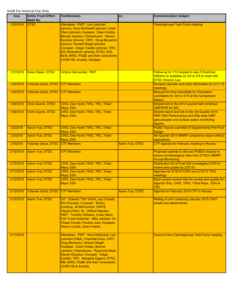| <b>Date</b> | <b>Entity From/ Effort</b><br><b>Made By</b> | <b>To/Attendees</b>                                                                                                                                                                                                                                                                                                                                                                    | CC:                    | <b>Communication Subject</b>                                                                                                                        |
|-------------|----------------------------------------------|----------------------------------------------------------------------------------------------------------------------------------------------------------------------------------------------------------------------------------------------------------------------------------------------------------------------------------------------------------------------------------------|------------------------|-----------------------------------------------------------------------------------------------------------------------------------------------------|
| 1/20/2015   | <b>IDTSC</b>                                 | Attendees: FMIT: Leo Leonhart<br>(phone), Nora McDowell (phone), Linda<br>Otero (phone); Hualapai: Dawn Hubbs,<br>Bennet Jackson; Chemehuevi: Steven<br>Escobar (phone); CRIT: Doug Bonamici<br>(phone), Howard Magill (phone);<br>Cocopah: Edgar Castillo (phone); TRC:<br>Eric Rosenblum (phone); DTSC, DOI,<br>BLM, MWD, PG&E and their consultants<br>CH2M Hill, Arcadis, Keadjian |                        | <b>Clearinghouse Task Force meeting.</b>                                                                                                            |
| 1/21/2015   | Karen Baker, DTSC                            | Victoria Hernandez, FMIT                                                                                                                                                                                                                                                                                                                                                               |                        | Follow-up to 1/13 request to see if Chairman<br>Williams is available on 2/4 or 2/5 to meet with<br><b>DTSC Director Lee.</b>                       |
| 1/22/2015   | Yolanda Garza, DTSC CTF Members              |                                                                                                                                                                                                                                                                                                                                                                                        |                        | Revised calendar and hotel information for 2/17-19<br>meetings.                                                                                     |
| 1/23/2015   | Yolanda Garza, DTSC CTF Members              |                                                                                                                                                                                                                                                                                                                                                                                        |                        | <b>Request for final submittals for Orientation</b><br>candidates for 3/9 or 3/10 at the Compressor<br>Station.                                     |
| 1/26/2015   | Chris Guerre, DTSC                           | CWG, Geo Hydro TWG, TRC, Tribal<br>Reps, ESA                                                                                                                                                                                                                                                                                                                                           |                        | Shared link to the 2014 second half combined<br><b>CMP/PAR for IM3.</b>                                                                             |
| 1/26/2015   | <b>Chris Guerre, DTSC</b>                    | CWG, Geo Hydro TWG, TRC, Tribal<br>Reps, ESA                                                                                                                                                                                                                                                                                                                                           |                        | Shared report and link to the 3rd Quarter 2014<br>PMP (IM3 Performance) and Site-wide GMP<br>(groundwater and surface water) monitoring<br>reports. |
| 2/2/2015    | Aaron Yue, DTSC                              | CWG, Geo Hydro TWG, TRC, Tribal<br>Reps, ESA                                                                                                                                                                                                                                                                                                                                           |                        | PG&E Topock submittal of Supplemental Pre-Final<br>Design                                                                                           |
| 2/3/2015    | Aaron Yue, DTSC                              | CWG, Geo Hydro TWG, TRC, Tribal<br>Reps, ESA                                                                                                                                                                                                                                                                                                                                           |                        | 4th Quarter 2014 MMRP compliance report without<br>appendices                                                                                       |
| 2/5/2015    | Yolanda Garza, DTSC                          | <b>CTF Members</b>                                                                                                                                                                                                                                                                                                                                                                     | <b>Aaron Yue, DTSC</b> | CTF Agenda for February meeting in Havasu                                                                                                           |
| 2/10/2015   | Aaron Yue, DTSC                              | <b>CTF Members</b>                                                                                                                                                                                                                                                                                                                                                                     |                        | Proposed agenda to discuss PG&E's request to<br>reduce archaeological sites from DTSC's MMRP<br><b>Annual Monitoring</b>                            |
| 2/10/2015   | Aaron Yue, DTSC                              | CWG, Geo Hydro TWG, TRC, Tribal<br>Reps, ESA                                                                                                                                                                                                                                                                                                                                           |                        | Distribution list of Final Soil Investigation EIR for<br>review and update by 2/27/15                                                               |
| 2/11/2015   | Aaron Yue, DTSC                              | CWG, Geo Hydro TWG, TRC, Tribal<br>Reps, ESA                                                                                                                                                                                                                                                                                                                                           |                        | Agendas for 2/18/15 CWG and 2/19/15 TWG<br>meetings                                                                                                 |
| 2/12/2015   | Aaron Yue, DTSC                              | CWG, Geo Hydro TWG, TRC, Tribal<br>Reps, ESA                                                                                                                                                                                                                                                                                                                                           |                        | Most current contact lists for review and update for:<br>Agenda Only, CWG, TWG, Tribal Reps., ESA &<br><b>TRC</b>                                   |
| 2/12/2015   | <b>Yolanda Garza, DTSC</b>                   | <b>CTF Members</b>                                                                                                                                                                                                                                                                                                                                                                     | <b>Aaron Yue, DTSC</b> | Agenda for February 2015 CTF in Havasu                                                                                                              |
| 2/12/2015   | Aaron Yue, DTSC                              | CIT: Edward "Tito" Smith, Jay Cravath,<br>Ron Escobar; Cocopah: Sherry<br>Cordova, Jill McCormick; CRITS:<br>Wayne Patch, Sr., Wilfred Nabahe;<br>FMIT: Timothy Williams, Linda Otero;<br>Fort Yuma-Quechan: Mike Jackson, Sr.,<br>Chase Choate, Pauline Jose; Hualapai:<br><b>Sherry Counts, Dawn Hubbs</b>                                                                           |                        | Mailing of cd's containing January 2015 CWG<br>emails and attachments.                                                                              |
| 2/17/2015   |                                              | Attendees: FMIT: Nora McDowell, Leo<br>Leonhart (H&A), Charlotte Knox; CRIT:<br>Doug Bonamici, Howard Magill;<br>Hualapai: Dawn Hubbs, Bennet<br>Jackson; Chemehuevi: Raymond Mejia,<br>Steven Escobar; Cocopah: Edgar<br>Castillo; TRC: Margaret Eggers; DTSC,<br>BM, MWD, PG&E and their consultants<br><b>CH2M Hill &amp; Arcadis</b>                                               |                        | Face-to-Face Clearinghouse Task Force meeting.                                                                                                      |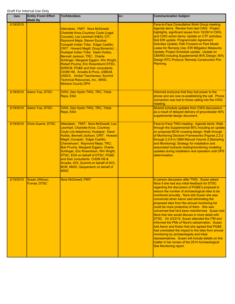| Date      | <b>Entity From/ Effort</b><br><b>Made By</b> | <b>To/Attendees</b>                                                                                                                                                                                                                                                                                                                                                                                                                                                                                                                                                                         | CC: | <b>Communication Subject</b>                                                                                                                                                                                                                                                                                                                                                                                                                                                                                                                                                                                                                                                                                                                                                                                                                                                                  |
|-----------|----------------------------------------------|---------------------------------------------------------------------------------------------------------------------------------------------------------------------------------------------------------------------------------------------------------------------------------------------------------------------------------------------------------------------------------------------------------------------------------------------------------------------------------------------------------------------------------------------------------------------------------------------|-----|-----------------------------------------------------------------------------------------------------------------------------------------------------------------------------------------------------------------------------------------------------------------------------------------------------------------------------------------------------------------------------------------------------------------------------------------------------------------------------------------------------------------------------------------------------------------------------------------------------------------------------------------------------------------------------------------------------------------------------------------------------------------------------------------------------------------------------------------------------------------------------------------------|
| 2/18/2015 |                                              | Attendees: FMIT: Nora McDowell,<br><b>Charlotte Knox, Courtney Coyle (Legal</b><br>Counsel), Leo Leonhart (H&A); CIT:<br>Raymond Mejia, Steven Escobar;<br>Cocopah Indian Tribe: Edgar Castillo;<br>CRIT: Howard Magill, Doug Bonamici; ;<br>Hualapai Indian Tribe: Dawn Hubbs,<br>Bennett Jackson; TRC: Charlie<br>Schlinger, Margaret Eggers, Win Wright,<br>Robert Prucha, Eric Rosenbluml DTSC,<br><b>SWRCB, PG&amp;E and their consultants</b><br>CH2M Hill, Arcadis & Pivox, USBLM,<br>USDOI, Amber Taschereau; Summit<br>Technical Resources, Inc., MWD,<br><b>Mohave County DPH</b> |     | Face-to-Face Consultative Work Group meeting.<br>Agenda items: Review from last CWG: Project<br>highlights, significant issues from 10/29/14 CWG,<br>and CWG action items; Update on CTF activities;<br>Soil EIR update, Programmatic Agreement<br>Activities Update; Path Forward on Park Moabi<br>Lease for Remedy Use; EIR Mitigation Measures<br>Update; Project Schedule update; Update on<br>CMI/RD including Supplemental 90% Design; 90%<br><b>Design RTC Protocol; Remedy Construction Pre-</b><br>Planning.                                                                                                                                                                                                                                                                                                                                                                         |
| 2/18/2015 | <b>Aaron Yue, DTSC</b>                       | CWG, Geo Hydro TWG, TRC, Tribal<br>Reps, ESA                                                                                                                                                                                                                                                                                                                                                                                                                                                                                                                                                |     | Informed everyone that they lost power to the<br>phone and are now re-establishing the call. Phone<br>connection was lost to those calling into the CWG<br>meeting.                                                                                                                                                                                                                                                                                                                                                                                                                                                                                                                                                                                                                                                                                                                           |
| 2/19/2015 | Aaron Yue, DTSC                              | CWG, Geo Hydro TWG, TRC, Tribal<br>Reps, ESA                                                                                                                                                                                                                                                                                                                                                                                                                                                                                                                                                |     | Shared schedule updates from CWG discussions<br>as a result of delayed delivery of groundwater 90%<br>supplemental design document.                                                                                                                                                                                                                                                                                                                                                                                                                                                                                                                                                                                                                                                                                                                                                           |
| 2/19/2015 | <b>Chris Guerre, DTSC</b>                    | Attendees: FMIT: Nora McDowell, Leo<br>Leonhart, Charlotte Knox, Courtney<br>Coyle (via telephone); Hualapai: Dawn<br>Hubbs, Bennett Jackson; CRIT: Howard<br>Magill; Cocopah: Edgar Castillo;<br>Chemehuevi: Raymond Mejia; TRC:<br>Bob Prucha, Margaret Eggers, Charlie<br>Schlinger, Eric Rosenblum, Win Wright;<br>DTSC, ESA on behalf of DTSC, PG&E<br>and their consultants CH2M Hill &<br>Arcadis, DOI, Summit on behalf of DOI,<br><b>BOR, MWD, Geopentech on behalf of</b><br><b>MWD</b>                                                                                           |     | Face-to-Face TWG meeting: Agenda items: Walk<br>through the Supplemental 90% including an update<br>on proposed BCW crossing design; Walk through<br>of Monitoring Decision Frameworks (Figures 2.2-2<br>through 2.2-9 in O&M Manual Volume 2 [Sampling<br>and Monitoring]; Strategy for installation and<br>associated hydraulic testing/monitoring modeling<br>updates during installation and operation until OPS<br>determination.                                                                                                                                                                                                                                                                                                                                                                                                                                                        |
| 2/19/2015 | Susan (Wilcox)<br><b>Furnas, DTSC</b>        | Nora McDowell, FMIT                                                                                                                                                                                                                                                                                                                                                                                                                                                                                                                                                                         |     | In person discussion after TWG. Susan asked<br>Nora if she had any initial feedback for DTSC<br>regarding the discussion of PG&E's proposal to<br>reduce the number of archaeological sites to be<br>monitored annually. Nora told Susan she was<br>concerned when Aaron said eliminating the<br>proposed sites from the annual monitoring list<br>could be more protective of them. She was<br>concerned that he'd been misinformed. Susan told<br>Nora that she would discuss in more detail with<br>DTSC. On 2/23/15, Susan attended the ITM and<br>informed the PMs of Nora's osbservation. Susan<br>told Aaron and Karen that she agreed that PG&E<br>had overstated the impact to the sites from annual<br>monitoring by archaeologists and tribal<br>representatives. Susan will include details on this<br>matter in her review of the 2014 Archaeological<br>Site Monitoring report. |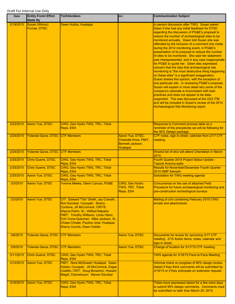| Date      | <b>Entity From/ Effort</b><br><b>Made By</b> | <b>To/Attendees</b>                                                                                                                                                                                                                                                                                          | CC:                                                                              | <b>Communication Subject</b>                                                                                                                                                                                                                                                                                                                                                                                                                                                                                                                                                                                                                                                                                                                                                                                                                                                                                                                                                                                                                                                                                                            |
|-----------|----------------------------------------------|--------------------------------------------------------------------------------------------------------------------------------------------------------------------------------------------------------------------------------------------------------------------------------------------------------------|----------------------------------------------------------------------------------|-----------------------------------------------------------------------------------------------------------------------------------------------------------------------------------------------------------------------------------------------------------------------------------------------------------------------------------------------------------------------------------------------------------------------------------------------------------------------------------------------------------------------------------------------------------------------------------------------------------------------------------------------------------------------------------------------------------------------------------------------------------------------------------------------------------------------------------------------------------------------------------------------------------------------------------------------------------------------------------------------------------------------------------------------------------------------------------------------------------------------------------------|
| 2/19/2015 | Susan (Wilcox)<br><b>Furnas, DTSC</b>        | Dawn Hubbs, Hualapai                                                                                                                                                                                                                                                                                         |                                                                                  | In person discussion after TWG. Susan asked<br>Dawn if she had any initial feedback for DTSC<br>regarding the discussion of PG&E's proposal to<br>reduce the number of archaeological sites to be<br>monitored annually. Dawn told Susan she was<br>offended by the inclusion of a comment she made<br>during the 2014 monitoring event, in PG&E's<br>presentation of its proposal to reduce the number<br>of sites to be monitored. She said her statement<br>was misrepresented, and in any case inappropriate<br>for PG&E to quote her. Dawn also expressed<br>concern that the idea that archaeological site<br>monitoring is "the most destructive thing happening<br>on these sites" is a signficiant exaggeration.<br>Susan shares this opinion, with the exception of<br>one particular site. In reviewing PG&E's proposal,<br>Susan will explain in more detail why some of the<br>company's rationale is inconsistent with best<br>practices and does not appear to be data-<br>supported. This was discussed at the 2/23 ITM<br>and will be included in Susan's review of the 2014<br>Archaeological Site Monitoring report. |
| 2/23/2015 | <b>Aaron Yue, DTSC</b>                       | CWG, Geo Hydro TWG, TRC, Tribal<br>Reps, ESA                                                                                                                                                                                                                                                                 |                                                                                  | Response to Comment process table as a<br>reminder of the procedures we will be following for<br>the 90% Design package.                                                                                                                                                                                                                                                                                                                                                                                                                                                                                                                                                                                                                                                                                                                                                                                                                                                                                                                                                                                                                |
| 2/24/2015 | Yolanda Garza, DTSC CTF Members              |                                                                                                                                                                                                                                                                                                              | Aaron Yue, DTSC,<br>Charlotte Knox, FMIT,<br>Bennett Jackson,<br><b>Hualapai</b> | CTF notes, sign-in sheet, calendar from 2/17 CTF<br>meeting.                                                                                                                                                                                                                                                                                                                                                                                                                                                                                                                                                                                                                                                                                                                                                                                                                                                                                                                                                                                                                                                                            |
| 2/24/2015 | Yolanda Garza, DTSC CTF Members              |                                                                                                                                                                                                                                                                                                              |                                                                                  | Shared list of who will attend Orientation in March<br>2015.                                                                                                                                                                                                                                                                                                                                                                                                                                                                                                                                                                                                                                                                                                                                                                                                                                                                                                                                                                                                                                                                            |
| 2/25/2015 | Chris Guerre, DTSC                           | CWG, Geo Hydro TWG, TRC, Tribal<br>Reps, ESA                                                                                                                                                                                                                                                                 |                                                                                  | Fourth Quarter 2014 Project Status Update -<br><b>Topock Arizona wells</b>                                                                                                                                                                                                                                                                                                                                                                                                                                                                                                                                                                                                                                                                                                                                                                                                                                                                                                                                                                                                                                                              |
| 2/25/2015 | <b>Chris Guerre, DTSC</b>                    | CWG, Geo Hydro TWG, TRC, Tribal<br>Reps, ESA                                                                                                                                                                                                                                                                 |                                                                                  | <b>Results for November/December Fourth Quarter</b><br>2014 GMP Samplin                                                                                                                                                                                                                                                                                                                                                                                                                                                                                                                                                                                                                                                                                                                                                                                                                                                                                                                                                                                                                                                                 |
| 2/25/2015 | Aaron Yue, DTSC                              | CWG, Geo Hydro TWG, TRC, Tribal<br>Reps, ESA                                                                                                                                                                                                                                                                 |                                                                                  | Solicitation for TWG meeting agenda                                                                                                                                                                                                                                                                                                                                                                                                                                                                                                                                                                                                                                                                                                                                                                                                                                                                                                                                                                                                                                                                                                     |
| 3/3/2015  | Aaron Yue, DTSC                              | Yvonne Meeks, Glenn Caruso, PG&E                                                                                                                                                                                                                                                                             | CWG, Geo Hydro<br>TWG, TRC, Tribal<br>Reps, ESA                                  | Concurrence on the use of attached Field<br>Procedure for future archaeological monitoring and<br>pre-construction archeological surveys                                                                                                                                                                                                                                                                                                                                                                                                                                                                                                                                                                                                                                                                                                                                                                                                                                                                                                                                                                                                |
| 3/3/2015  | <b>Aaron Yue, DTSC</b>                       | CIT: Edward "Tito" Smith, Jay Cravath,<br>Ron Escobar; Cocopah: Sherry<br>Cordova, Jill McCormick; CRITS:<br>Wayne Patch, Sr., Wilfred Nabahe;<br>FMIT: Timothy Williams, Linda Otero;<br>Fort Yuma-Quechan: Mike Jackson, Sr.,<br>Chase Choate, Pauline Jose; Hualapai:<br><b>Sherry Counts, Dawn Hubbs</b> |                                                                                  | Mailing of cd's containing February 2015 CWG<br>emails and attachments.                                                                                                                                                                                                                                                                                                                                                                                                                                                                                                                                                                                                                                                                                                                                                                                                                                                                                                                                                                                                                                                                 |
| 3/6/2015  | Yolanda Garza, DTSC                          | <b>CTF Members</b>                                                                                                                                                                                                                                                                                           | <b>Aaron Yue, DTSC</b>                                                           | Documents for review for upcoming 3/17 CTF<br>meeting: 2/15 Action items, notes, calendar and<br>sign-in sheet.                                                                                                                                                                                                                                                                                                                                                                                                                                                                                                                                                                                                                                                                                                                                                                                                                                                                                                                                                                                                                         |
| 3/9/2015  | Yolanda Garza, DTSC CTF Members              |                                                                                                                                                                                                                                                                                                              | <b>Aaron Yue, DTSC</b>                                                           | Change of location for 3/17/15 CTF meeting.                                                                                                                                                                                                                                                                                                                                                                                                                                                                                                                                                                                                                                                                                                                                                                                                                                                                                                                                                                                                                                                                                             |
| 3/11/2015 | Chris Guerre, DTSC                           | CWG, Geo Hydro TWG, TRC, Tribal<br>Reps, ESA                                                                                                                                                                                                                                                                 |                                                                                  | TWG agenda for 3/18/15 Face-to-Face Meeting.                                                                                                                                                                                                                                                                                                                                                                                                                                                                                                                                                                                                                                                                                                                                                                                                                                                                                                                                                                                                                                                                                            |
| 3/12/2015 | <b>Aaron Yue, DTSC</b>                       | FMIT: Nora McDowell; Hualapai: Dawn<br>Hubbs; Cocopah: Jill McCormick, Edgar<br>Castillo; CRIT: Doug Bonamici, Howard<br>Magill; Chemehuevi: Steven Escobar                                                                                                                                                  |                                                                                  | Informal check on progress of 90% design review.<br>Asked if they think comments will be submitted by<br>3/16/15 or if they anticipate an extension request.                                                                                                                                                                                                                                                                                                                                                                                                                                                                                                                                                                                                                                                                                                                                                                                                                                                                                                                                                                            |
| 3/16/2015 | <b>Aaron Yue, DTSC</b>                       | CWG, Geo Hydro TWG, TRC, Tribal<br>Reps, ESA                                                                                                                                                                                                                                                                 |                                                                                  | Tribes have expressed desire for a few extra days<br>to submit 90% design comments. Comments must<br>be submitted no later than March 20, 2015.                                                                                                                                                                                                                                                                                                                                                                                                                                                                                                                                                                                                                                                                                                                                                                                                                                                                                                                                                                                         |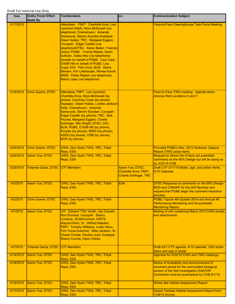| Date      | <b>Entity From/ Effort</b><br><b>Made By</b> | <b>To/Attendees</b>                                                                                                                                                                                                                                                                                                                                                                                                                                                                                                                                                                        | CC:                                                                        | <b>Communication Subject</b>                                                                                                                                                               |
|-----------|----------------------------------------------|--------------------------------------------------------------------------------------------------------------------------------------------------------------------------------------------------------------------------------------------------------------------------------------------------------------------------------------------------------------------------------------------------------------------------------------------------------------------------------------------------------------------------------------------------------------------------------------------|----------------------------------------------------------------------------|--------------------------------------------------------------------------------------------------------------------------------------------------------------------------------------------|
| 3/17/2015 |                                              | Attendees: FMIT: Charlotte Knox, Leo<br>Leonhart (H&A), Nora McDowell (via<br>telephone); Chemehuevi: Amanda<br>Sansoucie, Steven Escobar; Hualapai:<br>Dawn Hubbs; TRC: Margaret Eggers;<br>Cocopah: Edgar Castillo (via<br>telephone)DTSC: Karen Baker, Yolanda<br>Garza; PG&E: Yvonne Meeks, Kevin<br>Sullivan, Valisa Nez (via telephone);<br>Arcadis on behalf of PG&E: Lisa Cope;<br><b>CH2M Hill on behalf of PG&amp;E: Lisa</b><br>Cope; DOI: Pam Innis; BLM: Gloria<br>Benson, Kim Liebhauser, Renee Kolvet;<br>MWD: Eddie Rigdon (via telephone),<br>Maria Lopez (via telephone) |                                                                            | Face-to-Face Clearinghouse Task Force Meeting                                                                                                                                              |
| 3/18/2015 | <b>Chris Guerre, DTSC</b>                    | Attendees: FMIT: Leo Leonhart.<br>Charlotte Knox, Nora McDowell (by<br>phone), Courtney Coyle (by phone);<br>Hualapai: Dawn Hubbs, Loretta Jackson-<br>Kelly; Chemehuevi: Amanda<br>Sansoucie, Steven Escobar; Cocopah:<br>Edgar Castillo (by phone); TRC: Bob<br>Prucha, Margaret Eggers, Charlie<br>Schlinger, Win Wright; DTSC, DOI,<br>BLM, PG&E, CH2M Hill (by phone),<br>Arcadis (by phone), MWD (by phone),<br>ADEQ (by phone), CRB (by phone),<br><b>BOR</b> (by phone)                                                                                                            |                                                                            | Face-to-Face TWG meeting. Agenda items:<br>Arizona Well Locations X and Y.                                                                                                                 |
| 3/20/2015 | <b>Chris Guerre, DTSC</b>                    | CWG, Geo Hydro TWG, TRC, Tribal<br>Reps, ESA                                                                                                                                                                                                                                                                                                                                                                                                                                                                                                                                               |                                                                            | Provided PG&E's Dec. 2013 Hydraulic Capture<br><b>Report (TWG action item)</b>                                                                                                             |
| 3/24/2015 | Aaron Yue, DTSC                              | CWG, Geo Hydro TWG, TRC, Tribal<br>Reps, ESA                                                                                                                                                                                                                                                                                                                                                                                                                                                                                                                                               |                                                                            | Request to inform him if have not submitted<br>comments on the 90% Design but will be doing so<br>by 3/25/15 COB.                                                                          |
| 3/25/2015 | Yolanda Garza, DTSC                          | <b>CTF Members</b>                                                                                                                                                                                                                                                                                                                                                                                                                                                                                                                                                                         | Aaron Yue, DTSC,<br>Charlotte Knox, FMIT,<br><b>Charlie Schlinger, TRC</b> | Draft CTF 3/17/15 Notes, sign, and action items.<br>4/15 Calendar.                                                                                                                         |
| 4/2/2015  | Aaron Yue, DTSC                              | CWG, Geo Hydro TWG, TRC, Tribal<br>Reps, ESA                                                                                                                                                                                                                                                                                                                                                                                                                                                                                                                                               | <b>ESA</b>                                                                 | DTSC Response to comments on the 90% Design<br>BOD and C/RAWP for the GW Remedy and<br>request that PG&E begin the comment resolution<br>process.                                          |
| 4/2/2015  | <b>Chris Guerre, DTSC</b>                    | CWG, Geo Hydro TWG, TRC, Tribal<br>Reps, ESA                                                                                                                                                                                                                                                                                                                                                                                                                                                                                                                                               |                                                                            | PG&E Topock 4th Quarter 2014 and Annual IM<br><b>Performance Monitoring and Groundwater</b><br><b>Monitoring Report.</b>                                                                   |
| 4/7/2015  | Aaron Yue, DTSC                              | CIT: Edward "Tito" Smith, Jay Cravath,<br>Ron Escobar; Cocopah: Sherry<br>Cordova, Jill McCormick; CRITS:<br>Wayne Patch, Sr., Wilfred Nabahe;<br>FMIT: Timothy Williams, Linda Otero;<br>Fort Yuma-Quechan: Mike Jackson, Sr.,<br>Chase Choate, Pauline Jose; Hualapai:<br><b>Sherry Counts, Dawn Hubbs</b>                                                                                                                                                                                                                                                                               |                                                                            | Mailing of cd's containing March 2015 CWG emails<br>and attachments.                                                                                                                       |
| 4/7/2015  | <b>Yolanda Garza, DTSC</b>                   | <b>CTF Members</b>                                                                                                                                                                                                                                                                                                                                                                                                                                                                                                                                                                         |                                                                            | Draft 4/21 CTF agenda, 4/15 calendar, 3/25 action<br>items and sign-in sheet                                                                                                               |
| 4/14/2015 | Aaron Yue, DTSC                              | CWG, Geo Hydro TWG, TRC, Tribal<br>Reps, ESA                                                                                                                                                                                                                                                                                                                                                                                                                                                                                                                                               |                                                                            | Agendas for 4/22/15 CWG and TWG meetings.                                                                                                                                                  |
| 4/16/2015 | Aaron Yue, DTSC                              | CWG, Geo Hydro TWG, TRC, Tribal<br>Reps, ESA                                                                                                                                                                                                                                                                                                                                                                                                                                                                                                                                               |                                                                            | Notice of Availability and announcement of<br>comment period for the recirculated biological<br>section of the Soil Investigation Draft EIR.<br>Comments must be postmarked by COB 6/1/15. |
| 4/16/2015 | Aaron Yue, DTSC                              | CWG, Geo Hydro TWG, TRC, Tribal<br>Reps, ESA                                                                                                                                                                                                                                                                                                                                                                                                                                                                                                                                               |                                                                            | <b>Winter Bat Habitat Assessment Report</b>                                                                                                                                                |
| 4/17/2015 | Aaron Yue, DTSC                              | CWG, Geo Hydro TWG, TRC, Tribal<br>Reps, ESA                                                                                                                                                                                                                                                                                                                                                                                                                                                                                                                                               |                                                                            | <b>Desert Tortoise Habitat Assessment Report from</b><br>1/29/15 Survey.                                                                                                                   |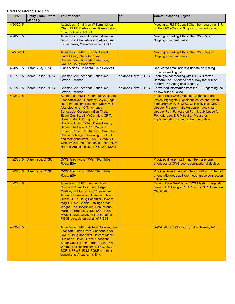| Date      | <b>Entity From/ Effort</b><br><b>Made By</b> | <b>To/Attendees</b>                                                                                                                                                                                                                                                                                                                                                                                                                                                                                                                                | CC:                 | <b>Communication Subject</b>                                                                                                                                                                                                                                                                                                              |
|-----------|----------------------------------------------|----------------------------------------------------------------------------------------------------------------------------------------------------------------------------------------------------------------------------------------------------------------------------------------------------------------------------------------------------------------------------------------------------------------------------------------------------------------------------------------------------------------------------------------------------|---------------------|-------------------------------------------------------------------------------------------------------------------------------------------------------------------------------------------------------------------------------------------------------------------------------------------------------------------------------------------|
| 4/20/2015 |                                              | Attendees: Chairman Williams, Linda<br>Otero, FMIT; Barbara Lee, Karen Baker,<br><b>Yolanda Garza, DTSC</b>                                                                                                                                                                                                                                                                                                                                                                                                                                        |                     | Meeting at FMIT Council Chamber regarding EIR<br>on the GW 90% and Scoping comment period                                                                                                                                                                                                                                                 |
| 4/20/2015 |                                              | Attendees: Steven Escobar, Amanda<br>Sansoucie, Chemehuevi, Barbara Lee,<br>Karen Baker, Yolanda Garza, DTSC                                                                                                                                                                                                                                                                                                                                                                                                                                       |                     | Meeting regarding EIR on the GW 90% and<br>Scoping comment period                                                                                                                                                                                                                                                                         |
| 4/20/2015 |                                              | Attendees: FMIT: Nora McDowell,<br>Linda Otero, Charlotte Knox;<br>Chemehuevi: Amanda Sansoucie;<br><b>CRITS: Doug Bonamici;</b>                                                                                                                                                                                                                                                                                                                                                                                                                   |                     | Meeting regarding EIR on the GW 90% and<br>Scoping comment period                                                                                                                                                                                                                                                                         |
| 4/20/2015 | Aaron Yue, DTSC                              | Gabe Valdes, Universal Field Services                                                                                                                                                                                                                                                                                                                                                                                                                                                                                                              |                     | Requested email address update on mailing<br>Topock's mailing list.                                                                                                                                                                                                                                                                       |
| 4/21/2015 | Karen Baker, DTSC                            | Chemehuevi: Amanda Sansoucie,<br>Steven Escobar                                                                                                                                                                                                                                                                                                                                                                                                                                                                                                    | Yolanda Garza, DTSC | Thank you for meeting with DTSC Director,<br>Barbara Lee. Attached bat survey that will be<br>performed starting next Monday.                                                                                                                                                                                                             |
| 4/21/2015 | Karen Baker, DTSC                            | Chemehuevi: Amanda Sansoucie,<br>Steven Escobar                                                                                                                                                                                                                                                                                                                                                                                                                                                                                                    | Yolanda Garza, DTSC | Forwarded information from the EIR regarding the<br>Yellow-billed Cuckoo.                                                                                                                                                                                                                                                                 |
| 4/22/2015 |                                              | Attendees: FMIT: Charlotte Knox, Leo<br>Leonhart (H&A), Courtney Coyle (Legal<br>Rep.) (via telephone), Nora McDowell<br>(via telephone); CIT: Amanda<br>Sansoucie; Cocopah Indian Tribe:<br>Edgar Castillo, Jill McCormick; CRIT:<br>Howard Magill, Doug Bonamici;<br>Hualapai Indian Tribe: Dawn Hubbs,<br>Bennett Jackson; TRC: Margaret<br>Eggers, Robert Prucha, Eric Rosenblum,<br>Charlie Schlinger, Win Wright; DTSC<br>and their consultant, ESA, CRWQCB,<br>CRB, PG&E and their consultants CH2M<br>Hill and Arcadis, BLM, BOR, DOI, MWD |                     | Face to Face CWG Meeting. Agenda Items:<br>Project highlights, Significant issues and action<br>items from 2/18/15 CWG, CTF activities, CEQA<br><b>Update, Programmatic Agreement Activities</b><br>Update, Path Forward on Park Moabi Lease for<br><b>Remedy Use, EIR Mitigation Measures</b><br>Implementation; project schedule update |
| 4/22/2015 | <b>Aaron Yue, DTSC</b>                       | CWG, Geo Hydro TWG, TRC, Tribal<br>Reps, ESA                                                                                                                                                                                                                                                                                                                                                                                                                                                                                                       |                     | Provided different call in number for phone<br>attendees at CWG due to connection difficulties.                                                                                                                                                                                                                                           |
| 4/22/2015 | Aaron Yue, DTSC                              | CWG, Geo Hydro TWG, TRC, Tribal<br>Reps, ESA                                                                                                                                                                                                                                                                                                                                                                                                                                                                                                       |                     | Provided later time and different call in number for<br>phone attendees at TWG meeting due connection<br>difficulties.                                                                                                                                                                                                                    |
| 4/22/2015 |                                              | Attendees: FMIT: Leo Leonhart.<br>Charlotte Knox; Cocopah: Edgar<br>Castillo, Jill McCormick; Chemehuevi:<br>Amanda Sansoucie; Hualapai: Dawn<br>Hubs; CRIT: Doug Bonamici, Howard<br>Magill; TRC: Charlie Schlinger, Win<br>Wright, Eric Rosenblum, Bob Prucha,<br>Margaret Eggers; DTSC, DOI, BOR,<br>MWD, PG&E, CH2M Hill on behalf of<br>PG&E, Arcadis on behalf of PG&E                                                                                                                                                                       |                     | Face to Face Geo/Hydro TWG Meeting: Agenda<br>items: 90% Design, RTC Protocol; 90% Comment<br><b>Clarification</b>                                                                                                                                                                                                                        |
| 4/23/2015 |                                              | Attendees: FMIT: Michael Sullivan, Leo<br>Leonhart, Linda Otero, Charlotte Knox;<br><b>CRIT: Doug Bonamici, Howard Magill;</b><br>Hualapai: Dawn Hubbs; Cocopah:<br>Edgar Castillo; TRC: Bob Prucha, Win<br>Wright, Eric Rosenblum; DTSC, DOI,<br>BOR, USFWS, BLM, PG&E and their<br>consultants Arcadis, Iris Env.                                                                                                                                                                                                                                |                     | RAWP ADD. II Workshop, Lake Havasu, AZ                                                                                                                                                                                                                                                                                                    |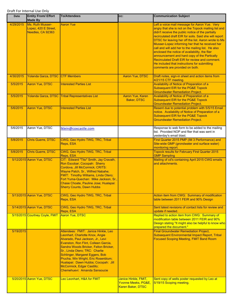| Date      | <b>Entity From/ Effort</b><br><b>Made By</b>                  | <b>To/Attendees</b>                                                                                                                                                                                                                                                                                                                                                                                                                         | CC:                                      | <b>Communication Subject</b>                                                                                                                                                                                                                                                                                                                                                                                                                                                                                                                                                                                                |
|-----------|---------------------------------------------------------------|---------------------------------------------------------------------------------------------------------------------------------------------------------------------------------------------------------------------------------------------------------------------------------------------------------------------------------------------------------------------------------------------------------------------------------------------|------------------------------------------|-----------------------------------------------------------------------------------------------------------------------------------------------------------------------------------------------------------------------------------------------------------------------------------------------------------------------------------------------------------------------------------------------------------------------------------------------------------------------------------------------------------------------------------------------------------------------------------------------------------------------------|
| 4/29/2015 | Ms. Ruth Musser-<br>Lopez, 420 E Street,<br>Needles, CA 92363 | <b>Aaron Yue</b>                                                                                                                                                                                                                                                                                                                                                                                                                            |                                          | Left a voice mail message for Aaron Yue. Very<br>angry that she is not on the Topock mailing list and<br>didn't receive the public notice of the partially<br>recirculated draft EIR for soils. Said she will report<br>DTSC for leaving her off the list. Aaron wrote to Ms<br>Musser-Lopez informing her that he received her<br>call and will add her to the mailing list. He also<br>enclosed the notice of availability, the flier<br>announcement and hard copy of the Partically<br>Recirculated Draft EIR for review and comment.<br>He included that instructions for submitting<br>comments are provided on both. |
| 4/30/2015 | Yolanda Garza, DTSC CTF Members                               |                                                                                                                                                                                                                                                                                                                                                                                                                                             | Aaron Yue, DTSC                          | Draft notes, sign-in sheet and action items from<br>4/21/15 CTF meeting.                                                                                                                                                                                                                                                                                                                                                                                                                                                                                                                                                    |
| 5/5/2015  | Aaron Yue, DTSC                                               | <b>Interested Parties List</b>                                                                                                                                                                                                                                                                                                                                                                                                              |                                          | <b>Availability of Notice of Preparation of a</b><br><b>Subsequent EIR for the PG&amp;E Topock</b><br><b>Groundwater Remediation Project.</b>                                                                                                                                                                                                                                                                                                                                                                                                                                                                               |
| 5/5/2015  | <b>Yolanda Garza, DTSC</b>                                    | <b>Tribal Representatives List</b>                                                                                                                                                                                                                                                                                                                                                                                                          | Aaron Yue, Karen<br>Baker, DTSC          | <b>Availability of Notice of Preparation of a</b><br><b>Subsequent EIR for the PG&amp;E Topock</b><br><b>Groundwater Remediation Project.</b>                                                                                                                                                                                                                                                                                                                                                                                                                                                                               |
| 5/6/2015  | Aaron Yue, DTSC                                               | <b>Interested Parties List</b>                                                                                                                                                                                                                                                                                                                                                                                                              |                                          | Resent due to potential problem with 5/5/15 Email<br>notice. Availability of Notice of Preparation of a<br><b>Subsequent EIR for the PG&amp;E Topock</b><br><b>Groundwater Remediation Project.</b>                                                                                                                                                                                                                                                                                                                                                                                                                         |
| 5/6/2015  | Aaron Yue, DTSC                                               | Iklein@coxcastle.com                                                                                                                                                                                                                                                                                                                                                                                                                        |                                          | Response to web form to be added to the mailing<br>list. Provided NOP and flier that was sent in<br>yesterday's email blast.                                                                                                                                                                                                                                                                                                                                                                                                                                                                                                |
| 5/8/2015  | <b>Chris Guerre, DTSC</b>                                     | CWG, Geo Hydro TWG, TRC, Tribal<br>Reps, ESA                                                                                                                                                                                                                                                                                                                                                                                                |                                          | First Quarter 2015 PMP (IM 3 Performance) and<br>Site-wide GMP (grondwater and surface water)<br>monitoring report.                                                                                                                                                                                                                                                                                                                                                                                                                                                                                                         |
| 5/8/2015  | <b>Chris Guerre, DTSC</b>                                     | CWG, Geo Hydro TWG, TRC, Tribal<br>Reps, ESA                                                                                                                                                                                                                                                                                                                                                                                                |                                          | <b>Topock results for February First Quarter 2015</b><br><b>GMP Sampling</b>                                                                                                                                                                                                                                                                                                                                                                                                                                                                                                                                                |
|           | 5/12/2015 Aaron Yue, DTSC                                     | CIT: Edward "Tito" Smith, Jay Cravath,<br>Ron Escobar; Cocopah: Sherry<br>Cordova, Jill McCormick; CRITS:<br>Wayne Patch, Sr., Wilfred Nabahe;<br><b>FMIT: Timothy Williams, Linda Otero;</b><br>Fort Yuma-Quechan: Mike Jackson, Sr.,<br>Chase Choate, Pauline Jose; Hualapai:<br><b>Sherry Counts, Dawn Hubbs</b>                                                                                                                         |                                          | Mailing of cd's containing April 2015 CWG emails<br>and attachments.                                                                                                                                                                                                                                                                                                                                                                                                                                                                                                                                                        |
|           | 5/13/2015 Aaron Yue, DTSC                                     | CWG, Geo Hydro TWG, TRC, Tribal<br>Reps, ESA                                                                                                                                                                                                                                                                                                                                                                                                |                                          | Action item from CWG: Summary of modification<br>table between 2011 FEIR and 90% Design                                                                                                                                                                                                                                                                                                                                                                                                                                                                                                                                     |
|           | 5/14/2015 Aaron Yue, DTSC                                     | CWG, Geo Hydro TWG, TRC, Tribal<br>Reps, ESA                                                                                                                                                                                                                                                                                                                                                                                                |                                          | Sent latest revisions of contact lists for review and<br>update if needed.                                                                                                                                                                                                                                                                                                                                                                                                                                                                                                                                                  |
|           | 5/15/2015 Courtney Coyle, FMIT                                | <b>Aaron Yue, DTSC</b>                                                                                                                                                                                                                                                                                                                                                                                                                      |                                          | Replied to action item from CWG: Summary of<br>modification table between 2011 FEIR and 90%<br>Design stating "It might also be helpful to know who<br>prepared the document."                                                                                                                                                                                                                                                                                                                                                                                                                                              |
| 5/19/2015 | 5/20/2015 Aaron Yue, DTSC                                     | Attendees: FMIT: Janice Hinkle, Leo<br>Leonhart, Charlotte Knox, Angie<br>Alvarado, Paul Jackson, Jr., Levi<br>Evanston, Ron Flint, Colleen Garcia,<br>Sandra Woods Bricker, Felton Bricker,<br>Sr., Linda Otero; TRC: Charlie<br>Schlinger, Margaret Eggers, Bob<br>Prucha, Win Wright, Eric Rosenblum;<br>Hualapai: Dawn Hubbs; Cocopah: Jill<br>McCormick, Edgar Castillo;<br>Chemehuevi: Amanda Sansoucie<br>Leo Leonhart, H&A for FMIT | Janice Hinkle, FMIT,                     | <b>Final Groundwater Remediation Project,</b><br><b>Subsequent Environmental Impact Report, Tribal</b><br><b>Focused Scoping Meeting, FMIT Band Room</b><br>Sent copy of wells poster requested by Leo at                                                                                                                                                                                                                                                                                                                                                                                                                   |
|           |                                                               |                                                                                                                                                                                                                                                                                                                                                                                                                                             | Yvonne Meeks, PG&E,<br>Karen Baker, DTSC | 5/19/15 Scoping meeting.                                                                                                                                                                                                                                                                                                                                                                                                                                                                                                                                                                                                    |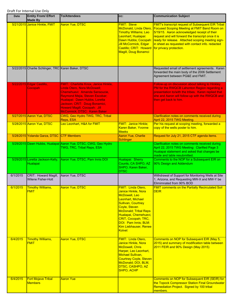| <b>Date</b> | <b>Entity From/ Effort</b><br><b>Made By</b>       | <b>To/Attendees</b>                                                                                                                                                                                                                                                      | cc:                                                                                                                                                                                                                                                                             | <b>Communication Subject</b>                                                                                                                                                                                                                                                                                                                                |
|-------------|----------------------------------------------------|--------------------------------------------------------------------------------------------------------------------------------------------------------------------------------------------------------------------------------------------------------------------------|---------------------------------------------------------------------------------------------------------------------------------------------------------------------------------------------------------------------------------------------------------------------------------|-------------------------------------------------------------------------------------------------------------------------------------------------------------------------------------------------------------------------------------------------------------------------------------------------------------------------------------------------------------|
|             | 5/21/2015 Janice Hinkle, FMIT                      | <b>Aaron Yue, DTSC</b>                                                                                                                                                                                                                                                   | <b>FMIT: Steve</b><br>McDonald, Linda Otero<br><b>Timothy Williams; Leo</b><br>Leonhart; Hualapai:<br>Dawn Hubbs; Cocopah:<br>Jill McCormick, Edgar<br>Castillo; CRIT: Howard<br><b>Magill, Doug Bonamci</b>                                                                    | <b>FMIT's transcript request of Subsequent EIR Tribal</b><br><b>Focused Scoping Meeting at FMIT Band Room on</b><br>5/19/15. Aaron acknowledged receipt of their<br>request and will forward the transcript once it is<br>ready for release. Attached scoping meeting sign-<br>in sheet as requested with contact info. redacted<br>for privacy protection. |
|             | 5/22/2015 Charlie Schlinger, TRC Karen Baker, DTSC |                                                                                                                                                                                                                                                                          |                                                                                                                                                                                                                                                                                 | Requested email of settlement agreements. Karen<br>forwarded the main body of the 2006 Settlement<br>Agreement between PG&E and FMIT.                                                                                                                                                                                                                       |
|             | 5/22/2015 Edgar Castillo,<br>Cocopah               | FMIT: Charlotte Knox, Janice Hinkle,<br>Linda Otero, Nora McDowell;<br>Chemehuevi: Amanda Sansoucie.<br>Raymond Mejia, Steven Escobar;<br>Hualapai: Dawn Hubbs, Loretta<br>Jackson; CRIT: Doug Bonamici,<br>Howard Magill; Cocopah: Jill<br>McCormick; DTSC: Karen Baker |                                                                                                                                                                                                                                                                                 | Follow-up on discussion about talking to Hinkley<br>PM for the RWQCB Lahonton Region regarding a<br>presentation to/with the tribes. Karen replied that<br>she and Aaron will follow-up with the RWQCB and<br>then get back to him.                                                                                                                         |
|             | 5/27/2015 Aaron Yue, DTSC                          | CWG, Geo Hydro TWG, TRC, Tribal<br>Reps, ESA                                                                                                                                                                                                                             |                                                                                                                                                                                                                                                                                 | Clarification notes on comments received during<br>April 22, 2015 TWG Meeting.                                                                                                                                                                                                                                                                              |
|             | 5/28/2015 Aaron Yue, DTSC                          | Leo Leonhart, H&A for FMIT                                                                                                                                                                                                                                               | <b>FMIT: Janice Hinkle;</b><br>Karen Baker, Yvonne<br><b>Meeks</b>                                                                                                                                                                                                              | Per his request at scoping meeting, forwarded a<br>copy of the wells poster to him.                                                                                                                                                                                                                                                                         |
|             | 5/28/2015 Yolanda Garza, DTSC CTF Members          |                                                                                                                                                                                                                                                                          | Aaron Yue, Charlie<br><b>Schlinger</b>                                                                                                                                                                                                                                          | Request for July 21, 2015 CTF agenda items.                                                                                                                                                                                                                                                                                                                 |
|             |                                                    | 5/29/2015 Dawn Hubbs, Hualapai Aaron Yue, DTSC, CWG, Geo Hydro<br>TWG, TRC, Tribal Reps, ESA                                                                                                                                                                             |                                                                                                                                                                                                                                                                                 | Clarification notes on comments received during<br>April 22, 2015 TWG Meeting: Clarified Page 3<br>Hualapai statement and asked that changes be<br>made and table resubmitted.                                                                                                                                                                              |
|             | Hualapai                                           | 5/29/2015 Loretta Jackson-Kelly, Aaron Yue, DTSC, Pam Innis DOI                                                                                                                                                                                                          | Hualapai: Sherry<br>Counts, CA SHPO, AZ<br>SHPO, Karen Baker,<br><b>DTSC</b>                                                                                                                                                                                                    | Comments to the NOP for a Subsequent EIR on<br>90% Design and Addendum                                                                                                                                                                                                                                                                                      |
| 6/1/2015    | CRIT: Howard Magill,<br><b>Wilene Fisher-Holt</b>  | Aaron Yue, DTSC                                                                                                                                                                                                                                                          |                                                                                                                                                                                                                                                                                 | Withdrawal of Support for Monitoring Wells at Site<br>1, Arizona, and Requesting MW-X and MW-Y be<br>Elimimnated from 90% BOD                                                                                                                                                                                                                               |
| 6/1/2015    | Timothy Williams,<br><b>FMIT</b>                   | <b>Aaron Yue, DTSC</b>                                                                                                                                                                                                                                                   | <b>FMIT: Linda Otero,</b><br>Janice Hinkle, Nora<br>McDowell, Leo<br>Leonhart, Michael<br>Sullivan, Courtney<br><b>Coyle, Steven</b><br><b>McDonald; Tribal Reps</b><br>Hualapai, Chemehuevi,<br>CRIT, Cocopah; TRC,<br>DOI: Pam Innis; BLM:<br>Kim Liebhauser, Renee<br>Kolvet | <b>FMIT comments on the Partially Recirculated Soil</b><br><b>DEIR</b>                                                                                                                                                                                                                                                                                      |
| 6/4/2015    | <b>Timothy Williams,</b><br><b>FMIT</b>            | <b>Aaron Yue, DTSC</b>                                                                                                                                                                                                                                                   | <b>FMIT: Linda Otero,</b><br>Janice Hinkle, Nora<br><b>McDowell, Chris</b><br>Harper, Leo Leonhart,<br>Michael Sullivan,<br><b>Courtney Coyle, Steven</b><br>McDonald; DOI, BLM,<br>DTSC, CASHPO, AZ<br><b>SHPO, ACHP</b>                                                       | Comments on NOP for Subsequent EIR (May 5,<br>2015) and summary of modification table between<br>2011 FEIR and 90% Design (May 2015)                                                                                                                                                                                                                        |
| 6/4/2015    | <b>Fort Mojave Tribal</b><br><b>Members</b>        | <b>Aaron Yue</b>                                                                                                                                                                                                                                                         |                                                                                                                                                                                                                                                                                 | Comments on NOP for Subsequent EIR (SEIR) for<br>the Topock Compressor Station Final Groundwater<br>Remediation Project. Signed by 100 tribal<br>members.                                                                                                                                                                                                   |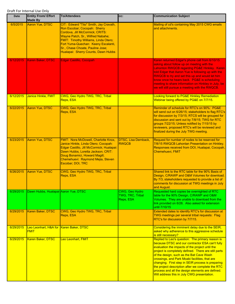## Draft For Internal Use Only

| Date      | <b>Entity From/ Effort</b><br><b>Made By</b>           | <b>To/Attendees</b>                                                                                                                                                                                                                                                                                      | CC:                                             | <b>Communication Subject</b>                                                                                                                                                                                                                                                                                                                                                                                                                                                                                              |
|-----------|--------------------------------------------------------|----------------------------------------------------------------------------------------------------------------------------------------------------------------------------------------------------------------------------------------------------------------------------------------------------------|-------------------------------------------------|---------------------------------------------------------------------------------------------------------------------------------------------------------------------------------------------------------------------------------------------------------------------------------------------------------------------------------------------------------------------------------------------------------------------------------------------------------------------------------------------------------------------------|
| 6/5/2015  | Aaron Yue, DTSC                                        | CIT: Edward "Tito" Smith, Jay Cravath,<br>Ron Escobar; Cocopah: Sherry<br>Cordova, Jill McCormick; CRITS:<br>Wayne Patch, Sr., Wilfred Nabahe;<br>FMIT: Timothy Williams, Linda Otero;<br>Fort Yuma-Quechan: Keeny Escalanti,<br>Sr., Chase Choate, Pauline Jose;<br>Hualapai: Sherry Counts, Dawn Hubbs |                                                 | Mailing of cd's containing May 2015 CWG emails<br>and attachments.                                                                                                                                                                                                                                                                                                                                                                                                                                                        |
| 6/12/2015 | Karen Baker, DTSC                                      | <b>Edgar Castillo, Cocopah</b>                                                                                                                                                                                                                                                                           |                                                 | Karen returned Edgar's phone call from 6/10/15<br>asking about follow up on meeting with the<br>Lahonton RWQCB regardng PG&E Hinkley. Karen<br>told Edgar that Aaron Yue is following up with the<br>RWQCB to try and set this up and would let him<br>know once he hears back. PG&E is scheduling<br>meeting to share information on Hinkley in July, be<br>we will still pursue a meeting with the RWQCB.                                                                                                               |
| 6/12/2015 | Janice Hinkle, FMIT                                    | CWG, Geo Hydro TWG, TRC, Tribal<br>Reps, ESA                                                                                                                                                                                                                                                             |                                                 | Looking forward to PG&E Hinkley Remediation<br>Webinar being offered by PG&E on 7/7/15.                                                                                                                                                                                                                                                                                                                                                                                                                                   |
| 6/22/2015 | Aaron Yue, DTSC                                        | CWG, Geo Hydro TWG, TRC, Tribal<br>Reps, ESA                                                                                                                                                                                                                                                             |                                                 | Reminder of schedule for RTC's on 90%: PG&E<br>will send out on 6/26/15; stakeholders to flag RTC's<br>for discussion by 7/3/15; RTCS will be grouped for<br>discussion and sent out by 7/8/15; TWG for RTC<br>groups 7/22/15; Unless notified by 7/15/15 by<br>reviewers, proposed RTC's will be reviewed and<br>finalized during the July TWG meeting.                                                                                                                                                                  |
| 6/23/2015 | Aaron Yue, DTSC                                        | FMIT: Nora McDowell, Charlotte Knox,<br>Janice Hinkle, Linda Otero; Cocopah:<br>Edgar Castillo, Jill McCormick; Hualapai:<br>Dawn Hubbs, Loretta Jackson; CRIT:<br>Doug Bonamici, Howard Magill;<br>Chemehuevi: Raymond Mejia, Steven<br>Escobar; DOI, TRC                                               | <b>DTSC, Lisa Dernback,</b><br><b>RWQCB</b>     | Request for number of nodes to be reserved for<br>7/8/15 RWQCB Lahontan Presentation on Hinkley.<br>Responses received from DOI, Hualapai, Cocopah,<br>Chemehuevi, FMIT                                                                                                                                                                                                                                                                                                                                                   |
| 6/26/2015 | Aaron Yue, DTSC                                        | CWG, Geo Hydro TWG, TRC, Tribal<br>Reps, ESA                                                                                                                                                                                                                                                             |                                                 | Shared link to the RTC table for the 90% Basis of<br>Design, C/RAWP and O&M Volumes for download.<br>By 7/3, stakeholders requested to provide a list of<br>comments for discussion at TWG meetings in July<br>and August.                                                                                                                                                                                                                                                                                                |
| 6/29/2015 | Dawn Hubbs, Hualapai Aaron Yue, DTSC                   |                                                                                                                                                                                                                                                                                                          | CWG, Geo Hydro<br>TWG, TRC, Tribal<br>Reps, ESA | Requested hard copies be overnighted of RTC<br>table for the 90% Design, C/RAWP and O&M<br>Volumes. They are unable to download from the<br>link provided on 6/26. Also asked for extension<br>until 7/10/15                                                                                                                                                                                                                                                                                                              |
| 6/29/2015 | Karen Baker, DTSC                                      | CWG, Geo Hydro TWG, TRC, Tribal<br>Reps, ESA                                                                                                                                                                                                                                                             |                                                 | Extended dates to identify RTC's for discussion at<br>TWG meetings per several tribal requests: Flag<br>RTC's for discussion by 7/7/15.                                                                                                                                                                                                                                                                                                                                                                                   |
| 6/29/2015 | Leo Leonhart, H&A for Karen Baker, DTSC<br><b>FMIT</b> |                                                                                                                                                                                                                                                                                                          |                                                 | Considering the imminent delay due to the SEIR,<br>asked why adherence to this aggressive schedule<br>is still necessary?                                                                                                                                                                                                                                                                                                                                                                                                 |
| 6/29/2015 | Karen Baker, DTSC                                      | Leo Leonhart, FMIT                                                                                                                                                                                                                                                                                       |                                                 | Replied to Leo's question: The primary reason is<br>because DTSC and our contractor ESA can't fully<br>evaluation the impacts of the project until the<br>project is completely defined. There are still parts<br>of the design, such as the Bat Cave Wash<br>crossings, and Park Moabi facilities, that are<br>changing. First step in SEIR process is preparing<br>the project description after we complete the RTC<br>process and all the design elements are defined.<br>Will address this in July CWG presentation. |